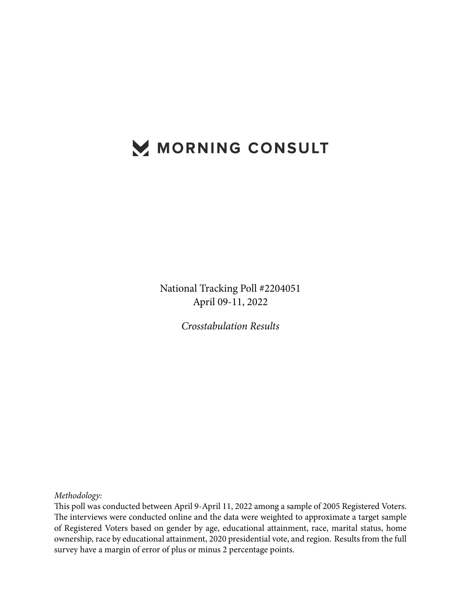## MORNING CONSULT

National Tracking Poll #2204051 April 09-11, 2022

*Crosstabulation Results*

*Methodology:*

This poll was conducted between April 9-April 11, 2022 among a sample of 2005 Registered Voters. The interviews were conducted online and the data were weighted to approximate a target sample of Registered Voters based on gender by age, educational attainment, race, marital status, home ownership, race by educational attainment, 2020 presidential vote, and region. Results from the full survey have a margin of error of plus or minus 2 percentage points.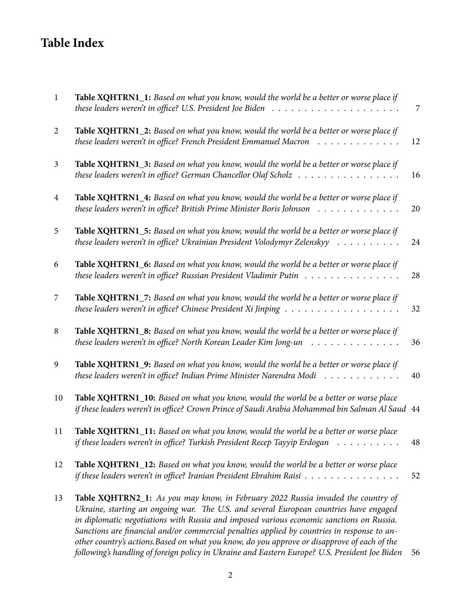## **Table Index**

| $\mathbf{1}$   | Table XQHTRN1_1: Based on what you know, would the world be a better or worse place if<br>these leaders weren't in office? U.S. President Joe Biden $\ldots \ldots \ldots \ldots \ldots \ldots \ldots$                                                                                                                                                                                                                                                                                                                                                                  | $\overline{7}$ |
|----------------|-------------------------------------------------------------------------------------------------------------------------------------------------------------------------------------------------------------------------------------------------------------------------------------------------------------------------------------------------------------------------------------------------------------------------------------------------------------------------------------------------------------------------------------------------------------------------|----------------|
| $\overline{2}$ | Table XQHTRN1_2: Based on what you know, would the world be a better or worse place if<br>these leaders weren't in office? French President Emmanuel Macron                                                                                                                                                                                                                                                                                                                                                                                                             | 12             |
| 3              | Table XQHTRN1_3: Based on what you know, would the world be a better or worse place if<br>these leaders weren't in office? German Chancellor Olaf Scholz                                                                                                                                                                                                                                                                                                                                                                                                                | 16             |
| $\overline{4}$ | Table XQHTRN1_4: Based on what you know, would the world be a better or worse place if<br>these leaders weren't in office? British Prime Minister Boris Johnson                                                                                                                                                                                                                                                                                                                                                                                                         | 20             |
| 5              | Table XQHTRN1_5: Based on what you know, would the world be a better or worse place if<br>these leaders weren't in office? Ukrainian President Volodymyr Zelenskyy                                                                                                                                                                                                                                                                                                                                                                                                      | 24             |
| 6              | Table XQHTRN1_6: Based on what you know, would the world be a better or worse place if<br>these leaders weren't in office? Russian President Vladimir Putin                                                                                                                                                                                                                                                                                                                                                                                                             | 28             |
| 7              | Table XQHTRN1_7: Based on what you know, would the world be a better or worse place if                                                                                                                                                                                                                                                                                                                                                                                                                                                                                  | 32             |
| 8              | Table XQHTRN1_8: Based on what you know, would the world be a better or worse place if<br>these leaders weren't in office? North Korean Leader Kim Jong-un                                                                                                                                                                                                                                                                                                                                                                                                              | 36             |
| 9              | Table XQHTRN1_9: Based on what you know, would the world be a better or worse place if<br>these leaders weren't in office? Indian Prime Minister Narendra Modi                                                                                                                                                                                                                                                                                                                                                                                                          | 40             |
| 10             | Table XQHTRN1_10: Based on what you know, would the world be a better or worse place<br>if these leaders weren't in office? Crown Prince of Saudi Arabia Mohammed bin Salman Al Saud 44                                                                                                                                                                                                                                                                                                                                                                                 |                |
| 11             | Table XQHTRN1_11: Based on what you know, would the world be a better or worse place<br>if these leaders weren't in office? Turkish President Recep Tayyip Erdogan                                                                                                                                                                                                                                                                                                                                                                                                      | 48             |
| 12             | Table XQHTRN1_12: Based on what you know, would the world be a better or worse place<br>if these leaders weren't in office? Iranian President Ebrahim Raisi                                                                                                                                                                                                                                                                                                                                                                                                             | 52             |
| 13             | Table XQHTRN2_1: As you may know, in February 2022 Russia invaded the country of<br>Ukraine, starting an ongoing war. The U.S. and several European countries have engaged<br>in diplomatic negotiations with Russia and imposed various economic sanctions on Russia.<br>Sanctions are financial and/or commercial penalties applied by countries in response to an-<br>other country's actions. Based on what you know, do you approve or disapprove of each of the<br>following's handling of foreign policy in Ukraine and Eastern Europe? U.S. President Joe Biden | 56             |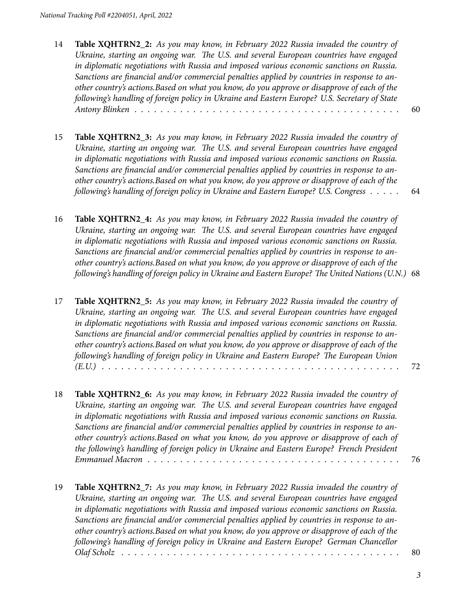- 14 **Table XQHTRN2\_2:** *[As you may know, in February 2022 Russia invaded the country of](#page-59-0) [Ukraine, starting an ongoing war. The U.S. and several European countries have engaged](#page-59-0) [in diplomatic negotiations with Russia and imposed various economic sanctions on Russia.](#page-59-0) [Sanctions are financial and/or commercial penalties applied by countries in response to an](#page-59-0)[other country's actions.Based on what you know, do you approve or disapprove of each of the](#page-59-0) [following's handling of foreign policy in Ukraine and Eastern Europe? U.S. Secretary of State](#page-59-0) [Antony Blinken](#page-59-0)* . . . . . . . . . . . . . . . . . . . . . . . . . . . . . . . . . . . . . . . . . 60
- 15 **Table XQHTRN2\_3:** *[As you may know, in February 2022 Russia invaded the country of](#page-63-0) [Ukraine, starting an ongoing war. The U.S. and several European countries have engaged](#page-63-0) [in diplomatic negotiations with Russia and imposed various economic sanctions on Russia.](#page-63-0) [Sanctions are financial and/or commercial penalties applied by countries in response to an](#page-63-0)[other country's actions.Based on what you know, do you approve or disapprove of each of the](#page-63-0) [following's handling of foreign policy in Ukraine and Eastern Europe? U.S. Congress](#page-63-0)* . . . . . 64
- 16 **Table XQHTRN2\_4:** *[As you may know, in February 2022 Russia invaded the country of](#page-67-0) [Ukraine, starting an ongoing war. The U.S. and several European countries have engaged](#page-67-0) [in diplomatic negotiations with Russia and imposed various economic sanctions on Russia.](#page-67-0) [Sanctions are financial and/or commercial penalties applied by countries in response to an](#page-67-0)[other country's actions.Based on what you know, do you approve or disapprove of each of the](#page-67-0) [following's handling of foreign policy in Ukraine and Eastern Europe? The United Nations \(U.N.\)](#page-67-0)* 68
- 17 **Table XQHTRN2\_5:** *[As you may know, in February 2022 Russia invaded the country of](#page-71-0) [Ukraine, starting an ongoing war. The U.S. and several European countries have engaged](#page-71-0) [in diplomatic negotiations with Russia and imposed various economic sanctions on Russia.](#page-71-0) [Sanctions are financial and/or commercial penalties applied by countries in response to an](#page-71-0)[other country's actions.Based on what you know, do you approve or disapprove of each of the](#page-71-0) [following's handling of foreign policy in Ukraine and Eastern Europe? The European Union](#page-71-0) [\(E.U.\)](#page-71-0)* . . . . . . . . . . . . . . . . . . . . . . . . . . . . . . . . . . . . . . . . . . . . . . 72
- 18 **Table XQHTRN2\_6:** *[As you may know, in February 2022 Russia invaded the country of](#page-75-0) [Ukraine, starting an ongoing war. The U.S. and several European countries have engaged](#page-75-0) [in diplomatic negotiations with Russia and imposed various economic sanctions on Russia.](#page-75-0) [Sanctions are financial and/or commercial penalties applied by countries in response to an](#page-75-0)[other country's actions.Based on what you know, do you approve or disapprove of each of](#page-75-0) [the following's handling of foreign policy in Ukraine and Eastern Europe? French President](#page-75-0) [Emmanuel Macron](#page-75-0)* . . . . . . . . . . . . . . . . . . . . . . . . . . . . . . . . . . . . . . . 76
- 19 **Table XQHTRN2\_7:** *[As you may know, in February 2022 Russia invaded the country of](#page-79-0) [Ukraine, starting an ongoing war. The U.S. and several European countries have engaged](#page-79-0) [in diplomatic negotiations with Russia and imposed various economic sanctions on Russia.](#page-79-0) [Sanctions are financial and/or commercial penalties applied by countries in response to an](#page-79-0)[other country's actions.Based on what you know, do you approve or disapprove of each of the](#page-79-0) [following's handling of foreign policy in Ukraine and Eastern Europe? German Chancellor](#page-79-0) [Olaf Scholz](#page-79-0)* . . . . . . . . . . . . . . . . . . . . . . . . . . . . . . . . . . . . . . . . . . . 80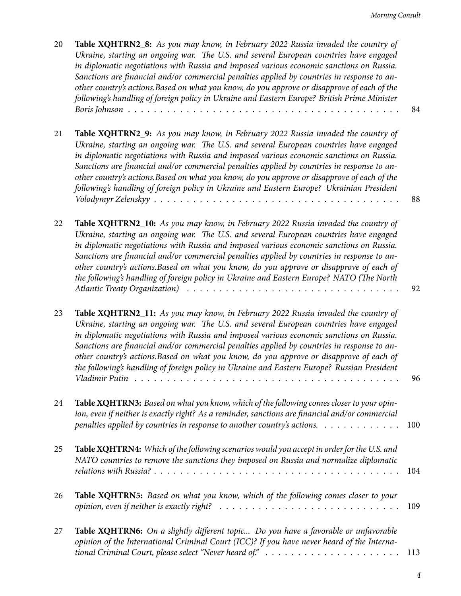| 20 | Table XQHTRN2_8: As you may know, in February 2022 Russia invaded the country of<br>Ukraine, starting an ongoing war. The U.S. and several European countries have engaged<br>in diplomatic negotiations with Russia and imposed various economic sanctions on Russia.<br>Sanctions are financial and/or commercial penalties applied by countries in response to an-<br>other country's actions. Based on what you know, do you approve or disapprove of each of the<br>following's handling of foreign policy in Ukraine and Eastern Europe? British Prime Minister               | 84       |
|----|-------------------------------------------------------------------------------------------------------------------------------------------------------------------------------------------------------------------------------------------------------------------------------------------------------------------------------------------------------------------------------------------------------------------------------------------------------------------------------------------------------------------------------------------------------------------------------------|----------|
| 21 | Table XQHTRN2_9: As you may know, in February 2022 Russia invaded the country of<br>Ukraine, starting an ongoing war. The U.S. and several European countries have engaged<br>in diplomatic negotiations with Russia and imposed various economic sanctions on Russia.<br>Sanctions are financial and/or commercial penalties applied by countries in response to an-<br>other country's actions. Based on what you know, do you approve or disapprove of each of the<br>following's handling of foreign policy in Ukraine and Eastern Europe? Ukrainian President                  | 88       |
| 22 | Table XQHTRN2_10: As you may know, in February 2022 Russia invaded the country of<br>Ukraine, starting an ongoing war. The U.S. and several European countries have engaged<br>in diplomatic negotiations with Russia and imposed various economic sanctions on Russia.<br>Sanctions are financial and/or commercial penalties applied by countries in response to an-<br>other country's actions. Based on what you know, do you approve or disapprove of each of<br>the following's handling of foreign policy in Ukraine and Eastern Europe? NATO (The North                     |          |
| 23 | Table XQHTRN2_11: As you may know, in February 2022 Russia invaded the country of<br>Ukraine, starting an ongoing war. The U.S. and several European countries have engaged<br>in diplomatic negotiations with Russia and imposed various economic sanctions on Russia.<br>Sanctions are financial and/or commercial penalties applied by countries in response to an-<br>other country's actions. Based on what you know, do you approve or disapprove of each of<br>the following's handling of foreign policy in Ukraine and Eastern Europe? Russian President<br>Vladimir Putin | 92<br>96 |
| 24 | Table XQHTRN3: Based on what you know, which of the following comes closer to your opin-<br>ion, even if neither is exactly right? As a reminder, sanctions are financial and/or commercial<br>penalties applied by countries in response to another country's actions.                                                                                                                                                                                                                                                                                                             | 100      |
| 25 | Table XQHTRN4: Which of the following scenarios would you accept in order for the U.S. and<br>NATO countries to remove the sanctions they imposed on Russia and normalize diplomatic                                                                                                                                                                                                                                                                                                                                                                                                | 104      |
| 26 | Table XQHTRN5: Based on what you know, which of the following comes closer to your<br>opinion, even if neither is exactly right? $\ldots \ldots \ldots \ldots \ldots \ldots \ldots \ldots \ldots \ldots$                                                                                                                                                                                                                                                                                                                                                                            | 109      |
| 27 | Table XQHTRN6: On a slightly different topic Do you have a favorable or unfavorable<br>opinion of the International Criminal Court (ICC)? If you have never heard of the Interna-<br>tional Criminal Court, please select "Never heard of." $\dots \dots \dots \dots \dots \dots \dots \dots$                                                                                                                                                                                                                                                                                       | 113      |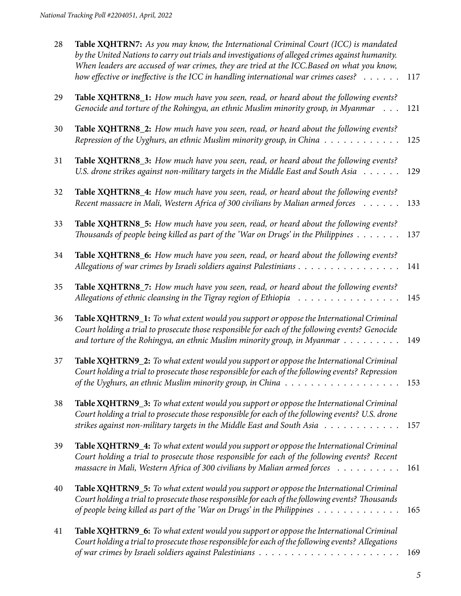| 28 | Table XQHTRN7: As you may know, the International Criminal Court (ICC) is mandated<br>by the United Nations to carry out trials and investigations of alleged crimes against humanity.<br>When leaders are accused of war crimes, they are tried at the ICC.Based on what you know,<br>how effective or ineffective is the ICC in handling international war crimes cases? $\dots \dots$ | 117 |
|----|------------------------------------------------------------------------------------------------------------------------------------------------------------------------------------------------------------------------------------------------------------------------------------------------------------------------------------------------------------------------------------------|-----|
| 29 | Table XQHTRN8_1: How much have you seen, read, or heard about the following events?<br>Genocide and torture of the Rohingya, an ethnic Muslim minority group, in Myanmar                                                                                                                                                                                                                 | 121 |
| 30 | Table XQHTRN8_2: How much have you seen, read, or heard about the following events?<br>Repression of the Uyghurs, an ethnic Muslim minority group, in China $\dots \dots \dots \dots$                                                                                                                                                                                                    | 125 |
| 31 | Table XQHTRN8_3: How much have you seen, read, or heard about the following events?<br>U.S. drone strikes against non-military targets in the Middle East and South Asia                                                                                                                                                                                                                 | 129 |
| 32 | Table XQHTRN8_4: How much have you seen, read, or heard about the following events?<br>Recent massacre in Mali, Western Africa of 300 civilians by Malian armed forces                                                                                                                                                                                                                   | 133 |
| 33 | Table XQHTRN8_5: How much have you seen, read, or heard about the following events?<br>Thousands of people being killed as part of the 'War on Drugs' in the Philippines $\dots \dots$                                                                                                                                                                                                   | 137 |
| 34 | Table XQHTRN8_6: How much have you seen, read, or heard about the following events?                                                                                                                                                                                                                                                                                                      | 141 |
| 35 | Table XQHTRN8_7: How much have you seen, read, or heard about the following events?<br>Allegations of ethnic cleansing in the Tigray region of Ethiopia                                                                                                                                                                                                                                  | 145 |
| 36 | Table XQHTRN9_1: To what extent would you support or oppose the International Criminal<br>Court holding a trial to prosecute those responsible for each of the following events? Genocide<br>and torture of the Rohingya, an ethnic Muslim minority group, in Myanmar $\dots \dots \dots$                                                                                                | 149 |
| 37 | Table XQHTRN9_2: To what extent would you support or oppose the International Criminal<br>Court holding a trial to prosecute those responsible for each of the following events? Repression<br>of the Uyghurs, an ethnic Muslim minority group, in China $\ldots \ldots \ldots \ldots \ldots \ldots$                                                                                     | 153 |
| 38 | Table XQHTRN9_3: To what extent would you support or oppose the International Criminal<br>Court holding a trial to prosecute those responsible for each of the following events? U.S. drone<br>strikes against non-military targets in the Middle East and South Asia                                                                                                                    | 157 |
| 39 | Table XQHTRN9_4: To what extent would you support or oppose the International Criminal<br>Court holding a trial to prosecute those responsible for each of the following events? Recent<br>massacre in Mali, Western Africa of 300 civilians by Malian armed forces                                                                                                                      | 161 |
| 40 | Table XQHTRN9_5: To what extent would you support or oppose the International Criminal<br>Court holding a trial to prosecute those responsible for each of the following events? Thousands<br>of people being killed as part of the 'War on Drugs' in the Philippines $\dots \dots \dots \dots$                                                                                          | 165 |
| 41 | Table XQHTRN9_6: To what extent would you support or oppose the International Criminal<br>Court holding a trial to prosecute those responsible for each of the following events? Allegations                                                                                                                                                                                             | 169 |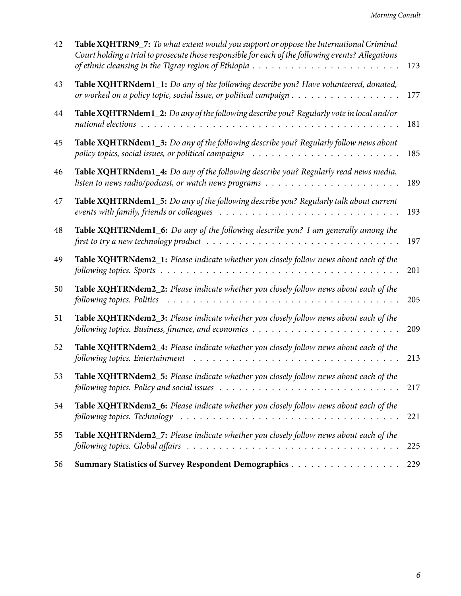| 42 | Table XQHTRN9_7: To what extent would you support or oppose the International Criminal<br>Court holding a trial to prosecute those responsible for each of the following events? Allegations                          | 173 |
|----|-----------------------------------------------------------------------------------------------------------------------------------------------------------------------------------------------------------------------|-----|
| 43 | Table XQHTRNdem1_1: Do any of the following describe you? Have volunteered, donated,                                                                                                                                  | 177 |
| 44 | Table XQHTRNdem1_2: Do any of the following describe you? Regularly vote in local and/or                                                                                                                              | 181 |
| 45 | Table XQHTRNdem1_3: Do any of the following describe you? Regularly follow news about<br>policy topics, social issues, or political campaigns (all contained all contained all contained all policy topics $p$        | 185 |
| 46 | Table XQHTRNdem1_4: Do any of the following describe you? Regularly read news media,<br>listen to news radio/podcast, or watch news programs $\dots \dots \dots \dots \dots \dots \dots \dots \dots$                  | 189 |
| 47 | Table XQHTRNdem1_5: Do any of the following describe you? Regularly talk about current<br>events with family, friends or colleagues $\ldots \ldots \ldots \ldots \ldots \ldots \ldots \ldots \ldots \ldots \ldots$    | 193 |
| 48 | Table XQHTRNdem1_6: Do any of the following describe you? I am generally among the<br>first to try a new technology product $\ldots \ldots \ldots \ldots \ldots \ldots \ldots \ldots \ldots \ldots \ldots$            | 197 |
| 49 | Table XQHTRNdem2_1: Please indicate whether you closely follow news about each of the                                                                                                                                 | 201 |
| 50 | Table XQHTRNdem2_2: Please indicate whether you closely follow news about each of the<br>following topics. Politics                                                                                                   | 205 |
| 51 | Table XQHTRNdem2_3: Please indicate whether you closely follow news about each of the                                                                                                                                 | 209 |
| 52 | Table XQHTRNdem2_4: Please indicate whether you closely follow news about each of the<br>following topics. Entertainment                                                                                              | 213 |
| 53 | Table XQHTRNdem2_5: Please indicate whether you closely follow news about each of the                                                                                                                                 | 217 |
| 54 | Table XQHTRNdem2_6: Please indicate whether you closely follow news about each of the<br>following topics. Technology $\ldots \ldots \ldots \ldots \ldots \ldots \ldots \ldots \ldots \ldots \ldots \ldots \ldots$    | 221 |
| 55 | Table XQHTRNdem2_7: Please indicate whether you closely follow news about each of the<br>following topics. Global affairs $\dots \dots \dots \dots \dots \dots \dots \dots \dots \dots \dots \dots \dots \dots \dots$ | 225 |
| 56 |                                                                                                                                                                                                                       | 229 |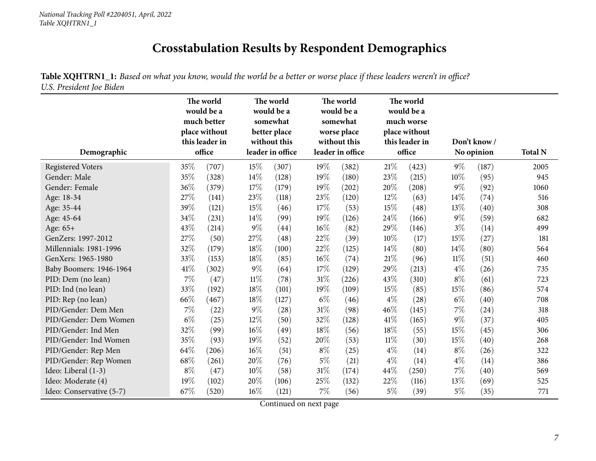## **Crosstabulation Results by Respondent Demographics**

Table XQHTRN1\_1: Based on what you know, would the world be a better or worse place if these leaders weren't in office? *U.S. President Joe Biden*

<span id="page-6-0"></span>

|                          | The world<br>would be a<br>much better<br>place without<br>this leader in |        | The world<br>would be a<br>somewhat<br>better place<br>without this |                  | The world<br>would be a<br>somewhat<br>worse place<br>without this |                  | The world<br>would be a<br>much worse<br>place without<br>this leader in |        |        | Don't know/ |                |
|--------------------------|---------------------------------------------------------------------------|--------|---------------------------------------------------------------------|------------------|--------------------------------------------------------------------|------------------|--------------------------------------------------------------------------|--------|--------|-------------|----------------|
| Demographic              |                                                                           | office |                                                                     | leader in office |                                                                    | leader in office |                                                                          | office |        | No opinion  | <b>Total N</b> |
| <b>Registered Voters</b> | 35%                                                                       | (707)  | 15%                                                                 | (307)            | 19%                                                                | (382)            | 21%                                                                      | (423)  | $9\%$  | (187)       | 2005           |
| Gender: Male             | 35%                                                                       | (328)  | 14\%                                                                | (128)            | 19%                                                                | (180)            | 23%                                                                      | (215)  | $10\%$ | (95)        | 945            |
| Gender: Female           | 36%                                                                       | (379)  | 17%                                                                 | (179)            | 19%                                                                | (202)            | 20%                                                                      | (208)  | $9\%$  | (92)        | 1060           |
| Age: 18-34               | 27%                                                                       | (141)  | 23%                                                                 | (118)            | 23%                                                                | (120)            | 12%                                                                      | (63)   | $14\%$ | (74)        | 516            |
| Age: 35-44               | 39%                                                                       | (121)  | 15%                                                                 | (46)             | 17%                                                                | (53)             | 15%                                                                      | (48)   | 13%    | (40)        | 308            |
| Age: 45-64               | 34%                                                                       | (231)  | 14%                                                                 | (99)             | 19%                                                                | (126)            | 24%                                                                      | (166)  | $9\%$  | (59)        | 682            |
| Age: 65+                 | 43%                                                                       | (214)  | $9\%$                                                               | (44)             | $16\%$                                                             | (82)             | 29%                                                                      | (146)  | $3\%$  | (14)        | 499            |
| GenZers: 1997-2012       | 27%                                                                       | (50)   | 27%                                                                 | (48)             | 22%                                                                | (39)             | 10%                                                                      | (17)   | 15%    | (27)        | 181            |
| Millennials: 1981-1996   | 32%                                                                       | (179)  | 18%                                                                 | (100)            | 22%                                                                | (125)            | 14\%                                                                     | (80)   | 14%    | (80)        | 564            |
| GenXers: 1965-1980       | 33%                                                                       | (153)  | 18%                                                                 | (85)             | $16\%$                                                             | (74)             | 21%                                                                      | (96)   | $11\%$ | (51)        | 460            |
| Baby Boomers: 1946-1964  | 41\%                                                                      | (302)  | $9\%$                                                               | (64)             | 17%                                                                | (129)            | 29%                                                                      | (213)  | $4\%$  | (26)        | 735            |
| PID: Dem (no lean)       | $7\%$                                                                     | (47)   | $11\%$                                                              | (78)             | $31\%$                                                             | (226)            | 43%                                                                      | (310)  | $8\%$  | (61)        | 723            |
| PID: Ind (no lean)       | 33%                                                                       | (192)  | $18\%$                                                              | (101)            | 19%                                                                | (109)            | 15%                                                                      | (85)   | 15%    | (86)        | 574            |
| PID: Rep (no lean)       | 66\%                                                                      | (467)  | 18%                                                                 | (127)            | $6\%$                                                              | (46)             | $4\%$                                                                    | (28)   | $6\%$  | (40)        | 708            |
| PID/Gender: Dem Men      | 7%                                                                        | (22)   | $9\%$                                                               | (28)             | 31%                                                                | (98)             | 46%                                                                      | (145)  | 7%     | (24)        | 318            |
| PID/Gender: Dem Women    | $6\%$                                                                     | (25)   | 12%                                                                 | (50)             | 32%                                                                | (128)            | 41%                                                                      | (165)  | $9\%$  | (37)        | 405            |
| PID/Gender: Ind Men      | 32%                                                                       | (99)   | 16%                                                                 | (49)             | 18%                                                                | (56)             | 18%                                                                      | (55)   | 15%    | (45)        | 306            |
| PID/Gender: Ind Women    | 35%                                                                       | (93)   | 19%                                                                 | (52)             | 20%                                                                | (53)             | 11%                                                                      | (30)   | 15%    | (40)        | 268            |
| PID/Gender: Rep Men      | 64%                                                                       | (206)  | 16%                                                                 | (51)             | $8\%$                                                              | (25)             | $4\%$                                                                    | (14)   | $8\%$  | (26)        | 322            |
| PID/Gender: Rep Women    | 68%                                                                       | (261)  | 20%                                                                 | (76)             | $5\%$                                                              | (21)             | $4\%$                                                                    | (14)   | $4\%$  | (14)        | 386            |
| Ideo: Liberal (1-3)      | $8\%$                                                                     | (47)   | 10%                                                                 | (58)             | $31\%$                                                             | (174)            | 44%                                                                      | (250)  | 7%     | (40)        | 569            |
| Ideo: Moderate (4)       | 19%                                                                       | (102)  | 20%                                                                 | (106)            | 25%                                                                | (132)            | 22\%                                                                     | (116)  | 13%    | (69)        | 525            |
| Ideo: Conservative (5-7) | 67%                                                                       | (520)  | 16%                                                                 | (121)            | 7%                                                                 | (56)             | 5%                                                                       | (39)   | $5\%$  | (35)        | 771            |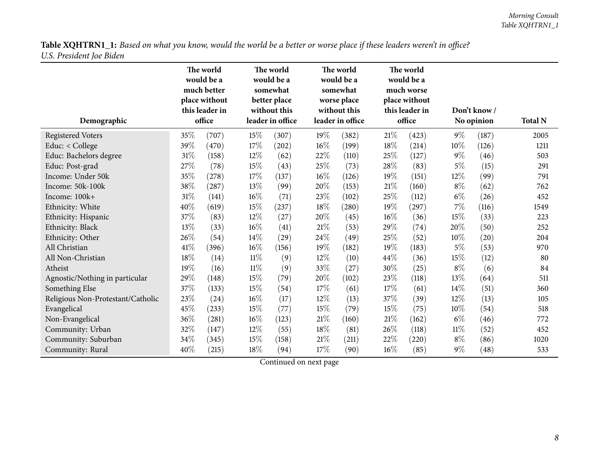|                          | Table XQHTRN1_1: Based on what you know, would the world be a better or worse place if these leaders weren't in office? |
|--------------------------|-------------------------------------------------------------------------------------------------------------------------|
| U.S. President Joe Biden |                                                                                                                         |

| Demographic                       |        | The world<br>would be a<br>much better<br>place without<br>this leader in<br>office |        | The world<br>would be a<br>somewhat<br>better place<br>without this<br>leader in office |        | The world<br>would be a<br>somewhat<br>worse place<br>without this<br>leader in office |        | The world<br>would be a<br>much worse<br>place without<br>this leader in<br>office |        | Don't know /<br>No opinion | <b>Total N</b> |
|-----------------------------------|--------|-------------------------------------------------------------------------------------|--------|-----------------------------------------------------------------------------------------|--------|----------------------------------------------------------------------------------------|--------|------------------------------------------------------------------------------------|--------|----------------------------|----------------|
| <b>Registered Voters</b>          | 35%    | (707)                                                                               | 15%    | (307)                                                                                   | 19%    | (382)                                                                                  | $21\%$ | (423)                                                                              | $9\%$  | (187)                      | 2005           |
| Educ: < College                   | 39%    | (470)                                                                               | 17%    | (202)                                                                                   | $16\%$ | (199)                                                                                  | 18%    | (214)                                                                              | $10\%$ | (126)                      | 1211           |
| Educ: Bachelors degree            | $31\%$ | (158)                                                                               | 12%    | (62)                                                                                    | 22%    | (110)                                                                                  | 25\%   | (127)                                                                              | $9\%$  | (46)                       | 503            |
| Educ: Post-grad                   | $27\%$ | (78)                                                                                | 15%    | (43)                                                                                    | 25%    | (73)                                                                                   | 28\%   | (83)                                                                               | $5\%$  | (15)                       | 291            |
| Income: Under 50k                 | $35\%$ | (278)                                                                               | 17%    | (137)                                                                                   | 16%    | (126)                                                                                  | 19%    | (151)                                                                              | $12\%$ | (99)                       | 791            |
| Income: 50k-100k                  | 38%    | (287)                                                                               | 13%    | (99)                                                                                    | 20%    | (153)                                                                                  | 21%    | (160)                                                                              | $8\%$  | (62)                       | 762            |
| Income: 100k+                     | $31\%$ | (141)                                                                               | 16%    | (71)                                                                                    | 23%    | (102)                                                                                  | 25\%   | (112)                                                                              | $6\%$  | (26)                       | 452            |
| Ethnicity: White                  | 40%    | (619)                                                                               | 15%    | (237)                                                                                   | 18%    | (280)                                                                                  | 19%    | (297)                                                                              | 7%     | (116)                      | 1549           |
| Ethnicity: Hispanic               | $37\%$ | (83)                                                                                | $12\%$ | (27)                                                                                    | 20%    | (45)                                                                                   | $16\%$ | (36)                                                                               | 15%    | (33)                       | 223            |
| Ethnicity: Black                  | 13%    | (33)                                                                                | 16%    | (41)                                                                                    | $21\%$ | (53)                                                                                   | 29%    | (74)                                                                               | 20%    | (50)                       | 252            |
| Ethnicity: Other                  | 26%    | (54)                                                                                | 14\%   | (29)                                                                                    | 24\%   | (49)                                                                                   | 25%    | (52)                                                                               | $10\%$ | (20)                       | 204            |
| All Christian                     | 41\%   | (396)                                                                               | 16%    | (156)                                                                                   | 19%    | (182)                                                                                  | 19%    | (183)                                                                              | $5\%$  | (53)                       | 970            |
| All Non-Christian                 | $18\%$ | (14)                                                                                | $11\%$ | (9)                                                                                     | $12\%$ | (10)                                                                                   | 44\%   | (36)                                                                               | 15%    | (12)                       | 80             |
| Atheist                           | 19%    | (16)                                                                                | $11\%$ | (9)                                                                                     | 33%    | (27)                                                                                   | 30%    | (25)                                                                               | $8\%$  | (6)                        | 84             |
| Agnostic/Nothing in particular    | 29%    | (148)                                                                               | 15%    | (79)                                                                                    | 20%    | (102)                                                                                  | 23\%   | (118)                                                                              | 13%    | (64)                       | 511            |
| Something Else                    | $37\%$ | (133)                                                                               | 15%    | (54)                                                                                    | 17%    | (61)                                                                                   | 17%    | (61)                                                                               | 14\%   | (51)                       | 360            |
| Religious Non-Protestant/Catholic | 23%    | (24)                                                                                | 16%    | (17)                                                                                    | 12%    | (13)                                                                                   | 37%    | (39)                                                                               | 12%    | (13)                       | 105            |
| Evangelical                       | 45%    | (233)                                                                               | 15%    | (77)                                                                                    | 15%    | (79)                                                                                   | 15%    | (75)                                                                               | 10%    | (54)                       | 518            |
| Non-Evangelical                   | 36%    | (281)                                                                               | 16%    | (123)                                                                                   | $21\%$ | (160)                                                                                  | $21\%$ | (162)                                                                              | $6\%$  | (46)                       | 772            |
| Community: Urban                  | 32%    | (147)                                                                               | 12%    | (55)                                                                                    | 18%    | (81)                                                                                   | 26%    | (118)                                                                              | $11\%$ | (52)                       | 452            |
| Community: Suburban               | 34\%   | (345)                                                                               | 15%    | (158)                                                                                   | $21\%$ | (211)                                                                                  | 22\%   | (220)                                                                              | $8\%$  | (86)                       | 1020           |
| Community: Rural                  | 40%    | (215)                                                                               | $18\%$ | (94)                                                                                    | $17\%$ | (90)                                                                                   | $16\%$ | (85)                                                                               | $9\%$  | (48)                       | 533            |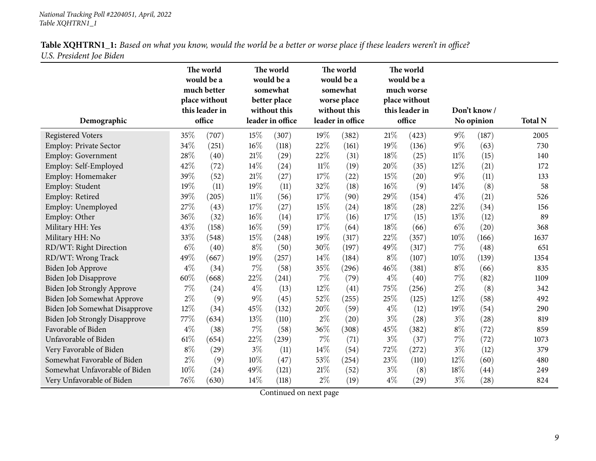| <b>Table XQHTRN1_1:</b> Based on what you know, would the world be a better or worse place if these leaders weren't in office? |  |
|--------------------------------------------------------------------------------------------------------------------------------|--|
| U.S. President Joe Biden                                                                                                       |  |

|                                      | The world<br>would be a<br>much better<br>place without<br>this leader in |       |        | The world<br>would be a<br>somewhat<br>better place<br>without this |        | The world<br>would be a<br>somewhat<br>worse place<br>without this |        | The world<br>would be a<br>much worse<br>place without<br>this leader in |        | Don't know / |                |
|--------------------------------------|---------------------------------------------------------------------------|-------|--------|---------------------------------------------------------------------|--------|--------------------------------------------------------------------|--------|--------------------------------------------------------------------------|--------|--------------|----------------|
| Demographic                          | office                                                                    |       |        | leader in office                                                    |        | leader in office                                                   |        | office                                                                   |        | No opinion   | <b>Total N</b> |
| <b>Registered Voters</b>             | 35%                                                                       | (707) | 15%    | (307)                                                               | 19%    | (382)                                                              | $21\%$ | (423)                                                                    | $9\%$  | (187)        | 2005           |
| Employ: Private Sector               | 34%                                                                       | (251) | 16%    | (118)                                                               | 22%    | (161)                                                              | 19%    | (136)                                                                    | $9\%$  | (63)         | 730            |
| Employ: Government                   | 28%                                                                       | (40)  | 21%    | (29)                                                                | 22%    | (31)                                                               | 18%    | (25)                                                                     | $11\%$ | (15)         | 140            |
| Employ: Self-Employed                | 42%                                                                       | (72)  | 14%    | (24)                                                                | $11\%$ | (19)                                                               | 20%    | (35)                                                                     | 12%    | (21)         | 172            |
| Employ: Homemaker                    | 39%                                                                       | (52)  | 21%    | (27)                                                                | 17%    | (22)                                                               | 15%    | (20)                                                                     | $9\%$  | (11)         | 133            |
| Employ: Student                      | 19%                                                                       | (11)  | 19%    | (11)                                                                | 32%    | (18)                                                               | $16\%$ | (9)                                                                      | 14%    | (8)          | 58             |
| Employ: Retired                      | 39%                                                                       | (205) | $11\%$ | (56)                                                                | 17%    | (90)                                                               | 29%    | (154)                                                                    | $4\%$  | (21)         | 526            |
| Employ: Unemployed                   | 27%                                                                       | (43)  | 17%    | (27)                                                                | 15%    | (24)                                                               | 18%    | (28)                                                                     | 22%    | (34)         | 156            |
| Employ: Other                        | 36%                                                                       | (32)  | 16%    | (14)                                                                | 17%    | (16)                                                               | 17%    | (15)                                                                     | 13%    | (12)         | 89             |
| Military HH: Yes                     | 43%                                                                       | (158) | 16%    | (59)                                                                | 17%    | (64)                                                               | $18\%$ | (66)                                                                     | $6\%$  | (20)         | 368            |
| Military HH: No                      | 33%                                                                       | (548) | 15%    | (248)                                                               | 19%    | (317)                                                              | 22%    | (357)                                                                    | 10%    | (166)        | 1637           |
| RD/WT: Right Direction               | $6\%$                                                                     | (40)  | $8\%$  | (50)                                                                | 30%    | (197)                                                              | 49%    | (317)                                                                    | $7\%$  | (48)         | 651            |
| RD/WT: Wrong Track                   | 49%                                                                       | (667) | 19%    | (257)                                                               | $14\%$ | (184)                                                              | $8\%$  | (107)                                                                    | $10\%$ | (139)        | 1354           |
| Biden Job Approve                    | $4\%$                                                                     | (34)  | $7\%$  | (58)                                                                | 35%    | (296)                                                              | 46%    | (381)                                                                    | $8\%$  | (66)         | 835            |
| Biden Job Disapprove                 | 60%                                                                       | (668) | 22%    | (241)                                                               | $7\%$  | (79)                                                               | $4\%$  | (40)                                                                     | $7\%$  | (82)         | 1109           |
| <b>Biden Job Strongly Approve</b>    | 7%                                                                        | (24)  | $4\%$  | (13)                                                                | 12%    | (41)                                                               | 75%    | (256)                                                                    | $2\%$  | (8)          | 342            |
| Biden Job Somewhat Approve           | $2\%$                                                                     | (9)   | $9\%$  | (45)                                                                | 52%    | (255)                                                              | 25%    | (125)                                                                    | 12%    | (58)         | 492            |
| Biden Job Somewhat Disapprove        | 12%                                                                       | (34)  | 45%    | (132)                                                               | 20%    | (59)                                                               | $4\%$  | (12)                                                                     | 19%    | (54)         | 290            |
| <b>Biden Job Strongly Disapprove</b> | 77\%                                                                      | (634) | 13%    | (110)                                                               | $2\%$  | (20)                                                               | $3\%$  | (28)                                                                     | $3\%$  | (28)         | 819            |
| Favorable of Biden                   | $4\%$                                                                     | (38)  | $7\%$  | (58)                                                                | 36%    | (308)                                                              | 45%    | (382)                                                                    | $8\%$  | (72)         | 859            |
| Unfavorable of Biden                 | 61\%                                                                      | (654) | 22%    | (239)                                                               | $7\%$  | (71)                                                               | $3\%$  | (37)                                                                     | $7\%$  | (72)         | 1073           |
| Very Favorable of Biden              | $8\%$                                                                     | (29)  | $3\%$  | (11)                                                                | 14%    | (54)                                                               | 72%    | (272)                                                                    | $3\%$  | (12)         | 379            |
| Somewhat Favorable of Biden          | $2\%$                                                                     | (9)   | 10%    | (47)                                                                | 53%    | (254)                                                              | 23%    | (110)                                                                    | 12%    | (60)         | 480            |
| Somewhat Unfavorable of Biden        | 10%                                                                       | (24)  | 49%    | (121)                                                               | $21\%$ | (52)                                                               | $3\%$  | (8)                                                                      | $18\%$ | (44)         | 249            |
| Very Unfavorable of Biden            | 76%                                                                       | (630) | 14%    | (118)                                                               | $2\%$  | (19)                                                               | $4\%$  | (29)                                                                     | $3\%$  | (28)         | 824            |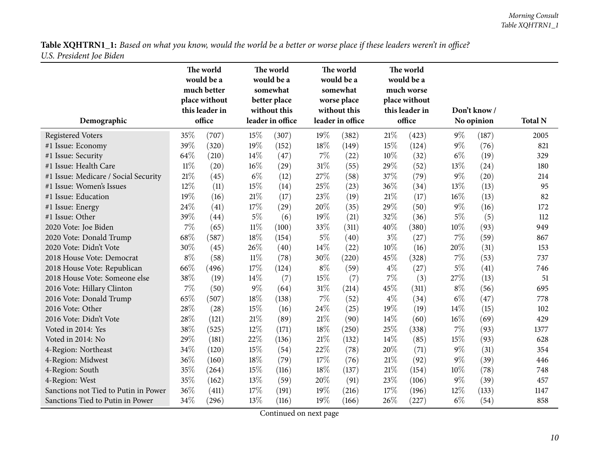| Table XQHTRN1_1: Based on what you know, would the world be a better or worse place if these leaders weren't in office? |  |
|-------------------------------------------------------------------------------------------------------------------------|--|
| U.S. President Joe Biden                                                                                                |  |

| Demographic                          | The world<br>would be a<br>much better<br>place without<br>this leader in<br>office |       | The world<br>would be a<br>somewhat<br>better place<br>without this<br>leader in office |       | The world<br>would be a<br>somewhat<br>worse place<br>without this<br>leader in office |       | The world<br>would be a<br>much worse<br>place without<br>this leader in<br>office |       | Don't know /<br>No opinion |       | <b>Total N</b> |
|--------------------------------------|-------------------------------------------------------------------------------------|-------|-----------------------------------------------------------------------------------------|-------|----------------------------------------------------------------------------------------|-------|------------------------------------------------------------------------------------|-------|----------------------------|-------|----------------|
| <b>Registered Voters</b>             | 35%                                                                                 | (707) | 15%                                                                                     | (307) | 19%                                                                                    | (382) | $21\%$                                                                             | (423) | $9\%$                      | (187) | 2005           |
| #1 Issue: Economy                    | 39%                                                                                 | (320) | 19%                                                                                     | (152) | 18%                                                                                    | (149) | 15%                                                                                | (124) | $9\%$                      | (76)  | 821            |
| #1 Issue: Security                   | 64%                                                                                 | (210) | 14%                                                                                     | (47)  | $7\%$                                                                                  | (22)  | 10%                                                                                | (32)  | $6\%$                      | (19)  | 329            |
| #1 Issue: Health Care                | $11\%$                                                                              | (20)  | 16%                                                                                     | (29)  | 31%                                                                                    | (55)  | 29%                                                                                | (52)  | 13%                        | (24)  | 180            |
| #1 Issue: Medicare / Social Security | 21%                                                                                 | (45)  | $6\%$                                                                                   | (12)  | 27%                                                                                    | (58)  | 37%                                                                                | (79)  | $9\%$                      | (20)  | 214            |
| #1 Issue: Women's Issues             | 12%                                                                                 | (11)  | 15%                                                                                     | (14)  | 25%                                                                                    | (23)  | 36%                                                                                | (34)  | 13%                        | (13)  | 95             |
| #1 Issue: Education                  | 19%                                                                                 | (16)  | 21\%                                                                                    | (17)  | 23%                                                                                    | (19)  | 21%                                                                                | (17)  | 16%                        | (13)  | 82             |
| #1 Issue: Energy                     | 24%                                                                                 | (41)  | 17%                                                                                     | (29)  | 20%                                                                                    | (35)  | 29%                                                                                | (50)  | $9\%$                      | (16)  | 172            |
| #1 Issue: Other                      | 39%                                                                                 | (44)  | $5\%$                                                                                   | (6)   | 19%                                                                                    | (21)  | 32%                                                                                | (36)  | $5\%$                      | (5)   | 112            |
| 2020 Vote: Joe Biden                 | 7%                                                                                  | (65)  | $11\%$                                                                                  | (100) | 33%                                                                                    | (311) | 40%                                                                                | (380) | 10%                        | (93)  | 949            |
| 2020 Vote: Donald Trump              | 68%                                                                                 | (587) | 18%                                                                                     | (154) | $5\%$                                                                                  | (40)  | $3\%$                                                                              | (27)  | 7%                         | (59)  | 867            |
| 2020 Vote: Didn't Vote               | 30%                                                                                 | (45)  | 26%                                                                                     | (40)  | 14%                                                                                    | (22)  | 10%                                                                                | (16)  | $20\%$                     | (31)  | 153            |
| 2018 House Vote: Democrat            | $8\%$                                                                               | (58)  | $11\%$                                                                                  | (78)  | 30%                                                                                    | (220) | 45%                                                                                | (328) | 7%                         | (53)  | 737            |
| 2018 House Vote: Republican          | 66%                                                                                 | (496) | 17%                                                                                     | (124) | $8\%$                                                                                  | (59)  | $4\%$                                                                              | (27)  | $5\%$                      | (41)  | 746            |
| 2018 House Vote: Someone else        | 38%                                                                                 | (19)  | 14%                                                                                     | (7)   | 15%                                                                                    | (7)   | 7%                                                                                 | (3)   | 27%                        | (13)  | 51             |
| 2016 Vote: Hillary Clinton           | 7%                                                                                  | (50)  | $9\%$                                                                                   | (64)  | $31\%$                                                                                 | (214) | 45%                                                                                | (311) | $8\%$                      | (56)  | 695            |
| 2016 Vote: Donald Trump              | 65%                                                                                 | (507) | 18%                                                                                     | (138) | 7%                                                                                     | (52)  | $4\%$                                                                              | (34)  | $6\%$                      | (47)  | 778            |
| 2016 Vote: Other                     | 28%                                                                                 | (28)  | 15%                                                                                     | (16)  | 24%                                                                                    | (25)  | 19%                                                                                | (19)  | 14%                        | (15)  | 102            |
| 2016 Vote: Didn't Vote               | 28%                                                                                 | (121) | 21%                                                                                     | (89)  | $21\%$                                                                                 | (90)  | 14\%                                                                               | (60)  | 16%                        | (69)  | 429            |
| Voted in 2014: Yes                   | 38%                                                                                 | (525) | 12%                                                                                     | (171) | 18%                                                                                    | (250) | 25%                                                                                | (338) | 7%                         | (93)  | 1377           |
| Voted in 2014: No                    | 29%                                                                                 | (181) | 22%                                                                                     | (136) | $21\%$                                                                                 | (132) | 14%                                                                                | (85)  | 15%                        | (93)  | 628            |
| 4-Region: Northeast                  | 34%                                                                                 | (120) | 15%                                                                                     | (54)  | 22%                                                                                    | (78)  | 20%                                                                                | (71)  | $9\%$                      | (31)  | 354            |
| 4-Region: Midwest                    | 36%                                                                                 | (160) | 18%                                                                                     | (79)  | 17%                                                                                    | (76)  | $21\%$                                                                             | (92)  | $9\%$                      | (39)  | 446            |
| 4-Region: South                      | 35%                                                                                 | (264) | 15%                                                                                     | (116) | $18\%$                                                                                 | (137) | $21\%$                                                                             | (154) | 10%                        | (78)  | 748            |
| 4-Region: West                       | 35%                                                                                 | (162) | 13%                                                                                     | (59)  | 20%                                                                                    | (91)  | 23%                                                                                | (106) | $9\%$                      | (39)  | 457            |
| Sanctions not Tied to Putin in Power | 36%                                                                                 | (411) | 17%                                                                                     | (191) | 19%                                                                                    | (216) | 17%                                                                                | (196) | 12%                        | (133) | 1147           |
| Sanctions Tied to Putin in Power     | 34%                                                                                 | (296) | 13%                                                                                     | (116) | 19%                                                                                    | (166) | 26%                                                                                | (227) | $6\%$                      | (54)  | 858            |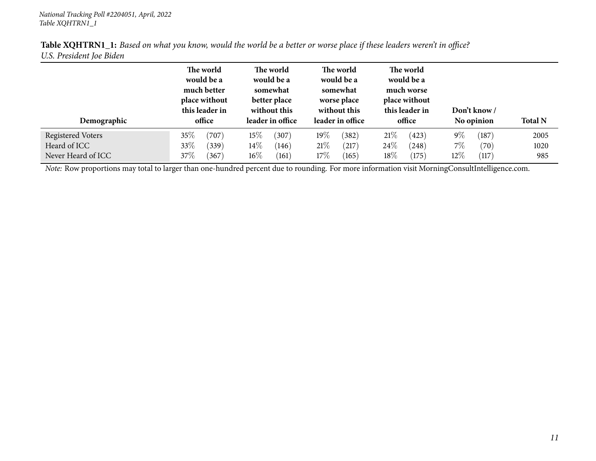| Table XQHTRN1_1: Based on what you know, would the world be a better or worse place if these leaders weren't in office? |  |
|-------------------------------------------------------------------------------------------------------------------------|--|
| U.S. President Joe Biden                                                                                                |  |

| Demographic                                                    | The world<br>would be a<br>much better<br>place without<br>this leader in<br>office | The world<br>would be a<br>somewhat<br>better place<br>without this<br>leader in office | The world<br>would be a<br>somewhat<br>worse place<br>without this<br>leader in office | The world<br>would be a<br>much worse<br>place without<br>this leader in<br>office | Don't know /<br>No opinion                         | <b>Total N</b>      |
|----------------------------------------------------------------|-------------------------------------------------------------------------------------|-----------------------------------------------------------------------------------------|----------------------------------------------------------------------------------------|------------------------------------------------------------------------------------|----------------------------------------------------|---------------------|
| <b>Registered Voters</b><br>Heard of ICC<br>Never Heard of ICC | 35%<br>(707)<br>33%<br>(339)<br>37%<br>(367)                                        | 15%<br>(307)<br>$14\%$<br>(146)<br>$16\%$<br>(161)                                      | $19\%$<br>(382)<br>21%<br>(217)<br>$17\%$<br>(165)                                     | 21%<br>(423)<br>24\%<br>(248)<br>$18\%$<br>(175)                                   | $9\%$<br>(187)<br>$7\%$<br>(70)<br>$12\%$<br>(117) | 2005<br>1020<br>985 |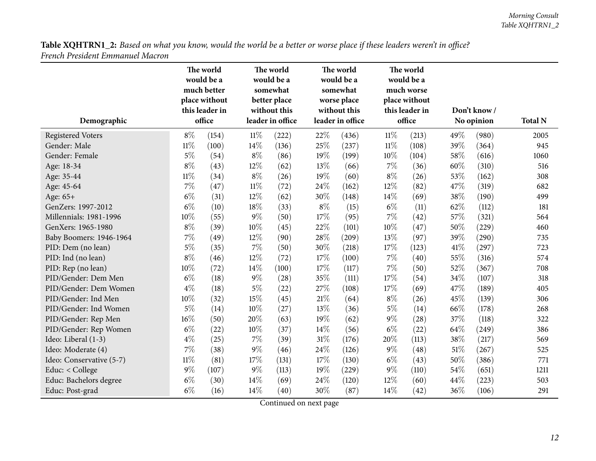| Table XQHTRN1_2: Based on what you know, would the world be a better or worse place if these leaders weren't in office? |  |
|-------------------------------------------------------------------------------------------------------------------------|--|
| French President Emmanuel Macron                                                                                        |  |

<span id="page-11-0"></span>

|                          | The world<br>would be a<br>much better<br>place without<br>this leader in |        |        | The world<br>would be a<br>somewhat<br>better place<br>without this |                  | The world<br>would be a<br>somewhat<br>worse place<br>without this |        | The world<br>would be a<br>much worse<br>place without<br>this leader in |            | Don't know / |                |
|--------------------------|---------------------------------------------------------------------------|--------|--------|---------------------------------------------------------------------|------------------|--------------------------------------------------------------------|--------|--------------------------------------------------------------------------|------------|--------------|----------------|
| Demographic              |                                                                           | office |        | leader in office                                                    | leader in office |                                                                    | office |                                                                          | No opinion |              | <b>Total N</b> |
| <b>Registered Voters</b> | $8\%$                                                                     | (154)  | $11\%$ | (222)                                                               | 22%              | (436)                                                              | $11\%$ | (213)                                                                    | 49%        | (980)        | 2005           |
| Gender: Male             | $11\%$                                                                    | (100)  | 14%    | (136)                                                               | 25%              | (237)                                                              | $11\%$ | (108)                                                                    | 39%        | (364)        | 945            |
| Gender: Female           | $5\%$                                                                     | (54)   | $8\%$  | (86)                                                                | 19%              | (199)                                                              | 10%    | (104)                                                                    | 58%        | (616)        | 1060           |
| Age: 18-34               | $8\%$                                                                     | (43)   | $12\%$ | (62)                                                                | 13%              | (66)                                                               | $7\%$  | (36)                                                                     | 60%        | (310)        | 516            |
| Age: 35-44               | $11\%$                                                                    | (34)   | $8\%$  | (26)                                                                | 19%              | (60)                                                               | $8\%$  | (26)                                                                     | 53%        | (162)        | 308            |
| Age: 45-64               | 7%                                                                        | (47)   | $11\%$ | (72)                                                                | 24%              | (162)                                                              | 12%    | (82)                                                                     | 47%        | (319)        | 682            |
| Age: 65+                 | $6\%$                                                                     | (31)   | 12%    | (62)                                                                | $30\%$           | (148)                                                              | $14\%$ | (69)                                                                     | 38%        | (190)        | 499            |
| GenZers: 1997-2012       | $6\%$                                                                     | (10)   | 18%    | (33)                                                                | $8\%$            | (15)                                                               | $6\%$  | (11)                                                                     | 62%        | (112)        | 181            |
| Millennials: 1981-1996   | 10%                                                                       | (55)   | $9\%$  | (50)                                                                | 17%              | (95)                                                               | 7%     | (42)                                                                     | 57%        | (321)        | 564            |
| GenXers: 1965-1980       | $8\%$                                                                     | (39)   | 10%    | (45)                                                                | 22%              | (101)                                                              | 10%    | (47)                                                                     | 50%        | (229)        | 460            |
| Baby Boomers: 1946-1964  | $7\%$                                                                     | (49)   | 12%    | (90)                                                                | 28%              | (209)                                                              | 13%    | (97)                                                                     | 39%        | (290)        | 735            |
| PID: Dem (no lean)       | $5\%$                                                                     | (35)   | $7\%$  | (50)                                                                | 30%              | (218)                                                              | $17\%$ | (123)                                                                    | $41\%$     | (297)        | 723            |
| PID: Ind (no lean)       | $8\%$                                                                     | (46)   | 12%    | (72)                                                                | 17%              | (100)                                                              | 7%     | (40)                                                                     | 55%        | (316)        | 574            |
| PID: Rep (no lean)       | 10%                                                                       | (72)   | 14%    | (100)                                                               | 17%              | (117)                                                              | $7\%$  | (50)                                                                     | 52%        | (367)        | 708            |
| PID/Gender: Dem Men      | $6\%$                                                                     | (18)   | $9\%$  | (28)                                                                | 35%              | (111)                                                              | 17%    | (54)                                                                     | 34%        | (107)        | 318            |
| PID/Gender: Dem Women    | $4\%$                                                                     | (18)   | $5\%$  | (22)                                                                | 27%              | (108)                                                              | 17%    | (69)                                                                     | 47%        | (189)        | 405            |
| PID/Gender: Ind Men      | 10%                                                                       | (32)   | 15%    | (45)                                                                | 21%              | (64)                                                               | $8\%$  | (26)                                                                     | 45%        | (139)        | 306            |
| PID/Gender: Ind Women    | $5\%$                                                                     | (14)   | 10%    | (27)                                                                | 13%              | (36)                                                               | $5\%$  | (14)                                                                     | 66%        | (178)        | 268            |
| PID/Gender: Rep Men      | 16%                                                                       | (50)   | 20%    | (63)                                                                | 19%              | (62)                                                               | $9\%$  | (28)                                                                     | 37%        | (118)        | 322            |
| PID/Gender: Rep Women    | $6\%$                                                                     | (22)   | 10%    | (37)                                                                | 14%              | (56)                                                               | $6\%$  | (22)                                                                     | 64%        | (249)        | 386            |
| Ideo: Liberal (1-3)      | $4\%$                                                                     | (25)   | $7\%$  | (39)                                                                | 31%              | (176)                                                              | 20%    | (113)                                                                    | 38%        | (217)        | 569            |
| Ideo: Moderate (4)       | $7\%$                                                                     | (38)   | $9\%$  | (46)                                                                | 24\%             | (126)                                                              | $9\%$  | (48)                                                                     | $51\%$     | (267)        | 525            |
| Ideo: Conservative (5-7) | $11\%$                                                                    | (81)   | 17%    | (131)                                                               | 17%              | (130)                                                              | $6\%$  | (43)                                                                     | 50%        | (386)        | 771            |
| Educ: < College          | $9\%$                                                                     | (107)  | $9\%$  | (113)                                                               | 19%              | (229)                                                              | $9\%$  | (110)                                                                    | 54%        | (651)        | 1211           |
| Educ: Bachelors degree   | $6\%$                                                                     | (30)   | $14\%$ | (69)                                                                | 24\%             | (120)                                                              | 12%    | (60)                                                                     | 44%        | (223)        | 503            |
| Educ: Post-grad          | $6\%$                                                                     | (16)   | 14%    | (40)                                                                | 30%              | (87)                                                               | 14\%   | (42)                                                                     | 36%        | (106)        | 291            |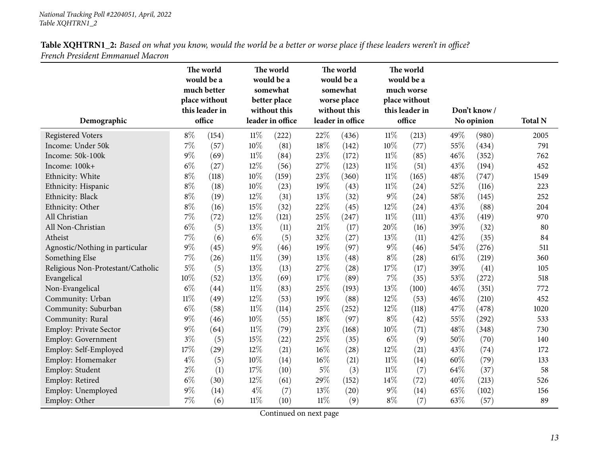|                                   | The world<br>would be a<br>much better<br>place without |                          |        | The world<br>would be a<br>somewhat<br>better place<br>without this<br>leader in office |       | The world<br>would be a<br>somewhat<br>worse place<br>without this<br>leader in office |        | The world<br>would be a<br>much worse<br>place without<br>this leader in<br>office |      |                           |                |
|-----------------------------------|---------------------------------------------------------|--------------------------|--------|-----------------------------------------------------------------------------------------|-------|----------------------------------------------------------------------------------------|--------|------------------------------------------------------------------------------------|------|---------------------------|----------------|
| Demographic                       |                                                         | this leader in<br>office |        |                                                                                         |       |                                                                                        |        |                                                                                    |      | Don't know/<br>No opinion | <b>Total N</b> |
| <b>Registered Voters</b>          | $8\%$                                                   | (154)                    | $11\%$ | (222)                                                                                   | 22%   | (436)                                                                                  | $11\%$ | (213)                                                                              | 49%  | (980)                     | 2005           |
| Income: Under 50k                 | 7%                                                      | (57)                     | 10%    | (81)                                                                                    | 18%   | (142)                                                                                  | 10%    | (77)                                                                               | 55%  | (434)                     | 791            |
| Income: 50k-100k                  | $9\%$                                                   | (69)                     | 11%    | (84)                                                                                    | 23%   | (172)                                                                                  | $11\%$ | (85)                                                                               | 46%  | (352)                     | 762            |
| Income: 100k+                     | $6\%$                                                   | (27)                     | 12%    | (56)                                                                                    | 27%   | (123)                                                                                  | $11\%$ | (51)                                                                               | 43%  | (194)                     | 452            |
| Ethnicity: White                  | $8\%$                                                   | (118)                    | $10\%$ | (159)                                                                                   | 23%   | (360)                                                                                  | $11\%$ | (165)                                                                              | 48%  | (747)                     | 1549           |
| Ethnicity: Hispanic               | $8\%$                                                   | (18)                     | 10%    | (23)                                                                                    | 19%   | (43)                                                                                   | $11\%$ | (24)                                                                               | 52%  | (116)                     | 223            |
| Ethnicity: Black                  | $8\%$                                                   | (19)                     | 12%    | (31)                                                                                    | 13%   | (32)                                                                                   | $9\%$  | (24)                                                                               | 58%  | (145)                     | 252            |
| Ethnicity: Other                  | $8\%$                                                   | (16)                     | 15%    | (32)                                                                                    | 22%   | (45)                                                                                   | 12%    | (24)                                                                               | 43%  | (88)                      | 204            |
| All Christian                     | 7%                                                      | (72)                     | 12%    | (121)                                                                                   | 25%   | (247)                                                                                  | $11\%$ | (111)                                                                              | 43%  | (419)                     | 970            |
| All Non-Christian                 | $6\%$                                                   | (5)                      | 13%    | (11)                                                                                    | 21%   | (17)                                                                                   | 20%    | (16)                                                                               | 39%  | (32)                      | 80             |
| Atheist                           | $7\%$                                                   | (6)                      | $6\%$  | (5)                                                                                     | 32%   | (27)                                                                                   | 13%    | (11)                                                                               | 42%  | (35)                      | 84             |
| Agnostic/Nothing in particular    | 9%                                                      | (45)                     | $9\%$  | (46)                                                                                    | 19%   | (97)                                                                                   | $9\%$  | (46)                                                                               | 54\% | (276)                     | 511            |
| Something Else                    | 7%                                                      | (26)                     | $11\%$ | (39)                                                                                    | 13%   | (48)                                                                                   | $8\%$  | (28)                                                                               | 61\% | (219)                     | 360            |
| Religious Non-Protestant/Catholic | $5\%$                                                   | (5)                      | 13%    | (13)                                                                                    | 27%   | (28)                                                                                   | 17%    | (17)                                                                               | 39%  | (41)                      | 105            |
| Evangelical                       | 10%                                                     | (52)                     | 13%    | (69)                                                                                    | 17%   | (89)                                                                                   | 7%     | (35)                                                                               | 53%  | (272)                     | 518            |
| Non-Evangelical                   | $6\%$                                                   | (44)                     | $11\%$ | (83)                                                                                    | 25%   | (193)                                                                                  | 13%    | (100)                                                                              | 46%  | (351)                     | 772            |
| Community: Urban                  | $11\%$                                                  | (49)                     | 12%    | (53)                                                                                    | 19%   | (88)                                                                                   | 12%    | (53)                                                                               | 46%  | (210)                     | 452            |
| Community: Suburban               | $6\%$                                                   | (58)                     | $11\%$ | (114)                                                                                   | 25%   | (252)                                                                                  | 12%    | (118)                                                                              | 47%  | (478)                     | 1020           |
| Community: Rural                  | 9%                                                      | (46)                     | 10%    | (55)                                                                                    | 18%   | (97)                                                                                   | $8\%$  | (42)                                                                               | 55%  | (292)                     | 533            |
| <b>Employ: Private Sector</b>     | 9%                                                      | (64)                     | $11\%$ | (79)                                                                                    | 23%   | (168)                                                                                  | $10\%$ | (71)                                                                               | 48%  | (348)                     | 730            |
| <b>Employ: Government</b>         | $3\%$                                                   | (5)                      | 15%    | (22)                                                                                    | 25%   | (35)                                                                                   | $6\%$  | (9)                                                                                | 50%  | (70)                      | 140            |
| Employ: Self-Employed             | 17%                                                     | (29)                     | 12%    | (21)                                                                                    | 16%   | (28)                                                                                   | 12%    | (21)                                                                               | 43%  | (74)                      | 172            |
| Employ: Homemaker                 | $4\%$                                                   | (5)                      | 10%    | (14)                                                                                    | 16%   | (21)                                                                                   | 11%    | (14)                                                                               | 60%  | (79)                      | 133            |
| Employ: Student                   | $2\%$                                                   | (1)                      | 17%    | (10)                                                                                    | $5\%$ | (3)                                                                                    | $11\%$ | (7)                                                                                | 64%  | (37)                      | 58             |
| Employ: Retired                   | $6\%$                                                   | (30)                     | 12%    | (61)                                                                                    | 29%   | (152)                                                                                  | 14%    | (72)                                                                               | 40%  | (213)                     | 526            |
| Employ: Unemployed                | $9\%$                                                   | (14)                     | $4\%$  | (7)                                                                                     | 13%   | (20)                                                                                   | $9\%$  | (14)                                                                               | 65%  | (102)                     | 156            |
| Employ: Other                     | 7%                                                      | (6)                      | $11\%$ | (10)                                                                                    | 11%   | (9)                                                                                    | $8\%$  | (7)                                                                                | 63%  | (57)                      | 89             |

Table XQHTRN1\_2: Based on what you know, would the world be a better or worse place if these leaders weren't in office? *French President Emmanuel Macron*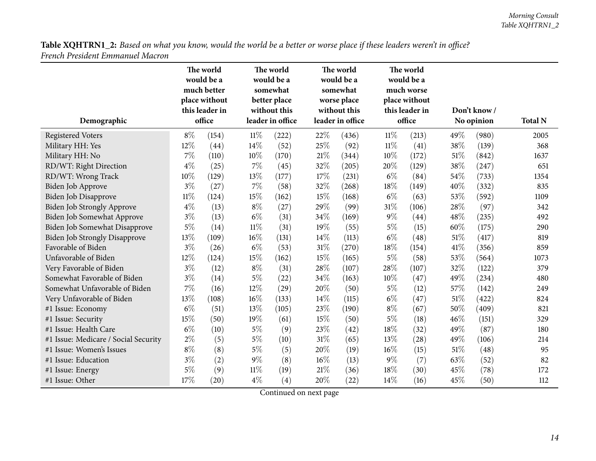| Table XQHTRN1_2: Based on what you know, would the world be a better or worse place if these leaders weren't in office? |  |
|-------------------------------------------------------------------------------------------------------------------------|--|
| French President Emmanuel Macron                                                                                        |  |

| Demographic                          | The world<br>would be a<br>much better<br>place without<br>this leader in<br>office |       |        | The world<br>would be a<br>somewhat<br>better place<br>without this<br>leader in office |        | The world<br>would be a<br>somewhat<br>worse place<br>without this<br>leader in office |        | The world<br>would be a<br>much worse<br>place without<br>this leader in<br>office |        | Don't know/<br>No opinion | <b>Total N</b> |
|--------------------------------------|-------------------------------------------------------------------------------------|-------|--------|-----------------------------------------------------------------------------------------|--------|----------------------------------------------------------------------------------------|--------|------------------------------------------------------------------------------------|--------|---------------------------|----------------|
| <b>Registered Voters</b>             | $8\%$                                                                               | (154) | $11\%$ | (222)                                                                                   | 22%    | (436)                                                                                  | $11\%$ | (213)                                                                              | 49%    | (980)                     | 2005           |
| Military HH: Yes                     | 12%                                                                                 | (44)  | 14%    | (52)                                                                                    | 25%    | (92)                                                                                   | $11\%$ | (41)                                                                               | 38%    | (139)                     | 368            |
| Military HH: No                      | 7%                                                                                  | (110) | $10\%$ | (170)                                                                                   | 21\%   | (344)                                                                                  | $10\%$ | (172)                                                                              | 51%    | (842)                     | 1637           |
| RD/WT: Right Direction               | $4\%$                                                                               | (25)  | $7\%$  | (45)                                                                                    | 32%    | (205)                                                                                  | 20%    | (129)                                                                              | 38%    | (247)                     | 651            |
| RD/WT: Wrong Track                   | 10%                                                                                 | (129) | 13%    | (177)                                                                                   | 17%    | (231)                                                                                  | $6\%$  | (84)                                                                               | 54%    | (733)                     | 1354           |
| <b>Biden Job Approve</b>             | $3\%$                                                                               | (27)  | $7\%$  | (58)                                                                                    | 32%    | (268)                                                                                  | 18%    | (149)                                                                              | 40%    | (332)                     | 835            |
| Biden Job Disapprove                 | $11\%$                                                                              | (124) | 15%    | (162)                                                                                   | 15%    | (168)                                                                                  | $6\%$  | (63)                                                                               | 53%    | (592)                     | 1109           |
| Biden Job Strongly Approve           | $4\%$                                                                               | (13)  | $8\%$  | (27)                                                                                    | 29%    | (99)                                                                                   | $31\%$ | (106)                                                                              | 28%    | (97)                      | 342            |
| Biden Job Somewhat Approve           | $3\%$                                                                               | (13)  | $6\%$  | (31)                                                                                    | 34%    | (169)                                                                                  | $9\%$  | (44)                                                                               | 48%    | (235)                     | 492            |
| Biden Job Somewhat Disapprove        | $5\%$                                                                               | (14)  | $11\%$ | (31)                                                                                    | 19%    | (55)                                                                                   | $5\%$  | (15)                                                                               | 60%    | (175)                     | 290            |
| <b>Biden Job Strongly Disapprove</b> | 13%                                                                                 | (109) | 16%    | (131)                                                                                   | 14%    | (113)                                                                                  | $6\%$  | (48)                                                                               | 51%    | (417)                     | 819            |
| Favorable of Biden                   | $3\%$                                                                               | (26)  | $6\%$  | (53)                                                                                    | 31%    | (270)                                                                                  | 18%    | (154)                                                                              | 41%    | (356)                     | 859            |
| Unfavorable of Biden                 | 12%                                                                                 | (124) | 15%    | (162)                                                                                   | 15%    | (165)                                                                                  | $5\%$  | (58)                                                                               | 53%    | (564)                     | 1073           |
| Very Favorable of Biden              | $3\%$                                                                               | (12)  | $8\%$  | (31)                                                                                    | 28%    | (107)                                                                                  | 28\%   | (107)                                                                              | 32%    | (122)                     | 379            |
| Somewhat Favorable of Biden          | $3\%$                                                                               | (14)  | $5\%$  | (22)                                                                                    | 34%    | (163)                                                                                  | 10%    | (47)                                                                               | 49%    | (234)                     | 480            |
| Somewhat Unfavorable of Biden        | $7\%$                                                                               | (16)  | 12%    | (29)                                                                                    | 20%    | (50)                                                                                   | $5\%$  | (12)                                                                               | 57%    | (142)                     | 249            |
| Very Unfavorable of Biden            | 13%                                                                                 | (108) | 16%    | (133)                                                                                   | 14%    | (115)                                                                                  | $6\%$  | (47)                                                                               | $51\%$ | (422)                     | 824            |
| #1 Issue: Economy                    | $6\%$                                                                               | (51)  | 13%    | (105)                                                                                   | 23%    | (190)                                                                                  | $8\%$  | (67)                                                                               | 50%    | (409)                     | 821            |
| #1 Issue: Security                   | 15%                                                                                 | (50)  | 19%    | (61)                                                                                    | 15%    | (50)                                                                                   | $5\%$  | (18)                                                                               | 46%    | (151)                     | 329            |
| #1 Issue: Health Care                | $6\%$                                                                               | (10)  | $5\%$  | (9)                                                                                     | 23%    | (42)                                                                                   | 18%    | (32)                                                                               | 49%    | (87)                      | 180            |
| #1 Issue: Medicare / Social Security | $2\%$                                                                               | (5)   | $5\%$  | (10)                                                                                    | 31%    | (65)                                                                                   | 13%    | (28)                                                                               | 49%    | (106)                     | 214            |
| #1 Issue: Women's Issues             | $8\%$                                                                               | (8)   | $5\%$  | (5)                                                                                     | 20%    | (19)                                                                                   | $16\%$ | (15)                                                                               | $51\%$ | (48)                      | 95             |
| #1 Issue: Education                  | $3\%$                                                                               | (2)   | $9\%$  | (8)                                                                                     | $16\%$ | (13)                                                                                   | $9\%$  | (7)                                                                                | 63%    | (52)                      | 82             |
| #1 Issue: Energy                     | $5\%$                                                                               | (9)   | $11\%$ | (19)                                                                                    | 21%    | (36)                                                                                   | $18\%$ | (30)                                                                               | 45%    | (78)                      | 172            |
| #1 Issue: Other                      | 17%                                                                                 | (20)  | $4\%$  | $\left( 4\right)$                                                                       | 20%    | (22)                                                                                   | $14\%$ | (16)                                                                               | 45%    | (50)                      | 112            |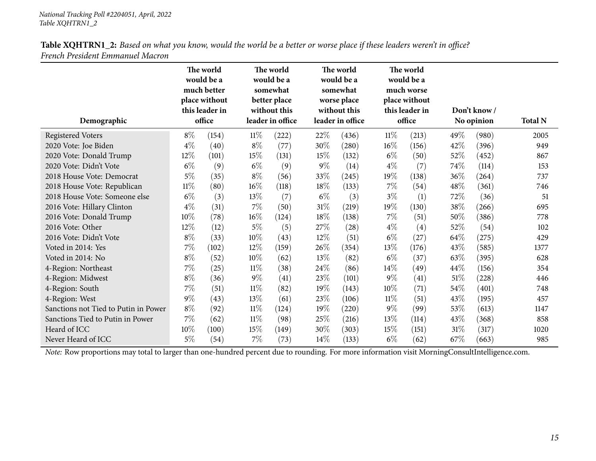| Demographic                          | The world<br>would be a<br>much better<br>place without<br>this leader in<br>office |       |        | The world<br>would be a<br>somewhat<br>better place<br>without this<br>leader in office |        | The world<br>would be a<br>somewhat<br>worse place<br>without this<br>leader in office |        | The world<br>would be a<br>much worse<br>place without<br>this leader in<br>office |        | Don't know /<br>No opinion | <b>Total N</b> |
|--------------------------------------|-------------------------------------------------------------------------------------|-------|--------|-----------------------------------------------------------------------------------------|--------|----------------------------------------------------------------------------------------|--------|------------------------------------------------------------------------------------|--------|----------------------------|----------------|
| <b>Registered Voters</b>             | $8\%$                                                                               | (154) | $11\%$ | (222)                                                                                   | 22\%   | (436)                                                                                  | $11\%$ | (213)                                                                              | 49\%   | (980)                      | 2005           |
| 2020 Vote: Joe Biden                 | $4\%$                                                                               | (40)  | $8\%$  | (77)                                                                                    | 30%    | (280)                                                                                  | 16%    | (156)                                                                              | 42%    | (396)                      | 949            |
| 2020 Vote: Donald Trump              | $12\%$                                                                              | (101) | 15%    | (131)                                                                                   | 15%    | (132)                                                                                  | $6\%$  | (50)                                                                               | 52\%   | (452)                      | 867            |
| 2020 Vote: Didn't Vote               | $6\%$                                                                               | (9)   | $6\%$  | (9)                                                                                     | $9\%$  | (14)                                                                                   | $4\%$  | (7)                                                                                | 74\%   | (114)                      | 153            |
| 2018 House Vote: Democrat            | $5\%$                                                                               | (35)  | $8\%$  | (56)                                                                                    | 33%    | (245)                                                                                  | 19%    | (138)                                                                              | 36\%   | (264)                      | 737            |
| 2018 House Vote: Republican          | $11\%$                                                                              | (80)  | $16\%$ | (118)                                                                                   | 18%    | (133)                                                                                  | $7\%$  | (54)                                                                               | 48\%   | (361)                      | 746            |
| 2018 House Vote: Someone else        | $6\%$                                                                               | (3)   | 13%    | (7)                                                                                     | $6\%$  | (3)                                                                                    | $3\%$  | (1)                                                                                | 72%    | (36)                       | 51             |
| 2016 Vote: Hillary Clinton           | $4\%$                                                                               | (31)  | 7%     | (50)                                                                                    | 31%    | (219)                                                                                  | 19%    | (130)                                                                              | 38\%   | (266)                      | 695            |
| 2016 Vote: Donald Trump              | $10\%$                                                                              | (78)  | $16\%$ | (124)                                                                                   | 18%    | (138)                                                                                  | $7\%$  | (51)                                                                               | 50%    | (386)                      | 778            |
| 2016 Vote: Other                     | 12%                                                                                 | (12)  | $5\%$  | (5)                                                                                     | 27%    | $\left( 28\right)$                                                                     | $4\%$  | (4)                                                                                | 52%    | (54)                       | 102            |
| 2016 Vote: Didn't Vote               | $8\%$                                                                               | (33)  | 10%    | (43)                                                                                    | 12%    | (51)                                                                                   | $6\%$  | (27)                                                                               | 64\%   | (275)                      | 429            |
| Voted in 2014: Yes                   | $7\%$                                                                               | (102) | 12%    | (159)                                                                                   | $26\%$ | (354)                                                                                  | 13%    | (176)                                                                              | 43%    | (585)                      | 1377           |
| Voted in 2014: No                    | $8\%$                                                                               | (52)  | 10%    | (62)                                                                                    | 13%    | (82)                                                                                   | $6\%$  | (37)                                                                               | 63%    | (395)                      | 628            |
| 4-Region: Northeast                  | $7\%$                                                                               | (25)  | 11%    | (38)                                                                                    | 24%    | (86)                                                                                   | 14%    | (49)                                                                               | 44%    | (156)                      | 354            |
| 4-Region: Midwest                    | $8\%$                                                                               | (36)  | $9\%$  | (41)                                                                                    | 23%    | (101)                                                                                  | $9\%$  | (41)                                                                               | 51\%   | (228)                      | 446            |
| 4-Region: South                      | 7%                                                                                  | (51)  | 11%    | (82)                                                                                    | 19%    | (143)                                                                                  | 10%    | (71)                                                                               | 54\%   | (401)                      | 748            |
| 4-Region: West                       | $9\%$                                                                               | (43)  | 13%    | (61)                                                                                    | 23%    | (106)                                                                                  | $11\%$ | (51)                                                                               | 43%    | (195)                      | 457            |
| Sanctions not Tied to Putin in Power | $8\%$                                                                               | (92)  | $11\%$ | (124)                                                                                   | 19%    | (220)                                                                                  | $9\%$  | (99)                                                                               | 53%    | (613)                      | 1147           |
| Sanctions Tied to Putin in Power     | $7\%$                                                                               | (62)  | 11%    | (98)                                                                                    | 25%    | (216)                                                                                  | 13%    | (114)                                                                              | 43\%   | (368)                      | 858            |
| Heard of ICC                         | $10\%$                                                                              | (100) | 15%    | (149)                                                                                   | 30%    | (303)                                                                                  | 15%    | (151)                                                                              | $31\%$ | (317)                      | 1020           |
| Never Heard of ICC                   | $5\%$                                                                               | (54)  | $7\%$  | (73)                                                                                    | 14\%   | (133)                                                                                  | $6\%$  | (62)                                                                               | 67\%   | (663)                      | 985            |

Table XQHTRN1\_2: Based on what you know, would the world be a better or worse place if these leaders weren't in office? *French President Emmanuel Macron*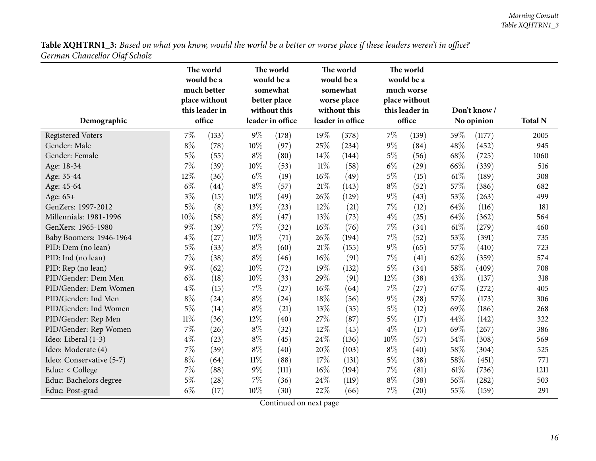| <b>Table XQHTRN1_3:</b> Based on what you know, would the world be a better or worse place if these leaders weren't in office? |  |
|--------------------------------------------------------------------------------------------------------------------------------|--|
| German Chancellor Olaf Scholz                                                                                                  |  |

<span id="page-15-0"></span>

|                          | The world<br>would be a<br>much better<br>place without<br>this leader in |        |        | The world<br>would be a<br>somewhat<br>better place<br>without this |                  | The world<br>would be a<br>somewhat<br>worse place<br>without this |        | The world<br>would be a<br>much worse<br>place without<br>this leader in |            | Don't know / |                |
|--------------------------|---------------------------------------------------------------------------|--------|--------|---------------------------------------------------------------------|------------------|--------------------------------------------------------------------|--------|--------------------------------------------------------------------------|------------|--------------|----------------|
| Demographic              |                                                                           | office |        | leader in office                                                    | leader in office |                                                                    | office |                                                                          | No opinion |              | <b>Total N</b> |
| <b>Registered Voters</b> | $7\%$                                                                     | (133)  | $9\%$  | (178)                                                               | 19%              | (378)                                                              | $7\%$  | (139)                                                                    | 59%        | (1177)       | 2005           |
| Gender: Male             | $8\%$                                                                     | (78)   | 10%    | (97)                                                                | 25%              | (234)                                                              | $9\%$  | (84)                                                                     | 48%        | (452)        | 945            |
| Gender: Female           | $5\%$                                                                     | (55)   | $8\%$  | (80)                                                                | 14%              | (144)                                                              | $5\%$  | (56)                                                                     | 68%        | (725)        | 1060           |
| Age: 18-34               | 7%                                                                        | (39)   | 10%    | (53)                                                                | $11\%$           | (58)                                                               | $6\%$  | (29)                                                                     | 66%        | (339)        | 516            |
| Age: 35-44               | 12%                                                                       | (36)   | $6\%$  | (19)                                                                | $16\%$           | (49)                                                               | $5\%$  | (15)                                                                     | $61\%$     | (189)        | 308            |
| Age: 45-64               | $6\%$                                                                     | (44)   | $8\%$  | (57)                                                                | $21\%$           | (143)                                                              | $8\%$  | (52)                                                                     | 57%        | (386)        | 682            |
| Age: 65+                 | $3\%$                                                                     | (15)   | 10%    | (49)                                                                | 26%              | (129)                                                              | $9\%$  | (43)                                                                     | 53%        | (263)        | 499            |
| GenZers: 1997-2012       | $5\%$                                                                     | (8)    | 13%    | (23)                                                                | 12%              | (21)                                                               | $7\%$  | (12)                                                                     | 64%        | (116)        | 181            |
| Millennials: 1981-1996   | 10%                                                                       | (58)   | $8\%$  | (47)                                                                | 13%              | (73)                                                               | $4\%$  | (25)                                                                     | 64%        | (362)        | 564            |
| GenXers: 1965-1980       | $9\%$                                                                     | (39)   | $7\%$  | (32)                                                                | $16\%$           | (76)                                                               | $7\%$  | (34)                                                                     | 61\%       | (279)        | 460            |
| Baby Boomers: 1946-1964  | $4\%$                                                                     | (27)   | 10%    | (71)                                                                | 26%              | (194)                                                              | $7\%$  | (52)                                                                     | 53%        | (391)        | 735            |
| PID: Dem (no lean)       | $5\%$                                                                     | (33)   | $8\%$  | (60)                                                                | $21\%$           | (155)                                                              | $9\%$  | (65)                                                                     | 57%        | (410)        | 723            |
| PID: Ind (no lean)       | 7%                                                                        | (38)   | $8\%$  | (46)                                                                | $16\%$           | (91)                                                               | $7\%$  | (41)                                                                     | 62%        | (359)        | 574            |
| PID: Rep (no lean)       | $9\%$                                                                     | (62)   | 10%    | (72)                                                                | 19%              | (132)                                                              | $5\%$  | (34)                                                                     | 58%        | (409)        | 708            |
| PID/Gender: Dem Men      | $6\%$                                                                     | (18)   | 10%    | (33)                                                                | 29%              | (91)                                                               | $12\%$ | (38)                                                                     | 43%        | (137)        | 318            |
| PID/Gender: Dem Women    | $4\%$                                                                     | (15)   | $7\%$  | (27)                                                                | $16\%$           | (64)                                                               | $7\%$  | (27)                                                                     | $67\%$     | (272)        | 405            |
| PID/Gender: Ind Men      | $8\%$                                                                     | (24)   | $8\%$  | (24)                                                                | 18%              | (56)                                                               | $9\%$  | (28)                                                                     | 57%        | (173)        | 306            |
| PID/Gender: Ind Women    | $5\%$                                                                     | (14)   | $8\%$  | (21)                                                                | 13%              | (35)                                                               | $5\%$  | (12)                                                                     | 69%        | (186)        | 268            |
| PID/Gender: Rep Men      | $11\%$                                                                    | (36)   | 12%    | (40)                                                                | 27%              | (87)                                                               | $5\%$  | (17)                                                                     | 44%        | (142)        | 322            |
| PID/Gender: Rep Women    | 7%                                                                        | (26)   | $8\%$  | (32)                                                                | 12%              | (45)                                                               | $4\%$  | (17)                                                                     | 69%        | (267)        | 386            |
| Ideo: Liberal (1-3)      | $4\%$                                                                     | (23)   | $8\%$  | (45)                                                                | 24%              | (136)                                                              | 10%    | (57)                                                                     | 54%        | (308)        | 569            |
| Ideo: Moderate (4)       | $7\%$                                                                     | (39)   | $8\%$  | (40)                                                                | 20%              | (103)                                                              | $8\%$  | (40)                                                                     | 58%        | (304)        | 525            |
| Ideo: Conservative (5-7) | $8\%$                                                                     | (64)   | $11\%$ | (88)                                                                | 17%              | (131)                                                              | $5\%$  | (38)                                                                     | 58%        | (451)        | 771            |
| Educ: < College          | 7%                                                                        | (88)   | $9\%$  | (111)                                                               | $16\%$           | (194)                                                              | $7\%$  | (81)                                                                     | $61\%$     | (736)        | 1211           |
| Educ: Bachelors degree   | $5\%$                                                                     | (28)   | $7\%$  | (36)                                                                | 24%              | (119)                                                              | $8\%$  | (38)                                                                     | 56%        | (282)        | 503            |
| Educ: Post-grad          | $6\%$                                                                     | (17)   | 10%    | (30)                                                                | 22%              | (66)                                                               | 7%     | (20)                                                                     | 55%        | (159)        | 291            |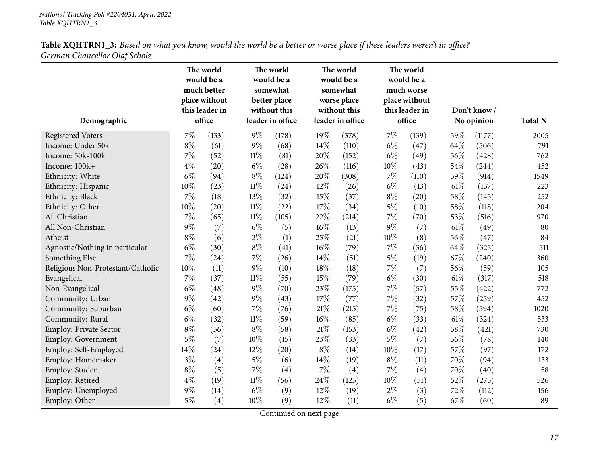| Table XQHTRN1_3: Based on what you know, would the world be a better or worse place if these leaders weren't in office? |  |
|-------------------------------------------------------------------------------------------------------------------------|--|
| German Chancellor Olaf Scholz                                                                                           |  |

| Demographic                       | The world<br>would be a<br>much better<br>place without<br>this leader in<br>office |       |        | The world<br>would be a<br>somewhat<br>better place<br>without this<br>leader in office |       | The world<br>would be a<br>somewhat<br>worse place<br>without this<br>leader in office |       | The world<br>would be a<br>much worse<br>place without<br>this leader in<br>office |      | Don't know /<br>No opinion | <b>Total N</b> |
|-----------------------------------|-------------------------------------------------------------------------------------|-------|--------|-----------------------------------------------------------------------------------------|-------|----------------------------------------------------------------------------------------|-------|------------------------------------------------------------------------------------|------|----------------------------|----------------|
| <b>Registered Voters</b>          | 7%                                                                                  | (133) | $9\%$  | (178)                                                                                   | 19%   | (378)                                                                                  | $7\%$ | (139)                                                                              | 59\% | (1177)                     | 2005           |
| Income: Under 50k                 | $8\%$                                                                               | (61)  | $9\%$  | (68)                                                                                    | 14%   | (110)                                                                                  | $6\%$ | (47)                                                                               | 64%  | (506)                      | 791            |
| Income: 50k-100k                  | 7%                                                                                  | (52)  | $11\%$ | (81)                                                                                    | 20%   | (152)                                                                                  | $6\%$ | (49)                                                                               | 56%  | (428)                      | 762            |
| Income: 100k+                     | $4\%$                                                                               | (20)  | $6\%$  | (28)                                                                                    | 26%   | (116)                                                                                  | 10%   | (43)                                                                               | 54%  | (244)                      | 452            |
| Ethnicity: White                  | $6\%$                                                                               | (94)  | $8\%$  | (124)                                                                                   | 20%   | (308)                                                                                  | $7\%$ | (110)                                                                              | 59%  | (914)                      | 1549           |
| Ethnicity: Hispanic               | 10%                                                                                 | (23)  | $11\%$ | (24)                                                                                    | 12%   | (26)                                                                                   | $6\%$ | (13)                                                                               | 61\% | (137)                      | 223            |
| Ethnicity: Black                  | 7%                                                                                  | (18)  | 13%    | (32)                                                                                    | 15%   | (37)                                                                                   | $8\%$ | (20)                                                                               | 58%  | (145)                      | 252            |
| Ethnicity: Other                  | 10%                                                                                 | (20)  | $11\%$ | (22)                                                                                    | 17%   | (34)                                                                                   | $5\%$ | (10)                                                                               | 58%  | (118)                      | 204            |
| All Christian                     | 7%                                                                                  | (65)  | $11\%$ | (105)                                                                                   | 22%   | (214)                                                                                  | 7%    | (70)                                                                               | 53%  | (516)                      | 970            |
| All Non-Christian                 | 9%                                                                                  | (7)   | $6\%$  | (5)                                                                                     | 16%   | (13)                                                                                   | $9\%$ | (7)                                                                                | 61\% | (49)                       | 80             |
| Atheist                           | $8\%$                                                                               | (6)   | $2\%$  | (1)                                                                                     | 25%   | (21)                                                                                   | 10%   | (8)                                                                                | 56%  | (47)                       | 84             |
| Agnostic/Nothing in particular    | $6\%$                                                                               | (30)  | $8\%$  | (41)                                                                                    | 16%   | (79)                                                                                   | 7%    | (36)                                                                               | 64%  | (325)                      | 511            |
| Something Else                    | 7%                                                                                  | (24)  | $7\%$  | (26)                                                                                    | 14%   | (51)                                                                                   | $5\%$ | (19)                                                                               | 67%  | (240)                      | 360            |
| Religious Non-Protestant/Catholic | 10%                                                                                 | (11)  | $9\%$  | (10)                                                                                    | 18%   | (18)                                                                                   | $7\%$ | (7)                                                                                | 56%  | (59)                       | 105            |
| Evangelical                       | 7%                                                                                  | (37)  | $11\%$ | (55)                                                                                    | 15%   | (79)                                                                                   | $6\%$ | (30)                                                                               | 61%  | (317)                      | 518            |
| Non-Evangelical                   | $6\%$                                                                               | (48)  | $9\%$  | (70)                                                                                    | 23%   | (175)                                                                                  | 7%    | (57)                                                                               | 55%  | (422)                      | 772            |
| Community: Urban                  | $9\%$                                                                               | (42)  | $9\%$  | (43)                                                                                    | 17%   | (77)                                                                                   | 7%    | (32)                                                                               | 57%  | (259)                      | 452            |
| Community: Suburban               | $6\%$                                                                               | (60)  | $7\%$  | (76)                                                                                    | 21%   | (215)                                                                                  | 7%    | (75)                                                                               | 58%  | (594)                      | 1020           |
| Community: Rural                  | $6\%$                                                                               | (32)  | $11\%$ | (59)                                                                                    | 16%   | (85)                                                                                   | $6\%$ | (33)                                                                               | 61\% | (324)                      | 533            |
| Employ: Private Sector            | $8\%$                                                                               | (56)  | $8\%$  | (58)                                                                                    | 21%   | (153)                                                                                  | $6\%$ | (42)                                                                               | 58%  | (421)                      | 730            |
| <b>Employ: Government</b>         | $5\%$                                                                               | (7)   | 10%    | (15)                                                                                    | 23%   | (33)                                                                                   | $5\%$ | (7)                                                                                | 56%  | (78)                       | 140            |
| Employ: Self-Employed             | 14%                                                                                 | (24)  | 12%    | (20)                                                                                    | $8\%$ | (14)                                                                                   | 10%   | (17)                                                                               | 57%  | (97)                       | 172            |
| Employ: Homemaker                 | $3\%$                                                                               | (4)   | $5\%$  | (6)                                                                                     | 14%   | (19)                                                                                   | $8\%$ | (11)                                                                               | 70%  | (94)                       | 133            |
| Employ: Student                   | $8\%$                                                                               | (5)   | 7%     | (4)                                                                                     | 7%    | (4)                                                                                    | 7%    | (4)                                                                                | 70%  | (40)                       | 58             |
| Employ: Retired                   | $4\%$                                                                               | (19)  | $11\%$ | (56)                                                                                    | 24%   | (125)                                                                                  | 10%   | (51)                                                                               | 52%  | (275)                      | 526            |
| Employ: Unemployed                | $9\%$                                                                               | (14)  | $6\%$  | (9)                                                                                     | 12%   | (19)                                                                                   | $2\%$ | (3)                                                                                | 72%  | (112)                      | 156            |
| Employ: Other                     | 5%                                                                                  | (4)   | 10%    | (9)                                                                                     | 12%   | (11)                                                                                   | $6\%$ | (5)                                                                                | 67%  | (60)                       | 89             |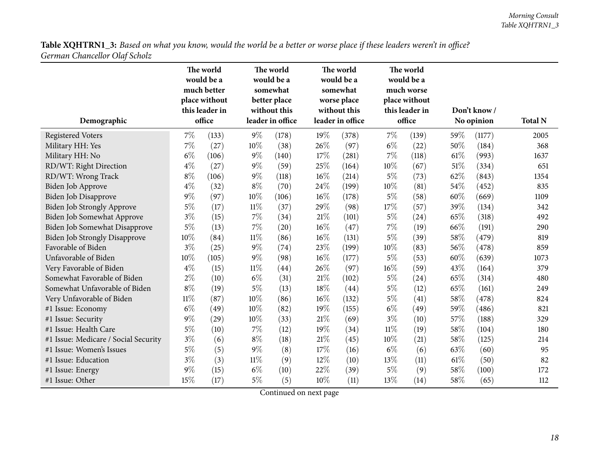| <b>Table XQHTRN1_3:</b> Based on what you know, would the world be a better or worse place if these leaders weren't in office? |  |
|--------------------------------------------------------------------------------------------------------------------------------|--|
| German Chancellor Olaf Scholz                                                                                                  |  |

| Demographic                          | The world<br>would be a<br>much better<br>place without<br>this leader in<br>office |       | The world<br>would be a<br>somewhat<br>better place<br>without this<br>leader in office |       | The world<br>would be a<br>somewhat<br>worse place<br>without this<br>leader in office |       | The world<br>would be a<br>much worse<br>place without<br>this leader in<br>office |       |        | Don't know/<br>No opinion | <b>Total N</b> |
|--------------------------------------|-------------------------------------------------------------------------------------|-------|-----------------------------------------------------------------------------------------|-------|----------------------------------------------------------------------------------------|-------|------------------------------------------------------------------------------------|-------|--------|---------------------------|----------------|
| <b>Registered Voters</b>             | $7\%$                                                                               | (133) | $9\%$                                                                                   | (178) | 19%                                                                                    | (378) | $7\%$                                                                              | (139) | 59%    | (1177)                    | 2005           |
| Military HH: Yes                     | 7%                                                                                  | (27)  | 10%                                                                                     | (38)  | 26%                                                                                    | (97)  | $6\%$                                                                              | (22)  | 50%    | (184)                     | 368            |
| Military HH: No                      | $6\%$                                                                               | (106) | $9\%$                                                                                   | (140) | 17%                                                                                    | (281) | $7\%$                                                                              | (118) | 61\%   | (993)                     | 1637           |
| RD/WT: Right Direction               | $4\%$                                                                               | (27)  | $9\%$                                                                                   | (59)  | 25%                                                                                    | (164) | 10%                                                                                | (67)  | 51%    | (334)                     | 651            |
| RD/WT: Wrong Track                   | $8\%$                                                                               | (106) | 9%                                                                                      | (118) | 16%                                                                                    | (214) | $5\%$                                                                              | (73)  | 62%    | (843)                     | 1354           |
| <b>Biden Job Approve</b>             | $4\%$                                                                               | (32)  | $8\%$                                                                                   | (70)  | 24%                                                                                    | (199) | 10%                                                                                | (81)  | 54%    | (452)                     | 835            |
| Biden Job Disapprove                 | $9\%$                                                                               | (97)  | 10%                                                                                     | (106) | $16\%$                                                                                 | (178) | $5\%$                                                                              | (58)  | 60%    | (669)                     | 1109           |
| Biden Job Strongly Approve           | $5\%$                                                                               | (17)  | $11\%$                                                                                  | (37)  | 29%                                                                                    | (98)  | 17%                                                                                | (57)  | 39%    | (134)                     | 342            |
| Biden Job Somewhat Approve           | $3\%$                                                                               | (15)  | $7\%$                                                                                   | (34)  | 21%                                                                                    | (101) | $5\%$                                                                              | (24)  | 65%    | (318)                     | 492            |
| Biden Job Somewhat Disapprove        | $5\%$                                                                               | (13)  | $7\%$                                                                                   | (20)  | $16\%$                                                                                 | (47)  | $7\%$                                                                              | (19)  | 66\%   | (191)                     | 290            |
| <b>Biden Job Strongly Disapprove</b> | 10%                                                                                 | (84)  | $11\%$                                                                                  | (86)  | 16%                                                                                    | (131) | $5\%$                                                                              | (39)  | 58%    | (479)                     | 819            |
| Favorable of Biden                   | $3\%$                                                                               | (25)  | $9\%$                                                                                   | (74)  | 23%                                                                                    | (199) | 10%                                                                                | (83)  | 56%    | (478)                     | 859            |
| Unfavorable of Biden                 | 10%                                                                                 | (105) | $9\%$                                                                                   | (98)  | $16\%$                                                                                 | (177) | $5\%$                                                                              | (53)  | 60%    | (639)                     | 1073           |
| Very Favorable of Biden              | $4\%$                                                                               | (15)  | $11\%$                                                                                  | (44)  | 26%                                                                                    | (97)  | $16\%$                                                                             | (59)  | 43%    | (164)                     | 379            |
| Somewhat Favorable of Biden          | $2\%$                                                                               | (10)  | $6\%$                                                                                   | (31)  | 21%                                                                                    | (102) | $5\%$                                                                              | (24)  | 65%    | (314)                     | 480            |
| Somewhat Unfavorable of Biden        | $8\%$                                                                               | (19)  | $5\%$                                                                                   | (13)  | 18%                                                                                    | (44)  | $5\%$                                                                              | (12)  | 65%    | (161)                     | 249            |
| Very Unfavorable of Biden            | $11\%$                                                                              | (87)  | 10%                                                                                     | (86)  | 16%                                                                                    | (132) | $5\%$                                                                              | (41)  | 58%    | (478)                     | 824            |
| #1 Issue: Economy                    | $6\%$                                                                               | (49)  | 10%                                                                                     | (82)  | 19%                                                                                    | (155) | $6\%$                                                                              | (49)  | 59%    | (486)                     | 821            |
| #1 Issue: Security                   | $9\%$                                                                               | (29)  | $10\%$                                                                                  | (33)  | 21%                                                                                    | (69)  | $3\%$                                                                              | (10)  | 57%    | (188)                     | 329            |
| #1 Issue: Health Care                | $5\%$                                                                               | (10)  | $7\%$                                                                                   | (12)  | 19%                                                                                    | (34)  | $11\%$                                                                             | (19)  | 58%    | (104)                     | 180            |
| #1 Issue: Medicare / Social Security | $3\%$                                                                               | (6)   | $8\%$                                                                                   | (18)  | 21%                                                                                    | (45)  | 10%                                                                                | (21)  | 58%    | (125)                     | 214            |
| #1 Issue: Women's Issues             | $5\%$                                                                               | (5)   | $9\%$                                                                                   | (8)   | 17%                                                                                    | (16)  | $6\%$                                                                              | (6)   | 63%    | (60)                      | 95             |
| #1 Issue: Education                  | $3\%$                                                                               | (3)   | $11\%$                                                                                  | (9)   | 12%                                                                                    | (10)  | 13%                                                                                | (11)  | $61\%$ | (50)                      | 82             |
| #1 Issue: Energy                     | $9\%$                                                                               | (15)  | $6\%$                                                                                   | (10)  | 22%                                                                                    | (39)  | $5\%$                                                                              | (9)   | 58%    | (100)                     | 172            |
| #1 Issue: Other                      | 15%                                                                                 | (17)  | $5\%$                                                                                   | (5)   | 10%                                                                                    | (11)  | 13%                                                                                | (14)  | 58%    | (65)                      | 112            |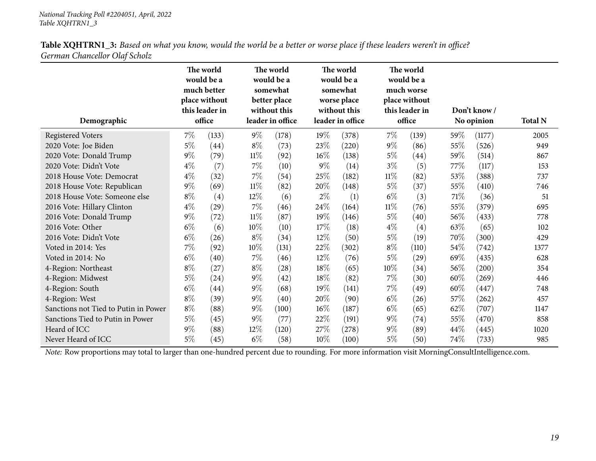| Demographic                          | The world<br>would be a<br>much better<br>place without<br>this leader in<br>office |       | The world<br>would be a<br>somewhat<br>better place<br>without this<br>leader in office |       |        | The world<br>would be a<br>somewhat<br>worse place<br>without this<br>leader in office |        | The world<br>would be a<br>much worse<br>place without<br>this leader in<br>office |      | Don't know /<br>No opinion | <b>Total N</b> |
|--------------------------------------|-------------------------------------------------------------------------------------|-------|-----------------------------------------------------------------------------------------|-------|--------|----------------------------------------------------------------------------------------|--------|------------------------------------------------------------------------------------|------|----------------------------|----------------|
| <b>Registered Voters</b>             | $7\%$                                                                               | (133) | $9\%$                                                                                   | (178) | 19%    | (378)                                                                                  | $7\%$  | (139)                                                                              | 59\% | (1177)                     | 2005           |
| 2020 Vote: Joe Biden                 | $5\%$                                                                               | (44)  | $8\%$                                                                                   | (73)  | 23\%   | (220)                                                                                  | $9\%$  | (86)                                                                               | 55%  | (526)                      | 949            |
| 2020 Vote: Donald Trump              | $9\%$                                                                               | (79)  | $11\%$                                                                                  | (92)  | $16\%$ | (138)                                                                                  | $5\%$  | (44)                                                                               | 59%  | (514)                      | 867            |
| 2020 Vote: Didn't Vote               | $4\%$                                                                               | (7)   | $7\%$                                                                                   | (10)  | $9\%$  | (14)                                                                                   | $3\%$  | (5)                                                                                | 77\% | (117)                      | 153            |
| 2018 House Vote: Democrat            | $4\%$                                                                               | (32)  | $7\%$                                                                                   | (54)  | 25\%   | (182)                                                                                  | $11\%$ | (82)                                                                               | 53%  | (388)                      | 737            |
| 2018 House Vote: Republican          | $9\%$                                                                               | (69)  | $11\%$                                                                                  | (82)  | 20%    | (148)                                                                                  | $5\%$  | (37)                                                                               | 55%  | (410)                      | 746            |
| 2018 House Vote: Someone else        | $8\%$                                                                               | (4)   | $12\%$                                                                                  | (6)   | $2\%$  | (1)                                                                                    | $6\%$  | (3)                                                                                | 71%  | (36)                       | 51             |
| 2016 Vote: Hillary Clinton           | $4\%$                                                                               | (29)  | $7\%$                                                                                   | (46)  | 24\%   | (164)                                                                                  | $11\%$ | (76)                                                                               | 55\% | (379)                      | 695            |
| 2016 Vote: Donald Trump              | $9\%$                                                                               | (72)  | $11\%$                                                                                  | (87)  | 19%    | (146)                                                                                  | $5\%$  | (40)                                                                               | 56\% | (433)                      | 778            |
| 2016 Vote: Other                     | $6\%$                                                                               | (6)   | $10\%$                                                                                  | (10)  | 17%    | (18)                                                                                   | $4\%$  | (4)                                                                                | 63\% | (65)                       | 102            |
| 2016 Vote: Didn't Vote               | $6\%$                                                                               | (26)  | $8\%$                                                                                   | (34)  | $12\%$ | (50)                                                                                   | $5\%$  | (19)                                                                               | 70%  | (300)                      | 429            |
| Voted in 2014: Yes                   | $7\%$                                                                               | (92)  | $10\%$                                                                                  | (131) | 22%    | (302)                                                                                  | $8\%$  | (110)                                                                              | 54%  | (742)                      | 1377           |
| Voted in 2014: No                    | $6\%$                                                                               | (40)  | $7\%$                                                                                   | (46)  | $12\%$ | (76)                                                                                   | $5\%$  | (29)                                                                               | 69%  | (435)                      | 628            |
| 4-Region: Northeast                  | $8\%$                                                                               | (27)  | $8\%$                                                                                   | (28)  | 18%    | (65)                                                                                   | 10%    | (34)                                                                               | 56\% | (200)                      | 354            |
| 4-Region: Midwest                    | $5\%$                                                                               | (24)  | $9\%$                                                                                   | (42)  | 18%    | (82)                                                                                   | $7\%$  | (30)                                                                               | 60%  | (269)                      | 446            |
| 4-Region: South                      | $6\%$                                                                               | (44)  | $9\%$                                                                                   | (68)  | 19%    | (141)                                                                                  | $7\%$  | (49)                                                                               | 60%  | (447)                      | 748            |
| 4-Region: West                       | $8\%$                                                                               | (39)  | $9\%$                                                                                   | (40)  | 20%    | (90)                                                                                   | $6\%$  | (26)                                                                               | 57%  | (262)                      | 457            |
| Sanctions not Tied to Putin in Power | $8\%$                                                                               | (88)  | $9\%$                                                                                   | (100) | $16\%$ | (187)                                                                                  | $6\%$  | (65)                                                                               | 62%  | (707)                      | 1147           |
| Sanctions Tied to Putin in Power     | $5\%$                                                                               | (45)  | $9\%$                                                                                   | (77)  | $22\%$ | (191)                                                                                  | $9\%$  | (74)                                                                               | 55%  | (470)                      | 858            |
| Heard of ICC                         | $9\%$                                                                               | (88)  | $12\%$                                                                                  | (120) | 27%    | (278)                                                                                  | $9\%$  | (89)                                                                               | 44\% | (445)                      | 1020           |
| Never Heard of ICC                   | $5\%$                                                                               | (45)  | $6\%$                                                                                   | (58)  | $10\%$ | (100)                                                                                  | $5\%$  | (50)                                                                               | 74\% | (733)                      | 985            |

Table XQHTRN1\_3: Based on what you know, would the world be a better or worse place if these leaders weren't in office? *German Chancellor Olaf Scholz*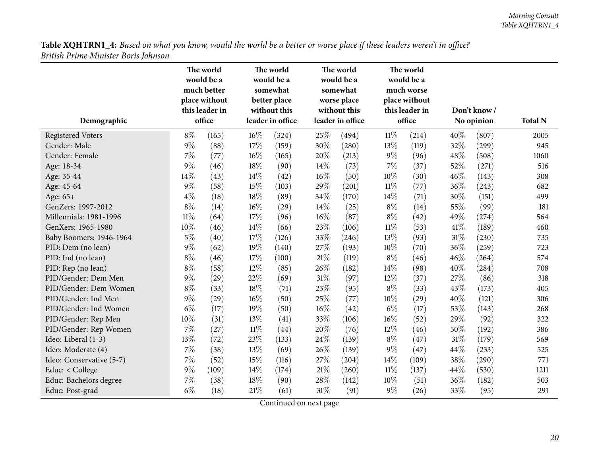| <b>Table XQHTRN1_4:</b> Based on what you know, would the world be a better or worse place if these leaders weren't in office? |  |
|--------------------------------------------------------------------------------------------------------------------------------|--|
| British Prime Minister Boris Johnson                                                                                           |  |

<span id="page-19-0"></span>

|                          | The world<br>would be a<br>much better<br>place without<br>this leader in |        | The world<br>would be a<br>somewhat<br>better place<br>without this |                  |      | The world<br>would be a<br>somewhat<br>worse place<br>without this | The world<br>would be a<br>much worse<br>place without<br>this leader in |        |        | Don't know / |                |
|--------------------------|---------------------------------------------------------------------------|--------|---------------------------------------------------------------------|------------------|------|--------------------------------------------------------------------|--------------------------------------------------------------------------|--------|--------|--------------|----------------|
| Demographic              |                                                                           | office |                                                                     | leader in office |      | leader in office                                                   |                                                                          | office |        | No opinion   | <b>Total N</b> |
| <b>Registered Voters</b> | $8\%$                                                                     | (165)  | 16%                                                                 | (324)            | 25%  | (494)                                                              | $11\%$                                                                   | (214)  | 40%    | (807)        | 2005           |
| Gender: Male             | $9\%$                                                                     | (88)   | 17%                                                                 | (159)            | 30%  | (280)                                                              | 13%                                                                      | (119)  | 32%    | (299)        | 945            |
| Gender: Female           | 7%                                                                        | (77)   | 16%                                                                 | (165)            | 20%  | (213)                                                              | $9\%$                                                                    | (96)   | 48%    | (508)        | 1060           |
| Age: 18-34               | 9%                                                                        | (46)   | 18%                                                                 | (90)             | 14%  | (73)                                                               | $7\%$                                                                    | (37)   | 52%    | (271)        | 516            |
| Age: 35-44               | 14%                                                                       | (43)   | 14%                                                                 | (42)             | 16%  | (50)                                                               | 10%                                                                      | (30)   | 46%    | (143)        | 308            |
| Age: 45-64               | $9\%$                                                                     | (58)   | 15%                                                                 | (103)            | 29%  | (201)                                                              | $11\%$                                                                   | (77)   | 36%    | (243)        | 682            |
| Age: 65+                 | $4\%$                                                                     | (18)   | 18%                                                                 | (89)             | 34%  | (170)                                                              | 14%                                                                      | (71)   | 30%    | (151)        | 499            |
| GenZers: 1997-2012       | $8\%$                                                                     | (14)   | 16%                                                                 | (29)             | 14%  | (25)                                                               | $8\%$                                                                    | (14)   | 55%    | (99)         | 181            |
| Millennials: 1981-1996   | $11\%$                                                                    | (64)   | 17%                                                                 | (96)             | 16%  | (87)                                                               | $8\%$                                                                    | (42)   | 49%    | (274)        | 564            |
| GenXers: 1965-1980       | 10%                                                                       | (46)   | 14%                                                                 | (66)             | 23%  | (106)                                                              | $11\%$                                                                   | (53)   | $41\%$ | (189)        | 460            |
| Baby Boomers: 1946-1964  | $5\%$                                                                     | (40)   | 17%                                                                 | (126)            | 33%  | (246)                                                              | 13%                                                                      | (93)   | $31\%$ | (230)        | 735            |
| PID: Dem (no lean)       | $9\%$                                                                     | (62)   | 19%                                                                 | (140)            | 27%  | (193)                                                              | $10\%$                                                                   | (70)   | 36%    | (259)        | 723            |
| PID: Ind (no lean)       | $8\%$                                                                     | (46)   | 17%                                                                 | (100)            | 21\% | (119)                                                              | $8\%$                                                                    | (46)   | 46%    | (264)        | 574            |
| PID: Rep (no lean)       | $8\%$                                                                     | (58)   | 12%                                                                 | (85)             | 26%  | (182)                                                              | 14%                                                                      | (98)   | 40%    | (284)        | 708            |
| PID/Gender: Dem Men      | $9\%$                                                                     | (29)   | 22%                                                                 | (69)             | 31%  | (97)                                                               | 12%                                                                      | (37)   | 27%    | (86)         | 318            |
| PID/Gender: Dem Women    | $8\%$                                                                     | (33)   | 18%                                                                 | (71)             | 23%  | (95)                                                               | $8\%$                                                                    | (33)   | 43%    | (173)        | 405            |
| PID/Gender: Ind Men      | 9%                                                                        | (29)   | 16%                                                                 | (50)             | 25%  | (77)                                                               | 10%                                                                      | (29)   | 40%    | (121)        | 306            |
| PID/Gender: Ind Women    | $6\%$                                                                     | (17)   | 19%                                                                 | (50)             | 16%  | (42)                                                               | $6\%$                                                                    | (17)   | 53%    | (143)        | 268            |
| PID/Gender: Rep Men      | 10%                                                                       | (31)   | 13%                                                                 | (41)             | 33%  | (106)                                                              | 16%                                                                      | (52)   | 29%    | (92)         | 322            |
| PID/Gender: Rep Women    | $7\%$                                                                     | (27)   | $11\%$                                                              | (44)             | 20%  | (76)                                                               | 12%                                                                      | (46)   | 50%    | (192)        | 386            |
| Ideo: Liberal (1-3)      | 13%                                                                       | (72)   | 23%                                                                 | (133)            | 24%  | (139)                                                              | $8\%$                                                                    | (47)   | 31%    | (179)        | 569            |
| Ideo: Moderate (4)       | 7%                                                                        | (38)   | 13%                                                                 | (69)             | 26%  | (139)                                                              | $9\%$                                                                    | (47)   | 44%    | (233)        | 525            |
| Ideo: Conservative (5-7) | 7%                                                                        | (52)   | 15%                                                                 | (116)            | 27%  | (204)                                                              | 14%                                                                      | (109)  | 38%    | (290)        | 771            |
| Educ: < College          | $9\%$                                                                     | (109)  | 14%                                                                 | (174)            | 21%  | (260)                                                              | $11\%$                                                                   | (137)  | 44%    | (530)        | 1211           |
| Educ: Bachelors degree   | 7%                                                                        | (38)   | 18%                                                                 | (90)             | 28%  | (142)                                                              | 10%                                                                      | (51)   | 36%    | (182)        | 503            |
| Educ: Post-grad          | $6\%$                                                                     | (18)   | 21%                                                                 | (61)             | 31%  | (91)                                                               | $9\%$                                                                    | (26)   | 33%    | (95)         | 291            |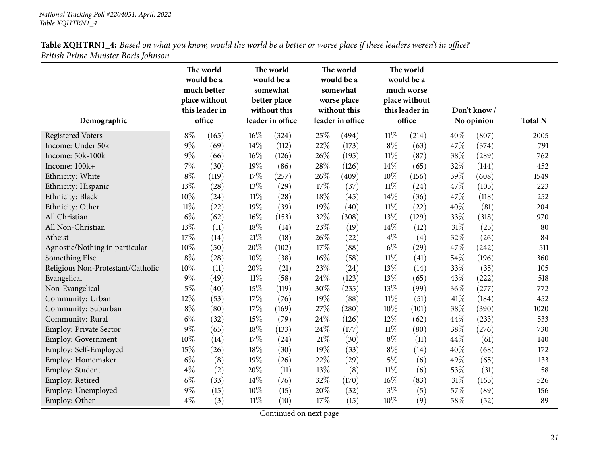|                                   | The world<br>would be a<br>much better<br>place without |                          |        | The world<br>would be a<br>somewhat<br>better place |     | The world<br>would be a<br>somewhat<br>worse place | The world<br>would be a<br>much worse<br>place without |                          |        |             |                |
|-----------------------------------|---------------------------------------------------------|--------------------------|--------|-----------------------------------------------------|-----|----------------------------------------------------|--------------------------------------------------------|--------------------------|--------|-------------|----------------|
|                                   |                                                         | this leader in<br>office |        | without this                                        |     | without this                                       |                                                        | this leader in<br>office |        | Don't know/ | <b>Total N</b> |
| Demographic                       |                                                         |                          |        | leader in office                                    |     | leader in office                                   |                                                        |                          |        | No opinion  |                |
| <b>Registered Voters</b>          | $8\%$                                                   | (165)                    | 16%    | (324)                                               | 25% | (494)                                              | $11\%$                                                 | (214)                    | 40%    | (807)       | 2005           |
| Income: Under 50k                 | $9\%$                                                   | (69)                     | 14\%   | (112)                                               | 22% | (173)                                              | $8\%$                                                  | (63)                     | 47%    | (374)       | 791            |
| Income: 50k-100k                  | $9\%$                                                   | (66)                     | $16\%$ | (126)                                               | 26% | (195)                                              | $11\%$                                                 | (87)                     | 38%    | (289)       | 762            |
| Income: 100k+                     | $7\%$                                                   | (30)                     | 19%    | (86)                                                | 28% | (126)                                              | 14%                                                    | (65)                     | 32%    | (144)       | 452            |
| Ethnicity: White                  | $8\%$                                                   | (119)                    | 17%    | (257)                                               | 26% | (409)                                              | $10\%$                                                 | (156)                    | 39%    | (608)       | 1549           |
| Ethnicity: Hispanic               | 13%                                                     | (28)                     | 13%    | (29)                                                | 17% | (37)                                               | $11\%$                                                 | (24)                     | 47%    | (105)       | 223            |
| Ethnicity: Black                  | $10\%$                                                  | (24)                     | $11\%$ | (28)                                                | 18% | (45)                                               | 14\%                                                   | (36)                     | 47%    | (118)       | 252            |
| Ethnicity: Other                  | $11\%$                                                  | (22)                     | 19%    | (39)                                                | 19% | (40)                                               | $11\%$                                                 | (22)                     | 40%    | (81)        | 204            |
| All Christian                     | $6\%$                                                   | (62)                     | $16\%$ | (153)                                               | 32% | (308)                                              | 13%                                                    | (129)                    | 33%    | (318)       | 970            |
| All Non-Christian                 | 13%                                                     | (11)                     | 18%    | (14)                                                | 23% | (19)                                               | 14\%                                                   | (12)                     | $31\%$ | (25)        | 80             |
| Atheist                           | 17%                                                     | (14)                     | $21\%$ | (18)                                                | 26% | (22)                                               | $4\%$                                                  | (4)                      | 32%    | (26)        | 84             |
| Agnostic/Nothing in particular    | 10%                                                     | (50)                     | 20%    | (102)                                               | 17% | (88)                                               | $6\%$                                                  | (29)                     | 47%    | (242)       | 511            |
| Something Else                    | $8\%$                                                   | (28)                     | 10%    | (38)                                                | 16% | (58)                                               | $11\%$                                                 | (41)                     | 54%    | (196)       | 360            |
| Religious Non-Protestant/Catholic | $10\%$                                                  | (11)                     | 20%    | (21)                                                | 23% | (24)                                               | 13%                                                    | (14)                     | 33%    | (35)        | 105            |
| Evangelical                       | $9\%$                                                   | (49)                     | $11\%$ | (58)                                                | 24% | (123)                                              | 13%                                                    | (65)                     | 43%    | (222)       | 518            |
| Non-Evangelical                   | $5\%$                                                   | (40)                     | 15%    | (119)                                               | 30% | (235)                                              | 13%                                                    | (99)                     | 36\%   | (277)       | 772            |
| Community: Urban                  | 12%                                                     | (53)                     | 17%    | (76)                                                | 19% | (88)                                               | $11\%$                                                 | (51)                     | 41\%   | (184)       | 452            |
| Community: Suburban               | $8\%$                                                   | (80)                     | 17%    | (169)                                               | 27% | $\left( 280\right)$                                | 10%                                                    | (101)                    | 38%    | (390)       | 1020           |
| Community: Rural                  | $6\%$                                                   | (32)                     | 15%    | (79)                                                | 24% | (126)                                              | 12%                                                    | (62)                     | 44%    | (233)       | 533            |
| <b>Employ: Private Sector</b>     | $9\%$                                                   | (65)                     | 18%    | (133)                                               | 24% | (177)                                              | $11\%$                                                 | (80)                     | 38%    | (276)       | 730            |
| Employ: Government                | 10%                                                     | (14)                     | 17%    | (24)                                                | 21% | (30)                                               | $8\%$                                                  | (11)                     | 44%    | (61)        | 140            |
| Employ: Self-Employed             | 15%                                                     | (26)                     | 18%    | (30)                                                | 19% | (33)                                               | $8\%$                                                  | (14)                     | 40%    | (68)        | 172            |
| Employ: Homemaker                 | $6\%$                                                   | (8)                      | 19%    | (26)                                                | 22% | (29)                                               | $5\%$                                                  | (6)                      | 49%    | (65)        | 133            |
| Employ: Student                   | $4\%$                                                   | (2)                      | 20%    | (11)                                                | 13% | (8)                                                | $11\%$                                                 | (6)                      | 53%    | (31)        | 58             |
| Employ: Retired                   | $6\%$                                                   | (33)                     | 14%    | (76)                                                | 32% | (170)                                              | 16%                                                    | (83)                     | $31\%$ | (165)       | 526            |
| Employ: Unemployed                | $9\%$                                                   | (15)                     | 10%    | (15)                                                | 20% | (32)                                               | $3\%$                                                  | (5)                      | 57%    | (89)        | 156            |
| Employ: Other                     | $4\%$                                                   | (3)                      | $11\%$ | (10)                                                | 17% | (15)                                               | 10%                                                    | (9)                      | 58%    | (52)        | 89             |

Table XQHTRN1\_4: Based on what you know, would the world be a better or worse place if these leaders weren't in office? *British Prime Minister Boris Johnson*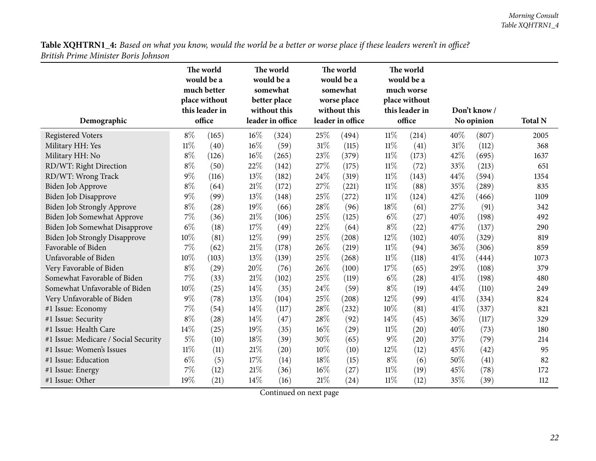| <b>Table XQHTRN1_4:</b> Based on what you know, would the world be a better or worse place if these leaders weren't in office? |  |
|--------------------------------------------------------------------------------------------------------------------------------|--|
| British Prime Minister Boris Johnson                                                                                           |  |

|                                      | The world<br>would be a<br>much better<br>place without<br>this leader in |        | The world<br>would be a<br>somewhat<br>better place<br>without this |                    |        | The world<br>would be a<br>somewhat<br>worse place<br>without this |        | The world<br>would be a<br>much worse<br>place without<br>this leader in |        | Don't know / |                |
|--------------------------------------|---------------------------------------------------------------------------|--------|---------------------------------------------------------------------|--------------------|--------|--------------------------------------------------------------------|--------|--------------------------------------------------------------------------|--------|--------------|----------------|
| Demographic                          |                                                                           | office |                                                                     | leader in office   |        | leader in office                                                   |        | office                                                                   |        | No opinion   | <b>Total N</b> |
| <b>Registered Voters</b>             | $8\%$                                                                     | (165)  | 16%                                                                 | (324)              | 25%    | (494)                                                              | $11\%$ | (214)                                                                    | 40%    | (807)        | 2005           |
| Military HH: Yes                     | $11\%$                                                                    | (40)   | 16%                                                                 | (59)               | 31%    | (115)                                                              | $11\%$ | (41)                                                                     | 31%    | (112)        | 368            |
| Military HH: No                      | $8\%$                                                                     | (126)  | 16%                                                                 | (265)              | 23%    | (379)                                                              | $11\%$ | (173)                                                                    | 42%    | (695)        | 1637           |
| RD/WT: Right Direction               | $8\%$                                                                     | (50)   | 22%                                                                 | (142)              | $27\%$ | (175)                                                              | $11\%$ | (72)                                                                     | 33%    | (213)        | 651            |
| RD/WT: Wrong Track                   | $9\%$                                                                     | (116)  | 13%                                                                 | (182)              | 24%    | (319)                                                              | $11\%$ | (143)                                                                    | 44%    | (594)        | 1354           |
| Biden Job Approve                    | $8\%$                                                                     | (64)   | 21%                                                                 | (172)              | 27%    | (221)                                                              | $11\%$ | (88)                                                                     | 35%    | (289)        | 835            |
| Biden Job Disapprove                 | $9\%$                                                                     | (99)   | 13%                                                                 | (148)              | 25%    | (272)                                                              | $11\%$ | (124)                                                                    | 42%    | (466)        | 1109           |
| Biden Job Strongly Approve           | $8\%$                                                                     | (28)   | 19%                                                                 | (66)               | 28%    | (96)                                                               | 18%    | (61)                                                                     | 27%    | (91)         | 342            |
| Biden Job Somewhat Approve           | $7\%$                                                                     | (36)   | 21%                                                                 | (106)              | 25%    | (125)                                                              | $6\%$  | (27)                                                                     | 40%    | (198)        | 492            |
| Biden Job Somewhat Disapprove        | $6\%$                                                                     | (18)   | 17%                                                                 | (49)               | $22\%$ | (64)                                                               | $8\%$  | (22)                                                                     | 47%    | (137)        | 290            |
| <b>Biden Job Strongly Disapprove</b> | 10%                                                                       | (81)   | 12%                                                                 | (99)               | 25%    | (208)                                                              | 12%    | (102)                                                                    | 40%    | (329)        | 819            |
| Favorable of Biden                   | 7%                                                                        | (62)   | 21\%                                                                | (178)              | 26%    | (219)                                                              | $11\%$ | (94)                                                                     | 36%    | (306)        | 859            |
| Unfavorable of Biden                 | 10%                                                                       | (103)  | 13%                                                                 | (139)              | 25%    | (268)                                                              | $11\%$ | (118)                                                                    | 41%    | (444)        | 1073           |
| Very Favorable of Biden              | $8\%$                                                                     | (29)   | 20%                                                                 | (76)               | 26%    | (100)                                                              | 17%    | (65)                                                                     | 29%    | (108)        | 379            |
| Somewhat Favorable of Biden          | 7%                                                                        | (33)   | 21%                                                                 | (102)              | 25%    | (119)                                                              | $6\%$  | (28)                                                                     | 41\%   | (198)        | 480            |
| Somewhat Unfavorable of Biden        | 10%                                                                       | (25)   | 14%                                                                 | (35)               | 24%    | (59)                                                               | $8\%$  | (19)                                                                     | 44%    | (110)        | 249            |
| Very Unfavorable of Biden            | $9\%$                                                                     | (78)   | 13%                                                                 | (104)              | 25%    | (208)                                                              | 12%    | (99)                                                                     | $41\%$ | (334)        | 824            |
| #1 Issue: Economy                    | 7%                                                                        | (54)   | 14%                                                                 | (117)              | 28%    | (232)                                                              | $10\%$ | (81)                                                                     | 41%    | (337)        | 821            |
| #1 Issue: Security                   | $8\%$                                                                     | (28)   | 14%                                                                 | (47)               | 28%    | (92)                                                               | 14%    | (45)                                                                     | 36%    | (117)        | 329            |
| #1 Issue: Health Care                | 14%                                                                       | (25)   | 19%                                                                 | (35)               | 16%    | (29)                                                               | $11\%$ | (20)                                                                     | 40%    | (73)         | 180            |
| #1 Issue: Medicare / Social Security | $5\%$                                                                     | (10)   | 18%                                                                 | (39)               | 30%    | (65)                                                               | $9\%$  | (20)                                                                     | 37%    | (79)         | 214            |
| #1 Issue: Women's Issues             | $11\%$                                                                    | (11)   | 21%                                                                 | $\left( 20\right)$ | 10%    | (10)                                                               | 12%    | (12)                                                                     | 45%    | (42)         | 95             |
| #1 Issue: Education                  | $6\%$                                                                     | (5)    | 17%                                                                 | (14)               | 18%    | (15)                                                               | $8\%$  | (6)                                                                      | 50%    | (41)         | 82             |
| #1 Issue: Energy                     | $7\%$                                                                     | (12)   | 21%                                                                 | (36)               | 16%    | (27)                                                               | $11\%$ | (19)                                                                     | 45%    | (78)         | 172            |
| #1 Issue: Other                      | 19%                                                                       | (21)   | 14%                                                                 | (16)               | 21%    | (24)                                                               | $11\%$ | (12)                                                                     | 35%    | (39)         | 112            |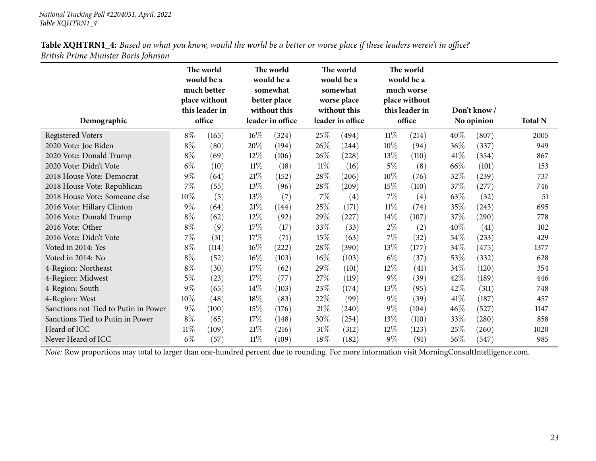| Demographic                          | The world<br>would be a<br>much better<br>place without<br>this leader in<br>office |       | The world<br>would be a<br>somewhat<br>better place<br>without this<br>leader in office |       |        | The world<br>would be a<br>somewhat<br>worse place<br>without this<br>leader in office |        | The world<br>would be a<br>much worse<br>place without<br>this leader in<br>office |      | Don't know /<br>No opinion | <b>Total N</b> |
|--------------------------------------|-------------------------------------------------------------------------------------|-------|-----------------------------------------------------------------------------------------|-------|--------|----------------------------------------------------------------------------------------|--------|------------------------------------------------------------------------------------|------|----------------------------|----------------|
| <b>Registered Voters</b>             | $8\%$                                                                               | (165) | $16\%$                                                                                  | (324) | 25\%   | (494)                                                                                  | 11%    | (214)                                                                              | 40\% | (807)                      | 2005           |
| 2020 Vote: Joe Biden                 | $8\%$                                                                               | (80)  | 20%                                                                                     | (194) | 26%    | $^{(244)}$                                                                             | 10%    | (94)                                                                               | 36%  | (337)                      | 949            |
| 2020 Vote: Donald Trump              | $8\%$                                                                               | (69)  | $12\%$                                                                                  | (106) | 26\%   | (228)                                                                                  | 13%    | (110)                                                                              | 41\% | (354)                      | 867            |
| 2020 Vote: Didn't Vote               | $6\%$                                                                               | (10)  | $11\%$                                                                                  | (18)  | 11%    | (16)                                                                                   | $5\%$  | (8)                                                                                | 66\% | (101)                      | 153            |
| 2018 House Vote: Democrat            | $9\%$                                                                               | (64)  | 21%                                                                                     | (152) | 28\%   | $^{'}206)$                                                                             | 10%    | (76)                                                                               | 32\% | (239)                      | 737            |
| 2018 House Vote: Republican          | $7\%$                                                                               | (55)  | 13%                                                                                     | (96)  | 28\%   | (209)                                                                                  | 15%    | (110)                                                                              | 37\% | (277)                      | 746            |
| 2018 House Vote: Someone else        | 10%                                                                                 | (5)   | 13%                                                                                     | (7)   | $7\%$  | (4)                                                                                    | 7%     | (4)                                                                                | 63\% | (32)                       | 51             |
| 2016 Vote: Hillary Clinton           | $9\%$                                                                               | (64)  | 21%                                                                                     | (144) | 25%    | (171)                                                                                  | 11%    | (74)                                                                               | 35%  | (243)                      | 695            |
| 2016 Vote: Donald Trump              | $8\%$                                                                               | (62)  | $12\%$                                                                                  | (92)  | 29%    | (227)                                                                                  | $14\%$ | (107)                                                                              | 37\% | (290)                      | 778            |
| 2016 Vote: Other                     | $8\%$                                                                               | (9)   | 17%                                                                                     | (17)  | 33%    | (33)                                                                                   | $2\%$  | (2)                                                                                | 40%  | (41)                       | 102            |
| 2016 Vote: Didn't Vote               | $7\%$                                                                               | (31)  | 17\%                                                                                    | (71)  | 15%    | (63)                                                                                   | 7%     | (32)                                                                               | 54%  | (233)                      | 429            |
| Voted in 2014: Yes                   | $8\%$                                                                               | (114) | 16%                                                                                     | (222) | 28\%   | (390)                                                                                  | 13%    | (177)                                                                              | 34\% | (475)                      | 1377           |
| Voted in 2014: No                    | $8\%$                                                                               | (52)  | $16\%$                                                                                  | (103) | 16%    | (103)                                                                                  | $6\%$  | (37)                                                                               | 53%  | (332)                      | 628            |
| 4-Region: Northeast                  | $8\%$                                                                               | (30)  | 17%                                                                                     | (62)  | 29%    | (101)                                                                                  | $12\%$ | (41)                                                                               | 34\% | (120)                      | 354            |
| 4-Region: Midwest                    | $5\%$                                                                               | (23)  | 17%                                                                                     | (77)  | 27%    | (119)                                                                                  | $9\%$  | (39)                                                                               | 42%  | (189)                      | 446            |
| 4-Region: South                      | $9\%$                                                                               | (65)  | $14\%$                                                                                  | (103) | 23\%   | (174)                                                                                  | 13%    | (95)                                                                               | 42\% | (311)                      | 748            |
| 4-Region: West                       | 10%                                                                                 | (48)  | 18%                                                                                     | (83)  | 22%    | (99)                                                                                   | $9\%$  | (39)                                                                               | 41\% | (187)                      | 457            |
| Sanctions not Tied to Putin in Power | $9\%$                                                                               | (100) | 15%                                                                                     | (176) | $21\%$ | (240)                                                                                  | $9\%$  | (104)                                                                              | 46%  | (527)                      | 1147           |
| Sanctions Tied to Putin in Power     | $8\%$                                                                               | (65)  | 17%                                                                                     | (148) | 30%    | (254)                                                                                  | 13%    | (110)                                                                              | 33%  | $\left( 280\right)$        | 858            |
| Heard of ICC                         | $11\%$                                                                              | (109) | 21%                                                                                     | (216) | 31%    | (312)                                                                                  | 12%    | (123)                                                                              | 25%  | (260)                      | 1020           |
| Never Heard of ICC                   | $6\%$                                                                               | (57)  | $11\%$                                                                                  | (109) | 18%    | (182)                                                                                  | $9\%$  | (91)                                                                               | 56\% | (547)                      | 985            |

Table XQHTRN1\_4: Based on what you know, would the world be a better or worse place if these leaders weren't in office? *British Prime Minister Boris Johnson*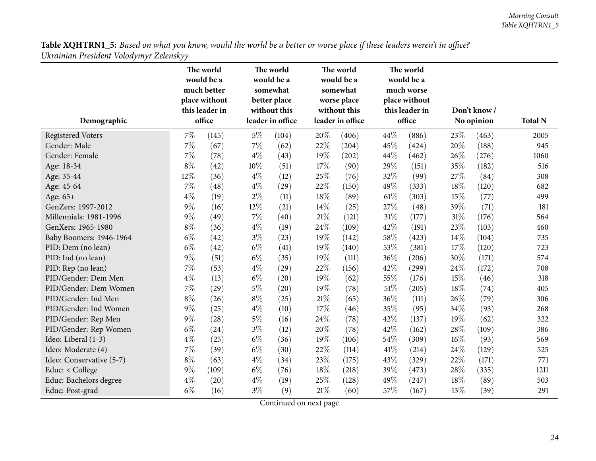<span id="page-23-0"></span>

|                          | The world<br>would be a<br>much better<br>place without<br>this leader in |        |       | The world<br>would be a<br>somewhat<br>better place<br>without this |        | The world<br>would be a<br>somewhat<br>worse place<br>without this |      | The world<br>would be a<br>much worse<br>place without<br>this leader in |     | Don't know/ | <b>Total N</b> |
|--------------------------|---------------------------------------------------------------------------|--------|-------|---------------------------------------------------------------------|--------|--------------------------------------------------------------------|------|--------------------------------------------------------------------------|-----|-------------|----------------|
| Demographic              |                                                                           | office |       | leader in office                                                    |        | leader in office                                                   |      | office                                                                   |     | No opinion  |                |
| <b>Registered Voters</b> | $7\%$                                                                     | (145)  | $5\%$ | (104)                                                               | 20%    | (406)                                                              | 44%  | (886)                                                                    | 23% | (463)       | 2005           |
| Gender: Male             | $7\%$                                                                     | (67)   | 7%    | (62)                                                                | 22%    | (204)                                                              | 45%  | (424)                                                                    | 20% | (188)       | 945            |
| Gender: Female           | $7\%$                                                                     | (78)   | $4\%$ | (43)                                                                | 19%    | (202)                                                              | 44%  | (462)                                                                    | 26% | (276)       | 1060           |
| Age: 18-34               | $8\%$                                                                     | (42)   | 10%   | (51)                                                                | 17%    | (90)                                                               | 29%  | (151)                                                                    | 35% | (182)       | 516            |
| Age: 35-44               | 12%                                                                       | (36)   | $4\%$ | (12)                                                                | 25%    | (76)                                                               | 32%  | (99)                                                                     | 27% | (84)        | 308            |
| Age: 45-64               | $7\%$                                                                     | (48)   | $4\%$ | (29)                                                                | 22%    | (150)                                                              | 49%  | (333)                                                                    | 18% | (120)       | 682            |
| Age: 65+                 | $4\%$                                                                     | (19)   | $2\%$ | (11)                                                                | 18%    | (89)                                                               | 61\% | (303)                                                                    | 15% | (77)        | 499            |
| GenZers: 1997-2012       | $9\%$                                                                     | (16)   | 12%   | (21)                                                                | 14%    | (25)                                                               | 27%  | (48)                                                                     | 39% | (71)        | 181            |
| Millennials: 1981-1996   | $9\%$                                                                     | (49)   | $7\%$ | (40)                                                                | $21\%$ | (121)                                                              | 31%  | (177)                                                                    | 31% | (176)       | 564            |
| GenXers: 1965-1980       | $8\%$                                                                     | (36)   | $4\%$ | (19)                                                                | 24\%   | (109)                                                              | 42%  | (191)                                                                    | 23% | (103)       | 460            |
| Baby Boomers: 1946-1964  | $6\%$                                                                     | (42)   | $3\%$ | (23)                                                                | 19%    | (142)                                                              | 58%  | (423)                                                                    | 14% | (104)       | 735            |
| PID: Dem (no lean)       | $6\%$                                                                     | (42)   | $6\%$ | (41)                                                                | 19%    | (140)                                                              | 53%  | (381)                                                                    | 17% | (120)       | 723            |
| PID: Ind (no lean)       | $9\%$                                                                     | (51)   | $6\%$ | (35)                                                                | 19%    | (111)                                                              | 36%  | (206)                                                                    | 30% | (171)       | 574            |
| PID: Rep (no lean)       | $7\%$                                                                     | (53)   | $4\%$ | (29)                                                                | 22%    | (156)                                                              | 42%  | (299)                                                                    | 24% | (172)       | 708            |
| PID/Gender: Dem Men      | $4\%$                                                                     | (13)   | $6\%$ | (20)                                                                | 19%    | (62)                                                               | 55%  | (176)                                                                    | 15% | (46)        | 318            |
| PID/Gender: Dem Women    | $7\%$                                                                     | (29)   | $5\%$ | (20)                                                                | 19%    | (78)                                                               | 51%  | (205)                                                                    | 18% | (74)        | 405            |
| PID/Gender: Ind Men      | $8\%$                                                                     | (26)   | $8\%$ | (25)                                                                | $21\%$ | (65)                                                               | 36%  | (111)                                                                    | 26% | (79)        | 306            |
| PID/Gender: Ind Women    | $9\%$                                                                     | (25)   | $4\%$ | (10)                                                                | 17%    | (46)                                                               | 35%  | (95)                                                                     | 34% | (93)        | 268            |
| PID/Gender: Rep Men      | $9\%$                                                                     | (28)   | $5\%$ | (16)                                                                | 24\%   | (78)                                                               | 42%  | (137)                                                                    | 19% | (62)        | 322            |
| PID/Gender: Rep Women    | $6\%$                                                                     | (24)   | $3\%$ | (12)                                                                | 20%    | (78)                                                               | 42%  | (162)                                                                    | 28% | (109)       | 386            |
| Ideo: Liberal (1-3)      | $4\%$                                                                     | (25)   | $6\%$ | (36)                                                                | 19%    | (106)                                                              | 54%  | (309)                                                                    | 16% | (93)        | 569            |
| Ideo: Moderate (4)       | $7\%$                                                                     | (39)   | $6\%$ | (30)                                                                | 22%    | (114)                                                              | 41\% | (214)                                                                    | 24% | (129)       | 525            |
| Ideo: Conservative (5-7) | $8\%$                                                                     | (63)   | $4\%$ | (34)                                                                | 23%    | (175)                                                              | 43%  | (329)                                                                    | 22% | (171)       | 771            |
| Educ: < College          | $9\%$                                                                     | (109)  | $6\%$ | (76)                                                                | 18%    | (218)                                                              | 39%  | (473)                                                                    | 28% | (335)       | 1211           |
| Educ: Bachelors degree   | $4\%$                                                                     | (20)   | $4\%$ | (19)                                                                | 25%    | (128)                                                              | 49%  | (247)                                                                    | 18% | (89)        | 503            |
| Educ: Post-grad          | $6\%$                                                                     | (16)   | $3\%$ | (9)                                                                 | 21%    | (60)                                                               | 57\% | (167)                                                                    | 13% | (39)        | 291            |

Table XQHTRN1\_5: Based on what you know, would the world be a better or worse place if these leaders weren't in office? *Ukrainian President Volodymyr Zelenskyy*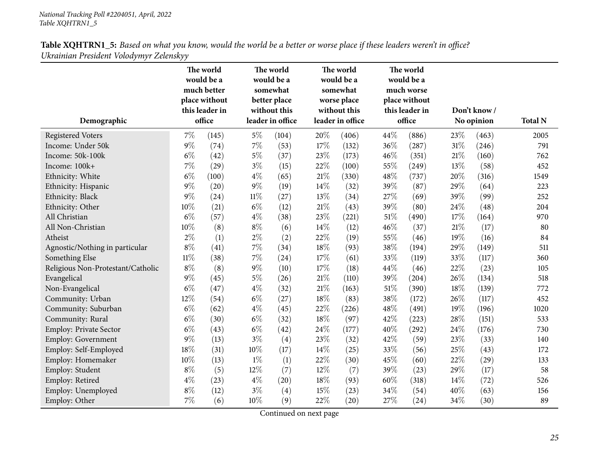|                                   | The world<br>would be a<br>much better<br>place without<br>this leader in |        |        | The world<br>would be a<br>somewhat<br>better place<br>without this |        | The world<br>would be a<br>somewhat<br>worse place<br>without this |     | The world<br>would be a<br>much worse<br>place without<br>this leader in |     | Don't know/ |                |
|-----------------------------------|---------------------------------------------------------------------------|--------|--------|---------------------------------------------------------------------|--------|--------------------------------------------------------------------|-----|--------------------------------------------------------------------------|-----|-------------|----------------|
| Demographic                       |                                                                           | office |        | leader in office                                                    |        | leader in office                                                   |     | office                                                                   |     | No opinion  | <b>Total N</b> |
| <b>Registered Voters</b>          | 7%                                                                        | (145)  | $5\%$  | (104)                                                               | $20\%$ | (406)                                                              | 44% | (886)                                                                    | 23% | (463)       | 2005           |
| Income: Under 50k                 | $9\%$                                                                     | (74)   | $7\%$  | (53)                                                                | 17%    | (132)                                                              | 36% | (287)                                                                    | 31% | (246)       | 791            |
| Income: 50k-100k                  | $6\%$                                                                     | (42)   | $5\%$  | (37)                                                                | 23%    | (173)                                                              | 46% | (351)                                                                    | 21% | (160)       | 762            |
| Income: 100k+                     | 7%                                                                        | (29)   | $3\%$  | (15)                                                                | 22%    | (100)                                                              | 55% | (249)                                                                    | 13% | (58)        | 452            |
| Ethnicity: White                  | $6\%$                                                                     | (100)  | $4\%$  | (65)                                                                | 21%    | (330)                                                              | 48% | (737)                                                                    | 20% | (316)       | 1549           |
| Ethnicity: Hispanic               | $9\%$                                                                     | (20)   | $9\%$  | (19)                                                                | 14%    | (32)                                                               | 39% | (87)                                                                     | 29% | (64)        | 223            |
| Ethnicity: Black                  | 9%                                                                        | (24)   | $11\%$ | (27)                                                                | 13%    | (34)                                                               | 27% | (69)                                                                     | 39% | (99)        | 252            |
| Ethnicity: Other                  | 10%                                                                       | (21)   | $6\%$  | (12)                                                                | 21\%   | (43)                                                               | 39% | (80)                                                                     | 24% | (48)        | 204            |
| All Christian                     | $6\%$                                                                     | (57)   | $4\%$  | (38)                                                                | 23%    | (221)                                                              | 51% | (490)                                                                    | 17% | (164)       | 970            |
| All Non-Christian                 | 10%                                                                       | (8)    | $8\%$  | (6)                                                                 | 14%    | (12)                                                               | 46% | (37)                                                                     | 21% | (17)        | 80             |
| Atheist                           | $2\%$                                                                     | (1)    | $2\%$  | (2)                                                                 | 22%    | (19)                                                               | 55% | (46)                                                                     | 19% | (16)        | 84             |
| Agnostic/Nothing in particular    | $8\%$                                                                     | (41)   | $7\%$  | (34)                                                                | 18%    | (93)                                                               | 38% | (194)                                                                    | 29% | (149)       | 511            |
| Something Else                    | $11\%$                                                                    | (38)   | $7\%$  | (24)                                                                | 17%    | (61)                                                               | 33% | (119)                                                                    | 33% | (117)       | 360            |
| Religious Non-Protestant/Catholic | $8\%$                                                                     | (8)    | $9\%$  | (10)                                                                | 17%    | (18)                                                               | 44% | (46)                                                                     | 22% | (23)        | 105            |
| Evangelical                       | 9%                                                                        | (45)   | $5\%$  | (26)                                                                | 21%    | (110)                                                              | 39% | (204)                                                                    | 26% | (134)       | 518            |
| Non-Evangelical                   | $6\%$                                                                     | (47)   | $4\%$  | (32)                                                                | 21\%   | (163)                                                              | 51% | (390)                                                                    | 18% | (139)       | 772            |
| Community: Urban                  | 12%                                                                       | (54)   | $6\%$  | (27)                                                                | 18%    | (83)                                                               | 38% | (172)                                                                    | 26% | (117)       | 452            |
| Community: Suburban               | $6\%$                                                                     | (62)   | $4\%$  | (45)                                                                | 22%    | (226)                                                              | 48% | (491)                                                                    | 19% | (196)       | 1020           |
| Community: Rural                  | $6\%$                                                                     | (30)   | $6\%$  | (32)                                                                | 18%    | (97)                                                               | 42% | (223)                                                                    | 28% | (151)       | 533            |
| <b>Employ: Private Sector</b>     | $6\%$                                                                     | (43)   | $6\%$  | (42)                                                                | 24%    | (177)                                                              | 40% | (292)                                                                    | 24% | (176)       | 730            |
| <b>Employ: Government</b>         | 9%                                                                        | (13)   | $3\%$  | (4)                                                                 | 23%    | (32)                                                               | 42% | (59)                                                                     | 23% | (33)        | 140            |
| Employ: Self-Employed             | 18%                                                                       | (31)   | 10%    | (17)                                                                | 14%    | (25)                                                               | 33% | (56)                                                                     | 25% | (43)        | 172            |
| Employ: Homemaker                 | 10%                                                                       | (13)   | $1\%$  | (1)                                                                 | 22%    | (30)                                                               | 45% | (60)                                                                     | 22% | (29)        | 133            |
| Employ: Student                   | $8\%$                                                                     | (5)    | 12%    | (7)                                                                 | 12%    | (7)                                                                | 39% | (23)                                                                     | 29% | (17)        | 58             |
| Employ: Retired                   | $4\%$                                                                     | (23)   | $4\%$  | (20)                                                                | 18%    | (93)                                                               | 60% | (318)                                                                    | 14% | (72)        | 526            |
| Employ: Unemployed                | $8\%$                                                                     | (12)   | $3\%$  | (4)                                                                 | 15%    | (23)                                                               | 34% | (54)                                                                     | 40% | (63)        | 156            |
| Employ: Other                     | 7%                                                                        | (6)    | 10%    | (9)                                                                 | 22%    | (20)                                                               | 27% | (24)                                                                     | 34% | (30)        | 89             |

Table XQHTRN1\_5: Based on what you know, would the world be a better or worse place if these leaders weren't in office? *Ukrainian President Volodymyr Zelenskyy*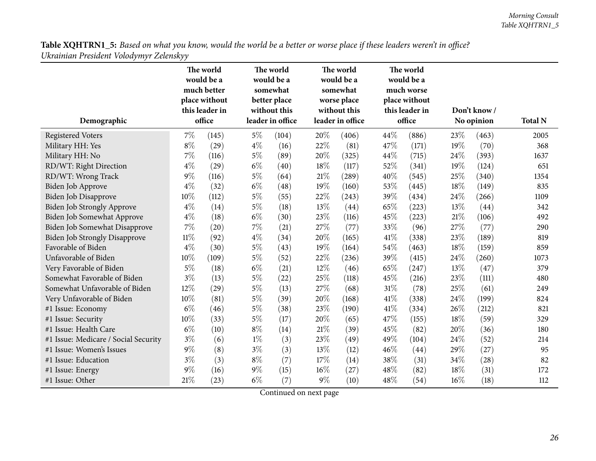|                                      | The world<br>would be a<br>much better<br>place without<br>this leader in<br>office |       |       | The world<br>would be a<br>somewhat<br>better place<br>without this |        | The world<br>would be a<br>somewhat<br>worse place<br>without this<br>leader in office |      | The world<br>would be a<br>much worse<br>place without<br>this leader in<br>office |     | Don't know/ |                |
|--------------------------------------|-------------------------------------------------------------------------------------|-------|-------|---------------------------------------------------------------------|--------|----------------------------------------------------------------------------------------|------|------------------------------------------------------------------------------------|-----|-------------|----------------|
| Demographic                          |                                                                                     |       |       | leader in office                                                    |        |                                                                                        |      |                                                                                    |     | No opinion  | <b>Total N</b> |
| <b>Registered Voters</b>             | $7\%$                                                                               | (145) | $5\%$ | (104)                                                               | 20%    | (406)                                                                                  | 44%  | (886)                                                                              | 23% | (463)       | 2005           |
| Military HH: Yes                     | $8\%$                                                                               | (29)  | $4\%$ | (16)                                                                | 22%    | (81)                                                                                   | 47%  | (171)                                                                              | 19% | (70)        | 368            |
| Military HH: No                      | $7\%$                                                                               | (116) | $5\%$ | (89)                                                                | 20%    | (325)                                                                                  | 44%  | (715)                                                                              | 24% | (393)       | 1637           |
| RD/WT: Right Direction               | $4\%$                                                                               | (29)  | $6\%$ | (40)                                                                | 18%    | (117)                                                                                  | 52%  | (341)                                                                              | 19% | (124)       | 651            |
| RD/WT: Wrong Track                   | $9\%$                                                                               | (116) | $5\%$ | (64)                                                                | $21\%$ | (289)                                                                                  | 40%  | (545)                                                                              | 25% | (340)       | 1354           |
| <b>Biden Job Approve</b>             | $4\%$                                                                               | (32)  | $6\%$ | (48)                                                                | 19%    | (160)                                                                                  | 53%  | (445)                                                                              | 18% | (149)       | 835            |
| Biden Job Disapprove                 | 10%                                                                                 | (112) | $5\%$ | (55)                                                                | 22%    | (243)                                                                                  | 39%  | (434)                                                                              | 24% | (266)       | 1109           |
| Biden Job Strongly Approve           | $4\%$                                                                               | (14)  | $5\%$ | (18)                                                                | 13%    | (44)                                                                                   | 65%  | (223)                                                                              | 13% | (44)        | 342            |
| Biden Job Somewhat Approve           | $4\%$                                                                               | (18)  | $6\%$ | (30)                                                                | 23%    | (116)                                                                                  | 45%  | (223)                                                                              | 21% | (106)       | 492            |
| Biden Job Somewhat Disapprove        | $7\%$                                                                               | (20)  | 7%    | (21)                                                                | 27\%   | (77)                                                                                   | 33%  | (96)                                                                               | 27% | (77)        | 290            |
| <b>Biden Job Strongly Disapprove</b> | $11\%$                                                                              | (92)  | $4\%$ | (34)                                                                | 20%    | (165)                                                                                  | 41\% | (338)                                                                              | 23% | (189)       | 819            |
| Favorable of Biden                   | $4\%$                                                                               | (30)  | $5\%$ | (43)                                                                | 19%    | (164)                                                                                  | 54%  | (463)                                                                              | 18% | (159)       | 859            |
| Unfavorable of Biden                 | 10%                                                                                 | (109) | $5\%$ | (52)                                                                | 22%    | (236)                                                                                  | 39%  | (415)                                                                              | 24% | (260)       | 1073           |
| Very Favorable of Biden              | $5\%$                                                                               | (18)  | $6\%$ | (21)                                                                | $12\%$ | (46)                                                                                   | 65%  | (247)                                                                              | 13% | (47)        | 379            |
| Somewhat Favorable of Biden          | $3\%$                                                                               | (13)  | $5\%$ | (22)                                                                | 25%    | (118)                                                                                  | 45%  | (216)                                                                              | 23% | (111)       | 480            |
| Somewhat Unfavorable of Biden        | 12%                                                                                 | (29)  | $5\%$ | (13)                                                                | 27%    | (68)                                                                                   | 31%  | (78)                                                                               | 25% | (61)        | 249            |
| Very Unfavorable of Biden            | 10%                                                                                 | (81)  | $5\%$ | (39)                                                                | 20%    | (168)                                                                                  | 41\% | (338)                                                                              | 24% | (199)       | 824            |
| #1 Issue: Economy                    | $6\%$                                                                               | (46)  | $5\%$ | (38)                                                                | 23%    | (190)                                                                                  | 41\% | (334)                                                                              | 26% | (212)       | 821            |
| #1 Issue: Security                   | 10%                                                                                 | (33)  | $5\%$ | (17)                                                                | 20%    | (65)                                                                                   | 47%  | (155)                                                                              | 18% | (59)        | 329            |
| #1 Issue: Health Care                | $6\%$                                                                               | (10)  | $8\%$ | (14)                                                                | 21%    | (39)                                                                                   | 45%  | (82)                                                                               | 20% | (36)        | 180            |
| #1 Issue: Medicare / Social Security | $3\%$                                                                               | (6)   | $1\%$ | (3)                                                                 | 23%    | (49)                                                                                   | 49%  | (104)                                                                              | 24% | (52)        | 214            |
| #1 Issue: Women's Issues             | $9\%$                                                                               | (8)   | $3\%$ | (3)                                                                 | 13%    | (12)                                                                                   | 46%  | (44)                                                                               | 29% | (27)        | 95             |
| #1 Issue: Education                  | $3\%$                                                                               | (3)   | $8\%$ | (7)                                                                 | 17%    | (14)                                                                                   | 38%  | (31)                                                                               | 34% | (28)        | 82             |
| #1 Issue: Energy                     | 9%                                                                                  | (16)  | 9%    | (15)                                                                | $16\%$ | (27)                                                                                   | 48%  | (82)                                                                               | 18% | (31)        | 172            |
| #1 Issue: Other                      | 21%                                                                                 | (23)  | $6\%$ | (7)                                                                 | $9\%$  | (10)                                                                                   | 48%  | (54)                                                                               | 16% | (18)        | 112            |

Table XQHTRN1\_5: Based on what you know, would the world be a better or worse place if these leaders weren't in office? *Ukrainian President Volodymyr Zelenskyy*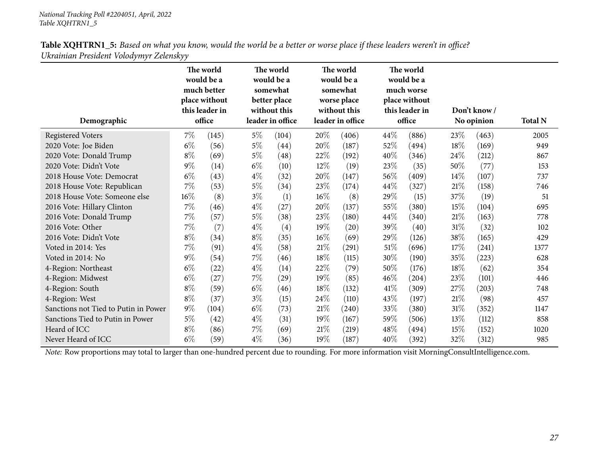| Demographic                          | The world<br>would be a<br>much better<br>place without<br>this leader in<br>office |       | The world<br>would be a<br>somewhat<br>better place<br>without this<br>leader in office |                    |      | The world<br>would be a<br>somewhat<br>worse place<br>without this<br>leader in office |        | The world<br>would be a<br>much worse<br>place without<br>this leader in<br>office |        | Don't know/<br>No opinion | <b>Total N</b> |
|--------------------------------------|-------------------------------------------------------------------------------------|-------|-----------------------------------------------------------------------------------------|--------------------|------|----------------------------------------------------------------------------------------|--------|------------------------------------------------------------------------------------|--------|---------------------------|----------------|
| Registered Voters                    | $7\%$                                                                               | (145) | $5\%$                                                                                   | (104)              | 20%  | (406)                                                                                  | 44%    | (886)                                                                              | 23\%   | (463)                     | 2005           |
| 2020 Vote: Joe Biden                 | $6\%$                                                                               | (56)  | $5\%$                                                                                   | (44)               | 20%  | (187)                                                                                  | 52%    | (494)                                                                              | 18%    | (169)                     | 949            |
| 2020 Vote: Donald Trump              | $8\%$                                                                               | (69)  | $5\%$                                                                                   | (48)               | 22%  | (192)                                                                                  | 40%    | (346)                                                                              | 24%    | (212)                     | 867            |
| 2020 Vote: Didn't Vote               | $9\%$                                                                               | (14)  | $6\%$                                                                                   | (10)               | 12%  | (19)                                                                                   | 23%    | (35)                                                                               | 50\%   | (77)                      | 153            |
| 2018 House Vote: Democrat            | $6\%$                                                                               | (43)  | $4\%$                                                                                   | (32)               | 20%  | (147)                                                                                  | $56\%$ | (409)                                                                              | $14\%$ | (107)                     | 737            |
| 2018 House Vote: Republican          | $7\%$                                                                               | (53)  | $5\%$                                                                                   | (34)               | 23%  | (174)                                                                                  | 44%    | (327)                                                                              | 21\%   | (158)                     | 746            |
| 2018 House Vote: Someone else        | 16%                                                                                 | (8)   | $3\%$                                                                                   | (1)                | 16%  | (8)                                                                                    | 29%    | (15)                                                                               | 37\%   | (19)                      | 51             |
| 2016 Vote: Hillary Clinton           | $7\%$                                                                               | (46)  | $4\%$                                                                                   | (27)               | 20%  | (137)                                                                                  | 55%    | (380)                                                                              | 15%    | (104)                     | 695            |
| 2016 Vote: Donald Trump              | $7\%$                                                                               | (57)  | $5\%$                                                                                   | (38)               | 23%  | (180)                                                                                  | 44%    | (340)                                                                              | 21\%   | (163)                     | 778            |
| 2016 Vote: Other                     | $7\%$                                                                               | (7)   | $4\%$                                                                                   | $\left( 4\right)$  | 19%  | (20)                                                                                   | 39%    | (40)                                                                               | $31\%$ | (32)                      | 102            |
| 2016 Vote: Didn't Vote               | $8\%$                                                                               | (34)  | $8\%$                                                                                   | (35)               | 16%  | (69)                                                                                   | 29%    | (126)                                                                              | 38%    | (165)                     | 429            |
| Voted in 2014: Yes                   | 7%                                                                                  | (91)  | $4\%$                                                                                   | (58)               | 21%  | (291)                                                                                  | 51\%   | (696)                                                                              | 17%    | (241)                     | 1377           |
| Voted in 2014: No                    | $9\%$                                                                               | (54)  | 7%                                                                                      | (46)               | 18%  | (115)                                                                                  | 30%    | (190)                                                                              | 35\%   | (223)                     | 628            |
| 4-Region: Northeast                  | $6\%$                                                                               | (22)  | $4\%$                                                                                   | (14)               | 22%  | (79)                                                                                   | 50%    | (176)                                                                              | 18%    | (62)                      | 354            |
| 4-Region: Midwest                    | $6\%$                                                                               | (27)  | $7\%$                                                                                   | $\left( 29\right)$ | 19%  | (85)                                                                                   | 46%    | (204)                                                                              | 23%    | (101)                     | 446            |
| 4-Region: South                      | $8\%$                                                                               | (59)  | $6\%$                                                                                   | (46)               | 18%  | (132)                                                                                  | 41\%   | (309)                                                                              | 27\%   | (203)                     | 748            |
| 4-Region: West                       | $8\%$                                                                               | (37)  | $3\%$                                                                                   | (15)               | 24\% | (110)                                                                                  | 43%    | (197)                                                                              | 21\%   | (98)                      | 457            |
| Sanctions not Tied to Putin in Power | $9\%$                                                                               | (104) | $6\%$                                                                                   | (73)               | 21%  | (240)                                                                                  | 33%    | (380)                                                                              | $31\%$ | (352)                     | 1147           |
| Sanctions Tied to Putin in Power     | $5\%$                                                                               | (42)  | $4\%$                                                                                   | (31)               | 19%  | (167)                                                                                  | 59%    | (506)                                                                              | 13\%   | (112)                     | 858            |
| Heard of ICC                         | $8\%$                                                                               | (86)  | 7%                                                                                      | (69)               | 21%  | (219)                                                                                  | 48%    | (494)                                                                              | 15%    | (152)                     | 1020           |
| Never Heard of ICC                   | $6\%$                                                                               | (59)  | $4\%$                                                                                   | (36)               | 19%  | (187)                                                                                  | 40%    | (392)                                                                              | 32%    | (312)                     | 985            |

Table XQHTRN1\_5: Based on what you know, would the world be a better or worse place if these leaders weren't in office? *Ukrainian President Volodymyr Zelenskyy*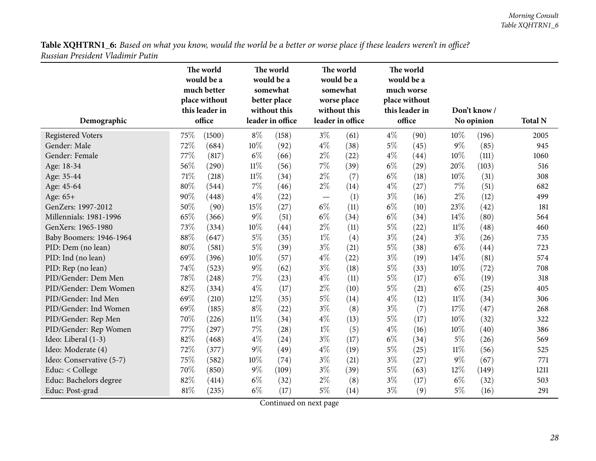| <b>Table XQHTRN1_6:</b> Based on what you know, would the world be a better or worse place if these leaders weren't in office? |  |
|--------------------------------------------------------------------------------------------------------------------------------|--|
| Russian President Vladimir Putin                                                                                               |  |

<span id="page-27-0"></span>

|                          |     | The world<br>would be a<br>much better<br>place without<br>this leader in | The world<br>would be a<br>somewhat<br>better place<br>without this |       | The world<br>would be a<br>somewhat<br>worse place<br>without this |      | The world<br>would be a<br>much worse<br>place without<br>this leader in |      |            | Don't know / |                |
|--------------------------|-----|---------------------------------------------------------------------------|---------------------------------------------------------------------|-------|--------------------------------------------------------------------|------|--------------------------------------------------------------------------|------|------------|--------------|----------------|
| Demographic              |     | office                                                                    | leader in office                                                    |       | leader in office                                                   |      | office                                                                   |      | No opinion |              | <b>Total N</b> |
| <b>Registered Voters</b> | 75% | (1500)                                                                    | $8\%$                                                               | (158) | $3\%$                                                              | (61) | $4\%$                                                                    | (90) | $10\%$     | (196)        | 2005           |
| Gender: Male             | 72% | (684)                                                                     | 10%                                                                 | (92)  | $4\%$                                                              | (38) | $5\%$                                                                    | (45) | $9\%$      | (85)         | 945            |
| Gender: Female           | 77% | (817)                                                                     | $6\%$                                                               | (66)  | $2\%$                                                              | (22) | $4\%$                                                                    | (44) | 10%        | (111)        | 1060           |
| Age: 18-34               | 56% | (290)                                                                     | $11\%$                                                              | (56)  | 7%                                                                 | (39) | $6\%$                                                                    | (29) | 20%        | (103)        | 516            |
| Age: 35-44               | 71% | (218)                                                                     | $11\%$                                                              | (34)  | 2%                                                                 | (7)  | $6\%$                                                                    | (18) | $10\%$     | (31)         | 308            |
| Age: 45-64               | 80% | (544)                                                                     | $7\%$                                                               | (46)  | $2\%$                                                              | (14) | $4\%$                                                                    | (27) | $7\%$      | (51)         | 682            |
| Age: 65+                 | 90% | (448)                                                                     | $4\%$                                                               | (22)  | $\overline{\phantom{0}}$                                           | (1)  | $3\%$                                                                    | (16) | $2\%$      | (12)         | 499            |
| GenZers: 1997-2012       | 50% | (90)                                                                      | 15%                                                                 | (27)  | $6\%$                                                              | (11) | $6\%$                                                                    | (10) | 23%        | (42)         | 181            |
| Millennials: 1981-1996   | 65% | (366)                                                                     | $9\%$                                                               | (51)  | $6\%$                                                              | (34) | $6\%$                                                                    | (34) | $14\%$     | (80)         | 564            |
| GenXers: 1965-1980       | 73% | (334)                                                                     | 10%                                                                 | (44)  | $2\%$                                                              | (11) | $5\%$                                                                    | (22) | $11\%$     | (48)         | 460            |
| Baby Boomers: 1946-1964  | 88% | (647)                                                                     | $5\%$                                                               | (35)  | $1\%$                                                              | (4)  | $3\%$                                                                    | (24) | $3\%$      | (26)         | 735            |
| PID: Dem (no lean)       | 80% | (581)                                                                     | $5\%$                                                               | (39)  | $3\%$                                                              | (21) | $5\%$                                                                    | (38) | $6\%$      | (44)         | 723            |
| PID: Ind (no lean)       | 69% | (396)                                                                     | 10%                                                                 | (57)  | $4\%$                                                              | (22) | $3\%$                                                                    | (19) | 14%        | (81)         | 574            |
| PID: Rep (no lean)       | 74% | (523)                                                                     | $9\%$                                                               | (62)  | $3\%$                                                              | (18) | $5\%$                                                                    | (33) | $10\%$     | (72)         | 708            |
| PID/Gender: Dem Men      | 78% | (248)                                                                     | $7\%$                                                               | (23)  | $4\%$                                                              | (11) | $5\%$                                                                    | (17) | $6\%$      | (19)         | 318            |
| PID/Gender: Dem Women    | 82% | (334)                                                                     | $4\%$                                                               | (17)  | $2\%$                                                              | (10) | $5\%$                                                                    | (21) | $6\%$      | (25)         | 405            |
| PID/Gender: Ind Men      | 69% | (210)                                                                     | 12%                                                                 | (35)  | $5\%$                                                              | (14) | $4\%$                                                                    | (12) | $11\%$     | (34)         | 306            |
| PID/Gender: Ind Women    | 69% | (185)                                                                     | $8\%$                                                               | (22)  | $3\%$                                                              | (8)  | $3\%$                                                                    | (7)  | 17%        | (47)         | 268            |
| PID/Gender: Rep Men      | 70% | (226)                                                                     | $11\%$                                                              | (34)  | $4\%$                                                              | (13) | $5\%$                                                                    | (17) | 10%        | (32)         | 322            |
| PID/Gender: Rep Women    | 77% | (297)                                                                     | $7\%$                                                               | (28)  | $1\%$                                                              | (5)  | $4\%$                                                                    | (16) | $10\%$     | (40)         | 386            |
| Ideo: Liberal (1-3)      | 82% | (468)                                                                     | $4\%$                                                               | (24)  | $3\%$                                                              | (17) | $6\%$                                                                    | (34) | $5\%$      | (26)         | 569            |
| Ideo: Moderate (4)       | 72% | (377)                                                                     | $9\%$                                                               | (49)  | $4\%$                                                              | (19) | $5\%$                                                                    | (25) | $11\%$     | (56)         | 525            |
| Ideo: Conservative (5-7) | 75% | (582)                                                                     | 10%                                                                 | (74)  | $3\%$                                                              | (21) | $3\%$                                                                    | (27) | $9\%$      | (67)         | 771            |
| Educ: < College          | 70% | (850)                                                                     | $9\%$                                                               | (109) | $3\%$                                                              | (39) | $5\%$                                                                    | (63) | 12%        | (149)        | 1211           |
| Educ: Bachelors degree   | 82% | (414)                                                                     | $6\%$                                                               | (32)  | $2\%$                                                              | (8)  | $3\%$                                                                    | (17) | $6\%$      | (32)         | 503            |
| Educ: Post-grad          | 81% | (235)                                                                     | $6\%$                                                               | (17)  | $5\%$                                                              | (14) | $3\%$                                                                    | (9)  | $5\%$      | (16)         | 291            |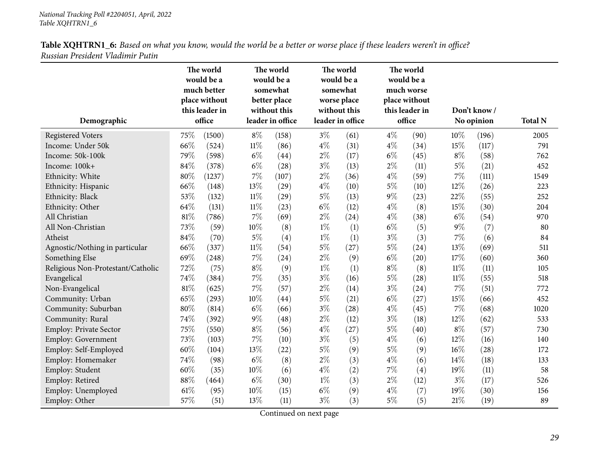|                                   | The world<br>would be a<br>much better<br>place without |        |                                  | The world<br>would be a<br>somewhat<br>better place |                  | The world<br>would be a<br>somewhat<br>worse place<br>without this |        | The world<br>would be a<br>much worse<br>place without<br>this leader in |        |                           |                |
|-----------------------------------|---------------------------------------------------------|--------|----------------------------------|-----------------------------------------------------|------------------|--------------------------------------------------------------------|--------|--------------------------------------------------------------------------|--------|---------------------------|----------------|
| Demographic                       | this leader in<br>office                                |        | without this<br>leader in office |                                                     | leader in office |                                                                    | office |                                                                          |        | Don't know/<br>No opinion | <b>Total N</b> |
| <b>Registered Voters</b>          | 75%                                                     | (1500) | $8\%$                            | (158)                                               | $3\%$            | (61)                                                               | $4\%$  | (90)                                                                     | $10\%$ | (196)                     | 2005           |
| Income: Under 50k                 | 66%                                                     | (524)  | $11\%$                           | (86)                                                | $4\%$            | (31)                                                               | $4\%$  | (34)                                                                     | 15%    | (117)                     | 791            |
| Income: 50k-100k                  | 79%                                                     | (598)  | $6\%$                            | (44)                                                | $2\%$            | (17)                                                               | $6\%$  | (45)                                                                     | $8\%$  | (58)                      | 762            |
| Income: 100k+                     | 84%                                                     | (378)  | $6\%$                            | (28)                                                | $3\%$            | (13)                                                               | $2\%$  | (11)                                                                     | $5\%$  | (21)                      | 452            |
| Ethnicity: White                  | 80%                                                     | (1237) | 7%                               | (107)                                               | $2\%$            | (36)                                                               | $4\%$  | (59)                                                                     | $7\%$  | (111)                     | 1549           |
| Ethnicity: Hispanic               | 66%                                                     | (148)  | 13%                              | (29)                                                | $4\%$            | (10)                                                               | $5\%$  | (10)                                                                     | 12%    | (26)                      | 223            |
| Ethnicity: Black                  | 53%                                                     | (132)  | $11\%$                           | (29)                                                | $5\%$            | (13)                                                               | $9\%$  | (23)                                                                     | 22%    | (55)                      | 252            |
| Ethnicity: Other                  | 64%                                                     | (131)  | $11\%$                           | (23)                                                | $6\%$            | (12)                                                               | $4\%$  | (8)                                                                      | 15%    | (30)                      | 204            |
| All Christian                     | 81%                                                     | (786)  | 7%                               | (69)                                                | $2\%$            | (24)                                                               | $4\%$  | (38)                                                                     | $6\%$  | (54)                      | 970            |
| All Non-Christian                 | 73%                                                     | (59)   | 10%                              | (8)                                                 | $1\%$            | (1)                                                                | $6\%$  | (5)                                                                      | $9\%$  | (7)                       | 80             |
| Atheist                           | 84%                                                     | (70)   | $5\%$                            | (4)                                                 | $1\%$            | (1)                                                                | $3\%$  | (3)                                                                      | $7\%$  | (6)                       | 84             |
| Agnostic/Nothing in particular    | 66%                                                     | (337)  | $11\%$                           | (54)                                                | $5\%$            | (27)                                                               | $5\%$  | (24)                                                                     | 13%    | (69)                      | 511            |
| Something Else                    | 69%                                                     | (248)  | 7%                               | (24)                                                | $2\%$            | (9)                                                                | $6\%$  | (20)                                                                     | 17%    | (60)                      | 360            |
| Religious Non-Protestant/Catholic | 72%                                                     | (75)   | $8\%$                            | (9)                                                 | $1\%$            | (1)                                                                | $8\%$  | (8)                                                                      | $11\%$ | (11)                      | 105            |
| Evangelical                       | 74%                                                     | (384)  | 7%                               | (35)                                                | $3\%$            | (16)                                                               | $5\%$  | (28)                                                                     | $11\%$ | (55)                      | 518            |
| Non-Evangelical                   | 81%                                                     | (625)  | $7\%$                            | (57)                                                | $2\%$            | (14)                                                               | $3\%$  | (24)                                                                     | $7\%$  | (51)                      | 772            |
| Community: Urban                  | 65%                                                     | (293)  | 10%                              | (44)                                                | $5\%$            | (21)                                                               | $6\%$  | (27)                                                                     | 15%    | (66)                      | 452            |
| Community: Suburban               | 80%                                                     | (814)  | $6\%$                            | (66)                                                | $3\%$            | (28)                                                               | $4\%$  | (45)                                                                     | 7%     | (68)                      | 1020           |
| Community: Rural                  | 74%                                                     | (392)  | $9\%$                            | (48)                                                | $2\%$            | (12)                                                               | $3\%$  | (18)                                                                     | 12%    | (62)                      | 533            |
| <b>Employ: Private Sector</b>     | 75%                                                     | (550)  | $8\%$                            | (56)                                                | $4\%$            | (27)                                                               | $5\%$  | (40)                                                                     | $8\%$  | (57)                      | 730            |
| Employ: Government                | 73%                                                     | (103)  | 7%                               | (10)                                                | $3\%$            | (5)                                                                | $4\%$  | (6)                                                                      | 12%    | (16)                      | 140            |
| Employ: Self-Employed             | 60%                                                     | (104)  | 13%                              | (22)                                                | $5\%$            | (9)                                                                | $5\%$  | (9)                                                                      | 16%    | (28)                      | 172            |
| Employ: Homemaker                 | 74%                                                     | (98)   | $6\%$                            | (8)                                                 | $2\%$            | (3)                                                                | $4\%$  | (6)                                                                      | 14%    | (18)                      | 133            |
| Employ: Student                   | 60%                                                     | (35)   | 10%                              | (6)                                                 | $4\%$            | (2)                                                                | $7\%$  | (4)                                                                      | 19%    | (11)                      | 58             |
| Employ: Retired                   | 88%                                                     | (464)  | $6\%$                            | (30)                                                | $1\%$            | (3)                                                                | $2\%$  | (12)                                                                     | $3\%$  | (17)                      | 526            |
| Employ: Unemployed                | 61\%                                                    | (95)   | 10%                              | (15)                                                | $6\%$            | (9)                                                                | $4\%$  | (7)                                                                      | 19%    | (30)                      | 156            |
| Employ: Other                     | 57%                                                     | (51)   | 13%                              | (11)                                                | $3\%$            | (3)                                                                | $5\%$  | (5)                                                                      | 21\%   | (19)                      | 89             |

Table XQHTRN1\_6: Based on what you know, would the world be a better or worse place if these leaders weren't in office? *Russian President Vladimir Putin*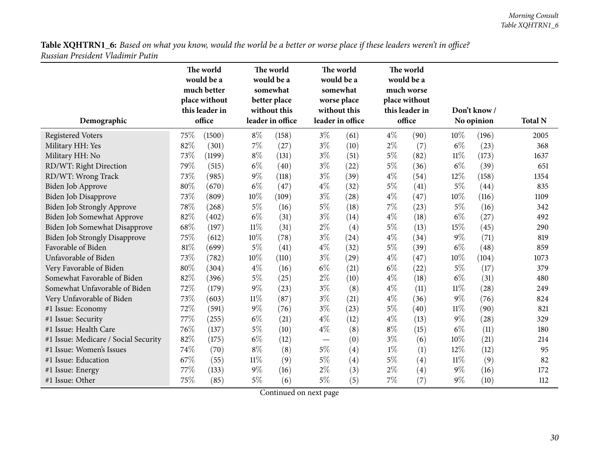| <b>Table XQHTRN1_6:</b> Based on what you know, would the world be a better or worse place if these leaders weren't in office? |  |
|--------------------------------------------------------------------------------------------------------------------------------|--|
| Russian President Vladimir Putin                                                                                               |  |

÷.

|                                      |      | The world<br>would be a<br>much better<br>place without<br>this leader in |        | The world<br>would be a<br>somewhat<br>better place<br>without this |                          | The world<br>would be a<br>somewhat<br>worse place<br>without this |       | The world<br>would be a<br>much worse<br>place without<br>this leader in |        | Don't know / |                |
|--------------------------------------|------|---------------------------------------------------------------------------|--------|---------------------------------------------------------------------|--------------------------|--------------------------------------------------------------------|-------|--------------------------------------------------------------------------|--------|--------------|----------------|
| Demographic                          |      | office                                                                    |        | leader in office                                                    |                          | leader in office                                                   |       | office                                                                   |        | No opinion   | <b>Total N</b> |
| <b>Registered Voters</b>             | 75%  | (1500)                                                                    | $8\%$  | (158)                                                               | $3\%$                    | (61)                                                               | $4\%$ | (90)                                                                     | 10%    | (196)        | 2005           |
| Military HH: Yes                     | 82%  | (301)                                                                     | 7%     | (27)                                                                | $3\%$                    | (10)                                                               | $2\%$ | (7)                                                                      | $6\%$  | (23)         | 368            |
| Military HH: No                      | 73%  | (1199)                                                                    | $8\%$  | (131)                                                               | $3\%$                    | (51)                                                               | $5\%$ | (82)                                                                     | $11\%$ | (173)        | 1637           |
| RD/WT: Right Direction               | 79%  | (515)                                                                     | $6\%$  | (40)                                                                | $3\%$                    | (22)                                                               | $5\%$ | (36)                                                                     | $6\%$  | (39)         | 651            |
| RD/WT: Wrong Track                   | 73%  | (985)                                                                     | $9\%$  | (118)                                                               | $3\%$                    | (39)                                                               | $4\%$ | (54)                                                                     | 12%    | (158)        | 1354           |
| Biden Job Approve                    | 80%  | (670)                                                                     | $6\%$  | (47)                                                                | $4\%$                    | (32)                                                               | $5\%$ | (41)                                                                     | $5\%$  | (44)         | 835            |
| Biden Job Disapprove                 | 73%  | (809)                                                                     | 10%    | (109)                                                               | $3\%$                    | (28)                                                               | $4\%$ | (47)                                                                     | $10\%$ | (116)        | 1109           |
| Biden Job Strongly Approve           | 78%  | (268)                                                                     | $5\%$  | (16)                                                                | $5\%$                    | (18)                                                               | 7%    | (23)                                                                     | $5\%$  | (16)         | 342            |
| Biden Job Somewhat Approve           | 82%  | (402)                                                                     | $6\%$  | (31)                                                                | $3\%$                    | (14)                                                               | $4\%$ | (18)                                                                     | $6\%$  | (27)         | 492            |
| Biden Job Somewhat Disapprove        | 68\% | (197)                                                                     | $11\%$ | (31)                                                                | $2\%$                    | (4)                                                                | $5\%$ | (13)                                                                     | 15%    | (45)         | 290            |
| <b>Biden Job Strongly Disapprove</b> | 75%  | (612)                                                                     | 10%    | (78)                                                                | $3\%$                    | (24)                                                               | $4\%$ | (34)                                                                     | $9\%$  | (71)         | 819            |
| Favorable of Biden                   | 81%  | (699)                                                                     | $5\%$  | (41)                                                                | $4\%$                    | (32)                                                               | $5\%$ | (39)                                                                     | $6\%$  | (48)         | 859            |
| Unfavorable of Biden                 | 73%  | (782)                                                                     | 10%    | (110)                                                               | $3\%$                    | (29)                                                               | $4\%$ | (47)                                                                     | 10%    | (104)        | 1073           |
| Very Favorable of Biden              | 80%  | (304)                                                                     | $4\%$  | (16)                                                                | $6\%$                    | (21)                                                               | $6\%$ | (22)                                                                     | $5\%$  | (17)         | 379            |
| Somewhat Favorable of Biden          | 82%  | (396)                                                                     | $5\%$  | (25)                                                                | $2\%$                    | (10)                                                               | $4\%$ | (18)                                                                     | $6\%$  | (31)         | 480            |
| Somewhat Unfavorable of Biden        | 72%  | (179)                                                                     | $9\%$  | (23)                                                                | $3\%$                    | (8)                                                                | $4\%$ | (11)                                                                     | $11\%$ | (28)         | 249            |
| Very Unfavorable of Biden            | 73%  | (603)                                                                     | $11\%$ | (87)                                                                | $3\%$                    | (21)                                                               | $4\%$ | (36)                                                                     | $9\%$  | (76)         | 824            |
| #1 Issue: Economy                    | 72%  | (591)                                                                     | $9\%$  | (76)                                                                | $3\%$                    | (23)                                                               | $5\%$ | (40)                                                                     | $11\%$ | (90)         | 821            |
| #1 Issue: Security                   | 77%  | (255)                                                                     | $6\%$  | (21)                                                                | $4\%$                    | (12)                                                               | $4\%$ | (13)                                                                     | $9\%$  | (28)         | 329            |
| #1 Issue: Health Care                | 76%  | (137)                                                                     | $5\%$  | (10)                                                                | $4\%$                    | (8)                                                                | $8\%$ | (15)                                                                     | $6\%$  | (11)         | 180            |
| #1 Issue: Medicare / Social Security | 82%  | (175)                                                                     | $6\%$  | (12)                                                                | $\overline{\phantom{0}}$ | (0)                                                                | $3\%$ | (6)                                                                      | 10%    | (21)         | 214            |
| #1 Issue: Women's Issues             | 74%  | (70)                                                                      | $8\%$  | (8)                                                                 | $5\%$                    | (4)                                                                | $1\%$ | (1)                                                                      | 12%    | (12)         | 95             |
| #1 Issue: Education                  | 67%  | (55)                                                                      | $11\%$ | (9)                                                                 | $5\%$                    | (4)                                                                | $5\%$ | (4)                                                                      | $11\%$ | (9)          | 82             |
| #1 Issue: Energy                     | 77%  | (133)                                                                     | $9\%$  | (16)                                                                | $2\%$                    | (3)                                                                | $2\%$ | (4)                                                                      | $9\%$  | (16)         | 172            |
| #1 Issue: Other                      | 75%  | (85)                                                                      | $5\%$  | (6)                                                                 | $5\%$                    | (5)                                                                | 7%    | (7)                                                                      | $9\%$  | (10)         | 112            |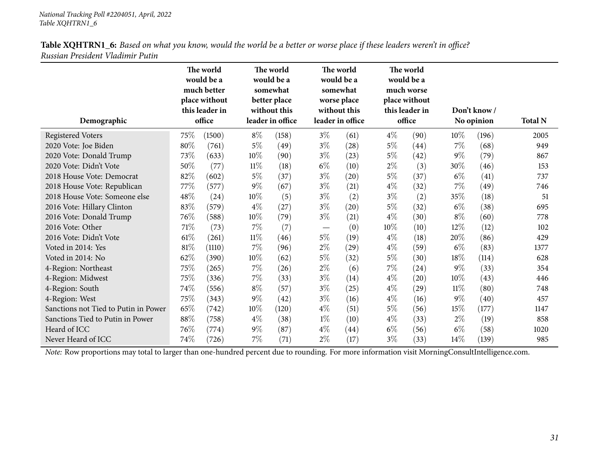| Demographic                          | The world<br>would be a<br>much better<br>place without<br>this leader in<br>office |        | The world<br>would be a<br>somewhat<br>better place<br>without this<br>leader in office |       |       | The world<br>would be a<br>somewhat<br>worse place<br>without this<br>leader in office |       | The world<br>would be a<br>much worse<br>place without<br>this leader in<br>office |        | Don't know /<br>No opinion | <b>Total N</b> |
|--------------------------------------|-------------------------------------------------------------------------------------|--------|-----------------------------------------------------------------------------------------|-------|-------|----------------------------------------------------------------------------------------|-------|------------------------------------------------------------------------------------|--------|----------------------------|----------------|
| <b>Registered Voters</b>             | 75\%                                                                                | (1500) | $8\%$                                                                                   | (158) | $3\%$ | (61)                                                                                   | $4\%$ | (90)                                                                               | $10\%$ | (196)                      | 2005           |
| 2020 Vote: Joe Biden                 | 80%                                                                                 | (761)  | $5\%$                                                                                   | (49)  | $3\%$ | (28)                                                                                   | $5\%$ | (44)                                                                               | $7\%$  | (68)                       | 949            |
| 2020 Vote: Donald Trump              | 73%                                                                                 | (633)  | 10%                                                                                     | (90)  | $3\%$ | (23)                                                                                   | $5\%$ | (42)                                                                               | $9\%$  | (79)                       | 867            |
| 2020 Vote: Didn't Vote               | 50%                                                                                 | (77)   | 11%                                                                                     | (18)  | $6\%$ | (10)                                                                                   | $2\%$ | (3)                                                                                | 30%    | (46)                       | 153            |
| 2018 House Vote: Democrat            | 82%                                                                                 | (602)  | $5\%$                                                                                   | (37)  | $3\%$ | (20)                                                                                   | 5%    | (37)                                                                               | $6\%$  | (41)                       | 737            |
| 2018 House Vote: Republican          | 77\%                                                                                | (577)  | $9\%$                                                                                   | (67)  | $3\%$ | (21)                                                                                   | $4\%$ | (32)                                                                               | $7\%$  | (49)                       | 746            |
| 2018 House Vote: Someone else        | $48\%$                                                                              | (24)   | $10\%$                                                                                  | (5)   | $3\%$ | (2)                                                                                    | $3\%$ | (2)                                                                                | 35%    | (18)                       | 51             |
| 2016 Vote: Hillary Clinton           | 83\%                                                                                | (579)  | $4\%$                                                                                   | (27)  | $3\%$ | $\left( 20\right)$                                                                     | $5\%$ | (32)                                                                               | $6\%$  | (38)                       | 695            |
| 2016 Vote: Donald Trump              | $76\%$                                                                              | (588)  | $10\%$                                                                                  | (79)  | $3\%$ | (21)                                                                                   | $4\%$ | (30)                                                                               | $8\%$  | (60)                       | 778            |
| 2016 Vote: Other                     | 71\%                                                                                | (73)   | 7%                                                                                      | (7)   |       | (0)                                                                                    | 10%   | (10)                                                                               | 12%    | (12)                       | 102            |
| 2016 Vote: Didn't Vote               | 61%                                                                                 | (261)  | $11\%$                                                                                  | (46)  | $5\%$ | (19)                                                                                   | $4\%$ | (18)                                                                               | 20%    | (86)                       | 429            |
| Voted in 2014: Yes                   | $81\%$                                                                              | (1110) | $7\%$                                                                                   | (96)  | $2\%$ | (29)                                                                                   | $4\%$ | (59)                                                                               | $6\%$  | (83)                       | 1377           |
| Voted in 2014: No                    | 62%                                                                                 | (390)  | 10%                                                                                     | (62)  | $5\%$ | (32)                                                                                   | $5\%$ | (30)                                                                               | 18%    | (114)                      | 628            |
| 4-Region: Northeast                  | 75\%                                                                                | (265)  | $7\%$                                                                                   | (26)  | 2%    | (6)                                                                                    | $7\%$ | (24)                                                                               | $9\%$  | (33)                       | 354            |
| 4-Region: Midwest                    | 75%                                                                                 | (336)  | $7\%$                                                                                   | (33)  | $3\%$ | (14)                                                                                   | $4\%$ | (20)                                                                               | 10%    | (43)                       | 446            |
| 4-Region: South                      | 74\%                                                                                | (556)  | $8\%$                                                                                   | (57)  | $3\%$ | (25)                                                                                   | $4\%$ | (29)                                                                               | $11\%$ | (80)                       | 748            |
| 4-Region: West                       | 75%                                                                                 | (343)  | $9\%$                                                                                   | (42)  | $3\%$ | (16)                                                                                   | $4\%$ | (16)                                                                               | $9\%$  | (40)                       | 457            |
| Sanctions not Tied to Putin in Power | 65%                                                                                 | (742)  | 10%                                                                                     | (120) | $4\%$ | (51)                                                                                   | $5\%$ | (56)                                                                               | 15%    | (177)                      | 1147           |
| Sanctions Tied to Putin in Power     | 88\%                                                                                | (758)  | $4\%$                                                                                   | (38)  | $1\%$ | (10)                                                                                   | $4\%$ | (33)                                                                               | $2\%$  | (19)                       | 858            |
| Heard of ICC                         | 76%                                                                                 | (774)  | $9\%$                                                                                   | (87)  | $4\%$ | $\left( 44\right)$                                                                     | $6\%$ | (56)                                                                               | $6\%$  | (58)                       | 1020           |
| Never Heard of ICC                   | 74%                                                                                 | (726)  | $7\%$                                                                                   | (71)  | 2%    | (17)                                                                                   | $3\%$ | (33)                                                                               | $14\%$ | (139)                      | 985            |

Table XQHTRN1\_6: Based on what you know, would the world be a better or worse place if these leaders weren't in office? *Russian President Vladimir Putin*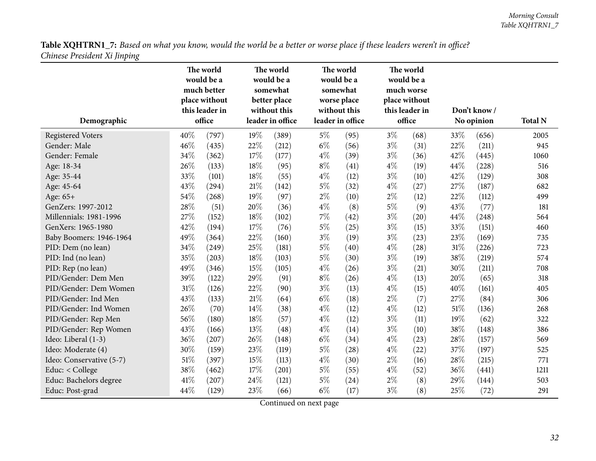| Table XQHTRN1_7: Based on what you know, would the world be a better or worse place if these leaders weren't in office? |  |
|-------------------------------------------------------------------------------------------------------------------------|--|
| Chinese President Xi Jinping                                                                                            |  |

<span id="page-31-0"></span>

|                          | The world<br>would be a<br>much better<br>place without<br>this leader in |        | The world<br>would be a<br>somewhat<br>better place<br>without this |                  |       | The world<br>would be a<br>somewhat<br>worse place<br>without this<br>leader in office |        | The world<br>would be a<br>much worse<br>place without<br>this leader in |            | Don't know / |                |
|--------------------------|---------------------------------------------------------------------------|--------|---------------------------------------------------------------------|------------------|-------|----------------------------------------------------------------------------------------|--------|--------------------------------------------------------------------------|------------|--------------|----------------|
| Demographic              |                                                                           | office |                                                                     | leader in office |       |                                                                                        | office |                                                                          | No opinion |              | <b>Total N</b> |
| <b>Registered Voters</b> | 40%                                                                       | (797)  | 19%                                                                 | (389)            | $5\%$ | (95)                                                                                   | $3\%$  | (68)                                                                     | 33%        | (656)        | 2005           |
| Gender: Male             | 46%                                                                       | (435)  | 22%                                                                 | (212)            | $6\%$ | (56)                                                                                   | $3\%$  | (31)                                                                     | 22%        | (211)        | 945            |
| Gender: Female           | 34%                                                                       | (362)  | 17%                                                                 | (177)            | $4\%$ | (39)                                                                                   | $3\%$  | (36)                                                                     | 42%        | (445)        | 1060           |
| Age: 18-34               | 26%                                                                       | (133)  | 18%                                                                 | (95)             | $8\%$ | (41)                                                                                   | $4\%$  | (19)                                                                     | 44%        | (228)        | 516            |
| Age: 35-44               | 33%                                                                       | (101)  | 18%                                                                 | (55)             | $4\%$ | (12)                                                                                   | $3\%$  | (10)                                                                     | 42%        | (129)        | 308            |
| Age: 45-64               | 43%                                                                       | (294)  | 21%                                                                 | (142)            | $5\%$ | (32)                                                                                   | $4\%$  | (27)                                                                     | 27%        | (187)        | 682            |
| Age: 65+                 | 54%                                                                       | (268)  | 19%                                                                 | (97)             | $2\%$ | (10)                                                                                   | $2\%$  | (12)                                                                     | 22%        | (112)        | 499            |
| GenZers: 1997-2012       | 28%                                                                       | (51)   | 20%                                                                 | (36)             | $4\%$ | (8)                                                                                    | $5\%$  | (9)                                                                      | 43%        | (77)         | 181            |
| Millennials: 1981-1996   | 27%                                                                       | (152)  | 18%                                                                 | (102)            | 7%    | (42)                                                                                   | $3\%$  | (20)                                                                     | 44%        | (248)        | 564            |
| GenXers: 1965-1980       | 42%                                                                       | (194)  | 17%                                                                 | (76)             | $5\%$ | (25)                                                                                   | $3\%$  | (15)                                                                     | 33%        | (151)        | 460            |
| Baby Boomers: 1946-1964  | 49%                                                                       | (364)  | 22%                                                                 | (160)            | $3\%$ | (19)                                                                                   | $3\%$  | (23)                                                                     | 23%        | (169)        | 735            |
| PID: Dem (no lean)       | 34%                                                                       | (249)  | 25%                                                                 | (181)            | $5\%$ | (40)                                                                                   | $4\%$  | $\left( 28\right)$                                                       | 31%        | (226)        | 723            |
| PID: Ind (no lean)       | 35%                                                                       | (203)  | 18%                                                                 | (103)            | $5\%$ | (30)                                                                                   | $3\%$  | (19)                                                                     | 38%        | (219)        | 574            |
| PID: Rep (no lean)       | 49%                                                                       | (346)  | 15%                                                                 | (105)            | $4\%$ | (26)                                                                                   | $3\%$  | (21)                                                                     | 30%        | (211)        | 708            |
| PID/Gender: Dem Men      | 39%                                                                       | (122)  | 29%                                                                 | (91)             | $8\%$ | (26)                                                                                   | $4\%$  | (13)                                                                     | 20%        | (65)         | 318            |
| PID/Gender: Dem Women    | $31\%$                                                                    | (126)  | 22%                                                                 | (90)             | $3\%$ | (13)                                                                                   | $4\%$  | (15)                                                                     | 40%        | (161)        | 405            |
| PID/Gender: Ind Men      | 43%                                                                       | (133)  | 21\%                                                                | (64)             | $6\%$ | (18)                                                                                   | $2\%$  | (7)                                                                      | 27%        | (84)         | 306            |
| PID/Gender: Ind Women    | 26%                                                                       | (70)   | 14%                                                                 | (38)             | $4\%$ | (12)                                                                                   | $4\%$  | (12)                                                                     | 51%        | (136)        | 268            |
| PID/Gender: Rep Men      | 56%                                                                       | (180)  | 18%                                                                 | (57)             | $4\%$ | (12)                                                                                   | $3\%$  | (11)                                                                     | 19%        | (62)         | 322            |
| PID/Gender: Rep Women    | 43%                                                                       | (166)  | 13%                                                                 | (48)             | $4\%$ | (14)                                                                                   | $3\%$  | (10)                                                                     | 38%        | (148)        | 386            |
| Ideo: Liberal (1-3)      | 36%                                                                       | (207)  | 26%                                                                 | (148)            | $6\%$ | (34)                                                                                   | $4\%$  | (23)                                                                     | 28%        | (157)        | 569            |
| Ideo: Moderate (4)       | 30%                                                                       | (159)  | 23%                                                                 | (119)            | $5\%$ | (28)                                                                                   | $4\%$  | (22)                                                                     | 37%        | (197)        | 525            |
| Ideo: Conservative (5-7) | 51%                                                                       | (397)  | 15%                                                                 | (113)            | $4\%$ | (30)                                                                                   | $2\%$  | (16)                                                                     | 28%        | (215)        | 771            |
| Educ: < College          | 38%                                                                       | (462)  | 17%                                                                 | (201)            | $5\%$ | (55)                                                                                   | $4\%$  | (52)                                                                     | 36%        | (441)        | 1211           |
| Educ: Bachelors degree   | 41\%                                                                      | (207)  | 24%                                                                 | (121)            | $5\%$ | (24)                                                                                   | $2\%$  | (8)                                                                      | 29%        | (144)        | 503            |
| Educ: Post-grad          | 44%                                                                       | (129)  | 23%                                                                 | (66)             | $6\%$ | (17)                                                                                   | $3\%$  | (8)                                                                      | 25%        | (72)         | 291            |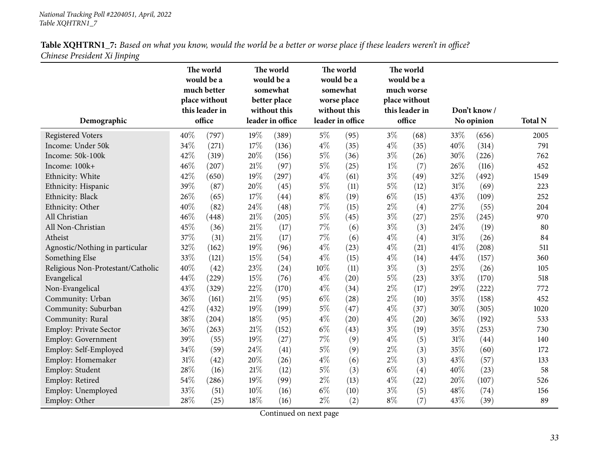|                                   |      | The world<br>would be a<br>much better<br>place without |        | The world<br>would be a<br>somewhat<br>better place |       | The world<br>would be a<br>somewhat<br>worse place |       | The world<br>would be a<br>much worse<br>place without |        |              |                |
|-----------------------------------|------|---------------------------------------------------------|--------|-----------------------------------------------------|-------|----------------------------------------------------|-------|--------------------------------------------------------|--------|--------------|----------------|
|                                   |      | this leader in                                          |        | without this                                        |       | without this                                       |       | this leader in<br>office                               |        | Don't know / |                |
| Demographic                       |      | office                                                  |        | leader in office                                    |       | leader in office                                   |       |                                                        |        | No opinion   | <b>Total N</b> |
| <b>Registered Voters</b>          | 40%  | (797)                                                   | 19%    | (389)                                               | $5\%$ | (95)                                               | $3\%$ | (68)                                                   | 33%    | (656)        | 2005           |
| Income: Under 50k                 | 34%  | (271)                                                   | 17%    | (136)                                               | $4\%$ | (35)                                               | $4\%$ | (35)                                                   | 40%    | (314)        | 791            |
| Income: 50k-100k                  | 42%  | (319)                                                   | 20%    | (156)                                               | $5\%$ | (36)                                               | $3\%$ | (26)                                                   | 30%    | (226)        | 762            |
| Income: 100k+                     | 46%  | (207)                                                   | $21\%$ | (97)                                                | $5\%$ | (25)                                               | $1\%$ | (7)                                                    | 26%    | (116)        | 452            |
| Ethnicity: White                  | 42%  | (650)                                                   | 19%    | (297)                                               | $4\%$ | (61)                                               | $3\%$ | (49)                                                   | 32%    | (492)        | 1549           |
| Ethnicity: Hispanic               | 39%  | (87)                                                    | 20%    | (45)                                                | $5\%$ | (11)                                               | $5\%$ | (12)                                                   | 31%    | (69)         | 223            |
| Ethnicity: Black                  | 26%  | (65)                                                    | 17%    | (44)                                                | $8\%$ | (19)                                               | $6\%$ | (15)                                                   | 43%    | (109)        | 252            |
| Ethnicity: Other                  | 40%  | (82)                                                    | 24%    | (48)                                                | 7%    | (15)                                               | $2\%$ | (4)                                                    | 27%    | (55)         | 204            |
| All Christian                     | 46%  | (448)                                                   | 21%    | (205)                                               | $5\%$ | (45)                                               | $3\%$ | (27)                                                   | 25%    | (245)        | 970            |
| All Non-Christian                 | 45%  | (36)                                                    | $21\%$ | (17)                                                | $7\%$ | (6)                                                | $3\%$ | (3)                                                    | 24\%   | (19)         | 80             |
| Atheist                           | 37%  | (31)                                                    | $21\%$ | (17)                                                | 7%    | (6)                                                | $4\%$ | (4)                                                    | $31\%$ | (26)         | 84             |
| Agnostic/Nothing in particular    | 32%  | (162)                                                   | 19%    | (96)                                                | $4\%$ | (23)                                               | $4\%$ | (21)                                                   | 41\%   | (208)        | 511            |
| Something Else                    | 33%  | (121)                                                   | 15%    | (54)                                                | $4\%$ | (15)                                               | $4\%$ | (14)                                                   | 44%    | (157)        | 360            |
| Religious Non-Protestant/Catholic | 40%  | (42)                                                    | 23%    | (24)                                                | 10%   | (11)                                               | $3\%$ | (3)                                                    | 25%    | (26)         | 105            |
| Evangelical                       | 44%  | (229)                                                   | 15%    | (76)                                                | $4\%$ | (20)                                               | $5\%$ | (23)                                                   | 33%    | (170)        | 518            |
| Non-Evangelical                   | 43%  | (329)                                                   | 22%    | (170)                                               | $4\%$ | (34)                                               | $2\%$ | (17)                                                   | 29%    | (222)        | 772            |
| Community: Urban                  | 36%  | (161)                                                   | $21\%$ | (95)                                                | $6\%$ | (28)                                               | $2\%$ | (10)                                                   | 35%    | (158)        | 452            |
| Community: Suburban               | 42%  | (432)                                                   | 19%    | (199)                                               | $5\%$ | (47)                                               | $4\%$ | (37)                                                   | 30%    | (305)        | 1020           |
| Community: Rural                  | 38%  | (204)                                                   | 18%    | (95)                                                | $4\%$ | (20)                                               | $4\%$ | (20)                                                   | 36%    | (192)        | 533            |
| <b>Employ: Private Sector</b>     | 36%  | (263)                                                   | 21%    | (152)                                               | $6\%$ | (43)                                               | $3\%$ | (19)                                                   | 35%    | (253)        | 730            |
| Employ: Government                | 39%  | (55)                                                    | 19%    | (27)                                                | 7%    | (9)                                                | $4\%$ | (5)                                                    | 31%    | (44)         | 140            |
| Employ: Self-Employed             | 34%  | (59)                                                    | 24%    | (41)                                                | $5\%$ | (9)                                                | $2\%$ | (3)                                                    | 35%    | (60)         | 172            |
| Employ: Homemaker                 | 31%  | (42)                                                    | 20%    | (26)                                                | $4\%$ | (6)                                                | $2\%$ | (3)                                                    | 43%    | (57)         | 133            |
| Employ: Student                   | 28\% | (16)                                                    | 21%    | (12)                                                | $5\%$ | (3)                                                | $6\%$ | (4)                                                    | 40%    | (23)         | 58             |
| Employ: Retired                   | 54%  | (286)                                                   | 19%    | (99)                                                | $2\%$ | (13)                                               | $4\%$ | (22)                                                   | 20%    | (107)        | 526            |
| Employ: Unemployed                | 33%  | (51)                                                    | 10%    | (16)                                                | $6\%$ | (10)                                               | $3\%$ | (5)                                                    | 48%    | (74)         | 156            |
| Employ: Other                     | 28%  | (25)                                                    | 18%    | (16)                                                | $2\%$ | (2)                                                | $8\%$ | (7)                                                    | 43%    | (39)         | 89             |

Table XQHTRN1\_7: Based on what you know, would the world be a better or worse place if these leaders weren't in office? *Chinese President Xi Jinping*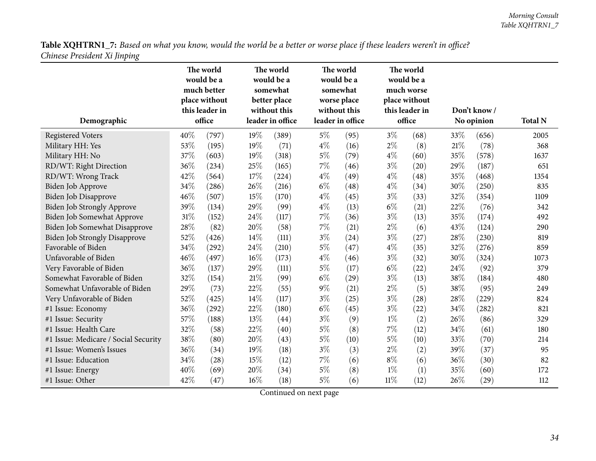| Table XQHTRN1_7: Based on what you know, would the world be a better or worse place if these leaders weren't in office? |  |
|-------------------------------------------------------------------------------------------------------------------------|--|
| Chinese President Xi Jinping                                                                                            |  |

| $\circ$<br>Demographic               | The world<br>would be a<br>much better<br>place without<br>this leader in<br>office |       | The world<br>would be a<br>somewhat<br>better place<br>without this<br>leader in office |       | The world<br>would be a<br>somewhat<br>worse place<br>without this<br>leader in office |      | The world<br>would be a<br>much worse<br>place without<br>this leader in<br>office |      |     | Don't know/<br>No opinion | <b>Total N</b> |
|--------------------------------------|-------------------------------------------------------------------------------------|-------|-----------------------------------------------------------------------------------------|-------|----------------------------------------------------------------------------------------|------|------------------------------------------------------------------------------------|------|-----|---------------------------|----------------|
| <b>Registered Voters</b>             | 40%                                                                                 | (797) | 19%                                                                                     | (389) | $5\%$                                                                                  | (95) | $3\%$                                                                              | (68) | 33% | (656)                     | 2005           |
| Military HH: Yes                     | 53%                                                                                 | (195) | 19%                                                                                     | (71)  | $4\%$                                                                                  | (16) | $2\%$                                                                              | (8)  | 21% | (78)                      | 368            |
| Military HH: No                      | 37%                                                                                 | (603) | 19%                                                                                     | (318) | $5\%$                                                                                  | (79) | $4\%$                                                                              | (60) | 35% | (578)                     | 1637           |
| RD/WT: Right Direction               | 36%                                                                                 | (234) | 25%                                                                                     | (165) | 7%                                                                                     | (46) | $3\%$                                                                              | (20) | 29% | (187)                     | 651            |
| RD/WT: Wrong Track                   | 42%                                                                                 | (564) | 17%                                                                                     | (224) | $4\%$                                                                                  | (49) | $4\%$                                                                              | (48) | 35% | (468)                     | 1354           |
| <b>Biden Job Approve</b>             | 34%                                                                                 | (286) | 26%                                                                                     | (216) | $6\%$                                                                                  | (48) | $4\%$                                                                              | (34) | 30% | (250)                     | 835            |
| Biden Job Disapprove                 | 46%                                                                                 | (507) | 15%                                                                                     | (170) | $4\%$                                                                                  | (45) | $3\%$                                                                              | (33) | 32% | (354)                     | 1109           |
| Biden Job Strongly Approve           | 39%                                                                                 | (134) | 29%                                                                                     | (99)  | $4\%$                                                                                  | (13) | $6\%$                                                                              | (21) | 22% | (76)                      | 342            |
| Biden Job Somewhat Approve           | 31%                                                                                 | (152) | 24%                                                                                     | (117) | $7\%$                                                                                  | (36) | $3\%$                                                                              | (13) | 35% | (174)                     | 492            |
| Biden Job Somewhat Disapprove        | 28%                                                                                 | (82)  | 20%                                                                                     | (58)  | $7\%$                                                                                  | (21) | $2\%$                                                                              | (6)  | 43% | (124)                     | 290            |
| <b>Biden Job Strongly Disapprove</b> | 52%                                                                                 | (426) | 14%                                                                                     | (111) | $3\%$                                                                                  | (24) | $3\%$                                                                              | (27) | 28% | (230)                     | 819            |
| Favorable of Biden                   | 34%                                                                                 | (292) | 24%                                                                                     | (210) | $5\%$                                                                                  | (47) | $4\%$                                                                              | (35) | 32% | (276)                     | 859            |
| Unfavorable of Biden                 | 46%                                                                                 | (497) | $16\%$                                                                                  | (173) | $4\%$                                                                                  | (46) | $3\%$                                                                              | (32) | 30% | (324)                     | 1073           |
| Very Favorable of Biden              | 36%                                                                                 | (137) | 29%                                                                                     | (111) | $5\%$                                                                                  | (17) | $6\%$                                                                              | (22) | 24% | (92)                      | 379            |
| Somewhat Favorable of Biden          | 32%                                                                                 | (154) | $21\%$                                                                                  | (99)  | $6\%$                                                                                  | (29) | $3\%$                                                                              | (13) | 38% | (184)                     | 480            |
| Somewhat Unfavorable of Biden        | 29%                                                                                 | (73)  | 22%                                                                                     | (55)  | $9\%$                                                                                  | (21) | $2\%$                                                                              | (5)  | 38% | (95)                      | 249            |
| Very Unfavorable of Biden            | 52%                                                                                 | (425) | 14%                                                                                     | (117) | $3\%$                                                                                  | (25) | $3\%$                                                                              | (28) | 28% | (229)                     | 824            |
| #1 Issue: Economy                    | 36%                                                                                 | (292) | 22%                                                                                     | (180) | $6\%$                                                                                  | (45) | $3\%$                                                                              | (22) | 34% | (282)                     | 821            |
| #1 Issue: Security                   | 57%                                                                                 | (188) | 13%                                                                                     | (44)  | $3\%$                                                                                  | (9)  | $1\%$                                                                              | (2)  | 26% | (86)                      | 329            |
| #1 Issue: Health Care                | 32%                                                                                 | (58)  | 22%                                                                                     | (40)  | $5\%$                                                                                  | (8)  | $7\%$                                                                              | (12) | 34% | (61)                      | 180            |
| #1 Issue: Medicare / Social Security | 38%                                                                                 | (80)  | 20%                                                                                     | (43)  | $5\%$                                                                                  | (10) | $5\%$                                                                              | (10) | 33% | (70)                      | 214            |
| #1 Issue: Women's Issues             | 36%                                                                                 | (34)  | 19%                                                                                     | (18)  | $3\%$                                                                                  | (3)  | $2\%$                                                                              | (2)  | 39% | (37)                      | 95             |
| #1 Issue: Education                  | 34%                                                                                 | (28)  | 15%                                                                                     | (12)  | $7\%$                                                                                  | (6)  | $8\%$                                                                              | (6)  | 36% | (30)                      | 82             |
| #1 Issue: Energy                     | 40%                                                                                 | (69)  | 20%                                                                                     | (34)  | $5\%$                                                                                  | (8)  | $1\%$                                                                              | (1)  | 35% | (60)                      | 172            |
| #1 Issue: Other                      | 42%                                                                                 | (47)  | 16%                                                                                     | (18)  | $5\%$                                                                                  | (6)  | $11\%$                                                                             | (12) | 26% | (29)                      | 112            |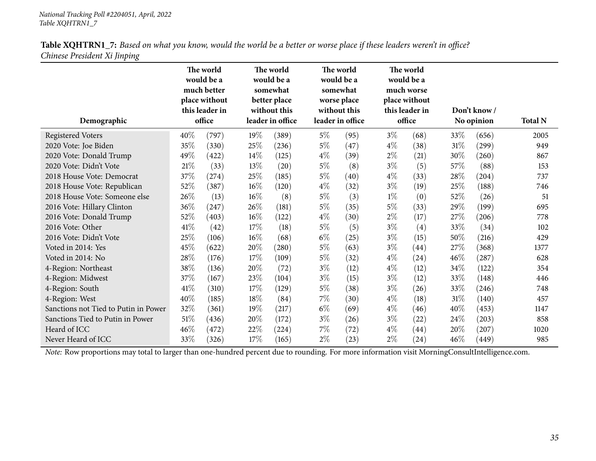| Demographic                          | The world<br>would be a<br>much better<br>place without<br>this leader in<br>office |       | The world<br>would be a<br>somewhat<br>better place<br>without this<br>leader in office |       | The world<br>would be a<br>somewhat<br>worse place<br>without this<br>leader in office |      | The world<br>would be a<br>much worse<br>place without<br>this leader in<br>office |      |        | Don't know /<br>No opinion | <b>Total N</b> |
|--------------------------------------|-------------------------------------------------------------------------------------|-------|-----------------------------------------------------------------------------------------|-------|----------------------------------------------------------------------------------------|------|------------------------------------------------------------------------------------|------|--------|----------------------------|----------------|
| <b>Registered Voters</b>             | 40%                                                                                 | (797) | 19%                                                                                     | (389) | $5\%$                                                                                  | (95) | $3\%$                                                                              | (68) | 33\%   | (656)                      | 2005           |
| 2020 Vote: Joe Biden                 | 35%                                                                                 | (330) | 25%                                                                                     | (236) | $5\%$                                                                                  | (47) | $4\%$                                                                              | (38) | $31\%$ | (299)                      | 949            |
| 2020 Vote: Donald Trump              | 49%                                                                                 | (422) | 14\%                                                                                    | (125) | $4\%$                                                                                  | (39) | $2\%$                                                                              | (21) | 30%    | (260)                      | 867            |
| 2020 Vote: Didn't Vote               | 21%                                                                                 | (33)  | 13\%                                                                                    | (20)  | $5\%$                                                                                  | (8)  | $3\%$                                                                              | (5)  | 57\%   | (88)                       | 153            |
| 2018 House Vote: Democrat            | 37%                                                                                 | (274) | 25%                                                                                     | (185) | $5\%$                                                                                  | (40) | $4\%$                                                                              | (33) | 28\%   | (204)                      | 737            |
| 2018 House Vote: Republican          | 52%                                                                                 | (387) | 16%                                                                                     | (120) | $4\%$                                                                                  | (32) | $3\%$                                                                              | (19) | 25%    | (188)                      | 746            |
| 2018 House Vote: Someone else        | 26%                                                                                 | (13)  | 16%                                                                                     | (8)   | $5\%$                                                                                  | (3)  | $1\%$                                                                              | (0)  | 52%    | (26)                       | 51             |
| 2016 Vote: Hillary Clinton           | 36\%                                                                                | (247) | 26%                                                                                     | (181) | $5\%$                                                                                  | (35) | $5\%$                                                                              | (33) | 29%    | (199)                      | 695            |
| 2016 Vote: Donald Trump              | 52%                                                                                 | (403) | $16\%$                                                                                  | (122) | $4\%$                                                                                  | (30) | $2\%$                                                                              | (17) | 27\%   | (206)                      | 778            |
| 2016 Vote: Other                     | $41\%$                                                                              | (42)  | 17%                                                                                     | (18)  | $5\%$                                                                                  | (5)  | $3\%$                                                                              | (4)  | 33\%   | (34)                       | 102            |
| 2016 Vote: Didn't Vote               | 25%                                                                                 | (106) | 16%                                                                                     | (68)  | $6\%$                                                                                  | (25) | $3\%$                                                                              | (15) | 50%    | (216)                      | 429            |
| Voted in 2014: Yes                   | 45%                                                                                 | (622) | 20%                                                                                     | (280) | $5\%$                                                                                  | (63) | $3\%$                                                                              | (44) | 27\%   | (368)                      | 1377           |
| Voted in 2014: No                    | 28\%                                                                                | (176) | 17%                                                                                     | (109) | $5\%$                                                                                  | (32) | $4\%$                                                                              | (24) | 46\%   | (287)                      | 628            |
| 4-Region: Northeast                  | 38\%                                                                                | (136) | 20%                                                                                     | (72)  | $3\%$                                                                                  | (12) | $4\%$                                                                              | (12) | 34\%   | (122)                      | 354            |
| 4-Region: Midwest                    | 37\%                                                                                | (167) | 23%                                                                                     | (104) | $3\%$                                                                                  | (15) | $3\%$                                                                              | (12) | 33\%   | (148)                      | 446            |
| 4-Region: South                      | $41\%$                                                                              | (310) | 17%                                                                                     | (129) | $5\%$                                                                                  | (38) | $3\%$                                                                              | (26) | 33\%   | (246)                      | 748            |
| 4-Region: West                       | 40%                                                                                 | (185) | 18%                                                                                     | (84)  | $7\%$                                                                                  | (30) | $4\%$                                                                              | (18) | $31\%$ | (140)                      | 457            |
| Sanctions not Tied to Putin in Power | 32%                                                                                 | (361) | 19%                                                                                     | (217) | $6\%$                                                                                  | (69) | $4\%$                                                                              | (46) | 40%    | (453)                      | 1147           |
| Sanctions Tied to Putin in Power     | 51%                                                                                 | (436) | 20%                                                                                     | (172) | $3\%$                                                                                  | (26) | $3\%$                                                                              | (22) | 24\%   | (203)                      | 858            |
| Heard of ICC                         | 46%                                                                                 | (472) | 22%                                                                                     | (224) | 7%                                                                                     | (72) | $4\%$                                                                              | (44) | 20%    | (207)                      | 1020           |
| Never Heard of ICC                   | 33%                                                                                 | (326) | 17%                                                                                     | (165) | $2\%$                                                                                  | (23) | $2\%$                                                                              | (24) | 46%    | (449)                      | 985            |

Table XQHTRN1\_7: Based on what you know, would the world be a better or worse place if these leaders weren't in office? *Chinese President Xi Jinping*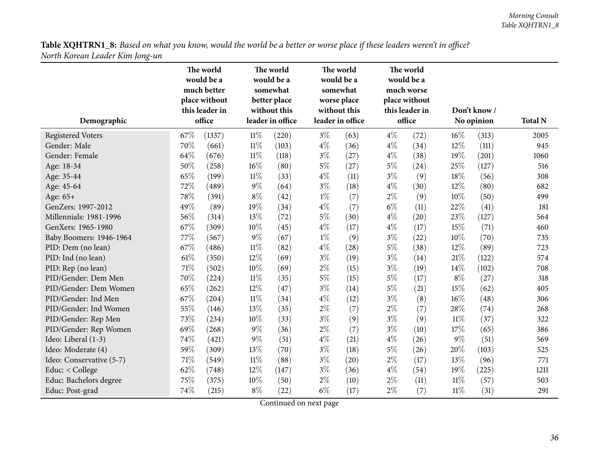| <b>Table XQHTRN1_8:</b> Based on what you know, would the world be a better or worse place if these leaders weren't in office? |  |
|--------------------------------------------------------------------------------------------------------------------------------|--|
| North Korean Leader Kim Jong-un                                                                                                |  |

<span id="page-35-0"></span>

| ပ                        | The world<br>would be a<br>much better<br>place without<br>this leader in |        | The world<br>would be a<br>somewhat<br>better place<br>without this |                  | The world<br>would be a<br>somewhat<br>worse place<br>without this |                  | The world<br>would be a<br>much worse<br>place without<br>this leader in |        |        | Don't know / |                |  |
|--------------------------|---------------------------------------------------------------------------|--------|---------------------------------------------------------------------|------------------|--------------------------------------------------------------------|------------------|--------------------------------------------------------------------------|--------|--------|--------------|----------------|--|
| Demographic              |                                                                           | office |                                                                     | leader in office |                                                                    | leader in office |                                                                          | office |        | No opinion   | <b>Total N</b> |  |
| <b>Registered Voters</b> | 67%                                                                       | (1337) | $11\%$                                                              | (220)            | $3\%$                                                              | (63)             | $4\%$                                                                    | (72)   | $16\%$ | (313)        | 2005           |  |
| Gender: Male             | 70%                                                                       | (661)  | $11\%$                                                              | (103)            | $4\%$                                                              | (36)             | $4\%$                                                                    | (34)   | 12%    | (111)        | 945            |  |
| Gender: Female           | 64%                                                                       | (676)  | $11\%$                                                              | (118)            | $3\%$                                                              | (27)             | $4\%$                                                                    | (38)   | 19%    | (201)        | 1060           |  |
| Age: 18-34               | 50%                                                                       | (258)  | 16%                                                                 | (80)             | $5\%$                                                              | (27)             | $5\%$                                                                    | (24)   | 25%    | (127)        | 516            |  |
| Age: 35-44               | 65%                                                                       | (199)  | $11\%$                                                              | (33)             | $4\%$                                                              | (11)             | $3\%$                                                                    | (9)    | 18%    | (56)         | 308            |  |
| Age: 45-64               | 72%                                                                       | (489)  | $9\%$                                                               | (64)             | $3\%$                                                              | (18)             | $4\%$                                                                    | (30)   | 12%    | (80)         | 682            |  |
| Age: 65+                 | 78%                                                                       | (391)  | $8\%$                                                               | (42)             | $1\%$                                                              | (7)              | $2\%$                                                                    | (9)    | $10\%$ | (50)         | 499            |  |
| GenZers: 1997-2012       | 49%                                                                       | (89)   | 19%                                                                 | (34)             | $4\%$                                                              | (7)              | $6\%$                                                                    | (11)   | 22%    | (41)         | 181            |  |
| Millennials: 1981-1996   | 56%                                                                       | (314)  | 13%                                                                 | (72)             | $5\%$                                                              | (30)             | $4\%$                                                                    | (20)   | 23%    | (127)        | 564            |  |
| GenXers: 1965-1980       | 67%                                                                       | (309)  | 10%                                                                 | (45)             | $4\%$                                                              | (17)             | $4\%$                                                                    | (17)   | 15%    | (71)         | 460            |  |
| Baby Boomers: 1946-1964  | 77%                                                                       | (567)  | $9\%$                                                               | (67)             | $1\%$                                                              | (9)              | $3\%$                                                                    | (22)   | 10%    | (70)         | 735            |  |
| PID: Dem (no lean)       | 67%                                                                       | (486)  | $11\%$                                                              | (82)             | $4\%$                                                              | (28)             | $5\%$                                                                    | (38)   | 12%    | (89)         | 723            |  |
| PID: Ind (no lean)       | $61\%$                                                                    | (350)  | 12%                                                                 | (69)             | $3\%$                                                              | (19)             | $3\%$                                                                    | (14)   | 21%    | (122)        | 574            |  |
| PID: Rep (no lean)       | 71%                                                                       | (502)  | 10%                                                                 | (69)             | $2\%$                                                              | (15)             | $3\%$                                                                    | (19)   | 14%    | (102)        | 708            |  |
| PID/Gender: Dem Men      | 70%                                                                       | (224)  | $11\%$                                                              | (35)             | $5\%$                                                              | (15)             | $5\%$                                                                    | (17)   | $8\%$  | (27)         | 318            |  |
| PID/Gender: Dem Women    | 65%                                                                       | (262)  | 12%                                                                 | (47)             | $3\%$                                                              | (14)             | $5\%$                                                                    | (21)   | 15%    | (62)         | 405            |  |
| PID/Gender: Ind Men      | 67%                                                                       | (204)  | $11\%$                                                              | (34)             | $4\%$                                                              | (12)             | $3\%$                                                                    | (8)    | $16\%$ | (48)         | 306            |  |
| PID/Gender: Ind Women    | 55%                                                                       | (146)  | 13%                                                                 | (35)             | $2\%$                                                              | (7)              | $2\%$                                                                    | (7)    | 28%    | (74)         | 268            |  |
| PID/Gender: Rep Men      | 73%                                                                       | (234)  | 10%                                                                 | (33)             | $3\%$                                                              | (9)              | $3\%$                                                                    | (9)    | $11\%$ | (37)         | 322            |  |
| PID/Gender: Rep Women    | 69%                                                                       | (268)  | $9\%$                                                               | (36)             | $2\%$                                                              | (7)              | $3\%$                                                                    | (10)   | 17%    | (65)         | 386            |  |
| Ideo: Liberal (1-3)      | 74%                                                                       | (421)  | $9\%$                                                               | (51)             | $4\%$                                                              | (21)             | $4\%$                                                                    | (26)   | $9\%$  | (51)         | 569            |  |
| Ideo: Moderate (4)       | 59%                                                                       | (309)  | 13%                                                                 | (70)             | $3\%$                                                              | (18)             | $5\%$                                                                    | (26)   | 20%    | (103)        | 525            |  |
| Ideo: Conservative (5-7) | 71%                                                                       | (549)  | $11\%$                                                              | (88)             | $3\%$                                                              | (20)             | $2\%$                                                                    | (17)   | 13%    | (96)         | 771            |  |
| Educ: < College          | 62%                                                                       | (748)  | 12%                                                                 | (147)            | $3\%$                                                              | (36)             | $4\%$                                                                    | (54)   | 19%    | (225)        | 1211           |  |
| Educ: Bachelors degree   | 75%                                                                       | (375)  | 10%                                                                 | (50)             | $2\%$                                                              | (10)             | $2\%$                                                                    | (11)   | $11\%$ | (57)         | 503            |  |
| Educ: Post-grad          | 74%                                                                       | (215)  | $8\%$                                                               | (22)             | $6\%$                                                              | (17)             | $2\%$                                                                    | (7)    | $11\%$ | (31)         | 291            |  |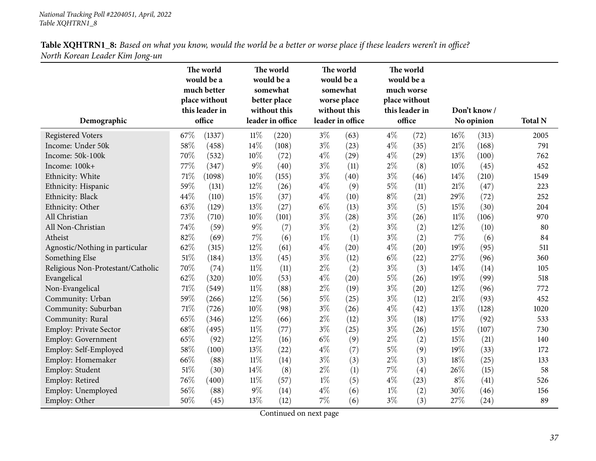| Table XQHTRN1_8: Based on what you know, would the world be a better or worse place if these leaders weren't in office? |  |
|-------------------------------------------------------------------------------------------------------------------------|--|
| North Korean Leader Kim Jong-un                                                                                         |  |

| Demographic                       | The world<br>would be a<br>much better<br>place without<br>this leader in<br>office |        |        | The world<br>would be a<br>somewhat<br>better place<br>without this<br>leader in office |       | The world<br>would be a<br>somewhat<br>worse place<br>without this<br>leader in office |       | The world<br>would be a<br>much worse<br>place without<br>this leader in<br>office |                  | Don't know /<br>No opinion | <b>Total N</b> |
|-----------------------------------|-------------------------------------------------------------------------------------|--------|--------|-----------------------------------------------------------------------------------------|-------|----------------------------------------------------------------------------------------|-------|------------------------------------------------------------------------------------|------------------|----------------------------|----------------|
| <b>Registered Voters</b>          | 67%                                                                                 | (1337) |        | $11\%$<br>(220)                                                                         |       | $3\%$<br>(63)                                                                          |       | $4\%$                                                                              |                  | (313)                      | 2005           |
| Income: Under 50k                 | 58%                                                                                 | (458)  | 14%    | (108)                                                                                   | $3\%$ | (23)                                                                                   | $4\%$ | (72)<br>(35)                                                                       | $16\%$<br>$21\%$ | (168)                      | 791            |
| Income: 50k-100k                  | 70%                                                                                 |        | 10%    |                                                                                         | $4\%$ |                                                                                        | $4\%$ |                                                                                    | 13%              |                            | 762            |
| Income: 100k+                     | 77%                                                                                 | (532)  | 9%     | (72)                                                                                    | $3\%$ | (29)                                                                                   | $2\%$ | (29)                                                                               | 10%              | (100)                      |                |
|                                   |                                                                                     | (347)  |        | (40)                                                                                    |       | (11)                                                                                   |       | (8)                                                                                |                  | (45)                       | 452            |
| Ethnicity: White                  | 71%                                                                                 | (1098) | 10%    | (155)                                                                                   | $3\%$ | (40)                                                                                   | $3\%$ | (46)                                                                               | 14%              | (210)                      | 1549           |
| Ethnicity: Hispanic               | 59%                                                                                 | (131)  | 12%    | (26)                                                                                    | $4\%$ | (9)                                                                                    | $5\%$ | (11)                                                                               | $21\%$           | (47)                       | 223            |
| Ethnicity: Black                  | 44%                                                                                 | (110)  | 15%    | (37)                                                                                    | $4\%$ | (10)                                                                                   | $8\%$ | (21)                                                                               | 29%              | (72)                       | 252            |
| Ethnicity: Other                  | 63%                                                                                 | (129)  | 13%    | (27)                                                                                    | $6\%$ | (13)                                                                                   | $3\%$ | (5)                                                                                | 15%              | (30)                       | 204            |
| All Christian                     | 73%                                                                                 | (710)  | 10%    | (101)                                                                                   | $3\%$ | (28)                                                                                   | $3\%$ | (26)                                                                               | $11\%$           | (106)                      | 970            |
| All Non-Christian                 | 74%                                                                                 | (59)   | $9\%$  | (7)                                                                                     | $3\%$ | (2)                                                                                    | $3\%$ | (2)                                                                                | 12%              | (10)                       | 80             |
| Atheist                           | 82%                                                                                 | (69)   | 7%     | (6)                                                                                     | $1\%$ | (1)                                                                                    | $3\%$ | (2)                                                                                | 7%               | (6)                        | 84             |
| Agnostic/Nothing in particular    | 62%                                                                                 | (315)  | 12%    | (61)                                                                                    | $4\%$ | (20)                                                                                   | $4\%$ | (20)                                                                               | 19%              | (95)                       | 511            |
| Something Else                    | 51%                                                                                 | (184)  | 13%    | (45)                                                                                    | $3\%$ | (12)                                                                                   | $6\%$ | (22)                                                                               | 27%              | (96)                       | 360            |
| Religious Non-Protestant/Catholic | 70%                                                                                 | (74)   | $11\%$ | (11)                                                                                    | $2\%$ | (2)                                                                                    | $3\%$ | (3)                                                                                | 14%              | (14)                       | 105            |
| Evangelical                       | 62%                                                                                 | (320)  | 10%    | (53)                                                                                    | $4\%$ | (20)                                                                                   | $5\%$ | (26)                                                                               | 19%              | (99)                       | 518            |
| Non-Evangelical                   | 71%                                                                                 | (549)  | $11\%$ | (88)                                                                                    | $2\%$ | (19)                                                                                   | $3\%$ | (20)                                                                               | 12%              | (96)                       | 772            |
| Community: Urban                  | 59%                                                                                 | (266)  | 12%    | (56)                                                                                    | $5\%$ | (25)                                                                                   | $3\%$ | (12)                                                                               | $21\%$           | (93)                       | 452            |
| Community: Suburban               | 71%                                                                                 | (726)  | 10%    | (98)                                                                                    | $3\%$ | (26)                                                                                   | $4\%$ | (42)                                                                               | 13%              | (128)                      | 1020           |
| Community: Rural                  | 65%                                                                                 | (346)  | 12%    | (66)                                                                                    | $2\%$ | (12)                                                                                   | $3\%$ | (18)                                                                               | 17%              | (92)                       | 533            |
| Employ: Private Sector            | 68%                                                                                 | (495)  | $11\%$ | (77)                                                                                    | $3\%$ | (25)                                                                                   | $3\%$ | (26)                                                                               | 15%              | (107)                      | 730            |
| <b>Employ: Government</b>         | 65%                                                                                 | (92)   | 12%    | (16)                                                                                    | $6\%$ | (9)                                                                                    | $2\%$ | (2)                                                                                | 15%              | (21)                       | 140            |
| Employ: Self-Employed             | 58%                                                                                 | (100)  | 13%    | (22)                                                                                    | $4\%$ | (7)                                                                                    | $5\%$ | (9)                                                                                | 19%              | (33)                       | 172            |
| Employ: Homemaker                 | 66%                                                                                 | (88)   | $11\%$ | (14)                                                                                    | $3\%$ | (3)                                                                                    | $2\%$ | (3)                                                                                | $18\%$           | (25)                       | 133            |
| Employ: Student                   | 51%                                                                                 | (30)   | 14%    | (8)                                                                                     | $2\%$ | (1)                                                                                    | $7\%$ | (4)                                                                                | 26%              | (15)                       | 58             |
| Employ: Retired                   | 76%                                                                                 | (400)  | $11\%$ | (57)                                                                                    | $1\%$ | (5)                                                                                    | $4\%$ | (23)                                                                               | $8\%$            | (41)                       | 526            |
| Employ: Unemployed                | 56%                                                                                 | (88)   | 9%     | (14)                                                                                    | $4\%$ | (6)                                                                                    | $1\%$ | (2)                                                                                | 30%              | (46)                       | 156            |
| Employ: Other                     | 50%                                                                                 | (45)   | 13%    | (12)                                                                                    | $7\%$ | (6)                                                                                    | $3\%$ | (3)                                                                                | 27%              | (24)                       | 89             |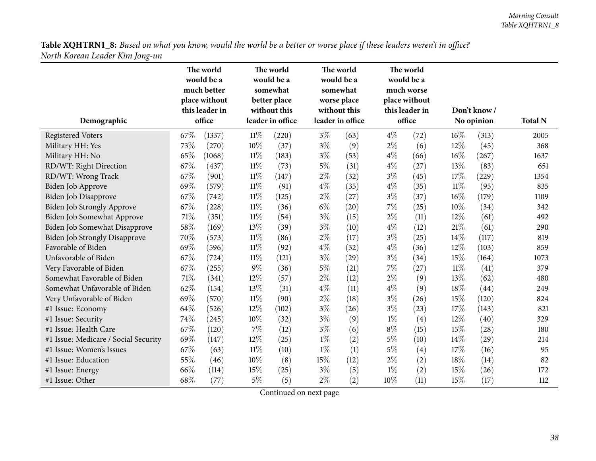| <b>Table XQHTRN1_8:</b> Based on what you know, would the world be a better or worse place if these leaders weren't in office? |  |
|--------------------------------------------------------------------------------------------------------------------------------|--|
| North Korean Leader Kim Jong-un                                                                                                |  |

÷.

|                                      | The world<br>would be a<br>much better<br>place without<br>this leader in |        |        | The world<br>would be a<br>somewhat<br>better place<br>without this |       | The world<br>would be a<br>somewhat<br>worse place<br>without this |       | The world<br>would be a<br>much worse<br>place without<br>this leader in |        | Don't know / |                |
|--------------------------------------|---------------------------------------------------------------------------|--------|--------|---------------------------------------------------------------------|-------|--------------------------------------------------------------------|-------|--------------------------------------------------------------------------|--------|--------------|----------------|
| Demographic                          |                                                                           | office |        | leader in office                                                    |       | leader in office                                                   |       | office                                                                   |        | No opinion   | <b>Total N</b> |
| <b>Registered Voters</b>             | 67%                                                                       | (1337) | $11\%$ | (220)                                                               | $3\%$ | (63)                                                               | $4\%$ | (72)                                                                     | 16%    | (313)        | 2005           |
| Military HH: Yes                     | 73%                                                                       | (270)  | 10%    | (37)                                                                | $3\%$ | (9)                                                                | $2\%$ | (6)                                                                      | 12%    | (45)         | 368            |
| Military HH: No                      | 65%                                                                       | (1068) | 11%    | (183)                                                               | $3\%$ | (53)                                                               | $4\%$ | (66)                                                                     | $16\%$ | (267)        | 1637           |
| RD/WT: Right Direction               | 67%                                                                       | (437)  | $11\%$ | (73)                                                                | $5\%$ | (31)                                                               | $4\%$ | (27)                                                                     | 13%    | (83)         | 651            |
| RD/WT: Wrong Track                   | 67%                                                                       | (901)  | $11\%$ | (147)                                                               | $2\%$ | (32)                                                               | $3\%$ | (45)                                                                     | 17%    | (229)        | 1354           |
| Biden Job Approve                    | 69%                                                                       | (579)  | $11\%$ | (91)                                                                | $4\%$ | (35)                                                               | $4\%$ | (35)                                                                     | $11\%$ | (95)         | 835            |
| Biden Job Disapprove                 | 67%                                                                       | (742)  | $11\%$ | (125)                                                               | 2%    | (27)                                                               | $3\%$ | (37)                                                                     | 16%    | (179)        | 1109           |
| Biden Job Strongly Approve           | 67%                                                                       | (228)  | $11\%$ | (36)                                                                | $6\%$ | (20)                                                               | $7\%$ | (25)                                                                     | 10%    | (34)         | 342            |
| Biden Job Somewhat Approve           | 71%                                                                       | (351)  | $11\%$ | (54)                                                                | $3\%$ | (15)                                                               | $2\%$ | (11)                                                                     | 12%    | (61)         | 492            |
| Biden Job Somewhat Disapprove        | 58%                                                                       | (169)  | 13%    | (39)                                                                | $3\%$ | (10)                                                               | $4\%$ | (12)                                                                     | 21%    | (61)         | 290            |
| <b>Biden Job Strongly Disapprove</b> | 70%                                                                       | (573)  | $11\%$ | (86)                                                                | 2%    | (17)                                                               | $3\%$ | (25)                                                                     | $14\%$ | (117)        | 819            |
| Favorable of Biden                   | 69%                                                                       | (596)  | $11\%$ | (92)                                                                | $4\%$ | (32)                                                               | $4\%$ | (36)                                                                     | 12%    | (103)        | 859            |
| Unfavorable of Biden                 | 67%                                                                       | (724)  | $11\%$ | (121)                                                               | $3\%$ | (29)                                                               | $3\%$ | (34)                                                                     | 15%    | (164)        | 1073           |
| Very Favorable of Biden              | 67%                                                                       | (255)  | $9\%$  | (36)                                                                | $5\%$ | (21)                                                               | 7%    | (27)                                                                     | $11\%$ | (41)         | 379            |
| Somewhat Favorable of Biden          | 71%                                                                       | (341)  | 12%    | (57)                                                                | $2\%$ | (12)                                                               | $2\%$ | (9)                                                                      | 13%    | (62)         | 480            |
| Somewhat Unfavorable of Biden        | 62%                                                                       | (154)  | 13%    | (31)                                                                | $4\%$ | (11)                                                               | $4\%$ | (9)                                                                      | 18%    | (44)         | 249            |
| Very Unfavorable of Biden            | 69%                                                                       | (570)  | $11\%$ | (90)                                                                | 2%    | (18)                                                               | $3\%$ | (26)                                                                     | 15%    | (120)        | 824            |
| #1 Issue: Economy                    | 64%                                                                       | (526)  | 12%    | (102)                                                               | $3\%$ | (26)                                                               | $3\%$ | (23)                                                                     | 17%    | (143)        | 821            |
| #1 Issue: Security                   | 74%                                                                       | (245)  | 10%    | (32)                                                                | $3\%$ | (9)                                                                | $1\%$ | (4)                                                                      | 12%    | (40)         | 329            |
| #1 Issue: Health Care                | 67%                                                                       | (120)  | $7\%$  | (12)                                                                | $3\%$ | (6)                                                                | $8\%$ | (15)                                                                     | 15%    | (28)         | 180            |
| #1 Issue: Medicare / Social Security | 69%                                                                       | (147)  | 12%    | (25)                                                                | $1\%$ | (2)                                                                | $5\%$ | (10)                                                                     | 14%    | (29)         | 214            |
| #1 Issue: Women's Issues             | 67%                                                                       | (63)   | $11\%$ | (10)                                                                | $1\%$ | (1)                                                                | $5\%$ | (4)                                                                      | 17%    | (16)         | 95             |
| #1 Issue: Education                  | 55%                                                                       | (46)   | 10%    | (8)                                                                 | 15%   | (12)                                                               | $2\%$ | (2)                                                                      | 18%    | (14)         | 82             |
| #1 Issue: Energy                     | 66%                                                                       | (114)  | 15%    | (25)                                                                | $3\%$ | (5)                                                                | $1\%$ | (2)                                                                      | 15%    | (26)         | 172            |
| #1 Issue: Other                      | 68%                                                                       | (77)   | $5\%$  | (5)                                                                 | $2\%$ | (2)                                                                | 10%   | (11)                                                                     | 15%    | (17)         | 112            |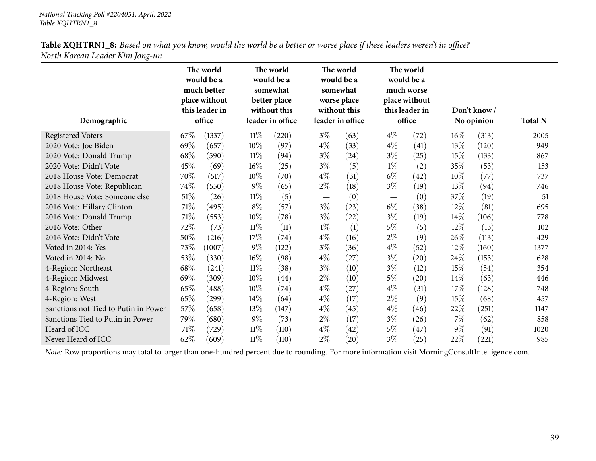| Demographic                          | The world<br>would be a<br>much better<br>place without<br>this leader in<br>office |        |        | The world<br>would be a<br>somewhat<br>better place<br>without this<br>leader in office |       | The world<br>would be a<br>somewhat<br>worse place<br>without this<br>leader in office |       | The world<br>would be a<br>much worse<br>place without<br>this leader in<br>office |        | Don't know /<br>No opinion | <b>Total N</b> |
|--------------------------------------|-------------------------------------------------------------------------------------|--------|--------|-----------------------------------------------------------------------------------------|-------|----------------------------------------------------------------------------------------|-------|------------------------------------------------------------------------------------|--------|----------------------------|----------------|
| Registered Voters                    | 67%                                                                                 | (1337) | $11\%$ | (220)                                                                                   | $3\%$ | (63)                                                                                   | $4\%$ | (72)                                                                               | $16\%$ | (313)                      | 2005           |
| 2020 Vote: Joe Biden                 | 69%                                                                                 | (657)  | 10%    | (97)                                                                                    | $4\%$ | (33)                                                                                   | $4\%$ | (41)                                                                               | 13%    | (120)                      | 949            |
| 2020 Vote: Donald Trump              | 68\%                                                                                | (590)  | 11%    | (94)                                                                                    | $3\%$ | (24)                                                                                   | $3\%$ | (25)                                                                               | 15%    | (133)                      | 867            |
| 2020 Vote: Didn't Vote               | 45%                                                                                 | (69)   | 16%    | (25)                                                                                    | $3\%$ | (5)                                                                                    | $1\%$ | (2)                                                                                | 35%    | (53)                       | 153            |
| 2018 House Vote: Democrat            | 70%                                                                                 | (517)  | 10%    | (70)                                                                                    | $4\%$ | (31)                                                                                   | $6\%$ | (42)                                                                               | $10\%$ | (77)                       | 737            |
| 2018 House Vote: Republican          | 74%                                                                                 | (550)  | $9\%$  | (65)                                                                                    | $2\%$ | (18)                                                                                   | $3\%$ | (19)                                                                               | 13%    | (94)                       | 746            |
| 2018 House Vote: Someone else        | 51\%                                                                                | (26)   | $11\%$ | (5)                                                                                     |       | (0)                                                                                    |       | (0)                                                                                | 37\%   | (19)                       | 51             |
| 2016 Vote: Hillary Clinton           | $71\%$                                                                              | (495)  | $8\%$  | (57)                                                                                    | $3\%$ | (23)                                                                                   | $6\%$ | (38)                                                                               | 12\%   | (81)                       | 695            |
| 2016 Vote: Donald Trump              | 71\%                                                                                | (553)  | 10%    | (78)                                                                                    | $3\%$ | $\left( 22\right)$                                                                     | $3\%$ | (19)                                                                               | $14\%$ | (106)                      | 778            |
| 2016 Vote: Other                     | 72%                                                                                 | (73)   | $11\%$ | (11)                                                                                    | $1\%$ | (1)                                                                                    | $5\%$ | (5)                                                                                | 12\%   | (13)                       | 102            |
| 2016 Vote: Didn't Vote               | 50%                                                                                 | (216)  | 17%    | (74)                                                                                    | $4\%$ | (16)                                                                                   | $2\%$ | (9)                                                                                | 26\%   | (113)                      | 429            |
| Voted in 2014: Yes                   | 73\%                                                                                | (1007) | $9\%$  | (122)                                                                                   | $3\%$ | (36)                                                                                   | $4\%$ | (52)                                                                               | 12%    | (160)                      | 1377           |
| Voted in 2014: No                    | 53%                                                                                 | (330)  | 16%    | (98)                                                                                    | $4\%$ | (27)                                                                                   | $3\%$ | (20)                                                                               | 24\%   | (153)                      | 628            |
| 4-Region: Northeast                  | 68\%                                                                                | (241)  | $11\%$ | (38)                                                                                    | $3\%$ | (10)                                                                                   | $3\%$ | (12)                                                                               | 15\%   | (54)                       | 354            |
| 4-Region: Midwest                    | 69%                                                                                 | (309)  | 10%    | (44)                                                                                    | $2\%$ | (10)                                                                                   | $5\%$ | (20)                                                                               | 14\%   | (63)                       | 446            |
| 4-Region: South                      | 65%                                                                                 | (488)  | 10%    | (74)                                                                                    | $4\%$ | (27)                                                                                   | $4\%$ | (31)                                                                               | 17\%   | (128)                      | 748            |
| 4-Region: West                       | 65%                                                                                 | (299)  | 14%    | (64)                                                                                    | $4\%$ | (17)                                                                                   | $2\%$ | (9)                                                                                | 15\%   | (68)                       | 457            |
| Sanctions not Tied to Putin in Power | 57%                                                                                 | (658)  | 13%    | (147)                                                                                   | $4\%$ | (45)                                                                                   | $4\%$ | (46)                                                                               | 22%    | (251)                      | 1147           |
| Sanctions Tied to Putin in Power     | 79%                                                                                 | (680)  | $9\%$  | (73)                                                                                    | $2\%$ | (17)                                                                                   | $3\%$ | (26)                                                                               | $7\%$  | (62)                       | 858            |
| Heard of ICC                         | 71\%                                                                                | (729)  | $11\%$ | (110)                                                                                   | $4\%$ | (42)                                                                                   | $5\%$ | (47)                                                                               | $9\%$  | (91)                       | 1020           |
| Never Heard of ICC                   | 62%                                                                                 | (609)  | $11\%$ | (110)                                                                                   | $2\%$ | $\left( 20\right)$                                                                     | $3\%$ | (25)                                                                               | 22%    | (221)                      | 985            |

Table XQHTRN1\_8: Based on what you know, would the world be a better or worse place if these leaders weren't in office? *North Korean Leader Kim Jong-un*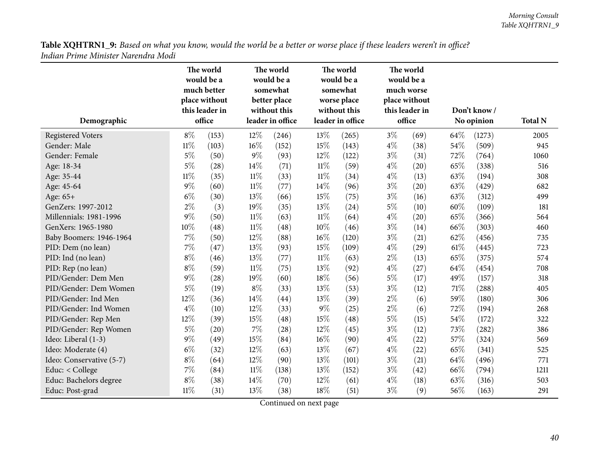|                          | The world<br>would be a<br>much better<br>place without<br>this leader in |        |        | The world<br>would be a<br>somewhat<br>better place<br>without this |        | The world<br>would be a<br>somewhat<br>worse place<br>without this |       | The world<br>would be a<br>much worse<br>place without<br>this leader in<br>office |        | Don't know / |                |
|--------------------------|---------------------------------------------------------------------------|--------|--------|---------------------------------------------------------------------|--------|--------------------------------------------------------------------|-------|------------------------------------------------------------------------------------|--------|--------------|----------------|
| Demographic              |                                                                           | office |        | leader in office                                                    |        | leader in office                                                   |       |                                                                                    |        | No opinion   | <b>Total N</b> |
| <b>Registered Voters</b> | $8\%$                                                                     | (153)  | 12%    | (246)                                                               | 13%    | (265)                                                              | $3\%$ | (69)                                                                               | 64%    | (1273)       | 2005           |
| Gender: Male             | $11\%$                                                                    | (103)  | 16%    | (152)                                                               | 15%    | (143)                                                              | $4\%$ | (38)                                                                               | 54%    | (509)        | 945            |
| Gender: Female           | $5\%$                                                                     | (50)   | $9\%$  | (93)                                                                | 12%    | (122)                                                              | $3\%$ | (31)                                                                               | 72%    | (764)        | 1060           |
| Age: 18-34               | $5\%$                                                                     | (28)   | 14%    | (71)                                                                | 11%    | (59)                                                               | $4\%$ | (20)                                                                               | 65%    | (338)        | 516            |
| Age: 35-44               | $11\%$                                                                    | (35)   | $11\%$ | (33)                                                                | $11\%$ | (34)                                                               | $4\%$ | (13)                                                                               | 63%    | (194)        | 308            |
| Age: 45-64               | $9\%$                                                                     | (60)   | $11\%$ | (77)                                                                | 14\%   | (96)                                                               | $3\%$ | (20)                                                                               | 63%    | (429)        | 682            |
| Age: 65+                 | $6\%$                                                                     | (30)   | 13%    | (66)                                                                | 15%    | (75)                                                               | $3\%$ | (16)                                                                               | 63%    | (312)        | 499            |
| GenZers: 1997-2012       | $2\%$                                                                     | (3)    | 19%    | (35)                                                                | 13%    | (24)                                                               | $5\%$ | (10)                                                                               | 60%    | (109)        | 181            |
| Millennials: 1981-1996   | $9\%$                                                                     | (50)   | $11\%$ | (63)                                                                | $11\%$ | (64)                                                               | $4\%$ | (20)                                                                               | 65%    | (366)        | 564            |
| GenXers: 1965-1980       | 10%                                                                       | (48)   | $11\%$ | (48)                                                                | 10%    | (46)                                                               | $3\%$ | (14)                                                                               | 66%    | (303)        | 460            |
| Baby Boomers: 1946-1964  | $7\%$                                                                     | (50)   | 12%    | (88)                                                                | 16%    | (120)                                                              | $3\%$ | (21)                                                                               | 62%    | (456)        | 735            |
| PID: Dem (no lean)       | $7\%$                                                                     | (47)   | 13\%   | (93)                                                                | 15%    | (109)                                                              | $4\%$ | (29)                                                                               | $61\%$ | (445)        | 723            |
| PID: Ind (no lean)       | $8\%$                                                                     | (46)   | 13%    | (77)                                                                | $11\%$ | (63)                                                               | $2\%$ | (13)                                                                               | 65%    | (375)        | 574            |
| PID: Rep (no lean)       | $8\%$                                                                     | (59)   | $11\%$ | (75)                                                                | 13%    | (92)                                                               | $4\%$ | (27)                                                                               | 64\%   | (454)        | 708            |
| PID/Gender: Dem Men      | $9\%$                                                                     | (28)   | 19%    | (60)                                                                | 18%    | (56)                                                               | $5\%$ | (17)                                                                               | 49%    | (157)        | 318            |
| PID/Gender: Dem Women    | $5\%$                                                                     | (19)   | $8\%$  | (33)                                                                | 13%    | (53)                                                               | $3\%$ | (12)                                                                               | 71%    | (288)        | 405            |
| PID/Gender: Ind Men      | 12%                                                                       | (36)   | 14%    | (44)                                                                | 13%    | (39)                                                               | $2\%$ | (6)                                                                                | 59%    | (180)        | 306            |
| PID/Gender: Ind Women    | $4\%$                                                                     | (10)   | 12%    | (33)                                                                | $9\%$  | (25)                                                               | $2\%$ | (6)                                                                                | 72%    | (194)        | 268            |
| PID/Gender: Rep Men      | 12%                                                                       | (39)   | 15%    | (48)                                                                | 15%    | (48)                                                               | $5\%$ | (15)                                                                               | 54\%   | (172)        | 322            |
| PID/Gender: Rep Women    | $5\%$                                                                     | (20)   | $7\%$  | (28)                                                                | 12%    | (45)                                                               | $3\%$ | (12)                                                                               | 73%    | (282)        | 386            |
| Ideo: Liberal (1-3)      | $9\%$                                                                     | (49)   | 15%    | (84)                                                                | 16%    | (90)                                                               | $4\%$ | (22)                                                                               | 57%    | (324)        | 569            |
| Ideo: Moderate (4)       | $6\%$                                                                     | (32)   | 12%    | (63)                                                                | 13%    | (67)                                                               | $4\%$ | (22)                                                                               | 65%    | (341)        | 525            |
| Ideo: Conservative (5-7) | $8\%$                                                                     | (64)   | 12%    | (90)                                                                | 13%    | (101)                                                              | $3\%$ | (21)                                                                               | 64\%   | (496)        | 771            |
| Educ: < College          | 7%                                                                        | (84)   | $11\%$ | (138)                                                               | 13%    | (152)                                                              | $3\%$ | (42)                                                                               | 66%    | (794)        | 1211           |
| Educ: Bachelors degree   | $8\%$                                                                     | (38)   | 14%    | (70)                                                                | 12%    | (61)                                                               | $4\%$ | (18)                                                                               | 63%    | (316)        | 503            |
| Educ: Post-grad          | $11\%$                                                                    | (31)   | 13%    | (38)                                                                | 18%    | (51)                                                               | $3\%$ | (9)                                                                                | 56%    | (163)        | 291            |

Table XQHTRN1\_9: Based on what you know, would the world be a better or worse place if these leaders weren't in office? *Indian Prime Minister Narendra Modi*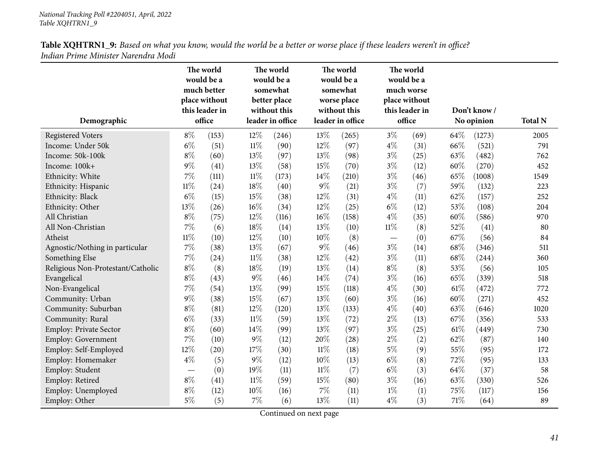|                                   | The world<br>would be a<br>much better<br>place without |                          |        | The world<br>would be a<br>somewhat<br>better place |        | The world<br>would be a<br>somewhat<br>worse place<br>without this |        | The world<br>would be a<br>much worse<br>place without<br>this leader in |        |                            |                |
|-----------------------------------|---------------------------------------------------------|--------------------------|--------|-----------------------------------------------------|--------|--------------------------------------------------------------------|--------|--------------------------------------------------------------------------|--------|----------------------------|----------------|
| Demographic                       |                                                         | this leader in<br>office |        | without this<br>leader in office                    |        | leader in office                                                   |        | office                                                                   |        | Don't know /<br>No opinion | <b>Total N</b> |
| <b>Registered Voters</b>          | $8\%$                                                   | (153)                    | 12%    | (246)                                               | 13%    | (265)                                                              | $3\%$  | (69)                                                                     | 64\%   | (1273)                     | 2005           |
| Income: Under 50k                 | $6\%$                                                   | (51)                     | $11\%$ | (90)                                                | 12%    | (97)                                                               | $4\%$  | (31)                                                                     | 66%    | (521)                      | 791            |
| Income: 50k-100k                  | $8\%$                                                   | (60)                     | 13%    | (97)                                                | 13%    | (98)                                                               | $3\%$  | (25)                                                                     | 63%    | (482)                      | 762            |
| Income: 100k+                     | $9\%$                                                   | (41)                     | 13%    | (58)                                                | 15%    | (70)                                                               | $3\%$  | (12)                                                                     | 60%    | (270)                      | 452            |
| Ethnicity: White                  | $7\%$                                                   | (111)                    | $11\%$ | (173)                                               | 14%    | (210)                                                              | $3\%$  | (46)                                                                     | 65%    | (1008)                     | 1549           |
| Ethnicity: Hispanic               | $11\%$                                                  | (24)                     | 18%    | (40)                                                | $9\%$  | (21)                                                               | $3\%$  | (7)                                                                      | 59%    | (132)                      | 223            |
| Ethnicity: Black                  | $6\%$                                                   | (15)                     | 15%    | (38)                                                | 12%    | (31)                                                               | $4\%$  | (11)                                                                     | 62%    | (157)                      | 252            |
| Ethnicity: Other                  | 13%                                                     | (26)                     | 16%    | (34)                                                | 12%    | (25)                                                               | $6\%$  | (12)                                                                     | 53%    | (108)                      | 204            |
| All Christian                     | $8\%$                                                   | (75)                     | 12%    | (116)                                               | 16%    | (158)                                                              | $4\%$  | (35)                                                                     | 60%    | (586)                      | 970            |
| All Non-Christian                 | $7\%$                                                   | (6)                      | 18%    | (14)                                                | 13%    | (10)                                                               | $11\%$ | (8)                                                                      | 52%    | (41)                       | 80             |
| Atheist                           | $11\%$                                                  | (10)                     | 12%    | (10)                                                | 10%    | (8)                                                                |        | (0)                                                                      | 67%    | (56)                       | 84             |
| Agnostic/Nothing in particular    | 7%                                                      | (38)                     | 13%    | (67)                                                | $9\%$  | (46)                                                               | $3\%$  | (14)                                                                     | 68%    | (346)                      | 511            |
| Something Else                    | 7%                                                      | (24)                     | $11\%$ | (38)                                                | 12%    | (42)                                                               | $3\%$  | (11)                                                                     | 68\%   | (244)                      | 360            |
| Religious Non-Protestant/Catholic | $8\%$                                                   | (8)                      | $18\%$ | (19)                                                | 13%    | (14)                                                               | $8\%$  | (8)                                                                      | 53%    | (56)                       | 105            |
| Evangelical                       | $8\%$                                                   | (43)                     | 9%     | (46)                                                | 14%    | (74)                                                               | $3\%$  | (16)                                                                     | 65%    | (339)                      | 518            |
| Non-Evangelical                   | $7\%$                                                   | (54)                     | 13%    | (99)                                                | 15%    | (118)                                                              | $4\%$  | (30)                                                                     | 61\%   | (472)                      | 772            |
| Community: Urban                  | $9\%$                                                   | (38)                     | 15%    | (67)                                                | 13%    | (60)                                                               | $3\%$  | (16)                                                                     | 60%    | (271)                      | 452            |
| Community: Suburban               | $8\%$                                                   | (81)                     | 12%    | (120)                                               | 13%    | (133)                                                              | $4\%$  | (40)                                                                     | 63%    | (646)                      | 1020           |
| Community: Rural                  | $6\%$                                                   | (33)                     | $11\%$ | (59)                                                | 13%    | (72)                                                               | $2\%$  | (13)                                                                     | 67%    | (356)                      | 533            |
| <b>Employ: Private Sector</b>     | $8\%$                                                   | (60)                     | 14%    | (99)                                                | 13%    | (97)                                                               | $3\%$  | (25)                                                                     | $61\%$ | (449)                      | 730            |
| <b>Employ: Government</b>         | $7\%$                                                   | (10)                     | 9%     | (12)                                                | 20%    | (28)                                                               | $2\%$  | (2)                                                                      | 62%    | (87)                       | 140            |
| Employ: Self-Employed             | 12%                                                     | (20)                     | 17%    | (30)                                                | $11\%$ | (18)                                                               | $5\%$  | (9)                                                                      | 55%    | (95)                       | 172            |
| Employ: Homemaker                 | $4\%$                                                   | (5)                      | 9%     | (12)                                                | 10%    | (13)                                                               | $6\%$  | (8)                                                                      | 72%    | (95)                       | 133            |
| Employ: Student                   |                                                         | (0)                      | 19%    | (11)                                                | $11\%$ | (7)                                                                | $6\%$  | (3)                                                                      | 64%    | (37)                       | 58             |
| Employ: Retired                   | $8\%$                                                   | (41)                     | $11\%$ | (59)                                                | 15%    | (80)                                                               | $3\%$  | (16)                                                                     | 63%    | (330)                      | 526            |
| Employ: Unemployed                | $8\%$                                                   | (12)                     | 10%    | (16)                                                | $7\%$  | (11)                                                               | $1\%$  | (1)                                                                      | 75%    | (117)                      | 156            |
| Employ: Other                     | $5\%$                                                   | (5)                      | $7\%$  | (6)                                                 | 13%    | (11)                                                               | $4\%$  | (3)                                                                      | 71%    | (64)                       | 89             |

Table XQHTRN1\_9: Based on what you know, would the world be a better or worse place if these leaders weren't in office? *Indian Prime Minister Narendra Modi*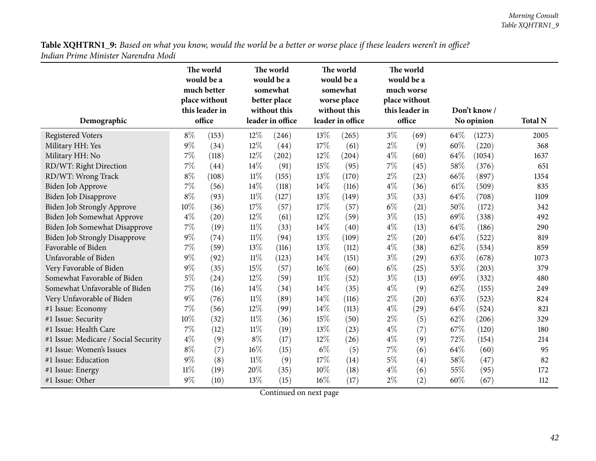|                                      | The world<br>would be a<br>much better<br>place without<br>this leader in |        |        | The world<br>would be a<br>somewhat<br>better place<br>without this |        | The world<br>would be a<br>somewhat<br>worse place<br>without this |       | The world<br>would be a<br>much worse<br>place without<br>this leader in |        | Don't know / |                |
|--------------------------------------|---------------------------------------------------------------------------|--------|--------|---------------------------------------------------------------------|--------|--------------------------------------------------------------------|-------|--------------------------------------------------------------------------|--------|--------------|----------------|
| Demographic                          |                                                                           | office |        | leader in office                                                    |        | leader in office                                                   |       | office                                                                   |        | No opinion   | <b>Total N</b> |
| <b>Registered Voters</b>             | $8\%$                                                                     | (153)  | 12%    | (246)                                                               | 13%    | (265)                                                              | $3\%$ | (69)                                                                     | 64\%   | (1273)       | 2005           |
| Military HH: Yes                     | $9\%$                                                                     | (34)   | 12%    | (44)                                                                | 17%    | (61)                                                               | $2\%$ | (9)                                                                      | 60%    | (220)        | 368            |
| Military HH: No                      | 7%                                                                        | (118)  | 12%    | (202)                                                               | 12%    | (204)                                                              | $4\%$ | (60)                                                                     | 64%    | (1054)       | 1637           |
| RD/WT: Right Direction               | $7\%$                                                                     | (44)   | 14%    | (91)                                                                | 15%    | (95)                                                               | $7\%$ | (45)                                                                     | 58%    | (376)        | 651            |
| RD/WT: Wrong Track                   | $8\%$                                                                     | (108)  | $11\%$ | (155)                                                               | 13%    | (170)                                                              | $2\%$ | (23)                                                                     | 66%    | (897)        | 1354           |
| Biden Job Approve                    | 7%                                                                        | (56)   | 14%    | (118)                                                               | 14%    | (116)                                                              | $4\%$ | (36)                                                                     | $61\%$ | (509)        | 835            |
| Biden Job Disapprove                 | $8\%$                                                                     | (93)   | $11\%$ | (127)                                                               | 13%    | (149)                                                              | $3\%$ | (33)                                                                     | 64\%   | (708)        | 1109           |
| Biden Job Strongly Approve           | $10\%$                                                                    | (36)   | 17%    | (57)                                                                | 17%    | (57)                                                               | $6\%$ | (21)                                                                     | 50%    | (172)        | 342            |
| <b>Biden Job Somewhat Approve</b>    | $4\%$                                                                     | (20)   | 12%    | (61)                                                                | 12%    | (59)                                                               | $3\%$ | (15)                                                                     | 69%    | (338)        | 492            |
| Biden Job Somewhat Disapprove        | 7%                                                                        | (19)   | $11\%$ | (33)                                                                | 14%    | (40)                                                               | $4\%$ | (13)                                                                     | 64%    | (186)        | 290            |
| <b>Biden Job Strongly Disapprove</b> | $9\%$                                                                     | (74)   | $11\%$ | (94)                                                                | 13%    | (109)                                                              | $2\%$ | (20)                                                                     | 64\%   | (522)        | 819            |
| Favorable of Biden                   | 7%                                                                        | (59)   | 13%    | (116)                                                               | 13%    | (112)                                                              | $4\%$ | (38)                                                                     | 62%    | (534)        | 859            |
| Unfavorable of Biden                 | $9\%$                                                                     | (92)   | $11\%$ | (123)                                                               | 14%    | (151)                                                              | $3\%$ | (29)                                                                     | 63%    | (678)        | 1073           |
| Very Favorable of Biden              | $9\%$                                                                     | (35)   | 15%    | (57)                                                                | $16\%$ | (60)                                                               | $6\%$ | (25)                                                                     | 53%    | (203)        | 379            |
| Somewhat Favorable of Biden          | $5\%$                                                                     | (24)   | 12%    | (59)                                                                | $11\%$ | (52)                                                               | $3\%$ | (13)                                                                     | 69%    | (332)        | 480            |
| Somewhat Unfavorable of Biden        | 7%                                                                        | (16)   | 14%    | (34)                                                                | 14%    | (35)                                                               | $4\%$ | (9)                                                                      | 62%    | (155)        | 249            |
| Very Unfavorable of Biden            | $9\%$                                                                     | (76)   | $11\%$ | (89)                                                                | 14%    | (116)                                                              | $2\%$ | (20)                                                                     | 63%    | (523)        | 824            |
| #1 Issue: Economy                    | 7%                                                                        | (56)   | 12%    | (99)                                                                | 14%    | (113)                                                              | $4\%$ | (29)                                                                     | 64\%   | (524)        | 821            |
| #1 Issue: Security                   | 10%                                                                       | (32)   | $11\%$ | (36)                                                                | 15%    | (50)                                                               | $2\%$ | (5)                                                                      | 62%    | (206)        | 329            |
| #1 Issue: Health Care                | 7%                                                                        | (12)   | $11\%$ | (19)                                                                | 13%    | (23)                                                               | $4\%$ | (7)                                                                      | 67\%   | (120)        | 180            |
| #1 Issue: Medicare / Social Security | $4\%$                                                                     | (9)    | $8\%$  | (17)                                                                | 12%    | (26)                                                               | $4\%$ | (9)                                                                      | 72%    | (154)        | 214            |
| #1 Issue: Women's Issues             | $8\%$                                                                     | (7)    | 16%    | (15)                                                                | $6\%$  | (5)                                                                | 7%    | (6)                                                                      | 64\%   | (60)         | 95             |
| #1 Issue: Education                  | $9\%$                                                                     | (8)    | $11\%$ | (9)                                                                 | 17%    | (14)                                                               | $5\%$ | (4)                                                                      | 58%    | (47)         | 82             |
| #1 Issue: Energy                     | $11\%$                                                                    | (19)   | 20%    | (35)                                                                | 10%    | (18)                                                               | $4\%$ | (6)                                                                      | 55%    | (95)         | 172            |
| #1 Issue: Other                      | $9\%$                                                                     | (10)   | 13%    | (15)                                                                | 16%    | (17)                                                               | $2\%$ | (2)                                                                      | 60%    | (67)         | 112            |

Table XQHTRN1\_9: Based on what you know, would the world be a better or worse place if these leaders weren't in office? *Indian Prime Minister Narendra Modi*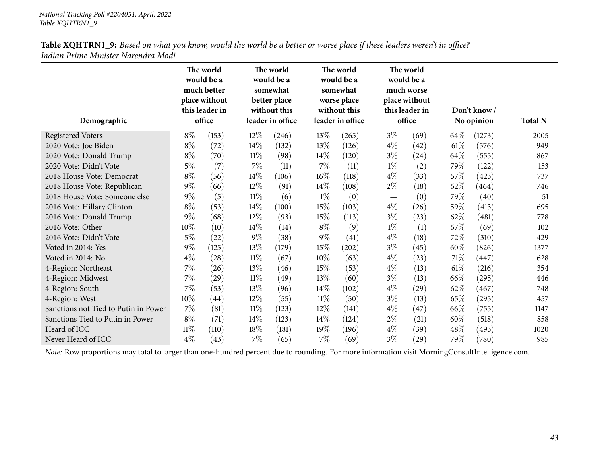| Demographic                          | The world<br>would be a<br>much better<br>place without<br>this leader in<br>office |       |        | The world<br>would be a<br>somewhat<br>better place<br>without this<br>leader in office |        | The world<br>would be a<br>somewhat<br>worse place<br>without this<br>leader in office |       | The world<br>would be a<br>much worse<br>place without<br>this leader in<br>office |        | Don't know/<br>No opinion | <b>Total N</b> |
|--------------------------------------|-------------------------------------------------------------------------------------|-------|--------|-----------------------------------------------------------------------------------------|--------|----------------------------------------------------------------------------------------|-------|------------------------------------------------------------------------------------|--------|---------------------------|----------------|
| <b>Registered Voters</b>             | $8\%$                                                                               | (153) | $12\%$ | (246)                                                                                   | 13\%   | (265)                                                                                  | $3\%$ | (69)                                                                               | 64\%   | (1273)                    | 2005           |
| 2020 Vote: Joe Biden                 | $8\%$                                                                               | (72)  | 14%    | (132)                                                                                   | 13%    | (126)                                                                                  | $4\%$ | (42)                                                                               | $61\%$ | (576)                     | 949            |
| 2020 Vote: Donald Trump              | $8\%$                                                                               | (70)  | $11\%$ | (98)                                                                                    | $14\%$ | (120)                                                                                  | $3\%$ | (24)                                                                               | 64\%   | (555)                     | 867            |
| 2020 Vote: Didn't Vote               | $5\%$                                                                               | (7)   | 7%     | (11)                                                                                    | 7%     | (11)                                                                                   | $1\%$ | (2)                                                                                | 79%    | (122)                     | 153            |
| 2018 House Vote: Democrat            | $8\%$                                                                               | (56)  | 14\%   | (106)                                                                                   | 16%    | (118)                                                                                  | $4\%$ | (33)                                                                               | 57%    | (423)                     | 737            |
| 2018 House Vote: Republican          | $9\%$                                                                               | (66)  | $12\%$ | (91)                                                                                    | 14\%   | (108)                                                                                  | $2\%$ | (18)                                                                               | 62\%   | (464)                     | 746            |
| 2018 House Vote: Someone else        | $9\%$                                                                               | (5)   | $11\%$ | (6)                                                                                     | $1\%$  | (0)                                                                                    |       | (0)                                                                                | 79%    | (40)                      | 51             |
| 2016 Vote: Hillary Clinton           | $8\%$                                                                               | (53)  | 14\%   | (100)                                                                                   | 15%    | (103)                                                                                  | $4\%$ | (26)                                                                               | 59%    | (413)                     | 695            |
| 2016 Vote: Donald Trump              | $9\%$                                                                               | (68)  | 12\%   | (93)                                                                                    | 15%    | (113)                                                                                  | $3\%$ | (23)                                                                               | 62%    | (481)                     | 778            |
| 2016 Vote: Other                     | $10\%$                                                                              | (10)  | 14\%   | (14)                                                                                    | $8\%$  | (9)                                                                                    | $1\%$ | (1)                                                                                | 67\%   | (69)                      | 102            |
| 2016 Vote: Didn't Vote               | $5\%$                                                                               | (22)  | $9\%$  | (38)                                                                                    | $9\%$  | (41)                                                                                   | $4\%$ | (18)                                                                               | 72\%   | (310)                     | 429            |
| Voted in 2014: Yes                   | $9\%$                                                                               | (125) | 13%    | (179)                                                                                   | 15%    | (202)                                                                                  | $3\%$ | (45)                                                                               | 60%    | (826)                     | 1377           |
| Voted in 2014: No                    | $4\%$                                                                               | (28)  | $11\%$ | (67)                                                                                    | 10%    | (63)                                                                                   | $4\%$ | (23)                                                                               | 71\%   | (447)                     | 628            |
| 4-Region: Northeast                  | $7\%$                                                                               | (26)  | 13%    | (46)                                                                                    | 15%    | (53)                                                                                   | $4\%$ | (13)                                                                               | 61%    | (216)                     | 354            |
| 4-Region: Midwest                    | $7\%$                                                                               | (29)  | $11\%$ | (49)                                                                                    | 13%    | (60)                                                                                   | $3\%$ | (13)                                                                               | 66\%   | (295)                     | 446            |
| 4-Region: South                      | $7\%$                                                                               | (53)  | 13%    | (96)                                                                                    | 14\%   | (102)                                                                                  | $4\%$ | $\left( 29\right)$                                                                 | 62\%   | (467)                     | 748            |
| 4-Region: West                       | $10\%$                                                                              | (44)  | 12%    | (55)                                                                                    | 11%    | (50)                                                                                   | $3\%$ | (13)                                                                               | 65%    | (295)                     | 457            |
| Sanctions not Tied to Putin in Power | $7\%$                                                                               | (81)  | $11\%$ | (123)                                                                                   | 12%    | (141)                                                                                  | $4\%$ | (47)                                                                               | 66\%   | (755)                     | 1147           |
| Sanctions Tied to Putin in Power     | $8\%$                                                                               | (71)  | 14%    | (123)                                                                                   | 14%    | (124)                                                                                  | $2\%$ | (21)                                                                               | 60%    | (518)                     | 858            |
| Heard of ICC                         | $11\%$                                                                              | (110) | 18%    | (181)                                                                                   | 19%    | (196)                                                                                  | $4\%$ | (39)                                                                               | 48\%   | (493)                     | 1020           |
| Never Heard of ICC                   | $4\%$                                                                               | (43)  | $7\%$  | (65)                                                                                    | 7%     | (69)                                                                                   | $3\%$ | $\left( 29\right)$                                                                 | 79\%   | $\left( 780\right)$       | 985            |

Table XQHTRN1\_9: Based on what you know, would the world be a better or worse place if these leaders weren't in office? *Indian Prime Minister Narendra Modi*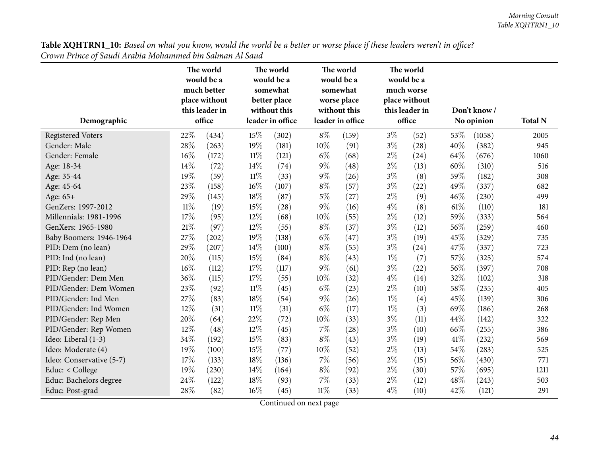| Table XQHTRN1_10: Based on what you know, would the world be a better or worse place if these leaders weren't in office? |  |
|--------------------------------------------------------------------------------------------------------------------------|--|
| Crown Prince of Saudi Arabia Mohammed bin Salman Al Saud                                                                 |  |

|                          | The world<br>would be a<br>much better<br>place without<br>this leader in |        | The world<br>would be a<br>somewhat<br>better place<br>without this<br>leader in office |                    |        | The world<br>would be a<br>somewhat<br>worse place<br>without this<br>leader in office |        | The world<br>would be a<br>much worse<br>place without<br>this leader in |            | Don't know / |                |
|--------------------------|---------------------------------------------------------------------------|--------|-----------------------------------------------------------------------------------------|--------------------|--------|----------------------------------------------------------------------------------------|--------|--------------------------------------------------------------------------|------------|--------------|----------------|
| Demographic              |                                                                           | office |                                                                                         |                    |        |                                                                                        | office |                                                                          | No opinion |              | <b>Total N</b> |
| <b>Registered Voters</b> | 22%                                                                       | (434)  | 15%                                                                                     | (302)              | $8\%$  | (159)                                                                                  | $3\%$  | (52)                                                                     | 53%        | (1058)       | 2005           |
| Gender: Male             | 28%                                                                       | (263)  | 19%                                                                                     | (181)              | 10%    | (91)                                                                                   | $3\%$  | (28)                                                                     | 40%        | (382)        | 945            |
| Gender: Female           | 16%                                                                       | (172)  | $11\%$                                                                                  | (121)              | $6\%$  | (68)                                                                                   | $2\%$  | (24)                                                                     | 64%        | (676)        | 1060           |
| Age: 18-34               | 14%                                                                       | (72)   | 14%                                                                                     | (74)               | $9\%$  | (48)                                                                                   | $2\%$  | (13)                                                                     | 60%        | (310)        | 516            |
| Age: 35-44               | 19%                                                                       | (59)   | $11\%$                                                                                  | (33)               | $9\%$  | (26)                                                                                   | $3\%$  | (8)                                                                      | 59%        | (182)        | 308            |
| Age: 45-64               | 23%                                                                       | (158)  | 16%                                                                                     | (107)              | $8\%$  | (57)                                                                                   | $3\%$  | (22)                                                                     | 49%        | (337)        | 682            |
| Age: 65+                 | 29%                                                                       | (145)  | 18%                                                                                     | (87)               | $5\%$  | (27)                                                                                   | $2\%$  | (9)                                                                      | 46%        | (230)        | 499            |
| GenZers: 1997-2012       | $11\%$                                                                    | (19)   | 15%                                                                                     | $\left( 28\right)$ | $9\%$  | (16)                                                                                   | $4\%$  | (8)                                                                      | $61\%$     | (110)        | 181            |
| Millennials: 1981-1996   | 17%                                                                       | (95)   | 12%                                                                                     | (68)               | 10%    | (55)                                                                                   | $2\%$  | (12)                                                                     | 59%        | (333)        | 564            |
| GenXers: 1965-1980       | 21%                                                                       | (97)   | 12%                                                                                     | (55)               | $8\%$  | (37)                                                                                   | $3\%$  | (12)                                                                     | 56%        | (259)        | 460            |
| Baby Boomers: 1946-1964  | 27%                                                                       | (202)  | 19%                                                                                     | (138)              | $6\%$  | (47)                                                                                   | $3\%$  | (19)                                                                     | 45%        | (329)        | 735            |
| PID: Dem (no lean)       | 29%                                                                       | (207)  | 14%                                                                                     | (100)              | $8\%$  | (55)                                                                                   | $3\%$  | (24)                                                                     | 47%        | (337)        | 723            |
| PID: Ind (no lean)       | 20%                                                                       | (115)  | 15%                                                                                     | (84)               | $8\%$  | (43)                                                                                   | $1\%$  | (7)                                                                      | 57%        | (325)        | 574            |
| PID: Rep (no lean)       | 16%                                                                       | (112)  | 17%                                                                                     | (117)              | $9\%$  | (61)                                                                                   | $3\%$  | (22)                                                                     | 56%        | (397)        | 708            |
| PID/Gender: Dem Men      | 36%                                                                       | (115)  | 17%                                                                                     | (55)               | $10\%$ | (32)                                                                                   | $4\%$  | (14)                                                                     | 32%        | (102)        | 318            |
| PID/Gender: Dem Women    | 23%                                                                       | (92)   | $11\%$                                                                                  | (45)               | $6\%$  | (23)                                                                                   | $2\%$  | (10)                                                                     | 58%        | (235)        | 405            |
| PID/Gender: Ind Men      | 27%                                                                       | (83)   | 18%                                                                                     | (54)               | $9\%$  | (26)                                                                                   | $1\%$  | (4)                                                                      | 45%        | (139)        | 306            |
| PID/Gender: Ind Women    | 12%                                                                       | (31)   | $11\%$                                                                                  | (31)               | $6\%$  | (17)                                                                                   | $1\%$  | (3)                                                                      | 69%        | (186)        | 268            |
| PID/Gender: Rep Men      | 20%                                                                       | (64)   | 22%                                                                                     | (72)               | 10%    | (33)                                                                                   | $3\%$  | (11)                                                                     | 44%        | (142)        | 322            |
| PID/Gender: Rep Women    | 12%                                                                       | (48)   | 12%                                                                                     | (45)               | $7\%$  | (28)                                                                                   | $3\%$  | (10)                                                                     | 66%        | (255)        | 386            |
| Ideo: Liberal (1-3)      | 34%                                                                       | (192)  | 15%                                                                                     | (83)               | $8\%$  | (43)                                                                                   | $3\%$  | (19)                                                                     | 41%        | (232)        | 569            |
| Ideo: Moderate (4)       | 19%                                                                       | (100)  | 15%                                                                                     | (77)               | 10%    | (52)                                                                                   | $2\%$  | (13)                                                                     | 54%        | (283)        | 525            |
| Ideo: Conservative (5-7) | 17%                                                                       | (133)  | 18%                                                                                     | (136)              | $7\%$  | (56)                                                                                   | $2\%$  | (15)                                                                     | 56%        | (430)        | 771            |
| Educ: < College          | 19%                                                                       | (230)  | 14%                                                                                     | (164)              | $8\%$  | (92)                                                                                   | $2\%$  | (30)                                                                     | 57%        | (695)        | 1211           |
| Educ: Bachelors degree   | 24%                                                                       | (122)  | 18%                                                                                     | (93)               | $7\%$  | (33)                                                                                   | $2\%$  | (12)                                                                     | 48%        | (243)        | 503            |
| Educ: Post-grad          | 28%                                                                       | (82)   | 16%                                                                                     | (45)               | $11\%$ | (33)                                                                                   | $4\%$  | (10)                                                                     | 42%        | (121)        | 291            |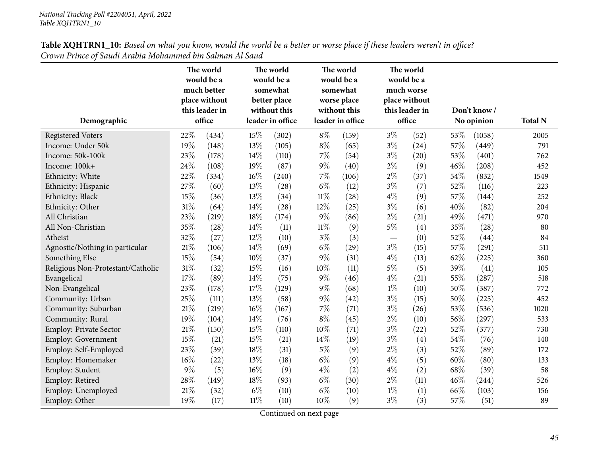| Table XQHTRN1_10: Based on what you know, would the world be a better or worse place if these leaders weren't in office? |  |
|--------------------------------------------------------------------------------------------------------------------------|--|
| Crown Prince of Saudi Arabia Mohammed bin Salman Al Saud                                                                 |  |

|                                   | The world<br>would be a<br>much better<br>place without<br>this leader in |        |        | The world<br>would be a<br>somewhat<br>better place<br>without this |        | The world<br>would be a<br>somewhat<br>worse place<br>without this |       | The world<br>would be a<br>much worse<br>place without<br>this leader in |     | Don't know / |                |
|-----------------------------------|---------------------------------------------------------------------------|--------|--------|---------------------------------------------------------------------|--------|--------------------------------------------------------------------|-------|--------------------------------------------------------------------------|-----|--------------|----------------|
| Demographic                       |                                                                           | office |        | leader in office                                                    |        | leader in office                                                   |       | office                                                                   |     | No opinion   | <b>Total N</b> |
| <b>Registered Voters</b>          | 22%                                                                       | (434)  | 15%    | (302)                                                               | $8\%$  | (159)                                                              | $3\%$ | (52)                                                                     | 53% | (1058)       | 2005           |
| Income: Under 50k                 | 19%                                                                       | (148)  | 13%    | (105)                                                               | $8\%$  | (65)                                                               | $3\%$ | (24)                                                                     | 57% | (449)        | 791            |
| Income: 50k-100k                  | 23%                                                                       | (178)  | 14%    | (110)                                                               | $7\%$  | (54)                                                               | $3\%$ | (20)                                                                     | 53% | (401)        | 762            |
| Income: 100k+                     | 24%                                                                       | (108)  | 19%    | (87)                                                                | $9\%$  | (40)                                                               | $2\%$ | (9)                                                                      | 46% | (208)        | 452            |
| Ethnicity: White                  | 22%                                                                       | (334)  | 16%    | (240)                                                               | $7\%$  | (106)                                                              | $2\%$ | (37)                                                                     | 54% | (832)        | 1549           |
| Ethnicity: Hispanic               | 27%                                                                       | (60)   | 13%    | (28)                                                                | $6\%$  | (12)                                                               | $3\%$ | (7)                                                                      | 52% | (116)        | 223            |
| Ethnicity: Black                  | 15%                                                                       | (36)   | 13%    | (34)                                                                | $11\%$ | (28)                                                               | $4\%$ | (9)                                                                      | 57% | (144)        | 252            |
| Ethnicity: Other                  | 31%                                                                       | (64)   | 14%    | (28)                                                                | 12%    | (25)                                                               | $3\%$ | (6)                                                                      | 40% | (82)         | 204            |
| All Christian                     | 23%                                                                       | (219)  | 18%    | (174)                                                               | $9\%$  | (86)                                                               | $2\%$ | (21)                                                                     | 49% | (471)        | 970            |
| All Non-Christian                 | 35%                                                                       | (28)   | 14%    | (11)                                                                | $11\%$ | (9)                                                                | $5\%$ | (4)                                                                      | 35% | (28)         | 80             |
| Atheist                           | 32%                                                                       | (27)   | 12%    | (10)                                                                | $3\%$  | (3)                                                                |       | (0)                                                                      | 52% | (44)         | 84             |
| Agnostic/Nothing in particular    | 21%                                                                       | (106)  | 14%    | (69)                                                                | $6\%$  | (29)                                                               | $3\%$ | (15)                                                                     | 57% | (291)        | 511            |
| Something Else                    | 15%                                                                       | (54)   | 10%    | (37)                                                                | $9\%$  | (31)                                                               | $4\%$ | (13)                                                                     | 62% | (225)        | 360            |
| Religious Non-Protestant/Catholic | 31%                                                                       | (32)   | 15%    | (16)                                                                | 10%    | (11)                                                               | $5\%$ | (5)                                                                      | 39% | (41)         | 105            |
| Evangelical                       | 17%                                                                       | (89)   | 14%    | (75)                                                                | $9\%$  | (46)                                                               | $4\%$ | (21)                                                                     | 55% | (287)        | 518            |
| Non-Evangelical                   | 23%                                                                       | (178)  | 17%    | (129)                                                               | $9\%$  | (68)                                                               | $1\%$ | (10)                                                                     | 50% | (387)        | 772            |
| Community: Urban                  | 25%                                                                       | (111)  | 13%    | (58)                                                                | $9\%$  | (42)                                                               | $3\%$ | (15)                                                                     | 50% | (225)        | 452            |
| Community: Suburban               | 21%                                                                       | (219)  | 16%    | (167)                                                               | 7%     | (71)                                                               | $3\%$ | (26)                                                                     | 53% | (536)        | 1020           |
| Community: Rural                  | 19%                                                                       | (104)  | 14\%   | (76)                                                                | $8\%$  | (45)                                                               | $2\%$ | (10)                                                                     | 56% | (297)        | 533            |
| <b>Employ: Private Sector</b>     | 21%                                                                       | (150)  | 15%    | (110)                                                               | 10%    | (71)                                                               | $3\%$ | (22)                                                                     | 52% | (377)        | 730            |
| <b>Employ: Government</b>         | 15%                                                                       | (21)   | 15%    | (21)                                                                | 14%    | (19)                                                               | $3\%$ | (4)                                                                      | 54% | (76)         | 140            |
| Employ: Self-Employed             | 23%                                                                       | (39)   | 18%    | (31)                                                                | $5\%$  | (9)                                                                | $2\%$ | (3)                                                                      | 52% | (89)         | 172            |
| Employ: Homemaker                 | $16\%$                                                                    | (22)   | 13%    | (18)                                                                | $6\%$  | (9)                                                                | $4\%$ | (5)                                                                      | 60% | (80)         | 133            |
| Employ: Student                   | $9\%$                                                                     | (5)    | 16%    | (9)                                                                 | $4\%$  | (2)                                                                | 4%    | (2)                                                                      | 68% | (39)         | 58             |
| Employ: Retired                   | 28%                                                                       | (149)  | 18%    | (93)                                                                | $6\%$  | (30)                                                               | $2\%$ | (11)                                                                     | 46% | (244)        | 526            |
| Employ: Unemployed                | 21%                                                                       | (32)   | $6\%$  | (10)                                                                | $6\%$  | (10)                                                               | $1\%$ | (1)                                                                      | 66% | (103)        | 156            |
| Employ: Other                     | 19%                                                                       | (17)   | $11\%$ | (10)                                                                | 10%    | (9)                                                                | $3\%$ | (3)                                                                      | 57% | (51)         | 89             |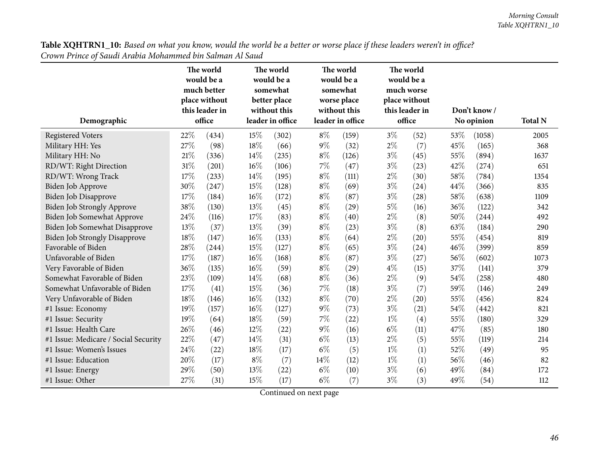| Table XQHTRN1_10: Based on what you know, would the world be a better or worse place if these leaders weren't in office? |  |
|--------------------------------------------------------------------------------------------------------------------------|--|
| Crown Prince of Saudi Arabia Mohammed bin Salman Al Saud                                                                 |  |

|                                      | The world<br>would be a<br>much better<br>place without<br>this leader in |        |       | The world<br>would be a<br>somewhat<br>better place<br>without this |       | The world<br>would be a<br>somewhat<br>worse place<br>without this |       | The world<br>would be a<br>much worse<br>place without<br>this leader in |     | Don't know / |                |
|--------------------------------------|---------------------------------------------------------------------------|--------|-------|---------------------------------------------------------------------|-------|--------------------------------------------------------------------|-------|--------------------------------------------------------------------------|-----|--------------|----------------|
| Demographic                          |                                                                           | office |       | leader in office                                                    |       | leader in office                                                   |       | office                                                                   |     | No opinion   | <b>Total N</b> |
| <b>Registered Voters</b>             | 22%                                                                       | (434)  | 15%   | (302)                                                               | $8\%$ | (159)                                                              | $3\%$ | (52)                                                                     | 53% | (1058)       | 2005           |
| Military HH: Yes                     | 27%                                                                       | (98)   | 18%   | (66)                                                                | $9\%$ | (32)                                                               | $2\%$ | (7)                                                                      | 45% | (165)        | 368            |
| Military HH: No                      | 21%                                                                       | (336)  | 14%   | (235)                                                               | $8\%$ | (126)                                                              | $3\%$ | (45)                                                                     | 55% | (894)        | 1637           |
| RD/WT: Right Direction               | 31%                                                                       | (201)  | 16%   | (106)                                                               | 7%    | (47)                                                               | $3\%$ | (23)                                                                     | 42% | (274)        | 651            |
| RD/WT: Wrong Track                   | 17%                                                                       | (233)  | 14%   | (195)                                                               | $8\%$ | (111)                                                              | $2\%$ | (30)                                                                     | 58% | (784)        | 1354           |
| Biden Job Approve                    | 30%                                                                       | (247)  | 15%   | (128)                                                               | $8\%$ | (69)                                                               | $3\%$ | (24)                                                                     | 44% | (366)        | 835            |
| Biden Job Disapprove                 | 17%                                                                       | (184)  | 16%   | (172)                                                               | $8\%$ | (87)                                                               | $3\%$ | (28)                                                                     | 58% | (638)        | 1109           |
| Biden Job Strongly Approve           | 38%                                                                       | (130)  | 13%   | (45)                                                                | $8\%$ | (29)                                                               | $5\%$ | (16)                                                                     | 36% | (122)        | 342            |
| Biden Job Somewhat Approve           | 24%                                                                       | (116)  | 17%   | (83)                                                                | $8\%$ | (40)                                                               | $2\%$ | (8)                                                                      | 50% | (244)        | 492            |
| Biden Job Somewhat Disapprove        | 13%                                                                       | (37)   | 13%   | (39)                                                                | $8\%$ | (23)                                                               | $3\%$ | (8)                                                                      | 63% | (184)        | 290            |
| <b>Biden Job Strongly Disapprove</b> | 18%                                                                       | (147)  | 16%   | (133)                                                               | $8\%$ | (64)                                                               | $2\%$ | (20)                                                                     | 55% | (454)        | 819            |
| Favorable of Biden                   | 28%                                                                       | (244)  | 15%   | (127)                                                               | $8\%$ | (65)                                                               | $3\%$ | (24)                                                                     | 46% | (399)        | 859            |
| Unfavorable of Biden                 | 17%                                                                       | (187)  | 16%   | (168)                                                               | $8\%$ | (87)                                                               | $3\%$ | (27)                                                                     | 56% | (602)        | 1073           |
| Very Favorable of Biden              | 36%                                                                       | (135)  | 16%   | (59)                                                                | $8\%$ | (29)                                                               | $4\%$ | (15)                                                                     | 37% | (141)        | 379            |
| Somewhat Favorable of Biden          | 23%                                                                       | (109)  | 14%   | (68)                                                                | $8\%$ | (36)                                                               | $2\%$ | (9)                                                                      | 54% | (258)        | 480            |
| Somewhat Unfavorable of Biden        | 17%                                                                       | (41)   | 15%   | (36)                                                                | $7\%$ | (18)                                                               | $3\%$ | (7)                                                                      | 59% | (146)        | 249            |
| Very Unfavorable of Biden            | 18%                                                                       | (146)  | 16%   | (132)                                                               | $8\%$ | (70)                                                               | $2\%$ | (20)                                                                     | 55% | (456)        | 824            |
| #1 Issue: Economy                    | 19%                                                                       | (157)  | 16%   | (127)                                                               | $9\%$ | (73)                                                               | $3\%$ | (21)                                                                     | 54% | (442)        | 821            |
| #1 Issue: Security                   | 19%                                                                       | (64)   | 18%   | (59)                                                                | $7\%$ | (22)                                                               | $1\%$ | (4)                                                                      | 55% | (180)        | 329            |
| #1 Issue: Health Care                | 26%                                                                       | (46)   | 12%   | (22)                                                                | $9\%$ | (16)                                                               | $6\%$ | (11)                                                                     | 47% | (85)         | 180            |
| #1 Issue: Medicare / Social Security | 22%                                                                       | (47)   | 14\%  | (31)                                                                | $6\%$ | (13)                                                               | $2\%$ | (5)                                                                      | 55% | (119)        | 214            |
| #1 Issue: Women's Issues             | 24%                                                                       | (22)   | 18%   | (17)                                                                | $6\%$ | (5)                                                                | $1\%$ | (1)                                                                      | 52% | (49)         | 95             |
| #1 Issue: Education                  | 20%                                                                       | (17)   | $8\%$ | (7)                                                                 | 14%   | (12)                                                               | $1\%$ | (1)                                                                      | 56% | (46)         | 82             |
| #1 Issue: Energy                     | 29%                                                                       | (50)   | 13%   | (22)                                                                | $6\%$ | (10)                                                               | $3\%$ | (6)                                                                      | 49% | (84)         | 172            |
| #1 Issue: Other                      | 27%                                                                       | (31)   | 15%   | (17)                                                                | $6\%$ | (7)                                                                | $3\%$ | (3)                                                                      | 49% | (54)         | 112            |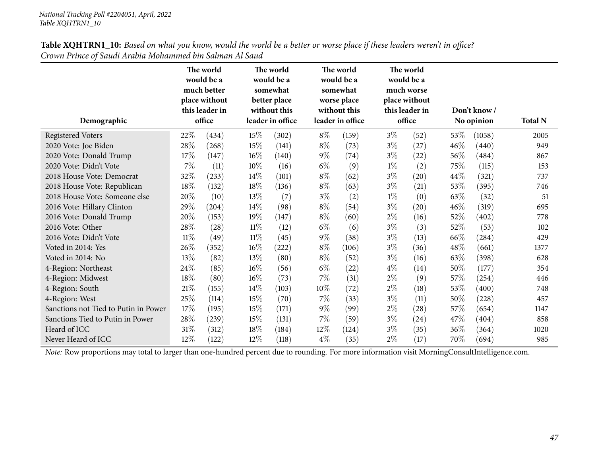| Demographic                          | The world<br>would be a<br>much better<br>place without<br>this leader in<br>office |                     |        | The world<br>would be a<br>somewhat<br>better place<br>without this<br>leader in office |       | The world<br>would be a<br>somewhat<br>worse place<br>without this<br>leader in office |       | The world<br>would be a<br>much worse<br>place without<br>this leader in<br>office |        | Don't know/<br>No opinion | <b>Total N</b> |
|--------------------------------------|-------------------------------------------------------------------------------------|---------------------|--------|-----------------------------------------------------------------------------------------|-------|----------------------------------------------------------------------------------------|-------|------------------------------------------------------------------------------------|--------|---------------------------|----------------|
| <b>Registered Voters</b>             | 22\%                                                                                | (434)               | $15\%$ | (302)                                                                                   | $8\%$ | (159)                                                                                  | $3\%$ | (52)                                                                               | $53\%$ | (1058)                    | 2005           |
| 2020 Vote: Joe Biden                 | $28\%$                                                                              | (268)               | $15\%$ | (141)                                                                                   | $8\%$ | (73)                                                                                   | $3\%$ | (27)                                                                               | 46%    | (440)                     | 949            |
| 2020 Vote: Donald Trump              | 17%                                                                                 | (147)               | 16%    | (140)                                                                                   | $9\%$ | (74)                                                                                   | $3\%$ | (22)                                                                               | 56%    | $\left( 484\right)$       | 867            |
| 2020 Vote: Didn't Vote               | $7\%$                                                                               | (11)                | 10%    | (16)                                                                                    | $6\%$ | (9)                                                                                    | $1\%$ | (2)                                                                                | 75%    | (115)                     | 153            |
| 2018 House Vote: Democrat            | 32%                                                                                 | (233)               | 14%    | (101)                                                                                   | $8\%$ | (62)                                                                                   | $3\%$ | (20)                                                                               | 44%    | (321)                     | 737            |
| 2018 House Vote: Republican          | 18\%                                                                                | (132)               | 18%    | (136)                                                                                   | $8\%$ | (63)                                                                                   | $3\%$ | (21)                                                                               | 53\%   | (395)                     | 746            |
| 2018 House Vote: Someone else        | 20%                                                                                 | (10)                | 13%    | (7)                                                                                     | $3\%$ | (2)                                                                                    | $1\%$ | (0)                                                                                | 63%    | (32)                      | 51             |
| 2016 Vote: Hillary Clinton           | 29\%                                                                                | (204)               | $14\%$ | (98)                                                                                    | $8\%$ | (54)                                                                                   | $3\%$ | (20)                                                                               | 46%    | (319)                     | 695            |
| 2016 Vote: Donald Trump              | 20%                                                                                 | (153)               | 19%    | (147)                                                                                   | $8\%$ | (60)                                                                                   | $2\%$ | (16)                                                                               | $52\%$ | (402)                     | 778            |
| 2016 Vote: Other                     | 28\%                                                                                | (28)                | $11\%$ | (12)                                                                                    | $6\%$ | (6)                                                                                    | $3\%$ | (3)                                                                                | 52%    | (53)                      | 102            |
| 2016 Vote: Didn't Vote               | $11\%$                                                                              | (49)                | 11%    | (45)                                                                                    | $9\%$ | (38)                                                                                   | $3\%$ | (13)                                                                               | 66\%   | (284)                     | 429            |
| Voted in 2014: Yes                   | 26\%                                                                                | (352)               | 16%    | (222)                                                                                   | $8\%$ | (106)                                                                                  | $3\%$ | (36)                                                                               | 48\%   | (661)                     | 1377           |
| Voted in 2014: No                    | $13\%$                                                                              | (82)                | 13\%   | (80)                                                                                    | $8\%$ | (52)                                                                                   | $3\%$ | (16)                                                                               | 63%    | (398)                     | 628            |
| 4-Region: Northeast                  | 24\%                                                                                | (85)                | 16%    | (56)                                                                                    | $6\%$ | (22)                                                                                   | $4\%$ | (14)                                                                               | 50%    | (177)                     | 354            |
| 4-Region: Midwest                    | 18\%                                                                                | (80)                | $16\%$ | (73)                                                                                    | $7\%$ | (31)                                                                                   | $2\%$ | (9)                                                                                | 57\%   | (254)                     | 446            |
| 4-Region: South                      | 21%                                                                                 | (155)               | 14\%   | (103)                                                                                   | 10%   | (72)                                                                                   | $2\%$ | (18)                                                                               | 53\%   | (400)                     | 748            |
| 4-Region: West                       | 25%                                                                                 | (114)               | 15%    | (70)                                                                                    | 7%    | (33)                                                                                   | $3\%$ | (11)                                                                               | 50%    | (228)                     | 457            |
| Sanctions not Tied to Putin in Power | 17%                                                                                 | (195)               | 15%    | (171)                                                                                   | $9\%$ | (99)                                                                                   | $2\%$ | (28)                                                                               | 57\%   | (654)                     | 1147           |
| Sanctions Tied to Putin in Power     | 28\%                                                                                | $\left( 239\right)$ | 15%    | (131)                                                                                   | 7%    | (59)                                                                                   | $3\%$ | $\left( 24\right)$                                                                 | 47\%   | (404)                     | 858            |
| Heard of ICC                         | $31\%$                                                                              | (312)               | 18%    | (184)                                                                                   | 12%   | (124)                                                                                  | $3\%$ | (35)                                                                               | 36%    | (364)                     | 1020           |
| Never Heard of ICC                   | 12%                                                                                 | (122)               | $12\%$ | (118)                                                                                   | $4\%$ | (35)                                                                                   | $2\%$ | (17)                                                                               | 70\%   | (694)                     | 985            |

Table XQHTRN1\_10: Based on what you know, would the world be a better or worse place if these leaders weren't in office? *Crown Prince of Saudi Arabia Mohammed bin Salman Al Saud*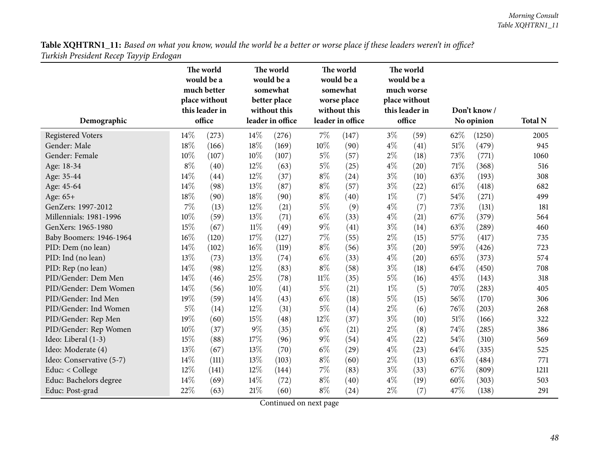|                          | The world<br>would be a<br>much better<br>place without<br>this leader in |        | The world<br>would be a<br>somewhat<br>better place<br>without this |                  | The world<br>would be a<br>somewhat<br>worse place<br>without this |                  | The world<br>would be a<br>much worse<br>place without<br>this leader in |        |        | Don't know/ |                |
|--------------------------|---------------------------------------------------------------------------|--------|---------------------------------------------------------------------|------------------|--------------------------------------------------------------------|------------------|--------------------------------------------------------------------------|--------|--------|-------------|----------------|
| Demographic              |                                                                           | office |                                                                     | leader in office |                                                                    | leader in office |                                                                          | office |        | No opinion  | <b>Total N</b> |
| <b>Registered Voters</b> | 14%                                                                       | (273)  | 14%                                                                 | (276)            | 7%                                                                 | (147)            | $3\%$                                                                    | (59)   | 62%    | (1250)      | 2005           |
| Gender: Male             | $18\%$                                                                    | (166)  | 18%                                                                 | (169)            | 10%                                                                | (90)             | $4\%$                                                                    | (41)   | 51%    | (479)       | 945            |
| Gender: Female           | 10%                                                                       | (107)  | 10%                                                                 | (107)            | $5\%$                                                              | (57)             | $2\%$                                                                    | (18)   | 73%    | (771)       | 1060           |
| Age: 18-34               | $8\%$                                                                     | (40)   | $12\%$                                                              | (63)             | $5\%$                                                              | (25)             | $4\%$                                                                    | (20)   | $71\%$ | (368)       | 516            |
| Age: 35-44               | 14%                                                                       | (44)   | 12%                                                                 | (37)             | $8\%$                                                              | (24)             | $3\%$                                                                    | (10)   | 63\%   | (193)       | 308            |
| Age: 45-64               | 14%                                                                       | (98)   | 13%                                                                 | (87)             | $8\%$                                                              | (57)             | $3\%$                                                                    | (22)   | 61\%   | (418)       | 682            |
| Age: 65+                 | 18%                                                                       | (90)   | 18%                                                                 | (90)             | $8\%$                                                              | (40)             | $1\%$                                                                    | (7)    | 54\%   | (271)       | 499            |
| GenZers: 1997-2012       | 7%                                                                        | (13)   | 12%                                                                 | (21)             | $5\%$                                                              | (9)              | $4\%$                                                                    | (7)    | 73%    | (131)       | 181            |
| Millennials: 1981-1996   | 10%                                                                       | (59)   | 13%                                                                 | (71)             | $6\%$                                                              | (33)             | $4\%$                                                                    | (21)   | 67%    | (379)       | 564            |
| GenXers: 1965-1980       | 15%                                                                       | (67)   | $11\%$                                                              | (49)             | $9\%$                                                              | (41)             | $3\%$                                                                    | (14)   | 63%    | (289)       | 460            |
| Baby Boomers: 1946-1964  | 16%                                                                       | (120)  | 17%                                                                 | (127)            | 7%                                                                 | (55)             | $2\%$                                                                    | (15)   | 57%    | (417)       | 735            |
| PID: Dem (no lean)       | 14%                                                                       | (102)  | 16%                                                                 | (119)            | $8\%$                                                              | (56)             | $3\%$                                                                    | (20)   | 59%    | (426)       | 723            |
| PID: Ind (no lean)       | 13%                                                                       | (73)   | 13%                                                                 | (74)             | $6\%$                                                              | (33)             | $4\%$                                                                    | (20)   | 65%    | (373)       | 574            |
| PID: Rep (no lean)       | 14%                                                                       | (98)   | 12%                                                                 | (83)             | $8\%$                                                              | (58)             | $3\%$                                                                    | (18)   | 64%    | (450)       | 708            |
| PID/Gender: Dem Men      | 14%                                                                       | (46)   | 25%                                                                 | (78)             | $11\%$                                                             | (35)             | $5\%$                                                                    | (16)   | 45%    | (143)       | 318            |
| PID/Gender: Dem Women    | 14%                                                                       | (56)   | 10%                                                                 | (41)             | $5\%$                                                              | (21)             | $1\%$                                                                    | (5)    | 70%    | (283)       | 405            |
| PID/Gender: Ind Men      | 19%                                                                       | (59)   | 14%                                                                 | (43)             | $6\%$                                                              | (18)             | $5\%$                                                                    | (15)   | 56%    | (170)       | 306            |
| PID/Gender: Ind Women    | $5\%$                                                                     | (14)   | 12%                                                                 | (31)             | $5\%$                                                              | (14)             | $2\%$                                                                    | (6)    | 76%    | (203)       | 268            |
| PID/Gender: Rep Men      | 19%                                                                       | (60)   | 15%                                                                 | (48)             | 12%                                                                | (37)             | $3\%$                                                                    | (10)   | 51\%   | (166)       | 322            |
| PID/Gender: Rep Women    | 10%                                                                       | (37)   | $9\%$                                                               | (35)             | $6\%$                                                              | (21)             | $2\%$                                                                    | (8)    | 74\%   | (285)       | 386            |
| Ideo: Liberal (1-3)      | 15%                                                                       | (88)   | 17%                                                                 | (96)             | $9\%$                                                              | (54)             | $4\%$                                                                    | (22)   | 54%    | (310)       | 569            |
| Ideo: Moderate (4)       | 13%                                                                       | (67)   | 13%                                                                 | (70)             | $6\%$                                                              | (29)             | $4\%$                                                                    | (23)   | 64%    | (335)       | 525            |
| Ideo: Conservative (5-7) | 14%                                                                       | (111)  | 13%                                                                 | (103)            | $8\%$                                                              | (60)             | $2\%$                                                                    | (13)   | 63%    | (484)       | 771            |
| Educ: < College          | 12%                                                                       | (141)  | 12%                                                                 | (144)            | 7%                                                                 | (83)             | $3\%$                                                                    | (33)   | 67%    | (809)       | 1211           |
| Educ: Bachelors degree   | 14%                                                                       | (69)   | 14%                                                                 | (72)             | $8\%$                                                              | (40)             | $4\%$                                                                    | (19)   | 60%    | (303)       | 503            |
| Educ: Post-grad          | 22%                                                                       | (63)   | 21%                                                                 | (60)             | $8\%$                                                              | (24)             | $2\%$                                                                    | (7)    | 47%    | (138)       | 291            |

Table XQHTRN1\_11: Based on what you know, would the world be a better or worse place if these leaders weren't in office? *Turkish President Recep Tayyip Erdogan*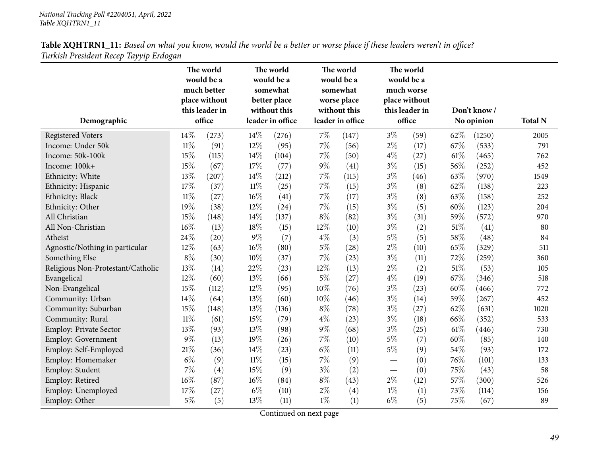|                                   | The world<br>would be a<br>much better<br>place without<br>this leader in<br>office |       | The world<br>would be a<br>somewhat<br>better place<br>without this |                  |       | The world<br>would be a<br>somewhat<br>worse place<br>without this<br>leader in office |       | The world<br>would be a<br>much worse<br>place without<br>this leader in<br>office |      | Don't know/ |                |
|-----------------------------------|-------------------------------------------------------------------------------------|-------|---------------------------------------------------------------------|------------------|-------|----------------------------------------------------------------------------------------|-------|------------------------------------------------------------------------------------|------|-------------|----------------|
| Demographic                       |                                                                                     |       |                                                                     | leader in office |       |                                                                                        |       |                                                                                    |      | No opinion  | <b>Total N</b> |
| <b>Registered Voters</b>          | $14\%$                                                                              | (273) | 14%                                                                 | (276)            | $7\%$ | (147)                                                                                  | $3\%$ | (59)                                                                               | 62%  | (1250)      | 2005           |
| Income: Under 50k                 | $11\%$                                                                              | (91)  | 12%                                                                 | (95)             | $7\%$ | (56)                                                                                   | $2\%$ | (17)                                                                               | 67%  | (533)       | 791            |
| Income: 50k-100k                  | 15%                                                                                 | (115) | 14%                                                                 | (104)            | 7%    | (50)                                                                                   | $4\%$ | (27)                                                                               | 61\% | (465)       | 762            |
| Income: 100k+                     | 15%                                                                                 | (67)  | 17%                                                                 | (77)             | $9\%$ | (41)                                                                                   | $3\%$ | (15)                                                                               | 56%  | (252)       | 452            |
| Ethnicity: White                  | 13%                                                                                 | (207) | 14%                                                                 | (212)            | 7%    | (115)                                                                                  | $3\%$ | (46)                                                                               | 63%  | (970)       | 1549           |
| Ethnicity: Hispanic               | 17%                                                                                 | (37)  | $11\%$                                                              | (25)             | $7\%$ | (15)                                                                                   | $3\%$ | (8)                                                                                | 62%  | (138)       | 223            |
| Ethnicity: Black                  | $11\%$                                                                              | (27)  | 16%                                                                 | (41)             | $7\%$ | (17)                                                                                   | $3\%$ | (8)                                                                                | 63%  | (158)       | 252            |
| Ethnicity: Other                  | 19%                                                                                 | (38)  | 12%                                                                 | (24)             | $7\%$ | (15)                                                                                   | $3\%$ | (5)                                                                                | 60%  | (123)       | 204            |
| All Christian                     | 15%                                                                                 | (148) | 14%                                                                 | (137)            | $8\%$ | (82)                                                                                   | $3\%$ | (31)                                                                               | 59%  | (572)       | 970            |
| All Non-Christian                 | 16%                                                                                 | (13)  | 18%                                                                 | (15)             | 12%   | (10)                                                                                   | $3\%$ | (2)                                                                                | 51%  | (41)        | 80             |
| Atheist                           | 24%                                                                                 | (20)  | 9%                                                                  | (7)              | $4\%$ | (3)                                                                                    | $5\%$ | (5)                                                                                | 58%  | (48)        | 84             |
| Agnostic/Nothing in particular    | 12%                                                                                 | (63)  | 16%                                                                 | (80)             | $5\%$ | (28)                                                                                   | $2\%$ | (10)                                                                               | 65%  | (329)       | 511            |
| Something Else                    | $8\%$                                                                               | (30)  | 10%                                                                 | (37)             | $7\%$ | (23)                                                                                   | $3\%$ | (11)                                                                               | 72%  | (259)       | 360            |
| Religious Non-Protestant/Catholic | 13%                                                                                 | (14)  | 22%                                                                 | (23)             | 12%   | (13)                                                                                   | $2\%$ | (2)                                                                                | 51%  | (53)        | 105            |
| Evangelical                       | 12%                                                                                 | (60)  | 13%                                                                 | (66)             | $5\%$ | (27)                                                                                   | $4\%$ | (19)                                                                               | 67%  | (346)       | 518            |
| Non-Evangelical                   | 15%                                                                                 | (112) | 12%                                                                 | (95)             | 10%   | (76)                                                                                   | $3\%$ | (23)                                                                               | 60%  | (466)       | 772            |
| Community: Urban                  | 14%                                                                                 | (64)  | 13%                                                                 | (60)             | 10%   | (46)                                                                                   | $3\%$ | (14)                                                                               | 59%  | (267)       | 452            |
| Community: Suburban               | 15%                                                                                 | (148) | 13%                                                                 | (136)            | $8\%$ | (78)                                                                                   | $3\%$ | (27)                                                                               | 62%  | (631)       | 1020           |
| Community: Rural                  | $11\%$                                                                              | (61)  | 15%                                                                 | (79)             | $4\%$ | (23)                                                                                   | $3\%$ | (18)                                                                               | 66%  | (352)       | 533            |
| <b>Employ: Private Sector</b>     | 13%                                                                                 | (93)  | 13%                                                                 | (98)             | $9\%$ | (68)                                                                                   | $3\%$ | (25)                                                                               | 61\% | (446)       | 730            |
| <b>Employ: Government</b>         | $9\%$                                                                               | (13)  | 19%                                                                 | (26)             | $7\%$ | (10)                                                                                   | $5\%$ | (7)                                                                                | 60%  | (85)        | 140            |
| Employ: Self-Employed             | 21%                                                                                 | (36)  | 14%                                                                 | (23)             | $6\%$ | (11)                                                                                   | $5\%$ | (9)                                                                                | 54%  | (93)        | 172            |
| Employ: Homemaker                 | $6\%$                                                                               | (9)   | $11\%$                                                              | (15)             | 7%    | (9)                                                                                    |       | (0)                                                                                | 76%  | (101)       | 133            |
| Employ: Student                   | 7%                                                                                  | (4)   | 15%                                                                 | (9)              | $3\%$ | (2)                                                                                    |       | (0)                                                                                | 75%  | (43)        | 58             |
| Employ: Retired                   | 16%                                                                                 | (87)  | 16%                                                                 | (84)             | $8\%$ | (43)                                                                                   | $2\%$ | (12)                                                                               | 57%  | (300)       | 526            |
| Employ: Unemployed                | 17%                                                                                 | (27)  | $6\%$                                                               | (10)             | $2\%$ | (4)                                                                                    | $1\%$ | (1)                                                                                | 73%  | (114)       | 156            |
| Employ: Other                     | $5\%$                                                                               | (5)   | 13%                                                                 | (11)             | $1\%$ | (1)                                                                                    | $6\%$ | (5)                                                                                | 75%  | (67)        | 89             |

Table XQHTRN1\_11: Based on what you know, would the world be a better or worse place if these leaders weren't in office? *Turkish President Recep Tayyip Erdogan*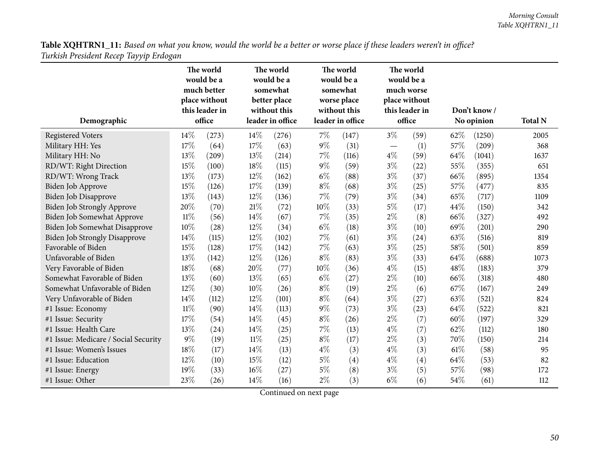|                                      | The world<br>would be a<br>much better<br>place without<br>this leader in<br>office |       |        | The world<br>would be a<br>somewhat<br>better place<br>without this |        | The world<br>would be a<br>somewhat<br>worse place<br>without this |                                   | The world<br>would be a<br>much worse<br>place without<br>this leader in |        | Don't know / |                |
|--------------------------------------|-------------------------------------------------------------------------------------|-------|--------|---------------------------------------------------------------------|--------|--------------------------------------------------------------------|-----------------------------------|--------------------------------------------------------------------------|--------|--------------|----------------|
| Demographic                          |                                                                                     |       |        | leader in office                                                    |        | leader in office                                                   | office                            |                                                                          |        | No opinion   | <b>Total N</b> |
| <b>Registered Voters</b>             | 14%                                                                                 | (273) | 14%    | (276)                                                               | $7\%$  | (147)                                                              | $3\%$                             | (59)                                                                     | 62%    | (1250)       | 2005           |
| Military HH: Yes                     | 17%                                                                                 | (64)  | 17%    | (63)                                                                | $9\%$  | (31)                                                               | $\overbrace{\phantom{123221111}}$ | (1)                                                                      | 57%    | (209)        | 368            |
| Military HH: No                      | 13%                                                                                 | (209) | 13%    | (214)                                                               | 7%     | (116)                                                              | $4\%$                             | (59)                                                                     | 64%    | (1041)       | 1637           |
| RD/WT: Right Direction               | 15%                                                                                 | (100) | 18%    | (115)                                                               | $9\%$  | (59)                                                               | $3\%$                             | (22)                                                                     | 55%    | (355)        | 651            |
| RD/WT: Wrong Track                   | 13%                                                                                 | (173) | 12%    | (162)                                                               | $6\%$  | (88)                                                               | $3\%$                             | (37)                                                                     | 66%    | (895)        | 1354           |
| Biden Job Approve                    | 15%                                                                                 | (126) | 17%    | (139)                                                               | $8\%$  | (68)                                                               | $3\%$                             | (25)                                                                     | 57%    | (477)        | 835            |
| Biden Job Disapprove                 | 13%                                                                                 | (143) | $12\%$ | (136)                                                               | 7%     | (79)                                                               | $3\%$                             | (34)                                                                     | 65%    | (717)        | 1109           |
| Biden Job Strongly Approve           | 20%                                                                                 | (70)  | 21%    | (72)                                                                | $10\%$ | (33)                                                               | $5\%$                             | (17)                                                                     | 44\%   | (150)        | 342            |
| <b>Biden Job Somewhat Approve</b>    | $11\%$                                                                              | (56)  | 14%    | (67)                                                                | 7%     | (35)                                                               | $2\%$                             | (8)                                                                      | 66%    | (327)        | 492            |
| Biden Job Somewhat Disapprove        | 10%                                                                                 | (28)  | 12%    | (34)                                                                | $6\%$  | (18)                                                               | $3\%$                             | (10)                                                                     | 69%    | (201)        | 290            |
| <b>Biden Job Strongly Disapprove</b> | 14%                                                                                 | (115) | 12%    | (102)                                                               | 7%     | (61)                                                               | $3\%$                             | (24)                                                                     | 63%    | (516)        | 819            |
| Favorable of Biden                   | 15%                                                                                 | (128) | 17%    | (142)                                                               | 7%     | (63)                                                               | $3\%$                             | (25)                                                                     | 58%    | (501)        | 859            |
| Unfavorable of Biden                 | 13%                                                                                 | (142) | 12%    | (126)                                                               | $8\%$  | (83)                                                               | $3\%$                             | (33)                                                                     | 64\%   | (688)        | 1073           |
| Very Favorable of Biden              | 18%                                                                                 | (68)  | 20%    | (77)                                                                | 10%    | (36)                                                               | $4\%$                             | (15)                                                                     | 48\%   | (183)        | 379            |
| Somewhat Favorable of Biden          | 13%                                                                                 | (60)  | 13%    | (65)                                                                | $6\%$  | (27)                                                               | $2\%$                             | (10)                                                                     | 66%    | (318)        | 480            |
| Somewhat Unfavorable of Biden        | 12%                                                                                 | (30)  | 10%    | (26)                                                                | $8\%$  | (19)                                                               | $2\%$                             | (6)                                                                      | 67%    | (167)        | 249            |
| Very Unfavorable of Biden            | 14%                                                                                 | (112) | 12%    | (101)                                                               | $8\%$  | (64)                                                               | $3\%$                             | (27)                                                                     | 63%    | (521)        | 824            |
| #1 Issue: Economy                    | $11\%$                                                                              | (90)  | 14%    | (113)                                                               | 9%     | (73)                                                               | $3\%$                             | (23)                                                                     | 64\%   | (522)        | 821            |
| #1 Issue: Security                   | 17%                                                                                 | (54)  | 14\%   | (45)                                                                | $8\%$  | (26)                                                               | $2\%$                             | (7)                                                                      | 60%    | (197)        | 329            |
| #1 Issue: Health Care                | 13%                                                                                 | (24)  | 14\%   | (25)                                                                | $7\%$  | (13)                                                               | $4\%$                             | (7)                                                                      | 62%    | (112)        | 180            |
| #1 Issue: Medicare / Social Security | $9\%$                                                                               | (19)  | $11\%$ | (25)                                                                | $8\%$  | (17)                                                               | $2\%$                             | (3)                                                                      | 70%    | (150)        | 214            |
| #1 Issue: Women's Issues             | 18%                                                                                 | (17)  | 14%    | (13)                                                                | $4\%$  | (3)                                                                | $4\%$                             | (3)                                                                      | $61\%$ | (58)         | 95             |
| #1 Issue: Education                  | 12%                                                                                 | (10)  | 15%    | (12)                                                                | $5\%$  | (4)                                                                | $4\%$                             | (4)                                                                      | 64\%   | (53)         | 82             |
| #1 Issue: Energy                     | 19%                                                                                 | (33)  | 16%    | (27)                                                                | $5\%$  | (8)                                                                | $3\%$                             | (5)                                                                      | 57%    | (98)         | 172            |
| #1 Issue: Other                      | 23%                                                                                 | (26)  | 14%    | (16)                                                                | $2\%$  | (3)                                                                | $6\%$                             | (6)                                                                      | 54%    | (61)         | 112            |

Table XQHTRN1\_11: Based on what you know, would the world be a better or worse place if these leaders weren't in office? *Turkish President Recep Tayyip Erdogan*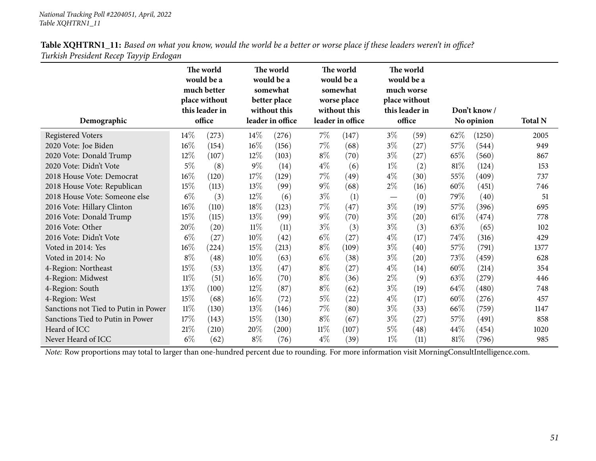| Demographic                          | The world<br>would be a<br>much better<br>place without<br>this leader in<br>office |       |        | The world<br>would be a<br>somewhat<br>better place<br>without this<br>leader in office |        | The world<br>would be a<br>somewhat<br>worse place<br>without this<br>leader in office |       | The world<br>would be a<br>much worse<br>place without<br>this leader in<br>office |        | Don't know/<br>No opinion | <b>Total N</b> |
|--------------------------------------|-------------------------------------------------------------------------------------|-------|--------|-----------------------------------------------------------------------------------------|--------|----------------------------------------------------------------------------------------|-------|------------------------------------------------------------------------------------|--------|---------------------------|----------------|
| <b>Registered Voters</b>             | $14\%$                                                                              | (273) | $14\%$ | (276)                                                                                   | $7\%$  | (147)                                                                                  | $3\%$ | (59)                                                                               | 62\%   | (1250)                    | 2005           |
| 2020 Vote: Joe Biden                 | $16\%$                                                                              | (154) | $16\%$ | (156)                                                                                   | 7%     | (68)                                                                                   | $3\%$ | (27)                                                                               | 57\%   | (544)                     | 949            |
| 2020 Vote: Donald Trump              | $12\%$                                                                              | (107) | $12\%$ | (103)                                                                                   | $8\%$  | (70)                                                                                   | $3\%$ | (27)                                                                               | 65%    | (560)                     | 867            |
| 2020 Vote: Didn't Vote               | $5\%$                                                                               | (8)   | $9\%$  | (14)                                                                                    | $4\%$  | (6)                                                                                    | $1\%$ | (2)                                                                                | $81\%$ | (124)                     | 153            |
| 2018 House Vote: Democrat            | 16%                                                                                 | (120) | 17%    | (129)                                                                                   | 7%     | (49)                                                                                   | $4\%$ | (30)                                                                               | 55%    | (409)                     | 737            |
| 2018 House Vote: Republican          | 15%                                                                                 | (113) | 13%    | (99)                                                                                    | $9\%$  | (68)                                                                                   | $2\%$ | (16)                                                                               | 60\%   | (451)                     | 746            |
| 2018 House Vote: Someone else        | $6\%$                                                                               | (3)   | 12\%   | (6)                                                                                     | $3\%$  | (1)                                                                                    |       | (0)                                                                                | 79%    | (40)                      | 51             |
| 2016 Vote: Hillary Clinton           | $16\%$                                                                              | (110) | 18%    | (123)                                                                                   | 7%     | (47)                                                                                   | $3\%$ | (19)                                                                               | 57%    | (396)                     | 695            |
| 2016 Vote: Donald Trump              | 15%                                                                                 | (115) | 13%    | (99)                                                                                    | $9\%$  | (70)                                                                                   | $3\%$ | $\left( 20\right)$                                                                 | $61\%$ | (474)                     | 778            |
| 2016 Vote: Other                     | 20%                                                                                 | (20)  | $11\%$ | (11)                                                                                    | $3\%$  | (3)                                                                                    | $3\%$ | (3)                                                                                | 63\%   | (65)                      | 102            |
| 2016 Vote: Didn't Vote               | $6\%$                                                                               | (27)  | $10\%$ | (42)                                                                                    | $6\%$  | (27)                                                                                   | $4\%$ | (17)                                                                               | 74\%   | (316)                     | 429            |
| Voted in 2014: Yes                   | $16\%$                                                                              | (224) | 15%    | (213)                                                                                   | $8\%$  | (109)                                                                                  | $3\%$ | (40)                                                                               | 57%    | (791)                     | 1377           |
| Voted in 2014: No                    | $8\%$                                                                               | (48)  | $10\%$ | (63)                                                                                    | $6\%$  | (38)                                                                                   | $3\%$ | (20)                                                                               | 73\%   | (459)                     | 628            |
| 4-Region: Northeast                  | 15%                                                                                 | (53)  | 13%    | (47)                                                                                    | $8\%$  | (27)                                                                                   | $4\%$ | (14)                                                                               | $60\%$ | (214)                     | 354            |
| 4-Region: Midwest                    | $11\%$                                                                              | (51)  | $16\%$ | (70)                                                                                    | $8\%$  | (36)                                                                                   | $2\%$ | (9)                                                                                | 63\%   | (279)                     | 446            |
| 4-Region: South                      | 13%                                                                                 | (100) | $12\%$ | (87)                                                                                    | $8\%$  | (62)                                                                                   | $3\%$ | (19)                                                                               | 64\%   | (480)                     | 748            |
| 4-Region: West                       | 15%                                                                                 | (68)  | 16%    | (72)                                                                                    | $5\%$  | (22)                                                                                   | $4\%$ | (17)                                                                               | $60\%$ | (276)                     | 457            |
| Sanctions not Tied to Putin in Power | $11\%$                                                                              | (130) | 13%    | (146)                                                                                   | 7%     | (80)                                                                                   | $3\%$ | (33)                                                                               | 66\%   | (759)                     | 1147           |
| Sanctions Tied to Putin in Power     | 17%                                                                                 | (143) | 15\%   | (130)                                                                                   | $8\%$  | (67)                                                                                   | $3\%$ | (27)                                                                               | 57%    | (491)                     | 858            |
| Heard of ICC                         | 21%                                                                                 | (210) | 20%    | (200)                                                                                   | $11\%$ | (107)                                                                                  | $5\%$ | (48)                                                                               | 44%    | (454)                     | 1020           |
| Never Heard of ICC                   | $6\%$                                                                               | (62)  | $8\%$  | (76)                                                                                    | $4\%$  | (39)                                                                                   | $1\%$ | (11)                                                                               | $81\%$ | (796)                     | 985            |

Table XQHTRN1\_11: Based on what you know, would the world be a better or worse place if these leaders weren't in office? *Turkish President Recep Tayyip Erdogan*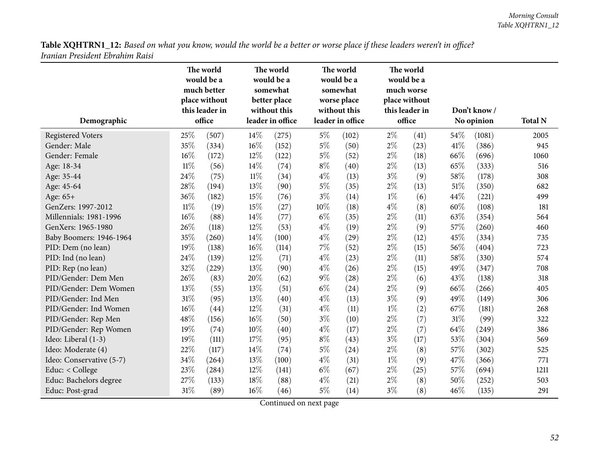| Table XQHTRN1_12: Based on what you know, would the world be a better or worse place if these leaders weren't in office? |  |
|--------------------------------------------------------------------------------------------------------------------------|--|
| Iranian President Ebrahim Raisi                                                                                          |  |

|                          | The world<br>would be a<br>much better<br>place without<br>this leader in |        | The world<br>would be a<br>somewhat<br>better place<br>without this |                  | The world<br>would be a<br>somewhat<br>worse place<br>without this |                  | The world<br>would be a<br>much worse<br>place without<br>this leader in |        |        | Don't know / |                |
|--------------------------|---------------------------------------------------------------------------|--------|---------------------------------------------------------------------|------------------|--------------------------------------------------------------------|------------------|--------------------------------------------------------------------------|--------|--------|--------------|----------------|
| Demographic              |                                                                           | office |                                                                     | leader in office |                                                                    | leader in office |                                                                          | office |        | No opinion   | <b>Total N</b> |
| <b>Registered Voters</b> | 25%                                                                       | (507)  | 14%                                                                 | (275)            | $5\%$                                                              | (102)            | $2\%$                                                                    | (41)   | 54%    | (1081)       | 2005           |
| Gender: Male             | 35%                                                                       | (334)  | 16%                                                                 | (152)            | $5\%$                                                              | (50)             | $2\%$                                                                    | (23)   | 41%    | (386)        | 945            |
| Gender: Female           | 16%                                                                       | (172)  | 12%                                                                 | (122)            | $5\%$                                                              | (52)             | $2\%$                                                                    | (18)   | 66%    | (696)        | 1060           |
| Age: 18-34               | $11\%$                                                                    | (56)   | 14%                                                                 | (74)             | $8\%$                                                              | (40)             | $2\%$                                                                    | (13)   | 65%    | (333)        | 516            |
| Age: 35-44               | 24%                                                                       | (75)   | $11\%$                                                              | (34)             | $4\%$                                                              | (13)             | $3\%$                                                                    | (9)    | 58%    | (178)        | 308            |
| Age: 45-64               | 28%                                                                       | (194)  | 13%                                                                 | (90)             | $5\%$                                                              | (35)             | $2\%$                                                                    | (13)   | $51\%$ | (350)        | 682            |
| Age: 65+                 | 36%                                                                       | (182)  | 15%                                                                 | (76)             | $3\%$                                                              | (14)             | $1\%$                                                                    | (6)    | 44%    | (221)        | 499            |
| GenZers: 1997-2012       | $11\%$                                                                    | (19)   | 15%                                                                 | (27)             | 10%                                                                | (18)             | $4\%$                                                                    | (8)    | 60%    | (108)        | 181            |
| Millennials: 1981-1996   | 16%                                                                       | (88)   | 14%                                                                 | (77)             | $6\%$                                                              | (35)             | $2\%$                                                                    | (11)   | 63%    | (354)        | 564            |
| GenXers: 1965-1980       | 26%                                                                       | (118)  | 12%                                                                 | (53)             | $4\%$                                                              | (19)             | $2\%$                                                                    | (9)    | 57%    | (260)        | 460            |
| Baby Boomers: 1946-1964  | 35%                                                                       | (260)  | 14%                                                                 | (100)            | $4\%$                                                              | (29)             | $2\%$                                                                    | (12)   | 45%    | (334)        | 735            |
| PID: Dem (no lean)       | 19%                                                                       | (138)  | 16%                                                                 | (114)            | 7%                                                                 | (52)             | $2\%$                                                                    | (15)   | 56%    | (404)        | 723            |
| PID: Ind (no lean)       | 24%                                                                       | (139)  | 12%                                                                 | (71)             | $4\%$                                                              | (23)             | $2\%$                                                                    | (11)   | 58%    | (330)        | 574            |
| PID: Rep (no lean)       | 32%                                                                       | (229)  | 13%                                                                 | (90)             | $4\%$                                                              | (26)             | $2\%$                                                                    | (15)   | 49%    | (347)        | 708            |
| PID/Gender: Dem Men      | 26%                                                                       | (83)   | 20%                                                                 | (62)             | $9\%$                                                              | (28)             | $2\%$                                                                    | (6)    | 43%    | (138)        | 318            |
| PID/Gender: Dem Women    | 13%                                                                       | (55)   | 13%                                                                 | (51)             | $6\%$                                                              | (24)             | $2\%$                                                                    | (9)    | 66%    | (266)        | 405            |
| PID/Gender: Ind Men      | 31%                                                                       | (95)   | 13%                                                                 | (40)             | $4\%$                                                              | (13)             | $3\%$                                                                    | (9)    | 49%    | (149)        | 306            |
| PID/Gender: Ind Women    | 16%                                                                       | (44)   | 12%                                                                 | (31)             | $4\%$                                                              | (11)             | $1\%$                                                                    | (2)    | 67%    | (181)        | 268            |
| PID/Gender: Rep Men      | 48%                                                                       | (156)  | 16%                                                                 | (50)             | $3\%$                                                              | (10)             | $2\%$                                                                    | (7)    | $31\%$ | (99)         | 322            |
| PID/Gender: Rep Women    | 19%                                                                       | (74)   | 10%                                                                 | (40)             | $4\%$                                                              | (17)             | $2\%$                                                                    | (7)    | 64%    | (249)        | 386            |
| Ideo: Liberal (1-3)      | 19%                                                                       | (111)  | 17%                                                                 | (95)             | $8\%$                                                              | (43)             | $3\%$                                                                    | (17)   | 53%    | (304)        | 569            |
| Ideo: Moderate (4)       | 22%                                                                       | (117)  | 14%                                                                 | (74)             | $5\%$                                                              | (24)             | $2\%$                                                                    | (8)    | 57%    | (302)        | 525            |
| Ideo: Conservative (5-7) | 34%                                                                       | (264)  | 13%                                                                 | (100)            | $4\%$                                                              | (31)             | $1\%$                                                                    | (9)    | 47%    | (366)        | 771            |
| Educ: < College          | 23%                                                                       | (284)  | 12%                                                                 | (141)            | $6\%$                                                              | (67)             | $2\%$                                                                    | (25)   | 57%    | (694)        | 1211           |
| Educ: Bachelors degree   | 27%                                                                       | (133)  | 18%                                                                 | (88)             | $4\%$                                                              | (21)             | $2\%$                                                                    | (8)    | 50%    | (252)        | 503            |
| Educ: Post-grad          | 31%                                                                       | (89)   | 16%                                                                 | (46)             | $5\%$                                                              | (14)             | $3\%$                                                                    | (8)    | 46%    | (135)        | 291            |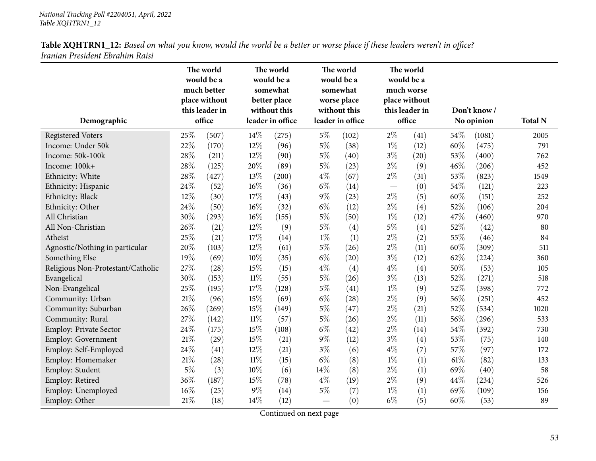|                                   | The world<br>would be a<br>much better<br>place without<br>this leader in |        |        | The world<br>would be a<br>somewhat<br>better place<br>without this |       | The world<br>would be a<br>somewhat<br>worse place<br>without this |                          | The world<br>would be a<br>much worse<br>place without<br>this leader in |      | Don't know/ |                |
|-----------------------------------|---------------------------------------------------------------------------|--------|--------|---------------------------------------------------------------------|-------|--------------------------------------------------------------------|--------------------------|--------------------------------------------------------------------------|------|-------------|----------------|
| Demographic                       |                                                                           | office |        | leader in office                                                    |       | leader in office                                                   |                          | office                                                                   |      | No opinion  | <b>Total N</b> |
| <b>Registered Voters</b>          | 25%                                                                       | (507)  | 14%    | (275)                                                               | $5\%$ | (102)                                                              | $2\%$                    | (41)                                                                     | 54%  | (1081)      | 2005           |
| Income: Under 50k                 | 22%                                                                       | (170)  | 12%    | (96)                                                                | $5\%$ | (38)                                                               | $1\%$                    | (12)                                                                     | 60%  | (475)       | 791            |
| Income: 50k-100k                  | 28%                                                                       | (211)  | 12%    | (90)                                                                | $5\%$ | (40)                                                               | $3\%$                    | (20)                                                                     | 53%  | (400)       | 762            |
| Income: 100k+                     | 28%                                                                       | (125)  | 20%    | (89)                                                                | $5\%$ | (23)                                                               | $2\%$                    | (9)                                                                      | 46%  | (206)       | 452            |
| Ethnicity: White                  | 28%                                                                       | (427)  | 13%    | (200)                                                               | $4\%$ | (67)                                                               | $2\%$                    | (31)                                                                     | 53%  | (823)       | 1549           |
| Ethnicity: Hispanic               | 24%                                                                       | (52)   | 16%    | (36)                                                                | $6\%$ | (14)                                                               | $\overline{\phantom{0}}$ | (0)                                                                      | 54%  | (121)       | 223            |
| Ethnicity: Black                  | 12%                                                                       | (30)   | 17%    | (43)                                                                | $9\%$ | (23)                                                               | $2\%$                    | (5)                                                                      | 60%  | (151)       | 252            |
| Ethnicity: Other                  | 24%                                                                       | (50)   | 16%    | (32)                                                                | $6\%$ | (12)                                                               | $2\%$                    | (4)                                                                      | 52%  | (106)       | 204            |
| All Christian                     | 30%                                                                       | (293)  | 16%    | (155)                                                               | $5\%$ | (50)                                                               | $1\%$                    | (12)                                                                     | 47%  | (460)       | 970            |
| All Non-Christian                 | 26%                                                                       | (21)   | 12%    | (9)                                                                 | $5\%$ | (4)                                                                | $5\%$                    | (4)                                                                      | 52%  | (42)        | 80             |
| Atheist                           | 25%                                                                       | (21)   | 17%    | (14)                                                                | $1\%$ | (1)                                                                | $2\%$                    | (2)                                                                      | 55%  | (46)        | 84             |
| Agnostic/Nothing in particular    | 20%                                                                       | (103)  | 12%    | (61)                                                                | $5\%$ | (26)                                                               | $2\%$                    | (11)                                                                     | 60%  | (309)       | 511            |
| Something Else                    | 19%                                                                       | (69)   | 10%    | (35)                                                                | $6\%$ | (20)                                                               | $3\%$                    | (12)                                                                     | 62%  | (224)       | 360            |
| Religious Non-Protestant/Catholic | 27%                                                                       | (28)   | 15%    | (15)                                                                | $4\%$ | (4)                                                                | $4\%$                    | (4)                                                                      | 50%  | (53)        | 105            |
| Evangelical                       | 30%                                                                       | (153)  | $11\%$ | (55)                                                                | $5\%$ | (26)                                                               | $3\%$                    | (13)                                                                     | 52%  | (271)       | 518            |
| Non-Evangelical                   | 25%                                                                       | (195)  | 17%    | (128)                                                               | $5\%$ | (41)                                                               | $1\%$                    | (9)                                                                      | 52%  | (398)       | 772            |
| Community: Urban                  | 21%                                                                       | (96)   | 15%    | (69)                                                                | $6\%$ | (28)                                                               | $2\%$                    | (9)                                                                      | 56%  | (251)       | 452            |
| Community: Suburban               | 26%                                                                       | (269)  | 15%    | (149)                                                               | $5\%$ | (47)                                                               | $2\%$                    | (21)                                                                     | 52%  | (534)       | 1020           |
| Community: Rural                  | 27%                                                                       | (142)  | $11\%$ | (57)                                                                | $5\%$ | (26)                                                               | $2\%$                    | (11)                                                                     | 56%  | (296)       | 533            |
| <b>Employ: Private Sector</b>     | 24%                                                                       | (175)  | 15%    | (108)                                                               | $6\%$ | (42)                                                               | $2\%$                    | (14)                                                                     | 54%  | (392)       | 730            |
| <b>Employ: Government</b>         | 21%                                                                       | (29)   | 15%    | (21)                                                                | $9\%$ | (12)                                                               | $3\%$                    | (4)                                                                      | 53%  | (75)        | 140            |
| Employ: Self-Employed             | 24%                                                                       | (41)   | 12%    | (21)                                                                | $3\%$ | (6)                                                                | $4\%$                    | (7)                                                                      | 57%  | (97)        | 172            |
| Employ: Homemaker                 | 21%                                                                       | (28)   | $11\%$ | (15)                                                                | $6\%$ | (8)                                                                | $1\%$                    | (1)                                                                      | 61\% | (82)        | 133            |
| Employ: Student                   | $5\%$                                                                     | (3)    | 10%    | (6)                                                                 | 14%   | (8)                                                                | $2\%$                    | (1)                                                                      | 69%  | (40)        | 58             |
| Employ: Retired                   | 36%                                                                       | (187)  | 15%    | (78)                                                                | $4\%$ | (19)                                                               | $2\%$                    | (9)                                                                      | 44%  | (234)       | 526            |
| Employ: Unemployed                | 16%                                                                       | (25)   | 9%     | (14)                                                                | $5\%$ | (7)                                                                | $1\%$                    | (1)                                                                      | 69%  | (109)       | 156            |
| Employ: Other                     | 21%                                                                       | (18)   | 14%    | (12)                                                                |       | (0)                                                                | $6\%$                    | (5)                                                                      | 60%  | (53)        | 89             |

Table XQHTRN1\_12: Based on what you know, would the world be a better or worse place if these leaders weren't in office? *Iranian President Ebrahim Raisi*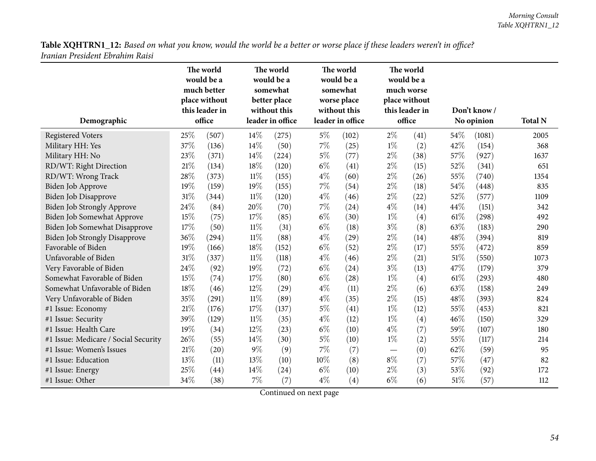| Table XQHTRN1_12: Based on what you know, would the world be a better or worse place if these leaders weren't in office? |  |
|--------------------------------------------------------------------------------------------------------------------------|--|
| Iranian President Ebrahim Raisi                                                                                          |  |

| Demographic                          | The world<br>would be a<br>much better<br>place without<br>this leader in<br>office |       | The world<br>would be a<br>somewhat<br>better place<br>without this<br>leader in office |       |       | The world<br>would be a<br>somewhat<br>worse place<br>without this<br>leader in office |       | The world<br>would be a<br>much worse<br>place without<br>this leader in<br>office |        | Don't know/<br>No opinion | <b>Total N</b> |
|--------------------------------------|-------------------------------------------------------------------------------------|-------|-----------------------------------------------------------------------------------------|-------|-------|----------------------------------------------------------------------------------------|-------|------------------------------------------------------------------------------------|--------|---------------------------|----------------|
| <b>Registered Voters</b>             | 25%                                                                                 | (507) | 14%                                                                                     | (275) | $5\%$ | (102)                                                                                  | $2\%$ | (41)                                                                               | 54\%   | (1081)                    | 2005           |
| Military HH: Yes                     | 37%                                                                                 | (136) | 14%                                                                                     | (50)  | $7\%$ | (25)                                                                                   | $1\%$ | (2)                                                                                | 42%    | (154)                     | 368            |
| Military HH: No                      | 23%                                                                                 | (371) | 14%                                                                                     | (224) | $5\%$ | (77)                                                                                   | $2\%$ | (38)                                                                               | 57%    | (927)                     | 1637           |
| RD/WT: Right Direction               | 21\%                                                                                | (134) | 18%                                                                                     | (120) | $6\%$ | (41)                                                                                   | $2\%$ | (15)                                                                               | 52%    | (341)                     | 651            |
| RD/WT: Wrong Track                   | 28%                                                                                 | (373) | $11\%$                                                                                  | (155) | $4\%$ | (60)                                                                                   | $2\%$ | (26)                                                                               | 55%    | (740)                     | 1354           |
| Biden Job Approve                    | 19%                                                                                 | (159) | 19%                                                                                     | (155) | 7%    | (54)                                                                                   | $2\%$ | (18)                                                                               | 54%    | (448)                     | 835            |
| Biden Job Disapprove                 | $31\%$                                                                              | (344) | $11\%$                                                                                  | (120) | $4\%$ | (46)                                                                                   | $2\%$ | (22)                                                                               | 52%    | (577)                     | 1109           |
| Biden Job Strongly Approve           | 24%                                                                                 | (84)  | 20%                                                                                     | (70)  | $7\%$ | (24)                                                                                   | $4\%$ | (14)                                                                               | 44%    | (151)                     | 342            |
| Biden Job Somewhat Approve           | 15%                                                                                 | (75)  | 17%                                                                                     | (85)  | $6\%$ | (30)                                                                                   | $1\%$ | (4)                                                                                | 61%    | (298)                     | 492            |
| Biden Job Somewhat Disapprove        | 17%                                                                                 | (50)  | $11\%$                                                                                  | (31)  | $6\%$ | (18)                                                                                   | $3\%$ | (8)                                                                                | 63\%   | (183)                     | 290            |
| <b>Biden Job Strongly Disapprove</b> | 36%                                                                                 | (294) | $11\%$                                                                                  | (88)  | $4\%$ | (29)                                                                                   | $2\%$ | (14)                                                                               | 48%    | (394)                     | 819            |
| Favorable of Biden                   | 19%                                                                                 | (166) | 18%                                                                                     | (152) | $6\%$ | (52)                                                                                   | $2\%$ | (17)                                                                               | 55%    | (472)                     | 859            |
| Unfavorable of Biden                 | 31%                                                                                 | (337) | $11\%$                                                                                  | (118) | $4\%$ | (46)                                                                                   | $2\%$ | (21)                                                                               | 51%    | (550)                     | 1073           |
| Very Favorable of Biden              | 24%                                                                                 | (92)  | 19%                                                                                     | (72)  | $6\%$ | (24)                                                                                   | $3\%$ | (13)                                                                               | 47%    | (179)                     | 379            |
| Somewhat Favorable of Biden          | 15%                                                                                 | (74)  | 17%                                                                                     | (80)  | $6\%$ | (28)                                                                                   | $1\%$ | (4)                                                                                | 61%    | (293)                     | 480            |
| Somewhat Unfavorable of Biden        | 18%                                                                                 | (46)  | $12\%$                                                                                  | (29)  | $4\%$ | (11)                                                                                   | $2\%$ | (6)                                                                                | 63%    | (158)                     | 249            |
| Very Unfavorable of Biden            | 35%                                                                                 | (291) | $11\%$                                                                                  | (89)  | $4\%$ | (35)                                                                                   | $2\%$ | (15)                                                                               | 48%    | (393)                     | 824            |
| #1 Issue: Economy                    | 21%                                                                                 | (176) | 17%                                                                                     | (137) | $5\%$ | (41)                                                                                   | $1\%$ | (12)                                                                               | 55%    | (453)                     | 821            |
| #1 Issue: Security                   | 39%                                                                                 | (129) | $11\%$                                                                                  | (35)  | $4\%$ | (12)                                                                                   | $1\%$ | (4)                                                                                | 46%    | (150)                     | 329            |
| #1 Issue: Health Care                | 19%                                                                                 | (34)  | 12%                                                                                     | (23)  | $6\%$ | (10)                                                                                   | $4\%$ | (7)                                                                                | 59%    | (107)                     | 180            |
| #1 Issue: Medicare / Social Security | 26%                                                                                 | (55)  | 14\%                                                                                    | (30)  | $5\%$ | (10)                                                                                   | $1\%$ | (2)                                                                                | 55%    | (117)                     | 214            |
| #1 Issue: Women's Issues             | $21\%$                                                                              | (20)  | $9\%$                                                                                   | (9)   | $7\%$ | (7)                                                                                    |       | (0)                                                                                | 62%    | (59)                      | 95             |
| #1 Issue: Education                  | 13%                                                                                 | (11)  | 13%                                                                                     | (10)  | 10%   | (8)                                                                                    | $8\%$ | (7)                                                                                | 57%    | (47)                      | 82             |
| #1 Issue: Energy                     | 25%                                                                                 | (44)  | 14%                                                                                     | (24)  | $6\%$ | (10)                                                                                   | $2\%$ | (3)                                                                                | 53%    | (92)                      | 172            |
| #1 Issue: Other                      | 34%                                                                                 | (38)  | $7\%$                                                                                   | (7)   | $4\%$ | (4)                                                                                    | $6\%$ | (6)                                                                                | $51\%$ | (57)                      | 112            |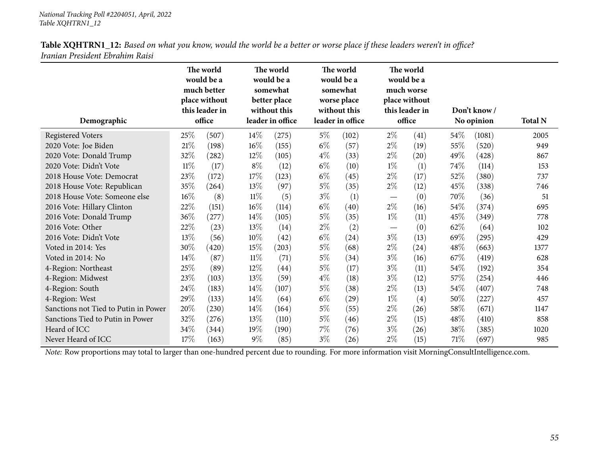| Demographic                          | The world<br>would be a<br>much better<br>place without<br>this leader in |       | The world<br>would be a<br>somewhat<br>better place<br>without this<br>office<br>leader in office |       |       | The world<br>would be a<br>somewhat<br>worse place<br>without this<br>leader in office<br>$5\%$<br>(102) |                          | The world<br>would be a<br>much worse<br>place without<br>this leader in<br>office |      |                     | Don't know /<br>No opinion | <b>Total N</b> |
|--------------------------------------|---------------------------------------------------------------------------|-------|---------------------------------------------------------------------------------------------------|-------|-------|----------------------------------------------------------------------------------------------------------|--------------------------|------------------------------------------------------------------------------------|------|---------------------|----------------------------|----------------|
| <b>Registered Voters</b>             | 25\%                                                                      | (507) | $14\%$                                                                                            | (275) |       |                                                                                                          | $2\%$                    | (41)                                                                               | 54\% | (1081)              | 2005                       |                |
| 2020 Vote: Joe Biden                 | $21\%$                                                                    | (198) | $16\%$                                                                                            | (155) | $6\%$ | (57)                                                                                                     | $2\%$                    | (19)                                                                               | 55%  | (520)               | 949                        |                |
| 2020 Vote: Donald Trump              | 32%                                                                       | (282) | $12\%$                                                                                            | (105) | $4\%$ | (33)                                                                                                     | $2\%$                    | (20)                                                                               | 49%  | (428)               | 867                        |                |
| 2020 Vote: Didn't Vote               | $11\%$                                                                    | (17)  | $8\%$                                                                                             | (12)  | $6\%$ | (10)                                                                                                     | $1\%$                    | (1)                                                                                | 74\% | (114)               | 153                        |                |
| 2018 House Vote: Democrat            | 23\%                                                                      | (172) | 17\%                                                                                              | (123) | $6\%$ | (45)                                                                                                     | $2\%$                    | (17)                                                                               | 52\% | $\left( 380\right)$ | 737                        |                |
| 2018 House Vote: Republican          | 35%                                                                       | (264) | 13%                                                                                               | (97)  | 5%    | (35)                                                                                                     | $2\%$                    | (12)                                                                               | 45%  | (338)               | 746                        |                |
| 2018 House Vote: Someone else        | $16\%$                                                                    | (8)   | 11%                                                                                               | (5)   | $3\%$ | (1)                                                                                                      | $\overline{\phantom{0}}$ | (0)                                                                                | 70%  | (36)                | 51                         |                |
| 2016 Vote: Hillary Clinton           | 22%                                                                       | (151) | 16%                                                                                               | (114) | $6\%$ | (40)                                                                                                     | $2\%$                    | (16)                                                                               | 54\% | (374)               | 695                        |                |
| 2016 Vote: Donald Trump              | 36\%                                                                      | (277) | 14\%                                                                                              | (105) | $5\%$ | (35)                                                                                                     | $1\%$                    | (11)                                                                               | 45%  | (349)               | 778                        |                |
| 2016 Vote: Other                     | 22%                                                                       | (23)  | 13%                                                                                               | (14)  | $2\%$ | (2)                                                                                                      |                          | (0)                                                                                | 62%  | (64)                | 102                        |                |
| 2016 Vote: Didn't Vote               | 13%                                                                       | (56)  | 10%                                                                                               | (42)  | $6\%$ | (24)                                                                                                     | $3\%$                    | (13)                                                                               | 69%  | (295)               | 429                        |                |
| Voted in 2014: Yes                   | 30%                                                                       | (420) | 15%                                                                                               | (203) | 5%    | (68)                                                                                                     | $2\%$                    | (24)                                                                               | 48\% | (663)               | 1377                       |                |
| Voted in 2014: No                    | 14\%                                                                      | (87)  | 11%                                                                                               | (71)  | 5%    | $^{(34)}$                                                                                                | $3\%$                    | (16)                                                                               | 67%  | (419)               | 628                        |                |
| 4-Region: Northeast                  | 25%                                                                       | (89)  | 12%                                                                                               | (44)  | 5%    | (17)                                                                                                     | $3\%$                    | (11)                                                                               | 54%  | (192)               | 354                        |                |
| 4-Region: Midwest                    | 23\%                                                                      | (103) | 13%                                                                                               | (59)  | $4\%$ | (18)                                                                                                     | $3\%$                    | (12)                                                                               | 57%  | (254)               | 446                        |                |
| 4-Region: South                      | 24\%                                                                      | (183) | 14\%                                                                                              | (107) | $5\%$ | (38)                                                                                                     | $2\%$                    | (13)                                                                               | 54\% | (407)               | 748                        |                |
| 4-Region: West                       | 29%                                                                       | (133) | 14%                                                                                               | (64)  | $6\%$ | $\left( 29\right)$                                                                                       | $1\%$                    | (4)                                                                                | 50%  | (227)               | 457                        |                |
| Sanctions not Tied to Putin in Power | 20%                                                                       | (230) | 14%                                                                                               | (164) | $5\%$ | (55)                                                                                                     | $2\%$                    | (26)                                                                               | 58\% | (671)               | 1147                       |                |
| Sanctions Tied to Putin in Power     | 32%                                                                       | (276) | 13%                                                                                               | (110) | 5%    | (46)                                                                                                     | $2\%$                    | (15)                                                                               | 48\% | (410)               | 858                        |                |
| Heard of ICC                         | 34%                                                                       | (344) | 19%                                                                                               | (190) | 7%    | (76)                                                                                                     | $3\%$                    | (26)                                                                               | 38%  | (385)               | 1020                       |                |
| Never Heard of ICC                   | 17%                                                                       | (163) | $9\%$                                                                                             | (85)  | $3\%$ | (26)                                                                                                     | $2\%$                    | (15)                                                                               | 71\% | (697)               | 985                        |                |

Table XQHTRN1\_12: Based on what you know, would the world be a better or worse place if these leaders weren't in office? *Iranian President Ebrahim Raisi*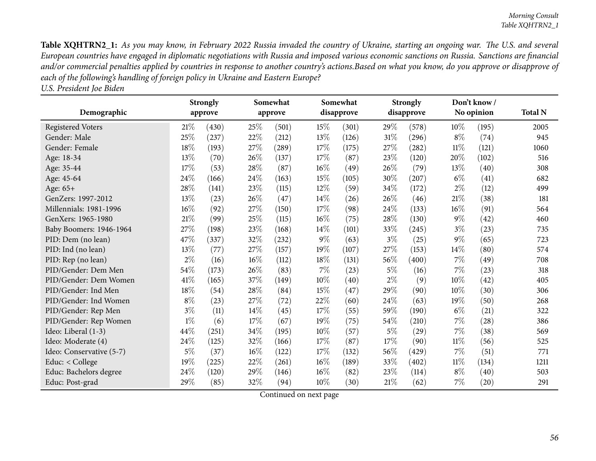|                          |        | Somewhat<br><b>Strongly</b><br>approve<br>approve |        |       | Somewhat<br>disapprove |       | <b>Strongly</b><br>disapprove |       | Don't know/ |            |                |
|--------------------------|--------|---------------------------------------------------|--------|-------|------------------------|-------|-------------------------------|-------|-------------|------------|----------------|
| Demographic              |        |                                                   |        |       |                        |       |                               |       |             | No opinion | <b>Total N</b> |
| <b>Registered Voters</b> | 21%    | (430)                                             | 25%    | (501) | 15%                    | (301) | 29\%                          | (578) | 10%         | (195)      | 2005           |
| Gender: Male             | 25%    | (237)                                             | 22%    | (212) | 13%                    | (126) | 31%                           | (296) | $8\%$       | (74)       | 945            |
| Gender: Female           | 18%    | (193)                                             | 27%    | (289) | 17%                    | (175) | 27\%                          | (282) | $11\%$      | (121)      | 1060           |
| Age: 18-34               | 13\%   | (70)                                              | 26\%   | (137) | 17%                    | (87)  | 23%                           | (120) | 20%         | (102)      | 516            |
| Age: 35-44               | 17%    | (53)                                              | 28\%   | (87)  | $16\%$                 | (49)  | 26\%                          | (79)  | 13%         | (40)       | 308            |
| Age: 45-64               | 24\%   | (166)                                             | 24%    | (163) | 15%                    | (105) | 30%                           | (207) | $6\%$       | (41)       | 682            |
| Age: 65+                 | 28\%   | (141)                                             | 23%    | (115) | $12\%$                 | (59)  | 34%                           | (172) | $2\%$       | (12)       | 499            |
| GenZers: 1997-2012       | 13%    | (23)                                              | 26\%   | (47)  | 14%                    | (26)  | 26\%                          | (46)  | 21%         | (38)       | 181            |
| Millennials: 1981-1996   | $16\%$ | (92)                                              | 27%    | (150) | 17%                    | (98)  | 24\%                          | (133) | 16%         | (91)       | 564            |
| GenXers: 1965-1980       | 21%    | (99)                                              | 25%    | (115) | $16\%$                 | (75)  | 28\%                          | (130) | $9\%$       | (42)       | 460            |
| Baby Boomers: 1946-1964  | $27\%$ | (198)                                             | 23\%   | (168) | 14%                    | (101) | 33%                           | (245) | $3\%$       | (23)       | 735            |
| PID: Dem (no lean)       | 47%    | (337)                                             | 32%    | (232) | $9\%$                  | (63)  | $3\%$                         | (25)  | $9\%$       | (65)       | 723            |
| PID: Ind (no lean)       | 13%    | (77)                                              | $27\%$ | (157) | 19%                    | (107) | 27%                           | (153) | 14%         | (80)       | 574            |
| PID: Rep (no lean)       | $2\%$  | (16)                                              | 16%    | (112) | 18%                    | (131) | 56%                           | (400) | $7\%$       | (49)       | 708            |
| PID/Gender: Dem Men      | 54\%   | (173)                                             | 26%    | (83)  | 7%                     | (23)  | $5\%$                         | (16)  | $7\%$       | (23)       | 318            |
| PID/Gender: Dem Women    | 41\%   | (165)                                             | 37\%   | (149) | 10%                    | (40)  | $2\%$                         | (9)   | 10%         | (42)       | 405            |
| PID/Gender: Ind Men      | 18%    | (54)                                              | 28%    | (84)  | 15%                    | (47)  | 29%                           | (90)  | 10%         | (30)       | 306            |
| PID/Gender: Ind Women    | $8\%$  | (23)                                              | 27%    | (72)  | 22%                    | (60)  | 24\%                          | (63)  | 19%         | (50)       | 268            |
| PID/Gender: Rep Men      | $3\%$  | (11)                                              | 14%    | (45)  | 17%                    | (55)  | 59%                           | (190) | $6\%$       | (21)       | 322            |
| PID/Gender: Rep Women    | $1\%$  | (6)                                               | 17%    | (67)  | 19%                    | (75)  | 54%                           | (210) | 7%          | (28)       | 386            |
| Ideo: Liberal (1-3)      | 44\%   | (251)                                             | 34\%   | (195) | 10%                    | (57)  | 5%                            | (29)  | 7%          | (38)       | 569            |
| Ideo: Moderate (4)       | 24\%   | (125)                                             | 32%    | (166) | 17%                    | (87)  | 17%                           | (90)  | $11\%$      | (56)       | 525            |
| Ideo: Conservative (5-7) | $5\%$  | (37)                                              | $16\%$ | (122) | 17%                    | (132) | 56%                           | (429) | $7\%$       | (51)       | 771            |
| Educ: $<$ College        | 19%    | (225)                                             | 22%    | (261) | $16\%$                 | (189) | 33%                           | (402) | 11%         | (134)      | 1211           |
| Educ: Bachelors degree   | 24\%   | (120)                                             | 29%    | (146) | $16\%$                 | (82)  | 23\%                          | (114) | $8\%$       | (40)       | 503            |
| Educ: Post-grad          | 29%    | (85)                                              | 32%    | (94)  | 10%                    | (30)  | 21\%                          | (62)  | 7%          | (20)       | 291            |

*U.S. President Joe Biden*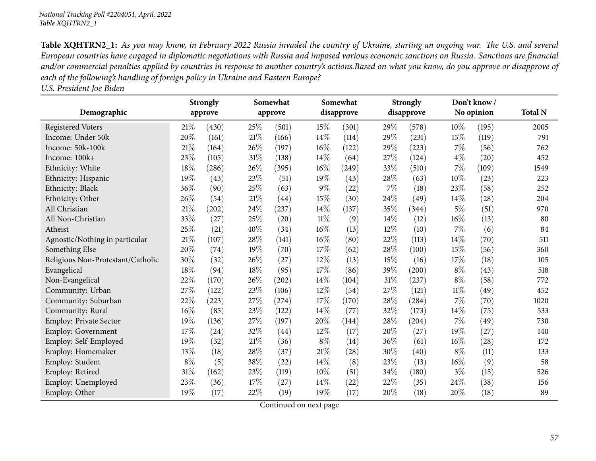*U.S. President Joe Biden*

|                                   |        | <b>Strongly</b> | Somewhat |         | Somewhat |                    | <b>Strongly</b> |            | Don't know/ |                    |                |
|-----------------------------------|--------|-----------------|----------|---------|----------|--------------------|-----------------|------------|-------------|--------------------|----------------|
| Demographic                       |        | approve         |          | approve |          | disapprove         |                 | disapprove |             | No opinion         | <b>Total N</b> |
| <b>Registered Voters</b>          | 21%    | (430)           | 25%      | (501)   | 15%      | (301)              | 29%             | (578)      | 10%         | (195)              | 2005           |
| Income: Under 50k                 | 20%    | (161)           | 21%      | (166)   | 14\%     | (114)              | 29%             | (231)      | 15\%        | (119)              | 791            |
| Income: 50k-100k                  | 21%    | (164)           | 26%      | (197)   | 16%      | (122)              | 29%             | (223)      | $7\%$       | (56)               | 762            |
| Income: 100k+                     | 23\%   | (105)           | 31%      | (138)   | 14\%     | (64)               | 27%             | (124)      | $4\%$       | (20)               | 452            |
| Ethnicity: White                  | $18\%$ | (286)           | $26\%$   | (395)   | 16%      | (249)              | 33%             | (510)      | $7\%$       | (109)              | 1549           |
| Ethnicity: Hispanic               | 19%    | (43)            | 23%      | (51)    | 19%      | (43)               | 28%             | (63)       | 10%         | (23)               | 223            |
| Ethnicity: Black                  | 36%    | (90)            | 25%      | (63)    | $9\%$    | $\left( 22\right)$ | 7%              | (18)       | 23%         | (58)               | 252            |
| Ethnicity: Other                  | 26%    | (54)            | $21\%$   | (44)    | 15%      | (30)               | 24%             | (49)       | 14%         | (28)               | 204            |
| All Christian                     | $21\%$ | (202)           | 24\%     | (237)   | 14%      | (137)              | $35\%$          | (344)      | $5\%$       | (51)               | 970            |
| All Non-Christian                 | 33\%   | (27)            | $25\%$   | (20)    | 11%      | (9)                | 14\%            | (12)       | $16\%$      | (13)               | 80             |
| Atheist                           | 25%    | (21)            | 40%      | (34)    | 16%      | (13)               | 12%             | (10)       | 7%          | (6)                | 84             |
| Agnostic/Nothing in particular    | 21%    | (107)           | 28%      | (141)   | 16%      | (80)               | 22%             | (113)      | 14%         | (70)               | 511            |
| Something Else                    | 20%    | (74)            | 19%      | (70)    | 17%      | (62)               | 28%             | (100)      | 15%         | (56)               | 360            |
| Religious Non-Protestant/Catholic | 30%    | (32)            | 26%      | (27)    | 12%      | (13)               | 15%             | (16)       | 17%         | (18)               | 105            |
| Evangelical                       | 18%    | (94)            | 18%      | (95)    | 17%      | (86)               | 39%             | (200)      | $8\%$       | (43)               | 518            |
| Non-Evangelical                   | 22\%   | (170)           | 26\%     | (202)   | 14\%     | (104)              | 31%             | (237)      | $8\%$       | (58)               | 772            |
| Community: Urban                  | $27\%$ | (122)           | 23\%     | (106)   | 12%      | (54)               | 27%             | (121)      | $11\%$      | (49)               | 452            |
| Community: Suburban               | 22%    | (223)           | 27%      | (274)   | 17%      | (170)              | 28%             | (284)      | 7%          | (70)               | 1020           |
| Community: Rural                  | 16%    | (85)            | 23\%     | (122)   | 14\%     | (77)               | 32%             | (173)      | 14%         | (75)               | 533            |
| Employ: Private Sector            | 19%    | (136)           | 27\%     | (197)   | 20%      | (144)              | 28%             | (204)      | 7%          | (49)               | 730            |
| Employ: Government                | 17%    | (24)            | 32%      | (44)    | 12%      | (17)               | 20%             | (27)       | 19%         | (27)               | 140            |
| Employ: Self-Employed             | 19%    | (32)            | 21%      | (36)    | $8\%$    | (14)               | 36%             | (61)       | 16%         | $\left( 28\right)$ | 172            |
| Employ: Homemaker                 | 13%    | (18)            | 28%      | (37)    | 21%      | (28)               | 30%             | (40)       | $8\%$       | (11)               | 133            |
| Employ: Student                   | $8\%$  | (5)             | 38%      | (22)    | 14\%     | (8)                | 23%             | (13)       | 16%         | (9)                | 58             |
| Employ: Retired                   | $31\%$ | (162)           | 23%      | (119)   | 10%      | (51)               | 34%             | (180)      | $3\%$       | (15)               | 526            |
| Employ: Unemployed                | 23%    | (36)            | 17%      | (27)    | 14\%     | $\left( 22\right)$ | 22%             | (35)       | 24%         | (38)               | 156            |
| Employ: Other                     | 19%    | (17)            | 22\%     | (19)    | 19%      | (17)               | 20%             | (18)       | 20%         | (18)               | 89             |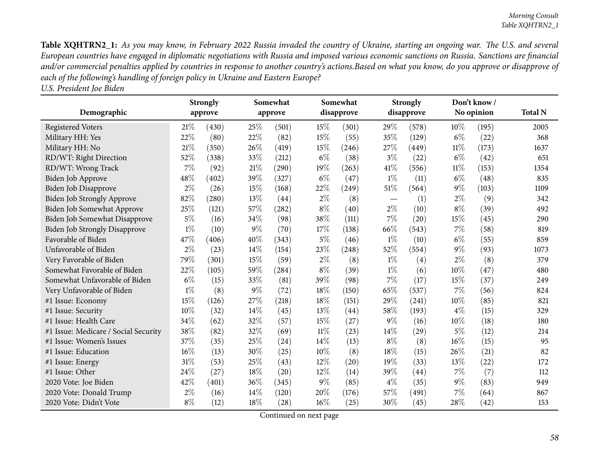| Demographic                          |        | <b>Strongly</b><br>approve |        | Somewhat<br>approve |        | Somewhat<br>disapprove |       | <b>Strongly</b><br>disapprove |        | Don't know/<br>No opinion | <b>Total N</b> |
|--------------------------------------|--------|----------------------------|--------|---------------------|--------|------------------------|-------|-------------------------------|--------|---------------------------|----------------|
| <b>Registered Voters</b>             | 21%    | (430)                      | 25%    | (501)               | 15%    | (301)                  | 29%   | (578)                         | $10\%$ | (195)                     | 2005           |
| Military HH: Yes                     | 22%    | (80)                       | 22%    | (82)                | 15%    | (55)                   | 35%   | (129)                         | $6\%$  | (22)                      | 368            |
| Military HH: No                      | 21%    | (350)                      | 26\%   | (419)               | 15%    | (246)                  | 27%   | (449)                         | $11\%$ | (173)                     | 1637           |
| RD/WT: Right Direction               | 52%    | (338)                      | 33%    | (212)               | $6\%$  | (38)                   | $3\%$ | (22)                          | $6\%$  | (42)                      | 651            |
| RD/WT: Wrong Track                   | $7\%$  | (92)                       | 21%    | (290)               | 19%    | (263)                  | 41\%  | (556)                         | $11\%$ | (153)                     | 1354           |
| Biden Job Approve                    | 48%    | (402)                      | 39%    | (327)               | $6\%$  | (47)                   | $1\%$ | (11)                          | $6\%$  | (48)                      | 835            |
| <b>Biden Job Disapprove</b>          | $2\%$  | (26)                       | 15%    | (168)               | 22%    | (249)                  | 51%   | (564)                         | $9\%$  | (103)                     | 1109           |
| <b>Biden Job Strongly Approve</b>    | 82%    | (280)                      | 13%    | (44)                | $2\%$  | (8)                    |       |                               | $2\%$  | (9)                       | 342            |
| Biden Job Somewhat Approve           | 25%    |                            | $57\%$ |                     | $8\%$  |                        | $2\%$ | (1)<br>(10)                   | $8\%$  | (39)                      | 492            |
|                                      | $5\%$  | (121)                      | 34%    | (282)               | 38%    | (40)                   | 7%    |                               | 15%    |                           |                |
| <b>Biden Job Somewhat Disapprove</b> |        | (16)                       |        | (98)                |        | (111)                  |       | (20)                          |        | (45)                      | 290            |
| <b>Biden Job Strongly Disapprove</b> | $1\%$  | (10)                       | $9\%$  | (70)                | 17%    | (138)                  | 66%   | (543)                         | 7%     | (58)                      | 819            |
| Favorable of Biden                   | 47%    | (406)                      | 40%    | (343)               | $5\%$  | (46)                   | $1\%$ | (10)                          | $6\%$  | (55)                      | 859            |
| Unfavorable of Biden                 | $2\%$  | (23)                       | 14%    | (154)               | 23%    | (248)                  | 52%   | (554)                         | 9%     | (93)                      | 1073           |
| Very Favorable of Biden              | 79%    | (301)                      | 15%    | (59)                | $2\%$  | (8)                    | $1\%$ | (4)                           | 2%     | (8)                       | 379            |
| Somewhat Favorable of Biden          | 22%    | (105)                      | 59%    | (284)               | $8\%$  | (39)                   | $1\%$ | (6)                           | 10%    | (47)                      | 480            |
| Somewhat Unfavorable of Biden        | $6\%$  | (15)                       | 33%    | (81)                | 39%    | (98)                   | 7%    | (17)                          | 15%    | (37)                      | 249            |
| Very Unfavorable of Biden            | $1\%$  | (8)                        | $9\%$  | (72)                | 18%    | (150)                  | 65%   | (537)                         | 7%     | (56)                      | 824            |
| #1 Issue: Economy                    | 15%    | (126)                      | 27%    | (218)               | 18%    | (151)                  | 29%   | (241)                         | 10%    | (85)                      | 821            |
| #1 Issue: Security                   | 10%    | (32)                       | 14\%   | (45)                | 13%    | (44)                   | 58%   | (193)                         | $4\%$  | (15)                      | 329            |
| #1 Issue: Health Care                | 34%    | (62)                       | 32%    | (57)                | 15%    | (27)                   | 9%    | (16)                          | 10%    | (18)                      | 180            |
| #1 Issue: Medicare / Social Security | 38%    | (82)                       | 32%    | (69)                | $11\%$ | (23)                   | 14%   | (29)                          | $5\%$  | (12)                      | 214            |
| #1 Issue: Women's Issues             | 37%    | (35)                       | 25%    | (24)                | 14\%   | (13)                   | $8\%$ | (8)                           | 16%    | (15)                      | 95             |
| #1 Issue: Education                  | $16\%$ | (13)                       | 30%    | (25)                | 10%    | (8)                    | 18%   | (15)                          | 26%    | (21)                      | 82             |
| #1 Issue: Energy                     | $31\%$ | (53)                       | 25%    | (43)                | $12\%$ | (20)                   | 19%   | (33)                          | 13%    | (22)                      | 172            |
| #1 Issue: Other                      | 24%    | (27)                       | 18%    | (20)                | 12%    | (14)                   | 39%   | (44)                          | 7%     | (7)                       | 112            |
| 2020 Vote: Joe Biden                 | 42%    | (401)                      | 36%    | (345)               | $9\%$  | (85)                   | $4\%$ | (35)                          | $9\%$  | (83)                      | 949            |
| 2020 Vote: Donald Trump              | $2\%$  | (16)                       | 14\%   | (120)               | 20%    | (176)                  | 57%   | (491)                         | 7%     | (64)                      | 867            |
| 2020 Vote: Didn't Vote               | $8\%$  | (12)                       | 18%    | (28)                | 16%    | (25)                   | 30%   | (45)                          | 28%    | (42)                      | 153            |

*U.S. President Joe Biden*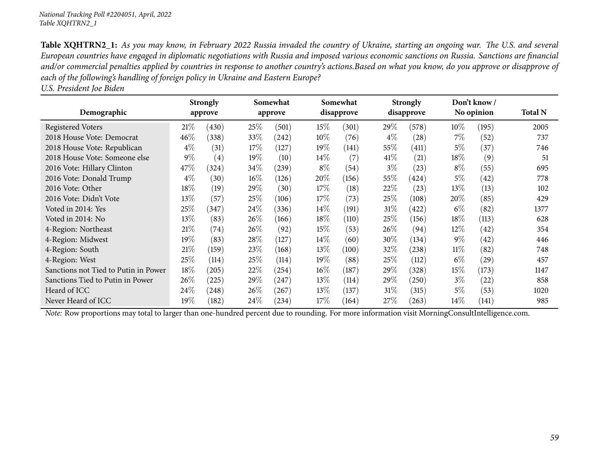|                                      |        | Somewhat<br>Somewhat<br><b>Strongly</b> |        | <b>Strongly</b> |        | Don't know / |         |            |        |            |                |
|--------------------------------------|--------|-----------------------------------------|--------|-----------------|--------|--------------|---------|------------|--------|------------|----------------|
| Demographic                          |        | approve                                 |        | approve         |        | disapprove   |         | disapprove |        | No opinion | <b>Total N</b> |
| <b>Registered Voters</b>             | $21\%$ | (430)                                   | 25%    | (501)           | 15\%   | (301)        | 29 $\%$ | (578)      | $10\%$ | (195)      | 2005           |
| 2018 House Vote: Democrat            | $46\%$ | (338)                                   | $33\%$ | (242)           | 10%    | (76)         | $4\%$   | (28)       | $7\%$  | (52)       | 737            |
| 2018 House Vote: Republican          | $4\%$  | (31)                                    | 17%    | (127            | 19%    | (141)        | $55\%$  | (411)      | 5%     | 37         | 746            |
| 2018 House Vote: Someone else        | $9\%$  | $\left( 4\right)$                       | 19%    | (10)            | $14\%$ | (7)          | 41%     | (21)       | $18\%$ | (9)        | 51             |
| 2016 Vote: Hillary Clinton           | 47\%   | (324)                                   | 34\%   | (239)           | $8\%$  | (54)         | $3\%$   | (23)       | $8\%$  | (55)       | 695            |
| 2016 Vote: Donald Trump              | $4\%$  | (30)                                    | $16\%$ | (126)           | 20%    | (156)        | $55\%$  | (424)      | $5\%$  | (42)       | 778            |
| 2016 Vote: Other                     | 18%    | (19)                                    | 29\%   | (30)            | 17%    | (18)         | $22\%$  | (23)       | $13\%$ | (13)       | 102            |
| 2016 Vote: Didn't Vote               | 13%    | (57                                     | 25%    | (106)           | 17%    | (73)         | $25\%$  | (108)      | 20%    | (85)       | 429            |
| Voted in 2014: Yes                   | 25%    | (347)                                   | 24%    | (336)           | $14\%$ | (191)        | 31%     | (422)      | $6\%$  | (82)       | 1377           |
| Voted in 2014: No                    | $13\%$ | (83)                                    | 26\%   | (166)           | 18%    | (110)        | 25%     | (156)      | $18\%$ | (113)      | 628            |
| 4-Region: Northeast                  | 21%    | (74)                                    | $26\%$ | (92)            | 15%    | (53)         | 26\%    | (94)       | $12\%$ | (42)       | 354            |
| 4-Region: Midwest                    | 19%    | (83)                                    | 28%    | (127)           | 14%    | (60)         | $30\%$  | (134)      | $9\%$  | (42)       | 446            |
| 4-Region: South                      | 21%    | (159)                                   | 23\%   | (168)           | 13%    | (100)        | $32\%$  | (238)      | 11%    | (82)       | 748            |
| 4-Region: West                       | 25%    | (114)                                   | 25%    | (114)           | $19\%$ | (88)         | $25\%$  | (112)      | $6\%$  | (29)       | 457            |
| Sanctions not Tied to Putin in Power | 18%    | (205)                                   | 22%    | (254)           | $16\%$ | (187)        | 29%     | (328)      | $15\%$ | (173)      | 1147           |
| Sanctions Tied to Putin in Power     | $26\%$ | (225)                                   | 29\%   | $^{'}247$       | $13\%$ | (114)        | 29\%    | (250)      | $3\%$  | (22)       | 858            |
| Heard of ICC                         | 24%    | (248)                                   | 26%    | $^{'}267$       | 13%    | (137)        | 31%     | (315)      | $5\%$  | (53)       | 1020           |
| Never Heard of ICC                   | $19\%$ | (182)                                   | 24\%   | (234)           | 17%    | (164)        | $27\%$  | (263)      | $14\%$ | (141)      | 985            |

*U.S. President Joe Biden*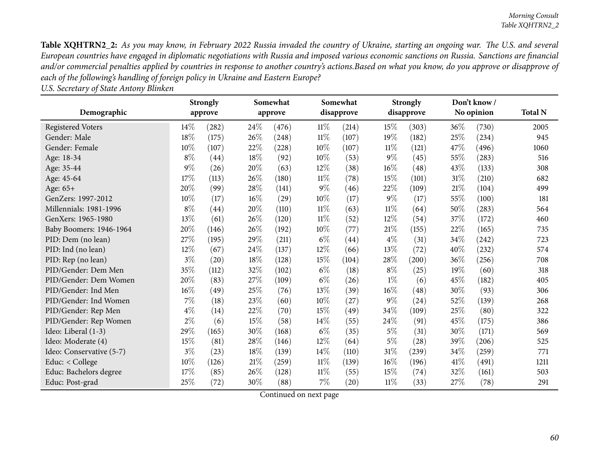| Demographic                              |        | Somewhat<br><b>Strongly</b><br>approve<br>approve |        |       | Somewhat<br>disapprove |       | <b>Strongly</b><br>disapprove |       | Don't know/<br>No opinion |       | <b>Total N</b> |
|------------------------------------------|--------|---------------------------------------------------|--------|-------|------------------------|-------|-------------------------------|-------|---------------------------|-------|----------------|
|                                          | 14\%   | (282)                                             | 24\%   | (476) | 11%                    | (214) | 15%                           | (303) | 36%                       | (730) | 2005           |
| <b>Registered Voters</b><br>Gender: Male | 18%    |                                                   | 26\%   |       |                        |       |                               |       | 25%                       |       | 945            |
|                                          |        | (175)                                             |        | (248) | 11%                    | (107) | $19\%$                        | (182) |                           | (234) |                |
| Gender: Female                           | 10%    | (107)                                             | 22\%   | (228) | 10%                    | (107) | $11\%$                        | (121) | 47\%                      | (496) | 1060           |
| Age: 18-34                               | $8\%$  | (44)                                              | 18%    | (92)  | 10%                    | (53)  | $9\%$                         | (45)  | 55%                       | (283) | 516            |
| Age: 35-44                               | $9\%$  | (26)                                              | 20%    | (63)  | 12%                    | (38)  | $16\%$                        | (48)  | 43%                       | (133) | 308            |
| Age: 45-64                               | 17%    | (113)                                             | 26%    | (180) | 11%                    | (78)  | 15%                           | (101) | 31%                       | (210) | 682            |
| Age: 65+                                 | 20%    | (99)                                              | 28%    | (141) | $9\%$                  | (46)  | 22%                           | (109) | 21\%                      | (104) | 499            |
| GenZers: 1997-2012                       | 10%    | (17)                                              | 16%    | (29)  | 10%                    | (17)  | $9\%$                         | (17)  | 55%                       | (100) | 181            |
| Millennials: 1981-1996                   | $8\%$  | (44)                                              | 20%    | (110) | 11%                    | (63)  | $11\%$                        | (64)  | 50%                       | (283) | 564            |
| GenXers: 1965-1980                       | 13\%   | (61)                                              | 26\%   | (120) | $11\%$                 | (52)  | 12%                           | (54)  | 37%                       | (172) | 460            |
| Baby Boomers: 1946-1964                  | 20%    | (146)                                             | 26%    | (192) | 10%                    | (77)  | 21%                           | (155) | 22%                       | (165) | 735            |
| PID: Dem (no lean)                       | 27%    | (195)                                             | 29%    | (211) | $6\%$                  | (44)  | $4\%$                         | (31)  | $34\%$                    | (242) | 723            |
| PID: Ind (no lean)                       | 12\%   | (67)                                              | 24\%   | (137) | 12%                    | (66)  | 13%                           | (72)  | 40%                       | (232) | 574            |
| PID: Rep (no lean)                       | $3\%$  | (20)                                              | $18\%$ | (128) | 15%                    | (104) | 28\%                          | (200) | 36%                       | (256) | 708            |
| PID/Gender: Dem Men                      | 35%    | (112)                                             | 32%    | (102) | $6\%$                  | (18)  | $8\%$                         | (25)  | 19%                       | (60)  | 318            |
| PID/Gender: Dem Women                    | 20%    | (83)                                              | $27\%$ | (109) | $6\%$                  | (26)  | $1\%$                         | (6)   | 45%                       | (182) | 405            |
| PID/Gender: Ind Men                      | $16\%$ | (49)                                              | 25%    | (76)  | 13%                    | (39)  | $16\%$                        | (48)  | 30%                       | (93)  | 306            |
| PID/Gender: Ind Women                    | 7%     | (18)                                              | 23%    | (60)  | 10%                    | (27)  | $9\%$                         | (24)  | 52%                       | (139) | 268            |
| PID/Gender: Rep Men                      | $4\%$  | (14)                                              | 22%    | (70)  | 15%                    | (49)  | 34\%                          | (109) | 25%                       | (80)  | 322            |
| PID/Gender: Rep Women                    | $2\%$  | (6)                                               | 15%    | (58)  | 14\%                   | (55)  | 24\%                          | (91)  | 45%                       | (175) | 386            |
| Ideo: Liberal (1-3)                      | 29%    | (165)                                             | 30%    | (168) | $6\%$                  | (35)  | $5\%$                         | (31)  | 30%                       | (171) | 569            |
| Ideo: Moderate (4)                       | 15%    | (81)                                              | 28\%   | (146) | 12%                    | (64)  | $5\%$                         | (28)  | 39%                       | (206) | 525            |
| Ideo: Conservative (5-7)                 | $3\%$  | (23)                                              | 18\%   | (139) | 14\%                   | (110) | 31%                           | (239) | 34\%                      | (259) | 771            |
| Educ: $<$ College                        | 10%    | (126)                                             | 21%    | (259) | $11\%$                 | (139) | 16%                           | (196) | 41\%                      | (491) | 1211           |
| Educ: Bachelors degree                   | 17%    | (85)                                              | 26%    | (128) | $11\%$                 | (55)  | 15%                           | (74)  | 32%                       | (161) | 503            |
| Educ: Post-grad                          | 25%    | (72)                                              | 30%    | (88)  | 7%                     | (20)  | $11\%$                        | (33)  | 27%                       | (78)  | 291            |

*U.S. Secretary of State Antony Blinken*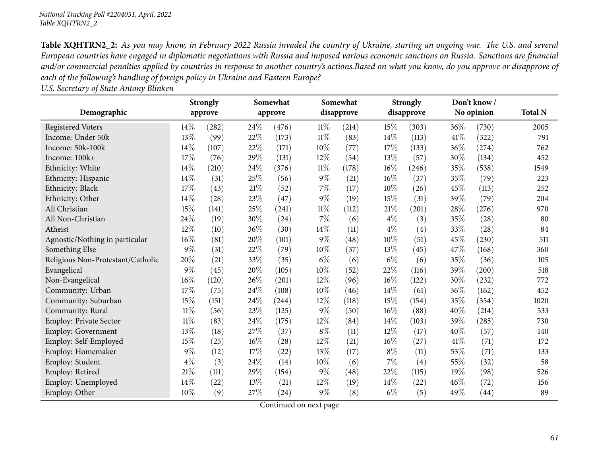**DemographicStrongly approveSomewhatapproveSomewhat disapproveStrongly disapproveDon't know / No opinion**Registered Voters 2005 (282) 24% (476)  $11\%$  (214)  $15\%$  (303) 36% (730) 2005 Income: Under 50kk  $13\%$  (99)  $22\%$  (173)  $11\%$  (83)  $14\%$  (113)  $41\%$  (322) 791 Income: 50k-100kk 14% (107) 22% (171) 10% (77) 17% (133) 36% (274) 762 Income: 100k+<br>Ethnicity: White <sup>17</sup>% (76) <sup>29</sup>% (131) <sup>12</sup>% (54) <sup>13</sup>% (57) <sup>30</sup>% (134) <sup>452</sup> Ethnicity: White 14% (210)  $24\%$  (376)  $11\%$  (178)  $16\%$  (246)  $35\%$  (538) 1549 Ethnicity: Hispanic 14% (31) 25% (56) 9% (21) 16% (37) 35% (79) 223 Ethnicity: Blackk 17% (43)  $21\%$  (52)  $7\%$  (17)  $10\%$  (26)  $45\%$  (113) 252 Ethnicity: Other 14% (28) 23% (47) 9% (19) 15% (31) 39% (79) 204 All Christian $15\%$  (141)  $25\%$  (241)  $11\%$  (112)  $21\%$  (201)  $28\%$  (276) 970 All Non-Christiann 24% (19)  $30\%$  (24)  $7\%$  (6)  $4\%$  (3)  $35\%$  (28) 80 Atheistt  $12\%$  (10)  $)$  36% (30) 14% (11) 4% (4) 33% (28) 84 Agnostic/Nothing in particular 16% (81) 20% (101) 9% (48) 10% (51) 45% (230) 511<br>Something Else 9% (31) 22% (79) 10% (37) 13% (45) 47% (168) 360 Something Else <sup>9</sup>% (31) <sup>22</sup>% (79) <sup>10</sup>% (37) <sup>13</sup>% (45) <sup>47</sup>% (168) <sup>360</sup>Religious Non-Protestant/Catholic 20% (21) 33% (35) 6% (6) 6% (6) 35% (36) 105<br>Evangelical 9% (45) 20% (105) 10% (52) 22% (116) 39% (200) 518 Evangelical  $9\%$  (45)  $)$  20% (105) 10% (52) 22% (116) 39% (200) 518 Non-Evangelical  $16\%$  (120)  $)$  26% (201) 12% (96) 16% (122) 30% (232) 772 Community: Urban $\ln$  17% (75) 24% (108)  $10\%$  (46) 14% (61) 36% (162) 452 Community: Suburban $\text{n}$  15% (151) 24% (244) 12% (118) 15% (154) 35% (354) 1020 Community: Rural 11% (56) 23% (125) 9% (50) 16% (88) 40% (214) 533 Employ: Private Sector 11% (83) 24% (175) 12% (84) 14% (103) 39% (285) 730 Employ: Government 13% (18) 27% (37) 8% (11) 12% (17) 40% (57) 140 Employ: Self-Employedd  $15\%$  (25)  $16\%$  (28)  $12\%$  (21)  $16\%$  (27)  $41\%$  (71) 172 Employ: Homemaker <sup>9</sup>% (12) <sup>17</sup>% (22) <sup>13</sup>% (17) <sup>8</sup>% (11) <sup>53</sup>% (71) <sup>133</sup> Employ: Student  $4\%$   $(3)$   $24\%$   $(14)$   $10\%$   $(6)$   $7\%$   $(4)$   $55\%$   $(32)$  58 Employ: Retiredd 21% (111)  $29\%$  (154)  $9\%$  (48)  $22\%$  (115)  $19\%$  (98) 526

*U.S. Secretary of State Antony Blinken*

Employ: Unemployed

Employ: Other 10% (9)  $27\%$  (24) 9% (8) 6% (5) 49% (44) 89 Continued on next page

d 14% (22) 13% (21) 12% (19) 14% (22) 46% (72) 156

**Total <sup>N</sup>**

223

970

511

105

772

452

140

172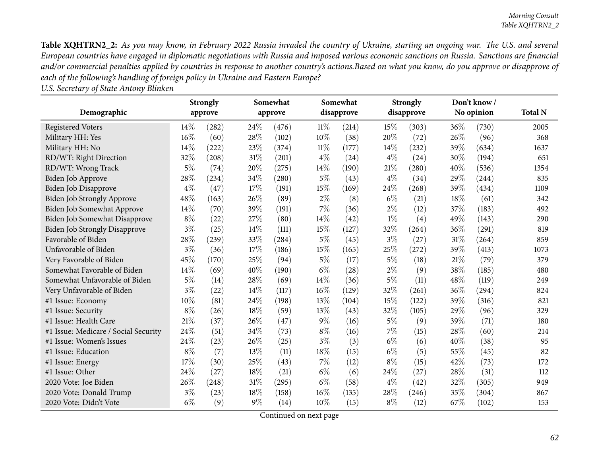|                                      |       | <b>Strongly</b> | Somewhat |         | Somewhat<br>disapprove |       | <b>Strongly</b><br>disapprove |       | Don't know/ |                     |                |
|--------------------------------------|-------|-----------------|----------|---------|------------------------|-------|-------------------------------|-------|-------------|---------------------|----------------|
| Demographic                          |       | approve         |          | approve |                        |       |                               |       |             | No opinion          | <b>Total N</b> |
| <b>Registered Voters</b>             | 14\%  | (282)           | 24\%     | (476)   | 11%                    | (214) | 15%                           | (303) | $36\%$      | (730)               | 2005           |
| Military HH: Yes                     | 16%   | (60)            | 28%      | (102)   | 10%                    | (38)  | 20%                           | (72)  | 26\%        | (96)                | 368            |
| Military HH: No                      | 14%   | (222)           | 23%      | (374)   | 11%                    | (177) | $14\%$                        | (232) | 39%         | (634)               | 1637           |
| RD/WT: Right Direction               | 32%   | (208)           | 31%      | (201)   | $4\%$                  | (24)  | $4\%$                         | (24)  | 30%         | (194)               | 651            |
| RD/WT: Wrong Track                   | $5\%$ | (74)            | 20%      | (275)   | 14\%                   | (190) | 21%                           | (280) | 40%         | (536)               | 1354           |
| Biden Job Approve                    | 28%   | (234)           | 34%      | (280)   | $5\%$                  | (43)  | $4\%$                         | (34)  | 29%         | (244)               | 835            |
| <b>Biden Job Disapprove</b>          | $4\%$ | (47)            | 17\%     | (191)   | 15%                    | (169) | 24\%                          | (268) | 39%         | (434)               | 1109           |
| <b>Biden Job Strongly Approve</b>    | 48\%  | (163)           | 26%      | (89)    | $2\%$                  | (8)   | $6\%$                         | (21)  | 18%         | (61)                | 342            |
| Biden Job Somewhat Approve           | 14\%  | (70)            | 39%      | (191)   | 7%                     | (36)  | $2\%$                         | (12)  | 37%         | (183)               | 492            |
| Biden Job Somewhat Disapprove        | $8\%$ | (22)            | 27%      | (80)    | 14\%                   | (42)  | $1\%$                         | (4)   | 49%         | (143)               | 290            |
| <b>Biden Job Strongly Disapprove</b> | $3\%$ | (25)            | 14\%     | (111)   | 15%                    | (127) | 32%                           | (264) | 36%         | (291)               | 819            |
| Favorable of Biden                   | 28%   | (239)           | 33%      | (284)   | $5\%$                  | (45)  | $3\%$                         | (27)  | $31\%$      | (264)               | 859            |
| Unfavorable of Biden                 | $3\%$ | (36)            | 17%      | (186)   | 15%                    | (165) | 25%                           | (272) | 39%         | (413)               | 1073           |
| Very Favorable of Biden              | 45%   | (170)           | 25%      | (94)    | $5\%$                  | (17)  | $5\%$                         | (18)  | 21%         | (79)                | 379            |
| Somewhat Favorable of Biden          | 14\%  | (69)            | 40%      | (190)   | $6\%$                  | (28)  | $2\%$                         | (9)   | 38%         | (185)               | 480            |
| Somewhat Unfavorable of Biden        | $5\%$ | (14)            | 28%      | (69)    | 14\%                   | (36)  | $5\%$                         | (11)  | 48\%        | (119)               | 249            |
| Very Unfavorable of Biden            | $3\%$ | (22)            | 14%      | (117)   | 16%                    | (129) | 32%                           | (261) | 36%         | $\left( 294\right)$ | 824            |
| #1 Issue: Economy                    | 10%   | (81)            | 24%      | (198)   | 13%                    | (104) | 15%                           | (122) | 39%         | (316)               | 821            |
| #1 Issue: Security                   | $8\%$ | (26)            | 18%      | (59)    | 13%                    | (43)  | 32%                           | (105) | 29%         | (96)                | 329            |
| #1 Issue: Health Care                | 21%   | (37)            | 26%      | (47)    | $9\%$                  | (16)  | $5\%$                         | (9)   | 39%         | (71)                | 180            |
| #1 Issue: Medicare / Social Security | 24%   | (51)            | 34%      | (73)    | $8\%$                  | (16)  | $7\%$                         | (15)  | 28%         | (60)                | 214            |
| #1 Issue: Women's Issues             | 24%   | (23)            | 26%      | (25)    | $3\%$                  | (3)   | $6\%$                         | (6)   | $40\%$      | (38)                | 95             |
| #1 Issue: Education                  | $8\%$ | (7)             | 13\%     | (11)    | 18%                    | (15)  | $6\%$                         | (5)   | 55%         | (45)                | 82             |
| #1 Issue: Energy                     | 17%   | (30)            | 25%      | (43)    | 7%                     | (12)  | $8\%$                         | (15)  | 42\%        | (73)                | 172            |
| #1 Issue: Other                      | 24%   | (27)            | 18%      | (21)    | $6\%$                  | (6)   | 24%                           | (27)  | 28%         | (31)                | 112            |
| 2020 Vote: Joe Biden                 | 26%   | (248)           | 31%      | (295)   | $6\%$                  | (58)  | $4\%$                         | (42)  | 32%         | (305)               | 949            |
| 2020 Vote: Donald Trump              | $3\%$ | (23)            | 18%      | (158)   | 16%                    | (135) | 28%                           | (246) | 35%         | (304)               | 867            |
| 2020 Vote: Didn't Vote               | $6\%$ | (9)             | $9\%$    | (14)    | 10%                    | (15)  | $8\%$                         | (12)  | 67%         | (102)               | 153            |

*U.S. Secretary of State Antony Blinken*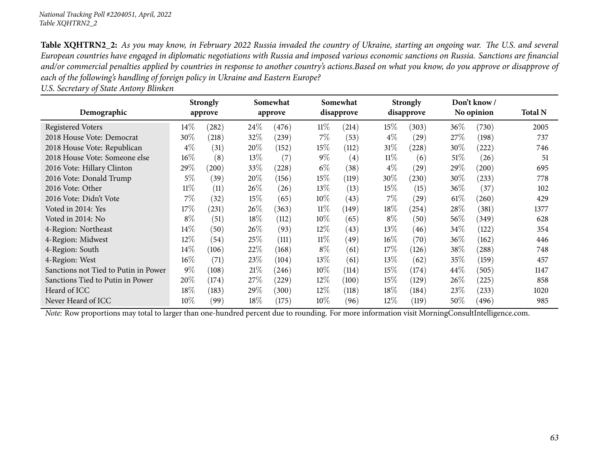|                                      |        | <b>Strongly</b> |        | Somewhat |        | Somewhat   |        | <b>Strongly</b>    |        | Don't know / |                |
|--------------------------------------|--------|-----------------|--------|----------|--------|------------|--------|--------------------|--------|--------------|----------------|
| Demographic                          |        | approve         |        | approve  |        | disapprove |        | disapprove         |        | No opinion   | <b>Total N</b> |
| <b>Registered Voters</b>             | $14\%$ | (282)           | 24%    | (476)    | $11\%$ | (214)      | $15\%$ | (303)              | $36\%$ | (730)        | 2005           |
| 2018 House Vote: Democrat            | 30%    | (218)           | $32\%$ | (239)    | $7\%$  | (53)       | $4\%$  | (29)               | $27\%$ | (198)        | 737            |
| 2018 House Vote: Republican          | $4\%$  | (31)            | 20%    | (152)    | 15%    | (112)      | 31%    | (228)              | $30\%$ | (222)        | 746            |
| 2018 House Vote: Someone else        | $16\%$ | (8)             | $13\%$ | (7)      | $9\%$  | (4)        | $11\%$ | (6)                | 51%    | (26)         | 51             |
| 2016 Vote: Hillary Clinton           | 29%    | (200)           | 33\%   | (228)    | $6\%$  | (38)       | $4\%$  | $\left( 29\right)$ | 29\%   | (200)        | 695            |
| 2016 Vote: Donald Trump              | $5\%$  | (39)            | 20%    | (156)    | 15%    | (119)      | 30\%   | (230)              | $30\%$ | (233)        | 778            |
| 2016 Vote: Other                     | $11\%$ | (11)            | $26\%$ | (26)     | $13\%$ | (13)       | 15%    | (15)               | $36\%$ | (37)         | 102            |
| 2016 Vote: Didn't Vote               | $7\%$  | (32)            | $15\%$ | (65)     | $10\%$ | (43)       | 7%     | (29)               | $61\%$ | (260)        | 429            |
| Voted in 2014: Yes                   | $17\%$ | (231)           | $26\%$ | (363)    | $11\%$ | (149)      | $18\%$ | (254)              | $28\%$ | (381)        | 1377           |
| Voted in 2014: No                    | $8\%$  | (51)            | 18%    | (112)    | 10%    | (65)       | $8\%$  | (50)               | 56\%   | (349)        | 628            |
| 4-Region: Northeast                  | $14\%$ | (50)            | 26\%   | (93)     | 12%    | (43)       | $13\%$ | (46)               | $34\%$ | (122)        | 354            |
| 4-Region: Midwest                    | 12%    | (54)            | 25%    | (111)    | 11%    | (49)       | $16\%$ | (70)               | $36\%$ | (162)        | 446            |
| 4-Region: South                      | $14\%$ | (106)           | 22%    | (168)    | $8\%$  | (61)       | 17%    | (126)              | $38\%$ | (288)        | 748            |
| 4-Region: West                       | $16\%$ | (71)            | 23\%   | (104)    | $13\%$ | (61)       | $13\%$ | (62)               | $35\%$ | (159)        | 457            |
| Sanctions not Tied to Putin in Power | $9\%$  | (108)           | 21%    | (246)    | $10\%$ | (114)      | 15%    | (174)              | $44\%$ | (505)        | 1147           |
| Sanctions Tied to Putin in Power     | $20\%$ | (174)           | 27%    | (229)    | $12\%$ | (100)      | $15\%$ | (129)              | $26\%$ | (225)        | 858            |
| Heard of ICC                         | $18\%$ | (183)           | 29\%   | (300)    | $12\%$ | (118)      | $18\%$ | (184)              | 23\%   | (233)        | 1020           |
| Never Heard of ICC                   | 10%    | (99)            | $18\%$ | (175)    | $10\%$ | (96)       | $12\%$ | (119)              | $50\%$ | (496)        | 985            |

*U.S. Secretary of State Antony Blinken*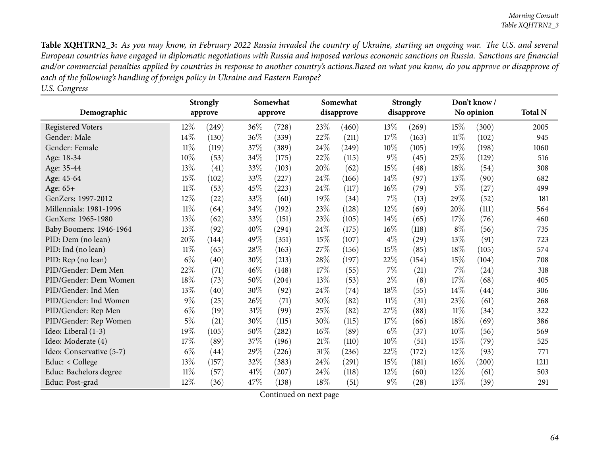|                          |        | <b>Strongly</b> |        | Somewhat |        | Somewhat   |        | <b>Strongly</b> |        | Don't know / |                |
|--------------------------|--------|-----------------|--------|----------|--------|------------|--------|-----------------|--------|--------------|----------------|
| Demographic              |        | approve         |        | approve  |        | disapprove |        | disapprove      |        | No opinion   | <b>Total N</b> |
| <b>Registered Voters</b> | $12\%$ | (249)           | 36%    | (728)    | 23%    | (460)      | 13\%   | (269)           | 15\%   | (300)        | 2005           |
| Gender: Male             | 14\%   | (130)           | 36%    | (339)    | 22%    | (211)      | 17%    | (163)           | $11\%$ | (102)        | 945            |
| Gender: Female           | $11\%$ | (119)           | 37%    | (389)    | 24\%   | (249)      | 10%    | (105)           | 19%    | (198)        | 1060           |
| Age: 18-34               | 10%    | (53)            | 34\%   | (175)    | 22%    | (115)      | $9\%$  | (45)            | 25%    | (129)        | 516            |
| Age: 35-44               | 13\%   | (41)            | 33%    | (103)    | 20%    | (62)       | 15%    | (48)            | 18%    | (54)         | 308            |
| Age: 45-64               | 15%    | (102)           | 33%    | (227)    | 24\%   | (166)      | 14\%   | (97)            | 13\%   | (90)         | 682            |
| Age: 65+                 | $11\%$ | (53)            | 45%    | (223)    | 24%    | (117)      | 16%    | (79)            | $5\%$  | (27)         | 499            |
| GenZers: 1997-2012       | 12%    | (22)            | 33%    | (60)     | 19%    | (34)       | 7%     | (13)            | 29%    | (52)         | 181            |
| Millennials: 1981-1996   | $11\%$ | (64)            | 34%    | (192)    | 23%    | (128)      | 12%    | (69)            | 20%    | (111)        | 564            |
| GenXers: 1965-1980       | 13\%   | (62)            | 33%    | (151)    | 23%    | (105)      | 14%    | (65)            | 17%    | (76)         | 460            |
| Baby Boomers: 1946-1964  | 13\%   | (92)            | 40%    | (294)    | 24\%   | (175)      | 16%    | (118)           | $8\%$  | (56)         | 735            |
| PID: Dem (no lean)       | 20%    | (144)           | 49%    | (351)    | 15%    | (107)      | $4\%$  | (29)            | 13%    | (91)         | 723            |
| PID: Ind (no lean)       | $11\%$ | (65)            | 28%    | (163)    | 27\%   | (156)      | 15%    | (85)            | 18%    | (105)        | 574            |
| PID: Rep (no lean)       | $6\%$  | (40)            | $30\%$ | (213)    | 28%    | (197)      | 22\%   | (154)           | 15%    | (104)        | 708            |
| PID/Gender: Dem Men      | 22%    | (71)            | 46%    | (148)    | 17%    | (55)       | 7%     | (21)            | $7\%$  | (24)         | 318            |
| PID/Gender: Dem Women    | 18%    | (73)            | 50%    | (204)    | 13%    | (53)       | $2\%$  | (8)             | 17%    | (68)         | 405            |
| PID/Gender: Ind Men      | 13\%   | (40)            | 30%    | (92)     | 24\%   | (74)       | 18%    | (55)            | 14%    | (44)         | 306            |
| PID/Gender: Ind Women    | $9\%$  | (25)            | 26%    | (71)     | 30%    | (82)       | $11\%$ | (31)            | 23%    | (61)         | 268            |
| PID/Gender: Rep Men      | $6\%$  | (19)            | $31\%$ | (99)     | 25%    | (82)       | 27%    | (88)            | $11\%$ | (34)         | 322            |
| PID/Gender: Rep Women    | $5\%$  | (21)            | 30%    | (115)    | 30%    | (115)      | 17%    | (66)            | 18%    | (69)         | 386            |
| Ideo: Liberal (1-3)      | 19%    | (105)           | 50%    | (282)    | 16%    | (89)       | $6\%$  | (37)            | 10%    | (56)         | 569            |
| Ideo: Moderate (4)       | 17%    | (89)            | 37%    | (196)    | $21\%$ | (110)      | 10%    | (51)            | 15%    | (79)         | 525            |
| Ideo: Conservative (5-7) | $6\%$  | (44)            | 29%    | (226)    | $31\%$ | (236)      | 22%    | (172)           | $12\%$ | (93)         | 771            |
| Educ: < College          | 13\%   | (157)           | 32\%   | (383)    | 24\%   | (291)      | 15%    | (181)           | $16\%$ | (200)        | 1211           |
| Educ: Bachelors degree   | $11\%$ | (57)            | 41\%   | (207)    | 24\%   | (118)      | 12%    | (60)            | 12%    | (61)         | 503            |
| Educ: Post-grad          | 12%    | (36)            | 47\%   | (138)    | 18%    | (51)       | $9\%$  | (28)            | 13%    | (39)         | 291            |

*U.S. Congress*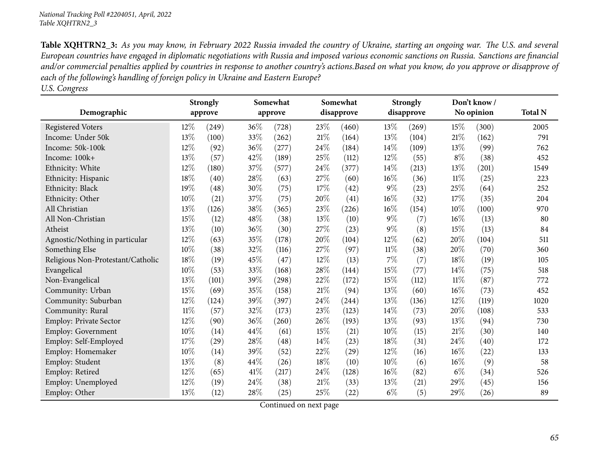|                                   | Somewhat<br>Somewhat<br><b>Strongly</b><br><b>Strongly</b> |         |        | Don't know/ |        |            |        |            |        |            |                |
|-----------------------------------|------------------------------------------------------------|---------|--------|-------------|--------|------------|--------|------------|--------|------------|----------------|
| Demographic                       |                                                            | approve |        | approve     |        | disapprove |        | disapprove |        | No opinion | <b>Total N</b> |
| <b>Registered Voters</b>          | $12\%$                                                     | (249)   | 36%    | (728)       | 23%    | (460)      | 13\%   | (269)      | 15%    | (300)      | 2005           |
| Income: Under 50k                 | 13%                                                        | (100)   | 33%    | (262)       | 21%    | (164)      | 13\%   | (104)      | 21%    | (162)      | 791            |
| Income: 50k-100k                  | 12%                                                        | (92)    | 36%    | (277)       | 24%    | (184)      | 14%    | (109)      | 13%    | (99)       | 762            |
| Income: 100k+                     | 13%                                                        | (57)    | 42%    | (189)       | 25%    | (112)      | $12\%$ | (55)       | $8\%$  | (38)       | 452            |
| Ethnicity: White                  | 12%                                                        | (180)   | 37%    | (577)       | 24%    | (377)      | $14\%$ | (213)      | 13%    | (201)      | 1549           |
| Ethnicity: Hispanic               | 18%                                                        | (40)    | 28%    | (63)        | 27%    | (60)       | $16\%$ | (36)       | $11\%$ | (25)       | 223            |
| Ethnicity: Black                  | 19%                                                        | (48)    | 30%    | (75)        | 17%    | (42)       | $9\%$  | (23)       | 25%    | (64)       | 252            |
| Ethnicity: Other                  | 10%                                                        | (21)    | 37%    | (75)        | 20%    | (41)       | 16%    | (32)       | 17%    | (35)       | 204            |
| All Christian                     | 13\%                                                       | (126)   | 38%    | (365)       | 23%    | (226)      | 16%    | (154)      | 10%    | (100)      | 970            |
| All Non-Christian                 | 15%                                                        | (12)    | 48%    | (38)        | 13%    | (10)       | $9\%$  | (7)        | 16%    | (13)       | 80             |
| Atheist                           | 13%                                                        | (10)    | 36%    | (30)        | 27%    | (23)       | $9\%$  | (8)        | 15%    | (13)       | 84             |
| Agnostic/Nothing in particular    | 12%                                                        | (63)    | 35%    | (178)       | 20%    | (104)      | 12%    | (62)       | 20%    | (104)      | 511            |
| Something Else                    | 10%                                                        | (38)    | 32%    | (116)       | 27%    | (97)       | $11\%$ | (38)       | 20%    | (70)       | 360            |
| Religious Non-Protestant/Catholic | 18%                                                        | (19)    | 45%    | (47)        | 12%    | (13)       | 7%     | (7)        | 18%    | (19)       | 105            |
| Evangelical                       | 10%                                                        | (53)    | 33%    | (168)       | 28%    | (144)      | 15%    | (77)       | 14%    | (75)       | 518            |
| Non-Evangelical                   | 13%                                                        | (101)   | 39%    | (298)       | 22%    | (172)      | 15%    | (112)      | 11%    | (87)       | 772            |
| Community: Urban                  | 15%                                                        | (69)    | 35%    | (158)       | 21\%   | (94)       | 13\%   | (60)       | 16%    | (73)       | 452            |
| Community: Suburban               | 12%                                                        | (124)   | 39%    | (397)       | 24%    | (244)      | 13%    | (136)      | 12%    | (119)      | 1020           |
| Community: Rural                  | $11\%$                                                     | (57)    | 32%    | (173)       | 23%    | (123)      | $14\%$ | (73)       | 20%    | (108)      | 533            |
| Employ: Private Sector            | 12%                                                        | (90)    | 36%    | (260)       | 26%    | (193)      | 13\%   | (93)       | 13%    | (94)       | 730            |
| Employ: Government                | 10%                                                        | (14)    | 44%    | (61)        | 15%    | (21)       | 10\%   | (15)       | 21%    | (30)       | 140            |
| Employ: Self-Employed             | 17%                                                        | (29)    | 28%    | (48)        | 14%    | (23)       | 18%    | (31)       | 24%    | (40)       | 172            |
| Employ: Homemaker                 | $10\%$                                                     | (14)    | 39%    | (52)        | 22%    | (29)       | 12%    | (16)       | 16%    | (22)       | 133            |
| Employ: Student                   | 13%                                                        | (8)     | 44\%   | (26)        | 18%    | (10)       | 10%    | (6)        | 16%    | (9)        | 58             |
| Employ: Retired                   | 12%                                                        | (65)    | $41\%$ | (217)       | 24%    | (128)      | 16%    | (82)       | $6\%$  | (34)       | 526            |
| Employ: Unemployed                | $12\%$                                                     | (19)    | 24%    | (38)        | 21%    | (33)       | 13%    | (21)       | 29%    | (45)       | 156            |
| Employ: Other                     | 13%                                                        | (12)    | 28%    | (25)        | $25\%$ | (22)       | $6\%$  | (5)        | 29%    | (26)       | 89             |

*U.S. Congress*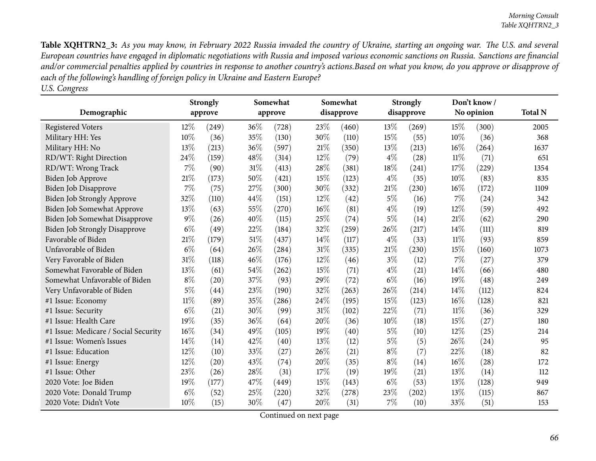|                                      |        | <b>Strongly</b> | Somewhat |         | Somewhat |            | <b>Strongly</b><br>disapprove |       | Don't know /<br>No opinion |       |                |
|--------------------------------------|--------|-----------------|----------|---------|----------|------------|-------------------------------|-------|----------------------------|-------|----------------|
| Demographic                          |        | approve         |          | approve |          | disapprove |                               |       |                            |       | <b>Total N</b> |
| <b>Registered Voters</b>             | 12%    | (249)           | 36%      | (728)   | 23%      | (460)      | 13\%                          | (269) | 15%                        | (300) | 2005           |
| Military HH: Yes                     | 10%    | (36)            | 35%      | (130)   | 30%      | (110)      | 15%                           | (55)  | 10%                        | (36)  | 368            |
| Military HH: No                      | 13%    | (213)           | 36%      | (597)   | 21%      | (350)      | 13%                           | (213) | 16%                        | (264) | 1637           |
| RD/WT: Right Direction               | 24%    | (159)           | 48%      | (314)   | 12%      | (79)       | $4\%$                         | (28)  | $11\%$                     | (71)  | 651            |
| RD/WT: Wrong Track                   | $7\%$  | (90)            | 31%      | (413)   | 28%      | (381)      | 18%                           | (241) | 17%                        | (229) | 1354           |
| Biden Job Approve                    | 21%    | (173)           | 50%      | (421)   | 15%      | (123)      | $4\%$                         | (35)  | 10%                        | (83)  | 835            |
| Biden Job Disapprove                 | $7\%$  | (75)            | 27%      | (300)   | 30%      | (332)      | 21\%                          | (230) | $16\%$                     | (172) | 1109           |
| Biden Job Strongly Approve           | 32%    | (110)           | 44%      | (151)   | 12%      | (42)       | $5\%$                         | (16)  | $7\%$                      | (24)  | 342            |
| Biden Job Somewhat Approve           | $13\%$ | (63)            | 55%      | (270)   | 16%      | (81)       | $4\%$                         | (19)  | 12%                        | (59)  | 492            |
| Biden Job Somewhat Disapprove        | $9\%$  | (26)            | 40%      | (115)   | 25%      | (74)       | $5\%$                         | (14)  | 21\%                       | (62)  | 290            |
| <b>Biden Job Strongly Disapprove</b> | $6\%$  | (49)            | 22%      | (184)   | 32%      | (259)      | 26%                           | (217) | 14%                        | (111) | 819            |
| Favorable of Biden                   | 21%    | (179)           | 51%      | (437)   | 14\%     | (117)      | $4\%$                         | (33)  | 11%                        | (93)  | 859            |
| Unfavorable of Biden                 | $6\%$  | (64)            | 26%      | (284)   | 31%      | (335)      | 21%                           | (230) | 15%                        | (160) | 1073           |
| Very Favorable of Biden              | 31\%   | (118)           | 46%      | (176)   | 12%      | (46)       | $3\%$                         | (12)  | $7\%$                      | (27)  | 379            |
| Somewhat Favorable of Biden          | 13%    | (61)            | 54%      | (262)   | 15%      | (71)       | $4\%$                         | (21)  | 14%                        | (66)  | 480            |
| Somewhat Unfavorable of Biden        | $8\%$  | (20)            | 37%      | (93)    | 29%      | (72)       | $6\%$                         | (16)  | 19%                        | (48)  | 249            |
| Very Unfavorable of Biden            | $5\%$  | (44)            | 23%      | (190)   | 32%      | (263)      | 26%                           | (214) | 14%                        | (112) | 824            |
| #1 Issue: Economy                    | $11\%$ | (89)            | 35%      | (286)   | 24\%     | (195)      | 15%                           | (123) | $16\%$                     | (128) | 821            |
| #1 Issue: Security                   | $6\%$  | (21)            | 30%      | (99)    | 31%      | (102)      | 22%                           | (71)  | 11%                        | (36)  | 329            |
| #1 Issue: Health Care                | 19%    | (35)            | 36%      | (64)    | 20%      | (36)       | 10%                           | (18)  | 15%                        | (27)  | 180            |
| #1 Issue: Medicare / Social Security | 16%    | (34)            | 49%      | (105)   | 19%      | (40)       | $5\%$                         | (10)  | 12%                        | (25)  | 214            |
| #1 Issue: Women's Issues             | 14%    | (14)            | 42%      | (40)    | 13%      | (12)       | 5%                            | (5)   | 26%                        | (24)  | 95             |
| #1 Issue: Education                  | 12%    | (10)            | 33%      | (27)    | 26%      | (21)       | $8\%$                         | (7)   | 22%                        | (18)  | 82             |
| #1 Issue: Energy                     | $12\%$ | (20)            | 43%      | (74)    | 20%      | (35)       | $8\%$                         | (14)  | 16%                        | (28)  | 172            |
| #1 Issue: Other                      | 23%    | (26)            | 28%      | (31)    | 17%      | (19)       | 19%                           | (21)  | 13%                        | (14)  | 112            |
| 2020 Vote: Joe Biden                 | 19%    | (177)           | 47%      | (449)   | 15%      | (143)      | $6\%$                         | (53)  | 13%                        | (128) | 949            |
| 2020 Vote: Donald Trump              | $6\%$  | (52)            | 25%      | (220)   | 32%      | (278)      | 23%                           | (202) | 13%                        | (115) | 867            |
| 2020 Vote: Didn't Vote               | 10%    | (15)            | 30%      | (47)    | 20%      | (31)       | 7%                            | (10)  | 33%                        | (51)  | 153            |

*U.S. Congress*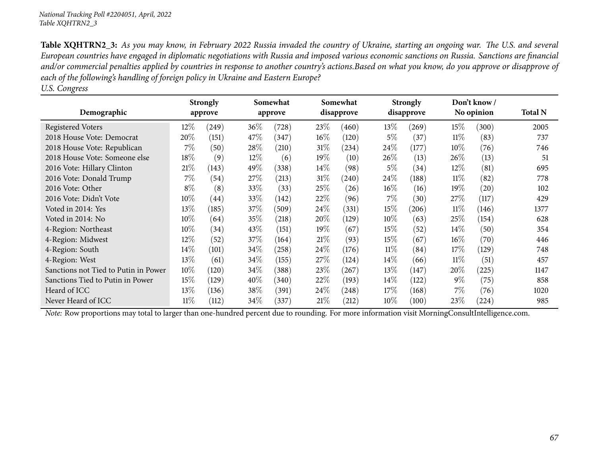|                                      | <b>Strongly</b> |       |        | Somewhat |        | Somewhat    |        | <b>Strongly</b> | Don't know/ |                |      |
|--------------------------------------|-----------------|-------|--------|----------|--------|-------------|--------|-----------------|-------------|----------------|------|
| Demographic                          | approve         |       |        | approve  |        | disapprove  |        | disapprove      | No opinion  | <b>Total N</b> |      |
| <b>Registered Voters</b>             | $12\%$          | (249) | $36\%$ | (728)    | 23\%   | (460)       | 13\%   | (269)           | 15\%        | (300)          | 2005 |
| 2018 House Vote: Democrat            | 20%             | (151) | 47\%   | (347)    | $16\%$ | (120)       | $5\%$  | (37)            | 11%         | (83)           | 737  |
| 2018 House Vote: Republican          | $7\%$           | (50)  | 28\%   | (210)    | $31\%$ | (234)       | 24%    | (177)           | $10\%$      | (76)           | 746  |
| 2018 House Vote: Someone else        | 18\%            | (9)   | $12\%$ | (6)      | 19%    | (10)        | $26\%$ | (13)            | $26\%$      | (13)           | 51   |
| 2016 Vote: Hillary Clinton           | 21%             | (143) | 49\%   | (338)    | $14\%$ | (98)        | $5\%$  | (34)            | $12\%$      | (81)           | 695  |
| 2016 Vote: Donald Trump              | $7\%$           | (54)  | 27%    | (213)    | 31%    | $240^\circ$ | 24%    | (188)           | 11%         | (82)           | 778  |
| 2016 Vote: Other                     | $8\%$           | (8)   | 33%    | (33)     | 25%    | (26)        | $16\%$ | (16)            | 19%         | (20)           | 102  |
| 2016 Vote: Didn't Vote               | $10\%$          | (44)  | 33\%   | (142)    | 22%    | (96)        | $7\%$  | (30)            | 27%         | (117)          | 429  |
| Voted in 2014: Yes                   | $13\%$          | (185) | 37%    | (509)    | 24%    | (331)       | $15\%$ | (206)           | 11%         | (146)          | 1377 |
| Voted in 2014: No                    | $10\%$          | (64)  | $35\%$ | (218)    | 20%    | (129)       | $10\%$ | (63)            | 25%         | (154)          | 628  |
| 4-Region: Northeast                  | $10\%$          | (34)  | $43\%$ | (151)    | 19%    | (67)        | 15%    | (52)            | $14\%$      | (50)           | 354  |
| 4-Region: Midwest                    | $12\%$          | (52)  | $37\%$ | (164)    | 21%    | (93)        | 15%    | (67)            | $16\%$      | (70)           | 446  |
| 4-Region: South                      | $14\%$          | (101) | $34\%$ | (258)    | 24\%   | (176)       | $11\%$ | (84)            | 17%         | (129)          | 748  |
| 4-Region: West                       | 13%             | (61)  | $34\%$ | (155)    | 27%    | (124)       | $14\%$ | (66)            | 11%         | (51)           | 457  |
| Sanctions not Tied to Putin in Power | $10\%$          | (120) | $34\%$ | (388)    | 23\%   | (267)       | 13\%   | (147)           | 20%         | (225)          | 1147 |
| Sanctions Tied to Putin in Power     | $15\%$          | (129) | $40\%$ | (340)    | $22\%$ | (193)       | $14\%$ | (122)           | $9\%$       | (75)           | 858  |
| Heard of ICC                         | $13\%$          | (136) | 38%    | (391)    | 24\%   | (248)       | 17\%   | (168)           | 7%          | (76)           | 1020 |
| Never Heard of ICC                   | $11\%$          | (112) | $34\%$ | (337)    | 21%    | (212)       | $10\%$ | (100)           | $23\%$      | (224)          | 985  |

*U.S. Congress*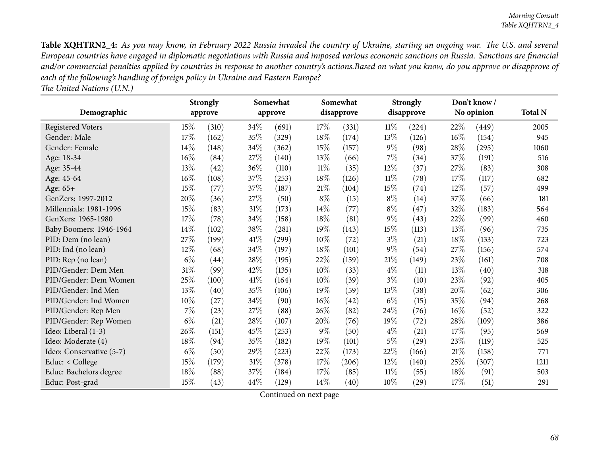|                          | <b>Strongly</b> |         |        | Somewhat |        | Somewhat   |        | <b>Strongly</b> | Don't know/ | <b>Total N</b> |      |  |
|--------------------------|-----------------|---------|--------|----------|--------|------------|--------|-----------------|-------------|----------------|------|--|
| Demographic              |                 | approve |        | approve  |        | disapprove |        | disapprove      |             | No opinion     |      |  |
| <b>Registered Voters</b> | 15%             | (310)   | 34%    | (691)    | 17%    | (331)      | $11\%$ | (224)           | 22\%        | (449)          | 2005 |  |
| Gender: Male             | 17%             | (162)   | 35%    | (329)    | 18%    | (174)      | 13%    | (126)           | 16%         | (154)          | 945  |  |
| Gender: Female           | 14%             | (148)   | 34\%   | (362)    | 15%    | (157)      | $9\%$  | (98)            | 28%         | (295)          | 1060 |  |
| Age: 18-34               | $16\%$          | (84)    | 27%    | (140)    | 13%    | (66)       | 7%     | (34)            | 37%         | (191)          | 516  |  |
| Age: 35-44               | 13%             | (42)    | 36%    | (110)    | $11\%$ | (35)       | 12%    | (37)            | 27%         | (83)           | 308  |  |
| Age: 45-64               | $16\%$          | (108)   | 37%    | (253)    | 18%    | (126)      | $11\%$ | (78)            | 17%         | (117)          | 682  |  |
| Age: 65+                 | 15%             | (77)    | 37%    | (187)    | $21\%$ | (104)      | 15%    | (74)            | 12%         | (57)           | 499  |  |
| GenZers: 1997-2012       | 20%             | (36)    | 27\%   | (50)     | $8\%$  | (15)       | $8\%$  | (14)            | 37%         | (66)           | 181  |  |
| Millennials: 1981-1996   | 15%             | (83)    | $31\%$ | (173)    | 14%    | (77)       | $8\%$  | (47)            | 32%         | (183)          | 564  |  |
| GenXers: 1965-1980       | 17%             | (78)    | 34%    | (158)    | 18%    | (81)       | $9\%$  | (43)            | 22%         | (99)           | 460  |  |
| Baby Boomers: 1946-1964  | $14\%$          | (102)   | 38\%   | (281)    | 19%    | (143)      | 15%    | (113)           | 13%         | (96)           | 735  |  |
| PID: Dem (no lean)       | 27\%            | (199)   | 41\%   | (299)    | 10%    | (72)       | $3\%$  | (21)            | 18%         | (133)          | 723  |  |
| PID: Ind (no lean)       | $12\%$          | (68)    | 34%    | (197)    | 18%    | (101)      | $9\%$  | (54)            | 27%         | (156)          | 574  |  |
| PID: Rep (no lean)       | $6\%$           | (44)    | 28\%   | (195)    | 22%    | (159)      | 21%    | (149)           | 23%         | (161)          | 708  |  |
| PID/Gender: Dem Men      | $31\%$          | (99)    | 42%    | (135)    | 10%    | (33)       | $4\%$  | (11)            | 13%         | (40)           | 318  |  |
| PID/Gender: Dem Women    | 25%             | (100)   | 41\%   | (164)    | 10%    | (39)       | $3\%$  | (10)            | 23%         | (92)           | 405  |  |
| PID/Gender: Ind Men      | 13%             | (40)    | 35%    | (106)    | 19%    | (59)       | 13%    | (38)            | 20%         | (62)           | 306  |  |
| PID/Gender: Ind Women    | 10%             | (27)    | 34%    | (90)     | 16%    | (42)       | $6\%$  | (15)            | 35%         | (94)           | 268  |  |
| PID/Gender: Rep Men      | $7\%$           | (23)    | 27%    | (88)     | 26%    | (82)       | 24\%   | (76)            | 16%         | (52)           | 322  |  |
| PID/Gender: Rep Women    | $6\%$           | (21)    | 28%    | (107)    | 20%    | (76)       | 19%    | (72)            | 28%         | (109)          | 386  |  |
| Ideo: Liberal (1-3)      | 26\%            | (151)   | 45%    | (253)    | $9\%$  | (50)       | $4\%$  | (21)            | 17%         | (95)           | 569  |  |
| Ideo: Moderate (4)       | 18%             | (94)    | 35%    | (182)    | 19%    | (101)      | $5\%$  | (29)            | 23%         | (119)          | 525  |  |
| Ideo: Conservative (5-7) | $6\%$           | (50)    | 29%    | (223)    | 22%    | (173)      | 22%    | (166)           | 21%         | (158)          | 771  |  |
| Educ: $<$ College        | 15%             | (179)   | $31\%$ | (378)    | 17%    | (206)      | 12%    | (140)           | 25%         | (307)          | 1211 |  |
| Educ: Bachelors degree   | 18%             | (88)    | 37%    | (184)    | 17%    | (85)       | $11\%$ | (55)            | 18%         | (91)           | 503  |  |
| Educ: Post-grad          | 15%             | (43)    | 44%    | (129)    | 14%    | (40)       | 10%    | (29)            | 17%         | (51)           | 291  |  |

*The United Nations (U.N.)*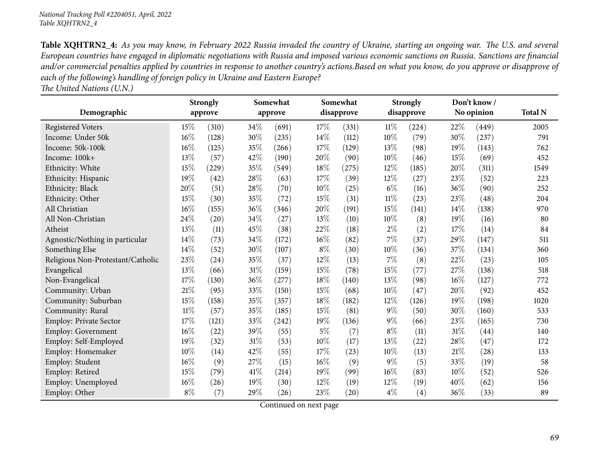*The United Nations (U.N.)*

|                                   | <b>Strongly</b> |       | Somewhat |         |       | Somewhat   |        | <b>Strongly</b> | Don't know/ |            |                |
|-----------------------------------|-----------------|-------|----------|---------|-------|------------|--------|-----------------|-------------|------------|----------------|
| Demographic                       | approve         |       |          | approve |       | disapprove |        | disapprove      |             | No opinion | <b>Total N</b> |
| <b>Registered Voters</b>          | 15%             | (310) | 34%      | (691)   | 17%   | (331)      | $11\%$ | (224)           | 22%         | (449)      | 2005           |
| Income: Under 50k                 | 16%             | (128) | 30%      | (235)   | 14%   | (112)      | 10%    | (79)            | 30%         | (237)      | 791            |
| Income: 50k-100k                  | $16\%$          | (125) | 35%      | (266)   | 17%   | (129)      | 13%    | (98)            | 19%         | (143)      | 762            |
| Income: 100k+                     | 13%             | (57)  | 42%      | (190)   | 20%   | (90)       | 10%    | (46)            | 15%         | (69)       | 452            |
| Ethnicity: White                  | 15%             | (229) | 35%      | (549)   | 18%   | (275)      | 12%    | (185)           | 20%         | (311)      | 1549           |
| Ethnicity: Hispanic               | 19%             | (42)  | 28%      | (63)    | 17%   | (39)       | 12%    | (27)            | 23%         | (52)       | 223            |
| Ethnicity: Black                  | 20%             | (51)  | 28%      | (70)    | 10%   | (25)       | $6\%$  | (16)            | 36%         | (90)       | 252            |
| Ethnicity: Other                  | 15%             | (30)  | 35%      | (72)    | 15%   | (31)       | $11\%$ | (23)            | 23%         | (48)       | 204            |
| All Christian                     | $16\%$          | (155) | 36\%     | (346)   | 20%   | (191)      | $15\%$ | (141)           | 14\%        | (138)      | 970            |
| All Non-Christian                 | 24%             | (20)  | 34%      | (27)    | 13%   | (10)       | 10%    | (8)             | 19%         | (16)       | 80             |
| Atheist                           | 13%             | (11)  | 45%      | (38)    | 22%   | (18)       | $2\%$  | (2)             | 17%         | (14)       | 84             |
| Agnostic/Nothing in particular    | 14\%            | (73)  | 34%      | (172)   | 16%   | (82)       | 7%     | (37)            | 29%         | (147)      | 511            |
| Something Else                    | 14\%            | (52)  | 30%      | (107)   | $8\%$ | (30)       | 10%    | (36)            | 37%         | (134)      | 360            |
| Religious Non-Protestant/Catholic | 23%             | (24)  | 35%      | (37)    | 12%   | (13)       | 7%     | (8)             | 22%         | (23)       | 105            |
| Evangelical                       | 13%             | (66)  | 31%      | (159)   | 15%   | (78)       | 15%    | (77)            | 27%         | (138)      | 518            |
| Non-Evangelical                   | 17%             | (130) | 36\%     | (277)   | 18%   | (140)      | 13\%   | (98)            | $16\%$      | (127)      | 772            |
| Community: Urban                  | 21%             | (95)  | 33%      | (150)   | 15%   | (68)       | 10%    | (47)            | 20%         | (92)       | 452            |
| Community: Suburban               | 15%             | (158) | 35%      | (357)   | 18%   | (182)      | 12%    | (126)           | 19%         | (198)      | 1020           |
| Community: Rural                  | $11\%$          | (57)  | 35%      | (185)   | 15%   | (81)       | $9\%$  | (50)            | 30%         | (160)      | 533            |
| Employ: Private Sector            | $17\%$          | (121) | 33%      | (242)   | 19%   | (136)      | $9\%$  | (66)            | 23%         | (165)      | 730            |
| Employ: Government                | 16%             | (22)  | 39%      | (55)    | $5\%$ | (7)        | $8\%$  | (11)            | 31%         | (44)       | 140            |
| Employ: Self-Employed             | 19%             | (32)  | 31%      | (53)    | 10%   | (17)       | 13%    | (22)            | 28%         | (47)       | 172            |
| Employ: Homemaker                 | 10%             | (14)  | 42%      | (55)    | 17%   | (23)       | 10%    | (13)            | 21%         | (28)       | 133            |
| Employ: Student                   | 16%             | (9)   | 27%      | (15)    | 16%   | (9)        | $9\%$  | (5)             | 33%         | (19)       | 58             |
| Employ: Retired                   | 15%             | (79)  | 41%      | (214)   | 19%   | (99)       | 16%    | (83)            | 10%         | (52)       | 526            |
| Employ: Unemployed                | $16\%$          | (26)  | 19%      | (30)    | 12%   | (19)       | 12%    | (19)            | 40%         | (62)       | 156            |
| Employ: Other                     | $8\%$           | (7)   | 29%      | (26)    | 23%   | (20)       | $4\%$  | (4)             | 36%         | (33)       | 89             |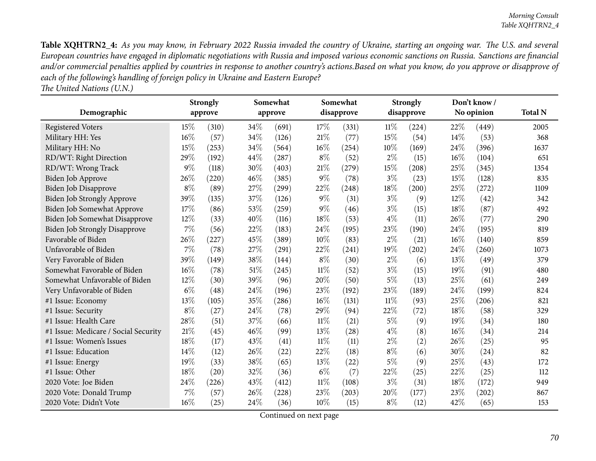|                                      | <b>Strongly</b> |       |      | Somewhat |        | Somewhat   |        | <b>Strongly</b> |      | Don't know/ |                |
|--------------------------------------|-----------------|-------|------|----------|--------|------------|--------|-----------------|------|-------------|----------------|
| Demographic                          | approve         |       |      | approve  |        | disapprove |        | disapprove      |      | No opinion  | <b>Total N</b> |
| <b>Registered Voters</b>             | 15%             | (310) | 34%  | (691)    | 17%    | (331)      | 11%    | (224)           | 22\% | (449)       | 2005           |
| Military HH: Yes                     | $16\%$          | (57)  | 34%  | (126)    | 21%    | (77)       | 15%    | (54)            | 14%  | (53)        | 368            |
| Military HH: No                      | 15%             | (253) | 34%  | (564)    | 16%    | (254)      | 10%    | (169)           | 24%  | (396)       | 1637           |
| RD/WT: Right Direction               | 29%             | (192) | 44\% | (287)    | $8\%$  | (52)       | $2\%$  | (15)            | 16%  | (104)       | 651            |
| RD/WT: Wrong Track                   | $9\%$           | (118) | 30%  | (403)    | 21\%   | (279)      | 15%    | (208)           | 25%  | (345)       | 1354           |
| Biden Job Approve                    | 26%             | (220) | 46%  | (385)    | $9\%$  | (78)       | $3\%$  | (23)            | 15%  | (128)       | 835            |
| Biden Job Disapprove                 | $8\%$           | (89)  | 27%  | (299)    | 22%    | (248)      | 18%    | (200)           | 25%  | (272)       | 1109           |
| Biden Job Strongly Approve           | 39%             | (135) | 37%  | (126)    | $9\%$  | (31)       | $3\%$  | (9)             | 12%  | (42)        | 342            |
| Biden Job Somewhat Approve           | 17%             | (86)  | 53%  | (259)    | $9\%$  | (46)       | $3\%$  | (15)            | 18%  | (87)        | 492            |
| Biden Job Somewhat Disapprove        | $12\%$          | (33)  | 40%  | (116)    | 18%    | (53)       | $4\%$  | (11)            | 26%  | (77)        | 290            |
| <b>Biden Job Strongly Disapprove</b> | 7%              | (56)  | 22%  | (183)    | 24\%   | (195)      | 23%    | (190)           | 24%  | (195)       | 819            |
| Favorable of Biden                   | 26%             | (227) | 45%  | (389)    | 10%    | (83)       | $2\%$  | (21)            | 16%  | (140)       | 859            |
| Unfavorable of Biden                 | 7%              | (78)  | 27%  | (291)    | 22%    | (241)      | 19%    | (202)           | 24%  | (260)       | 1073           |
| Very Favorable of Biden              | 39%             | (149) | 38%  | (144)    | $8\%$  | (30)       | $2\%$  | (6)             | 13\% | (49)        | 379            |
| Somewhat Favorable of Biden          | $16\%$          | (78)  | 51%  | (245)    | $11\%$ | (52)       | $3\%$  | (15)            | 19%  | (91)        | 480            |
| Somewhat Unfavorable of Biden        | 12%             | (30)  | 39%  | (96)     | 20%    | (50)       | $5\%$  | (13)            | 25%  | (61)        | 249            |
| Very Unfavorable of Biden            | $6\%$           | (48)  | 24%  | (196)    | 23%    | (192)      | 23%    | (189)           | 24%  | (199)       | 824            |
| #1 Issue: Economy                    | 13%             | (105) | 35%  | (286)    | 16%    | (131)      | $11\%$ | (93)            | 25%  | (206)       | 821            |
| #1 Issue: Security                   | $8\%$           | (27)  | 24%  | (78)     | 29%    | (94)       | 22%    | (72)            | 18%  | (58)        | 329            |
| #1 Issue: Health Care                | 28%             | (51)  | 37%  | (66)     | $11\%$ | (21)       | $5\%$  | (9)             | 19%  | (34)        | 180            |
| #1 Issue: Medicare / Social Security | $21\%$          | (45)  | 46%  | (99)     | 13%    | (28)       | $4\%$  | (8)             | 16%  | (34)        | 214            |
| #1 Issue: Women's Issues             | 18%             | (17)  | 43%  | (41)     | $11\%$ | (11)       | $2\%$  | (2)             | 26%  | (25)        | 95             |
| #1 Issue: Education                  | 14%             | (12)  | 26%  | (22)     | 22%    | (18)       | $8\%$  | (6)             | 30%  | (24)        | 82             |
| #1 Issue: Energy                     | 19%             | (33)  | 38%  | (65)     | 13%    | (22)       | $5\%$  | (9)             | 25%  | (43)        | 172            |
| #1 Issue: Other                      | 18%             | (20)  | 32%  | (36)     | $6\%$  | (7)        | 22%    | (25)            | 22%  | (25)        | 112            |
| 2020 Vote: Joe Biden                 | 24%             | (226) | 43%  | (412)    | $11\%$ | (108)      | $3\%$  | (31)            | 18%  | (172)       | 949            |
| 2020 Vote: Donald Trump              | 7%              | (57)  | 26%  | (228)    | 23%    | (203)      | 20%    | (177)           | 23%  | (202)       | 867            |
| 2020 Vote: Didn't Vote               | 16%             | (25)  | 24%  | (36)     | 10%    | (15)       | $8\%$  | (12)            | 42%  | (65)        | 153            |

*The United Nations (U.N.)*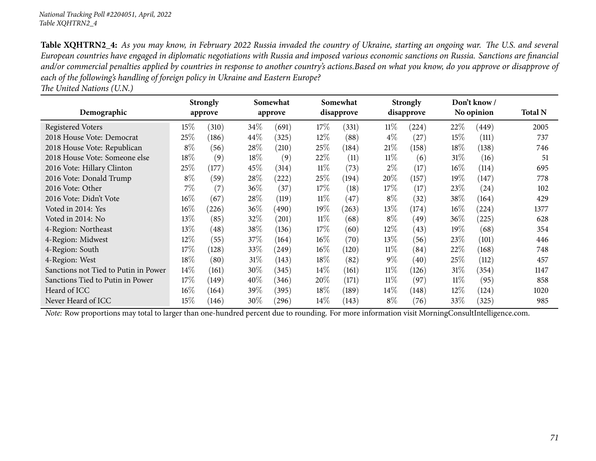|                                      | <b>Strongly</b> |       |        | Somewhat |        | Somewhat   |        | <b>Strongly</b> | Don't know / |                |      |
|--------------------------------------|-----------------|-------|--------|----------|--------|------------|--------|-----------------|--------------|----------------|------|
| Demographic                          | approve         |       |        | approve  |        | disapprove |        | disapprove      | No opinion   | <b>Total N</b> |      |
| <b>Registered Voters</b>             | $15\%$          | (310) | $34\%$ | (691)    | $17\%$ | (331)      | $11\%$ | (224)           | $22\%$       | (449)          | 2005 |
| 2018 House Vote: Democrat            | 25%             | (186) | $44\%$ | (325)    | 12%    | (88)       | $4\%$  | (27)            | 15%          | (111)          | 737  |
| 2018 House Vote: Republican          | $8\%$           | (56)  | 28%    | (210)    | $25\%$ | (184)      | 21%    | (158)           | $18\%$       | (138)          | 746  |
| 2018 House Vote: Someone else        | $18\%$          | (9)   | $18\%$ | (9)      | $22\%$ | (11)       | $11\%$ | (6)             | $31\%$       | (16)           | 51   |
| 2016 Vote: Hillary Clinton           | 25%             | (177) | 45%    | (314)    | 11%    | (73)       | $2\%$  | (17)            | $16\%$       | (114)          | 695  |
| 2016 Vote: Donald Trump              | $8\%$           | (59)  | 28%    | (222)    | $25\%$ | (194)      | 20%    | (157)           | $19\%$       | (147)          | 778  |
| 2016 Vote: Other                     | $7\%$           | (7)   | $36\%$ | (37)     | 17%    | (18)       | 17%    | (17)            | 23%          | (24)           | 102  |
| 2016 Vote: Didn't Vote               | $16\%$          | (67)  | 28\%   | (119)    | 11%    | (47)       | $8\%$  | (32)            | $38\%$       | (164)          | 429  |
| Voted in 2014: Yes                   | $16\%$          | (226) | 36%    | (490)    | $19\%$ | (263)      | $13\%$ | (174)           | $16\%$       | (224)          | 1377 |
| Voted in 2014: No                    | 13\%            | (85)  | 32%    | (201)    | $11\%$ | (68)       | $8\%$  | (49)            | 36\%         | (225)          | 628  |
| 4-Region: Northeast                  | $13\%$          | (48)  | 38%    | (136)    | 17%    | (60)       | $12\%$ | (43)            | $19\%$       | (68)           | 354  |
| 4-Region: Midwest                    | $12\%$          | (55)  | 37\%   | (164)    | $16\%$ | (70)       | $13\%$ | (56)            | 23%          | (101)          | 446  |
| 4-Region: South                      | 17%             | (128) | 33\%   | (249)    | $16\%$ | (120)      | $11\%$ | (84)            | $22\%$       | (168)          | 748  |
| 4-Region: West                       | 18%             | (80)  | 31%    | (143)    | 18\%   | (82)       | $9\%$  | (40)            | $25\%$       | (112)          | 457  |
| Sanctions not Tied to Putin in Power | $14\%$          | (161) | $30\%$ | (345)    | $14\%$ | (161)      | $11\%$ | (126)           | $31\%$       | (354)          | 1147 |
| Sanctions Tied to Putin in Power     | $17\%$          | (149) | $40\%$ | (346)    | 20%    | (171)      | $11\%$ | (97)            | $11\%$       | (95)           | 858  |
| Heard of ICC                         | $16\%$          | (164) | $39\%$ | (395)    | 18\%   | (189)      | $14\%$ | (148)           | $12\%$       | (124)          | 1020 |
| Never Heard of ICC                   | 15%             | (146) | 30\%   | (296)    | $14\%$ | (143)      | $8\%$  | (76)            | 33\%         | (325)          | 985  |

*The United Nations (U.N.)*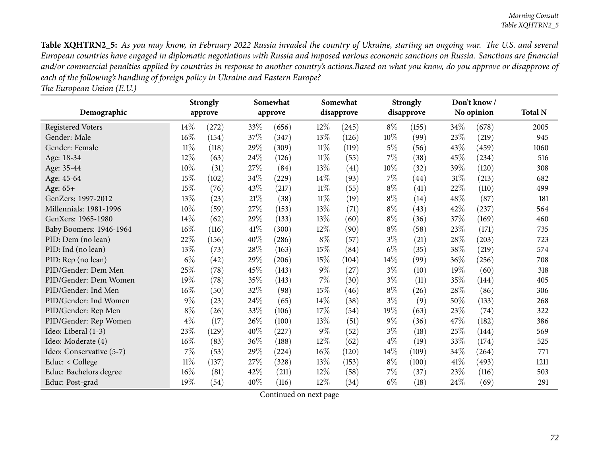|                          | <b>Strongly</b> |         |        | Somewhat |        | Somewhat   |       | <b>Strongly</b> |      | Don't know/ |      |  |
|--------------------------|-----------------|---------|--------|----------|--------|------------|-------|-----------------|------|-------------|------|--|
| Demographic              |                 | approve |        | approve  |        | disapprove |       | disapprove      |      | No opinion  |      |  |
| <b>Registered Voters</b> | $14\%$          | (272)   | 33%    | (656)    | 12%    | (245)      | $8\%$ | (155)           | 34%  | (678)       | 2005 |  |
| Gender: Male             | $16\%$          | (154)   | 37%    | (347)    | 13%    | (126)      | 10\%  | (99)            | 23%  | (219)       | 945  |  |
| Gender: Female           | $11\%$          | (118)   | 29%    | (309)    | 11%    | (119)      | $5\%$ | (56)            | 43%  | (459)       | 1060 |  |
| Age: 18-34               | 12%             | (63)    | 24%    | (126)    | 11%    | (55)       | 7%    | (38)            | 45%  | (234)       | 516  |  |
| Age: 35-44               | 10%             | (31)    | 27%    | (84)     | 13%    | (41)       | 10%   | (32)            | 39%  | (120)       | 308  |  |
| Age: 45-64               | 15%             | (102)   | 34%    | (229)    | 14\%   | (93)       | 7%    | (44)            | 31%  | (213)       | 682  |  |
| Age: 65+                 | 15%             | (76)    | 43%    | (217)    | $11\%$ | (55)       | $8\%$ | (41)            | 22\% | (110)       | 499  |  |
| GenZers: 1997-2012       | 13%             | (23)    | $21\%$ | (38)     | $11\%$ | (19)       | $8\%$ | (14)            | 48%  | (87)        | 181  |  |
| Millennials: 1981-1996   | 10%             | (59)    | 27%    | (153)    | 13%    | (71)       | $8\%$ | (43)            | 42%  | (237)       | 564  |  |
| GenXers: 1965-1980       | 14%             | (62)    | 29%    | (133)    | 13%    | (60)       | $8\%$ | (36)            | 37%  | (169)       | 460  |  |
| Baby Boomers: 1946-1964  | $16\%$          | (116)   | 41\%   | (300)    | 12%    | (90)       | $8\%$ | (58)            | 23%  | (171)       | 735  |  |
| PID: Dem (no lean)       | 22%             | (156)   | 40%    | (286)    | $8\%$  | (57)       | $3\%$ | (21)            | 28%  | (203)       | 723  |  |
| PID: Ind (no lean)       | 13%             | (73)    | $28\%$ | (163)    | 15%    | (84)       | $6\%$ | (35)            | 38%  | (219)       | 574  |  |
| PID: Rep (no lean)       | $6\%$           | (42)    | 29%    | (206)    | 15%    | (104)      | 14%   | (99)            | 36%  | (256)       | 708  |  |
| PID/Gender: Dem Men      | 25%             | (78)    | 45%    | (143)    | $9\%$  | (27)       | $3\%$ | (10)            | 19%  | (60)        | 318  |  |
| PID/Gender: Dem Women    | 19%             | (78)    | 35%    | (143)    | 7%     | (30)       | $3\%$ | (11)            | 35%  | (144)       | 405  |  |
| PID/Gender: Ind Men      | $16\%$          | (50)    | 32%    | (98)     | 15%    | (46)       | $8\%$ | (26)            | 28%  | (86)        | 306  |  |
| PID/Gender: Ind Women    | $9\%$           | (23)    | 24\%   | (65)     | 14%    | (38)       | $3\%$ | (9)             | 50%  | (133)       | 268  |  |
| PID/Gender: Rep Men      | $8\%$           | (26)    | 33%    | (106)    | 17%    | (54)       | 19%   | (63)            | 23%  | (74)        | 322  |  |
| PID/Gender: Rep Women    | $4\%$           | (17)    | 26%    | (100)    | 13%    | (51)       | $9\%$ | (36)            | 47%  | (182)       | 386  |  |
| Ideo: Liberal (1-3)      | 23\%            | (129)   | 40%    | (227)    | $9\%$  | (52)       | $3\%$ | (18)            | 25%  | (144)       | 569  |  |
| Ideo: Moderate (4)       | $16\%$          | (83)    | 36%    | (188)    | 12%    | (62)       | $4\%$ | (19)            | 33%  | (174)       | 525  |  |
| Ideo: Conservative (5-7) | $7\%$           | (53)    | 29%    | (224)    | $16\%$ | (120)      | 14%   | (109)           | 34%  | (264)       | 771  |  |
| Educ: $<$ College        | $11\%$          | (137)   | 27\%   | (328)    | 13%    | (153)      | $8\%$ | (100)           | 41\% | (493)       | 1211 |  |
| Educ: Bachelors degree   | $16\%$          | (81)    | 42%    | (211)    | 12%    | (58)       | 7%    | (37)            | 23%  | (116)       | 503  |  |
| Educ: Post-grad          | 19%             | (54)    | 40%    | (116)    | 12%    | (34)       | $6\%$ | (18)            | 24\% | (69)        | 291  |  |

*The European Union (E.U.)*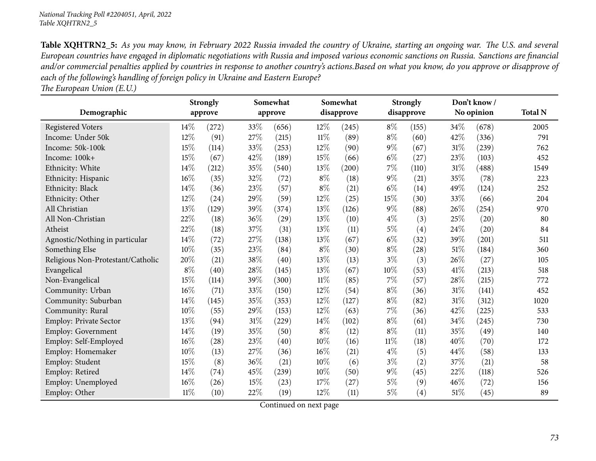| The European Union (E.U.) |
|---------------------------|
|---------------------------|

|                                   |        | Somewhat<br>Somewhat<br><b>Strongly</b> |        |         |        | <b>Strongly</b>     |        | Don't know/       |        |            |                |
|-----------------------------------|--------|-----------------------------------------|--------|---------|--------|---------------------|--------|-------------------|--------|------------|----------------|
| Demographic                       |        | approve                                 |        | approve |        | disapprove          |        | disapprove        |        | No opinion | <b>Total N</b> |
| <b>Registered Voters</b>          | 14%    | (272)                                   | 33%    | (656)   | 12%    | (245)               | $8\%$  | (155)             | 34%    | (678)      | 2005           |
| Income: Under 50k                 | 12%    | (91)                                    | 27%    | (215)   | $11\%$ | (89)                | $8\%$  | (60)              | 42%    | (336)      | 791            |
| Income: 50k-100k                  | 15%    | (114)                                   | 33%    | (253)   | 12%    | (90)                | $9\%$  | (67)              | 31%    | (239)      | 762            |
| Income: 100k+                     | 15%    | (67)                                    | 42%    | (189)   | 15%    | (66)                | $6\%$  | (27)              | 23%    | (103)      | 452            |
| Ethnicity: White                  | 14%    | (212)                                   | 35%    | (540)   | 13%    | $\left( 200\right)$ | 7%     | (110)             | 31%    | (488)      | 1549           |
| Ethnicity: Hispanic               | $16\%$ | (35)                                    | 32%    | (72)    | $8\%$  | (18)                | $9\%$  | (21)              | 35%    | (78)       | 223            |
| Ethnicity: Black                  | 14\%   | (36)                                    | 23%    | (57)    | $8\%$  | (21)                | $6\%$  | (14)              | 49%    | (124)      | 252            |
| Ethnicity: Other                  | 12%    | (24)                                    | 29%    | (59)    | 12%    | (25)                | 15%    | (30)              | 33%    | (66)       | 204            |
| All Christian                     | 13%    | (129)                                   | 39%    | (374)   | 13%    | (126)               | $9\%$  | (88)              | 26%    | (254)      | 970            |
| All Non-Christian                 | 22%    | (18)                                    | 36%    | (29)    | 13%    | (10)                | $4\%$  | (3)               | 25%    | (20)       | 80             |
| Atheist                           | 22%    | (18)                                    | 37%    | (31)    | 13%    | (11)                | $5\%$  | $\left( 4\right)$ | 24%    | (20)       | 84             |
| Agnostic/Nothing in particular    | $14\%$ | (72)                                    | 27\%   | (138)   | 13%    | (67)                | $6\%$  | (32)              | 39%    | (201)      | 511            |
| Something Else                    | 10%    | (35)                                    | 23%    | (84)    | $8\%$  | (30)                | $8\%$  | (28)              | $51\%$ | (184)      | 360            |
| Religious Non-Protestant/Catholic | 20%    | (21)                                    | 38%    | (40)    | 13%    | (13)                | $3\%$  | (3)               | 26%    | (27)       | 105            |
| Evangelical                       | $8\%$  | (40)                                    | 28%    | (145)   | 13%    | (67)                | $10\%$ | (53)              | 41\%   | (213)      | 518            |
| Non-Evangelical                   | $15\%$ | (114)                                   | 39%    | (300)   | $11\%$ | (85)                | $7\%$  | (57)              | 28%    | (215)      | 772            |
| Community: Urban                  | 16%    | (71)                                    | 33%    | (150)   | 12%    | (54)                | $8\%$  | (36)              | 31%    | (141)      | 452            |
| Community: Suburban               | $14\%$ | (145)                                   | 35%    | (353)   | 12%    | (127)               | $8\%$  | (82)              | 31%    | (312)      | 1020           |
| Community: Rural                  | $10\%$ | (55)                                    | 29%    | (153)   | 12%    | (63)                | $7\%$  | (36)              | 42%    | (225)      | 533            |
| Employ: Private Sector            | 13%    | (94)                                    | 31%    | (229)   | 14%    | (102)               | $8\%$  | (61)              | 34%    | (245)      | 730            |
| <b>Employ: Government</b>         | 14%    | (19)                                    | 35%    | (50)    | $8\%$  | (12)                | $8\%$  | (11)              | 35%    | (49)       | 140            |
| Employ: Self-Employed             | 16%    | (28)                                    | 23%    | (40)    | 10%    | (16)                | $11\%$ | (18)              | 40%    | (70)       | 172            |
| Employ: Homemaker                 | $10\%$ | (13)                                    | 27%    | (36)    | 16%    | (21)                | $4\%$  | (5)               | 44%    | (58)       | 133            |
| Employ: Student                   | 15%    | (8)                                     | $36\%$ | (21)    | 10%    | (6)                 | $3\%$  | (2)               | 37%    | (21)       | 58             |
| Employ: Retired                   | $14\%$ | (74)                                    | 45%    | (239)   | 10%    | (50)                | $9\%$  | (45)              | 22%    | (118)      | 526            |
| Employ: Unemployed                | $16\%$ | (26)                                    | 15%    | (23)    | 17%    | (27)                | $5\%$  | (9)               | 46%    | (72)       | 156            |
| Employ: Other                     | $11\%$ | (10)                                    | 22\%   | (19)    | 12%    | (11)                | $5\%$  | (4)               | 51%    | (45)       | 89             |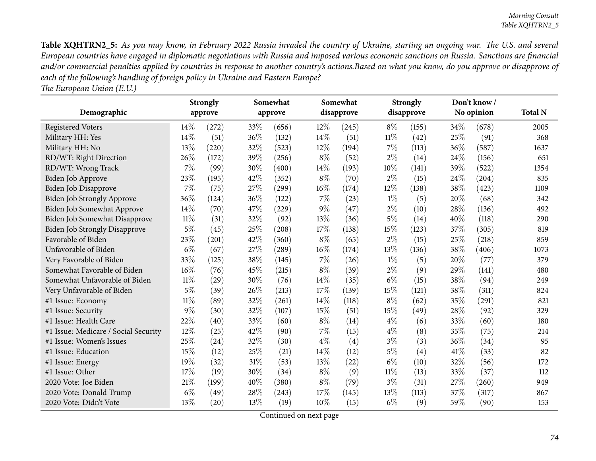|                                      |        | <b>Strongly</b> |      | Somewhat |       | Somewhat   |        | <b>Strongly</b> |      | Don't know/ |                |
|--------------------------------------|--------|-----------------|------|----------|-------|------------|--------|-----------------|------|-------------|----------------|
| Demographic                          |        | approve         |      | approve  |       | disapprove |        | disapprove      |      | No opinion  | <b>Total N</b> |
| <b>Registered Voters</b>             | 14\%   | (272)           | 33\% | (656)    | 12%   | (245)      | $8\%$  | (155)           | 34%  | (678)       | 2005           |
| Military HH: Yes                     | 14%    | (51)            | 36%  | (132)    | 14%   | (51)       | $11\%$ | (42)            | 25%  | (91)        | 368            |
| Military HH: No                      | 13%    | (220)           | 32%  | (523)    | 12%   | (194)      | 7%     | (113)           | 36%  | (587)       | 1637           |
| RD/WT: Right Direction               | 26%    | (172)           | 39%  | (256)    | $8\%$ | (52)       | $2\%$  | (14)            | 24%  | (156)       | 651            |
| RD/WT: Wrong Track                   | $7\%$  | (99)            | 30%  | (400)    | 14%   | (193)      | 10%    | (141)           | 39%  | (522)       | 1354           |
| Biden Job Approve                    | 23%    | (195)           | 42%  | (352)    | $8\%$ | (70)       | $2\%$  | (15)            | 24\% | (204)       | 835            |
| <b>Biden Job Disapprove</b>          | $7\%$  | (75)            | 27\% | (299)    | 16%   | (174)      | $12\%$ | (138)           | 38%  | (423)       | 1109           |
| <b>Biden Job Strongly Approve</b>    | 36%    | (124)           | 36%  | (122)    | 7%    | (23)       | $1\%$  | (5)             | 20%  | (68)        | 342            |
| Biden Job Somewhat Approve           | 14%    | (70)            | 47%  | (229)    | $9\%$ | (47)       | $2\%$  | (10)            | 28%  | (136)       | 492            |
| Biden Job Somewhat Disapprove        | $11\%$ | (31)            | 32%  | (92)     | 13%   | (36)       | $5\%$  | (14)            | 40%  | (118)       | 290            |
| <b>Biden Job Strongly Disapprove</b> | $5\%$  | (45)            | 25%  | (208)    | 17%   | (138)      | 15%    | (123)           | 37%  | (305)       | 819            |
| Favorable of Biden                   | 23%    | (201)           | 42%  | (360)    | $8\%$ | (65)       | $2\%$  | (15)            | 25%  | (218)       | 859            |
| Unfavorable of Biden                 | $6\%$  | (67)            | 27%  | (289)    | 16%   | (174)      | 13%    | (136)           | 38%  | (406)       | 1073           |
| Very Favorable of Biden              | 33%    | (125)           | 38%  | (145)    | 7%    | (26)       | $1\%$  | (5)             | 20%  | (77)        | 379            |
| Somewhat Favorable of Biden          | 16%    | (76)            | 45%  | (215)    | $8\%$ | (39)       | $2\%$  | (9)             | 29%  | (141)       | 480            |
| Somewhat Unfavorable of Biden        | $11\%$ | (29)            | 30%  | (76)     | 14\%  | (35)       | $6\%$  | (15)            | 38%  | (94)        | 249            |
| Very Unfavorable of Biden            | $5\%$  | (39)            | 26%  | (213)    | 17%   | (139)      | 15%    | (121)           | 38%  | (311)       | 824            |
| #1 Issue: Economy                    | $11\%$ | (89)            | 32%  | (261)    | 14\%  | (118)      | $8\%$  | (62)            | 35%  | (291)       | 821            |
| #1 Issue: Security                   | $9\%$  | (30)            | 32%  | (107)    | 15%   | (51)       | 15%    | (49)            | 28%  | (92)        | 329            |
| #1 Issue: Health Care                | 22%    | (40)            | 33%  | (60)     | $8\%$ | (14)       | $4\%$  | (6)             | 33%  | (60)        | 180            |
| #1 Issue: Medicare / Social Security | 12%    | (25)            | 42%  | (90)     | 7%    | (15)       | $4\%$  | (8)             | 35%  | (75)        | 214            |
| #1 Issue: Women's Issues             | 25%    | (24)            | 32%  | (30)     | $4\%$ | (4)        | $3\%$  | (3)             | 36%  | (34)        | 95             |
| #1 Issue: Education                  | 15%    | (12)            | 25%  | (21)     | 14%   | (12)       | $5\%$  | (4)             | 41\% | (33)        | 82             |
| #1 Issue: Energy                     | 19%    | (32)            | 31%  | (53)     | 13%   | (22)       | $6\%$  | (10)            | 32%  | (56)        | 172            |
| #1 Issue: Other                      | 17%    | (19)            | 30%  | (34)     | $8\%$ | (9)        | $11\%$ | (13)            | 33%  | (37)        | 112            |
| 2020 Vote: Joe Biden                 | 21%    | (199)           | 40%  | (380)    | $8\%$ | (79)       | $3\%$  | (31)            | 27\% | (260)       | 949            |
| 2020 Vote: Donald Trump              | $6\%$  | (49)            | 28%  | (243)    | 17%   | (145)      | 13%    | (113)           | 37%  | (317)       | 867            |
| 2020 Vote: Didn't Vote               | 13%    | (20)            | 13%  | (19)     | 10%   | (15)       | $6\%$  | (9)             | 59%  | (90)        | 153            |

*The European Union (E.U.)*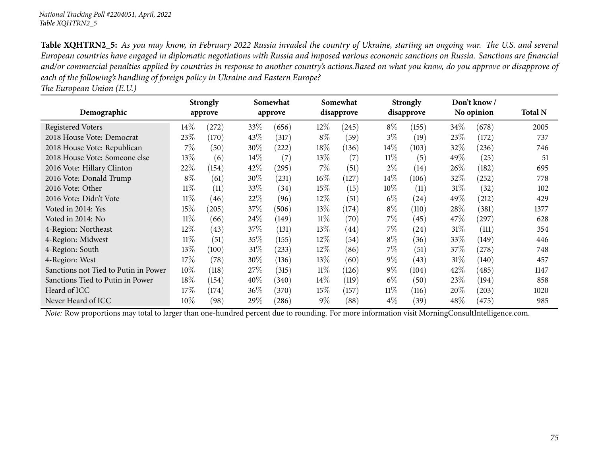|                                      |        | <b>Strongly</b> |        | Somewhat |        | Somewhat   |        | <b>Strongly</b>    |        | Don't know / |                |
|--------------------------------------|--------|-----------------|--------|----------|--------|------------|--------|--------------------|--------|--------------|----------------|
| Demographic                          |        | approve         |        | approve  |        | disapprove |        | disapprove         |        | No opinion   | <b>Total N</b> |
| Registered Voters                    | $14\%$ | (272)           | 33\%   | (656)    | $12\%$ | (245)      | $8\%$  | (155)              | $34\%$ | (678)        | 2005           |
| 2018 House Vote: Democrat            | 23\%   | (170)           | 43\%   | (317)    | $8\%$  | (59)       | $3\%$  | (19)               | 23\%   | (172)        | 737            |
| 2018 House Vote: Republican          | $7\%$  | (50)            | 30%    | (222)    | 18%    | (136)      | $14\%$ | (103)              | 32\%   | (236)        | 746            |
| 2018 House Vote: Someone else        | 13\%   | (6)             | $14\%$ | (7)      | 13%    | (7)        | $11\%$ | (5)                | 49\%   | (25)         | 51             |
| 2016 Vote: Hillary Clinton           | 22\%   | (154)           | 42%    | (295)    | 7%     | (51)       | $2\%$  | (14)               | 26\%   | (182)        | 695            |
| 2016 Vote: Donald Trump              | $8\%$  | (61)            | $30\%$ | (231)    | $16\%$ | (127)      | $14\%$ | (106)              | $32\%$ | (252)        | 778            |
| 2016 Vote: Other                     | $11\%$ | (11)            | 33\%   | (34)     | 15%    | (15)       | $10\%$ | (11)               | 31%    | (32)         | 102            |
| 2016 Vote: Didn't Vote               | 11%    | (46)            | 22%    | (96)     | 12%    | (51)       | $6\%$  | $\left( 24\right)$ | 49\%   | (212)        | 429            |
| Voted in 2014: Yes                   | 15%    | (205)           | 37\%   | (506)    | 13%    | (174)      | $8\%$  | (110)              | 28\%   | (381)        | 1377           |
| Voted in 2014: No                    | $11\%$ | (66)            | 24%    | (149)    | 11%    | (70)       | $7\%$  | (45)               | $47\%$ | (297)        | 628            |
| 4-Region: Northeast                  | $12\%$ | (43)            | 37\%   | (131)    | 13%    | (44)       | 7%     | (24)               | 31%    | (111)        | 354            |
| 4-Region: Midwest                    | $11\%$ | (51)            | 35%    | (155)    | 12%    | (54)       | $8\%$  | (36)               | 33\%   | (149)        | 446            |
| 4-Region: South                      | $13\%$ | (100)           | 31%    | (233)    | $12\%$ | (86)       | 7%     | (51)               | 37%    | (278)        | 748            |
| 4-Region: West                       | 17%    | (78)            | $30\%$ | (136)    | 13%    | (60)       | $9\%$  | (43)               | 31%    | (140)        | 457            |
| Sanctions not Tied to Putin in Power | $10\%$ | (118)           | 27\%   | (315)    | $11\%$ | (126)      | $9\%$  | (104)              | 42%    | (485)        | 1147           |
| Sanctions Tied to Putin in Power     | 18\%   | (154)           | $40\%$ | (340)    | $14\%$ | (119)      | $6\%$  | (50)               | 23%    | (194)        | 858            |
| Heard of ICC                         | 17%    | (174)           | $36\%$ | (370)    | 15%    | (157)      | $11\%$ | (116)              | $20\%$ | (203)        | 1020           |
| Never Heard of ICC                   | 10%    | (98)            | 29\%   | (286)    | $9\%$  | (88)       | $4\%$  | (39)               | 48\%   | (475)        | 985            |

*The European Union (E.U.)*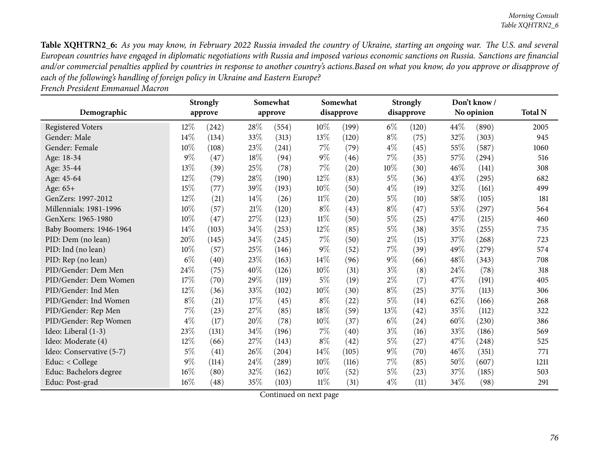| Demographic              |        | <b>Strongly</b><br>approve |        | Somewhat<br>disapprove<br>approve |        | Somewhat |       | <b>Strongly</b><br>disapprove |      | Don't know/<br>No opinion |                |
|--------------------------|--------|----------------------------|--------|-----------------------------------|--------|----------|-------|-------------------------------|------|---------------------------|----------------|
|                          |        |                            |        |                                   |        |          |       |                               |      |                           | <b>Total N</b> |
| <b>Registered Voters</b> | 12%    | (242)                      | 28%    | (554)                             | 10%    | (199)    | $6\%$ | (120)                         | 44\% | (890)                     | 2005           |
| Gender: Male             | $14\%$ | (134)                      | 33\%   | (313)                             | 13%    | (120)    | $8\%$ | (75)                          | 32%  | (303)                     | 945            |
| Gender: Female           | 10%    | (108)                      | 23%    | (241)                             | 7%     | (79)     | $4\%$ | (45)                          | 55%  | (587)                     | 1060           |
| Age: 18-34               | $9\%$  | (47)                       | 18%    | (94)                              | $9\%$  | (46)     | 7%    | (35)                          | 57%  | (294)                     | 516            |
| Age: 35-44               | 13%    | (39)                       | 25%    | (78)                              | 7%     | (20)     | 10%   | (30)                          | 46%  | (141)                     | 308            |
| Age: 45-64               | 12%    | (79)                       | 28%    | (190)                             | 12%    | (83)     | 5%    | (36)                          | 43%  | (295)                     | 682            |
| Age: 65+                 | 15%    | (77)                       | 39%    | (193)                             | 10%    | (50)     | $4\%$ | (19)                          | 32%  | (161)                     | 499            |
| GenZers: 1997-2012       | 12%    | (21)                       | 14%    | (26)                              | $11\%$ | (20)     | $5\%$ | (10)                          | 58%  | (105)                     | 181            |
| Millennials: 1981-1996   | 10%    | (57)                       | 21%    | (120)                             | $8\%$  | (43)     | $8\%$ | (47)                          | 53%  | (297)                     | 564            |
| GenXers: 1965-1980       | 10%    | (47)                       | 27\%   | (123)                             | $11\%$ | (50)     | $5\%$ | (25)                          | 47%  | (215)                     | 460            |
| Baby Boomers: 1946-1964  | 14%    | (103)                      | 34%    | (253)                             | 12%    | (85)     | 5%    | (38)                          | 35%  | (255)                     | 735            |
| PID: Dem (no lean)       | 20%    | (145)                      | 34\%   | (245)                             | 7%     | (50)     | $2\%$ | (15)                          | 37%  | (268)                     | 723            |
| PID: Ind (no lean)       | 10%    | (57)                       | 25\%   | (146)                             | $9\%$  | (52)     | $7\%$ | (39)                          | 49%  | (279)                     | 574            |
| PID: Rep (no lean)       | $6\%$  | (40)                       | 23%    | (163)                             | 14%    | (96)     | $9\%$ | (66)                          | 48%  | (343)                     | 708            |
| PID/Gender: Dem Men      | 24\%   | (75)                       | 40%    | (126)                             | 10%    | (31)     | $3\%$ | (8)                           | 24\% | (78)                      | 318            |
| PID/Gender: Dem Women    | 17%    | (70)                       | 29%    | (119)                             | $5\%$  | (19)     | $2\%$ | (7)                           | 47%  | (191)                     | 405            |
| PID/Gender: Ind Men      | 12%    | (36)                       | 33%    | (102)                             | 10%    | (30)     | $8\%$ | (25)                          | 37%  | (113)                     | 306            |
| PID/Gender: Ind Women    | $8\%$  | (21)                       | 17%    | (45)                              | $8\%$  | (22)     | $5\%$ | (14)                          | 62%  | (166)                     | 268            |
| PID/Gender: Rep Men      | $7\%$  | (23)                       | 27%    | (85)                              | 18%    | (59)     | 13%   | (42)                          | 35%  | (112)                     | 322            |
| PID/Gender: Rep Women    | $4\%$  | (17)                       | 20%    | (78)                              | 10%    | (37)     | $6\%$ | (24)                          | 60%  | (230)                     | 386            |
| Ideo: Liberal (1-3)      | 23\%   | (131)                      | 34%    | (196)                             | 7%     | (40)     | $3\%$ | (16)                          | 33\% | (186)                     | 569            |
| Ideo: Moderate (4)       | $12\%$ | (66)                       | 27%    | (143)                             | $8\%$  | (42)     | $5\%$ | (27)                          | 47\% | (248)                     | 525            |
| Ideo: Conservative (5-7) | $5\%$  | (41)                       | 26\%   | (204)                             | 14%    | (105)    | $9\%$ | (70)                          | 46%  | (351)                     | 771            |
| Educ: $<$ College        | $9\%$  | (114)                      | 24%    | (289)                             | 10%    | (116)    | 7%    | (85)                          | 50%  | (607)                     | 1211           |
| Educ: Bachelors degree   | $16\%$ | (80)                       | 32%    | (162)                             | 10%    | (52)     | 5%    | (23)                          | 37%  | (185)                     | 503            |
| Educ: Post-grad          | 16%    | (48)                       | $35\%$ | (103)                             | $11\%$ | (31)     | $4\%$ | (11)                          | 34%  | (98)                      | 291            |

*French President Emmanuel Macron*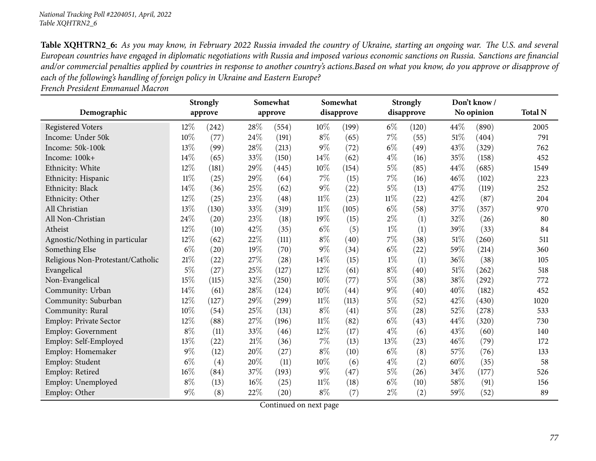| French President Emmanuel Macron |
|----------------------------------|
|----------------------------------|

|                                   | Somewhat<br><b>Strongly</b> |         |      | Somewhat |        | <b>Strongly</b> | Don't know/ |            |        |                     |                |
|-----------------------------------|-----------------------------|---------|------|----------|--------|-----------------|-------------|------------|--------|---------------------|----------------|
| Demographic                       |                             | approve |      | approve  |        | disapprove      |             | disapprove |        | No opinion          | <b>Total N</b> |
| <b>Registered Voters</b>          | $12\%$                      | (242)   | 28%  | (554)    | 10%    | (199)           | $6\%$       | (120)      | 44\%   | (890)               | 2005           |
| Income: Under 50k                 | 10%                         | (77)    | 24%  | (191)    | $8\%$  | (65)            | 7%          | (55)       | 51%    | (404)               | 791            |
| Income: 50k-100k                  | 13%                         | (99)    | 28%  | (213)    | $9\%$  | (72)            | $6\%$       | (49)       | 43%    | (329)               | 762            |
| Income: 100k+                     | 14%                         | (65)    | 33%  | (150)    | 14\%   | (62)            | $4\%$       | (16)       | $35\%$ | (158)               | 452            |
| Ethnicity: White                  | 12%                         | (181)   | 29%  | (445)    | 10%    | (154)           | $5\%$       | (85)       | 44%    | (685)               | 1549           |
| Ethnicity: Hispanic               | $11\%$                      | (25)    | 29%  | (64)     | 7%     | (15)            | 7%          | (16)       | 46%    | (102)               | 223            |
| Ethnicity: Black                  | 14%                         | (36)    | 25%  | (62)     | $9\%$  | (22)            | $5\%$       | (13)       | 47%    | (119)               | 252            |
| Ethnicity: Other                  | 12%                         | (25)    | 23%  | (48)     | $11\%$ | (23)            | $11\%$      | (22)       | 42%    | (87)                | 204            |
| All Christian                     | 13%                         | (130)   | 33%  | (319)    | $11\%$ | (105)           | $6\%$       | (58)       | 37%    | (357)               | 970            |
| All Non-Christian                 | 24%                         | (20)    | 23%  | (18)     | 19%    | (15)            | $2\%$       | (1)        | 32%    | (26)                | 80             |
| Atheist                           | 12%                         | (10)    | 42%  | (35)     | $6\%$  | (5)             | $1\%$       | (1)        | 39%    | (33)                | 84             |
| Agnostic/Nothing in particular    | $12\%$                      | (62)    | 22\% | (111)    | $8\%$  | (40)            | 7%          | (38)       | $51\%$ | (260)               | 511            |
| Something Else                    | $6\%$                       | (20)    | 19%  | (70)     | $9\%$  | (34)            | $6\%$       | (22)       | 59%    | (214)               | 360            |
| Religious Non-Protestant/Catholic | 21\%                        | (22)    | 27%  | (28)     | 14%    | (15)            | $1\%$       | (1)        | 36%    | (38)                | 105            |
| Evangelical                       | $5\%$                       | (27)    | 25%  | (127)    | 12%    | (61)            | $8\%$       | (40)       | 51%    | (262)               | 518            |
| Non-Evangelical                   | 15\%                        | (115)   | 32\% | (250)    | 10%    | (77)            | $5\%$       | (38)       | 38%    | $\left( 292\right)$ | 772            |
| Community: Urban                  | 14%                         | (61)    | 28\% | (124)    | 10%    | (44)            | $9\%$       | (40)       | 40%    | (182)               | 452            |
| Community: Suburban               | 12%                         | (127)   | 29%  | (299)    | $11\%$ | (113)           | $5\%$       | (52)       | 42%    | (430)               | 1020           |
| Community: Rural                  | 10%                         | (54)    | 25%  | (131)    | $8\%$  | (41)            | $5\%$       | (28)       | 52%    | (278)               | 533            |
| Employ: Private Sector            | 12%                         | (88)    | 27%  | (196)    | $11\%$ | (82)            | $6\%$       | (43)       | 44%    | (320)               | 730            |
| <b>Employ: Government</b>         | $8\%$                       | (11)    | 33%  | (46)     | 12%    | (17)            | $4\%$       | (6)        | 43%    | (60)                | 140            |
| Employ: Self-Employed             | 13%                         | (22)    | 21%  | (36)     | 7%     | (13)            | 13%         | (23)       | 46%    | (79)                | 172            |
| Employ: Homemaker                 | $9\%$                       | (12)    | 20%  | (27)     | $8\%$  | (10)            | $6\%$       | (8)        | 57%    | (76)                | 133            |
| Employ: Student                   | $6\%$                       | (4)     | 20%  | (11)     | 10%    | (6)             | $4\%$       | (2)        | 60%    | (35)                | 58             |
| Employ: Retired                   | 16%                         | (84)    | 37%  | (193)    | $9\%$  | (47)            | $5\%$       | (26)       | 34%    | (177)               | 526            |
| Employ: Unemployed                | $8\%$                       | (13)    | 16%  | (25)     | $11\%$ | (18)            | $6\%$       | (10)       | 58%    | (91)                | 156            |
| Employ: Other                     | $9\%$                       | (8)     | 22%  | (20)     | $8\%$  | (7)             | $2\%$       | (2)        | 59%    | (52)                | 89             |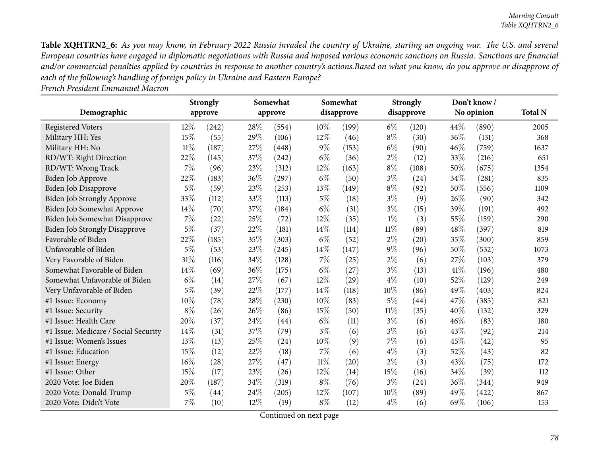| Demographic                          |        | <b>Strongly</b><br>approve |     | Somewhat<br>approve |        | Somewhat<br>disapprove |        | <b>Strongly</b><br>disapprove |      | Don't know /<br>No opinion | <b>Total N</b> |
|--------------------------------------|--------|----------------------------|-----|---------------------|--------|------------------------|--------|-------------------------------|------|----------------------------|----------------|
|                                      |        |                            |     |                     |        |                        |        |                               |      |                            |                |
| <b>Registered Voters</b>             | $12\%$ | (242)                      | 28% | (554)               | $10\%$ | (199)                  | $6\%$  | (120)                         | 44\% | (890)                      | 2005           |
| Military HH: Yes                     | 15%    | (55)                       | 29% | (106)               | 12%    | (46)                   | $8\%$  | (30)                          | 36%  | (131)                      | 368            |
| Military HH: No                      | $11\%$ | (187)                      | 27% | (448)               | $9\%$  | (153)                  | $6\%$  | (90)                          | 46%  | (759)                      | 1637           |
| RD/WT: Right Direction               | 22%    | (145)                      | 37% | (242)               | $6\%$  | (36)                   | $2\%$  | (12)                          | 33%  | (216)                      | 651            |
| RD/WT: Wrong Track                   | 7%     | (96)                       | 23% | (312)               | 12%    | (163)                  | $8\%$  | (108)                         | 50%  | (675)                      | 1354           |
| Biden Job Approve                    | 22%    | (183)                      | 36% | (297)               | $6\%$  | (50)                   | $3\%$  | (24)                          | 34%  | (281)                      | 835            |
| Biden Job Disapprove                 | 5%     | (59)                       | 23% | (253)               | 13%    | (149)                  | $8\%$  | (92)                          | 50%  | (556)                      | 1109           |
| Biden Job Strongly Approve           | 33%    | (112)                      | 33% | (113)               | $5\%$  | (18)                   | $3\%$  | (9)                           | 26%  | (90)                       | 342            |
| Biden Job Somewhat Approve           | 14%    | (70)                       | 37% | (184)               | $6\%$  | (31)                   | $3\%$  | (15)                          | 39%  | (191)                      | 492            |
| Biden Job Somewhat Disapprove        | $7\%$  | (22)                       | 25% | (72)                | 12%    | (35)                   | $1\%$  | (3)                           | 55%  | (159)                      | 290            |
| <b>Biden Job Strongly Disapprove</b> | $5\%$  | (37)                       | 22% | (181)               | 14\%   | (114)                  | 11%    | (89)                          | 48%  | (397)                      | 819            |
| Favorable of Biden                   | 22%    | (185)                      | 35% | (303)               | $6\%$  | (52)                   | $2\%$  | (20)                          | 35%  | (300)                      | 859            |
| Unfavorable of Biden                 | $5\%$  | (53)                       | 23% | (245)               | 14%    | (147)                  | 9%     | (96)                          | 50%  | (532)                      | 1073           |
| Very Favorable of Biden              | 31%    | (116)                      | 34% | (128)               | $7\%$  | (25)                   | $2\%$  | (6)                           | 27%  | (103)                      | 379            |
| Somewhat Favorable of Biden          | 14%    | (69)                       | 36% | (175)               | $6\%$  | (27)                   | $3\%$  | (13)                          | 41\% | (196)                      | 480            |
| Somewhat Unfavorable of Biden        | $6\%$  | (14)                       | 27% | (67)                | 12%    | (29)                   | $4\%$  | (10)                          | 52%  | (129)                      | 249            |
| Very Unfavorable of Biden            | $5\%$  | (39)                       | 22% | (177)               | 14%    | (118)                  | 10%    | (86)                          | 49%  | (403)                      | 824            |
| #1 Issue: Economy                    | 10%    | (78)                       | 28% | (230)               | 10%    | (83)                   | 5%     | (44)                          | 47%  | (385)                      | 821            |
| #1 Issue: Security                   | $8\%$  | (26)                       | 26% | (86)                | 15%    | (50)                   | $11\%$ | (35)                          | 40%  | (132)                      | 329            |
| #1 Issue: Health Care                | 20%    | (37)                       | 24% | (44)                | $6\%$  | (11)                   | $3\%$  | (6)                           | 46%  | (83)                       | 180            |
| #1 Issue: Medicare / Social Security | 14%    | (31)                       | 37% | (79)                | $3\%$  | (6)                    | $3\%$  | (6)                           | 43%  | (92)                       | 214            |
| #1 Issue: Women's Issues             | 13%    | (13)                       | 25% | (24)                | 10%    | (9)                    | 7%     | (6)                           | 45%  | (42)                       | 95             |
| #1 Issue: Education                  | 15%    | (12)                       | 22% | (18)                | 7%     | (6)                    | $4\%$  | (3)                           | 52%  | (43)                       | 82             |
| #1 Issue: Energy                     | 16%    | (28)                       | 27% | (47)                | 11%    | $\left( 20\right)$     | $2\%$  | (3)                           | 43\% | (75)                       | 172            |
| #1 Issue: Other                      | 15%    | (17)                       | 23% | (26)                | 12%    | (14)                   | 15%    | (16)                          | 34%  | (39)                       | 112            |
| 2020 Vote: Joe Biden                 | 20%    | (187)                      | 34% | (319)               | $8\%$  | (76)                   | $3\%$  | (24)                          | 36%  | (344)                      | 949            |
| 2020 Vote: Donald Trump              | $5\%$  | (44)                       | 24% | (205)               | 12%    | (107)                  | 10%    | (89)                          | 49%  | (422)                      | 867            |
| 2020 Vote: Didn't Vote               | 7%     | (10)                       | 12% | (19)                | $8\%$  | (12)                   | $4\%$  | (6)                           | 69%  | (106)                      | 153            |

*French President Emmanuel Macron*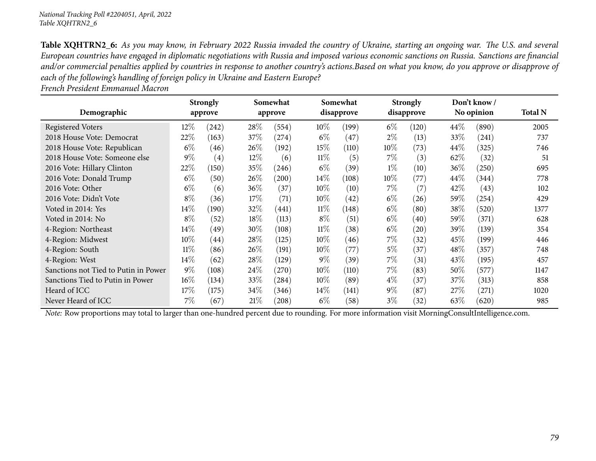|                                      | <b>Strongly</b><br>Somewhat |                   |        |         | Somewhat |            | <b>Strongly</b> |            | Don't know / |            |                |
|--------------------------------------|-----------------------------|-------------------|--------|---------|----------|------------|-----------------|------------|--------------|------------|----------------|
| Demographic                          |                             | approve           |        | approve |          | disapprove |                 | disapprove |              | No opinion | <b>Total N</b> |
| <b>Registered Voters</b>             | $12\%$                      | (242)             | 28\%   | (554)   | $10\%$   | (199)      | $6\%$           | (120)      | 44\%         | (890)      | 2005           |
| 2018 House Vote: Democrat            | 22%                         | (163)             | 37\%   | (274)   | $6\%$    | (47)       | $2\%$           | (13)       | 33%          | (241)      | 737            |
| 2018 House Vote: Republican          | $6\%$                       | (46)              | 26\%   | (192)   | 15%      | (110)      | $10\%$          | (73)       | $44\%$       | (325)      | 746            |
| 2018 House Vote: Someone else        | $9\%$                       | $\left( 4\right)$ | $12\%$ | (6)     | 11%      | (5)        | 7%              | (3)        | 62\%         | (32)       | 51             |
| 2016 Vote: Hillary Clinton           | 22%                         | (150)             | 35%    | (246)   | $6\%$    | (39)       | $1\%$           | (10)       | $36\%$       | (250)      | 695            |
| 2016 Vote: Donald Trump              | $6\%$                       | (50)              | $26\%$ | (200)   | $14\%$   | (108)      | $10\%$          | (77)       | $44\%$       | (344)      | 778            |
| 2016 Vote: Other                     | $6\%$                       | (6)               | 36\%   | (37)    | $10\%$   | (10)       | 7%              | (7)        | 42%          | (43)       | 102            |
| 2016 Vote: Didn't Vote               | $8\%$                       | (36)              | 17%    | (71)    | $10\%$   | (42)       | $6\%$           | (26)       | $59\%$       | (254)      | 429            |
| Voted in 2014: Yes                   | $14\%$                      | (190)             | $32\%$ | (441)   | $11\%$   | (148)      | $6\%$           | (80)       | $38\%$       | (520)      | 1377           |
| Voted in 2014: No                    | $8\%$                       | (52)              | 18%    | (113)   | $8\%$    | (51)       | $6\%$           | (40)       | $59\%$       | (371)      | 628            |
| 4-Region: Northeast                  | $14\%$                      | (49)              | 30\%   | (108)   | $11\%$   | (38)       | $6\%$           | (20)       | 39 $\%$      | (139)      | 354            |
| 4-Region: Midwest                    | $10\%$                      | (44)              | 28\%   | (125)   | $10\%$   | (46)       | 7%              | (32)       | $45\%$       | (199)      | 446            |
| 4-Region: South                      | $11\%$                      | (86)              | 26\%   | (191)   | $10\%$   | (77)       | $5\%$           | (37)       | $48\%$       | (357)      | 748            |
| 4-Region: West                       | $14\%$                      | (62)              | 28\%   | (129)   | $9\%$    | (39)       | 7%              | (31)       | $43\%$       | (195)      | 457            |
| Sanctions not Tied to Putin in Power | $9\%$                       | (108)             | 24\%   | (270)   | 10%      | (110)      | $7\%$           | (83)       | $50\%$       | (577)      | 1147           |
| Sanctions Tied to Putin in Power     | $16\%$                      | (134)             | 33\%   | (284)   | $10\%$   | (89)       | $4\%$           | (37)       | 37%          | (313)      | 858            |
| Heard of ICC                         | $17\%$                      | (175)             | 34\%   | (346)   | 14%      | (141)      | $9\%$           | (87)       | $27\%$       | $^{(271)}$ | 1020           |
| Never Heard of ICC                   | 7%                          | (67)              | 21%    | (208)   | $6\%$    | (58)       | $3\%$           | (32)       | $63\%$       | (620)      | 985            |

*French President Emmanuel Macron*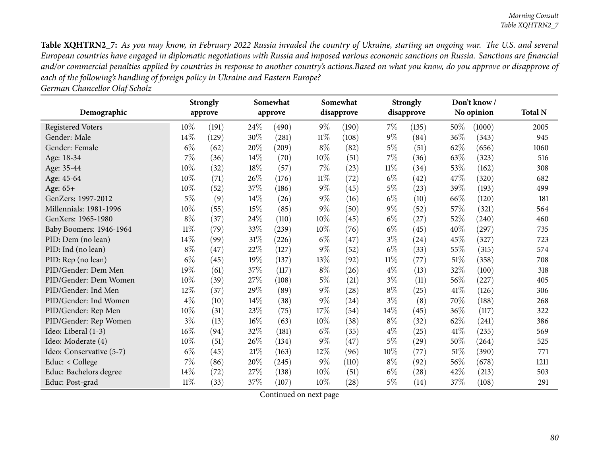|--|

|                          | Somewhat<br><b>Strongly</b> |         |        |         | Somewhat |            | <b>Strongly</b> | Don't know/ |      |            |                |
|--------------------------|-----------------------------|---------|--------|---------|----------|------------|-----------------|-------------|------|------------|----------------|
| Demographic              |                             | approve |        | approve |          | disapprove |                 | disapprove  |      | No opinion | <b>Total N</b> |
| <b>Registered Voters</b> | $10\%$                      | (191)   | 24\%   | (490)   | $9\%$    | (190)      | $7\%$           | (135)       | 50%  | (1000)     | 2005           |
| Gender: Male             | $14\%$                      | (129)   | 30%    | (281)   | $11\%$   | (108)      | $9\%$           | (84)        | 36%  | (343)      | 945            |
| Gender: Female           | $6\%$                       | (62)    | 20%    | (209)   | $8\%$    | (82)       | $5\%$           | (51)        | 62%  | (656)      | 1060           |
| Age: 18-34               | 7%                          | (36)    | 14\%   | (70)    | 10%      | (51)       | 7%              | (36)        | 63%  | (323)      | 516            |
| Age: 35-44               | $10\%$                      | (32)    | 18%    | (57)    | 7%       | (23)       | $11\%$          | (34)        | 53%  | (162)      | 308            |
| Age: 45-64               | $10\%$                      | (71)    | 26%    | (176)   | $11\%$   | (72)       | $6\%$           | (42)        | 47\% | (320)      | 682            |
| Age: 65+                 | 10%                         | (52)    | 37%    | (186)   | $9\%$    | (45)       | $5\%$           | (23)        | 39%  | (193)      | 499            |
| GenZers: 1997-2012       | $5\%$                       | (9)     | $14\%$ | (26)    | $9\%$    | (16)       | $6\%$           | (10)        | 66\% | (120)      | 181            |
| Millennials: 1981-1996   | $10\%$                      | (55)    | 15%    | (85)    | $9\%$    | (50)       | $9\%$           | (52)        | 57%  | (321)      | 564            |
| GenXers: 1965-1980       | $8\%$                       | (37)    | 24\%   | (110)   | 10%      | (45)       | $6\%$           | (27)        | 52%  | (240)      | 460            |
| Baby Boomers: 1946-1964  | $11\%$                      | (79)    | 33%    | (239)   | $10\%$   | (76)       | $6\%$           | (45)        | 40%  | (297)      | 735            |
| PID: Dem (no lean)       | $14\%$                      | (99)    | $31\%$ | (226)   | $6\%$    | (47)       | $3\%$           | (24)        | 45%  | (327)      | 723            |
| PID: Ind (no lean)       | $8\%$                       | (47)    | 22%    | (127)   | $9\%$    | (52)       | $6\%$           | (33)        | 55%  | (315)      | 574            |
| PID: Rep (no lean)       | $6\%$                       | (45)    | 19%    | (137)   | 13%      | (92)       | 11%             | (77)        | 51\% | (358)      | 708            |
| PID/Gender: Dem Men      | 19%                         | (61)    | 37%    | (117)   | $8\%$    | (26)       | $4\%$           | (13)        | 32%  | (100)      | 318            |
| PID/Gender: Dem Women    | $10\%$                      | (39)    | 27%    | (108)   | $5\%$    | (21)       | $3\%$           | (11)        | 56%  | (227)      | 405            |
| PID/Gender: Ind Men      | $12\%$                      | (37)    | 29%    | (89)    | $9\%$    | (28)       | $8\%$           | (25)        | 41\% | (126)      | 306            |
| PID/Gender: Ind Women    | $4\%$                       | (10)    | 14%    | (38)    | $9\%$    | (24)       | $3\%$           | (8)         | 70\% | (188)      | 268            |
| PID/Gender: Rep Men      | $10\%$                      | (31)    | 23%    | (75)    | 17%      | (54)       | 14%             | (45)        | 36%  | (117)      | 322            |
| PID/Gender: Rep Women    | $3\%$                       | (13)    | $16\%$ | (63)    | 10%      | (38)       | $8\%$           | (32)        | 62%  | (241)      | 386            |
| Ideo: Liberal (1-3)      | $16\%$                      | (94)    | 32%    | (181)   | $6\%$    | (35)       | $4\%$           | (25)        | 41\% | (235)      | 569            |
| Ideo: Moderate (4)       | $10\%$                      | (51)    | 26%    | (134)   | $9\%$    | (47)       | $5\%$           | (29)        | 50%  | (264)      | 525            |
| Ideo: Conservative (5-7) | $6\%$                       | (45)    | $21\%$ | (163)   | 12%      | (96)       | 10%             | (77)        | 51\% | (390)      | 771            |
| Educ: < College          | $7\%$                       | (86)    | 20%    | (245)   | $9\%$    | (110)      | $8\%$           | (92)        | 56\% | (678)      | 1211           |
| Educ: Bachelors degree   | $14\%$                      | (72)    | 27\%   | (138)   | 10%      | (51)       | $6\%$           | (28)        | 42%  | (213)      | 503            |
| Educ: Post-grad          | $11\%$                      | (33)    | 37\%   | (107)   | 10%      | (28)       | $5\%$           | (14)        | 37%  | (108)      | 291            |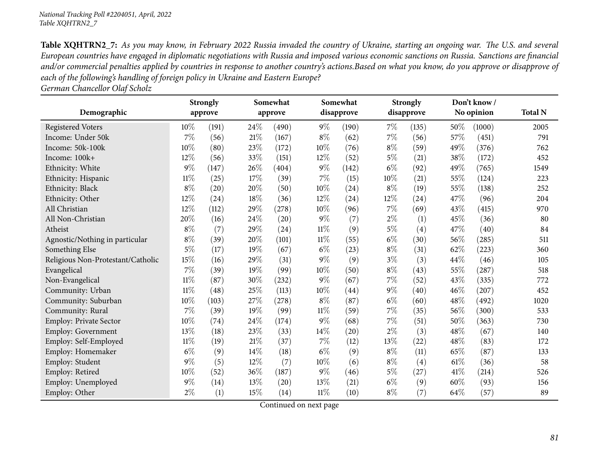*German Chancellor Olaf Scholz*

| Demographic                       | <b>Strongly</b><br>approve |       |        | Somewhat<br>approve |        | Somewhat<br>disapprove |       | <b>Strongly</b><br>No opinion<br>disapprove |      | Don't know/ | <b>Total N</b> |
|-----------------------------------|----------------------------|-------|--------|---------------------|--------|------------------------|-------|---------------------------------------------|------|-------------|----------------|
|                                   |                            |       |        |                     |        |                        |       |                                             |      |             |                |
| <b>Registered Voters</b>          | $10\%$                     | (191) | 24%    | (490)               | $9\%$  | (190)                  | 7%    | (135)                                       | 50%  | (1000)      | 2005           |
| Income: Under 50k                 | $7\%$                      | (56)  | 21%    | (167)               | $8\%$  | (62)                   | 7%    | (56)                                        | 57%  | (451)       | 791            |
| Income: 50k-100k                  | 10%                        | (80)  | 23%    | (172)               | 10%    | (76)                   | $8\%$ | (59)                                        | 49%  | (376)       | 762            |
| Income: 100k+                     | 12%                        | (56)  | 33%    | (151)               | 12%    | (52)                   | $5\%$ | (21)                                        | 38%  | (172)       | 452            |
| Ethnicity: White                  | $9\%$                      | (147) | 26%    | (404)               | 9%     | (142)                  | $6\%$ | (92)                                        | 49%  | (765)       | 1549           |
| Ethnicity: Hispanic               | $11\%$                     | (25)  | 17%    | (39)                | 7%     | (15)                   | 10%   | (21)                                        | 55%  | (124)       | 223            |
| Ethnicity: Black                  | $8\%$                      | (20)  | 20%    | (50)                | 10%    | (24)                   | $8\%$ | (19)                                        | 55%  | (138)       | 252            |
| Ethnicity: Other                  | 12%                        | (24)  | 18%    | (36)                | $12\%$ | (24)                   | 12%   | (24)                                        | 47%  | (96)        | 204            |
| All Christian                     | $12\%$                     | (112) | 29%    | (278)               | 10%    | (96)                   | 7%    | (69)                                        | 43%  | (415)       | 970            |
| All Non-Christian                 | 20%                        | (16)  | 24\%   | (20)                | $9\%$  | (7)                    | $2\%$ | (1)                                         | 45%  | (36)        | 80             |
| Atheist                           | $8\%$                      | (7)   | 29%    | (24)                | $11\%$ | (9)                    | $5\%$ | (4)                                         | 47%  | (40)        | 84             |
| Agnostic/Nothing in particular    | $8\%$                      | (39)  | 20%    | (101)               | $11\%$ | (55)                   | $6\%$ | (30)                                        | 56%  | (285)       | 511            |
| Something Else                    | $5\%$                      | (17)  | 19%    | (67)                | $6\%$  | (23)                   | $8\%$ | (31)                                        | 62%  | (223)       | 360            |
| Religious Non-Protestant/Catholic | 15%                        | (16)  | 29%    | (31)                | $9\%$  | (9)                    | $3\%$ | (3)                                         | 44%  | (46)        | 105            |
| Evangelical                       | $7\%$                      | (39)  | 19%    | (99)                | 10%    | (50)                   | $8\%$ | (43)                                        | 55%  | (287)       | 518            |
| Non-Evangelical                   | $11\%$                     | (87)  | 30%    | (232)               | $9\%$  | (67)                   | 7%    | (52)                                        | 43%  | (335)       | 772            |
| Community: Urban                  | $11\%$                     | (48)  | 25%    | (113)               | 10%    | $\left( 44\right)$     | $9\%$ | (40)                                        | 46%  | (207)       | 452            |
| Community: Suburban               | 10%                        | (103) | 27%    | (278)               | $8\%$  | (87)                   | $6\%$ | (60)                                        | 48%  | (492)       | 1020           |
| Community: Rural                  | $7\%$                      | (39)  | 19%    | (99)                | $11\%$ | (59)                   | 7%    | (35)                                        | 56%  | (300)       | 533            |
| <b>Employ: Private Sector</b>     | $10\%$                     | (74)  | 24\%   | (174)               | $9\%$  | (68)                   | 7%    | (51)                                        | 50%  | (363)       | 730            |
| Employ: Government                | 13%                        | (18)  | 23%    | (33)                | 14%    | (20)                   | $2\%$ | (3)                                         | 48%  | (67)        | 140            |
| Employ: Self-Employed             | $11\%$                     | (19)  | $21\%$ | (37)                | 7%     | (12)                   | 13%   | (22)                                        | 48%  | (83)        | 172            |
| Employ: Homemaker                 | $6\%$                      | (9)   | 14%    | (18)                | $6\%$  | (9)                    | $8\%$ | (11)                                        | 65%  | (87)        | 133            |
| Employ: Student                   | $9\%$                      | (5)   | 12%    | (7)                 | 10%    | (6)                    | $8\%$ | (4)                                         | 61\% | (36)        | 58             |
| Employ: Retired                   | 10%                        | (52)  | 36%    | (187)               | 9%     | (46)                   | $5\%$ | (27)                                        | 41\% | (214)       | 526            |
| Employ: Unemployed                | $9\%$                      | (14)  | 13%    | (20)                | 13%    | (21)                   | $6\%$ | (9)                                         | 60%  | (93)        | 156            |
| Employ: Other                     | $2\%$                      | (1)   | 15%    | (14)                | $11\%$ | (10)                   | $8\%$ | (7)                                         | 64%  | (57)        | 89             |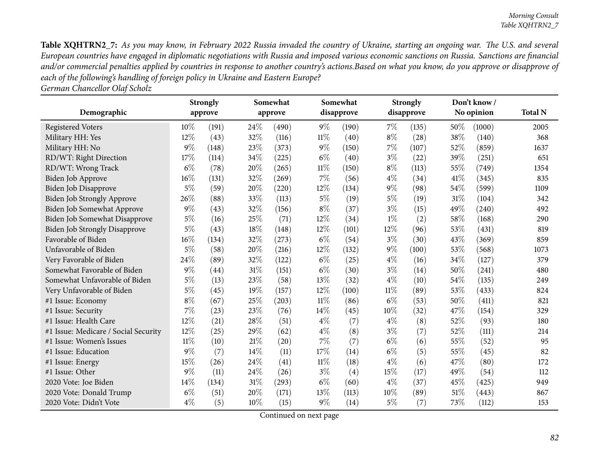*German Chancellor Olaf Scholz*

| Demographic                          |        | <b>Strongly</b><br>approve | Somewhat<br>approve |       |        | Somewhat<br>disapprove |        | <b>Strongly</b><br>disapprove |      | Don't know/<br>No opinion | <b>Total N</b> |
|--------------------------------------|--------|----------------------------|---------------------|-------|--------|------------------------|--------|-------------------------------|------|---------------------------|----------------|
|                                      |        |                            |                     |       |        |                        |        |                               |      |                           |                |
| <b>Registered Voters</b>             | $10\%$ | (191)                      | 24\%                | (490) | $9\%$  | (190)                  | $7\%$  | (135)                         | 50%  | (1000)                    | 2005           |
| Military HH: Yes                     | 12%    | (43)                       | 32%                 | (116) | $11\%$ | (40)                   | $8\%$  | (28)                          | 38%  | (140)                     | 368            |
| Military HH: No                      | $9\%$  | (148)                      | 23%                 | (373) | $9\%$  | (150)                  | 7%     | (107)                         | 52\% | (859)                     | 1637           |
| RD/WT: Right Direction               | 17\%   | (114)                      | 34%                 | (225) | $6\%$  | (40)                   | $3\%$  | (22)                          | 39%  | (251)                     | 651            |
| RD/WT: Wrong Track                   | $6\%$  | (78)                       | 20%                 | (265) | $11\%$ | (150)                  | $8\%$  | (113)                         | 55%  | (749)                     | 1354           |
| Biden Job Approve                    | 16%    | (131)                      | 32%                 | (269) | 7%     | (56)                   | $4\%$  | (34)                          | 41\% | (345)                     | 835            |
| Biden Job Disapprove                 | $5\%$  | (59)                       | 20%                 | (220) | 12%    | (134)                  | $9\%$  | (98)                          | 54%  | (599)                     | 1109           |
| <b>Biden Job Strongly Approve</b>    | 26%    | (88)                       | 33%                 | (113) | 5%     | (19)                   | $5\%$  | (19)                          | 31%  | (104)                     | 342            |
| Biden Job Somewhat Approve           | $9\%$  | (43)                       | 32%                 | (156) | $8\%$  | (37)                   | $3\%$  | (15)                          | 49%  | (240)                     | 492            |
| Biden Job Somewhat Disapprove        | $5\%$  | (16)                       | 25%                 | (71)  | 12%    | (34)                   | $1\%$  | (2)                           | 58%  | (168)                     | 290            |
| <b>Biden Job Strongly Disapprove</b> | $5\%$  | (43)                       | 18%                 | (148) | 12%    | (101)                  | 12%    | (96)                          | 53%  | (431)                     | 819            |
| Favorable of Biden                   | $16\%$ | (134)                      | 32%                 | (273) | $6\%$  | (54)                   | $3\%$  | (30)                          | 43\% | (369)                     | 859            |
| Unfavorable of Biden                 | $5\%$  | (58)                       | 20%                 | (216) | 12%    | (132)                  | $9\%$  | (100)                         | 53%  | (568)                     | 1073           |
| Very Favorable of Biden              | 24%    | (89)                       | 32%                 | (122) | $6\%$  | (25)                   | $4\%$  | (16)                          | 34%  | (127)                     | 379            |
| Somewhat Favorable of Biden          | $9\%$  | (44)                       | 31%                 | (151) | $6\%$  | (30)                   | $3\%$  | (14)                          | 50%  | (241)                     | 480            |
| Somewhat Unfavorable of Biden        | $5\%$  | (13)                       | 23%                 | (58)  | 13%    | (32)                   | $4\%$  | (10)                          | 54%  | (135)                     | 249            |
| Very Unfavorable of Biden            | $5\%$  | (45)                       | 19%                 | (157) | 12%    | (100)                  | $11\%$ | (89)                          | 53%  | (433)                     | 824            |
| #1 Issue: Economy                    | $8\%$  | (67)                       | 25%                 | (203) | $11\%$ | (86)                   | $6\%$  | (53)                          | 50%  | (411)                     | 821            |
| #1 Issue: Security                   | 7%     | (23)                       | 23%                 | (76)  | 14%    | (45)                   | 10%    | (32)                          | 47%  | (154)                     | 329            |
| #1 Issue: Health Care                | 12%    | (21)                       | 28%                 | (51)  | $4\%$  | (7)                    | $4\%$  | (8)                           | 52%  | (93)                      | 180            |
| #1 Issue: Medicare / Social Security | 12%    | (25)                       | 29%                 | (62)  | $4\%$  | (8)                    | $3\%$  | (7)                           | 52%  | (111)                     | 214            |
| #1 Issue: Women's Issues             | $11\%$ | (10)                       | 21%                 | (20)  | 7%     | (7)                    | $6\%$  | (6)                           | 55%  | (52)                      | 95             |
| #1 Issue: Education                  | $9\%$  | (7)                        | 14\%                | (11)  | 17%    | (14)                   | $6\%$  | (5)                           | 55%  | (45)                      | 82             |
| #1 Issue: Energy                     | 15%    | (26)                       | 24%                 | (41)  | 11%    | (18)                   | $4\%$  | (6)                           | 47%  | (80)                      | 172            |
| #1 Issue: Other                      | 9%     | (11)                       | 24%                 | (26)  | $3\%$  | $\left( 4\right)$      | 15%    | (17)                          | 49%  | (54)                      | 112            |
| 2020 Vote: Joe Biden                 | 14%    | (134)                      | 31%                 | (293) | $6\%$  | (60)                   | $4\%$  | (37)                          | 45%  | (425)                     | 949            |
| 2020 Vote: Donald Trump              | $6\%$  | (51)                       | 20%                 | (171) | 13%    | (113)                  | 10%    | (89)                          | 51%  | (443)                     | 867            |
| 2020 Vote: Didn't Vote               | $4\%$  | (5)                        | 10%                 | (15)  | $9\%$  | (14)                   | $5\%$  | (7)                           | 73%  | (112)                     | 153            |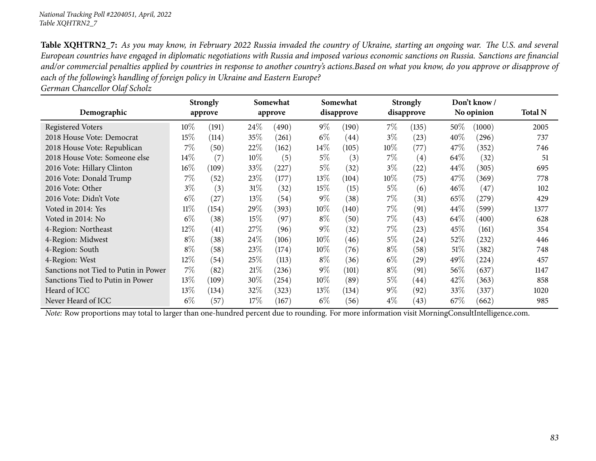|                                      |        | <b>Strongly</b> | Somewhat |         | Somewhat |            | <b>Strongly</b> |                   | Don't know / |            |                |
|--------------------------------------|--------|-----------------|----------|---------|----------|------------|-----------------|-------------------|--------------|------------|----------------|
| Demographic                          |        | approve         |          | approve |          | disapprove |                 | disapprove        |              | No opinion | <b>Total N</b> |
| <b>Registered Voters</b>             | $10\%$ | (191)           | 24\%     | (490)   | $9\%$    | (190)      | $7\%$           | (135)             | 50%          | (1000)     | 2005           |
| 2018 House Vote: Democrat            | 15%    | (114)           | 35%      | (261)   | $6\%$    | (44)       | $3\%$           | (23)              | $40\%$       | (296)      | 737            |
| 2018 House Vote: Republican          | $7\%$  | (50)            | 22%      | (162)   | $14\%$   | (105)      | $10\%$          | (77)              | 47\%         | (352)      | 746            |
| 2018 House Vote: Someone else        | $14\%$ | (7              | $10\%$   | (5)     | $5\%$    | (3)        | $7\%$           | (4)               | 64\%         | (32)       | 51             |
| 2016 Vote: Hillary Clinton           | $16\%$ | (109)           | $33\%$   | (227)   | $5\%$    | (32)       | 3%              | (22)              | 44%          | (305)      | 695            |
| 2016 Vote: Donald Trump              | 7%     | (52)            | 23\%     | (177)   | $13\%$   | (104)      | $10\%$          | (75)              | 47\%         | (369)      | 778            |
| 2016 Vote: Other                     | $3\%$  | (3)             | 31%      | (32)    | $15\%$   | (15)       | $5\%$           | (6)               | $46\%$       | (47)       | 102            |
| 2016 Vote: Didn't Vote               | $6\%$  | (27)            | 13%      | (54)    | $9\%$    | (38)       | $7\%$           | (31)              | 65\%         | (279)      | 429            |
| Voted in 2014: Yes                   | $11\%$ | (154)           | 29\%     | (393)   | $10\%$   | (140)      | $7\%$           | (91)              | 44\%         | (599)      | 1377           |
| Voted in 2014: No                    | $6\%$  | (38)            | 15%      | (97)    | $8\%$    | (50)       | $7\%$           | 43                | 64\%         | (400)      | 628            |
| 4-Region: Northeast                  | 12%    | (41)            | 27%      | (96)    | $9\%$    | (32)       | $7\%$           | (23)              | 45\%         | (161)      | 354            |
| 4-Region: Midwest                    | $8\%$  | (38)            | 24%      | (106)   | $10\%$   | (46)       | $5\%$           | (24)              | 52\%         | (232)      | 446            |
| 4-Region: South                      | $8\%$  | (58)            | 23\%     | (174)   | $10\%$   | (76)       | $8\%$           | (58)              | 51%          | (382)      | 748            |
| 4-Region: West                       | $12\%$ | (54)            | 25%      | (113)   | $8\%$    | (36)       | $6\%$           | (29)              | 49\%         | (224)      | 457            |
| Sanctions not Tied to Putin in Power | $7\%$  | (82)            | 21%      | (236)   | $9\%$    | (101)      | $8\%$           | (91)              | 56%          | (637)      | 1147           |
| Sanctions Tied to Putin in Power     | $13\%$ | (109)           | $30\%$   | (254)   | 10\%     | (89)       | $5\%$           | $\left(44\right)$ | 42\%         | (363)      | 858            |
| Heard of ICC                         | $13\%$ | (134)           | $32\%$   | (323)   | 13\%     | (134)      | $9\%$           | (92)              | 33%          | (337)      | 1020           |
| Never Heard of ICC                   | $6\%$  | (57)            | 17%      | (167)   | $6\%$    | (56)       | $4\%$           | 43                | 67%          | (662)      | 985            |

*German Chancellor Olaf Scholz*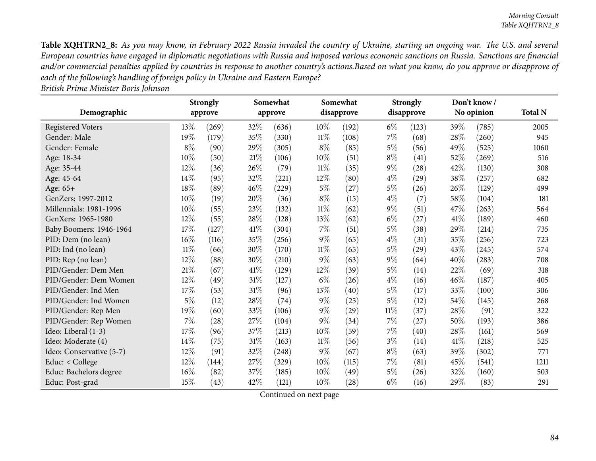|                          |        | <b>Strongly</b> | Somewhat |         | Somewhat |            | <b>Strongly</b> |            | Don't know/ |            |                |
|--------------------------|--------|-----------------|----------|---------|----------|------------|-----------------|------------|-------------|------------|----------------|
| Demographic              |        | approve         |          | approve |          | disapprove |                 | disapprove |             | No opinion | <b>Total N</b> |
| <b>Registered Voters</b> | 13%    | (269)           | 32%      | (636)   | $10\%$   | (192)      | $6\%$           | (123)      | 39%         | (785)      | 2005           |
| Gender: Male             | 19%    | (179)           | 35%      | (330)   | $11\%$   | (108)      | 7%              | (68)       | 28%         | (260)      | 945            |
| Gender: Female           | $8\%$  | (90)            | 29%      | (305)   | $8\%$    | (85)       | $5\%$           | (56)       | 49%         | (525)      | 1060           |
| Age: 18-34               | $10\%$ | (50)            | 21%      | (106)   | 10%      | (51)       | $8\%$           | (41)       | 52%         | (269)      | 516            |
| Age: 35-44               | 12%    | (36)            | 26%      | (79)    | $11\%$   | (35)       | $9\%$           | (28)       | 42%         | (130)      | 308            |
| Age: 45-64               | 14%    | (95)            | 32%      | (221)   | 12%      | (80)       | $4\%$           | (29)       | 38%         | (257)      | 682            |
| Age: 65+                 | 18%    | (89)            | 46%      | (229)   | $5\%$    | (27)       | $5\%$           | (26)       | 26\%        | (129)      | 499            |
| GenZers: 1997-2012       | $10\%$ | (19)            | 20%      | (36)    | $8\%$    | (15)       | $4\%$           | (7)        | 58%         | (104)      | 181            |
| Millennials: 1981-1996   | 10%    | (55)            | 23\%     | (132)   | $11\%$   | (62)       | $9\%$           | (51)       | 47\%        | (263)      | 564            |
| GenXers: 1965-1980       | $12\%$ | (55)            | 28\%     | (128)   | 13%      | (62)       | $6\%$           | (27)       | 41%         | (189)      | 460            |
| Baby Boomers: 1946-1964  | 17%    | (127)           | 41\%     | (304)   | 7%       | (51)       | $5\%$           | (38)       | 29%         | (214)      | 735            |
| PID: Dem (no lean)       | $16\%$ | (116)           | 35%      | (256)   | $9\%$    | (65)       | $4\%$           | (31)       | 35%         | (256)      | 723            |
| PID: Ind (no lean)       | $11\%$ | (66)            | 30%      | (170)   | $11\%$   | (65)       | $5\%$           | (29)       | 43%         | (245)      | 574            |
| PID: Rep (no lean)       | $12\%$ | (88)            | 30%      | (210)   | $9\%$    | (63)       | $9\%$           | (64)       | 40%         | (283)      | 708            |
| PID/Gender: Dem Men      | 21%    | (67)            | 41\%     | (129)   | 12%      | (39)       | $5\%$           | (14)       | 22%         | (69)       | 318            |
| PID/Gender: Dem Women    | 12%    | (49)            | 31%      | (127)   | $6\%$    | (26)       | $4\%$           | (16)       | 46\%        | (187)      | 405            |
| PID/Gender: Ind Men      | 17%    | (53)            | $31\%$   | (96)    | 13%      | (40)       | $5\%$           | (17)       | 33%         | (100)      | 306            |
| PID/Gender: Ind Women    | $5\%$  | (12)            | 28\%     | (74)    | $9\%$    | (25)       | $5\%$           | (12)       | 54\%        | (145)      | 268            |
| PID/Gender: Rep Men      | 19%    | (60)            | 33%      | (106)   | 9%       | (29)       | $11\%$          | (37)       | 28%         | (91)       | 322            |
| PID/Gender: Rep Women    | $7\%$  | (28)            | 27%      | (104)   | $9\%$    | (34)       | 7%              | (27)       | 50%         | (193)      | 386            |
| Ideo: Liberal (1-3)      | 17%    | (96)            | 37\%     | (213)   | 10%      | (59)       | 7%              | (40)       | 28%         | (161)      | 569            |
| Ideo: Moderate (4)       | $14\%$ | (75)            | $31\%$   | (163)   | $11\%$   | (56)       | $3\%$           | (14)       | 41\%        | (218)      | 525            |
| Ideo: Conservative (5-7) | 12%    | (91)            | 32\%     | (248)   | $9\%$    | (67)       | $8\%$           | (63)       | 39%         | (302)      | 771            |
| Educ: $<$ College        | $12\%$ | (144)           | 27\%     | (329)   | 10%      | (115)      | $7\%$           | (81)       | 45%         | (541)      | 1211           |
| Educ: Bachelors degree   | 16%    | (82)            | 37%      | (185)   | 10%      | (49)       | $5\%$           | (26)       | 32%         | (160)      | 503            |
| Educ: Post-grad          | 15%    | (43)            | 42%      | (121)   | 10%      | (28)       | $6\%$           | (16)       | 29%         | (83)       | 291            |

*British Prime Minister Boris Johnson*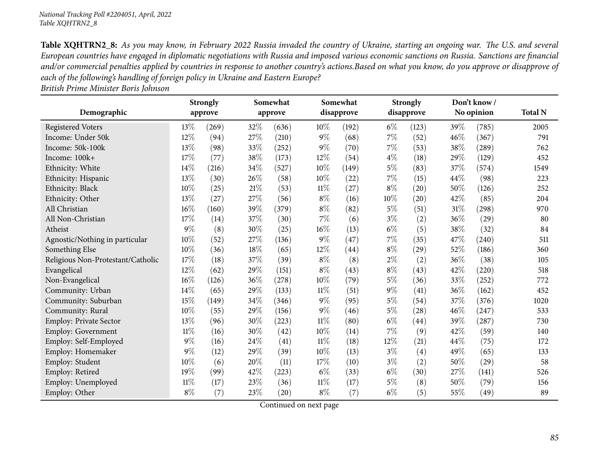*British Prime Minister Boris Johnson*

|                                   |        | <b>Strongly</b> | Somewhat |         | Somewhat<br>disapprove |                    | <b>Strongly</b><br>disapprove |                    |        | Don't know/ |                |
|-----------------------------------|--------|-----------------|----------|---------|------------------------|--------------------|-------------------------------|--------------------|--------|-------------|----------------|
| Demographic                       |        | approve         |          | approve |                        |                    |                               |                    |        | No opinion  | <b>Total N</b> |
| <b>Registered Voters</b>          | 13%    | (269)           | 32%      | (636)   | 10%                    | (192)              | $6\%$                         | (123)              | 39%    | (785)       | 2005           |
| Income: Under 50k                 | 12%    | (94)            | 27%      | (210)   | $9\%$                  | (68)               | 7%                            | (52)               | 46%    | (367)       | 791            |
| Income: 50k-100k                  | 13%    | (98)            | 33%      | (252)   | $9\%$                  | (70)               | 7%                            | (53)               | 38%    | (289)       | 762            |
| Income: 100k+                     | 17%    | (77)            | 38%      | (173)   | 12%                    | (54)               | $4\%$                         | (18)               | 29%    | (129)       | 452            |
| Ethnicity: White                  | $14\%$ | (216)           | $34\%$   | (527)   | 10%                    | (149)              | $5\%$                         | (83)               | 37%    | (574)       | 1549           |
| Ethnicity: Hispanic               | 13%    | (30)            | 26%      | (58)    | 10%                    | (22)               | $7\%$                         | (15)               | 44\%   | (98)        | 223            |
| Ethnicity: Black                  | 10%    | (25)            | 21%      | (53)    | $11\%$                 | (27)               | $8\%$                         | (20)               | 50%    | (126)       | 252            |
| Ethnicity: Other                  | 13%    | (27)            | 27%      | (56)    | $8\%$                  | (16)               | 10%                           | (20)               | 42%    | (85)        | 204            |
| All Christian                     | $16\%$ | (160)           | 39%      | (379)   | $8\%$                  | (82)               | $5\%$                         | (51)               | $31\%$ | (298)       | 970            |
| All Non-Christian                 | 17%    | (14)            | 37%      | (30)    | 7%                     | (6)                | $3\%$                         | (2)                | 36%    | (29)        | 80             |
| Atheist                           | $9\%$  | (8)             | 30%      | (25)    | 16%                    | (13)               | $6\%$                         | (5)                | 38%    | (32)        | 84             |
| Agnostic/Nothing in particular    | 10%    | (52)            | 27%      | (136)   | $9\%$                  | (47)               | 7%                            | (35)               | 47\%   | (240)       | 511            |
| Something Else                    | 10%    | (36)            | 18%      | (65)    | 12%                    | $\left( 44\right)$ | $8\%$                         | $\left( 29\right)$ | 52%    | (186)       | 360            |
| Religious Non-Protestant/Catholic | 17%    | (18)            | 37%      | (39)    | $8\%$                  | (8)                | $2\%$                         | (2)                | 36%    | (38)        | 105            |
| Evangelical                       | 12%    | (62)            | 29%      | (151)   | $8\%$                  | (43)               | $8\%$                         | (43)               | 42%    | (220)       | 518            |
| Non-Evangelical                   | $16\%$ | (126)           | 36%      | (278)   | 10%                    | (79)               | $5\%$                         | (36)               | 33%    | (252)       | 772            |
| Community: Urban                  | $14\%$ | (65)            | 29%      | (133)   | $11\%$                 | (51)               | $9\%$                         | (41)               | 36%    | (162)       | 452            |
| Community: Suburban               | 15%    | (149)           | 34%      | (346)   | $9\%$                  | (95)               | $5\%$                         | (54)               | 37%    | (376)       | 1020           |
| Community: Rural                  | 10%    | (55)            | 29%      | (156)   | $9\%$                  | (46)               | $5\%$                         | (28)               | 46%    | (247)       | 533            |
| Employ: Private Sector            | 13%    | (96)            | 30%      | (223)   | $11\%$                 | (80)               | $6\%$                         | (44)               | 39%    | (287)       | 730            |
| Employ: Government                | $11\%$ | (16)            | 30%      | (42)    | 10%                    | (14)               | 7%                            | (9)                | 42%    | (59)        | 140            |
| Employ: Self-Employed             | $9\%$  | (16)            | 24%      | (41)    | $11\%$                 | (18)               | $12\%$                        | (21)               | 44%    | (75)        | 172            |
| Employ: Homemaker                 | 9%     | (12)            | 29%      | (39)    | 10%                    | (13)               | $3\%$                         | (4)                | 49%    | (65)        | 133            |
| Employ: Student                   | 10%    | (6)             | 20%      | (11)    | 17%                    | (10)               | $3\%$                         | (2)                | 50%    | (29)        | 58             |
| Employ: Retired                   | 19%    | (99)            | 42%      | (223)   | $6\%$                  | (33)               | $6\%$                         | (30)               | 27%    | (141)       | 526            |
| Employ: Unemployed                | 11%    | (17)            | 23%      | (36)    | $11\%$                 | (17)               | $5\%$                         | (8)                | 50%    | (79)        | 156            |
| Employ: Other                     | $8\%$  | (7)             | 23%      | (20)    | $8\%$                  | (7)                | $6\%$                         | (5)                | 55%    | (49)        | 89             |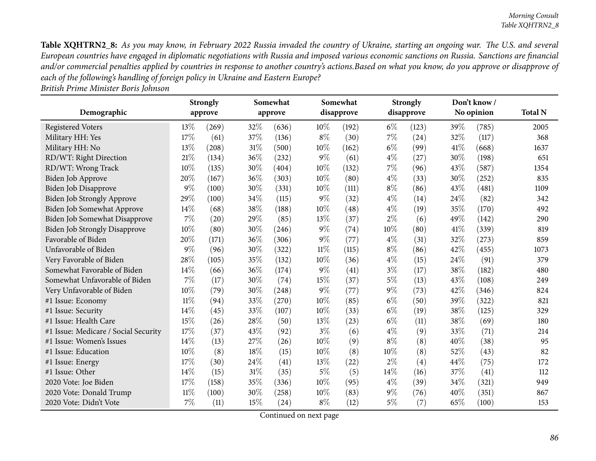|                                      | <b>Strongly</b><br>approve |       | Somewhat<br>approve |       | Somewhat<br>disapprove |       | <b>Strongly</b><br>disapprove |       |      | Don't know / |                |
|--------------------------------------|----------------------------|-------|---------------------|-------|------------------------|-------|-------------------------------|-------|------|--------------|----------------|
| Demographic                          |                            |       |                     |       |                        |       |                               |       |      | No opinion   | <b>Total N</b> |
| <b>Registered Voters</b>             | 13\%                       | (269) | 32%                 | (636) | $10\%$                 | (192) | $6\%$                         | (123) | 39%  | (785)        | 2005           |
| Military HH: Yes                     | 17%                        | (61)  | 37%                 | (136) | $8\%$                  | (30)  | 7%                            | (24)  | 32%  | (117)        | 368            |
| Military HH: No                      | 13%                        | (208) | $31\%$              | (500) | 10%                    | (162) | $6\%$                         | (99)  | 41\% | (668)        | 1637           |
| RD/WT: Right Direction               | 21%                        | (134) | 36%                 | (232) | $9\%$                  | (61)  | $4\%$                         | (27)  | 30%  | (198)        | 651            |
| RD/WT: Wrong Track                   | 10%                        | (135) | 30%                 | (404) | 10%                    | (132) | 7%                            | (96)  | 43%  | (587)        | 1354           |
| Biden Job Approve                    | 20%                        | (167) | 36%                 | (303) | 10%                    | (80)  | $4\%$                         | (33)  | 30%  | (252)        | 835            |
| Biden Job Disapprove                 | 9%                         | (100) | 30%                 | (331) | 10%                    | (111) | $8\%$                         | (86)  | 43%  | (481)        | 1109           |
| Biden Job Strongly Approve           | 29%                        | (100) | 34%                 | (115) | 9%                     | (32)  | $4\%$                         | (14)  | 24\% | (82)         | 342            |
| Biden Job Somewhat Approve           | 14%                        | (68)  | 38%                 | (188) | 10%                    | (48)  | $4\%$                         | (19)  | 35%  | (170)        | 492            |
| Biden Job Somewhat Disapprove        | 7%                         | (20)  | 29%                 | (85)  | 13%                    | (37)  | $2\%$                         | (6)   | 49%  | (142)        | 290            |
| <b>Biden Job Strongly Disapprove</b> | $10\%$                     | (80)  | 30%                 | (246) | $9\%$                  | (74)  | 10%                           | (80)  | 41\% | (339)        | 819            |
| Favorable of Biden                   | 20%                        | (171) | 36%                 | (306) | $9\%$                  | (77)  | $4\%$                         | (31)  | 32%  | (273)        | 859            |
| Unfavorable of Biden                 | 9%                         | (96)  | 30%                 | (322) | $11\%$                 | (115) | $8\%$                         | (86)  | 42%  | (455)        | 1073           |
| Very Favorable of Biden              | 28%                        | (105) | 35%                 | (132) | 10%                    | (36)  | $4\%$                         | (15)  | 24%  | (91)         | 379            |
| Somewhat Favorable of Biden          | 14%                        | (66)  | 36%                 | (174) | 9%                     | (41)  | $3\%$                         | (17)  | 38%  | (182)        | 480            |
| Somewhat Unfavorable of Biden        | 7%                         | (17)  | 30%                 | (74)  | 15%                    | (37)  | $5\%$                         | (13)  | 43%  | (108)        | 249            |
| Very Unfavorable of Biden            | 10%                        | (79)  | 30%                 | (248) | 9%                     | (77)  | $9\%$                         | (73)  | 42%  | (346)        | 824            |
| #1 Issue: Economy                    | $11\%$                     | (94)  | 33%                 | (270) | 10%                    | (85)  | $6\%$                         | (50)  | 39%  | (322)        | 821            |
| #1 Issue: Security                   | 14%                        | (45)  | 33%                 | (107) | 10%                    | (33)  | $6\%$                         | (19)  | 38%  | (125)        | 329            |
| #1 Issue: Health Care                | 15%                        | (26)  | 28%                 | (50)  | 13%                    | (23)  | $6\%$                         | (11)  | 38%  | (69)         | 180            |
| #1 Issue: Medicare / Social Security | 17%                        | (37)  | 43%                 | (92)  | $3\%$                  | (6)   | $4\%$                         | (9)   | 33%  | (71)         | 214            |
| #1 Issue: Women's Issues             | 14%                        | (13)  | 27%                 | (26)  | 10%                    | (9)   | $8\%$                         | (8)   | 40%  | (38)         | 95             |
| #1 Issue: Education                  | 10%                        | (8)   | 18%                 | (15)  | 10%                    | (8)   | 10%                           | (8)   | 52%  | (43)         | 82             |
| #1 Issue: Energy                     | 17%                        | (30)  | 24%                 | (41)  | 13%                    | (22)  | $2\%$                         | (4)   | 44%  | (75)         | 172            |
| #1 Issue: Other                      | 14%                        | (15)  | 31%                 | (35)  | $5\%$                  | (5)   | 14%                           | (16)  | 37%  | (41)         | 112            |
| 2020 Vote: Joe Biden                 | 17%                        | (158) | 35%                 | (336) | 10%                    | (95)  | $4\%$                         | (39)  | 34%  | (321)        | 949            |
| 2020 Vote: Donald Trump              | $11\%$                     | (100) | 30%                 | (258) | 10%                    | (83)  | $9\%$                         | (76)  | 40%  | (351)        | 867            |
| 2020 Vote: Didn't Vote               | 7%                         | (11)  | 15%                 | (24)  | $8\%$                  | (12)  | $5\%$                         | (7)   | 65%  | (100)        | 153            |

*British Prime Minister Boris Johnson*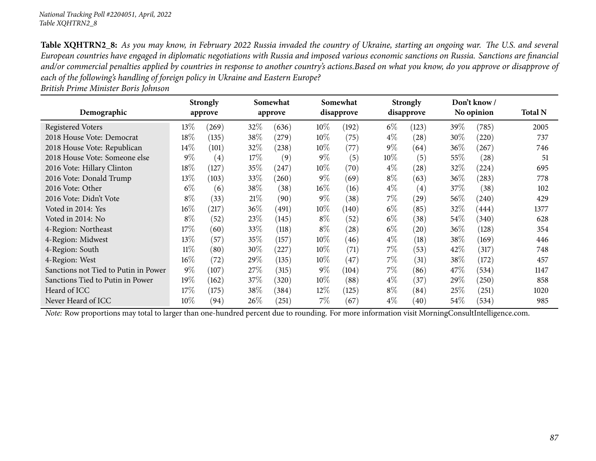|                                      |        | <b>Strongly</b> |        | Somewhat<br>approve |        | Somewhat   |        | <b>Strongly</b>   |        | Don't know/ |                |
|--------------------------------------|--------|-----------------|--------|---------------------|--------|------------|--------|-------------------|--------|-------------|----------------|
| Demographic                          |        | approve         |        |                     |        | disapprove |        | disapprove        |        | No opinion  | <b>Total N</b> |
| <b>Registered Voters</b>             | $13\%$ | (269)           | 32\%   | (636)               | $10\%$ | (192)      | $6\%$  | (123)             | 39\%   | (785)       | 2005           |
| 2018 House Vote: Democrat            | 18%    | (135)           | 38\%   | (279)               | $10\%$ | (75)       | $4\%$  | (28)              | 30\%   | (220)       | 737            |
| 2018 House Vote: Republican          | $14\%$ | (101)           | 32\%   | (238)               | $10\%$ | (77)       | $9\%$  | (64)              | $36\%$ | (267)       | 746            |
| 2018 House Vote: Someone else        | $9\%$  | (4)             | 17%    | (9)                 | $9\%$  | (5)        | $10\%$ | (5)               | 55%    | (28)        | 51             |
| 2016 Vote: Hillary Clinton           | 18\%   | (127)           | $35\%$ | (247)               | 10%    | (70)       | $4\%$  | (28)              | 32\%   | (224)       | 695            |
| 2016 Vote: Donald Trump              | $13\%$ | (103)           | $33\%$ | $^{'}260)$          | $9\%$  | (69)       | $8\%$  | (63)              | 36%    | (283)       | 778            |
| 2016 Vote: Other                     | $6\%$  | (6)             | 38\%   | (38)                | $16\%$ | (16)       | $4\%$  | $\left( 4\right)$ | 37%    | (38)        | 102            |
| 2016 Vote: Didn't Vote               | $8\%$  | (33)            | 21%    | (90)                | $9\%$  | (38)       | 7%     | (29)              | $56\%$ | (240)       | 429            |
| Voted in 2014: Yes                   | $16\%$ | (217)           | 36\%   | (491)               | $10\%$ | (140)      | $6\%$  | (85)              | 32\%   | (444)       | 1377           |
| Voted in 2014: No                    | $8\%$  | (52)            | 23\%   | (145)               | $8\%$  | (52)       | $6\%$  | (38)              | $54\%$ | (340)       | 628            |
| 4-Region: Northeast                  | 17%    | (60)            | $33\%$ | (118)               | $8\%$  | (28)       | $6\%$  | (20)              | $36\%$ | (128)       | 354            |
| 4-Region: Midwest                    | 13%    | (57)            | 35%    | (157)               | 10%    | (46)       | $4\%$  | (18)              | 38%    | (169)       | 446            |
| 4-Region: South                      | $11\%$ | (80)            | 30%    | $^{'}227$           | $10\%$ | (71)       | 7%     | (53)              | 42%    | (317)       | 748            |
| 4-Region: West                       | $16\%$ | (72)            | 29%    | (135)               | $10\%$ | (47)       | $7\%$  | (31)              | $38\%$ | (172)       | 457            |
| Sanctions not Tied to Putin in Power | $9\%$  | (107)           | 27\%   | (315)               | $9\%$  | (104)      | $7\%$  | (86)              | 47\%   | (534)       | 1147           |
| Sanctions Tied to Putin in Power     | $19\%$ | (162)           | $37\%$ | (320)               | $10\%$ | (88)       | $4\%$  | (37)              | $29\%$ | (250)       | 858            |
| Heard of ICC                         | $17\%$ | (175)           | 38\%   | (384)               | $12\%$ | (125)      | $8\%$  | (84)              | 25%    | (251)       | 1020           |
| Never Heard of ICC                   | 10%    | (94)            | 26%    | (251)               | 7%     | (67)       | $4\%$  | (40)              | 54%    | (534)       | 985            |

*British Prime Minister Boris Johnson*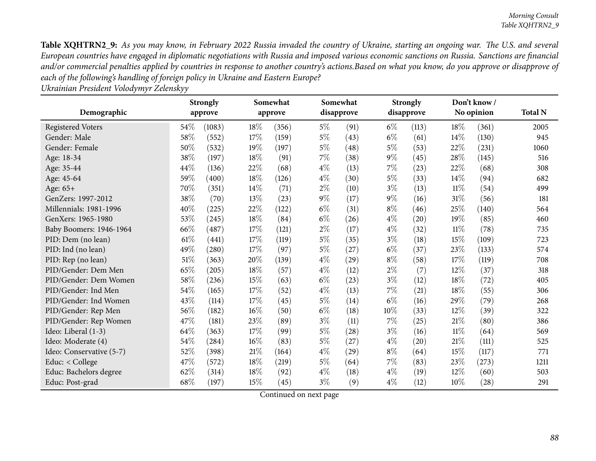| Demographic              |        | <b>Strongly</b><br>approve | Somewhat<br>approve |       | Somewhat<br>disapprove |                    |       | <b>Strongly</b><br>disapprove |        | Don't know/<br>No opinion | <b>Total N</b> |
|--------------------------|--------|----------------------------|---------------------|-------|------------------------|--------------------|-------|-------------------------------|--------|---------------------------|----------------|
|                          |        |                            |                     |       |                        |                    |       |                               |        |                           |                |
| Registered Voters        | 54\%   | (1083)                     | 18%                 | (356) | $5\%$                  | (91)               | $6\%$ | (113)                         | 18%    | (361)                     | 2005           |
| Gender: Male             | 58%    | (552)                      | 17%                 | (159) | $5\%$                  | (43)               | $6\%$ | (61)                          | 14\%   | (130)                     | 945            |
| Gender: Female           | 50%    | (532)                      | 19%                 | (197) | $5\%$                  | (48)               | $5\%$ | (53)                          | 22%    | (231)                     | 1060           |
| Age: 18-34               | 38\%   | (197)                      | 18%                 | (91)  | 7%                     | (38)               | $9\%$ | (45)                          | 28\%   | (145)                     | 516            |
| Age: 35-44               | 44\%   | (136)                      | 22%                 | (68)  | $4\%$                  | (13)               | $7\%$ | (23)                          | 22%    | (68)                      | 308            |
| Age: 45-64               | 59%    | (400)                      | 18%                 | (126) | $4\%$                  | (30)               | $5\%$ | (33)                          | 14%    | (94)                      | 682            |
| Age: 65+                 | 70%    | (351)                      | 14%                 | (71)  | $2\%$                  | (10)               | $3\%$ | (13)                          | 11%    | (54)                      | 499            |
| GenZers: 1997-2012       | 38\%   | (70)                       | 13%                 | (23)  | $9\%$                  | (17)               | $9\%$ | (16)                          | $31\%$ | (56)                      | 181            |
| Millennials: 1981-1996   | 40%    | (225)                      | 22%                 | (122) | $6\%$                  | (31)               | $8\%$ | (46)                          | 25%    | (140)                     | 564            |
| GenXers: 1965-1980       | 53%    | (245)                      | 18%                 | (84)  | $6\%$                  | (26)               | $4\%$ | (20)                          | 19%    | (85)                      | 460            |
| Baby Boomers: 1946-1964  | 66\%   | (487)                      | 17%                 | (121) | $2\%$                  | (17)               | $4\%$ | (32)                          | $11\%$ | (78)                      | 735            |
| PID: Dem (no lean)       | 61%    | (441)                      | 17%                 | (119) | $5\%$                  | (35)               | $3\%$ | (18)                          | 15%    | (109)                     | 723            |
| PID: Ind (no lean)       | 49%    | (280)                      | 17%                 | (97)  | $5\%$                  | (27)               | $6\%$ | (37)                          | 23\%   | (133)                     | 574            |
| PID: Rep (no lean)       | $51\%$ | (363)                      | 20%                 | (139) | $4\%$                  | $\left( 29\right)$ | $8\%$ | (58)                          | 17%    | (119)                     | 708            |
| PID/Gender: Dem Men      | 65%    | (205)                      | 18%                 | (57)  | $4\%$                  | (12)               | $2\%$ | (7)                           | $12\%$ | (37)                      | 318            |
| PID/Gender: Dem Women    | 58%    | (236)                      | 15%                 | (63)  | $6\%$                  | (23)               | $3\%$ | (12)                          | 18%    | (72)                      | 405            |
| PID/Gender: Ind Men      | 54\%   | (165)                      | 17%                 | (52)  | $4\%$                  | (13)               | 7%    | (21)                          | $18\%$ | (55)                      | 306            |
| PID/Gender: Ind Women    | 43\%   | (114)                      | 17%                 | (45)  | $5\%$                  | (14)               | $6\%$ | (16)                          | 29%    | (79)                      | 268            |
| PID/Gender: Rep Men      | 56%    | (182)                      | 16%                 | (50)  | $6\%$                  | (18)               | 10%   | (33)                          | 12%    | (39)                      | 322            |
| PID/Gender: Rep Women    | 47\%   | (181)                      | 23%                 | (89)  | $3\%$                  | (11)               | 7%    | (25)                          | 21%    | (80)                      | 386            |
| Ideo: Liberal (1-3)      | 64\%   | (363)                      | 17%                 | (99)  | $5\%$                  | (28)               | $3\%$ | (16)                          | $11\%$ | (64)                      | 569            |
| Ideo: Moderate (4)       | 54\%   | (284)                      | 16%                 | (83)  | $5\%$                  | (27)               | $4\%$ | (20)                          | 21%    | (111)                     | 525            |
| Ideo: Conservative (5-7) | 52%    | (398)                      | 21%                 | (164) | $4\%$                  | $\left( 29\right)$ | $8\%$ | (64)                          | 15%    | (117)                     | 771            |
| Educ: < College          | 47\%   | (572)                      | 18%                 | (219) | $5\%$                  | (64)               | $7\%$ | (83)                          | 23\%   | (273)                     | 1211           |
| Educ: Bachelors degree   | 62%    | (314)                      | 18%                 | (92)  | $4\%$                  | (18)               | $4\%$ | (19)                          | 12%    | (60)                      | 503            |
| Educ: Post-grad          | 68%    | (197)                      | 15%                 | (45)  | $3\%$                  | (9)                | $4\%$ | (12)                          | 10%    | (28)                      | 291            |

*Ukrainian President Volodymyr Zelenskyy*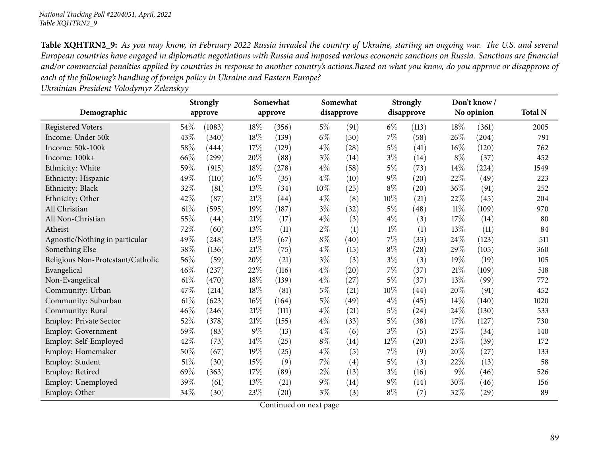| Demographic                       | Somewhat<br><b>Strongly</b><br>approve<br>approve |        | Somewhat<br>disapprove |       | <b>Strongly</b><br>disapprove |                    | Don't know/<br>No opinion |                    | <b>Total N</b> |       |      |
|-----------------------------------|---------------------------------------------------|--------|------------------------|-------|-------------------------------|--------------------|---------------------------|--------------------|----------------|-------|------|
|                                   |                                                   |        |                        |       |                               |                    |                           |                    |                |       |      |
| <b>Registered Voters</b>          | $54\%$                                            | (1083) | 18%                    | (356) | $5\%$                         | (91)               | $6\%$                     | (113)              | 18%            | (361) | 2005 |
| Income: Under 50k                 | 43%                                               | (340)  | 18%                    | (139) | $6\%$                         | (50)               | 7%                        | (58)               | 26\%           | (204) | 791  |
| Income: 50k-100k                  | 58%                                               | (444)  | 17%                    | (129) | $4\%$                         | (28)               | $5\%$                     | (41)               | 16%            | (120) | 762  |
| Income: 100k+                     | 66%                                               | (299)  | 20%                    | (88)  | $3\%$                         | (14)               | $3\%$                     | (14)               | $8\%$          | (37)  | 452  |
| Ethnicity: White                  | 59%                                               | (915)  | 18%                    | (278) | $4\%$                         | (58)               | $5\%$                     | (73)               | $14\%$         | (224) | 1549 |
| Ethnicity: Hispanic               | 49%                                               | (110)  | 16%                    | (35)  | $4\%$                         | (10)               | $9\%$                     | $\left( 20\right)$ | 22%            | (49)  | 223  |
| Ethnicity: Black                  | 32%                                               | (81)   | 13%                    | (34)  | 10%                           | (25)               | $8\%$                     | $\left( 20\right)$ | 36%            | (91)  | 252  |
| Ethnicity: Other                  | 42%                                               | (87)   | $21\%$                 | (44)  | $4\%$                         | (8)                | 10%                       | (21)               | 22\%           | (45)  | 204  |
| All Christian                     | $61\%$                                            | (595)  | 19%                    | (187) | $3\%$                         | (32)               | $5\%$                     | (48)               | $11\%$         | (109) | 970  |
| All Non-Christian                 | 55%                                               | (44)   | 21%                    | (17)  | $4\%$                         | (3)                | $4\%$                     | (3)                | 17%            | (14)  | 80   |
| Atheist                           | 72%                                               | (60)   | 13%                    | (11)  | $2\%$                         | (1)                | $1\%$                     | (1)                | 13%            | (11)  | 84   |
| Agnostic/Nothing in particular    | 49%                                               | (248)  | 13%                    | (67)  | $8\%$                         | (40)               | 7%                        | (33)               | 24\%           | (123) | 511  |
| Something Else                    | 38\%                                              | (136)  | 21%                    | (75)  | $4\%$                         | (15)               | $8\%$                     | (28)               | 29%            | (105) | 360  |
| Religious Non-Protestant/Catholic | 56%                                               | (59)   | 20%                    | (21)  | $3\%$                         | (3)                | $3\%$                     | (3)                | 19%            | (19)  | 105  |
| Evangelical                       | 46%                                               | (237)  | 22%                    | (116) | $4\%$                         | $\left( 20\right)$ | 7%                        | (37)               | 21\%           | (109) | 518  |
| Non-Evangelical                   | 61\%                                              | (470)  | 18%                    | (139) | $4\%$                         | (27)               | $5\%$                     | (37)               | 13%            | (99)  | 772  |
| Community: Urban                  | 47%                                               | (214)  | 18%                    | (81)  | $5\%$                         | (21)               | 10%                       | (44)               | 20%            | (91)  | 452  |
| Community: Suburban               | $61\%$                                            | (623)  | 16%                    | (164) | 5%                            | (49)               | $4\%$                     | (45)               | 14\%           | (140) | 1020 |
| Community: Rural                  | 46\%                                              | (246)  | 21%                    | (111) | $4\%$                         | (21)               | $5\%$                     | (24)               | 24%            | (130) | 533  |
| <b>Employ: Private Sector</b>     | 52%                                               | (378)  | 21%                    | (155) | $4\%$                         | (33)               | $5\%$                     | (38)               | 17%            | (127) | 730  |
| <b>Employ: Government</b>         | 59%                                               | (83)   | $9\%$                  | (13)  | $4\%$                         | (6)                | $3\%$                     | (5)                | 25%            | (34)  | 140  |
| Employ: Self-Employed             | 42%                                               | (73)   | 14\%                   | (25)  | $8\%$                         | (14)               | 12%                       | (20)               | 23%            | (39)  | 172  |
| Employ: Homemaker                 | 50%                                               | (67)   | 19%                    | (25)  | $4\%$                         | (5)                | 7%                        | (9)                | 20%            | (27)  | 133  |
| Employ: Student                   | 51%                                               | (30)   | 15%                    | (9)   | $7\%$                         | (4)                | $5\%$                     | (3)                | 22%            | (13)  | 58   |
| Employ: Retired                   | 69%                                               | (363)  | 17%                    | (89)  | $2\%$                         | (13)               | $3\%$                     | (16)               | $9\%$          | (46)  | 526  |
| Employ: Unemployed                | 39%                                               | (61)   | 13\%                   | (21)  | $9\%$                         | (14)               | 9%                        | (14)               | 30%            | (46)  | 156  |
| Employ: Other                     | 34%                                               | (30)   | 23\%                   | (20)  | $3\%$                         | (3)                | $8\%$                     | (7)                | 32%            | (29)  | 89   |

*Ukrainian President Volodymyr Zelenskyy*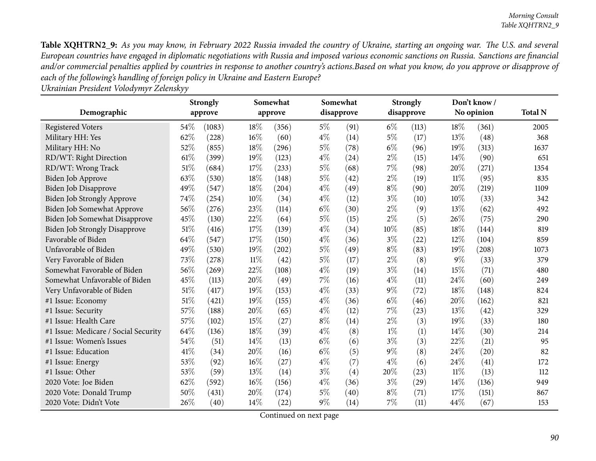|                                      |      | <b>Strongly</b> | Somewhat |         |       | Somewhat          |       | <b>Strongly</b> |        | Don't know/ |                |  |
|--------------------------------------|------|-----------------|----------|---------|-------|-------------------|-------|-----------------|--------|-------------|----------------|--|
| Demographic                          |      | approve         |          | approve |       | disapprove        |       | disapprove      |        | No opinion  | <b>Total N</b> |  |
| <b>Registered Voters</b>             | 54\% | (1083)          | 18%      | (356)   | $5\%$ | (91)              | $6\%$ | (113)           | 18%    | (361)       | 2005           |  |
| Military HH: Yes                     | 62%  | (228)           | 16%      | (60)    | $4\%$ | (14)              | $5\%$ | (17)            | 13%    | (48)        | 368            |  |
| Military HH: No                      | 52%  | (855)           | 18%      | (296)   | $5\%$ | (78)              | $6\%$ | (96)            | 19%    | (313)       | 1637           |  |
| RD/WT: Right Direction               | 61\% | (399)           | 19%      | (123)   | $4\%$ | (24)              | $2\%$ | (15)            | 14%    | (90)        | 651            |  |
| RD/WT: Wrong Track                   | 51%  | (684)           | 17%      | (233)   | $5\%$ | (68)              | 7%    | (98)            | 20%    | (271)       | 1354           |  |
| Biden Job Approve                    | 63%  | (530)           | 18%      | (148)   | $5\%$ | (42)              | $2\%$ | (19)            | $11\%$ | (95)        | 835            |  |
| Biden Job Disapprove                 | 49%  | (547)           | 18%      | (204)   | $4\%$ | (49)              | $8\%$ | (90)            | 20%    | (219)       | 1109           |  |
| Biden Job Strongly Approve           | 74%  | (254)           | 10%      | (34)    | $4\%$ | (12)              | $3\%$ | (10)            | 10%    | (33)        | 342            |  |
| Biden Job Somewhat Approve           | 56%  | (276)           | 23%      | (114)   | $6\%$ | (30)              | $2\%$ | (9)             | 13%    | (62)        | 492            |  |
| Biden Job Somewhat Disapprove        | 45%  | (130)           | 22%      | (64)    | $5\%$ | (15)              | $2\%$ | (5)             | 26%    | (75)        | 290            |  |
| <b>Biden Job Strongly Disapprove</b> | 51%  | (416)           | 17%      | (139)   | $4\%$ | (34)              | 10%   | (85)            | 18%    | (144)       | 819            |  |
| Favorable of Biden                   | 64%  | (547)           | 17%      | (150)   | $4\%$ | (36)              | $3\%$ | (22)            | 12%    | (104)       | 859            |  |
| Unfavorable of Biden                 | 49%  | (530)           | 19%      | (202)   | $5\%$ | (49)              | $8\%$ | (83)            | 19%    | (208)       | 1073           |  |
| Very Favorable of Biden              | 73%  | (278)           | 11%      | (42)    | $5\%$ | (17)              | $2\%$ | (8)             | $9\%$  | (33)        | 379            |  |
| Somewhat Favorable of Biden          | 56%  | (269)           | 22%      | (108)   | $4\%$ | (19)              | $3\%$ | (14)            | 15%    | (71)        | 480            |  |
| Somewhat Unfavorable of Biden        | 45%  | (113)           | 20%      | (49)    | $7\%$ | (16)              | $4\%$ | (11)            | 24%    | (60)        | 249            |  |
| Very Unfavorable of Biden            | 51%  | (417)           | 19%      | (153)   | $4\%$ | (33)              | $9\%$ | (72)            | 18%    | (148)       | 824            |  |
| #1 Issue: Economy                    | 51%  | (421)           | 19%      | (155)   | $4\%$ | (36)              | $6\%$ | (46)            | 20%    | (162)       | 821            |  |
| #1 Issue: Security                   | 57%  | (188)           | 20%      | (65)    | $4\%$ | (12)              | $7\%$ | (23)            | 13\%   | (42)        | 329            |  |
| #1 Issue: Health Care                | 57%  | (102)           | 15%      | (27)    | $8\%$ | (14)              | $2\%$ | (3)             | 19%    | (33)        | 180            |  |
| #1 Issue: Medicare / Social Security | 64%  | (136)           | 18%      | (39)    | $4\%$ | (8)               | $1\%$ | (1)             | 14%    | (30)        | 214            |  |
| #1 Issue: Women's Issues             | 54%  | (51)            | 14%      | (13)    | $6\%$ | (6)               | $3\%$ | (3)             | 22%    | (21)        | 95             |  |
| #1 Issue: Education                  | 41\% | (34)            | 20%      | (16)    | $6\%$ | (5)               | $9\%$ | (8)             | 24%    | (20)        | 82             |  |
| #1 Issue: Energy                     | 53%  | (92)            | 16%      | (27)    | $4\%$ | (7)               | $4\%$ | (6)             | 24%    | (41)        | 172            |  |
| #1 Issue: Other                      | 53%  | (59)            | 13%      | (14)    | $3\%$ | $\left( 4\right)$ | 20%   | (23)            | $11\%$ | (13)        | 112            |  |
| 2020 Vote: Joe Biden                 | 62%  | (592)           | 16%      | (156)   | $4\%$ | (36)              | $3\%$ | (29)            | $14\%$ | (136)       | 949            |  |
| 2020 Vote: Donald Trump              | 50%  | (431)           | 20%      | (174)   | $5\%$ | (40)              | $8\%$ | (71)            | 17%    | (151)       | 867            |  |
| 2020 Vote: Didn't Vote               | 26%  | (40)            | 14%      | (22)    | $9\%$ | (14)              | 7%    | (11)            | 44%    | (67)        | 153            |  |

*Ukrainian President Volodymyr Zelenskyy*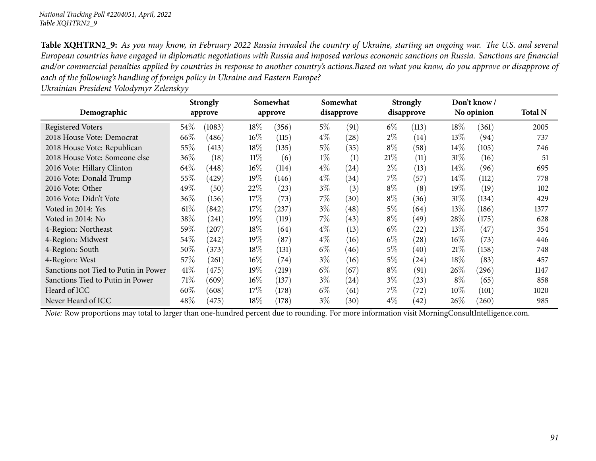| Demographic                          |        | <b>Strongly</b><br>approve | Somewhat<br>approve |       |       | Somewhat<br>disapprove |       | <b>Strongly</b><br>disapprove |        | Don't know /<br>No opinion | <b>Total N</b> |
|--------------------------------------|--------|----------------------------|---------------------|-------|-------|------------------------|-------|-------------------------------|--------|----------------------------|----------------|
| <b>Registered Voters</b>             | $54\%$ | (1083)                     | $18\%$              | (356) | $5\%$ | (91)                   | $6\%$ | (113)                         | 18%    | (361)                      | 2005           |
| 2018 House Vote: Democrat            | 66\%   | (486)                      | $16\%$              | (115) | $4\%$ | (28)                   | $2\%$ | (14)                          | $13\%$ | (94)                       | 737            |
| 2018 House Vote: Republican          | 55\%   | (413)                      | $18\%$              | (135) | $5\%$ | (35)                   | $8\%$ | (58)                          | 14%    | (105)                      | 746            |
| 2018 House Vote: Someone else        | $36\%$ | (18)                       | $11\%$              | (6)   | $1\%$ | (1)                    | 21%   | (11)                          | 31%    | (16)                       | 51             |
| 2016 Vote: Hillary Clinton           | $64\%$ | (448)                      | $16\%$              | (114) | $4\%$ | $\left( 24\right)$     | $2\%$ | (13)                          | $14\%$ | (96)                       | 695            |
| 2016 Vote: Donald Trump              | 55%    | (429)                      | 19%                 | (146) | $4\%$ | (34)                   | 7%    | $^{'}57$                      | $14\%$ | (112)                      | 778            |
| 2016 Vote: Other                     | 49\%   | (50)                       | 22%                 | (23)  | $3\%$ | (3)                    | $8\%$ | (8)                           | $19\%$ | (19)                       | 102            |
| 2016 Vote: Didn't Vote               | $36\%$ | (156)                      | 17%                 | (73)  | $7\%$ | (30)                   | $8\%$ | (36)                          | 31%    | (134)                      | 429            |
| Voted in 2014: Yes                   | $61\%$ | (842)                      | $17\%$              | (237) | $3\%$ | (48)                   | $5\%$ | (64)                          | $13\%$ | (186)                      | 1377           |
| Voted in 2014: No                    | 38\%   | (241)                      | $19\%$              | (119) | $7\%$ | (43)                   | $8\%$ | (49)                          | $28\%$ | (175)                      | 628            |
| 4-Region: Northeast                  | 59\%   | (207)                      | $18\%$              | (64)  | $4\%$ | (13)                   | $6\%$ | (22)                          | $13\%$ | (47)                       | 354            |
| 4-Region: Midwest                    | 54%    | (242)                      | 19%                 | (87)  | $4\%$ | (16)                   | $6\%$ | (28)                          | $16\%$ | (73)                       | 446            |
| 4-Region: South                      | 50%    | (373)                      | $18\%$              | (131) | $6\%$ | (46)                   | $5\%$ | (40)                          | 21%    | (158)                      | 748            |
| 4-Region: West                       | 57\%   | (261)                      | $16\%$              | (74)  | $3\%$ | (16)                   | $5\%$ | (24)                          | 18%    | (83)                       | 457            |
| Sanctions not Tied to Putin in Power | 41\%   | (475)                      | $19\%$              | (219) | $6\%$ | (67)                   | $8\%$ | (91)                          | $26\%$ | (296)                      | 1147           |
| Sanctions Tied to Putin in Power     | 71\%   | (609)                      | $16\%$              | (137) | $3\%$ | (24)                   | $3\%$ | (23)                          | $8\%$  | (65)                       | 858            |
| Heard of ICC                         | 60%    | (608)                      | 17%                 | (178) | $6\%$ | (61)                   | $7\%$ | (72)                          | 10%    | (101)                      | 1020           |
| Never Heard of ICC                   | $48\%$ | (475)                      | $18\%$              | (178) | $3\%$ | (30)                   | $4\%$ | (42)                          | $26\%$ | (260)                      | 985            |

*Ukrainian President Volodymyr Zelenskyy*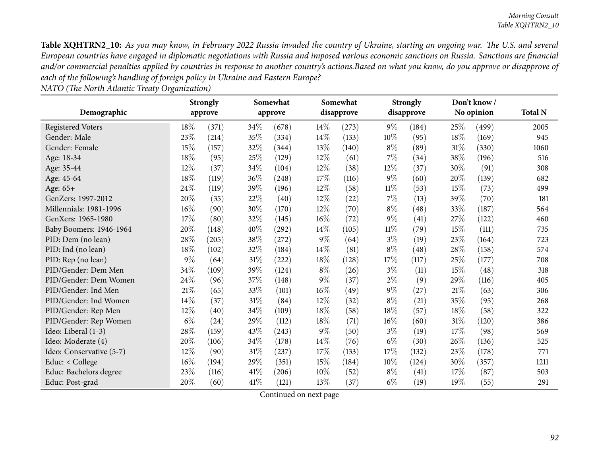|                          |         | <b>Strongly</b> | Somewhat |         | Somewhat<br>disapprove |       |        | <b>Strongly</b> |        | Don't know/ |                |
|--------------------------|---------|-----------------|----------|---------|------------------------|-------|--------|-----------------|--------|-------------|----------------|
| Demographic              | approve |                 |          | approve |                        |       |        | disapprove      |        | No opinion  | <b>Total N</b> |
| Registered Voters        | 18%     | (371)           | 34%      | (678)   | 14\%                   | (273) | $9\%$  | (184)           | 25%    | (499)       | 2005           |
| Gender: Male             | 23%     | (214)           | 35%      | (334)   | $14\%$                 | (133) | $10\%$ | (95)            | 18%    | (169)       | 945            |
| Gender: Female           | 15%     | (157)           | 32%      | (344)   | 13%                    | (140) | $8\%$  | (89)            | 31\%   | (330)       | 1060           |
| Age: 18-34               | 18%     | (95)            | 25%      | (129)   | 12%                    | (61)  | 7%     | (34)            | 38\%   | (196)       | 516            |
| Age: 35-44               | 12%     | (37)            | 34%      | (104)   | 12%                    | (38)  | 12%    | (37)            | 30%    | (91)        | 308            |
| Age: 45-64               | 18%     | (119)           | 36%      | (248)   | 17%                    | (116) | $9\%$  | (60)            | 20%    | (139)       | 682            |
| Age: 65+                 | 24\%    | (119)           | 39%      | (196)   | $12\%$                 | (58)  | $11\%$ | (53)            | 15%    | (73)        | 499            |
| GenZers: 1997-2012       | 20%     | (35)            | 22%      | (40)    | 12%                    | (22)  | 7%     | (13)            | 39%    | (70)        | 181            |
| Millennials: 1981-1996   | 16%     | (90)            | 30%      | (170)   | 12%                    | (70)  | $8\%$  | (48)            | 33%    | (187)       | 564            |
| GenXers: 1965-1980       | 17%     | (80)            | 32%      | (145)   | $16\%$                 | (72)  | $9\%$  | (41)            | 27%    | (122)       | 460            |
| Baby Boomers: 1946-1964  | 20%     | (148)           | 40%      | (292)   | 14%                    | (105) | $11\%$ | (79)            | 15\%   | (111)       | 735            |
| PID: Dem (no lean)       | 28%     | (205)           | 38%      | (272)   | $9\%$                  | (64)  | $3\%$  | (19)            | 23%    | (164)       | 723            |
| PID: Ind (no lean)       | 18\%    | (102)           | 32%      | (184)   | 14%                    | (81)  | $8\%$  | (48)            | 28\%   | (158)       | 574            |
| PID: Rep (no lean)       | $9\%$   | (64)            | $31\%$   | (222)   | 18%                    | (128) | 17%    | (117)           | 25%    | (177)       | 708            |
| PID/Gender: Dem Men      | 34\%    | (109)           | 39%      | (124)   | $8\%$                  | (26)  | $3\%$  | (11)            | $15\%$ | (48)        | 318            |
| PID/Gender: Dem Women    | 24\%    | (96)            | 37%      | (148)   | $9\%$                  | (37)  | $2\%$  | (9)             | 29%    | (116)       | 405            |
| PID/Gender: Ind Men      | $21\%$  | (65)            | 33%      | (101)   | $16\%$                 | (49)  | $9\%$  | (27)            | 21%    | (63)        | 306            |
| PID/Gender: Ind Women    | 14%     | (37)            | 31%      | (84)    | 12%                    | (32)  | $8\%$  | (21)            | 35%    | (95)        | 268            |
| PID/Gender: Rep Men      | 12%     | (40)            | 34%      | (109)   | 18%                    | (58)  | 18%    | (57)            | 18%    | (58)        | 322            |
| PID/Gender: Rep Women    | $6\%$   | (24)            | 29%      | (112)   | 18%                    | (71)  | 16%    | (60)            | $31\%$ | (120)       | 386            |
| Ideo: Liberal (1-3)      | 28%     | (159)           | 43%      | (243)   | $9\%$                  | (50)  | $3\%$  | (19)            | 17%    | (98)        | 569            |
| Ideo: Moderate (4)       | 20%     | (106)           | 34%      | (178)   | 14%                    | (76)  | $6\%$  | (30)            | 26%    | (136)       | 525            |
| Ideo: Conservative (5-7) | 12%     | (90)            | $31\%$   | (237)   | 17\%                   | (133) | 17%    | (132)           | 23\%   | (178)       | 771            |
| Educ: < College          | $16\%$  | (194)           | 29%      | (351)   | 15\%                   | (184) | 10%    | (124)           | 30\%   | (357)       | 1211           |
| Educ: Bachelors degree   | 23%     | (116)           | 41\%     | (206)   | 10%                    | (52)  | $8\%$  | (41)            | 17%    | (87)        | 503            |
| Educ: Post-grad          | 20%     | (60)            | 41\%     | (121)   | 13%                    | (37)  | $6\%$  | (19)            | 19%    | (55)        | 291            |

*NATO (The North Atlantic Treaty Organization)*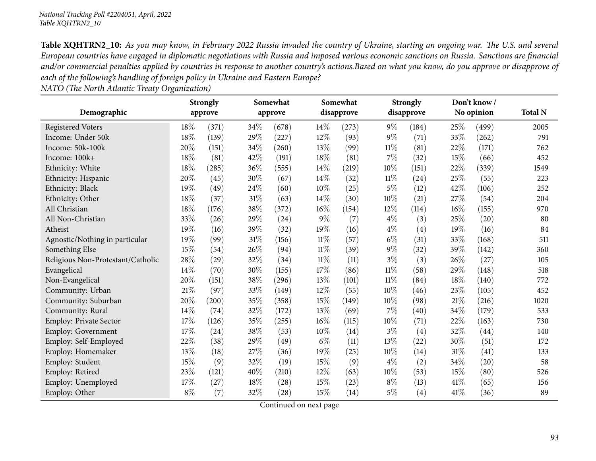|                                   |         | <b>Strongly</b> | Somewhat |         | Somewhat |            | <b>Strongly</b> |                   | Don't know/ |            |                |
|-----------------------------------|---------|-----------------|----------|---------|----------|------------|-----------------|-------------------|-------------|------------|----------------|
| Demographic                       | approve |                 |          | approve |          | disapprove |                 | disapprove        |             | No opinion | <b>Total N</b> |
| Registered Voters                 | 18%     | (371)           | 34%      | (678)   | 14\%     | (273)      | $9\%$           | (184)             | 25%         | (499)      | 2005           |
| Income: Under 50k                 | 18%     | (139)           | 29%      | (227)   | 12%      | (93)       | $9\%$           | (71)              | 33%         | (262)      | 791            |
| Income: 50k-100k                  | 20%     | (151)           | 34%      | (260)   | 13%      | (99)       | $11\%$          | (81)              | 22%         | (171)      | 762            |
| Income: 100k+                     | 18%     | (81)            | 42%      | (191)   | 18%      | (81)       | 7%              | (32)              | 15%         | (66)       | 452            |
| Ethnicity: White                  | $18\%$  | (285)           | 36%      | (555)   | 14%      | (219)      | 10%             | (151)             | 22%         | (339)      | 1549           |
| Ethnicity: Hispanic               | 20%     | (45)            | 30%      | (67)    | 14\%     | (32)       | $11\%$          | (24)              | 25%         | (55)       | 223            |
| Ethnicity: Black                  | 19%     | (49)            | 24%      | (60)    | 10%      | (25)       | $5\%$           | (12)              | 42%         | (106)      | 252            |
| Ethnicity: Other                  | 18%     | (37)            | 31%      | (63)    | 14\%     | (30)       | 10%             | (21)              | 27%         | (54)       | 204            |
| All Christian                     | 18%     | (176)           | 38\%     | (372)   | 16%      | (154)      | 12%             | (114)             | $16\%$      | (155)      | 970            |
| All Non-Christian                 | 33%     | (26)            | 29%      | (24)    | $9\%$    | (7)        | $4\%$           | (3)               | 25%         | (20)       | 80             |
| Atheist                           | 19%     | (16)            | 39%      | (32)    | 19%      | (16)       | $4\%$           | $\left( 4\right)$ | 19%         | (16)       | 84             |
| Agnostic/Nothing in particular    | 19%     | (99)            | 31%      | (156)   | 11%      | (57)       | $6\%$           | (31)              | 33%         | (168)      | 511            |
| Something Else                    | 15%     | (54)            | 26%      | (94)    | 11%      | (39)       | $9\%$           | (32)              | 39%         | (142)      | 360            |
| Religious Non-Protestant/Catholic | 28%     | (29)            | 32%      | (34)    | 11%      | (11)       | $3\%$           | (3)               | 26%         | (27)       | 105            |
| Evangelical                       | 14%     | (70)            | 30%      | (155)   | 17%      | (86)       | $11\%$          | (58)              | 29%         | (148)      | 518            |
| Non-Evangelical                   | 20%     | (151)           | 38%      | (296)   | 13%      | (101)      | $11\%$          | (84)              | 18%         | (140)      | 772            |
| Community: Urban                  | $21\%$  | (97)            | 33%      | (149)   | 12%      | (55)       | 10%             | (46)              | 23%         | (105)      | 452            |
| Community: Suburban               | 20%     | (200)           | 35%      | (358)   | 15%      | (149)      | 10%             | (98)              | 21%         | (216)      | 1020           |
| Community: Rural                  | 14%     | (74)            | 32%      | (172)   | 13%      | (69)       | 7%              | (40)              | 34%         | (179)      | 533            |
| <b>Employ: Private Sector</b>     | 17%     | (126)           | 35%      | (255)   | 16%      | (115)      | 10%             | (71)              | 22%         | (163)      | 730            |
| <b>Employ: Government</b>         | 17%     | (24)            | 38%      | (53)    | 10%      | (14)       | $3\%$           | $\left( 4\right)$ | 32%         | (44)       | 140            |
| Employ: Self-Employed             | 22%     | (38)            | 29%      | (49)    | $6\%$    | (11)       | 13%             | (22)              | 30%         | (51)       | 172            |
| Employ: Homemaker                 | 13%     | (18)            | 27%      | (36)    | 19%      | (25)       | 10%             | (14)              | 31%         | (41)       | 133            |
| Employ: Student                   | 15%     | (9)             | 32%      | (19)    | 15%      | (9)        | $4\%$           | (2)               | 34%         | (20)       | 58             |
| Employ: Retired                   | 23%     | (121)           | 40%      | (210)   | 12%      | (63)       | 10%             | (53)              | 15%         | (80)       | 526            |
| Employ: Unemployed                | 17%     | (27)            | 18%      | (28)    | 15%      | (23)       | $8\%$           | (13)              | 41\%        | (65)       | 156            |
| Employ: Other                     | $8\%$   | (7)             | 32%      | (28)    | 15%      | (14)       | $5\%$           | $\left( 4\right)$ | 41\%        | (36)       | 89             |

*NATO (The North Atlantic Treaty Organization)*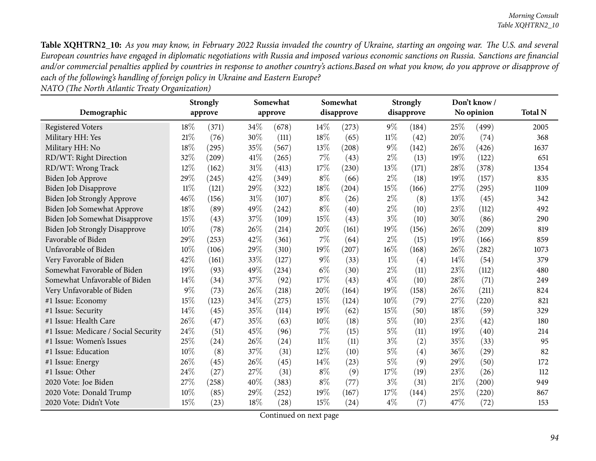| Demographic                          |        | <b>Strongly</b><br>approve |      | Somewhat<br>approve |        | Somewhat<br>disapprove |        | <b>Strongly</b><br>disapprove |        | Don't know/<br>No opinion | <b>Total N</b> |
|--------------------------------------|--------|----------------------------|------|---------------------|--------|------------------------|--------|-------------------------------|--------|---------------------------|----------------|
|                                      | 18%    |                            | 34%  |                     | $14\%$ |                        | $9\%$  |                               | 25\%   | (499)                     | 2005           |
| <b>Registered Voters</b>             |        | (371)                      |      | (678)               |        | (273)                  |        | (184)                         |        |                           |                |
| Military HH: Yes                     | 21\%   | (76)                       | 30%  | (111)               | 18%    | (65)                   | $11\%$ | (42)                          | 20%    | (74)                      | 368            |
| Military HH: No                      | 18%    | (295)                      | 35%  | (567)               | 13\%   | (208)                  | $9\%$  | (142)                         | 26%    | (426)                     | 1637           |
| RD/WT: Right Direction               | 32%    | (209)                      | 41\% | (265)               | $7\%$  | (43)                   | $2\%$  | (13)                          | 19%    | (122)                     | 651            |
| RD/WT: Wrong Track                   | 12%    | (162)                      | 31%  | (413)               | 17%    | (230)                  | 13%    | (171)                         | 28%    | (378)                     | 1354           |
| Biden Job Approve                    | 29%    | (245)                      | 42%  | (349)               | $8\%$  | (66)                   | $2\%$  | (18)                          | 19%    | (157)                     | 835            |
| Biden Job Disapprove                 | $11\%$ | (121)                      | 29%  | (322)               | 18%    | (204)                  | 15%    | (166)                         | 27%    | (295)                     | 1109           |
| <b>Biden Job Strongly Approve</b>    | 46%    | (156)                      | 31%  | (107)               | $8\%$  | (26)                   | $2\%$  | (8)                           | 13%    | (45)                      | 342            |
| Biden Job Somewhat Approve           | 18%    | (89)                       | 49%  | (242)               | $8\%$  | (40)                   | $2\%$  | (10)                          | 23%    | (112)                     | 492            |
| Biden Job Somewhat Disapprove        | 15%    | (43)                       | 37%  | (109)               | 15%    | (43)                   | $3\%$  | (10)                          | 30%    | (86)                      | 290            |
| <b>Biden Job Strongly Disapprove</b> | 10%    | (78)                       | 26%  | (214)               | 20%    | (161)                  | 19%    | (156)                         | 26%    | (209)                     | 819            |
| Favorable of Biden                   | 29%    | (253)                      | 42%  | (361)               | $7\%$  | (64)                   | $2\%$  | (15)                          | 19%    | (166)                     | 859            |
| Unfavorable of Biden                 | 10%    | (106)                      | 29%  | (310)               | 19%    | (207)                  | 16%    | (168)                         | 26%    | (282)                     | 1073           |
| Very Favorable of Biden              | 42%    | (161)                      | 33%  | (127)               | $9\%$  | (33)                   | $1\%$  | (4)                           | 14%    | (54)                      | 379            |
| Somewhat Favorable of Biden          | 19%    | (93)                       | 49%  | (234)               | $6\%$  | (30)                   | $2\%$  | (11)                          | 23%    | (112)                     | 480            |
| Somewhat Unfavorable of Biden        | 14%    | (34)                       | 37%  | (92)                | 17%    | (43)                   | $4\%$  | (10)                          | 28%    | (71)                      | 249            |
| Very Unfavorable of Biden            | $9\%$  | (73)                       | 26%  | (218)               | 20%    | (164)                  | 19%    | (158)                         | 26%    | (211)                     | 824            |
| #1 Issue: Economy                    | 15%    | (123)                      | 34%  | (275)               | 15%    | (124)                  | 10%    | (79)                          | 27%    | (220)                     | 821            |
| #1 Issue: Security                   | 14%    | (45)                       | 35%  | (114)               | 19%    | (62)                   | 15%    | (50)                          | 18%    | (59)                      | 329            |
| #1 Issue: Health Care                | 26%    | (47)                       | 35%  | (63)                | $10\%$ | (18)                   | $5\%$  | (10)                          | 23%    | (42)                      | 180            |
| #1 Issue: Medicare / Social Security | 24%    | (51)                       | 45%  | (96)                | $7\%$  | (15)                   | $5\%$  | (11)                          | 19%    | (40)                      | 214            |
| #1 Issue: Women's Issues             | 25%    | (24)                       | 26%  | (24)                | $11\%$ | (11)                   | $3\%$  | (2)                           | 35%    | (33)                      | 95             |
| #1 Issue: Education                  | 10%    | (8)                        | 37%  | (31)                | 12%    | (10)                   | $5\%$  | (4)                           | 36%    | (29)                      | 82             |
| #1 Issue: Energy                     | 26%    | (45)                       | 26%  | (45)                | $14\%$ | (23)                   | $5\%$  | (9)                           | 29%    | (50)                      | 172            |
| #1 Issue: Other                      | 24%    | (27)                       | 27%  | (31)                | $8\%$  | (9)                    | 17%    | (19)                          | 23%    | (26)                      | 112            |
| 2020 Vote: Joe Biden                 | 27%    | (258)                      | 40%  | (383)               | $8\%$  | (77)                   | $3\%$  | (31)                          | $21\%$ | (200)                     | 949            |
| 2020 Vote: Donald Trump              | 10%    | (85)                       | 29%  | (252)               | 19%    | (167)                  | 17%    | (144)                         | 25%    | (220)                     | 867            |
| 2020 Vote: Didn't Vote               | 15%    | (23)                       | 18%  | (28)                | 15%    | (24)                   | $4\%$  | (7)                           | 47%    | (72)                      | 153            |

*NATO (The North Atlantic Treaty Organization)*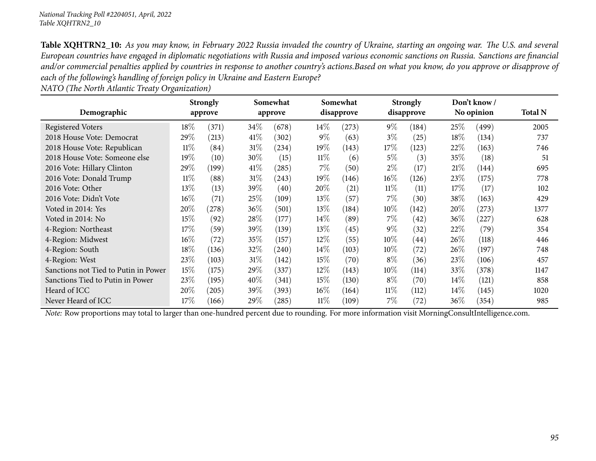|                                      |        | <b>Strongly</b> |        | Somewhat |        | Somewhat   |        | <b>Strongly</b> |        | Don't know / |                |
|--------------------------------------|--------|-----------------|--------|----------|--------|------------|--------|-----------------|--------|--------------|----------------|
| Demographic                          |        | approve         |        | approve  |        | disapprove |        | disapprove      |        | No opinion   | <b>Total N</b> |
| <b>Registered Voters</b>             | $18\%$ | (371)           | $34\%$ | (678)    | $14\%$ | (273)      | $9\%$  | (184)           | 25%    | (499)        | 2005           |
| 2018 House Vote: Democrat            | 29%    | (213)           | 41%    | (302)    | $9\%$  | (63)       | $3\%$  | (25)            | $18\%$ | (134)        | 737            |
| 2018 House Vote: Republican          | $11\%$ | (84)            | 31%    | (234)    | 19%    | (143)      | 17%    | (123)           | 22%    | (163)        | 746            |
| 2018 House Vote: Someone else        | $19\%$ | (10)            | $30\%$ | (15)     | 11%    | (6)        | $5\%$  | (3)             | 35%    | (18)         | 51             |
| 2016 Vote: Hillary Clinton           | 29\%   | (199)           | 41%    | (285)    | $7\%$  | (50)       | $2\%$  | (17)            | 21%    | (144)        | 695            |
| 2016 Vote: Donald Trump              | $11\%$ | (88)            | 31%    | (243)    | $19\%$ | (146)      | $16\%$ | (126)           | 23\%   | (175)        | 778            |
| 2016 Vote: Other                     | $13\%$ | (13)            | $39\%$ | (40)     | 20%    | (21)       | $11\%$ | (11)            | 17%    | (17)         | 102            |
| 2016 Vote: Didn't Vote               | $16\%$ | (71)            | 25%    | (109)    | 13%    | (57)       | $7\%$  | (30)            | 38\%   | (163)        | 429            |
| Voted in 2014: Yes                   | 20%    | (278)           | $36\%$ | (501)    | $13\%$ | (184)      | $10\%$ | (142)           | $20\%$ | $^{'}273)$   | 1377           |
| Voted in 2014: No                    | $15\%$ | (92)            | 28\%   | (177)    | $14\%$ | (89)       | $7\%$  | (42)            | 36\%   | (227)        | 628            |
| 4-Region: Northeast                  | $17\%$ | (59)            | $39\%$ | (139)    | 13%    | (45)       | $9\%$  | (32)            | 22%    | (79)         | 354            |
| 4-Region: Midwest                    | $16\%$ | (72)            | $35\%$ | (157)    | $12\%$ | (55)       | $10\%$ | (44)            | $26\%$ | (118)        | 446            |
| 4-Region: South                      | $18\%$ | (136)           | 32\%   | (240)    | $14\%$ | (103)      | $10\%$ | (72)            | $26\%$ | (197)        | 748            |
| 4-Region: West                       | 23\%   | (103)           | 31%    | (142)    | $15\%$ | (70)       | $8\%$  | (36)            | 23\%   | (106)        | 457            |
| Sanctions not Tied to Putin in Power | 15%    | (175)           | 29\%   | (337)    | 12\%   | (143)      | $10\%$ | (114)           | 33\%   | (378)        | 1147           |
| Sanctions Tied to Putin in Power     | 23\%   | (195)           | $40\%$ | (341)    | 15%    | (130)      | $8\%$  | (70)            | $14\%$ | (121)        | 858            |
| Heard of ICC                         | 20%    | (205)           | $39\%$ | (393)    | $16\%$ | (164)      | $11\%$ | (112)           | 14%    | (145)        | 1020           |
| Never Heard of ICC                   | $17\%$ | (166)           | $29\%$ | (285)    | 11%    | (109)      | 7%     | (72)            | 36%    | (354)        | 985            |

*NATO (The North Atlantic Treaty Organization)*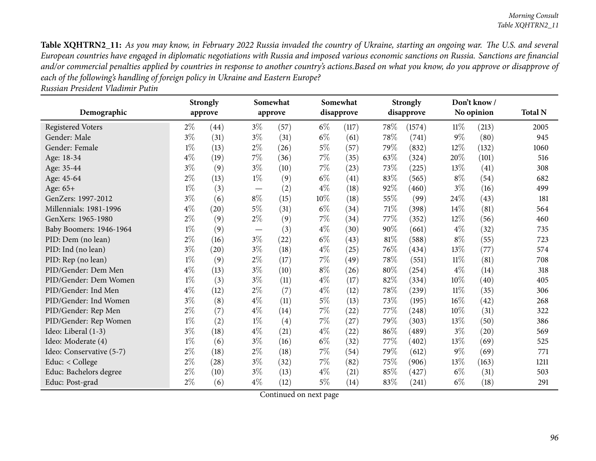| sian Presiaent viaaimir Putin |       |                            |       |                     |       |                        |                              |      |  |
|-------------------------------|-------|----------------------------|-------|---------------------|-------|------------------------|------------------------------|------|--|
| Demographic                   |       | <b>Strongly</b><br>approve |       | Somewhat<br>approve |       | Somewhat<br>disapprove | <b>Strongly</b><br>disapprov |      |  |
| gistered Voters               | $2\%$ | (44)                       | $3\%$ | (57)                | $6\%$ | (117)                  | 78%                          | 1574 |  |
| nder: Male                    | $3\%$ | (31)                       | $3\%$ | (31)                | $6\%$ | (61)                   | 78\%                         | (74  |  |
| nder: Female                  | $1\%$ | (13)                       | $2\%$ | (26)                | $5\%$ | (57)                   | 79%                          | 832  |  |
| e: 18-34                      | $4\%$ | (19)                       | $7\%$ | (36)                | $7\%$ | (35)                   | 63\%                         | 324  |  |
| e: 35-44                      | $3\%$ | $\left( 9\right)$          | $3\%$ | (10)                | 7%    | (23)                   | 73\%                         | 225  |  |
| e: 45-64                      | $2\%$ | (13)                       | $1\%$ | (9)                 | $6\%$ | (41)                   | 83%                          | 565  |  |
| e: 65+                        | $1\%$ | (3)                        |       | (2)                 | $4\%$ | $^{'}18)$              | 92%                          | 460  |  |
|                               |       |                            |       |                     |       |                        |                              |      |  |

*Russian President Vladimir Putin*

|                          |       | <b>Strongly</b> |                   | Somewhat |       | Somewhat           |        | <b>Strongly</b> |        | Don't know/ |                |
|--------------------------|-------|-----------------|-------------------|----------|-------|--------------------|--------|-----------------|--------|-------------|----------------|
| Demographic              |       | approve         |                   | approve  |       | disapprove         |        | disapprove      |        | No opinion  | <b>Total N</b> |
| <b>Registered Voters</b> | $2\%$ | (44)            | $3\%$             | (57)     | $6\%$ | (117)              | 78\%   | (1574)          | $11\%$ | (213)       | 2005           |
| Gender: Male             | $3\%$ | (31)            | $3\%$             | (31)     | $6\%$ | (61)               | 78%    | (741)           | $9\%$  | (80)        | 945            |
| Gender: Female           | $1\%$ | (13)            | $2\%$             | (26)     | $5\%$ | (57)               | 79%    | (832)           | 12\%   | (132)       | 1060           |
| Age: 18-34               | $4\%$ | (19)            | 7%                | (36)     | 7%    | (35)               | 63%    | (324)           | 20%    | (101)       | 516            |
| Age: 35-44               | $3\%$ | (9)             | $3\%$             | (10)     | $7\%$ | (23)               | 73%    | (225)           | 13%    | (41)        | 308            |
| Age: 45-64               | $2\%$ | (13)            | $1\%$             | (9)      | $6\%$ | (41)               | 83%    | (565)           | $8\%$  | (54)        | 682            |
| Age: 65+                 | $1\%$ | (3)             | $\qquad \qquad -$ | (2)      | $4\%$ | (18)               | 92%    | (460)           | $3\%$  | (16)        | 499            |
| GenZers: 1997-2012       | $3\%$ | (6)             | $8\%$             | (15)     | 10%   | (18)               | 55%    | (99)            | 24\%   | (43)        | 181            |
| Millennials: 1981-1996   | $4\%$ | (20)            | $5\%$             | (31)     | $6\%$ | (34)               | 71\%   | (398)           | $14\%$ | (81)        | 564            |
| GenXers: 1965-1980       | $2\%$ | (9)             | $2\%$             | (9)      | 7%    | (34)               | 77\%   | (352)           | 12\%   | (56)        | 460            |
| Baby Boomers: 1946-1964  | $1\%$ | (9)             |                   | (3)      | $4\%$ | (30)               | 90%    | (661)           | $4\%$  | (32)        | 735            |
| PID: Dem (no lean)       | $2\%$ | (16)            | $3\%$             | (22)     | $6\%$ | (43)               | $81\%$ | (588)           | $8\%$  | (55)        | 723            |
| PID: Ind (no lean)       | $3\%$ | (20)            | $3\%$             | (18)     | $4\%$ | (25)               | 76%    | (434)           | 13\%   | (77)        | 574            |
| PID: Rep (no lean)       | $1\%$ | (9)             | $2\%$             | (17)     | $7\%$ | (49)               | 78%    | (551)           | $11\%$ | (81)        | 708            |
| PID/Gender: Dem Men      | $4\%$ | (13)            | $3\%$             | (10)     | $8\%$ | (26)               | 80%    | (254)           | $4\%$  | (14)        | 318            |
| PID/Gender: Dem Women    | $1\%$ | (3)             | $3\%$             | (11)     | $4\%$ | (17)               | 82%    | (334)           | 10%    | (40)        | 405            |
| PID/Gender: Ind Men      | $4\%$ | (12)            | $2\%$             | (7)      | $4\%$ | (12)               | 78\%   | (239)           | 11%    | (35)        | 306            |
| PID/Gender: Ind Women    | $3\%$ | (8)             | $4\%$             | (11)     | $5\%$ | (13)               | 73%    | (195)           | $16\%$ | (42)        | 268            |
| PID/Gender: Rep Men      | $2\%$ | (7)             | $4\%$             | (14)     | $7\%$ | (22)               | 77\%   | (248)           | 10%    | (31)        | 322            |
| PID/Gender: Rep Women    | $1\%$ | (2)             | $1\%$             | (4)      | 7%    | (27)               | 79%    | (303)           | 13%    | (50)        | 386            |
| Ideo: Liberal (1-3)      | $3\%$ | (18)            | $4\%$             | (21)     | $4\%$ | $\left( 22\right)$ | 86%    | (489)           | $3\%$  | (20)        | 569            |
| Ideo: Moderate (4)       | $1\%$ | (6)             | $3\%$             | (16)     | $6\%$ | (32)               | 77%    | (402)           | 13\%   | (69)        | 525            |
| Ideo: Conservative (5-7) | $2\%$ | (18)            | $2\%$             | (18)     | $7\%$ | (54)               | 79%    | (612)           | $9\%$  | (69)        | 771            |
| Educ: < College          | $2\%$ | (28)            | $3\%$             | (32)     | $7\%$ | (82)               | 75\%   | (906)           | 13\%   | (163)       | 1211           |
| Educ: Bachelors degree   | $2\%$ | (10)            | $3\%$             | (13)     | $4\%$ | (21)               | 85%    | (427)           | $6\%$  | (31)        | 503            |
| Educ: Post-grad          | $2\%$ | (6)             | $4\%$             | (12)     | $5\%$ | (14)               | 83%    | (241)           | $6\%$  | (18)        | 291            |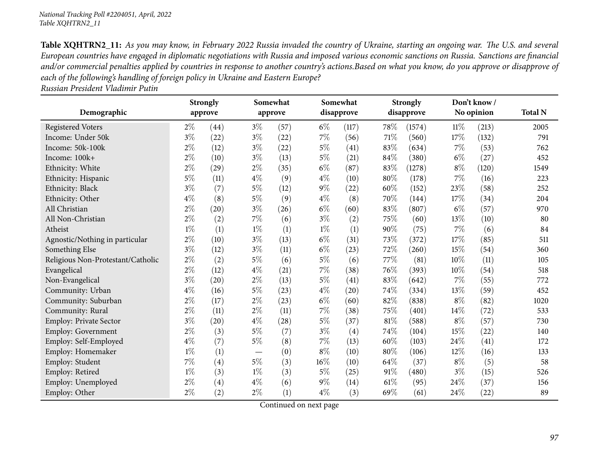*Russian President Vladimir Putin*

|                                   |       | <b>Strongly</b>   |       | Somewhat           |       | Somewhat   |      | <b>Strongly</b> |        | Don't know/ |                |
|-----------------------------------|-------|-------------------|-------|--------------------|-------|------------|------|-----------------|--------|-------------|----------------|
| Demographic                       |       | approve           |       | approve            |       | disapprove |      | disapprove      |        | No opinion  | <b>Total N</b> |
| <b>Registered Voters</b>          | $2\%$ | (44)              | $3\%$ | (57)               | $6\%$ | (117)      | 78\% | (1574)          | $11\%$ | (213)       | 2005           |
| Income: Under 50k                 | $3\%$ | (22)              | $3\%$ | (22)               | 7%    | (56)       | 71%  | (560)           | 17%    | (132)       | 791            |
| Income: 50k-100k                  | $2\%$ | (12)              | $3\%$ | (22)               | $5\%$ | (41)       | 83%  | (634)           | $7\%$  | (53)        | 762            |
| Income: 100k+                     | $2\%$ | (10)              | $3\%$ | (13)               | $5\%$ | (21)       | 84%  | (380)           | $6\%$  | (27)        | 452            |
| Ethnicity: White                  | $2\%$ | (29)              | $2\%$ | (35)               | $6\%$ | (87)       | 83%  | (1278)          | $8\%$  | (120)       | 1549           |
| Ethnicity: Hispanic               | $5\%$ | (11)              | $4\%$ | (9)                | $4\%$ | (10)       | 80%  | (178)           | $7\%$  | (16)        | 223            |
| Ethnicity: Black                  | $3\%$ | (7)               | $5\%$ | (12)               | $9\%$ | (22)       | 60%  | (152)           | 23%    | (58)        | 252            |
| Ethnicity: Other                  | $4\%$ | (8)               | 5%    | (9)                | $4\%$ | (8)        | 70%  | (144)           | 17%    | (34)        | 204            |
| All Christian                     | $2\%$ | (20)              | $3\%$ | (26)               | $6\%$ | (60)       | 83%  | (807)           | $6\%$  | (57)        | 970            |
| All Non-Christian                 | $2\%$ | (2)               | $7\%$ | (6)                | $3\%$ | (2)        | 75%  | (60)            | 13\%   | (10)        | 80             |
| Atheist                           | $1\%$ | (1)               | $1\%$ | (1)                | $1\%$ | (1)        | 90%  | (75)            | $7\%$  | (6)         | 84             |
| Agnostic/Nothing in particular    | $2\%$ | (10)              | $3\%$ | (13)               | $6\%$ | (31)       | 73%  | (372)           | 17%    | (85)        | 511            |
| Something Else                    | $3\%$ | (12)              | $3\%$ | (11)               | $6\%$ | (23)       | 72%  | (260)           | 15%    | (54)        | 360            |
| Religious Non-Protestant/Catholic | $2\%$ | (2)               | $5\%$ | (6)                | $5\%$ | (6)        | 77%  | (81)            | 10%    | (11)        | 105            |
| Evangelical                       | $2\%$ | (12)              | $4\%$ | (21)               | 7%    | (38)       | 76%  | (393)           | 10%    | (54)        | 518            |
| Non-Evangelical                   | $3\%$ | (20)              | $2\%$ | (13)               | 5%    | (41)       | 83%  | (642)           | $7\%$  | (55)        | 772            |
| Community: Urban                  | $4\%$ | (16)              | $5\%$ | (23)               | $4\%$ | (20)       | 74\% | (334)           | 13%    | (59)        | 452            |
| Community: Suburban               | $2\%$ | (17)              | $2\%$ | (23)               | $6\%$ | (60)       | 82%  | (838)           | $8\%$  | (82)        | 1020           |
| Community: Rural                  | $2\%$ | (11)              | $2\%$ | (11)               | 7%    | (38)       | 75%  | (401)           | 14%    | (72)        | 533            |
| <b>Employ: Private Sector</b>     | $3\%$ | (20)              | $4\%$ | $\left( 28\right)$ | $5\%$ | (37)       | 81%  | (588)           | $8\%$  | (57)        | 730            |
| Employ: Government                | $2\%$ | (3)               | $5\%$ | (7)                | $3\%$ | (4)        | 74%  | (104)           | 15%    | (22)        | 140            |
| Employ: Self-Employed             | $4\%$ | (7)               | $5\%$ | (8)                | 7%    | (13)       | 60%  | (103)           | 24\%   | (41)        | 172            |
| Employ: Homemaker                 | $1\%$ | (1)               |       | (0)                | $8\%$ | (10)       | 80%  | (106)           | 12%    | (16)        | 133            |
| Employ: Student                   | $7\%$ | $\left( 4\right)$ | $5\%$ | (3)                | 16%   | (10)       | 64%  | (37)            | $8\%$  | (5)         | 58             |
| Employ: Retired                   | $1\%$ | (3)               | $1\%$ | (3)                | $5\%$ | (25)       | 91%  | (480)           | $3\%$  | (15)        | 526            |
| Employ: Unemployed                | $2\%$ | $\left( 4\right)$ | $4\%$ | (6)                | $9\%$ | (14)       | 61\% | (95)            | 24%    | (37)        | 156            |
| Employ: Other                     | $2\%$ | (2)               | $2\%$ | (1)                | $4\%$ | (3)        | 69%  | (61)            | 24%    | (22)        | 89             |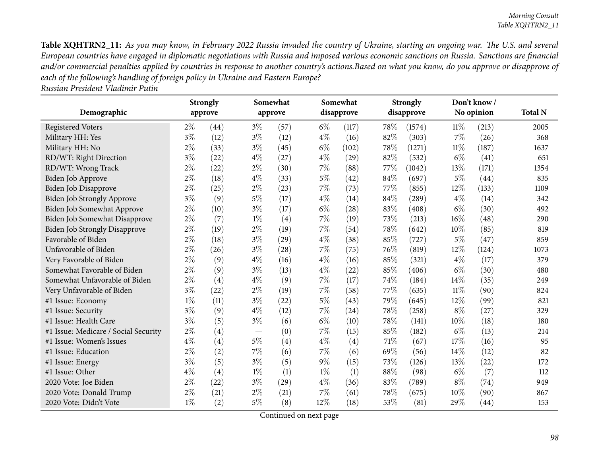|--|

| Demographic                          |       | <b>Strongly</b><br>approve |                                 | Somewhat<br>approve |       | Somewhat<br>disapprove |      | <b>Strongly</b><br>disapprove |        | Don't know/<br>No opinion | <b>Total N</b> |
|--------------------------------------|-------|----------------------------|---------------------------------|---------------------|-------|------------------------|------|-------------------------------|--------|---------------------------|----------------|
| <b>Registered Voters</b>             | $2\%$ | (44)                       | $3\%$                           | (57)                | $6\%$ | (117)                  | 78\% | (1574)                        | $11\%$ | (213)                     | 2005           |
| Military HH: Yes                     | $3\%$ | (12)                       | $3\%$                           | (12)                | $4\%$ | (16)                   | 82%  | (303)                         | 7%     | (26)                      | 368            |
| Military HH: No                      | $2\%$ | (33)                       | $3\%$                           | (45)                | $6\%$ | (102)                  | 78%  | (1271)                        | $11\%$ | (187)                     | 1637           |
| RD/WT: Right Direction               | $3\%$ | (22)                       | $4\%$                           | (27)                | $4\%$ | (29)                   | 82%  | (532)                         | $6\%$  | (41)                      | 651            |
| RD/WT: Wrong Track                   | $2\%$ | (22)                       | $2\%$                           | (30)                | 7%    | (88)                   | 77\% | (1042)                        | 13%    | (171)                     | 1354           |
| Biden Job Approve                    | $2\%$ | (18)                       | $4\%$                           | (33)                | $5\%$ | (42)                   | 84%  | (697)                         | $5\%$  | (44)                      | 835            |
| Biden Job Disapprove                 | $2\%$ | (25)                       | $2\%$                           | (23)                | 7%    | (73)                   | 77%  | (855)                         | 12%    | (133)                     | 1109           |
| Biden Job Strongly Approve           | $3\%$ | (9)                        | $5\%$                           | (17)                | $4\%$ | (14)                   | 84%  | (289)                         | $4\%$  | (14)                      | 342            |
| Biden Job Somewhat Approve           | $2\%$ | (10)                       | $3\%$                           | (17)                | $6\%$ | (28)                   | 83%  | (408)                         | $6\%$  | (30)                      | 492            |
| Biden Job Somewhat Disapprove        | $2\%$ | (7)                        | $1\%$                           | (4)                 | $7\%$ | (19)                   | 73%  | (213)                         | $16\%$ | (48)                      | 290            |
| <b>Biden Job Strongly Disapprove</b> | $2\%$ | (19)                       | $2\%$                           | (19)                | $7\%$ | (54)                   | 78%  | (642)                         | 10%    | (85)                      | 819            |
| Favorable of Biden                   | $2\%$ | (18)                       | $3\%$                           | (29)                | $4\%$ | (38)                   | 85%  | (727)                         | 5%     | (47)                      | 859            |
| Unfavorable of Biden                 | $2\%$ | (26)                       | $3\%$                           | (28)                | 7%    | (75)                   | 76%  | (819)                         | 12%    | (124)                     | 1073           |
| Very Favorable of Biden              | $2\%$ | (9)                        | $4\%$                           | (16)                | $4\%$ | (16)                   | 85%  | (321)                         | $4\%$  | (17)                      | 379            |
| Somewhat Favorable of Biden          | $2\%$ | (9)                        | $3\%$                           | (13)                | $4\%$ | (22)                   | 85%  | (406)                         | $6\%$  | (30)                      | 480            |
| Somewhat Unfavorable of Biden        | $2\%$ | (4)                        | $4\%$                           | (9)                 | 7%    | (17)                   | 74%  | (184)                         | 14%    | (35)                      | 249            |
| Very Unfavorable of Biden            | $3\%$ | (22)                       | $2\%$                           | (19)                | $7\%$ | (58)                   | 77%  | (635)                         | $11\%$ | (90)                      | 824            |
| #1 Issue: Economy                    | $1\%$ | (11)                       | $3\%$                           | (22)                | $5\%$ | (43)                   | 79%  | (645)                         | 12%    | (99)                      | 821            |
| #1 Issue: Security                   | $3\%$ | (9)                        | $4\%$                           | (12)                | $7\%$ | (24)                   | 78%  | (258)                         | $8\%$  | (27)                      | 329            |
| #1 Issue: Health Care                | $3\%$ | (5)                        | $3\%$                           | (6)                 | $6\%$ | (10)                   | 78%  | (141)                         | 10%    | (18)                      | 180            |
| #1 Issue: Medicare / Social Security | $2\%$ | (4)                        | $\hspace{0.1mm}-\hspace{0.1mm}$ | (0)                 | 7%    | (15)                   | 85%  | (182)                         | $6\%$  | (13)                      | 214            |
| #1 Issue: Women's Issues             | $4\%$ | (4)                        | $5\%$                           | (4)                 | $4\%$ | (4)                    | 71%  | (67)                          | 17%    | (16)                      | 95             |
| #1 Issue: Education                  | $2\%$ | (2)                        | $7\%$                           | (6)                 | 7%    | (6)                    | 69%  | (56)                          | 14\%   | (12)                      | 82             |
| #1 Issue: Energy                     | $3\%$ | (5)                        | $3\%$                           | (5)                 | $9\%$ | (15)                   | 73%  | (126)                         | 13\%   | (22)                      | 172            |
| #1 Issue: Other                      | $4\%$ | (4)                        | $1\%$                           | (1)                 | $1\%$ | (1)                    | 88%  | (98)                          | $6\%$  | (7)                       | 112            |
| 2020 Vote: Joe Biden                 | $2\%$ | (22)                       | $3\%$                           | (29)                | $4\%$ | (36)                   | 83%  | (789)                         | $8\%$  | (74)                      | 949            |
| 2020 Vote: Donald Trump              | $2\%$ | (21)                       | $2\%$                           | (21)                | $7\%$ | (61)                   | 78%  | (675)                         | 10%    | (90)                      | 867            |
| 2020 Vote: Didn't Vote               | $1\%$ | (2)                        | $5\%$                           | (8)                 | 12%   | (18)                   | 53%  | (81)                          | 29%    | (44)                      | 153            |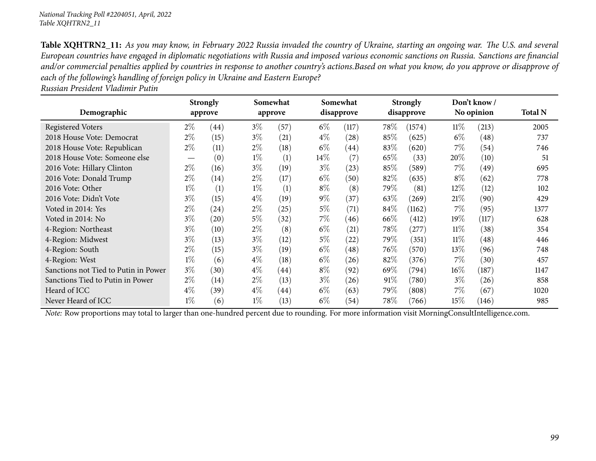|                                      |       | <b>Strongly</b> |       | Somewhat           |        | Somewhat          |        | <b>Strongly</b>     |        | Don't know / |                |
|--------------------------------------|-------|-----------------|-------|--------------------|--------|-------------------|--------|---------------------|--------|--------------|----------------|
| Demographic                          |       | approve         |       | approve            |        | disapprove        |        | disapprove          |        | No opinion   | <b>Total N</b> |
| <b>Registered Voters</b>             | $2\%$ | (44)            | $3\%$ | (57)               | $6\%$  | (117)             | $78\%$ | (1574)              | $11\%$ | (213)        | 2005           |
| 2018 House Vote: Democrat            | $2\%$ | (15)            | $3\%$ | (21)               | $4\%$  | (28)              | 85%    | (625)               | $6\%$  | (48)         | 737            |
| 2018 House Vote: Republican          | $2\%$ | (11)            | $2\%$ | (18)               | $6\%$  | $\left(44\right)$ | 83\%   | (620)               | $7\%$  | (54)         | 746            |
| 2018 House Vote: Someone else        |       | (0)             | $1\%$ | (1)                | $14\%$ | (7)               | 65\%   | (33)                | 20%    | (10)         | 51             |
| 2016 Vote: Hillary Clinton           | $2\%$ | (16)            | $3\%$ | (19)               | $3\%$  | (23)              | 85%    | (589)               | 7%     | (49)         | 695            |
| 2016 Vote: Donald Trump              | $2\%$ | (14)            | $2\%$ | (17)               | $6\%$  | (50)              | 82\%   | (635)               | $8\%$  | (62)         | 778            |
| 2016 Vote: Other                     | $1\%$ | (1)             | $1\%$ | (1)                | $8\%$  | (8)               | 79\%   | (81)                | $12\%$ | (12)         | 102            |
| 2016 Vote: Didn't Vote               | $3\%$ | (15)            | $4\%$ | (19)               | $9\%$  | (37)              | 63\%   | (269)               | $21\%$ | (90)         | 429            |
| Voted in 2014: Yes                   | $2\%$ | (24)            | $2\%$ | (25)               | $5\%$  | (71)              | 84\%   | (1162)              | $7\%$  | (95)         | 1377           |
| Voted in 2014: No                    | $3\%$ | (20)            | 5%    | (32)               | $7\%$  | (46)              | 66\%   | (412)               | 19%    | (117)        | 628            |
| 4-Region: Northeast                  | $3\%$ | (10)            | $2\%$ | (8)                | $6\%$  | (21)              | $78\%$ | 277                 | $11\%$ | (38)         | 354            |
| 4-Region: Midwest                    | $3\%$ | (13)            | $3\%$ | (12)               | $5\%$  | (22)              | 79\%   | (351)               | $11\%$ | (48)         | 446            |
| 4-Region: South                      | $2\%$ | (15)            | $3\%$ | (19`               | $6\%$  | (48)              | $76\%$ | (570)               | $13\%$ | (96)         | 748            |
| 4-Region: West                       | $1\%$ | (6)             | $4\%$ | (18)               | $6\%$  | (26)              | 82\%   | (376)               | $7\%$  | (30)         | 457            |
| Sanctions not Tied to Putin in Power | $3\%$ | (30)            | $4\%$ | $\left( 44\right)$ | $8\%$  | (92)              | 69\%   | (794)               | $16\%$ | (187)        | 1147           |
| Sanctions Tied to Putin in Power     | $2\%$ | (14)            | $2\%$ | (13)               | $3\%$  | (26)              | 91%    | (780)               | $3\%$  | (26)         | 858            |
| Heard of ICC                         | $4\%$ | (39)            | $4\%$ | $\left( 44\right)$ | $6\%$  | (63)              | 79\%   | $\left( 808\right)$ | 7%     | (67)         | 1020           |
| Never Heard of ICC                   | $1\%$ | (6)             | $1\%$ | (13)               | $6\%$  | (54)              | $78\%$ | (766)               | $15\%$ | (146)        | 985            |

*Russian President Vladimir Putin*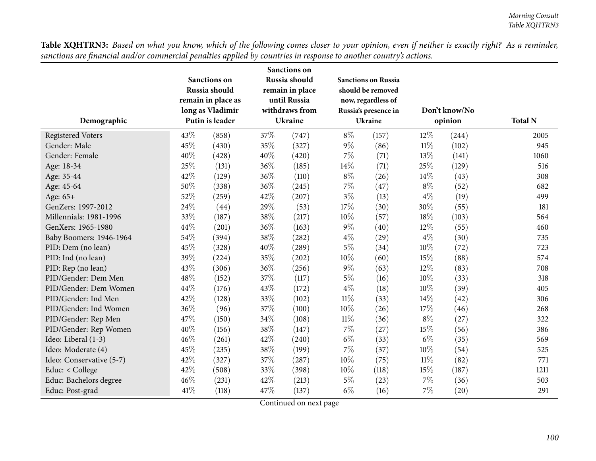| Demographic              |      | <b>Sanctions on</b><br>Russia should<br>remain in place as<br>long as Vladimir<br>Putin is leader |     | <b>Sanctions on</b><br>Russia should<br>remain in place<br>until Russia<br>withdraws from<br>Ukraine |        | <b>Sanctions on Russia</b><br>should be removed<br>now, regardless of<br>Russia's presence in<br>Ukraine |        | Don't know/No<br>opinion | <b>Total N</b> |
|--------------------------|------|---------------------------------------------------------------------------------------------------|-----|------------------------------------------------------------------------------------------------------|--------|----------------------------------------------------------------------------------------------------------|--------|--------------------------|----------------|
| <b>Registered Voters</b> | 43%  | (858)                                                                                             | 37% | (747)                                                                                                | $8\%$  | (157)                                                                                                    | 12%    | (244)                    | 2005           |
| Gender: Male             | 45%  | (430)                                                                                             | 35% | (327)                                                                                                | $9\%$  | (86)                                                                                                     | $11\%$ | (102)                    | 945            |
| Gender: Female           | 40%  | (428)                                                                                             | 40% | (420)                                                                                                | 7%     | (71)                                                                                                     | 13%    | (141)                    | 1060           |
| Age: 18-34               | 25%  | (131)                                                                                             | 36% | (185)                                                                                                | 14%    | (71)                                                                                                     | 25%    | (129)                    | 516            |
| Age: 35-44               | 42%  | (129)                                                                                             | 36% | (110)                                                                                                | $8\%$  | (26)                                                                                                     | 14%    | (43)                     | 308            |
| Age: 45-64               | 50%  | (338)                                                                                             | 36% | (245)                                                                                                | 7%     | (47)                                                                                                     | $8\%$  | (52)                     | 682            |
| Age: 65+                 | 52%  | (259)                                                                                             | 42% | (207)                                                                                                | $3\%$  | (13)                                                                                                     | $4\%$  | (19)                     | 499            |
| GenZers: 1997-2012       | 24%  | (44)                                                                                              | 29% | (53)                                                                                                 | 17%    | (30)                                                                                                     | 30%    | (55)                     | 181            |
| Millennials: 1981-1996   | 33%  | (187)                                                                                             | 38% | (217)                                                                                                | 10%    | (57)                                                                                                     | 18%    | (103)                    | 564            |
| GenXers: 1965-1980       | 44%  | (201)                                                                                             | 36% | (163)                                                                                                | $9\%$  | (40)                                                                                                     | 12%    | (55)                     | 460            |
| Baby Boomers: 1946-1964  | 54%  | (394)                                                                                             | 38% | (282)                                                                                                | $4\%$  | (29)                                                                                                     | $4\%$  | (30)                     | 735            |
| PID: Dem (no lean)       | 45%  | (328)                                                                                             | 40% | (289)                                                                                                | $5\%$  | (34)                                                                                                     | 10%    | (72)                     | 723            |
| PID: Ind (no lean)       | 39%  | (224)                                                                                             | 35% | (202)                                                                                                | 10%    | (60)                                                                                                     | 15%    | (88)                     | 574            |
| PID: Rep (no lean)       | 43%  | (306)                                                                                             | 36% | (256)                                                                                                | $9\%$  | (63)                                                                                                     | 12%    | (83)                     | 708            |
| PID/Gender: Dem Men      | 48%  | (152)                                                                                             | 37% | (117)                                                                                                | $5\%$  | (16)                                                                                                     | 10%    | (33)                     | 318            |
| PID/Gender: Dem Women    | 44\% | (176)                                                                                             | 43% | (172)                                                                                                | $4\%$  | (18)                                                                                                     | 10%    | (39)                     | 405            |
| PID/Gender: Ind Men      | 42%  | (128)                                                                                             | 33% | (102)                                                                                                | $11\%$ | (33)                                                                                                     | 14%    | (42)                     | 306            |
| PID/Gender: Ind Women    | 36%  | (96)                                                                                              | 37% | (100)                                                                                                | 10%    | (26)                                                                                                     | 17%    | (46)                     | 268            |
| PID/Gender: Rep Men      | 47%  | (150)                                                                                             | 34% | (108)                                                                                                | $11\%$ | (36)                                                                                                     | $8\%$  | (27)                     | 322            |
| PID/Gender: Rep Women    | 40%  | (156)                                                                                             | 38% | (147)                                                                                                | 7%     | (27)                                                                                                     | 15%    | (56)                     | 386            |
| Ideo: Liberal (1-3)      | 46%  | (261)                                                                                             | 42% | (240)                                                                                                | $6\%$  | (33)                                                                                                     | $6\%$  | (35)                     | 569            |
| Ideo: Moderate (4)       | 45%  | (235)                                                                                             | 38% | (199)                                                                                                | $7\%$  | (37)                                                                                                     | 10%    | (54)                     | 525            |
| Ideo: Conservative (5-7) | 42%  | (327)                                                                                             | 37% | (287)                                                                                                | 10%    | (75)                                                                                                     | $11\%$ | (82)                     | 771            |
| Educ: < College          | 42%  | (508)                                                                                             | 33% | (398)                                                                                                | $10\%$ | (118)                                                                                                    | 15%    | (187)                    | 1211           |
| Educ: Bachelors degree   | 46%  | (231)                                                                                             | 42% | (213)                                                                                                | $5\%$  | (23)                                                                                                     | 7%     | (36)                     | 503            |
| Educ: Post-grad          | 41\% | (118)                                                                                             | 47% | (137)                                                                                                | $6\%$  | (16)                                                                                                     | 7%     | (20)                     | 291            |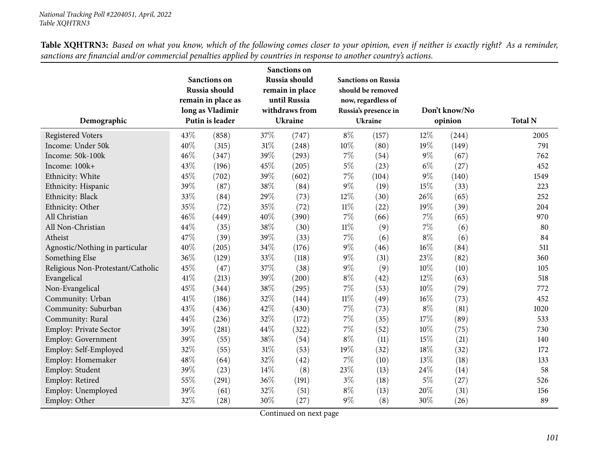| Demographic                       |     | <b>Sanctions</b> on<br>Russia should<br>remain in place as<br>long as Vladimir<br>Putin is leader |     | <b>Sanctions on</b><br>Russia should<br>remain in place<br>until Russia<br>withdraws from<br><b>Ukraine</b> |        | <b>Sanctions on Russia</b><br>should be removed<br>now, regardless of<br>Russia's presence in<br><b>Ukraine</b> |        | Don't know/No<br>opinion | <b>Total N</b> |
|-----------------------------------|-----|---------------------------------------------------------------------------------------------------|-----|-------------------------------------------------------------------------------------------------------------|--------|-----------------------------------------------------------------------------------------------------------------|--------|--------------------------|----------------|
| <b>Registered Voters</b>          | 43% | (858)                                                                                             | 37% | (747)                                                                                                       | $8\%$  | (157)                                                                                                           | $12\%$ | (244)                    | 2005           |
| Income: Under 50k                 | 40% | (315)                                                                                             | 31% | (248)                                                                                                       | 10%    | (80)                                                                                                            | 19%    | (149)                    | 791            |
| Income: 50k-100k                  | 46% | (347)                                                                                             | 39% | (293)                                                                                                       | 7%     | (54)                                                                                                            | $9\%$  | (67)                     | 762            |
| Income: 100k+                     | 43% | (196)                                                                                             | 45% | (205)                                                                                                       | $5\%$  | (23)                                                                                                            | $6\%$  | (27)                     | 452            |
| Ethnicity: White                  | 45% | (702)                                                                                             | 39% | (602)                                                                                                       | $7\%$  | (104)                                                                                                           | 9%     | (140)                    | 1549           |
| Ethnicity: Hispanic               | 39% | (87)                                                                                              | 38% | (84)                                                                                                        | $9\%$  | (19)                                                                                                            | 15%    | (33)                     | 223            |
| Ethnicity: Black                  | 33% | (84)                                                                                              | 29% | (73)                                                                                                        | 12%    | (30)                                                                                                            | 26%    | (65)                     | 252            |
| Ethnicity: Other                  | 35% | (72)                                                                                              | 35% | (72)                                                                                                        | $11\%$ | (22)                                                                                                            | 19%    | (39)                     | 204            |
| All Christian                     | 46% | (449)                                                                                             | 40% | (390)                                                                                                       | $7\%$  | (66)                                                                                                            | 7%     | (65)                     | 970            |
| All Non-Christian                 | 44% | (35)                                                                                              | 38% | (30)                                                                                                        | $11\%$ | (9)                                                                                                             | 7%     | (6)                      | 80             |
| Atheist                           | 47% | (39)                                                                                              | 39% | (33)                                                                                                        | $7\%$  | (6)                                                                                                             | $8\%$  | (6)                      | 84             |
| Agnostic/Nothing in particular    | 40% | (205)                                                                                             | 34% | (176)                                                                                                       | $9\%$  | (46)                                                                                                            | 16%    | (84)                     | 511            |
| Something Else                    | 36% | (129)                                                                                             | 33% | (118)                                                                                                       | $9\%$  | (31)                                                                                                            | 23%    | (82)                     | 360            |
| Religious Non-Protestant/Catholic | 45% | (47)                                                                                              | 37% | (38)                                                                                                        | $9\%$  | (9)                                                                                                             | 10%    | (10)                     | 105            |
| Evangelical                       | 41% | (213)                                                                                             | 39% | (200)                                                                                                       | $8\%$  | (42)                                                                                                            | 12%    | (63)                     | 518            |
| Non-Evangelical                   | 45% | (344)                                                                                             | 38% | (295)                                                                                                       | 7%     | (53)                                                                                                            | 10%    | (79)                     | 772            |
| Community: Urban                  | 41% | (186)                                                                                             | 32% | (144)                                                                                                       | $11\%$ | (49)                                                                                                            | 16%    | (73)                     | 452            |
| Community: Suburban               | 43% | (436)                                                                                             | 42% | (430)                                                                                                       | $7\%$  | (73)                                                                                                            | $8\%$  | (81)                     | 1020           |
| Community: Rural                  | 44% | (236)                                                                                             | 32% | (172)                                                                                                       | $7\%$  | (35)                                                                                                            | 17%    | (89)                     | 533            |
| <b>Employ: Private Sector</b>     | 39% | (281)                                                                                             | 44% | (322)                                                                                                       | 7%     | (52)                                                                                                            | 10%    | (75)                     | 730            |
| Employ: Government                | 39% | (55)                                                                                              | 38% | (54)                                                                                                        | $8\%$  | (11)                                                                                                            | 15%    | (21)                     | 140            |
| Employ: Self-Employed             | 32% | (55)                                                                                              | 31% | (53)                                                                                                        | 19%    | (32)                                                                                                            | 18%    | (32)                     | 172            |
| Employ: Homemaker                 | 48% | (64)                                                                                              | 32% | (42)                                                                                                        | 7%     | (10)                                                                                                            | 13%    | (18)                     | 133            |
| Employ: Student                   | 39% | (23)                                                                                              | 14% | (8)                                                                                                         | 23%    | (13)                                                                                                            | 24%    | (14)                     | 58             |
| Employ: Retired                   | 55% | (291)                                                                                             | 36% | (191)                                                                                                       | $3\%$  | (18)                                                                                                            | $5\%$  | (27)                     | 526            |
| Employ: Unemployed                | 39% | (61)                                                                                              | 32% | (51)                                                                                                        | $8\%$  | (13)                                                                                                            | 20%    | (31)                     | 156            |
| Employ: Other                     | 32% | (28)                                                                                              | 30% | (27)                                                                                                        | $9\%$  | (8)                                                                                                             | 30%    | (26)                     | 89             |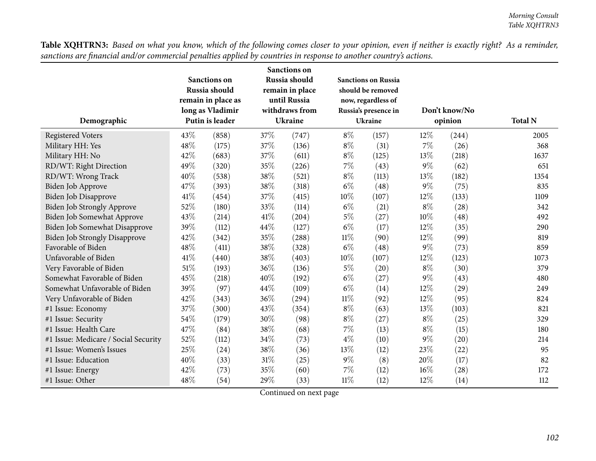| Demographic                          |      | <b>Sanctions on</b><br>Russia should<br>remain in place as<br>long as Vladimir<br>Putin is leader |      | <b>Sanctions</b> on<br>Russia should<br>remain in place<br>until Russia<br>withdraws from<br><b>Ukraine</b> |        | <b>Sanctions on Russia</b><br>should be removed<br>now, regardless of<br>Russia's presence in<br><b>Ukraine</b> |       | Don't know/No<br>opinion | <b>Total N</b> |
|--------------------------------------|------|---------------------------------------------------------------------------------------------------|------|-------------------------------------------------------------------------------------------------------------|--------|-----------------------------------------------------------------------------------------------------------------|-------|--------------------------|----------------|
| <b>Registered Voters</b>             | 43%  | (858)                                                                                             | 37%  | (747)                                                                                                       | $8\%$  | (157)                                                                                                           | 12%   | (244)                    | 2005           |
| Military HH: Yes                     | 48%  | (175)                                                                                             | 37%  | (136)                                                                                                       | $8\%$  | (31)                                                                                                            | 7%    | (26)                     | 368            |
| Military HH: No                      | 42%  | (683)                                                                                             | 37%  | (611)                                                                                                       | $8\%$  | (125)                                                                                                           | 13%   | (218)                    | 1637           |
| RD/WT: Right Direction               | 49%  | (320)                                                                                             | 35%  | (226)                                                                                                       | 7%     | (43)                                                                                                            | $9\%$ | (62)                     | 651            |
| RD/WT: Wrong Track                   | 40%  | (538)                                                                                             | 38%  | (521)                                                                                                       | $8\%$  | (113)                                                                                                           | 13%   | (182)                    | 1354           |
| Biden Job Approve                    | 47%  | (393)                                                                                             | 38%  | (318)                                                                                                       | $6\%$  | (48)                                                                                                            | $9\%$ | (75)                     | 835            |
| <b>Biden Job Disapprove</b>          | 41\% | (454)                                                                                             | 37%  | (415)                                                                                                       | 10%    | (107)                                                                                                           | 12%   | (133)                    | 1109           |
| <b>Biden Job Strongly Approve</b>    | 52%  | (180)                                                                                             | 33%  | (114)                                                                                                       | $6\%$  | (21)                                                                                                            | $8\%$ | (28)                     | 342            |
| Biden Job Somewhat Approve           | 43%  | (214)                                                                                             | 41\% | (204)                                                                                                       | 5%     | (27)                                                                                                            | 10%   | (48)                     | 492            |
| Biden Job Somewhat Disapprove        | 39%  | (112)                                                                                             | 44%  | (127)                                                                                                       | $6\%$  | (17)                                                                                                            | 12%   | (35)                     | 290            |
| <b>Biden Job Strongly Disapprove</b> | 42%  | (342)                                                                                             | 35%  | (288)                                                                                                       | $11\%$ | (90)                                                                                                            | 12%   | (99)                     | 819            |
| Favorable of Biden                   | 48%  | (411)                                                                                             | 38%  | (328)                                                                                                       | $6\%$  | (48)                                                                                                            | $9\%$ | (73)                     | 859            |
| Unfavorable of Biden                 | 41\% | (440)                                                                                             | 38%  | (403)                                                                                                       | 10%    | (107)                                                                                                           | 12%   | (123)                    | 1073           |
| Very Favorable of Biden              | 51%  | (193)                                                                                             | 36%  | (136)                                                                                                       | $5\%$  | (20)                                                                                                            | $8\%$ | (30)                     | 379            |
| Somewhat Favorable of Biden          | 45%  | (218)                                                                                             | 40%  | (192)                                                                                                       | $6\%$  | (27)                                                                                                            | $9\%$ | (43)                     | 480            |
| Somewhat Unfavorable of Biden        | 39%  | (97)                                                                                              | 44%  | (109)                                                                                                       | $6\%$  | (14)                                                                                                            | 12%   | (29)                     | 249            |
| Very Unfavorable of Biden            | 42%  | (343)                                                                                             | 36%  | (294)                                                                                                       | $11\%$ | (92)                                                                                                            | 12%   | (95)                     | 824            |
| #1 Issue: Economy                    | 37%  | (300)                                                                                             | 43%  | (354)                                                                                                       | $8\%$  | (63)                                                                                                            | 13%   | (103)                    | 821            |
| #1 Issue: Security                   | 54%  | (179)                                                                                             | 30%  | (98)                                                                                                        | $8\%$  | (27)                                                                                                            | $8\%$ | (25)                     | 329            |
| #1 Issue: Health Care                | 47%  | (84)                                                                                              | 38%  | (68)                                                                                                        | 7%     | (13)                                                                                                            | $8\%$ | (15)                     | 180            |
| #1 Issue: Medicare / Social Security | 52%  | (112)                                                                                             | 34%  | (73)                                                                                                        | $4\%$  | (10)                                                                                                            | $9\%$ | (20)                     | 214            |
| #1 Issue: Women's Issues             | 25%  | (24)                                                                                              | 38%  | (36)                                                                                                        | 13%    | (12)                                                                                                            | 23%   | (22)                     | 95             |
| #1 Issue: Education                  | 40%  | (33)                                                                                              | 31%  | (25)                                                                                                        | $9\%$  | (8)                                                                                                             | 20%   | (17)                     | 82             |
| #1 Issue: Energy                     | 42%  | (73)                                                                                              | 35%  | (60)                                                                                                        | 7%     | (12)                                                                                                            | 16%   | (28)                     | 172            |
| #1 Issue: Other                      | 48%  | (54)                                                                                              | 29%  | (33)                                                                                                        | $11\%$ | (12)                                                                                                            | 12%   | (14)                     | 112            |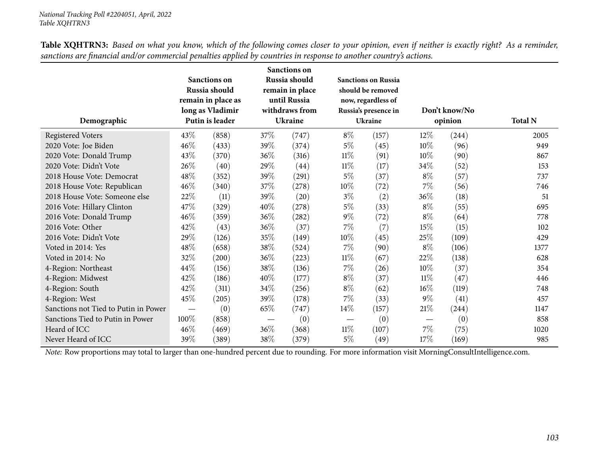| Demographic                          |      | <b>Sanctions on</b><br>Russia should<br>remain in place as<br>long as Vladimir<br>Putin is leader |      | <b>Sanctions on</b><br>Russia should<br>remain in place<br>until Russia<br>withdraws from<br>Ukraine |        | <b>Sanctions on Russia</b><br>should be removed<br>now, regardless of<br>Russia's presence in<br><b>Ukraine</b> |                               | Don't know/No<br>opinion | <b>Total N</b> |
|--------------------------------------|------|---------------------------------------------------------------------------------------------------|------|------------------------------------------------------------------------------------------------------|--------|-----------------------------------------------------------------------------------------------------------------|-------------------------------|--------------------------|----------------|
| <b>Registered Voters</b>             | 43\% | (858)                                                                                             | 37%  | (747)                                                                                                | $8\%$  | (157)                                                                                                           | 12\%                          | (244)                    | 2005           |
| 2020 Vote: Joe Biden                 | 46%  | (433)                                                                                             | 39\% | (374)                                                                                                | 5%     | (45)                                                                                                            | $10\%$                        | (96)                     | 949            |
| 2020 Vote: Donald Trump              | 43\% | (370)                                                                                             | 36%  | (316)                                                                                                | $11\%$ | (91)                                                                                                            | $10\%$                        | (90)                     | 867            |
| 2020 Vote: Didn't Vote               | 26%  | (40)                                                                                              | 29%  | (44)                                                                                                 | $11\%$ | (17)                                                                                                            | 34\%                          | (52)                     | 153            |
| 2018 House Vote: Democrat            | 48\% | (352)                                                                                             | 39%  | (291)                                                                                                | $5\%$  | (37)                                                                                                            | $8\%$                         | (57)                     | 737            |
| 2018 House Vote: Republican          | 46%  | (340)                                                                                             | 37%  | (278)                                                                                                | 10%    | (72)                                                                                                            | $7\%$                         | (56)                     | 746            |
| 2018 House Vote: Someone else        | 22%  | (11)                                                                                              | 39%  | (20)                                                                                                 | $3\%$  | (2)                                                                                                             | 36%                           | (18)                     | 51             |
| 2016 Vote: Hillary Clinton           | 47\% | (329)                                                                                             | 40%  | (278)                                                                                                | $5\%$  | (33)                                                                                                            | $8\%$                         | (55)                     | 695            |
| 2016 Vote: Donald Trump              | 46%  | (359)                                                                                             | 36%  | $\left( 282\right)$                                                                                  | $9\%$  | (72)                                                                                                            | $8\%$                         | (64)                     | 778            |
| 2016 Vote: Other                     | 42\% | (43)                                                                                              | 36\% | (37)                                                                                                 | $7\%$  | (7)                                                                                                             | 15%                           | (15)                     | 102            |
| 2016 Vote: Didn't Vote               | 29\% | (126)                                                                                             | 35\% | (149)                                                                                                | $10\%$ | (45)                                                                                                            | 25\%                          | (109)                    | 429            |
| Voted in 2014: Yes                   | 48\% | (658)                                                                                             | 38%  | (524)                                                                                                | 7%     | (90)                                                                                                            | $8\%$                         | (106)                    | 1377           |
| Voted in 2014: No                    | 32%  | (200)                                                                                             | 36\% | (223)                                                                                                | $11\%$ | (67)                                                                                                            | 22%                           | (138)                    | 628            |
| 4-Region: Northeast                  | 44\% | (156)                                                                                             | 38%  | (136)                                                                                                | $7\%$  | (26)                                                                                                            | 10%                           | (37)                     | 354            |
| 4-Region: Midwest                    | 42%  | (186)                                                                                             | 40\% | (177)                                                                                                | $8\%$  | (37)                                                                                                            | $11\%$                        | (47)                     | 446            |
| 4-Region: South                      | 42%  | (311)                                                                                             | 34\% | (256)                                                                                                | $8\%$  | (62)                                                                                                            | 16%                           | (119)                    | 748            |
| 4-Region: West                       | 45%  | (205)                                                                                             | 39%  | (178)                                                                                                | $7\%$  | (33)                                                                                                            | $9\%$                         | (41)                     | 457            |
| Sanctions not Tied to Putin in Power |      | (0)                                                                                               | 65%  | (747)                                                                                                | 14%    | (157)                                                                                                           | 21\%                          | (244)                    | 1147           |
| Sanctions Tied to Putin in Power     | 100% | (858)                                                                                             |      | (0)                                                                                                  |        | (0)                                                                                                             | $\overbrace{\phantom{13333}}$ | (0)                      | 858            |
| Heard of ICC                         | 46%  | (469)                                                                                             | 36%  | (368)                                                                                                | $11\%$ | (107)                                                                                                           | $7\%$                         | (75)                     | 1020           |
| Never Heard of ICC                   | 39%  | (389)                                                                                             | 38%  | (379)                                                                                                | $5\%$  | (49)                                                                                                            | $17\%$                        | (169)                    | 985            |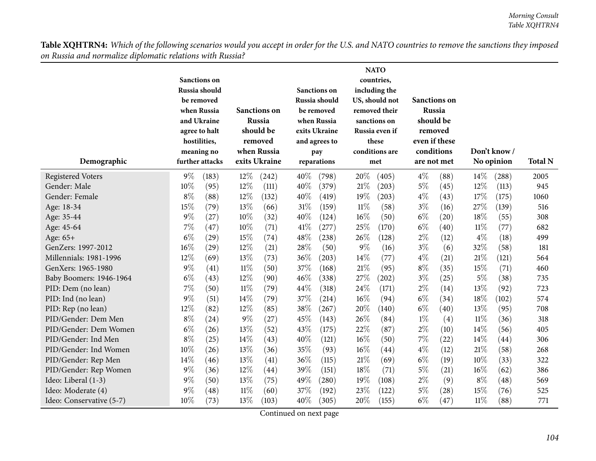| Demographic              | <b>Sanctions</b> on<br>Russia should<br>be removed<br>when Russia<br>and Ukraine<br>agree to halt<br>hostilities,<br>meaning no<br>further attacks |       | <b>Sanctions</b> on<br><b>Russia</b><br>should be<br>removed<br>when Russia<br>exits Ukraine |       | <b>Sanctions</b> on<br>Russia should<br>be removed<br>when Russia<br>exits Ukraine<br>and agrees to<br>pay<br>reparations |       | <b>NATO</b><br>countries,<br>including the<br>US, should not<br>removed their<br>sanctions on<br>Russia even if<br>these<br>conditions are<br>met |       | <b>Sanctions on</b><br>Russia<br>should be<br>removed<br>even if these<br>conditions<br>are not met |      | Don't know/<br>No opinion |       | <b>Total N</b> |
|--------------------------|----------------------------------------------------------------------------------------------------------------------------------------------------|-------|----------------------------------------------------------------------------------------------|-------|---------------------------------------------------------------------------------------------------------------------------|-------|---------------------------------------------------------------------------------------------------------------------------------------------------|-------|-----------------------------------------------------------------------------------------------------|------|---------------------------|-------|----------------|
| <b>Registered Voters</b> | $9\%$                                                                                                                                              | (183) | 12%                                                                                          | (242) | 40%                                                                                                                       | (798) | 20%                                                                                                                                               | (405) | $4\%$                                                                                               | (88) | 14\%                      | (288) | 2005           |
| Gender: Male             | 10%                                                                                                                                                | (95)  | 12%                                                                                          | (111) | 40%                                                                                                                       | (379) | $21\%$                                                                                                                                            | (203) | $5\%$                                                                                               | (45) | $12\%$                    | (113) | 945            |
| Gender: Female           | $8\%$                                                                                                                                              | (88)  | 12%                                                                                          | (132) | 40%                                                                                                                       | (419) | 19%                                                                                                                                               | (203) | $4\%$                                                                                               | (43) | 17%                       | (175) | 1060           |
| Age: 18-34               | 15%                                                                                                                                                | (79)  | 13%                                                                                          | (66)  | 31%                                                                                                                       | (159) | $11\%$                                                                                                                                            | (58)  | $3\%$                                                                                               | (16) | 27%                       | (139) | 516            |
| Age: 35-44               | $9\%$                                                                                                                                              | (27)  | 10%                                                                                          | (32)  | 40%                                                                                                                       | (124) | 16%                                                                                                                                               | (50)  | $6\%$                                                                                               | (20) | 18%                       | (55)  | 308            |
| Age: 45-64               | 7%                                                                                                                                                 | (47)  | 10%                                                                                          | (71)  | 41\%                                                                                                                      | (277) | 25%                                                                                                                                               | (170) | $6\%$                                                                                               | (40) | 11%                       | (77)  | 682            |
| Age: 65+                 | $6\%$                                                                                                                                              | (29)  | 15%                                                                                          | (74)  | 48%                                                                                                                       | (238) | 26%                                                                                                                                               | (128) | $2\%$                                                                                               | (12) | $4\%$                     | (18)  | 499            |
| GenZers: 1997-2012       | 16%                                                                                                                                                | (29)  | 12%                                                                                          | (21)  | 28%                                                                                                                       | (50)  | 9%                                                                                                                                                | (16)  | $3\%$                                                                                               | (6)  | 32%                       | (58)  | 181            |
| Millennials: 1981-1996   | 12%                                                                                                                                                | (69)  | 13%                                                                                          | (73)  | 36%                                                                                                                       | (203) | 14%                                                                                                                                               | (77)  | $4\%$                                                                                               | (21) | 21%                       | (121) | 564            |
| GenXers: 1965-1980       | $9\%$                                                                                                                                              | (41)  | 11%                                                                                          | (50)  | 37%                                                                                                                       | (168) | 21%                                                                                                                                               | (95)  | $8\%$                                                                                               | (35) | 15%                       | (71)  | 460            |
| Baby Boomers: 1946-1964  | $6\%$                                                                                                                                              | (43)  | 12%                                                                                          | (90)  | 46%                                                                                                                       | (338) | 27%                                                                                                                                               | (202) | $3\%$                                                                                               | (25) | $5\%$                     | (38)  | 735            |
| PID: Dem (no lean)       | 7%                                                                                                                                                 | (50)  | $11\%$                                                                                       | (79)  | 44%                                                                                                                       | (318) | 24%                                                                                                                                               | (171) | $2\%$                                                                                               | (14) | 13%                       | (92)  | 723            |
| PID: Ind (no lean)       | $9\%$                                                                                                                                              | (51)  | 14%                                                                                          | (79)  | 37%                                                                                                                       | (214) | $16\%$                                                                                                                                            | (94)  | $6\%$                                                                                               | (34) | 18%                       | (102) | 574            |
| PID: Rep (no lean)       | 12%                                                                                                                                                | (82)  | 12%                                                                                          | (85)  | 38%                                                                                                                       | (267) | 20%                                                                                                                                               | (140) | $6\%$                                                                                               | (40) | 13%                       | (95)  | 708            |
| PID/Gender: Dem Men      | $8\%$                                                                                                                                              | (24)  | $9\%$                                                                                        | (27)  | 45%                                                                                                                       | (143) | 26%                                                                                                                                               | (84)  | $1\%$                                                                                               | (4)  | 11%                       | (36)  | 318            |
| PID/Gender: Dem Women    | $6\%$                                                                                                                                              | (26)  | 13%                                                                                          | (52)  | 43%                                                                                                                       | (175) | 22%                                                                                                                                               | (87)  | $2\%$                                                                                               | (10) | 14%                       | (56)  | 405            |
| PID/Gender: Ind Men      | $8\%$                                                                                                                                              | (25)  | 14%                                                                                          | (43)  | 40%                                                                                                                       | (121) | 16%                                                                                                                                               | (50)  | $7\%$                                                                                               | (22) | 14%                       | (44)  | 306            |
| PID/Gender: Ind Women    | 10%                                                                                                                                                | (26)  | 13%                                                                                          | (36)  | 35%                                                                                                                       | (93)  | 16%                                                                                                                                               | (44)  | $4\%$                                                                                               | (12) | 21%                       | (58)  | 268            |
| PID/Gender: Rep Men      | 14%                                                                                                                                                | (46)  | 13%                                                                                          | (41)  | 36%                                                                                                                       | (115) | 21%                                                                                                                                               | (69)  | $6\%$                                                                                               | (19) | 10%                       | (33)  | 322            |
| PID/Gender: Rep Women    | $9\%$                                                                                                                                              | (36)  | 12%                                                                                          | (44)  | 39%                                                                                                                       | (151) | 18%                                                                                                                                               | (71)  | $5\%$                                                                                               | (21) | 16%                       | (62)  | 386            |
| Ideo: Liberal (1-3)      | $9\%$                                                                                                                                              | (50)  | 13%                                                                                          | (75)  | 49%                                                                                                                       | (280) | 19%                                                                                                                                               | (108) | $2\%$                                                                                               | (9)  | $8\%$                     | (48)  | 569            |
| Ideo: Moderate (4)       | 9%                                                                                                                                                 | (48)  | 11%                                                                                          | (60)  | 37%                                                                                                                       | (192) | 23%                                                                                                                                               | (122) | $5\%$                                                                                               | (28) | 15%                       | (76)  | 525            |
| Ideo: Conservative (5-7) | 10%                                                                                                                                                | (73)  | 13%                                                                                          | (103) | 40%                                                                                                                       | (305) | 20%                                                                                                                                               | (155) | $6\%$                                                                                               | (47) | $11\%$                    | (88)  | 771            |

**Table XQHTRN4:** Which of the following scenarios would you accept in order for the U.S. and NATO countries to remove the sanctions they imposed<br>on Russia and normalize diplomatic relations with Russia?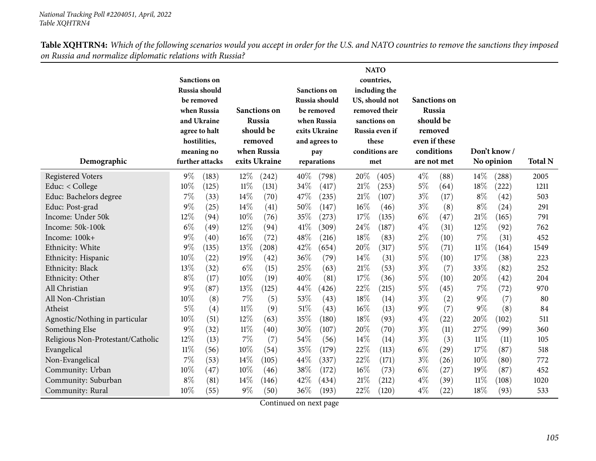| Demographic                       | <b>Sanctions</b> on<br>Russia should<br>be removed<br>when Russia<br>and Ukraine<br>agree to halt<br>hostilities,<br>meaning no<br>further attacks |       | <b>Sanctions</b> on<br><b>Russia</b><br>should be<br>removed<br>when Russia<br>exits Ukraine |       | <b>Sanctions</b> on<br>Russia should<br>be removed<br>when Russia<br>exits Ukraine<br>and agrees to<br>pay<br>reparations |       | <b>NATO</b><br>countries,<br>including the<br>US, should not<br>removed their<br>sanctions on<br>Russia even if<br>these<br>conditions are<br>met |       | <b>Sanctions</b> on<br>Russia<br>should be<br>removed<br>even if these<br>conditions<br>are not met |      | Don't know/<br>No opinion |       | <b>Total N</b> |
|-----------------------------------|----------------------------------------------------------------------------------------------------------------------------------------------------|-------|----------------------------------------------------------------------------------------------|-------|---------------------------------------------------------------------------------------------------------------------------|-------|---------------------------------------------------------------------------------------------------------------------------------------------------|-------|-----------------------------------------------------------------------------------------------------|------|---------------------------|-------|----------------|
| <b>Registered Voters</b>          | $9\%$                                                                                                                                              | (183) | 12%                                                                                          | (242) | 40%                                                                                                                       | (798) | 20%                                                                                                                                               | (405) | $4\%$                                                                                               | (88) | $14\%$                    | (288) | 2005           |
| Educ: < College                   | 10%                                                                                                                                                | (125) | $11\%$                                                                                       | (131) | 34%                                                                                                                       | (417) | 21%                                                                                                                                               | (253) | $5\%$                                                                                               | (64) | 18%                       | (222) | 1211           |
| Educ: Bachelors degree            | 7%                                                                                                                                                 | (33)  | 14\%                                                                                         | (70)  | 47%                                                                                                                       | (235) | 21\%                                                                                                                                              | (107) | $3\%$                                                                                               | (17) | $8\%$                     | (42)  | 503            |
| Educ: Post-grad                   | $9\%$                                                                                                                                              | (25)  | 14%                                                                                          | (41)  | 50%                                                                                                                       | (147) | 16%                                                                                                                                               | (46)  | $3\%$                                                                                               | (8)  | $8\%$                     | (24)  | 291            |
| Income: Under 50k                 | 12%                                                                                                                                                | (94)  | 10%                                                                                          | (76)  | 35%                                                                                                                       | (273) | 17%                                                                                                                                               | (135) | $6\%$                                                                                               | (47) | 21%                       | (165) | 791            |
| Income: 50k-100k                  | $6\%$                                                                                                                                              | (49)  | $12\%$                                                                                       | (94)  | 41%                                                                                                                       | (309) | 24%                                                                                                                                               | (187) | $4\%$                                                                                               | (31) | 12%                       | (92)  | 762            |
| Income: 100k+                     | $9\%$                                                                                                                                              | (40)  | 16%                                                                                          | (72)  | 48%                                                                                                                       | (216) | 18%                                                                                                                                               | (83)  | $2\%$                                                                                               | (10) | 7%                        | (31)  | 452            |
| Ethnicity: White                  | $9\%$                                                                                                                                              | (135) | 13%                                                                                          | (208) | 42%                                                                                                                       | (654) | 20%                                                                                                                                               | (317) | $5\%$                                                                                               | (71) | $11\%$                    | (164) | 1549           |
| Ethnicity: Hispanic               | 10%                                                                                                                                                | (22)  | 19%                                                                                          | (42)  | 36%                                                                                                                       | (79)  | 14%                                                                                                                                               | (31)  | $5\%$                                                                                               | (10) | 17%                       | (38)  | 223            |
| Ethnicity: Black                  | 13%                                                                                                                                                | (32)  | $6\%$                                                                                        | (15)  | 25%                                                                                                                       | (63)  | 21%                                                                                                                                               | (53)  | $3\%$                                                                                               | (7)  | 33%                       | (82)  | 252            |
| Ethnicity: Other                  | $8\%$                                                                                                                                              | (17)  | 10%                                                                                          | (19)  | 40%                                                                                                                       | (81)  | 17%                                                                                                                                               | (36)  | $5\%$                                                                                               | (10) | 20%                       | (42)  | 204            |
| All Christian                     | $9\%$                                                                                                                                              | (87)  | 13%                                                                                          | (125) | 44%                                                                                                                       | (426) | 22%                                                                                                                                               | (215) | $5\%$                                                                                               | (45) | 7%                        | (72)  | 970            |
| All Non-Christian                 | 10%                                                                                                                                                | (8)   | 7%                                                                                           | (5)   | 53%                                                                                                                       | (43)  | 18%                                                                                                                                               | (14)  | $3\%$                                                                                               | (2)  | $9\%$                     | (7)   | 80             |
| Atheist                           | 5%                                                                                                                                                 | (4)   | 11%                                                                                          | (9)   | 51%                                                                                                                       | (43)  | 16%                                                                                                                                               | (13)  | $9\%$                                                                                               | (7)  | $9\%$                     | (8)   | 84             |
| Agnostic/Nothing in particular    | 10%                                                                                                                                                | (51)  | 12%                                                                                          | (63)  | 35%                                                                                                                       | (180) | 18%                                                                                                                                               | (93)  | $4\%$                                                                                               | (22) | 20%                       | (102) | 511            |
| Something Else                    | $9\%$                                                                                                                                              | (32)  | 11%                                                                                          | (40)  | 30%                                                                                                                       | (107) | 20%                                                                                                                                               | (70)  | $3\%$                                                                                               | (11) | 27%                       | (99)  | 360            |
| Religious Non-Protestant/Catholic | 12%                                                                                                                                                | (13)  | 7%                                                                                           | (7)   | 54%                                                                                                                       | (56)  | 14%                                                                                                                                               | (14)  | $3\%$                                                                                               | (3)  | $11\%$                    | (11)  | 105            |
| Evangelical                       | $11\%$                                                                                                                                             | (56)  | 10%                                                                                          | (54)  | 35%                                                                                                                       | (179) | 22%                                                                                                                                               | (113) | $6\%$                                                                                               | (29) | 17%                       | (87)  | 518            |
| Non-Evangelical                   | $7\%$                                                                                                                                              | (53)  | 14%                                                                                          | (105) | 44%                                                                                                                       | (337) | 22%                                                                                                                                               | (171) | $3\%$                                                                                               | (26) | 10%                       | (80)  | 772            |
| Community: Urban                  | 10%                                                                                                                                                | (47)  | 10%                                                                                          | (46)  | 38%                                                                                                                       | (172) | 16%                                                                                                                                               | (73)  | $6\%$                                                                                               | (27) | 19%                       | (87)  | 452            |
| Community: Suburban               | $8\%$                                                                                                                                              | (81)  | 14%                                                                                          | (146) | 42%                                                                                                                       | (434) | 21%                                                                                                                                               | (212) | $4\%$                                                                                               | (39) | 11%                       | (108) | 1020           |
| Community: Rural                  | 10%                                                                                                                                                | (55)  | 9%                                                                                           | (50)  | 36%                                                                                                                       | (193) | 22%                                                                                                                                               | (120) | $4\%$                                                                                               | (22) | 18%                       | (93)  | 533            |

Table XQHTRN4: Which of the following scenarios would you accept in order for the U.S. and NATO countries to remove the sanctions they imposed *on Russia and normalize diplomatic relations with Russia?*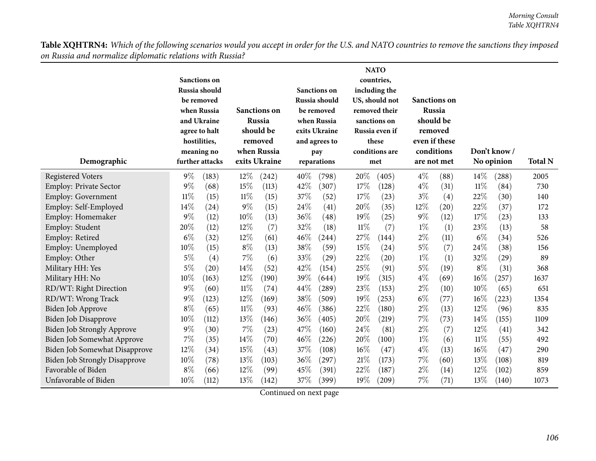| Demographic                          | <b>Sanctions</b> on<br>Russia should<br>be removed<br>when Russia<br>and Ukraine<br>agree to halt<br>hostilities,<br>meaning no<br>further attacks |       | <b>Sanctions</b> on<br>Russia<br>should be<br>removed<br>when Russia<br>exits Ukraine |       | <b>Sanctions</b> on<br>Russia should<br>be removed<br>when Russia<br>exits Ukraine<br>and agrees to<br>pay<br>reparations |       | <b>NATO</b><br>countries,<br>including the<br>US, should not<br>removed their<br>sanctions on<br>Russia even if<br>these<br>conditions are<br>met |       | <b>Sanctions</b> on<br>Russia<br>should be<br>removed<br>even if these<br>conditions<br>are not met |      | Don't know/<br>No opinion | <b>Total N</b> |      |
|--------------------------------------|----------------------------------------------------------------------------------------------------------------------------------------------------|-------|---------------------------------------------------------------------------------------|-------|---------------------------------------------------------------------------------------------------------------------------|-------|---------------------------------------------------------------------------------------------------------------------------------------------------|-------|-----------------------------------------------------------------------------------------------------|------|---------------------------|----------------|------|
| <b>Registered Voters</b>             | $9\%$                                                                                                                                              | (183) | 12%                                                                                   | (242) | 40%                                                                                                                       | (798) | 20%                                                                                                                                               | (405) | $4\%$                                                                                               | (88) | $14\%$                    | (288)          | 2005 |
| <b>Employ: Private Sector</b>        | $9\%$                                                                                                                                              | (68)  | 15%                                                                                   | (113) | 42%                                                                                                                       | (307) | 17%                                                                                                                                               | (128) | $4\%$                                                                                               | (31) | $11\%$                    | (84)           | 730  |
| <b>Employ: Government</b>            | $11\%$                                                                                                                                             | (15)  | $11\%$                                                                                | (15)  | 37%                                                                                                                       | (52)  | 17%                                                                                                                                               | (23)  | $3\%$                                                                                               | (4)  | 22%                       | (30)           | 140  |
| Employ: Self-Employed                | 14\%                                                                                                                                               | (24)  | $9\%$                                                                                 | (15)  | 24%                                                                                                                       | (41)  | 20%                                                                                                                                               | (35)  | 12%                                                                                                 | (20) | 22%                       | (37)           | 172  |
| Employ: Homemaker                    | $9\%$                                                                                                                                              | (12)  | 10%                                                                                   | (13)  | 36%                                                                                                                       | (48)  | 19%                                                                                                                                               | (25)  | $9\%$                                                                                               | (12) | 17%                       | (23)           | 133  |
| Employ: Student                      | 20%                                                                                                                                                | (12)  | 12%                                                                                   | (7)   | 32%                                                                                                                       | (18)  | $11\%$                                                                                                                                            | (7)   | $1\%$                                                                                               | (1)  | 23%                       | (13)           | 58   |
| Employ: Retired                      | $6\%$                                                                                                                                              | (32)  | 12%                                                                                   | (61)  | 46%                                                                                                                       | (244) | 27%                                                                                                                                               | (144) | $2\%$                                                                                               | (11) | $6\%$                     | (34)           | 526  |
| Employ: Unemployed                   | 10%                                                                                                                                                | (15)  | $8\%$                                                                                 | (13)  | 38%                                                                                                                       | (59)  | 15%                                                                                                                                               | (24)  | $5\%$                                                                                               | (7)  | 24%                       | (38)           | 156  |
| Employ: Other                        | $5\%$                                                                                                                                              | (4)   | 7%                                                                                    | (6)   | 33%                                                                                                                       | (29)  | 22%                                                                                                                                               | (20)  | $1\%$                                                                                               | (1)  | 32%                       | (29)           | 89   |
| Military HH: Yes                     | 5%                                                                                                                                                 | (20)  | 14%                                                                                   | (52)  | 42%                                                                                                                       | (154) | 25%                                                                                                                                               | (91)  | $5\%$                                                                                               | (19) | $8\%$                     | (31)           | 368  |
| Military HH: No                      | 10%                                                                                                                                                | (163) | 12%                                                                                   | (190) | 39%                                                                                                                       | (644) | 19%                                                                                                                                               | (315) | $4\%$                                                                                               | (69) | 16%                       | (257)          | 1637 |
| RD/WT: Right Direction               | $9\%$                                                                                                                                              | (60)  | 11%                                                                                   | (74)  | 44%                                                                                                                       | (289) | 23%                                                                                                                                               | (153) | $2\%$                                                                                               | (10) | 10%                       | (65)           | 651  |
| RD/WT: Wrong Track                   | $9\%$                                                                                                                                              | (123) | 12%                                                                                   | (169) | 38%                                                                                                                       | (509) | 19%                                                                                                                                               | (253) | $6\%$                                                                                               | (77) | 16%                       | (223)          | 1354 |
| Biden Job Approve                    | $8\%$                                                                                                                                              | (65)  | $11\%$                                                                                | (93)  | 46%                                                                                                                       | (386) | 22%                                                                                                                                               | (180) | $2\%$                                                                                               | (13) | 12%                       | (96)           | 835  |
| Biden Job Disapprove                 | 10%                                                                                                                                                | (112) | 13%                                                                                   | (146) | 36%                                                                                                                       | (405) | 20%                                                                                                                                               | (219) | 7%                                                                                                  | (73) | 14\%                      | (155)          | 1109 |
| <b>Biden Job Strongly Approve</b>    | $9\%$                                                                                                                                              | (30)  | 7%                                                                                    | (23)  | 47%                                                                                                                       | (160) | 24%                                                                                                                                               | (81)  | $2\%$                                                                                               | (7)  | 12%                       | (41)           | 342  |
| Biden Job Somewhat Approve           | $7\%$                                                                                                                                              | (35)  | 14%                                                                                   | (70)  | 46%                                                                                                                       | (226) | 20%                                                                                                                                               | (100) | $1\%$                                                                                               | (6)  | $11\%$                    | (55)           | 492  |
| Biden Job Somewhat Disapprove        | 12%                                                                                                                                                | (34)  | 15%                                                                                   | (43)  | 37%                                                                                                                       | (108) | 16%                                                                                                                                               | (47)  | $4\%$                                                                                               | (13) | 16%                       | (47)           | 290  |
| <b>Biden Job Strongly Disapprove</b> | 10%                                                                                                                                                | (78)  | 13%                                                                                   | (103) | 36%                                                                                                                       | (297) | 21\%                                                                                                                                              | (173) | $7\%$                                                                                               | (60) | 13%                       | (108)          | 819  |
| Favorable of Biden                   | $8\%$                                                                                                                                              | (66)  | 12%                                                                                   | (99)  | 45%                                                                                                                       | (391) | 22%                                                                                                                                               | (187) | $2\%$                                                                                               | (14) | 12%                       | (102)          | 859  |
| Unfavorable of Biden                 | 10%                                                                                                                                                | (112) | 13%                                                                                   | (142) | 37%                                                                                                                       | (399) | 19%                                                                                                                                               | (209) | 7%                                                                                                  | (71) | 13%                       | (140)          | 1073 |

**Table XQHTRN4:** Which of the following scenarios would you accept in order for the U.S. and NATO countries to remove the sanctions they imposed<br>on Russia and normalize diplomatic relations with Russia?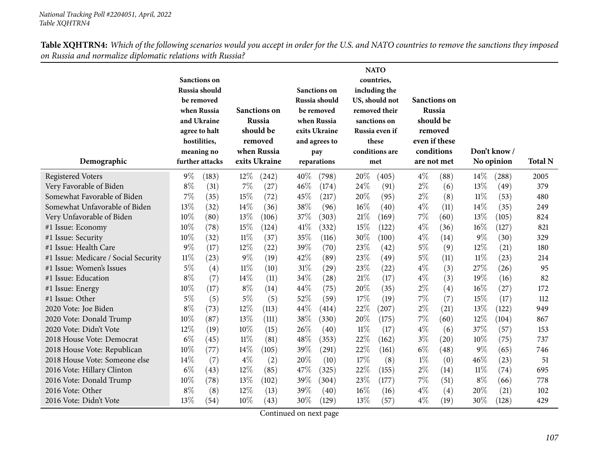|                                      | <b>Sanctions</b> on<br>Russia should<br>be removed<br>when Russia<br><b>Sanctions on</b> |       |        |                     |                                | <b>NATO</b><br>countries,<br>including the<br><b>Sanctions</b> on<br>Russia should<br>US, should not<br>removed their<br>be removed |        |                         |                          | <b>Sanctions</b> on<br><b>Russia</b> |        |             |      |  |
|--------------------------------------|------------------------------------------------------------------------------------------|-------|--------|---------------------|--------------------------------|-------------------------------------------------------------------------------------------------------------------------------------|--------|-------------------------|--------------------------|--------------------------------------|--------|-------------|------|--|
|                                      | and Ukraine                                                                              |       |        | Russia<br>should be |                                | when Russia                                                                                                                         |        | sanctions on            |                          | should be                            |        |             |      |  |
|                                      | agree to halt<br>hostilities,                                                            |       |        | removed             | exits Ukraine<br>and agrees to |                                                                                                                                     |        | Russia even if<br>these | removed<br>even if these |                                      |        |             |      |  |
|                                      | meaning no                                                                               |       |        | when Russia         |                                | pay                                                                                                                                 |        | conditions are          |                          | conditions                           |        | Don't know/ |      |  |
| Demographic                          | further attacks                                                                          |       |        | exits Ukraine       |                                | reparations                                                                                                                         |        | met                     |                          | are not met                          |        | No opinion  |      |  |
| <b>Registered Voters</b>             | $9\%$                                                                                    | (183) | $12\%$ | (242)               | 40%                            | (798)                                                                                                                               | 20%    | (405)                   | $4\%$                    | (88)                                 | 14\%   | (288)       | 2005 |  |
| Very Favorable of Biden              | $8\%$                                                                                    | (31)  | 7%     | (27)                | 46%                            | (174)                                                                                                                               | 24%    | (91)                    | $2\%$                    | (6)                                  | 13%    | (49)        | 379  |  |
| Somewhat Favorable of Biden          | 7%                                                                                       | (35)  | 15%    | (72)                | 45%                            | (217)                                                                                                                               | 20%    | (95)                    | $2\%$                    | (8)                                  | $11\%$ | (53)        | 480  |  |
| Somewhat Unfavorable of Biden        | 13%                                                                                      | (32)  | 14\%   | (36)                | 38%                            | (96)                                                                                                                                | 16%    | (40)                    | $4\%$                    | (11)                                 | 14\%   | (35)        | 249  |  |
| Very Unfavorable of Biden            | 10%                                                                                      | (80)  | 13%    | (106)               | 37%                            | (303)                                                                                                                               | 21%    | (169)                   | 7%                       | (60)                                 | 13%    | (105)       | 824  |  |
| #1 Issue: Economy                    | 10%                                                                                      | (78)  | 15%    | (124)               | 41%                            | (332)                                                                                                                               | 15%    | (122)                   | $4\%$                    | (36)                                 | 16%    | (127)       | 821  |  |
| #1 Issue: Security                   | 10%                                                                                      | (32)  | $11\%$ | (37)                | 35%                            | (116)                                                                                                                               | 30%    | (100)                   | $4\%$                    | (14)                                 | 9%     | (30)        | 329  |  |
| #1 Issue: Health Care                | $9\%$                                                                                    | (17)  | 12%    | (22)                | 39%                            | (70)                                                                                                                                | 23%    | (42)                    | $5\%$                    | (9)                                  | 12%    | (21)        | 180  |  |
| #1 Issue: Medicare / Social Security | 11%                                                                                      | (23)  | $9\%$  | (19)                | 42%                            | (89)                                                                                                                                | 23%    | (49)                    | $5\%$                    | (11)                                 | $11\%$ | (23)        | 214  |  |
| #1 Issue: Women's Issues             | $5\%$                                                                                    | (4)   | $11\%$ | (10)                | 31%                            | (29)                                                                                                                                | 23%    | (22)                    | $4\%$                    | (3)                                  | 27%    | (26)        | 95   |  |
| #1 Issue: Education                  | $8\%$                                                                                    | (7)   | 14%    | (11)                | 34%                            | (28)                                                                                                                                | 21%    | (17)                    | $4\%$                    | (3)                                  | 19%    | (16)        | 82   |  |
| #1 Issue: Energy                     | 10%                                                                                      | (17)  | $8\%$  | (14)                | 44%                            | (75)                                                                                                                                | 20%    | (35)                    | $2\%$                    | (4)                                  | 16%    | (27)        | 172  |  |
| #1 Issue: Other                      | $5\%$                                                                                    | (5)   | $5\%$  | (5)                 | 52%                            | (59)                                                                                                                                | 17%    | (19)                    | 7%                       | (7)                                  | 15%    | (17)        | 112  |  |
| 2020 Vote: Joe Biden                 | $8\%$                                                                                    | (73)  | 12%    | (113)               | 44%                            | (414)                                                                                                                               | 22%    | (207)                   | $2\%$                    | (21)                                 | 13%    | (122)       | 949  |  |
| 2020 Vote: Donald Trump              | 10%                                                                                      | (87)  | 13%    | (111)               | 38%                            | (330)                                                                                                                               | 20%    | (175)                   | $7\%$                    | (60)                                 | 12%    | (104)       | 867  |  |
| 2020 Vote: Didn't Vote               | 12%                                                                                      | (19)  | 10%    | (15)                | 26%                            | (40)                                                                                                                                | $11\%$ | (17)                    | $4\%$                    | (6)                                  | 37%    | (57)        | 153  |  |
| 2018 House Vote: Democrat            | $6\%$                                                                                    | (45)  | $11\%$ | (81)                | 48%                            | (353)                                                                                                                               | 22%    | (162)                   | $3\%$                    | (20)                                 | 10%    | (75)        | 737  |  |
| 2018 House Vote: Republican          | 10%                                                                                      | (77)  | 14%    | (105)               | 39%                            | (291)                                                                                                                               | 22%    | (161)                   | $6\%$                    | (48)                                 | $9\%$  | (65)        | 746  |  |
| 2018 House Vote: Someone else        | 14%                                                                                      | (7)   | $4\%$  | (2)                 | 20%                            | (10)                                                                                                                                | 17%    | (8)                     | $1\%$                    | (0)                                  | 46\%   | (23)        | 51   |  |
| 2016 Vote: Hillary Clinton           | $6\%$                                                                                    | (43)  | 12%    | (85)                | 47%                            | (325)                                                                                                                               | 22%    | (155)                   | $2\%$                    | (14)                                 | $11\%$ | (74)        | 695  |  |
| 2016 Vote: Donald Trump              | 10%                                                                                      | (78)  | 13%    | (102)               | 39%                            | (304)                                                                                                                               | 23\%   | (177)                   | 7%                       | (51)                                 | $8\%$  | (66)        | 778  |  |
| 2016 Vote: Other                     | $8\%$                                                                                    | (8)   | 12%    | (13)                | 39%                            | (40)                                                                                                                                | 16%    | (16)                    | $4\%$                    | (4)                                  | 20%    | (21)        | 102  |  |
| 2016 Vote: Didn't Vote               | 13%                                                                                      | (54)  | 10%    | (43)                | 30%                            | (129)                                                                                                                               | 13%    | (57)                    | $4\%$                    | (19)                                 | 30\%   | (128)       | 429  |  |

Table XQHTRN4: Which of the following scenarios would you accept in order for the U.S. and NATO countries to remove the sanctions they imposed *on Russia and normalize diplomatic relations with Russia?*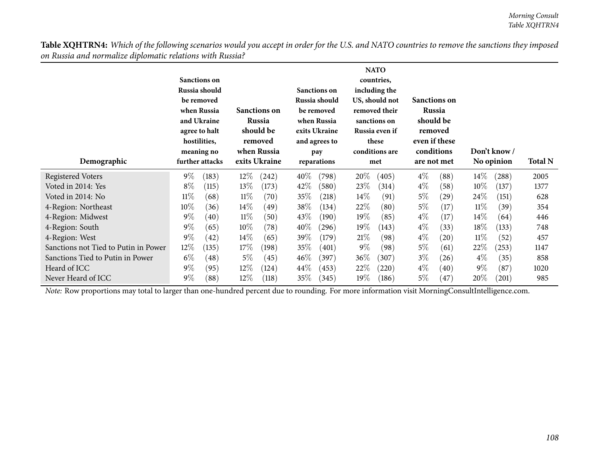| Demographic                          | <b>Sanctions on</b><br>Russia should<br>be removed<br>when Russia<br>and Ukraine<br>agree to halt<br>hostilities,<br>meaning no<br>further attacks |       | <b>Sanctions on</b><br>Russia<br>should be<br>removed<br>when Russia<br>exits Ukraine |       | Sanctions on<br>Russia should<br>be removed<br>when Russia<br>exits Ukraine<br>and agrees to<br>pay<br>reparations |       | <b>NATO</b><br>countries,<br>including the<br>US, should not<br>removed their<br>sanctions on<br>Russia even if<br>these<br>conditions are<br>met |       | <b>Sanctions on</b><br>Russia<br>should be<br>removed<br>even if these<br>conditions<br>are not met |      | Don't know /<br>No opinion |       | <b>Total N</b> |
|--------------------------------------|----------------------------------------------------------------------------------------------------------------------------------------------------|-------|---------------------------------------------------------------------------------------|-------|--------------------------------------------------------------------------------------------------------------------|-------|---------------------------------------------------------------------------------------------------------------------------------------------------|-------|-----------------------------------------------------------------------------------------------------|------|----------------------------|-------|----------------|
| <b>Registered Voters</b>             | $9\%$                                                                                                                                              | (183) | $12\%$                                                                                | (242) | $40\%$                                                                                                             | (798) | 20\%                                                                                                                                              | (405) | $4\%$                                                                                               | (88) | $14\%$                     | (288) | 2005           |
| Voted in 2014: Yes                   | $8\%$                                                                                                                                              | (115) | 13\%                                                                                  | (173) | 42\%                                                                                                               | (580) | 23\%                                                                                                                                              | (314) | $4\%$                                                                                               | (58) | $10\%$                     | (137) | 1377           |
| Voted in 2014: No                    | $11\%$                                                                                                                                             | (68)  | $11\%$                                                                                | (70)  | 35%                                                                                                                | (218) | 14%                                                                                                                                               | (91)  | $5\%$                                                                                               | (29) | 24\%                       | (151) | 628            |
| 4-Region: Northeast                  | $10\%$                                                                                                                                             | (36)  | 14%                                                                                   | (49)  | 38%                                                                                                                | (134) | 22\%                                                                                                                                              | (80)  | $5\%$                                                                                               | (17) | $11\%$                     | (39)  | 354            |
| 4-Region: Midwest                    | $9\%$                                                                                                                                              | (40)  | $11\%$                                                                                | (50)  | 43\%                                                                                                               | (190) | $19\%$                                                                                                                                            | (85)  | $4\%$                                                                                               | (17) | $14\%$                     | (64)  | 446            |
| 4-Region: South                      | $9\%$                                                                                                                                              | (65)  | $10\%$                                                                                | (78)  | $40\%$                                                                                                             | (296) | $19\%$                                                                                                                                            | (143) | $4\%$                                                                                               | (33) | 18\%                       | (133) | 748            |
| 4-Region: West                       | $9\%$                                                                                                                                              | (42)  | 14%                                                                                   | (65)  | 39%                                                                                                                | (179) | 21%                                                                                                                                               | (98)  | $4\%$                                                                                               | (20) | $11\%$                     | (52)  | 457            |
| Sanctions not Tied to Putin in Power | 12%                                                                                                                                                | (135) | $17\%$                                                                                | (198) | 35%                                                                                                                | (401) | $9\%$                                                                                                                                             | (98)  | $5\%$                                                                                               | (61) | 22\%                       | (253) | 1147           |
| Sanctions Tied to Putin in Power     | $6\%$                                                                                                                                              | (48)  | $5\%$                                                                                 | (45)  | $46\%$                                                                                                             | (397) | 36\%                                                                                                                                              | (307) | $3\%$                                                                                               | (26) | $4\%$                      | (35)  | 858            |
| Heard of ICC                         | $9\%$                                                                                                                                              | (95)  | 12\%                                                                                  | (124) | $44\%$                                                                                                             | (453) | 22\%                                                                                                                                              | (220) | $4\%$                                                                                               | (40) | $9\%$                      | (87)  | 1020           |
| Never Heard of ICC                   | $9\%$                                                                                                                                              | (88)  | 12%                                                                                   | (118) | 35\%                                                                                                               | (345) | 19%                                                                                                                                               | (186) | $5\%$                                                                                               | (47) | $20\%$                     | (201) | 985            |

Table XQHTRN4: Which of the following scenarios would you accept in order for the U.S. and NATO countries to remove the sanctions they imposed *on Russia and normalize diplomatic relations with Russia?*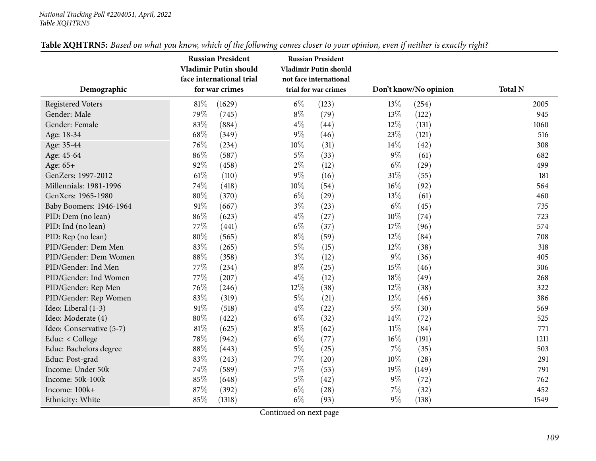|                          | <b>Russian President</b><br><b>Vladimir Putin should</b> | <b>Russian President</b><br><b>Vladimir Putin should</b> |                       |                |
|--------------------------|----------------------------------------------------------|----------------------------------------------------------|-----------------------|----------------|
|                          | face international trial                                 | not face international                                   |                       |                |
| Demographic              | for war crimes                                           | trial for war crimes                                     | Don't know/No opinion | <b>Total N</b> |
| <b>Registered Voters</b> | 81%<br>(1629)                                            | $6\%$<br>(123)                                           | 13%<br>(254)          | 2005           |
| Gender: Male             | 79%<br>(745)                                             | $8\%$<br>(79)                                            | 13%<br>(122)          | 945            |
| Gender: Female           | 83%<br>(884)                                             | $4\%$<br>(44)                                            | 12%<br>(131)          | 1060           |
| Age: 18-34               | 68%<br>(349)                                             | $9\%$<br>(46)                                            | 23%<br>(121)          | 516            |
| Age: 35-44               | 76\%<br>(234)                                            | 10%<br>(31)                                              | 14%<br>(42)           | 308            |
| Age: 45-64               | 86%<br>(587)                                             | $5\%$<br>(33)                                            | $9\%$<br>(61)         | 682            |
| Age: 65+                 | 92%<br>(458)                                             | $2\%$<br>(12)                                            | $6\%$<br>(29)         | 499            |
| GenZers: 1997-2012       | $61\%$<br>(110)                                          | $9\%$<br>(16)                                            | 31%<br>(55)           | 181            |
| Millennials: 1981-1996   | 74%<br>(418)                                             | 10%<br>(54)                                              | 16%<br>(92)           | 564            |
| GenXers: 1965-1980       | 80%<br>(370)                                             | $6\%$<br>(29)                                            | 13\%<br>(61)          | 460            |
| Baby Boomers: 1946-1964  | 91%<br>(667)                                             | $3\%$<br>(23)                                            | $6\%$<br>(45)         | 735            |
| PID: Dem (no lean)       | 86%<br>(623)                                             | $4\%$<br>(27)                                            | 10%<br>(74)           | 723            |
| PID: Ind (no lean)       | 77%<br>(441)                                             | $6\%$<br>(37)                                            | 17%<br>(96)           | 574            |
| PID: Rep (no lean)       | 80%<br>(565)                                             | $8\%$<br>(59)                                            | 12%<br>(84)           | 708            |
| PID/Gender: Dem Men      | 83%<br>(265)                                             | $5\%$<br>(15)                                            | 12%<br>(38)           | 318            |
| PID/Gender: Dem Women    | 88%<br>(358)                                             | $3\%$<br>(12)                                            | 9%<br>(36)            | 405            |
| PID/Gender: Ind Men      | 77\%<br>(234)                                            | $8\%$<br>(25)                                            | 15%<br>(46)           | 306            |
| PID/Gender: Ind Women    | 77%<br>(207)                                             | $4\%$<br>(12)                                            | 18%<br>(49)           | 268            |
| PID/Gender: Rep Men      | 76%<br>(246)                                             | 12%<br>(38)                                              | 12%<br>(38)           | 322            |
| PID/Gender: Rep Women    | 83%<br>(319)                                             | $5\%$<br>(21)                                            | 12%<br>(46)           | 386            |
| Ideo: Liberal (1-3)      | 91%<br>(518)                                             | $4\%$<br>(22)                                            | $5\%$<br>(30)         | 569            |
| Ideo: Moderate (4)       | 80%<br>(422)                                             | $6\%$<br>(32)                                            | 14%<br>(72)           | 525            |
| Ideo: Conservative (5-7) | 81%<br>(625)                                             | $8\%$<br>(62)                                            | $11\%$<br>(84)        | 771            |
| Educ: < College          | 78%<br>(942)                                             | $6\%$<br>(77)                                            | 16%<br>(191)          | 1211           |
| Educ: Bachelors degree   | 88%<br>(443)                                             | $5\%$<br>(25)                                            | 7%<br>(35)            | 503            |
| Educ: Post-grad          | 83%<br>(243)                                             | 7%<br>(20)                                               | 10%<br>(28)           | 291            |
| Income: Under 50k        | 74%<br>(589)                                             | $7\%$<br>(53)                                            | 19%<br>(149)          | 791            |
| Income: 50k-100k         | 85%<br>(648)                                             | $5\%$<br>(42)                                            | $9\%$<br>(72)         | 762            |
| Income: 100k+            | 87%<br>(392)                                             | $6\%$<br>(28)                                            | 7%<br>(32)            | 452            |
| Ethnicity: White         | 85%<br>(1318)                                            | $6\%$<br>(93)                                            | $9\%$<br>(138)        | 1549           |

Table XQHTRN5: Based on what you know, which of the following comes closer to your opinion, even if neither is exactly right?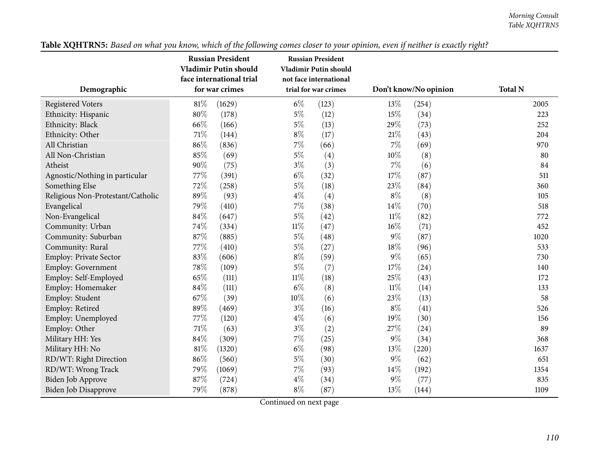|                                   | <b>Russian President</b>     | <b>Russian President</b>     |                       |                |  |  |
|-----------------------------------|------------------------------|------------------------------|-----------------------|----------------|--|--|
|                                   | <b>Vladimir Putin should</b> | <b>Vladimir Putin should</b> |                       |                |  |  |
|                                   | face international trial     | not face international       |                       |                |  |  |
| Demographic                       | for war crimes               | trial for war crimes         | Don't know/No opinion | <b>Total N</b> |  |  |
| <b>Registered Voters</b>          | 81%<br>(1629)                | $6\%$<br>(123)               | 13%<br>(254)          | 2005           |  |  |
| Ethnicity: Hispanic               | 80%<br>(178)                 | $5\%$<br>(12)                | 15%<br>(34)           | 223            |  |  |
| Ethnicity: Black                  | 66%<br>(166)                 | $5\%$<br>(13)                | 29%<br>(73)           | 252            |  |  |
| Ethnicity: Other                  | 71%<br>(144)                 | $8\%$<br>(17)                | 21%<br>(43)           | 204            |  |  |
| All Christian                     | 86%<br>(836)                 | 7%<br>(66)                   | 7%<br>(69)            | 970            |  |  |
| All Non-Christian                 | 85%<br>(69)                  | $5\%$<br>(4)                 | 10%<br>(8)            | 80             |  |  |
| Atheist                           | 90%<br>(75)                  | $3\%$<br>(3)                 | 7%<br>(6)             | 84             |  |  |
| Agnostic/Nothing in particular    | 77%<br>(391)                 | $6\%$<br>(32)                | 17%<br>(87)           | 511            |  |  |
| Something Else                    | 72%<br>(258)                 | $5\%$<br>(18)                | 23%<br>(84)           | 360            |  |  |
| Religious Non-Protestant/Catholic | 89%<br>(93)                  | $4\%$<br>(4)                 | $8\%$<br>(8)          | 105            |  |  |
| Evangelical                       | 79%<br>(410)                 | 7%<br>(38)                   | 14%<br>(70)           | 518            |  |  |
| Non-Evangelical                   | 84%<br>(647)                 | $5\%$<br>(42)                | $11\%$<br>(82)        | 772            |  |  |
| Community: Urban                  | 74%<br>(334)                 | 11%<br>(47)                  | 16%<br>(71)           | 452            |  |  |
| Community: Suburban               | 87%<br>(885)                 | $5\%$<br>(48)                | 9%<br>(87)            | 1020           |  |  |
| Community: Rural                  | 77%<br>(410)                 | $5\%$<br>(27)                | 18%<br>(96)           | 533            |  |  |
| <b>Employ: Private Sector</b>     | 83%<br>(606)                 | $8\%$<br>(59)                | $9\%$<br>(65)         | 730            |  |  |
| Employ: Government                | 78%<br>(109)                 | $5\%$<br>(7)                 | 17%<br>(24)           | 140            |  |  |
| Employ: Self-Employed             | 65%<br>(111)                 | $11\%$<br>(18)               | 25%<br>(43)           | 172            |  |  |
| Employ: Homemaker                 | 84%<br>(111)                 | $6\%$<br>(8)                 | $11\%$<br>(14)        | 133            |  |  |
| Employ: Student                   | 67%<br>(39)                  | 10%<br>(6)                   | 23%<br>(13)           | 58             |  |  |
| Employ: Retired                   | 89%<br>(469)                 | $3\%$<br>(16)                | $8\%$<br>(41)         | 526            |  |  |
| Employ: Unemployed                | 77%<br>(120)                 | $4\%$<br>(6)                 | 19%<br>(30)           | 156            |  |  |
| Employ: Other                     | 71%<br>(63)                  | $3\%$<br>(2)                 | 27%<br>(24)           | 89             |  |  |
| Military HH: Yes                  | 84%<br>(309)                 | $7\%$<br>(25)                | $9\%$<br>(34)         | 368            |  |  |
| Military HH: No                   | 81%<br>(1320)                | $6\%$<br>(98)                | 13%<br>(220)          | 1637           |  |  |
| RD/WT: Right Direction            | 86%<br>(560)                 | $5\%$<br>(30)                | $9\%$<br>(62)         | 651            |  |  |
| RD/WT: Wrong Track                | 79%<br>(1069)                | $7\%$<br>(93)                | 14%<br>(192)          | 1354           |  |  |
| Biden Job Approve                 | 87%<br>(724)                 | $4\%$<br>(34)                | $9\%$<br>(77)         | 835            |  |  |
| <b>Biden Job Disapprove</b>       | 79%<br>(878)                 | $8\%$<br>(87)                | 13%<br>(144)          | 1109           |  |  |

Table XQHTRN5: Based on what you know, which of the following comes closer to your opinion, even if neither is exactly right?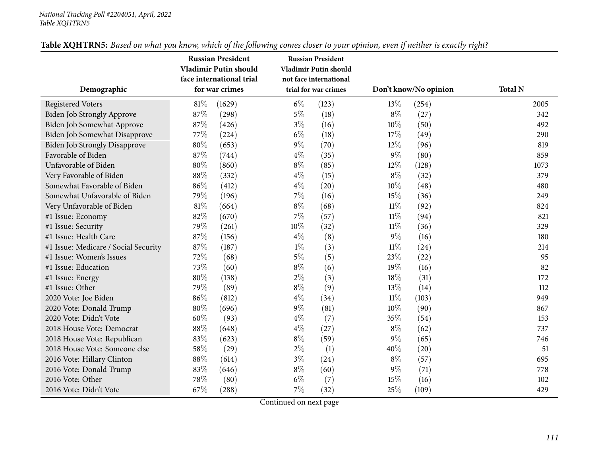|                                      | <b>Russian President</b>     | <b>Russian President</b> |                       |                |
|--------------------------------------|------------------------------|--------------------------|-----------------------|----------------|
|                                      | <b>Vladimir Putin should</b> | Vladimir Putin should    |                       |                |
|                                      | face international trial     | not face international   |                       |                |
| Demographic                          | for war crimes               | trial for war crimes     | Don't know/No opinion | <b>Total N</b> |
| <b>Registered Voters</b>             | 81%<br>(1629)                | $6\%$<br>(123)           | 13%<br>(254)          | 2005           |
| Biden Job Strongly Approve           | 87%<br>(298)                 | $5\%$<br>(18)            | $8\%$<br>(27)         | 342            |
| Biden Job Somewhat Approve           | 87%<br>(426)                 | $3\%$<br>(16)            | 10%<br>(50)           | 492            |
| Biden Job Somewhat Disapprove        | 77\%<br>(224)                | $6\%$<br>(18)            | 17%<br>(49)           | 290            |
| <b>Biden Job Strongly Disapprove</b> | 80%<br>(653)                 | $9\%$<br>(70)            | 12%<br>(96)           | 819            |
| Favorable of Biden                   | 87%<br>(744)                 | $4\%$<br>(35)            | $9\%$<br>(80)         | 859            |
| Unfavorable of Biden                 | 80%<br>(860)                 | $8\%$<br>(85)            | 12%<br>(128)          | 1073           |
| Very Favorable of Biden              | 88%<br>(332)                 | $4\%$<br>(15)            | $8\%$<br>(32)         | 379            |
| Somewhat Favorable of Biden          | 86%<br>(412)                 | $4\%$<br>(20)            | 10%<br>(48)           | 480            |
| Somewhat Unfavorable of Biden        | 79%<br>(196)                 | 7%<br>(16)               | 15%<br>(36)           | 249            |
| Very Unfavorable of Biden            | 81\%<br>(664)                | $8\%$<br>(68)            | $11\%$<br>(92)        | 824            |
| #1 Issue: Economy                    | 82%<br>(670)                 | $7\%$<br>(57)            | $11\%$<br>(94)        | 821            |
| #1 Issue: Security                   | 79%<br>(261)                 | 10%<br>(32)              | $11\%$<br>(36)        | 329            |
| #1 Issue: Health Care                | 87%<br>(156)                 | $4\%$<br>(8)             | 9%<br>(16)            | 180            |
| #1 Issue: Medicare / Social Security | 87%<br>(187)                 | $1\%$<br>(3)             | $11\%$<br>(24)        | 214            |
| #1 Issue: Women's Issues             | 72%<br>(68)                  | $5\%$<br>(5)             | 23%<br>(22)           | 95             |
| #1 Issue: Education                  | 73%<br>(60)                  | $8\%$<br>(6)             | 19%<br>(16)           | 82             |
| #1 Issue: Energy                     | 80%<br>(138)                 | $2\%$<br>(3)             | 18%<br>(31)           | 172            |
| #1 Issue: Other                      | 79%<br>(89)                  | $8\%$<br>(9)             | 13%<br>(14)           | 112            |
| 2020 Vote: Joe Biden                 | 86%<br>(812)                 | $4\%$<br>(34)            | $11\%$<br>(103)       | 949            |
| 2020 Vote: Donald Trump              | 80%<br>(696)                 | $9\%$<br>(81)            | 10%<br>(90)           | 867            |
| 2020 Vote: Didn't Vote               | 60%<br>(93)                  | $4\%$<br>(7)             | 35%<br>(54)           | 153            |
| 2018 House Vote: Democrat            | 88%<br>(648)                 | $4\%$<br>(27)            | $8\%$<br>(62)         | 737            |
| 2018 House Vote: Republican          | 83%<br>(623)                 | $8\%$<br>(59)            | $9\%$<br>(65)         | 746            |
| 2018 House Vote: Someone else        | 58%<br>(29)                  | $2\%$<br>(1)             | 40%<br>(20)           | 51             |
| 2016 Vote: Hillary Clinton           | 88%<br>(614)                 | $3\%$<br>(24)            | $8\%$<br>(57)         | 695            |
| 2016 Vote: Donald Trump              | 83%<br>(646)                 | $8\%$<br>(60)            | $9\%$<br>(71)         | 778            |
| 2016 Vote: Other                     | 78%<br>(80)                  | $6\%$<br>(7)             | 15%<br>(16)           | 102            |
| 2016 Vote: Didn't Vote               | 67%<br>(288)                 | 7%<br>(32)               | 25%<br>(109)          | 429            |

| Table XQHTRN5: Based on what you know, which of the following comes closer to your opinion, even if neither is exactly right? |  |
|-------------------------------------------------------------------------------------------------------------------------------|--|
|-------------------------------------------------------------------------------------------------------------------------------|--|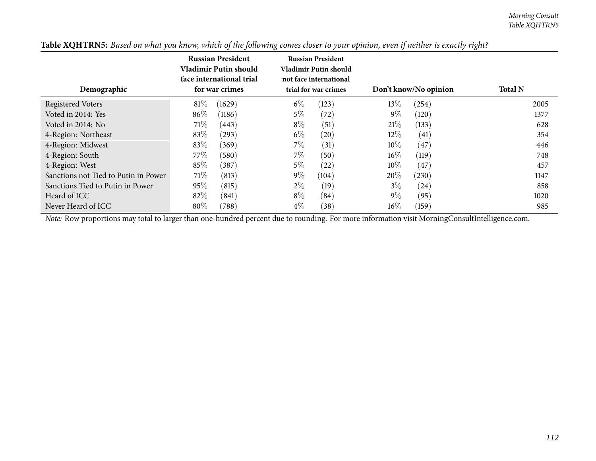|                                      | <b>Russian President</b><br><b>Vladimir Putin should</b><br>face international trial | <b>Russian President</b><br>Vladimir Putin should<br>not face international |                       |                |
|--------------------------------------|--------------------------------------------------------------------------------------|-----------------------------------------------------------------------------|-----------------------|----------------|
| Demographic                          | for war crimes                                                                       | trial for war crimes                                                        | Don't know/No opinion | <b>Total N</b> |
| <b>Registered Voters</b>             | $81\%$<br>(1629)                                                                     | $6\%$<br>(123)                                                              | $13\%$<br>(254)       | 2005           |
| Voted in 2014: Yes                   | $86\%$<br>(1186)                                                                     | $5\%$<br>(72)                                                               | $9\%$<br>(120)        | 1377           |
| Voted in 2014: No                    | 71%<br>(443)                                                                         | $8\%$<br>(51)                                                               | 21%<br>(133)          | 628            |
| 4-Region: Northeast                  | 83\%<br>(293)                                                                        | $6\%$<br>(20)                                                               | $12\%$<br>(41)        | 354            |
| 4-Region: Midwest                    | 83\%<br>(369)                                                                        | $7\%$<br>(31)                                                               | $10\%$<br>(47)        | 446            |
| 4-Region: South                      | 77\%<br>(580)                                                                        | $7\%$<br>(50)                                                               | $16\%$<br>(119)       | 748            |
| 4-Region: West                       | $85\%$<br>(387)                                                                      | $5\%$<br>(22)                                                               | $10\%$<br>(47)        | 457            |
| Sanctions not Tied to Putin in Power | 71%<br>(813)                                                                         | $9\%$<br>(104)                                                              | 20%<br>(230)          | 1147           |
| Sanctions Tied to Putin in Power     | 95%<br>(815)                                                                         | $2\%$<br>(19)                                                               | $3\%$<br>(24)         | 858            |
| Heard of ICC                         | 82\%<br>(841)                                                                        | $8\%$<br>(84)                                                               | $9\%$<br>(95)         | 1020           |
| Never Heard of ICC                   | $80\%$<br>(788)                                                                      | $4\%$<br>(38)                                                               | $16\%$<br>(159)       | 985            |

Table XQHTRN5: Based on what you know, which of the following comes closer to your opinion, even if neither is exactly right?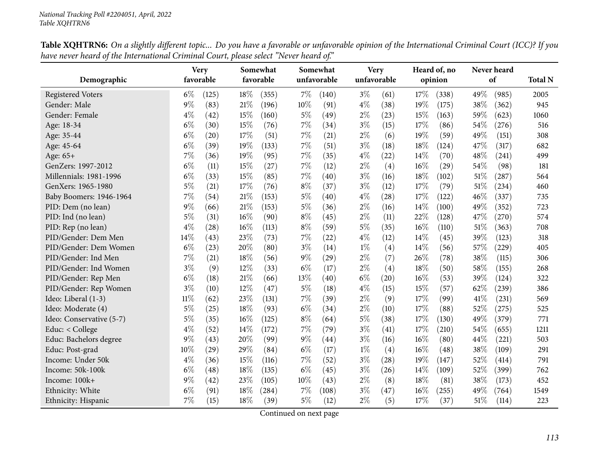|                          | <b>Very</b> |       |     | Somewhat  |       | Somewhat    |       | <b>Very</b> |      | Heard of, no |      | Never heard |                |
|--------------------------|-------------|-------|-----|-----------|-------|-------------|-------|-------------|------|--------------|------|-------------|----------------|
| Demographic              | favorable   |       |     | favorable |       | unfavorable |       | unfavorable |      | opinion      |      | of          | <b>Total N</b> |
| <b>Registered Voters</b> | $6\%$       | (125) | 18% | (355)     | 7%    | (140)       | $3\%$ | (61)        | 17%  | (338)        | 49%  | (985)       | 2005           |
| Gender: Male             | $9\%$       | (83)  | 21% | (196)     | 10%   | (91)        | $4\%$ | (38)        | 19%  | (175)        | 38%  | (362)       | 945            |
| Gender: Female           | $4\%$       | (42)  | 15% | (160)     | $5\%$ | (49)        | $2\%$ | (23)        | 15%  | (163)        | 59%  | (623)       | 1060           |
| Age: 18-34               | $6\%$       | (30)  | 15% | (76)      | 7%    | (34)        | $3\%$ | (15)        | 17%  | (86)         | 54%  | (276)       | 516            |
| Age: 35-44               | $6\%$       | (20)  | 17% | (51)      | 7%    | (21)        | $2\%$ | (6)         | 19%  | (59)         | 49%  | (151)       | 308            |
| Age: 45-64               | $6\%$       | (39)  | 19% | (133)     | $7\%$ | (51)        | $3\%$ | (18)        | 18%  | (124)        | 47%  | (317)       | 682            |
| Age: 65+                 | 7%          | (36)  | 19% | (95)      | $7\%$ | (35)        | $4\%$ | (22)        | 14%  | (70)         | 48%  | (241)       | 499            |
| GenZers: 1997-2012       | $6\%$       | (11)  | 15% | (27)      | $7\%$ | (12)        | $2\%$ | (4)         | 16%  | (29)         | 54%  | (98)        | 181            |
| Millennials: 1981-1996   | $6\%$       | (33)  | 15% | (85)      | 7%    | (40)        | $3\%$ | (16)        | 18%  | (102)        | 51%  | (287)       | 564            |
| GenXers: 1965-1980       | $5\%$       | (21)  | 17% | (76)      | $8\%$ | (37)        | $3\%$ | (12)        | 17%  | (79)         | 51%  | (234)       | 460            |
| Baby Boomers: 1946-1964  | 7%          | (54)  | 21% | (153)     | $5\%$ | (40)        | $4\%$ | (28)        | 17%  | (122)        | 46%  | (337)       | 735            |
| PID: Dem (no lean)       | $9\%$       | (66)  | 21% | (153)     | $5\%$ | (36)        | $2\%$ | (16)        | 14%  | (100)        | 49%  | (352)       | 723            |
| PID: Ind (no lean)       | $5\%$       | (31)  | 16% | (90)      | $8\%$ | (45)        | $2\%$ | (11)        | 22%  | (128)        | 47\% | (270)       | 574            |
| PID: Rep (no lean)       | $4\%$       | (28)  | 16% | (113)     | $8\%$ | (59)        | $5\%$ | (35)        | 16%  | (110)        | 51%  | (363)       | 708            |
| PID/Gender: Dem Men      | 14%         | (43)  | 23% | (73)      | 7%    | (22)        | $4\%$ | (12)        | 14%  | (45)         | 39%  | (123)       | 318            |
| PID/Gender: Dem Women    | $6\%$       | (23)  | 20% | (80)      | $3\%$ | (14)        | $1\%$ | (4)         | 14%  | (56)         | 57%  | (229)       | 405            |
| PID/Gender: Ind Men      | 7%          | (21)  | 18% | (56)      | $9\%$ | (29)        | $2\%$ | (7)         | 26%  | (78)         | 38%  | (115)       | 306            |
| PID/Gender: Ind Women    | $3\%$       | (9)   | 12% | (33)      | $6\%$ | (17)        | $2\%$ | (4)         | 18%  | (50)         | 58%  | (155)       | 268            |
| PID/Gender: Rep Men      | $6\%$       | (18)  | 21% | (66)      | 13%   | (40)        | $6\%$ | (20)        | 16%  | (53)         | 39%  | (124)       | 322            |
| PID/Gender: Rep Women    | $3\%$       | (10)  | 12% | (47)      | $5\%$ | (18)        | $4\%$ | (15)        | 15%  | (57)         | 62%  | (239)       | 386            |
| Ideo: Liberal (1-3)      | $11\%$      | (62)  | 23% | (131)     | $7\%$ | (39)        | $2\%$ | (9)         | 17%  | (99)         | 41\% | (231)       | 569            |
| Ideo: Moderate (4)       | $5\%$       | (25)  | 18% | (93)      | $6\%$ | (34)        | $2\%$ | (10)        | 17%  | (88)         | 52%  | (275)       | 525            |
| Ideo: Conservative (5-7) | $5\%$       | (35)  | 16% | (125)     | $8\%$ | (64)        | $5\%$ | (38)        | 17\% | (130)        | 49%  | (379)       | 771            |
| Educ: < College          | $4\%$       | (52)  | 14% | (172)     | $7\%$ | (79)        | $3\%$ | (41)        | 17%  | (210)        | 54%  | (655)       | 1211           |
| Educ: Bachelors degree   | $9\%$       | (43)  | 20% | (99)      | $9\%$ | (44)        | $3\%$ | (16)        | 16%  | (80)         | 44%  | (221)       | 503            |
| Educ: Post-grad          | 10%         | (29)  | 29% | (84)      | $6\%$ | (17)        | $1\%$ | (4)         | 16%  | (48)         | 38%  | (109)       | 291            |
| Income: Under 50k        | $4\%$       | (36)  | 15% | (116)     | $7\%$ | (52)        | $3\%$ | (28)        | 19%  | (147)        | 52%  | (414)       | 791            |
| Income: 50k-100k         | $6\%$       | (48)  | 18% | (135)     | $6\%$ | (45)        | $3\%$ | (26)        | 14%  | (109)        | 52%  | (399)       | 762            |
| Income: 100k+            | $9\%$       | (42)  | 23% | (105)     | 10%   | (43)        | $2\%$ | (8)         | 18%  | (81)         | 38%  | (173)       | 452            |
| Ethnicity: White         | $6\%$       | (91)  | 18% | (284)     | 7%    | (108)       | $3\%$ | (47)        | 16%  | (255)        | 49%  | (764)       | 1549           |
| Ethnicity: Hispanic      | 7%          | (15)  | 18% | (39)      | $5\%$ | (12)        | $2\%$ | (5)         | 17%  | (37)         | 51%  | (114)       | 223            |

Table XQHTRN6: On a slightly different topic... Do you have a favorable or unfavorable opinion of the International Criminal Court (ICC)? If you have never heard of the International Criminal Court, please select "Never heard of."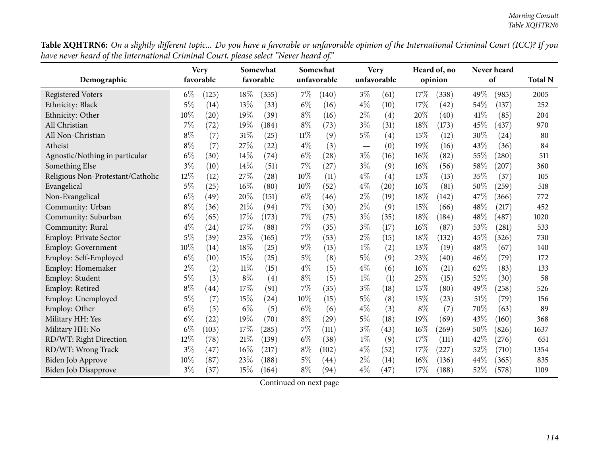| Table XQHTRN6: On a slightly different topic Do you have a favorable or unfavorable opinion of the International Criminal Court (ICC)? If you |  |
|-----------------------------------------------------------------------------------------------------------------------------------------------|--|
| have never heard of the International Criminal Court, please select "Never heard of."                                                         |  |

| Demographic                       |       | <b>Very</b><br>favorable |       | Somewhat<br>favorable |       | Somewhat<br>unfavorable |       | <b>Very</b><br>unfavorable |       | Heard of, no<br>opinion |      | Never heard<br>of |      |
|-----------------------------------|-------|--------------------------|-------|-----------------------|-------|-------------------------|-------|----------------------------|-------|-------------------------|------|-------------------|------|
| <b>Registered Voters</b>          | $6\%$ | (125)                    | 18%   | (355)                 | 7%    | (140)                   | $3\%$ | (61)                       | 17%   | (338)                   | 49%  | (985)             | 2005 |
| Ethnicity: Black                  | $5\%$ | (14)                     | 13%   | (33)                  | $6\%$ | (16)                    | $4\%$ | (10)                       | 17%   | (42)                    | 54%  | (137)             | 252  |
| Ethnicity: Other                  | 10%   | (20)                     | 19%   | (39)                  | $8\%$ | (16)                    | $2\%$ | (4)                        | 20%   | (40)                    | 41\% | (85)              | 204  |
| All Christian                     | 7%    | (72)                     | 19%   | (184)                 | $8\%$ | (73)                    | $3\%$ | (31)                       | 18%   | (173)                   | 45%  | (437)             | 970  |
| All Non-Christian                 | $8\%$ |                          | 31%   | (25)                  | 11%   | (9)                     | $5\%$ | (4)                        | 15%   | (12)                    | 30%  | (24)              | 80   |
| Atheist                           | $8\%$ | (7)<br>(7)               | 27%   | (22)                  | $4\%$ | (3)                     |       |                            | 19%   | (16)                    | 43%  | (36)              | 84   |
|                                   | $6\%$ |                          | 14\%  |                       | $6\%$ |                         | $3\%$ | (0)                        | 16%   |                         | 55%  |                   |      |
| Agnostic/Nothing in particular    | $3\%$ | (30)                     | 14%   | $\left( 74\right)$    | 7%    | (28)                    | $3\%$ | (16)                       | 16%   | (82)                    | 58%  | $^{'}280)$        | 511  |
| Something Else                    |       | (10)                     |       | (51)                  |       | (27)                    |       | (9)                        |       | (56)                    |      | (207)             | 360  |
| Religious Non-Protestant/Catholic | 12%   | (12)                     | 27%   | (28)                  | 10%   | (11)                    | $4\%$ | (4)                        | 13%   | (13)                    | 35%  | (37)              | 105  |
| Evangelical                       | $5\%$ | (25)                     | 16%   | (80)                  | 10%   | (52)                    | $4\%$ | (20)                       | 16%   | (81)                    | 50%  | (259)             | 518  |
| Non-Evangelical                   | $6\%$ | (49)                     | 20%   | (151)                 | $6\%$ | (46)                    | $2\%$ | (19)                       | 18%   | (142)                   | 47%  | (366)             | 772  |
| Community: Urban                  | $8\%$ | (36)                     | 21%   | (94)                  | 7%    | (30)                    | $2\%$ | (9)                        | 15%   | (66)                    | 48%  | (217)             | 452  |
| Community: Suburban               | $6\%$ | (65)                     | 17%   | (173)                 | 7%    | (75)                    | $3\%$ | (35)                       | 18%   | (184)                   | 48%  | (487)             | 1020 |
| Community: Rural                  | $4\%$ | (24)                     | 17\%  | (88)                  | $7\%$ | (35)                    | $3\%$ | (17)                       | 16%   | (87)                    | 53%  | (281)             | 533  |
| <b>Employ: Private Sector</b>     | $5\%$ | (39)                     | 23%   | (165)                 | 7%    | (53)                    | $2\%$ | (15)                       | 18%   | (132)                   | 45%  | (326)             | 730  |
| Employ: Government                | 10%   | (14)                     | 18%   | (25)                  | $9\%$ | (13)                    | $1\%$ | (2)                        | 13%   | (19)                    | 48%  | (67)              | 140  |
| Employ: Self-Employed             | $6\%$ | (10)                     | 15%   | (25)                  | $5\%$ | (8)                     | $5\%$ | (9)                        | 23%   | (40)                    | 46%  | (79)              | 172  |
| Employ: Homemaker                 | $2\%$ | (2)                      | 11%   | (15)                  | $4\%$ | (5)                     | $4\%$ | (6)                        | 16%   | (21)                    | 62%  | (83)              | 133  |
| Employ: Student                   | $5\%$ | (3)                      | $8\%$ | (4)                   | $8\%$ | (5)                     | $1\%$ | (1)                        | 25%   | (15)                    | 52%  | (30)              | 58   |
| Employ: Retired                   | $8\%$ | (44)                     | 17\%  | (91)                  | 7%    | (35)                    | $3\%$ | (18)                       | 15%   | (80)                    | 49%  | (258)             | 526  |
| Employ: Unemployed                | $5\%$ | (7)                      | 15%   | (24)                  | 10%   | (15)                    | $5\%$ | (8)                        | 15%   | (23)                    | 51\% | (79)              | 156  |
| Employ: Other                     | $6\%$ | (5)                      | $6\%$ | (5)                   | $6\%$ | (6)                     | $4\%$ | (3)                        | $8\%$ | (7)                     | 70%  | (63)              | 89   |
| Military HH: Yes                  | $6\%$ | (22)                     | 19%   | (70)                  | $8\%$ | (29)                    | $5\%$ | (18)                       | 19%   | (69)                    | 43%  | (160)             | 368  |
| Military HH: No                   | $6\%$ | (103)                    | 17\%  | (285)                 | 7%    | (111)                   | $3\%$ | (43)                       | 16%   | (269)                   | 50%  | (826)             | 1637 |
| RD/WT: Right Direction            | 12%   | (78)                     | 21%   | (139)                 | $6\%$ | (38)                    | $1\%$ | (9)                        | 17%   | (111)                   | 42\% | (276)             | 651  |
| RD/WT: Wrong Track                | $3\%$ | (47)                     | 16%   | (217)                 | $8\%$ | (102)                   | $4\%$ | (52)                       | 17%   | (227)                   | 52%  | (710)             | 1354 |
| Biden Job Approve                 | 10%   | (87)                     | 23%   | (188)                 | $5\%$ | (44)                    | $2\%$ | (14)                       | 16%   | (136)                   | 44\% | (365)             | 835  |
| Biden Job Disapprove              | $3\%$ | (37)                     | 15%   | (164)                 | $8\%$ | (94)                    | $4\%$ | (47)                       | 17%   | (188)                   | 52%  | (578)             | 1109 |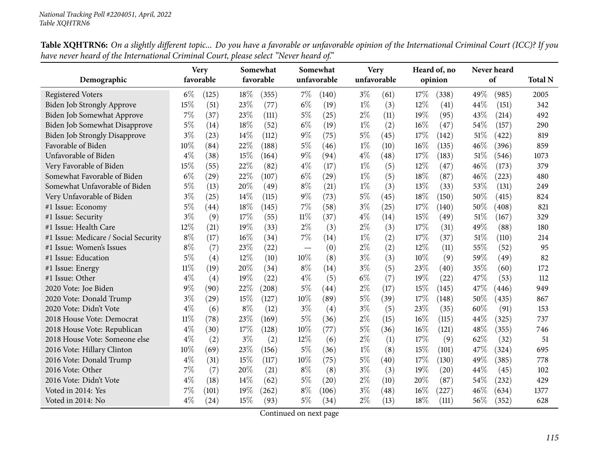|                                      |        | <b>Very</b> |       | Somewhat  |        | Somewhat    |       | <b>Very</b> |      | Heard of, no |        | Never heard |                |
|--------------------------------------|--------|-------------|-------|-----------|--------|-------------|-------|-------------|------|--------------|--------|-------------|----------------|
| Demographic                          |        | favorable   |       | favorable |        | unfavorable |       | unfavorable |      | opinion      |        | of          | <b>Total N</b> |
| <b>Registered Voters</b>             | $6\%$  | (125)       | 18%   | (355)     | 7%     | (140)       | $3\%$ | (61)        | 17%  | (338)        | 49%    | (985)       | 2005           |
| Biden Job Strongly Approve           | 15%    | (51)        | 23%   | (77)      | $6\%$  | (19)        | $1\%$ | (3)         | 12%  | (41)         | 44%    | (151)       | 342            |
| Biden Job Somewhat Approve           | 7%     | (37)        | 23%   | (111)     | $5\%$  | (25)        | $2\%$ | (11)        | 19%  | (95)         | 43%    | (214)       | 492            |
| Biden Job Somewhat Disapprove        | $5\%$  | (14)        | 18%   | (52)      | $6\%$  | (19)        | $1\%$ | (2)         | 16%  | (47)         | 54%    | (157)       | 290            |
| <b>Biden Job Strongly Disapprove</b> | $3\%$  | (23)        | 14\%  | (112)     | $9\%$  | (75)        | $5\%$ | (45)        | 17\% | (142)        | 51\%   | (422)       | 819            |
| Favorable of Biden                   | 10%    | (84)        | 22%   | (188)     | $5\%$  | (46)        | $1\%$ | (10)        | 16%  | (135)        | 46\%   | (396)       | 859            |
| Unfavorable of Biden                 | $4\%$  | (38)        | 15%   | (164)     | $9\%$  | (94)        | $4\%$ | (48)        | 17%  | (183)        | 51%    | (546)       | 1073           |
| Very Favorable of Biden              | 15%    | (55)        | 22%   | (82)      | $4\%$  | (17)        | $1\%$ | (5)         | 12%  | (47)         | 46%    | (173)       | 379            |
| Somewhat Favorable of Biden          | $6\%$  | (29)        | 22%   | (107)     | $6\%$  | (29)        | $1\%$ | (5)         | 18%  | (87)         | 46%    | (223)       | 480            |
| Somewhat Unfavorable of Biden        | $5\%$  | (13)        | 20%   | (49)      | $8\%$  | (21)        | $1\%$ | (3)         | 13%  | (33)         | 53%    | (131)       | 249            |
| Very Unfavorable of Biden            | $3\%$  | (25)        | 14%   | (115)     | $9\%$  | (73)        | $5\%$ | (45)        | 18%  | (150)        | 50%    | (415)       | 824            |
| #1 Issue: Economy                    | $5\%$  | (44)        | 18%   | (145)     | $7\%$  | (58)        | $3\%$ | (25)        | 17%  | (140)        | 50%    | (408)       | 821            |
| #1 Issue: Security                   | $3\%$  | (9)         | 17%   | (55)      | $11\%$ | (37)        | $4\%$ | (14)        | 15%  | (49)         | 51%    | (167)       | 329            |
| #1 Issue: Health Care                | 12%    | (21)        | 19%   | (33)      | $2\%$  | (3)         | $2\%$ | (3)         | 17%  | (31)         | 49%    | (88)        | 180            |
| #1 Issue: Medicare / Social Security | $8\%$  | (17)        | 16%   | (34)      | $7\%$  | (14)        | $1\%$ | (2)         | 17%  | (37)         | $51\%$ | (110)       | 214            |
| #1 Issue: Women's Issues             | $8\%$  | (7)         | 23%   | (22)      |        | (0)         | $2\%$ | (2)         | 12%  | (11)         | 55%    | (52)        | 95             |
| #1 Issue: Education                  | $5\%$  | (4)         | 12%   | (10)      | 10%    | (8)         | $3\%$ | (3)         | 10%  | (9)          | 59%    | (49)        | 82             |
| #1 Issue: Energy                     | $11\%$ | (19)        | 20%   | (34)      | $8\%$  | (14)        | $3\%$ | (5)         | 23%  | (40)         | 35%    | (60)        | 172            |
| #1 Issue: Other                      | $4\%$  | (4)         | 19%   | (22)      | $4\%$  | (5)         | $6\%$ | (7)         | 19%  | (22)         | 47%    | (53)        | 112            |
| 2020 Vote: Joe Biden                 | 9%     | (90)        | 22%   | (208)     | 5%     | (44)        | $2\%$ | (17)        | 15%  | (145)        | 47%    | (446)       | 949            |
| 2020 Vote: Donald Trump              | $3\%$  | (29)        | 15%   | (127)     | 10%    | (89)        | $5\%$ | (39)        | 17%  | (148)        | 50%    | (435)       | 867            |
| 2020 Vote: Didn't Vote               | $4\%$  | (6)         | $8\%$ | (12)      | $3\%$  | (4)         | $3\%$ | (5)         | 23%  | (35)         | 60%    | (91)        | 153            |
| 2018 House Vote: Democrat            | $11\%$ | (78)        | 23%   | (169)     | $5\%$  | (36)        | $2\%$ | (15)        | 16%  | (115)        | 44%    | (325)       | 737            |
| 2018 House Vote: Republican          | $4\%$  | (30)        | 17%   | (128)     | 10%    | (77)        | $5\%$ | (36)        | 16%  | (121)        | 48%    | (355)       | 746            |
| 2018 House Vote: Someone else        | $4\%$  | (2)         | $3\%$ | (2)       | 12%    | (6)         | $2\%$ | (1)         | 17%  | (9)          | 62%    | (32)        | 51             |
| 2016 Vote: Hillary Clinton           | 10%    | (69)        | 23%   | (156)     | 5%     | (36)        | $1\%$ | (8)         | 15%  | (101)        | 47%    | (324)       | 695            |
| 2016 Vote: Donald Trump              | $4\%$  | (31)        | 15%   | (117)     | 10%    | (75)        | $5\%$ | (40)        | 17%  | (130)        | 49%    | (385)       | 778            |
| 2016 Vote: Other                     | $7\%$  | (7)         | 20%   | (21)      | $8\%$  | (8)         | $3\%$ | (3)         | 19%  | (20)         | 44%    | (45)        | 102            |
| 2016 Vote: Didn't Vote               | $4\%$  | (18)        | 14\%  | (62)      | $5\%$  | (20)        | $2\%$ | (10)        | 20%  | (87)         | 54\%   | (232)       | 429            |
| Voted in 2014: Yes                   | 7%     | (101)       | 19%   | (262)     | $8\%$  | (106)       | $3\%$ | (48)        | 16%  | (227)        | 46%    | (634)       | 1377           |
| Voted in 2014: No                    | $4\%$  | (24)        | 15%   | (93)      | $5\%$  | (34)        | $2\%$ | (13)        | 18%  | (111)        | 56%    | (352)       | 628            |

Table XQHTRN6: On a slightly different topic... Do you have a favorable or unfavorable opinion of the International Criminal Court (ICC)? If you have never heard of the International Criminal Court, please select "Never heard of."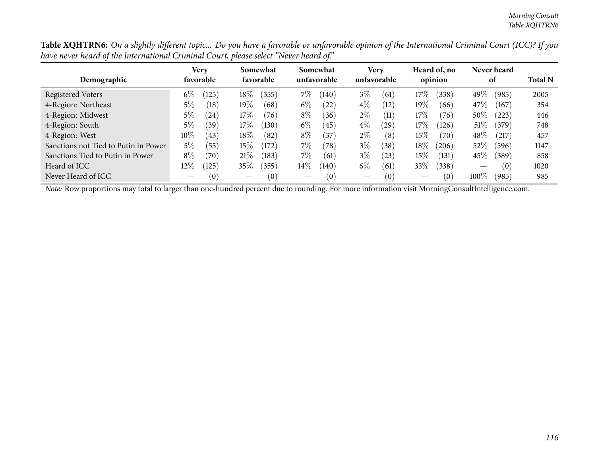| Table XQHTRN6: On a slightly different topic Do you have a favorable or unfavorable opinion of the International Criminal Court (ICC)? If you |  |
|-----------------------------------------------------------------------------------------------------------------------------------------------|--|
| have never heard of the International Criminal Court, please select "Never heard of."                                                         |  |

|                                                                                                                                                       |        | Very          |         | Somewhat  |        | Somewhat    |             | Very |         | Heard of, no |        | Never heard |      |  |
|-------------------------------------------------------------------------------------------------------------------------------------------------------|--------|---------------|---------|-----------|--------|-------------|-------------|------|---------|--------------|--------|-------------|------|--|
| Demographic                                                                                                                                           |        | favorable     |         | favorable |        | unfavorable | unfavorable |      | opinion |              |        | -of         |      |  |
| Registered Voters                                                                                                                                     | $6\%$  | (125)         | 18%     | (355)     | $7\%$  | (140)       | $3\%$       | (61) | 17%     | (338)        | 49\%   | (985)       | 2005 |  |
| 4-Region: Northeast                                                                                                                                   | 5%     | (18)          | 19 $\%$ | (68)      | $6\%$  | (22)        | $4\%$       | (12) | 19%     | (66)         | 47\%   | (167)       | 354  |  |
| 4-Region: Midwest                                                                                                                                     | $5\%$  | (24)          | $17\%$  | (76)      | $8\%$  | (36)        | $2\%$       | (11) | $17\%$  | (76)         | $50\%$ | (223)       | 446  |  |
| 4-Region: South                                                                                                                                       | $5\%$  | $^{\prime}39$ | 17\%    | (130)     | $6\%$  | (45)        | $4\%$       | (29) | 17%     | (126)        | $51\%$ | (379)       | 748  |  |
| 4-Region: West                                                                                                                                        | $10\%$ | (43)          | 18%     | (82)      | $8\%$  | (37)        | $2\%$       | (8)  | $15\%$  | (70)         | 48\%   | (217)       | 457  |  |
| Sanctions not Tied to Putin in Power                                                                                                                  | $5\%$  | (55)          | $15\%$  | (172)     | $7\%$  | (78)        | $3\%$       | (38) | $18\%$  | (206)        | $52\%$ | (596)       | 1147 |  |
| Sanctions Tied to Putin in Power                                                                                                                      | $8\%$  | (70)          | 21%     | (183)     | $7\%$  | (61)        | $3\%$       | (23) | $15\%$  | (131)        | 45\%   | (389)       | 858  |  |
| Heard of ICC                                                                                                                                          | $12\%$ | (125)         | $35\%$  | (355)     | $14\%$ | (140)       | $6\%$       | (61) | 33\%    | (338)        |        | (0)         | 1020 |  |
| Never Heard of ICC                                                                                                                                    |        | (0)           |         | $\alpha$  |        | (0)         |             | (0)  |         | (0)          | 100\%  | (985)       | 985  |  |
| <i>Note:</i> Row proportions may total to larger than one-hundred percent due to rounding. For more information visit MorningConsultIntelligence.com. |        |               |         |           |        |             |             |      |         |              |        |             |      |  |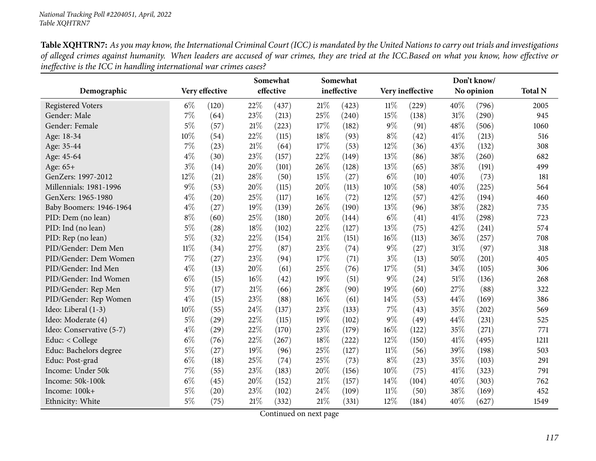Table XQHTRN7: As you may know, the International Criminal Court (ICC) is mandated by the United Nations to carry out trials and investigations of alleged crimes against humanity. When leaders are accused of war crimes, they are tried at the ICC.Based on what you know, how effective or *ineffective is the ICC in handling international war crimes cases?*

| Demographic              |        | Very effective |        | Somewhat<br>effective |        | Somewhat<br>ineffective |        | Very ineffective |      | Don't know/<br>No opinion | <b>Total N</b> |
|--------------------------|--------|----------------|--------|-----------------------|--------|-------------------------|--------|------------------|------|---------------------------|----------------|
|                          |        |                |        |                       |        |                         |        |                  |      |                           |                |
| <b>Registered Voters</b> | $6\%$  | (120)          | 22%    | (437)                 | 21%    | (423)                   | $11\%$ | (229)            | 40%  | (796)                     | 2005           |
| Gender: Male             | $7\%$  | (64)           | 23%    | (213)                 | 25%    | (240)                   | 15%    | (138)            | 31%  | (290)                     | 945            |
| Gender: Female           | 5%     | (57)           | 21%    | (223)                 | 17%    | (182)                   | $9\%$  | (91)             | 48%  | (506)                     | 1060           |
| Age: 18-34               | 10%    | (54)           | 22%    | (115)                 | 18%    | (93)                    | $8\%$  | (42)             | 41\% | (213)                     | 516            |
| Age: 35-44               | $7\%$  | (23)           | 21%    | (64)                  | 17%    | (53)                    | 12%    | (36)             | 43%  | (132)                     | 308            |
| Age: 45-64               | $4\%$  | (30)           | 23%    | (157)                 | 22%    | (149)                   | 13%    | (86)             | 38%  | (260)                     | 682            |
| Age: 65+                 | $3\%$  | (14)           | 20%    | (101)                 | 26%    | (128)                   | 13%    | (65)             | 38\% | (191)                     | 499            |
| GenZers: 1997-2012       | 12%    | (21)           | 28%    | (50)                  | 15%    | (27)                    | $6\%$  | (10)             | 40%  | (73)                      | 181            |
| Millennials: 1981-1996   | $9\%$  | (53)           | 20%    | (115)                 | 20%    | (113)                   | 10%    | (58)             | 40%  | (225)                     | 564            |
| GenXers: 1965-1980       | $4\%$  | (20)           | 25%    | (117)                 | $16\%$ | (72)                    | 12%    | (57)             | 42%  | (194)                     | 460            |
| Baby Boomers: 1946-1964  | $4\%$  | (27)           | 19%    | (139)                 | 26%    | (190)                   | 13%    | (96)             | 38%  | (282)                     | 735            |
| PID: Dem (no lean)       | $8\%$  | (60)           | 25%    | (180)                 | 20%    | (144)                   | $6\%$  | (41)             | 41\% | (298)                     | 723            |
| PID: Ind (no lean)       | $5\%$  | (28)           | 18%    | (102)                 | 22%    | (127)                   | 13%    | (75)             | 42%  | (241)                     | 574            |
| PID: Rep (no lean)       | $5\%$  | (32)           | 22%    | (154)                 | 21%    | (151)                   | 16%    | (113)            | 36%  | (257)                     | 708            |
| PID/Gender: Dem Men      | $11\%$ | (34)           | 27%    | (87)                  | 23%    | (74)                    | $9\%$  | (27)             | 31%  | (97)                      | 318            |
| PID/Gender: Dem Women    | 7%     | (27)           | 23%    | (94)                  | 17%    | (71)                    | $3\%$  | (13)             | 50%  | (201)                     | 405            |
| PID/Gender: Ind Men      | $4\%$  | (13)           | 20%    | (61)                  | 25%    | (76)                    | 17%    | (51)             | 34%  | (105)                     | 306            |
| PID/Gender: Ind Women    | $6\%$  | (15)           | 16%    | (42)                  | 19%    | (51)                    | $9\%$  | (24)             | 51%  | (136)                     | 268            |
| PID/Gender: Rep Men      | $5\%$  | (17)           | $21\%$ | (66)                  | 28%    | (90)                    | 19%    | (60)             | 27%  | (88)                      | 322            |
| PID/Gender: Rep Women    | $4\%$  | (15)           | 23%    | (88)                  | $16\%$ | (61)                    | 14%    | (53)             | 44\% | (169)                     | 386            |
| Ideo: Liberal (1-3)      | 10%    | (55)           | 24%    | (137)                 | 23%    | (133)                   | 7%     | (43)             | 35%  | (202)                     | 569            |
| Ideo: Moderate (4)       | $5\%$  | (29)           | 22%    | (115)                 | 19%    | (102)                   | $9\%$  | (49)             | 44%  | (231)                     | 525            |
| Ideo: Conservative (5-7) | $4\%$  | (29)           | 22%    | (170)                 | 23%    | (179)                   | 16%    | (122)            | 35%  | (271)                     | 771            |
| Educ: < College          | $6\%$  | (76)           | 22%    | (267)                 | 18%    | (222)                   | 12%    | (150)            | 41\% | (495)                     | 1211           |
| Educ: Bachelors degree   | $5\%$  | (27)           | 19%    | (96)                  | 25%    | (127)                   | 11%    | (56)             | 39%  | (198)                     | 503            |
| Educ: Post-grad          | $6\%$  | (18)           | 25%    | (74)                  | 25%    | (73)                    | $8\%$  | (23)             | 35%  | (103)                     | 291            |
| Income: Under 50k        | $7\%$  | (55)           | 23%    | (183)                 | 20%    | (156)                   | 10%    | (75)             | 41\% | (323)                     | 791            |
| Income: 50k-100k         | $6\%$  | (45)           | 20%    | (152)                 | 21%    | (157)                   | 14\%   | (104)            | 40%  | (303)                     | 762            |
| Income: 100k+            | $5\%$  | (20)           | 23%    | (102)                 | 24\%   | (109)                   | $11\%$ | (50)             | 38%  | (169)                     | 452            |
| Ethnicity: White         | $5\%$  | (75)           | 21%    | (332)                 | $21\%$ | (331)                   | 12%    | (184)            | 40%  | (627)                     | 1549           |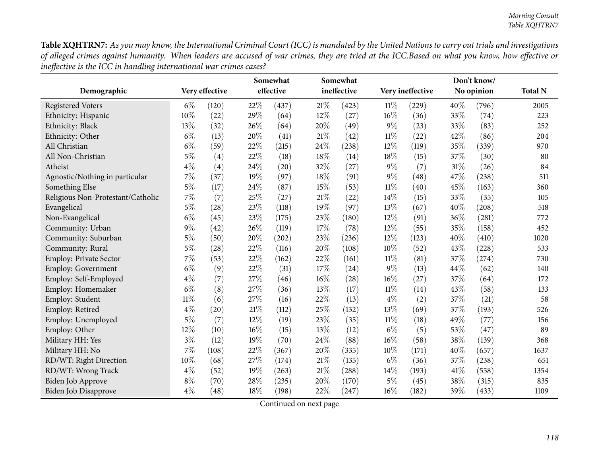Table XQHTRN7: As you may know, the International Criminal Court (ICC) is mandated by the United Nations to carry out trials and investigations of alleged crimes against humanity. When leaders are accused of war crimes, they are tried at the ICC.Based on what you know, how effective or *ineffective is the ICC in handling international war crimes cases?*

| Demographic                       |        | Very effective |     | Somewhat<br>effective |        | Somewhat<br>ineffective |        | Very ineffective |        | Don't know/<br>No opinion | <b>Total N</b> |
|-----------------------------------|--------|----------------|-----|-----------------------|--------|-------------------------|--------|------------------|--------|---------------------------|----------------|
| <b>Registered Voters</b>          | $6\%$  | (120)          | 22% | (437)                 | 21%    | (423)                   | $11\%$ | (229)            | 40%    | (796)                     | 2005           |
| Ethnicity: Hispanic               | 10%    | (22)           | 29% | (64)                  | $12\%$ | (27)                    | 16%    | (36)             | 33%    | (74)                      | 223            |
| Ethnicity: Black                  | 13%    | (32)           | 26% | (64)                  | 20%    | (49)                    | $9\%$  | (23)             | 33%    | (83)                      | 252            |
| Ethnicity: Other                  | $6\%$  | (13)           | 20% | (41)                  | 21\%   | (42)                    | $11\%$ | (22)             | 42%    | (86)                      | 204            |
| All Christian                     | $6\%$  | (59)           | 22% | (215)                 | 24%    | (238)                   | 12%    | (119)            | 35%    | (339)                     | 970            |
| All Non-Christian                 | $5\%$  | (4)            | 22% | (18)                  | 18%    | (14)                    | 18%    | (15)             | 37%    | (30)                      | 80             |
| Atheist                           | $4\%$  | (4)            | 24% | (20)                  | 32%    | (27)                    | $9\%$  | (7)              | $31\%$ | (26)                      | 84             |
| Agnostic/Nothing in particular    | $7\%$  | (37)           | 19% | (97)                  | 18%    | (91)                    | $9\%$  | (48)             | 47%    | (238)                     | 511            |
| Something Else                    | $5\%$  | (17)           | 24% | (87)                  | 15%    | (53)                    | $11\%$ | (40)             | 45%    | (163)                     | 360            |
| Religious Non-Protestant/Catholic | 7%     | (7)            | 25% | (27)                  | 21%    | (22)                    | 14%    | (15)             | 33%    | (35)                      | 105            |
| Evangelical                       | $5\%$  | (28)           | 23% | (118)                 | 19%    | (97)                    | 13%    | (67)             | 40%    | (208)                     | 518            |
| Non-Evangelical                   | $6\%$  | (45)           | 23% | (175)                 | 23%    | (180)                   | 12%    | (91)             | 36%    | (281)                     | 772            |
| Community: Urban                  | 9%     | (42)           | 26% | (119)                 | 17%    | (78)                    | 12%    | (55)             | 35%    | (158)                     | 452            |
| Community: Suburban               | $5\%$  | (50)           | 20% | (202)                 | 23%    | (236)                   | $12\%$ | (123)            | 40\%   | (410)                     | 1020           |
| Community: Rural                  | $5\%$  | (28)           | 22% | (116)                 | 20%    | (108)                   | 10%    | (52)             | 43%    | (228)                     | 533            |
| Employ: Private Sector            | 7%     | (53)           | 22% | (162)                 | 22%    | (161)                   | $11\%$ | (81)             | 37%    | (274)                     | 730            |
| <b>Employ: Government</b>         | $6\%$  | (9)            | 22% | (31)                  | 17%    | (24)                    | $9\%$  | (13)             | 44\%   | (62)                      | 140            |
| Employ: Self-Employed             | $4\%$  | (7)            | 27% | (46)                  | 16%    | (28)                    | 16%    | (27)             | 37%    | (64)                      | 172            |
| Employ: Homemaker                 | $6\%$  | (8)            | 27% | (36)                  | 13%    | (17)                    | $11\%$ | (14)             | 43%    | (58)                      | 133            |
| Employ: Student                   | $11\%$ | (6)            | 27% | (16)                  | 22%    | (13)                    | $4\%$  | (2)              | 37%    | (21)                      | 58             |
| Employ: Retired                   | $4\%$  | (20)           | 21% | (112)                 | 25%    | (132)                   | 13%    | (69)             | 37%    | (193)                     | 526            |
| Employ: Unemployed                | $5\%$  | (7)            | 12% | (19)                  | 23%    | (35)                    | $11\%$ | (18)             | 49%    | (77)                      | 156            |
| Employ: Other                     | 12%    | (10)           | 16% | (15)                  | 13%    | (12)                    | $6\%$  | (5)              | 53%    | (47)                      | 89             |
| Military HH: Yes                  | $3\%$  | (12)           | 19% | (70)                  | 24\%   | (88)                    | 16%    | (58)             | 38%    | (139)                     | 368            |
| Military HH: No                   | $7\%$  | (108)          | 22% | (367)                 | 20%    | (335)                   | 10%    | (171)            | 40%    | (657)                     | 1637           |
| RD/WT: Right Direction            | 10%    | (68)           | 27% | (174)                 | $21\%$ | (135)                   | $6\%$  | (36)             | 37%    | (238)                     | 651            |
| RD/WT: Wrong Track                | $4\%$  | (52)           | 19% | (263)                 | 21%    | (288)                   | 14%    | (193)            | $41\%$ | (558)                     | 1354           |
| Biden Job Approve                 | $8\%$  | (70)           | 28% | (235)                 | 20%    | (170)                   | $5\%$  | (45)             | 38%    | (315)                     | 835            |
| Biden Job Disapprove              | $4\%$  | (48)           | 18% | (198)                 | 22%    | (247)                   | 16%    | (182)            | 39%    | (433)                     | 1109           |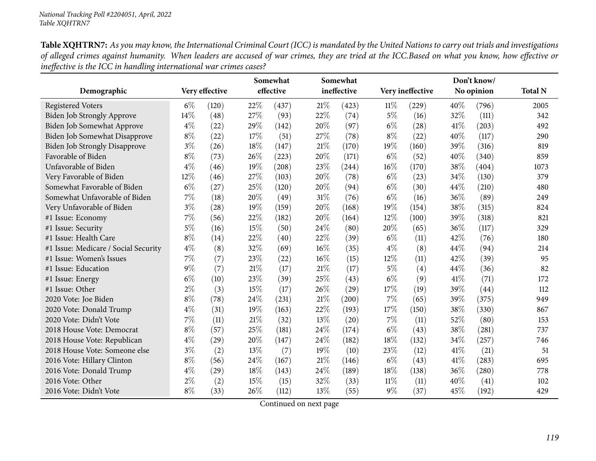Table XQHTRN7: As you may know, the International Criminal Court (ICC) is mandated by the United Nations to carry out trials and investigations of alleged crimes against humanity. When leaders are accused of war crimes, they are tried at the ICC.Based on what you know, how effective or *ineffective is the ICC in handling international war crimes cases?*

| Demographic                          |       | Very effective |     | Somewhat<br>effective |        | Somewhat<br>ineffective |        | Very ineffective |        | Don't know/<br>No opinion | <b>Total N</b> |
|--------------------------------------|-------|----------------|-----|-----------------------|--------|-------------------------|--------|------------------|--------|---------------------------|----------------|
| <b>Registered Voters</b>             | $6\%$ | (120)          | 22% | (437)                 | 21%    | (423)                   | $11\%$ | (229)            | 40%    | (796)                     | 2005           |
| Biden Job Strongly Approve           | 14%   | (48)           | 27% | (93)                  | 22%    | (74)                    | $5\%$  | (16)             | 32%    | (111)                     | 342            |
| Biden Job Somewhat Approve           | $4\%$ | (22)           | 29% | (142)                 | 20%    | (97)                    | $6\%$  | (28)             | 41\%   | (203)                     | 492            |
| Biden Job Somewhat Disapprove        | $8\%$ | (22)           | 17% | (51)                  | 27%    | (78)                    | $8\%$  | (22)             | 40%    | (117)                     | 290            |
| <b>Biden Job Strongly Disapprove</b> | $3\%$ | (26)           | 18% | (147)                 | 21%    | (170)                   | 19%    | (160)            | 39%    | (316)                     | 819            |
| Favorable of Biden                   | $8\%$ | (73)           | 26% | (223)                 | 20%    | (171)                   | $6\%$  | (52)             | 40%    | (340)                     | 859            |
| Unfavorable of Biden                 | $4\%$ | (46)           | 19% | (208)                 | 23%    | (244)                   | $16\%$ | (170)            | 38%    | (404)                     | 1073           |
| Very Favorable of Biden              | 12%   | (46)           | 27% | (103)                 | 20%    | (78)                    | $6\%$  | (23)             | 34%    | (130)                     | 379            |
| Somewhat Favorable of Biden          | $6\%$ | (27)           | 25% | (120)                 | 20%    | (94)                    | $6\%$  | (30)             | 44%    | (210)                     | 480            |
| Somewhat Unfavorable of Biden        | 7%    | (18)           | 20% | (49)                  | 31%    | (76)                    | $6\%$  | (16)             | 36\%   | (89)                      | 249            |
| Very Unfavorable of Biden            | $3\%$ | (28)           | 19% | (159)                 | 20%    | (168)                   | 19%    | (154)            | 38%    | (315)                     | 824            |
| #1 Issue: Economy                    | 7%    | (56)           | 22% | (182)                 | 20%    | (164)                   | 12%    | (100)            | 39%    | (318)                     | 821            |
| #1 Issue: Security                   | $5\%$ | (16)           | 15% | (50)                  | 24\%   | (80)                    | 20%    | (65)             | 36%    | (117)                     | 329            |
| #1 Issue: Health Care                | $8\%$ | (14)           | 22% | (40)                  | 22%    | (39)                    | $6\%$  | (11)             | 42%    | (76)                      | 180            |
| #1 Issue: Medicare / Social Security | $4\%$ | (8)            | 32% | (69)                  | $16\%$ | (35)                    | $4\%$  | (8)              | 44%    | (94)                      | 214            |
| #1 Issue: Women's Issues             | 7%    | (7)            | 23% | (22)                  | $16\%$ | (15)                    | 12%    | (11)             | 42%    | (39)                      | 95             |
| #1 Issue: Education                  | $9\%$ | (7)            | 21% | (17)                  | 21%    | (17)                    | $5\%$  | (4)              | 44%    | (36)                      | 82             |
| #1 Issue: Energy                     | $6\%$ | (10)           | 23% | (39)                  | 25%    | (43)                    | $6\%$  | (9)              | 41%    | (71)                      | 172            |
| #1 Issue: Other                      | $2\%$ | (3)            | 15% | (17)                  | 26%    | (29)                    | 17%    | (19)             | 39%    | (44)                      | 112            |
| 2020 Vote: Joe Biden                 | $8\%$ | (78)           | 24% | (231)                 | 21%    | (200)                   | 7%     | (65)             | 39%    | (375)                     | 949            |
| 2020 Vote: Donald Trump              | $4\%$ | (31)           | 19% | (163)                 | 22%    | (193)                   | 17%    | (150)            | 38%    | (330)                     | 867            |
| 2020 Vote: Didn't Vote               | 7%    | (11)           | 21% | (32)                  | 13%    | (20)                    | $7\%$  | (11)             | 52%    | (80)                      | 153            |
| 2018 House Vote: Democrat            | $8\%$ | (57)           | 25% | (181)                 | 24%    | (174)                   | $6\%$  | (43)             | 38%    | (281)                     | 737            |
| 2018 House Vote: Republican          | $4\%$ | (29)           | 20% | (147)                 | 24\%   | (182)                   | 18%    | (132)            | 34%    | (257)                     | 746            |
| 2018 House Vote: Someone else        | $3\%$ | (2)            | 13% | (7)                   | 19%    | (10)                    | 23%    | (12)             | 41\%   | (21)                      | 51             |
| 2016 Vote: Hillary Clinton           | $8\%$ | (56)           | 24% | (167)                 | 21%    | (146)                   | $6\%$  | (43)             | 41\%   | (283)                     | 695            |
| 2016 Vote: Donald Trump              | $4\%$ | (29)           | 18% | (143)                 | 24%    | (189)                   | 18%    | (138)            | $36\%$ | (280)                     | 778            |
| 2016 Vote: Other                     | $2\%$ | (2)            | 15% | (15)                  | 32%    | (33)                    | $11\%$ | (11)             | 40%    | (41)                      | 102            |
| 2016 Vote: Didn't Vote               | $8\%$ | (33)           | 26% | (112)                 | 13%    | (55)                    | $9\%$  | (37)             | 45%    | (192)                     | 429            |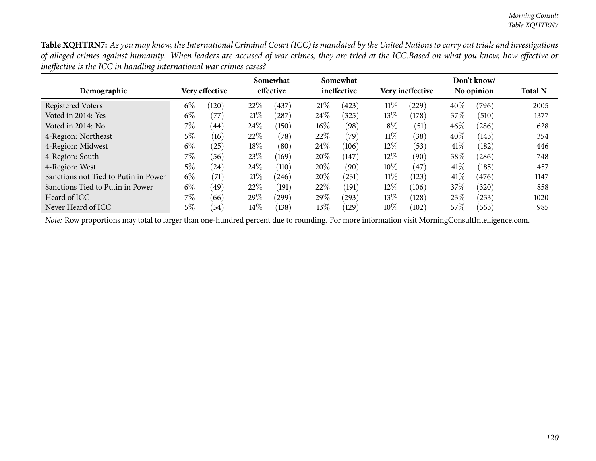Table XQHTRN7: As you may know, the International Criminal Court (ICC) is mandated by the United Nations to carry out trials and investigations of alleged crimes against humanity. When leaders are accused of war crimes, they are tried at the ICC.Based on what you know, how effective or *ineffective is the ICC in handling international war crimes cases?*

| Demographic                          |       | Very effective |        | Somewhat<br>effective |        | Somewhat<br>ineffective |        | Very ineffective |        | Don't know/<br>No opinion | <b>Total N</b> |
|--------------------------------------|-------|----------------|--------|-----------------------|--------|-------------------------|--------|------------------|--------|---------------------------|----------------|
| <b>Registered Voters</b>             | $6\%$ | (120)          | 22%    | (437)                 | 21%    | (423)                   | $11\%$ | (229)            | $40\%$ | (796)                     | 2005           |
| Voted in 2014: Yes                   | $6\%$ | $^{\prime}77)$ | 21%    | (287)                 | 24%    | (325)                   | $13\%$ | (178)            | 37%    | (510)                     | 1377           |
| Voted in 2014: No                    | $7\%$ | (44)           | 24\%   | (150)                 | $16\%$ | (98)                    | $8\%$  | (51)             | 46\%   | (286)                     | 628            |
| 4-Region: Northeast                  | 5%    | (16)           | 22%    | (78)                  | 22%    | (79)                    | $11\%$ | (38)             | $40\%$ | (143)                     | 354            |
| 4-Region: Midwest                    | $6\%$ | (25)           | $18\%$ | (80)                  | 24%    | (106)                   | $12\%$ | (53)             | 41%    | (182)                     | 446            |
| 4-Region: South                      | $7\%$ | (56)           | 23\%   | (169)                 | $20\%$ | (147)                   | $12\%$ | (90)             | $38\%$ | (286)                     | 748            |
| 4-Region: West                       | 5%    | (24)           | 24\%   | (110)                 | 20%    | (90)                    | $10\%$ | (47)             | 41\%   | (185)                     | 457            |
| Sanctions not Tied to Putin in Power | $6\%$ | (71)           | 21%    | (246)                 | 20%    | (231)                   | $11\%$ | (123)            | 41%    | (476)                     | 1147           |
| Sanctions Tied to Putin in Power     | $6\%$ | (49)           | 22%    | (191)                 | 22%    | (191)                   | $12\%$ | (106)            | 37%    | (320)                     | 858            |
| Heard of ICC                         | $7\%$ | (66)           | 29\%   | 299                   | 29%    | (293)                   | $13\%$ | (128)            | 23\%   | (233)                     | 1020           |
| Never Heard of ICC                   | 5%    | (54)           | $14\%$ | (138)                 | 13%    | (129)                   | $10\%$ | (102)            | 57\%   | (563)                     | 985            |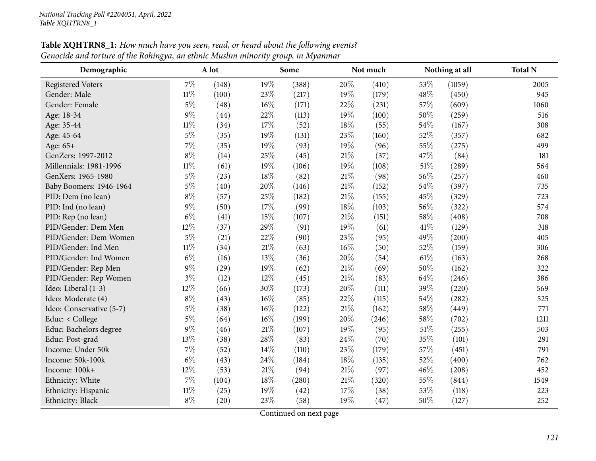| Demographic              |        | A lot |        | Some  |        | Not much |      | Nothing at all | <b>Total N</b> |
|--------------------------|--------|-------|--------|-------|--------|----------|------|----------------|----------------|
| <b>Registered Voters</b> | $7\%$  | (148) | 19%    | (388) | 20%    | (410)    | 53%  | (1059)         | 2005           |
| Gender: Male             | $11\%$ | (100) | 23%    | (217) | 19%    | (179)    | 48%  | (450)          | 945            |
| Gender: Female           | $5\%$  | (48)  | $16\%$ | (171) | 22%    | (231)    | 57%  | (609)          | 1060           |
| Age: 18-34               | $9\%$  | (44)  | 22%    | (113) | 19%    | (100)    | 50%  | (259)          | 516            |
| Age: 35-44               | $11\%$ | (34)  | 17%    | (52)  | 18%    | (55)     | 54%  | (167)          | 308            |
| Age: 45-64               | $5\%$  | (35)  | 19%    | (131) | 23%    | (160)    | 52%  | (357)          | 682            |
| Age: 65+                 | 7%     | (35)  | 19%    | (93)  | 19%    | (96)     | 55%  | (275)          | 499            |
| GenZers: 1997-2012       | $8\%$  | (14)  | 25%    | (45)  | $21\%$ | (37)     | 47%  | (84)           | 181            |
| Millennials: 1981-1996   | $11\%$ | (61)  | 19%    | (106) | 19%    | (108)    | 51%  | (289)          | 564            |
| GenXers: 1965-1980       | $5\%$  | (23)  | 18%    | (82)  | $21\%$ | (98)     | 56%  | (257)          | 460            |
| Baby Boomers: 1946-1964  | $5\%$  | (40)  | 20%    | (146) | 21%    | (152)    | 54%  | (397)          | 735            |
| PID: Dem (no lean)       | $8\%$  | (57)  | 25%    | (182) | $21\%$ | (155)    | 45%  | (329)          | 723            |
| PID: Ind (no lean)       | $9\%$  | (50)  | 17%    | (99)  | $18\%$ | (103)    | 56%  | (322)          | 574            |
| PID: Rep (no lean)       | $6\%$  | (41)  | 15%    | (107) | $21\%$ | (151)    | 58%  | (408)          | 708            |
| PID/Gender: Dem Men      | 12%    | (37)  | 29%    | (91)  | 19%    | (61)     | 41\% | (129)          | 318            |
| PID/Gender: Dem Women    | $5\%$  | (21)  | 22%    | (90)  | 23%    | (95)     | 49%  | (200)          | 405            |
| PID/Gender: Ind Men      | $11\%$ | (34)  | $21\%$ | (63)  | 16%    | (50)     | 52%  | (159)          | 306            |
| PID/Gender: Ind Women    | $6\%$  | (16)  | 13%    | (36)  | 20%    | (54)     | 61%  | (163)          | 268            |
| PID/Gender: Rep Men      | $9\%$  | (29)  | 19%    | (62)  | 21%    | (69)     | 50%  | (162)          | 322            |
| PID/Gender: Rep Women    | $3\%$  | (12)  | 12%    | (45)  | $21\%$ | (83)     | 64%  | (246)          | 386            |
| Ideo: Liberal (1-3)      | 12%    | (66)  | 30%    | (173) | 20%    | (111)    | 39%  | (220)          | 569            |
| Ideo: Moderate (4)       | $8\%$  | (43)  | $16\%$ | (85)  | 22%    | (115)    | 54%  | (282)          | 525            |
| Ideo: Conservative (5-7) | $5\%$  | (38)  | $16\%$ | (122) | $21\%$ | (162)    | 58%  | (449)          | 771            |
| Educ: < College          | $5\%$  | (64)  | $16\%$ | (199) | 20%    | (246)    | 58%  | (702)          | 1211           |
| Educ: Bachelors degree   | $9\%$  | (46)  | $21\%$ | (107) | 19%    | (95)     | 51%  | (255)          | 503            |
| Educ: Post-grad          | 13%    | (38)  | 28%    | (83)  | 24\%   | (70)     | 35%  | (101)          | 291            |
| Income: Under 50k        | $7\%$  | (52)  | 14%    | (110) | 23%    | (179)    | 57%  | (451)          | 791            |
| Income: 50k-100k         | $6\%$  | (43)  | 24%    | (184) | 18%    | (135)    | 52%  | (400)          | 762            |
| Income: 100k+            | 12%    | (53)  | $21\%$ | (94)  | $21\%$ | (97)     | 46%  | (208)          | 452            |
| Ethnicity: White         | $7\%$  | (104) | 18%    | (280) | $21\%$ | (320)    | 55%  | (844)          | 1549           |
| Ethnicity: Hispanic      | $11\%$ | (25)  | 19%    | (42)  | 17%    | (38)     | 53%  | (118)          | 223            |
| Ethnicity: Black         | $8\%$  | (20)  | 23%    | (58)  | 19%    | (47)     | 50%  | (127)          | 252            |

Table XQHTRN8\_1: How much have you seen, read, or heard about the following events? Genocide and torture of the Rohingya, an ethnic Muslim minority group, in Myanmar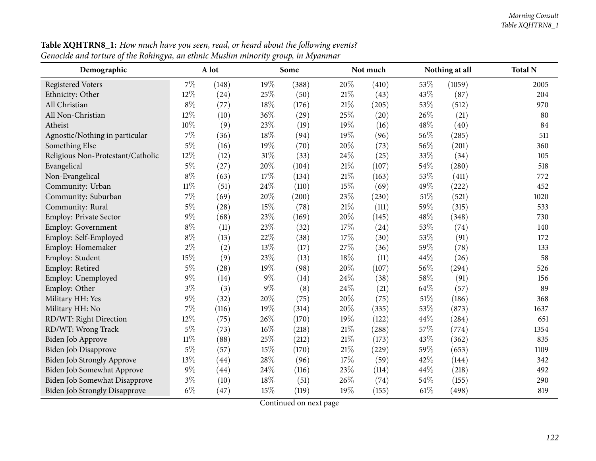| Demographic                          |        | A lot |        | Some  |        | Not much |      | Nothing at all | <b>Total N</b> |
|--------------------------------------|--------|-------|--------|-------|--------|----------|------|----------------|----------------|
| <b>Registered Voters</b>             | $7\%$  | (148) | 19%    | (388) | 20%    | (410)    | 53\% | (1059)         | 2005           |
| Ethnicity: Other                     | $12\%$ | (24)  | 25\%   | (50)  | 21\%   | (43)     | 43%  | (87)           | 204            |
| All Christian                        | $8\%$  | (77)  | 18%    | (176) | $21\%$ | (205)    | 53%  | (512)          | 970            |
| All Non-Christian                    | 12%    | (10)  | 36%    | (29)  | 25%    | (20)     | 26%  | (21)           | 80             |
| Atheist                              | $10\%$ | (9)   | 23%    | (19)  | 19%    | (16)     | 48%  | (40)           | 84             |
| Agnostic/Nothing in particular       | $7\%$  | (36)  | 18%    | (94)  | 19%    | (96)     | 56%  | (285)          | 511            |
| Something Else                       | $5\%$  | (16)  | 19%    | (70)  | 20%    | (73)     | 56%  | (201)          | 360            |
| Religious Non-Protestant/Catholic    | 12%    | (12)  | 31%    | (33)  | 24%    | (25)     | 33%  | (34)           | 105            |
| Evangelical                          | $5\%$  | (27)  | 20%    | (104) | $21\%$ | (107)    | 54%  | (280)          | 518            |
| Non-Evangelical                      | $8\%$  | (63)  | 17%    | (134) | $21\%$ | (163)    | 53%  | (411)          | 772            |
| Community: Urban                     | $11\%$ | (51)  | 24\%   | (110) | 15%    | (69)     | 49%  | (222)          | 452            |
| Community: Suburban                  | $7\%$  | (69)  | 20%    | (200) | 23%    | (230)    | 51%  | (521)          | 1020           |
| Community: Rural                     | $5\%$  | (28)  | 15%    | (78)  | $21\%$ | (111)    | 59%  | (315)          | 533            |
| Employ: Private Sector               | $9\%$  | (68)  | 23%    | (169) | 20%    | (145)    | 48%  | (348)          | 730            |
| Employ: Government                   | $8\%$  | (11)  | 23%    | (32)  | 17%    | (24)     | 53%  | (74)           | 140            |
| Employ: Self-Employed                | $8\%$  | (13)  | 22%    | (38)  | 17%    | (30)     | 53%  | (91)           | 172            |
| Employ: Homemaker                    | $2\%$  | (2)   | 13%    | (17)  | 27%    | (36)     | 59%  | (78)           | 133            |
| Employ: Student                      | 15%    | (9)   | 23\%   | (13)  | 18%    | (11)     | 44%  | (26)           | 58             |
| Employ: Retired                      | $5\%$  | (28)  | 19%    | (98)  | 20%    | (107)    | 56%  | (294)          | 526            |
| Employ: Unemployed                   | $9\%$  | (14)  | $9\%$  | (14)  | 24%    | (38)     | 58%  | (91)           | 156            |
| Employ: Other                        | $3\%$  | (3)   | $9\%$  | (8)   | 24%    | (21)     | 64%  | (57)           | 89             |
| Military HH: Yes                     | $9\%$  | (32)  | 20%    | (75)  | 20%    | (75)     | 51%  | (186)          | 368            |
| Military HH: No                      | $7\%$  | (116) | 19%    | (314) | 20%    | (335)    | 53%  | (873)          | 1637           |
| RD/WT: Right Direction               | 12%    | (75)  | 26\%   | (170) | 19%    | (122)    | 44%  | (284)          | 651            |
| RD/WT: Wrong Track                   | $5\%$  | (73)  | $16\%$ | (218) | $21\%$ | (288)    | 57%  | (774)          | 1354           |
| Biden Job Approve                    | $11\%$ | (88)  | 25%    | (212) | $21\%$ | (173)    | 43%  | (362)          | 835            |
| Biden Job Disapprove                 | $5\%$  | (57)  | 15%    | (170) | $21\%$ | (229)    | 59%  | (653)          | 1109           |
| Biden Job Strongly Approve           | 13%    | (44)  | 28%    | (96)  | 17%    | (59)     | 42%  | (144)          | 342            |
| Biden Job Somewhat Approve           | $9\%$  | (44)  | 24%    | (116) | 23%    | (114)    | 44%  | (218)          | 492            |
| Biden Job Somewhat Disapprove        | $3\%$  | (10)  | 18%    | (51)  | 26%    | (74)     | 54%  | (155)          | 290            |
| <b>Biden Job Strongly Disapprove</b> | $6\%$  | (47)  | 15%    | (119) | 19%    | (155)    | 61\% | (498)          | 819            |

Table XQHTRN8\_1: How much have you seen, read, or heard about the following events? Genocide and torture of the Rohingya, an ethnic Muslim minority group, in Myanmar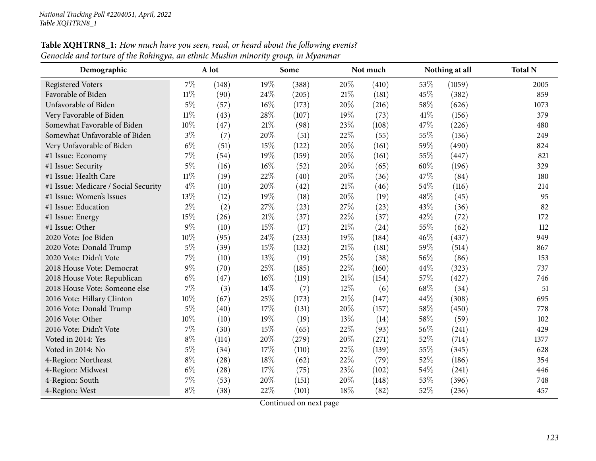| Demographic                          |        | A lot |        | Some  |        | Not much |      | Nothing at all | <b>Total N</b> |
|--------------------------------------|--------|-------|--------|-------|--------|----------|------|----------------|----------------|
| <b>Registered Voters</b>             | $7\%$  | (148) | 19%    | (388) | 20%    | (410)    | 53%  | (1059)         | 2005           |
| Favorable of Biden                   | $11\%$ | (90)  | 24\%   | (205) | 21%    | (181)    | 45%  | (382)          | 859            |
| Unfavorable of Biden                 | $5\%$  | (57)  | $16\%$ | (173) | 20%    | (216)    | 58%  | (626)          | 1073           |
| Very Favorable of Biden              | $11\%$ | (43)  | 28%    | (107) | 19%    | (73)     | 41\% | (156)          | 379            |
| Somewhat Favorable of Biden          | 10%    | (47)  | 21%    | (98)  | 23%    | (108)    | 47%  | (226)          | 480            |
| Somewhat Unfavorable of Biden        | $3\%$  | (7)   | 20%    | (51)  | 22%    | (55)     | 55%  | (136)          | 249            |
| Very Unfavorable of Biden            | $6\%$  | (51)  | 15%    | (122) | 20%    | (161)    | 59%  | (490)          | 824            |
| #1 Issue: Economy                    | $7\%$  | (54)  | 19%    | (159) | 20%    | (161)    | 55%  | (447)          | 821            |
| #1 Issue: Security                   | $5\%$  | (16)  | 16%    | (52)  | 20%    | (65)     | 60%  | (196)          | 329            |
| #1 Issue: Health Care                | $11\%$ | (19)  | 22%    | (40)  | 20%    | (36)     | 47%  | (84)           | 180            |
| #1 Issue: Medicare / Social Security | $4\%$  | (10)  | 20%    | (42)  | 21%    | (46)     | 54%  | (116)          | 214            |
| #1 Issue: Women's Issues             | 13%    | (12)  | 19%    | (18)  | 20%    | (19)     | 48%  | (45)           | 95             |
| #1 Issue: Education                  | $2\%$  | (2)   | 27%    | (23)  | 27%    | (23)     | 43%  | (36)           | 82             |
| #1 Issue: Energy                     | 15%    | (26)  | $21\%$ | (37)  | 22%    | (37)     | 42%  | (72)           | 172            |
| #1 Issue: Other                      | $9\%$  | (10)  | 15%    | (17)  | 21%    | (24)     | 55%  | (62)           | 112            |
| 2020 Vote: Joe Biden                 | 10%    | (95)  | 24%    | (233) | 19%    | (184)    | 46%  | (437)          | 949            |
| 2020 Vote: Donald Trump              | $5\%$  | (39)  | 15%    | (132) | $21\%$ | (181)    | 59%  | (514)          | 867            |
| 2020 Vote: Didn't Vote               | 7%     | (10)  | 13%    | (19)  | 25%    | (38)     | 56%  | (86)           | 153            |
| 2018 House Vote: Democrat            | $9\%$  | (70)  | 25%    | (185) | 22%    | (160)    | 44%  | (323)          | 737            |
| 2018 House Vote: Republican          | $6\%$  | (47)  | $16\%$ | (119) | $21\%$ | (154)    | 57%  | (427)          | 746            |
| 2018 House Vote: Someone else        | $7\%$  | (3)   | 14%    | (7)   | $12\%$ | (6)      | 68%  | (34)           | 51             |
| 2016 Vote: Hillary Clinton           | 10%    | (67)  | 25%    | (173) | $21\%$ | (147)    | 44%  | (308)          | 695            |
| 2016 Vote: Donald Trump              | $5\%$  | (40)  | 17%    | (131) | 20%    | (157)    | 58%  | (450)          | 778            |
| 2016 Vote: Other                     | 10%    | (10)  | 19%    | (19)  | 13%    | (14)     | 58%  | (59)           | 102            |
| 2016 Vote: Didn't Vote               | 7%     | (30)  | 15%    | (65)  | 22%    | (93)     | 56%  | (241)          | 429            |
| Voted in 2014: Yes                   | $8\%$  | (114) | 20%    | (279) | 20%    | (271)    | 52%  | (714)          | 1377           |
| Voted in 2014: No                    | $5\%$  | (34)  | 17%    | (110) | 22%    | (139)    | 55%  | (345)          | 628            |
| 4-Region: Northeast                  | $8\%$  | (28)  | 18%    | (62)  | 22%    | (79)     | 52%  | (186)          | 354            |
| 4-Region: Midwest                    | $6\%$  | (28)  | 17%    | (75)  | 23%    | (102)    | 54%  | (241)          | 446            |
| 4-Region: South                      | $7\%$  | (53)  | 20%    | (151) | 20%    | (148)    | 53%  | (396)          | 748            |
| 4-Region: West                       | $8\%$  | (38)  | 22%    | (101) | 18%    | (82)     | 52%  | (236)          | 457            |

Table XQHTRN8\_1: How much have you seen, read, or heard about the following events? Genocide and torture of the Rohingya, an ethnic Muslim minority group, in Myanmar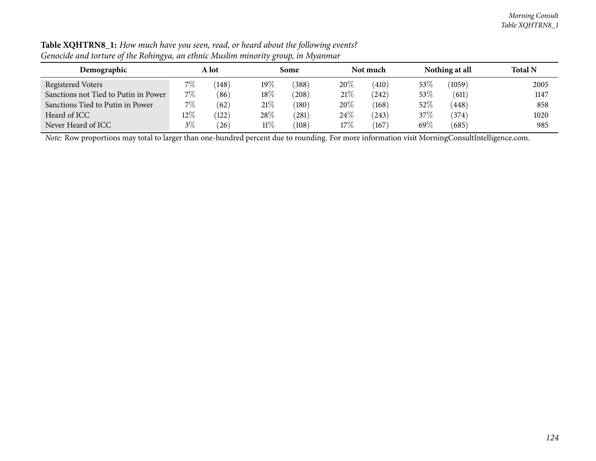| $\sim$                               |        |           | $\overline{\phantom{a}}$ |       |        |          |         |                |                |
|--------------------------------------|--------|-----------|--------------------------|-------|--------|----------|---------|----------------|----------------|
| Demographic                          |        | A lot     |                          | Some  |        | Not much |         | Nothing at all | <b>Total N</b> |
| Registered Voters                    | 7%     | (148)     | $19\%$                   | 388)  | 20%    | (410)    | $53\%$  | (1059)         | 2005           |
| Sanctions not Tied to Putin in Power | $7\%$  | (86)      | 18%                      | (208) | 21%    | (242)    | $53\%$  | (611)          | 1147           |
| Sanctions Tied to Putin in Power     | $7\%$  | (62)      | 21%                      | (180) | 20%    | (168)    | $52\%$  | (448)          | 858            |
| Heard of ICC                         | $12\%$ | (122)     | 28\%                     | (281) | $24\%$ | (243)    | $37\%$  | (374)          | 1020           |
| Never Heard of ICC                   | $3\%$  | $^{'}26)$ | $11\%$                   | (108) | 17%    | 167      | 69 $\%$ | (685)          | 985            |

Table XQHTRN8\_1: How much have you seen, read, or heard about the following events? Genocide and torture of the Rohingya, an ethnic Muslim minority group, in Myanmar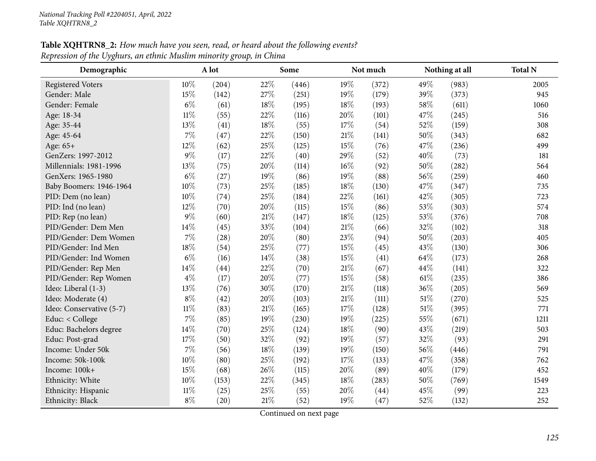# **Table XQHTRN8\_2:** How much have you seen, read, or heard about the following events? *Repression of the Uyghurs, an ethnic Muslim minority group, in China*

| Demographic              |        | A lot |        | Some  |        | Not much |      | Nothing at all | <b>Total N</b> |
|--------------------------|--------|-------|--------|-------|--------|----------|------|----------------|----------------|
| <b>Registered Voters</b> | 10%    | (204) | 22%    | (446) | 19%    | (372)    | 49%  | (983)          | 2005           |
| Gender: Male             | 15%    | (142) | 27%    | (251) | 19%    | (179)    | 39%  | (373)          | 945            |
| Gender: Female           | $6\%$  | (61)  | 18%    | (195) | 18%    | (193)    | 58%  | (611)          | 1060           |
| Age: 18-34               | $11\%$ | (55)  | 22%    | (116) | 20%    | (101)    | 47%  | (245)          | 516            |
| Age: 35-44               | 13%    | (41)  | 18%    | (55)  | 17%    | (54)     | 52%  | (159)          | 308            |
| Age: 45-64               | 7%     | (47)  | 22%    | (150) | $21\%$ | (141)    | 50%  | (343)          | 682            |
| Age: $65+$               | 12%    | (62)  | 25%    | (125) | 15%    | (76)     | 47%  | (236)          | 499            |
| GenZers: 1997-2012       | 9%     | (17)  | 22%    | (40)  | 29%    | (52)     | 40%  | (73)           | 181            |
| Millennials: 1981-1996   | 13%    | (75)  | 20%    | (114) | $16\%$ | (92)     | 50%  | (282)          | 564            |
| GenXers: 1965-1980       | $6\%$  | (27)  | 19%    | (86)  | 19%    | (88)     | 56%  | (259)          | 460            |
| Baby Boomers: 1946-1964  | 10%    | (73)  | 25%    | (185) | $18\%$ | (130)    | 47%  | (347)          | 735            |
| PID: Dem (no lean)       | 10%    | (74)  | 25%    | (184) | 22%    | (161)    | 42%  | (305)          | 723            |
| PID: Ind (no lean)       | 12%    | (70)  | 20%    | (115) | 15%    | (86)     | 53%  | (303)          | 574            |
| PID: Rep (no lean)       | 9%     | (60)  | 21%    | (147) | $18\%$ | (125)    | 53%  | (376)          | 708            |
| PID/Gender: Dem Men      | 14%    | (45)  | 33%    | (104) | $21\%$ | (66)     | 32%  | (102)          | 318            |
| PID/Gender: Dem Women    | 7%     | (28)  | 20%    | (80)  | 23%    | (94)     | 50%  | (203)          | 405            |
| PID/Gender: Ind Men      | 18%    | (54)  | $25\%$ | (77)  | 15%    | (45)     | 43%  | (130)          | 306            |
| PID/Gender: Ind Women    | $6\%$  | (16)  | 14%    | (38)  | 15%    | (41)     | 64%  | (173)          | 268            |
| PID/Gender: Rep Men      | 14%    | (44)  | 22%    | (70)  | $21\%$ | (67)     | 44%  | (141)          | 322            |
| PID/Gender: Rep Women    | 4%     | (17)  | 20%    | (77)  | 15%    | (58)     | 61\% | (235)          | 386            |
| Ideo: Liberal (1-3)      | 13%    | (76)  | 30%    | (170) | $21\%$ | (118)    | 36%  | (205)          | 569            |
| Ideo: Moderate (4)       | $8\%$  | (42)  | 20%    | (103) | $21\%$ | (111)    | 51%  | (270)          | 525            |
| Ideo: Conservative (5-7) | $11\%$ | (83)  | 21%    | (165) | 17%    | (128)    | 51%  | (395)          | 771            |
| Educ: < College          | 7%     | (85)  | 19%    | (230) | 19%    | (225)    | 55%  | (671)          | 1211           |
| Educ: Bachelors degree   | 14%    | (70)  | 25%    | (124) | $18\%$ | (90)     | 43%  | (219)          | 503            |
| Educ: Post-grad          | 17%    | (50)  | 32%    | (92)  | 19%    | (57)     | 32%  | (93)           | 291            |
| Income: Under 50k        | 7%     | (56)  | 18%    | (139) | 19%    | (150)    | 56%  | (446)          | 791            |
| Income: 50k-100k         | 10%    | (80)  | 25%    | (192) | $17\%$ | (133)    | 47%  | (358)          | 762            |
| Income: 100k+            | 15%    | (68)  | 26%    | (115) | 20%    | (89)     | 40%  | (179)          | 452            |
| Ethnicity: White         | 10%    | (153) | 22%    | (345) | 18%    | (283)    | 50%  | (769)          | 1549           |
| Ethnicity: Hispanic      | $11\%$ | (25)  | 25%    | (55)  | 20%    | (44)     | 45%  | (99)           | 223            |
| Ethnicity: Black         | $8\%$  | (20)  | 21\%   | (52)  | 19%    | (47)     | 52%  | (132)          | 252            |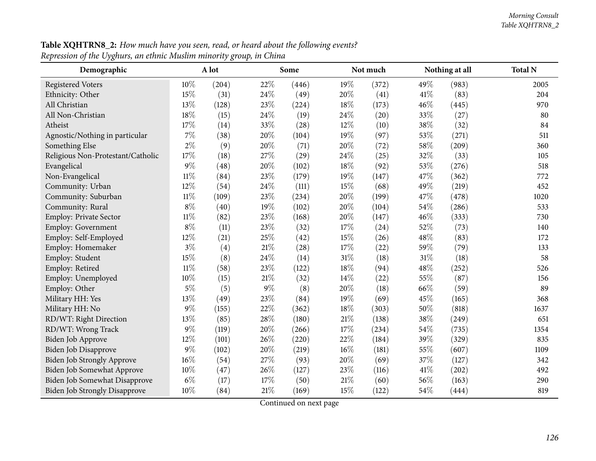| epression of the Oygnurs, un etninc iviusum minority group, in Chinu<br>Demographic | A lot  |       |        | Some  |        | Not much |        | Nothing at all | <b>Total N</b> |
|-------------------------------------------------------------------------------------|--------|-------|--------|-------|--------|----------|--------|----------------|----------------|
| <b>Registered Voters</b>                                                            | 10%    | (204) | 22%    | (446) | 19%    | (372)    | 49%    | (983)          | 2005           |
| Ethnicity: Other                                                                    | 15%    | (31)  | 24%    | (49)  | 20%    | (41)     | 41\%   | (83)           | 204            |
| All Christian                                                                       | 13%    | (128) | 23%    | (224) | 18%    | (173)    | 46%    | (445)          | 970            |
| All Non-Christian                                                                   | 18%    | (15)  | 24%    | (19)  | 24%    | (20)     | 33%    | (27)           | 80             |
| Atheist                                                                             | 17%    | (14)  | 33%    | (28)  | 12%    | (10)     | 38%    | (32)           | 84             |
| Agnostic/Nothing in particular                                                      | $7\%$  | (38)  | 20%    | (104) | 19%    | (97)     | 53%    | (271)          | 511            |
| Something Else                                                                      | $2\%$  | (9)   | $20\%$ | (71)  | 20%    | (72)     | 58%    | (209)          | 360            |
| Religious Non-Protestant/Catholic                                                   | 17%    | (18)  | 27%    | (29)  | 24%    | (25)     | 32%    | (33)           | 105            |
| Evangelical                                                                         | 9%     | (48)  | 20%    | (102) | 18%    | (92)     | 53%    | (276)          | 518            |
| Non-Evangelical                                                                     | $11\%$ | (84)  | 23%    | (179) | 19%    | (147)    | 47%    | (362)          | 772            |
| Community: Urban                                                                    | 12%    | (54)  | 24%    | (111) | 15%    | (68)     | 49%    | (219)          | 452            |
| Community: Suburban                                                                 | $11\%$ | (109) | 23%    | (234) | 20%    | (199)    | 47%    | (478)          | 1020           |
| Community: Rural                                                                    | $8\%$  | (40)  | 19%    | (102) | 20%    | (104)    | 54%    | (286)          | 533            |
| Employ: Private Sector                                                              | $11\%$ | (82)  | 23%    | (168) | 20%    | (147)    | 46%    | (333)          | 730            |
| <b>Employ: Government</b>                                                           | $8\%$  | (11)  | 23%    | (32)  | 17%    | (24)     | 52%    | (73)           | 140            |
| Employ: Self-Employed                                                               | 12%    | (21)  | 25%    | (42)  | 15%    | (26)     | 48%    | (83)           | 172            |
| Employ: Homemaker                                                                   | $3\%$  | (4)   | $21\%$ | (28)  | 17%    | (22)     | 59%    | (79)           | 133            |
| Employ: Student                                                                     | 15%    | (8)   | 24%    | (14)  | 31%    | (18)     | $31\%$ | (18)           | 58             |
| Employ: Retired                                                                     | $11\%$ | (58)  | 23%    | (122) | 18%    | (94)     | 48%    | (252)          | 526            |
| Employ: Unemployed                                                                  | 10%    | (15)  | $21\%$ | (32)  | 14%    | (22)     | 55%    | (87)           | 156            |
| Employ: Other                                                                       | $5\%$  | (5)   | $9\%$  | (8)   | 20%    | (18)     | 66%    | (59)           | 89             |
| Military HH: Yes                                                                    | 13%    | (49)  | 23%    | (84)  | 19%    | (69)     | 45%    | (165)          | 368            |
| Military HH: No                                                                     | $9\%$  | (155) | 22%    | (362) | $18\%$ | (303)    | 50%    | (818)          | 1637           |
| RD/WT: Right Direction                                                              | 13%    | (85)  | 28%    | (180) | 21%    | (138)    | 38%    | (249)          | 651            |
| RD/WT: Wrong Track                                                                  | 9%     | (119) | $20\%$ | (266) | $17\%$ | (234)    | 54%    | (735)          | 1354           |
| Biden Job Approve                                                                   | 12%    | (101) | 26%    | (220) | 22%    | (184)    | 39%    | (329)          | 835            |
| <b>Biden Job Disapprove</b>                                                         | 9%     | (102) | 20%    | (219) | 16%    | (181)    | 55%    | (607)          | 1109           |
| <b>Biden Job Strongly Approve</b>                                                   | 16%    | (54)  | 27%    | (93)  | 20%    | (69)     | 37%    | (127)          | 342            |
| Biden Job Somewhat Approve                                                          | 10%    | (47)  | 26%    | (127) | 23%    | (116)    | 41\%   | (202)          | 492            |
| Biden Job Somewhat Disapprove                                                       | $6\%$  | (17)  | 17%    | (50)  | $21\%$ | (60)     | 56%    | (163)          | 290            |
| <b>Biden Job Strongly Disapprove</b>                                                | 10%    | (84)  | $21\%$ | (169) | 15%    | (122)    | 54%    | (444)          | 819            |

Table XQHTRN8\_2: How much have you seen, read, or heard about the following events? *Repression of the Uyghurs, an ethnic Muslim minority group, in China*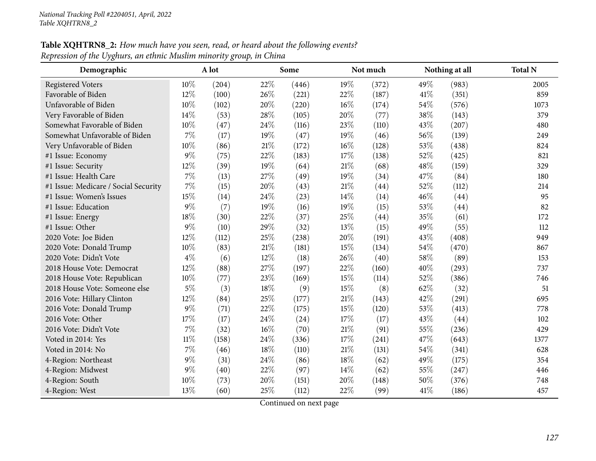# **Table XQHTRN8\_2:** How much have you seen, read, or heard about the following events? *Repression of the Uyghurs, an ethnic Muslim minority group, in China*

| Demographic                          |        | A lot |        | Some  |        | Not much |      | Nothing at all | <b>Total N</b> |
|--------------------------------------|--------|-------|--------|-------|--------|----------|------|----------------|----------------|
| <b>Registered Voters</b>             | 10%    | (204) | 22%    | (446) | 19%    | (372)    | 49\% | (983)          | 2005           |
| Favorable of Biden                   | 12%    | (100) | 26%    | (221) | 22%    | (187)    | 41\% | (351)          | 859            |
| Unfavorable of Biden                 | 10%    | (102) | 20%    | (220) | 16%    | (174)    | 54\% | (576)          | 1073           |
| Very Favorable of Biden              | 14\%   | (53)  | 28%    | (105) | 20%    | (77)     | 38%  | (143)          | 379            |
| Somewhat Favorable of Biden          | 10%    | (47)  | 24\%   | (116) | 23%    | (110)    | 43%  | (207)          | 480            |
| Somewhat Unfavorable of Biden        | 7%     | (17)  | 19%    | (47)  | 19%    | (46)     | 56%  | (139)          | 249            |
| Very Unfavorable of Biden            | 10%    | (86)  | 21%    | (172) | 16%    | (128)    | 53%  | (438)          | 824            |
| #1 Issue: Economy                    | $9\%$  | (75)  | 22%    | (183) | 17%    | (138)    | 52%  | (425)          | 821            |
| #1 Issue: Security                   | 12%    | (39)  | 19%    | (64)  | $21\%$ | (68)     | 48%  | (159)          | 329            |
| #1 Issue: Health Care                | 7%     | (13)  | 27%    | (49)  | $19\%$ | (34)     | 47%  | (84)           | 180            |
| #1 Issue: Medicare / Social Security | $7\%$  | (15)  | 20%    | (43)  | 21%    | (44)     | 52%  | (112)          | 214            |
| #1 Issue: Women's Issues             | 15%    | (14)  | 24%    | (23)  | 14%    | (14)     | 46%  | (44)           | 95             |
| #1 Issue: Education                  | $9\%$  | (7)   | 19%    | (16)  | 19%    | (15)     | 53%  | (44)           | 82             |
| #1 Issue: Energy                     | 18%    | (30)  | $22\%$ | (37)  | 25%    | (44)     | 35%  | (61)           | 172            |
| #1 Issue: Other                      | $9\%$  | (10)  | 29%    | (32)  | 13%    | (15)     | 49%  | (55)           | 112            |
| 2020 Vote: Joe Biden                 | 12%    | (112) | 25%    | (238) | 20%    | (191)    | 43%  | (408)          | 949            |
| 2020 Vote: Donald Trump              | 10%    | (83)  | $21\%$ | (181) | 15%    | (134)    | 54%  | (470)          | 867            |
| 2020 Vote: Didn't Vote               | $4\%$  | (6)   | 12%    | (18)  | 26%    | (40)     | 58%  | (89)           | 153            |
| 2018 House Vote: Democrat            | 12%    | (88)  | 27%    | (197) | 22%    | (160)    | 40%  | (293)          | 737            |
| 2018 House Vote: Republican          | $10\%$ | (77)  | 23%    | (169) | 15%    | (114)    | 52%  | (386)          | 746            |
| 2018 House Vote: Someone else        | $5\%$  | (3)   | 18%    | (9)   | 15%    | (8)      | 62%  | (32)           | 51             |
| 2016 Vote: Hillary Clinton           | $12\%$ | (84)  | 25%    | (177) | $21\%$ | (143)    | 42%  | (291)          | 695            |
| 2016 Vote: Donald Trump              | $9\%$  | (71)  | 22%    | (175) | 15%    | (120)    | 53%  | (413)          | 778            |
| 2016 Vote: Other                     | 17%    | (17)  | 24%    | (24)  | 17%    | (17)     | 43%  | (44)           | 102            |
| 2016 Vote: Didn't Vote               | $7\%$  | (32)  | 16%    | (70)  | $21\%$ | (91)     | 55%  | (236)          | 429            |
| Voted in 2014: Yes                   | $11\%$ | (158) | 24%    | (336) | 17%    | (241)    | 47%  | (643)          | 1377           |
| Voted in 2014: No                    | $7\%$  | (46)  | 18%    | (110) | 21%    | (131)    | 54%  | (341)          | 628            |
| 4-Region: Northeast                  | $9\%$  | (31)  | 24%    | (86)  | $18\%$ | (62)     | 49%  | (175)          | 354            |
| 4-Region: Midwest                    | $9\%$  | (40)  | 22%    | (97)  | 14%    | (62)     | 55%  | (247)          | 446            |
| 4-Region: South                      | 10%    | (73)  | 20%    | (151) | 20%    | (148)    | 50%  | (376)          | 748            |
| 4-Region: West                       | 13%    | (60)  | 25%    | (112) | 22%    | (99)     | 41\% | (186)          | 457            |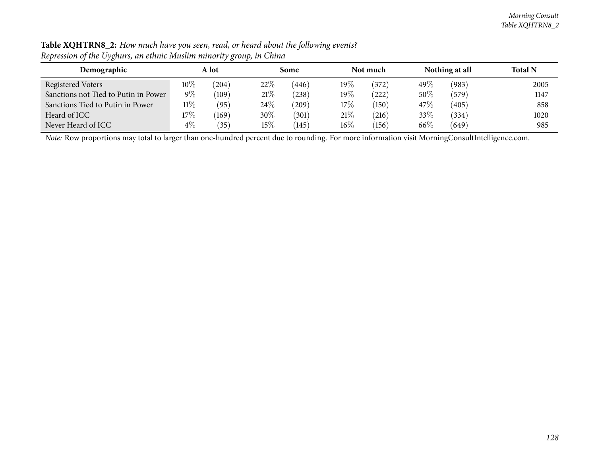| $\overline{\phantom{a}}$             |        | , o            |        |       |        |            |        |                |                |
|--------------------------------------|--------|----------------|--------|-------|--------|------------|--------|----------------|----------------|
| Demographic                          |        | A lot          |        | Some  |        | Not much   |        | Nothing at all | <b>Total N</b> |
| Registered Voters                    | $10\%$ | (204)          | $22\%$ | (446) | 19%    | (372)      | 49%    | (983)          | 2005           |
| Sanctions not Tied to Putin in Power | $9\%$  | (109)          | 21%    | (238) | $19\%$ | $^{(222)}$ | $50\%$ | (579)          | 1147           |
| Sanctions Tied to Putin in Power     | $11\%$ | (95)           | 24%    | (209) | 17%    | (150)      | 47\%   | (405)          | 858            |
| Heard of ICC                         | $17\%$ | (169)          | 30%    | (301) | 21%    | (216)      | 33\%   | (334)          | 1020           |
| Never Heard of ICC                   | $4\%$  | $^{\prime}35)$ | 15%    | (145) | $16\%$ | (156)      | $66\%$ | (649)          | 985            |

Table XQHTRN8\_2: How much have you seen, read, or heard about the following events? *Repression of the Uyghurs, an ethnic Muslim minority group, in China*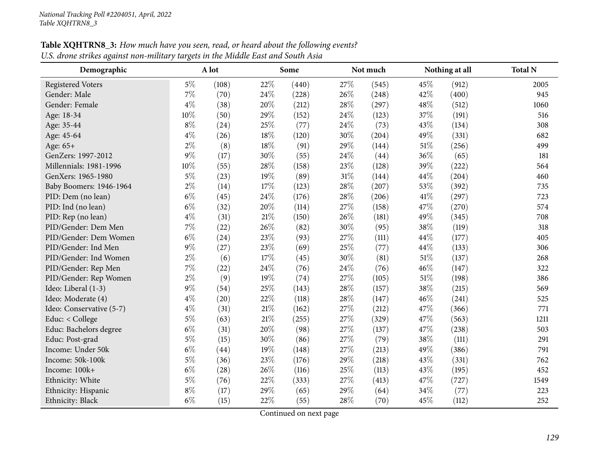| Demographic              |       | A lot |        | Some  |      | Not much |        | Nothing at all | <b>Total N</b> |
|--------------------------|-------|-------|--------|-------|------|----------|--------|----------------|----------------|
| <b>Registered Voters</b> | $5\%$ | (108) | 22%    | (440) | 27%  | (545)    | 45%    | (912)          | 2005           |
| Gender: Male             | $7\%$ | (70)  | 24\%   | (228) | 26%  | (248)    | 42%    | (400)          | 945            |
| Gender: Female           | $4\%$ | (38)  | 20%    | (212) | 28\% | (297)    | 48%    | (512)          | 1060           |
| Age: 18-34               | 10%   | (50)  | 29%    | (152) | 24%  | (123)    | 37%    | (191)          | 516            |
| Age: 35-44               | $8\%$ | (24)  | 25%    | (77)  | 24%  | (73)     | 43%    | (134)          | 308            |
| Age: 45-64               | $4\%$ | (26)  | 18%    | (120) | 30%  | (204)    | 49%    | (331)          | 682            |
| Age: 65+                 | $2\%$ | (8)   | 18%    | (91)  | 29%  | (144)    | $51\%$ | (256)          | 499            |
| GenZers: 1997-2012       | 9%    | (17)  | 30%    | (55)  | 24%  | (44)     | 36%    | (65)           | 181            |
| Millennials: 1981-1996   | 10%   | (55)  | 28\%   | (158) | 23%  | (128)    | 39%    | (222)          | 564            |
| GenXers: 1965-1980       | $5\%$ | (23)  | 19%    | (89)  | 31%  | (144)    | 44%    | (204)          | 460            |
| Baby Boomers: 1946-1964  | $2\%$ | (14)  | 17%    | (123) | 28%  | (207)    | 53%    | (392)          | 735            |
| PID: Dem (no lean)       | $6\%$ | (45)  | 24\%   | (176) | 28%  | (206)    | 41\%   | (297)          | 723            |
| PID: Ind (no lean)       | $6\%$ | (32)  | 20%    | (114) | 27%  | (158)    | 47%    | (270)          | 574            |
| PID: Rep (no lean)       | $4\%$ | (31)  | $21\%$ | (150) | 26%  | (181)    | 49%    | (345)          | 708            |
| PID/Gender: Dem Men      | $7\%$ | (22)  | 26%    | (82)  | 30%  | (95)     | 38%    | (119)          | 318            |
| PID/Gender: Dem Women    | $6\%$ | (24)  | 23%    | (93)  | 27%  | (111)    | 44%    | (177)          | 405            |
| PID/Gender: Ind Men      | $9\%$ | (27)  | 23%    | (69)  | 25%  | (77)     | 44%    | (133)          | 306            |
| PID/Gender: Ind Women    | $2\%$ | (6)   | 17%    | (45)  | 30%  | (81)     | 51%    | (137)          | 268            |
| PID/Gender: Rep Men      | 7%    | (22)  | 24\%   | (76)  | 24%  | (76)     | 46%    | (147)          | 322            |
| PID/Gender: Rep Women    | $2\%$ | (9)   | 19%    | (74)  | 27%  | (105)    | 51%    | (198)          | 386            |
| Ideo: Liberal (1-3)      | $9\%$ | (54)  | 25%    | (143) | 28%  | (157)    | 38%    | (215)          | 569            |
| Ideo: Moderate (4)       | $4\%$ | (20)  | 22%    | (118) | 28\% | (147)    | 46%    | (241)          | 525            |
| Ideo: Conservative (5-7) | $4\%$ | (31)  | $21\%$ | (162) | 27%  | (212)    | 47%    | (366)          | 771            |
| Educ: < College          | $5\%$ | (63)  | 21\%   | (255) | 27%  | (329)    | 47%    | (563)          | 1211           |
| Educ: Bachelors degree   | $6\%$ | (31)  | 20%    | (98)  | 27%  | (137)    | 47%    | (238)          | 503            |
| Educ: Post-grad          | $5\%$ | (15)  | 30%    | (86)  | 27%  | (79)     | 38%    | (111)          | 291            |
| Income: Under 50k        | $6\%$ | (44)  | 19%    | (148) | 27%  | (213)    | 49%    | (386)          | 791            |
| Income: 50k-100k         | $5\%$ | (36)  | 23%    | (176) | 29%  | (218)    | 43%    | (331)          | 762            |
| Income: 100k+            | $6\%$ | (28)  | 26%    | (116) | 25%  | (113)    | 43%    | (195)          | 452            |
| Ethnicity: White         | $5\%$ | (76)  | $22\%$ | (333) | 27%  | (413)    | 47%    | (727)          | 1549           |
| Ethnicity: Hispanic      | $8\%$ | (17)  | 29%    | (65)  | 29%  | (64)     | 34%    | (77)           | 223            |
| Ethnicity: Black         | $6\%$ | (15)  | 22%    | (55)  | 28%  | (70)     | 45%    | (112)          | 252            |

**Table XQHTRN8\_3:** How much have you seen, read, or heard about the following events? U.S. drone strikes against non-military targets in the Middle East and South Asia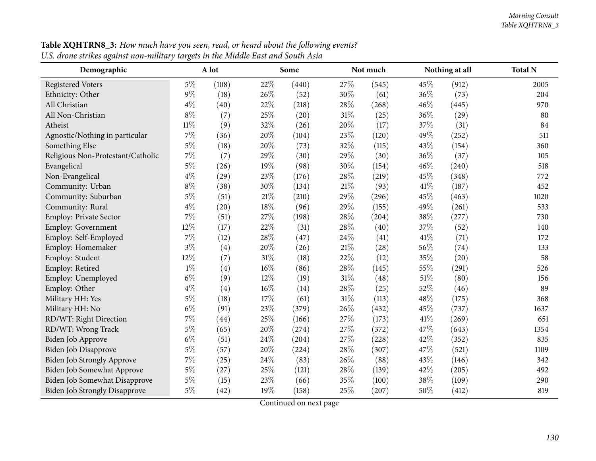| oldi in one on mee ugumee now mumum j um gold in the rivulum Euro until<br>Demographic |        | A lot              |                   | Some  |        | Not much |        | Nothing at all | <b>Total N</b> |
|----------------------------------------------------------------------------------------|--------|--------------------|-------------------|-------|--------|----------|--------|----------------|----------------|
| <b>Registered Voters</b>                                                               | $5\%$  | (108)              | 22%               | (440) | 27\%   | (545)    | 45%    | (912)          | 2005           |
| Ethnicity: Other                                                                       | $9\%$  | (18)               | 26%               | (52)  | 30%    | (61)     | 36%    | (73)           | 204            |
| All Christian                                                                          | $4\%$  | (40)               | 22%               | (218) | 28%    | (268)    | 46%    | (445)          | 970            |
| All Non-Christian                                                                      | $8\%$  | (7)                | 25%               | (20)  | $31\%$ | (25)     | 36%    | (29)           | 80             |
| Atheist                                                                                | $11\%$ | (9)                | 32%               | (26)  | 20%    | (17)     | 37%    | (31)           | 84             |
| Agnostic/Nothing in particular                                                         | $7\%$  | (36)               | 20%               | (104) | 23%    | (120)    | 49%    | (252)          | 511            |
| Something Else                                                                         | $5\%$  | (18)               | 20%               | (73)  | 32%    | (115)    | 43%    | (154)          | 360            |
| Religious Non-Protestant/Catholic                                                      | $7\%$  | (7)                | 29%               | (30)  | 29%    | (30)     | 36%    | (37)           | 105            |
| Evangelical                                                                            | $5\%$  | (26)               | 19%               | (98)  | 30%    | (154)    | 46%    | (240)          | 518            |
| Non-Evangelical                                                                        | $4\%$  | (29)               | 23%               | (176) | 28%    | (219)    | 45%    | (348)          | 772            |
| Community: Urban                                                                       | $8\%$  | (38)               | 30%               | (134) | $21\%$ | (93)     | 41\%   | (187)          | 452            |
| Community: Suburban                                                                    | $5\%$  | (51)               | 21%               | (210) | 29%    | (296)    | 45%    | (463)          | 1020           |
| Community: Rural                                                                       | $4\%$  | $\left( 20\right)$ | 18%               | (96)  | 29%    | (155)    | 49%    | (261)          | 533            |
| Employ: Private Sector                                                                 | 7%     | (51)               | 27%               | (198) | 28%    | (204)    | 38%    | (277)          | 730            |
| <b>Employ: Government</b>                                                              | 12%    | (17)               | 22%               | (31)  | 28%    | (40)     | 37%    | (52)           | 140            |
| Employ: Self-Employed                                                                  | $7\%$  | (12)               | 28\%              | (47)  | 24%    | (41)     | 41\%   | (71)           | 172            |
| Employ: Homemaker                                                                      | $3\%$  | (4)                | 20%               | (26)  | $21\%$ | (28)     | 56%    | (74)           | 133            |
| Employ: Student                                                                        | 12%    | (7)                | $31\%$            | (18)  | 22%    | (12)     | 35%    | (20)           | 58             |
| Employ: Retired                                                                        | $1\%$  | (4)                | 16%               | (86)  | 28%    | (145)    | 55%    | (291)          | 526            |
| Employ: Unemployed                                                                     | $6\%$  | (9)                | 12%               | (19)  | 31%    | (48)     | $51\%$ | (80)           | 156            |
| Employ: Other                                                                          | $4\%$  | (4)                | $16\%$            | (14)  | 28%    | (25)     | 52%    | (46)           | 89             |
| Military HH: Yes                                                                       | $5\%$  | (18)               | 17%               | (61)  | $31\%$ | (113)    | 48%    | (175)          | 368            |
| Military HH: No                                                                        | $6\%$  | (91)               | 23%               | (379) | 26%    | (432)    | 45%    | (737)          | 1637           |
| RD/WT: Right Direction                                                                 | $7\%$  | (44)               | 25%               | (166) | 27%    | (173)    | 41\%   | (269)          | 651            |
| RD/WT: Wrong Track                                                                     | $5\%$  | (65)               | 20%               | (274) | 27%    | (372)    | 47%    | (643)          | 1354           |
| Biden Job Approve                                                                      | $6\%$  | (51)               | 24\%              | (204) | 27%    | (228)    | 42%    | (352)          | 835            |
| Biden Job Disapprove                                                                   | $5\%$  | (57)               | 20%               | (224) | 28%    | (307)    | 47%    | (521)          | 1109           |
| Biden Job Strongly Approve                                                             | 7%     | (25)               | 24%               | (83)  | 26%    | (88)     | 43%    | (146)          | 342            |
| Biden Job Somewhat Approve                                                             | $5\%$  | (27)               | 25%               | (121) | 28%    | (139)    | 42%    | (205)          | 492            |
| Biden Job Somewhat Disapprove                                                          | $5\%$  | (15)               | 23%               | (66)  | 35%    | (100)    | 38%    | (109)          | 290            |
| Biden Job Strongly Disapprove                                                          | $5\%$  | (42)               | 19%<br>$\sqrt{2}$ | (158) | 25%    | (207)    | 50%    | (412)          | 819            |

Table XQHTRN8\_3: How much have you seen, read, or heard about the following events? U.S. drone strikes against non-military targets in the Middle East and South Asia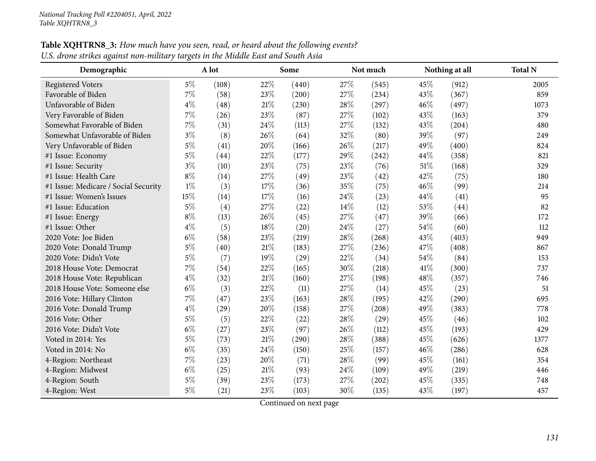| Demographic                          |       | A lot |        | Some  |      | Not much |     | Nothing at all | <b>Total N</b> |
|--------------------------------------|-------|-------|--------|-------|------|----------|-----|----------------|----------------|
| <b>Registered Voters</b>             | $5\%$ | (108) | 22\%   | (440) | 27\% | (545)    | 45% | (912)          | 2005           |
| Favorable of Biden                   | $7\%$ | (58)  | 23%    | (200) | 27%  | (234)    | 43% | (367)          | 859            |
| Unfavorable of Biden                 | $4\%$ | (48)  | 21%    | (230) | 28%  | (297)    | 46% | (497)          | 1073           |
| Very Favorable of Biden              | $7\%$ | (26)  | 23\%   | (87)  | 27%  | (102)    | 43% | (163)          | 379            |
| Somewhat Favorable of Biden          | $7\%$ | (31)  | 24\%   | (113) | 27%  | (132)    | 43% | (204)          | 480            |
| Somewhat Unfavorable of Biden        | $3\%$ | (8)   | 26%    | (64)  | 32%  | (80)     | 39% | (97)           | 249            |
| Very Unfavorable of Biden            | $5\%$ | (41)  | 20%    | (166) | 26%  | (217)    | 49% | (400)          | 824            |
| #1 Issue: Economy                    | $5\%$ | (44)  | 22%    | (177) | 29%  | (242)    | 44% | (358)          | 821            |
| #1 Issue: Security                   | $3\%$ | (10)  | 23%    | (75)  | 23%  | (76)     | 51% | (168)          | 329            |
| #1 Issue: Health Care                | $8\%$ | (14)  | 27%    | (49)  | 23%  | (42)     | 42% | (75)           | 180            |
| #1 Issue: Medicare / Social Security | $1\%$ | (3)   | 17%    | (36)  | 35%  | (75)     | 46% | (99)           | 214            |
| #1 Issue: Women's Issues             | 15%   | (14)  | 17%    | (16)  | 24%  | (23)     | 44% | (41)           | 95             |
| #1 Issue: Education                  | $5\%$ | (4)   | 27%    | (22)  | 14%  | (12)     | 53% | (44)           | 82             |
| #1 Issue: Energy                     | $8\%$ | (13)  | 26%    | (45)  | 27%  | (47)     | 39% | (66)           | 172            |
| #1 Issue: Other                      | $4\%$ | (5)   | 18%    | (20)  | 24%  | (27)     | 54% | (60)           | 112            |
| 2020 Vote: Joe Biden                 | $6\%$ | (58)  | 23%    | (219) | 28%  | (268)    | 43% | (403)          | 949            |
| 2020 Vote: Donald Trump              | $5\%$ | (40)  | $21\%$ | (183) | 27%  | (236)    | 47% | (408)          | 867            |
| 2020 Vote: Didn't Vote               | $5\%$ | (7)   | 19%    | (29)  | 22%  | (34)     | 54% | (84)           | 153            |
| 2018 House Vote: Democrat            | $7\%$ | (54)  | 22%    | (165) | 30%  | (218)    | 41% | (300)          | 737            |
| 2018 House Vote: Republican          | $4\%$ | (32)  | 21\%   | (160) | 27%  | (198)    | 48% | (357)          | 746            |
| 2018 House Vote: Someone else        | $6\%$ | (3)   | 22%    | (11)  | 27%  | (14)     | 45% | (23)           | 51             |
| 2016 Vote: Hillary Clinton           | 7%    | (47)  | 23%    | (163) | 28%  | (195)    | 42% | (290)          | 695            |
| 2016 Vote: Donald Trump              | $4\%$ | (29)  | 20%    | (158) | 27%  | (208)    | 49% | (383)          | 778            |
| 2016 Vote: Other                     | $5\%$ | (5)   | 22%    | (22)  | 28%  | (29)     | 45% | (46)           | 102            |
| 2016 Vote: Didn't Vote               | $6\%$ | (27)  | 23%    | (97)  | 26%  | (112)    | 45% | (193)          | 429            |
| Voted in 2014: Yes                   | $5\%$ | (73)  | 21%    | (290) | 28%  | (388)    | 45% | (626)          | 1377           |
| Voted in 2014: No                    | $6\%$ | (35)  | 24%    | (150) | 25%  | (157)    | 46% | (286)          | 628            |
| 4-Region: Northeast                  | 7%    | (23)  | 20%    | (71)  | 28%  | (99)     | 45% | (161)          | 354            |
| 4-Region: Midwest                    | $6\%$ | (25)  | $21\%$ | (93)  | 24%  | (109)    | 49% | (219)          | 446            |
| 4-Region: South                      | $5\%$ | (39)  | 23%    | (173) | 27%  | (202)    | 45% | (335)          | 748            |
| 4-Region: West                       | $5\%$ | (21)  | 23%    | (103) | 30%  | (135)    | 43% | (197)          | 457            |

**Table XQHTRN8\_3:** How much have you seen, read, or heard about the following events? U.S. drone strikes against non-military targets in the Middle East and South Asia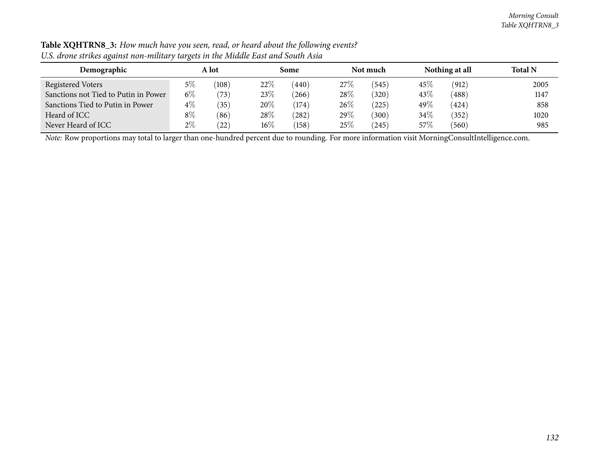| Demographic                          |       | A lot                 |        | Some  |      | Not much |         | Nothing at all | <b>Total N</b> |
|--------------------------------------|-------|-----------------------|--------|-------|------|----------|---------|----------------|----------------|
| <b>Registered Voters</b>             | $5\%$ | (108)                 | $22\%$ | (440) | 27%  | (545)    | $45\%$  | (912)          | 2005           |
| Sanctions not Tied to Putin in Power | $6\%$ | (73)                  | 23\%   | (266) | 28\% | (320)    | 43%     | (488)          | 1147           |
| Sanctions Tied to Putin in Power     | $4\%$ | 35                    | 20%    | (174) | 26\% | (225)    | 49 $\%$ | (424)          | 858            |
| Heard of ICC                         | 8%    | $^{\prime}86^{\cdot}$ | $28\%$ | (282) | 29%  | (300)    | $34\%$  | (352)          | 1020           |
| Never Heard of ICC                   | $2\%$ | (22)                  | 16%    | (158) | 25%  | (245)    | 57\%    | (560)          | 985            |

Table XQHTRN8\_3: How much have you seen, read, or heard about the following events? U.S. drone strikes against non-military targets in the Middle East and South Asia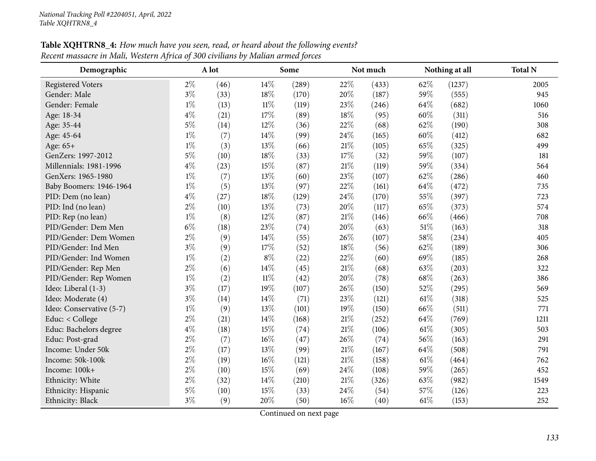| Demographic              |       | A lot |        | Some  |        | Not much |        | Nothing at all | <b>Total N</b> |
|--------------------------|-------|-------|--------|-------|--------|----------|--------|----------------|----------------|
| <b>Registered Voters</b> | $2\%$ | (46)  | 14%    | (289) | 22%    | (433)    | 62%    | (1237)         | 2005           |
| Gender: Male             | $3\%$ | (33)  | 18%    | (170) | 20%    | (187)    | 59%    | (555)          | 945            |
| Gender: Female           | $1\%$ | (13)  | $11\%$ | (119) | 23%    | (246)    | 64%    | (682)          | 1060           |
| Age: 18-34               | $4\%$ | (21)  | 17%    | (89)  | $18\%$ | (95)     | 60%    | (311)          | 516            |
| Age: 35-44               | $5\%$ | (14)  | 12%    | (36)  | 22%    | (68)     | 62%    | (190)          | 308            |
| Age: 45-64               | $1\%$ | (7)   | 14\%   | (99)  | 24%    | (165)    | 60%    | (412)          | 682            |
| Age: 65+                 | $1\%$ | (3)   | 13%    | (66)  | 21%    | (105)    | 65%    | (325)          | 499            |
| GenZers: 1997-2012       | $5\%$ | (10)  | 18%    | (33)  | 17%    | (32)     | 59%    | (107)          | 181            |
| Millennials: 1981-1996   | $4\%$ | (23)  | 15%    | (87)  | 21%    | (119)    | 59%    | (334)          | 564            |
| GenXers: 1965-1980       | $1\%$ | (7)   | 13%    | (60)  | 23%    | (107)    | 62%    | (286)          | 460            |
| Baby Boomers: 1946-1964  | $1\%$ | (5)   | 13%    | (97)  | 22%    | (161)    | 64%    | (472)          | 735            |
| PID: Dem (no lean)       | $4\%$ | (27)  | 18%    | (129) | 24%    | (170)    | 55%    | (397)          | 723            |
| PID: Ind (no lean)       | $2\%$ | (10)  | 13%    | (73)  | 20%    | (117)    | 65%    | (373)          | 574            |
| PID: Rep (no lean)       | $1\%$ | (8)   | 12%    | (87)  | $21\%$ | (146)    | 66%    | (466)          | 708            |
| PID/Gender: Dem Men      | $6\%$ | (18)  | 23%    | (74)  | 20%    | (63)     | 51%    | (163)          | 318            |
| PID/Gender: Dem Women    | $2\%$ | (9)   | 14%    | (55)  | 26%    | (107)    | 58%    | (234)          | 405            |
| PID/Gender: Ind Men      | $3\%$ | (9)   | 17%    | (52)  | 18%    | (56)     | 62%    | (189)          | 306            |
| PID/Gender: Ind Women    | $1\%$ | (2)   | $8\%$  | (22)  | 22%    | (60)     | 69%    | (185)          | 268            |
| PID/Gender: Rep Men      | $2\%$ | (6)   | 14%    | (45)  | 21%    | (68)     | 63%    | (203)          | 322            |
| PID/Gender: Rep Women    | $1\%$ | (2)   | $11\%$ | (42)  | 20%    | (78)     | 68%    | (263)          | 386            |
| Ideo: Liberal (1-3)      | $3\%$ | (17)  | 19%    | (107) | 26%    | (150)    | 52%    | (295)          | 569            |
| Ideo: Moderate (4)       | $3\%$ | (14)  | 14\%   | (71)  | 23%    | (121)    | $61\%$ | (318)          | 525            |
| Ideo: Conservative (5-7) | $1\%$ | (9)   | 13%    | (101) | 19%    | (150)    | 66%    | (511)          | 771            |
| Educ: < College          | $2\%$ | (21)  | 14%    | (168) | $21\%$ | (252)    | 64%    | (769)          | 1211           |
| Educ: Bachelors degree   | $4\%$ | (18)  | 15%    | (74)  | 21%    | (106)    | 61\%   | (305)          | 503            |
| Educ: Post-grad          | $2\%$ | (7)   | $16\%$ | (47)  | 26%    | (74)     | 56%    | (163)          | 291            |
| Income: Under 50k        | $2\%$ | (17)  | 13%    | (99)  | 21%    | (167)    | 64%    | (508)          | 791            |
| Income: 50k-100k         | $2\%$ | (19)  | $16\%$ | (121) | 21%    | (158)    | 61\%   | (464)          | 762            |
| Income: 100k+            | $2\%$ | (10)  | 15%    | (69)  | 24\%   | (108)    | 59%    | (265)          | 452            |
| Ethnicity: White         | $2\%$ | (32)  | $14\%$ | (210) | 21%    | (326)    | 63%    | (982)          | 1549           |
| Ethnicity: Hispanic      | $5\%$ | (10)  | 15%    | (33)  | 24%    | (54)     | 57%    | (126)          | 223            |
| Ethnicity: Black         | $3\%$ | (9)   | 20%    | (50)  | $16\%$ | (40)     | 61\%   | (153)          | 252            |

Table XQHTRN8\_4: How much have you seen, read, or heard about the following events? Recent massacre in Mali, Western Africa of 300 civilians by Malian armed forces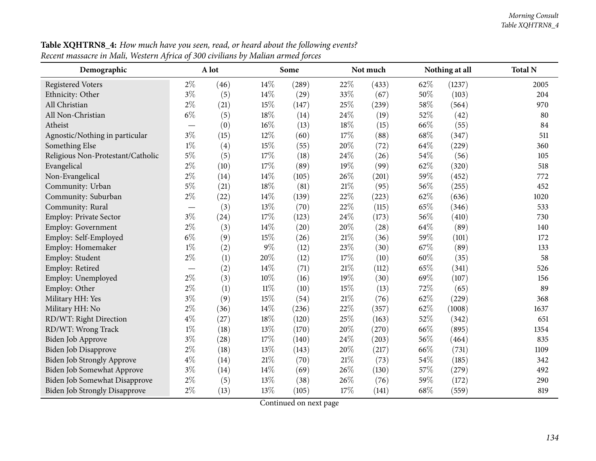| Demographic                          |                          | A lot |               | Some  |        | Not much |      | Nothing at all | <b>Total N</b> |
|--------------------------------------|--------------------------|-------|---------------|-------|--------|----------|------|----------------|----------------|
| Registered Voters                    | $2\%$                    | (46)  | 14\%          | (289) | 22%    | (433)    | 62%  | (1237)         | 2005           |
| Ethnicity: Other                     | $3\%$                    | (5)   | $14\%$        | (29)  | 33%    | (67)     | 50%  | (103)          | 204            |
| All Christian                        | $2\%$                    | (21)  | 15%           | (147) | $25\%$ | (239)    | 58%  | (564)          | 970            |
| All Non-Christian                    | $6\%$                    | (5)   | 18%           | (14)  | 24%    | (19)     | 52%  | (42)           | 80             |
| Atheist                              |                          | (0)   | $16\%$        | (13)  | 18%    | (15)     | 66%  | (55)           | 84             |
| Agnostic/Nothing in particular       | $3\%$                    | (15)  | 12%           | (60)  | 17%    | (88)     | 68\% | (347)          | 511            |
| Something Else                       | $1\%$                    | (4)   | 15\%          | (55)  | 20%    | (72)     | 64\% | (229)          | 360            |
| Religious Non-Protestant/Catholic    | $5\%$                    | (5)   | $17\%$        | (18)  | 24%    | (26)     | 54%  | (56)           | 105            |
| Evangelical                          | $2\%$                    | (10)  | 17%           | (89)  | 19%    | (99)     | 62%  | (320)          | 518            |
| Non-Evangelical                      | $2\%$                    | (14)  | $14\%$        | (105) | 26%    | (201)    | 59%  | (452)          | 772            |
| Community: Urban                     | $5\%$                    | (21)  | 18%           | (81)  | $21\%$ | (95)     | 56%  | (255)          | 452            |
| Community: Suburban                  | $2\%$                    | (22)  | 14\%          | (139) | 22%    | (223)    | 62%  | (636)          | 1020           |
| Community: Rural                     | $\overline{\phantom{m}}$ | (3)   | 13%           | (70)  | 22%    | (115)    | 65%  | (346)          | 533            |
| Employ: Private Sector               | $3\%$                    | (24)  | 17%           | (123) | 24%    | (173)    | 56%  | (410)          | 730            |
| <b>Employ: Government</b>            | $2\%$                    | (3)   | 14\%          | (20)  | 20%    | (28)     | 64%  | (89)           | 140            |
| Employ: Self-Employed                | $6\%$                    | (9)   | 15%           | (26)  | $21\%$ | (36)     | 59%  | (101)          | 172            |
| Employ: Homemaker                    | $1\%$                    | (2)   | $9\%$         | (12)  | 23%    | (30)     | 67\% | (89)           | 133            |
| Employ: Student                      | $2\%$                    | (1)   | 20%           | (12)  | 17%    | (10)     | 60%  | (35)           | 58             |
| Employ: Retired                      |                          | (2)   | 14\%          | (71)  | $21\%$ | (112)    | 65%  | (341)          | 526            |
| Employ: Unemployed                   | $2\%$                    | (3)   | $10\%$        | (16)  | 19%    | (30)     | 69%  | (107)          | 156            |
| Employ: Other                        | $2\%$                    | (1)   | $11\%$        | (10)  | 15%    | (13)     | 72%  | (65)           | 89             |
| Military HH: Yes                     | $3\%$                    | (9)   | 15%           | (54)  | $21\%$ | (76)     | 62%  | (229)          | 368            |
| Military HH: No                      | $2\%$                    | (36)  | $14\%$        | (236) | 22%    | (357)    | 62%  | (1008)         | 1637           |
| RD/WT: Right Direction               | $4\%$                    | (27)  | 18%           | (120) | 25%    | (163)    | 52%  | (342)          | 651            |
| RD/WT: Wrong Track                   | $1\%$                    | (18)  | 13%           | (170) | 20%    | (270)    | 66\% | (895)          | 1354           |
| Biden Job Approve                    | $3\%$                    | (28)  | $17\%$        | (140) | 24%    | (203)    | 56%  | (464)          | 835            |
| Biden Job Disapprove                 | $2\%$                    | (18)  | 13%           | (143) | $20\%$ | (217)    | 66%  | (731)          | 1109           |
| <b>Biden Job Strongly Approve</b>    | $4\%$                    | (14)  | $21\%$        | (70)  | $21\%$ | (73)     | 54%  | (185)          | 342            |
| Biden Job Somewhat Approve           | $3\%$                    | (14)  | 14\%          | (69)  | $26\%$ | (130)    | 57%  | (279)          | 492            |
| Biden Job Somewhat Disapprove        | $2\%$                    | (5)   | 13%           | (38)  | 26%    | (76)     | 59%  | (172)          | 290            |
| <b>Biden Job Strongly Disapprove</b> | $2\%$                    | (13)  | 13%<br>$\sim$ | (105) | 17%    | (141)    | 68\% | (559)          | 819            |

Table XQHTRN8\_4: How much have you seen, read, or heard about the following events? Recent massacre in Mali, Western Africa of 300 civilians by Malian armed forces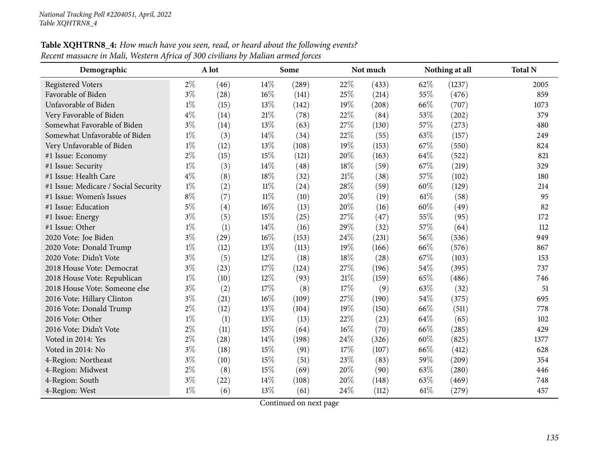| Demographic                          |       | A lot             |        | Some  |        | Not much |      | Nothing at all | <b>Total N</b> |
|--------------------------------------|-------|-------------------|--------|-------|--------|----------|------|----------------|----------------|
| <b>Registered Voters</b>             | $2\%$ | (46)              | $14\%$ | (289) | 22\%   | (433)    | 62%  | (1237)         | 2005           |
| Favorable of Biden                   | $3\%$ | (28)              | $16\%$ | (141) | 25%    | (214)    | 55%  | (476)          | 859            |
| Unfavorable of Biden                 | $1\%$ | (15)              | $13\%$ | (142) | 19%    | (208)    | 66%  | (707)          | 1073           |
| Very Favorable of Biden              | $4\%$ | (14)              | 21\%   | (78)  | 22%    | (84)     | 53%  | (202)          | 379            |
| Somewhat Favorable of Biden          | $3\%$ | (14)              | 13\%   | (63)  | 27%    | (130)    | 57%  | (273)          | 480            |
| Somewhat Unfavorable of Biden        | $1\%$ | (3)               | $14\%$ | (34)  | 22%    | (55)     | 63%  | (157)          | 249            |
| Very Unfavorable of Biden            | $1\%$ | (12)              | $13\%$ | (108) | 19%    | (153)    | 67\% | (550)          | 824            |
| #1 Issue: Economy                    | $2\%$ | (15)              | 15%    | (121) | 20%    | (163)    | 64%  | (522)          | 821            |
| #1 Issue: Security                   | $1\%$ | (3)               | 14\%   | (48)  | 18%    | (59)     | 67%  | (219)          | 329            |
| #1 Issue: Health Care                | $4\%$ | (8)               | 18%    | (32)  | $21\%$ | (38)     | 57%  | (102)          | 180            |
| #1 Issue: Medicare / Social Security | $1\%$ | (2)               | $11\%$ | (24)  | 28%    | (59)     | 60%  | (129)          | 214            |
| #1 Issue: Women's Issues             | $8\%$ | (7)               | $11\%$ | (10)  | 20%    | (19)     | 61\% | (58)           | 95             |
| #1 Issue: Education                  | $5\%$ | $\left( 4\right)$ | $16\%$ | (13)  | 20%    | (16)     | 60%  | (49)           | 82             |
| #1 Issue: Energy                     | $3\%$ | (5)               | 15%    | (25)  | 27%    | (47)     | 55%  | (95)           | 172            |
| #1 Issue: Other                      | $1\%$ | (1)               | $14\%$ | (16)  | 29%    | (32)     | 57%  | (64)           | 112            |
| 2020 Vote: Joe Biden                 | $3\%$ | (29)              | 16%    | (153) | 24\%   | (231)    | 56%  | (536)          | 949            |
| 2020 Vote: Donald Trump              | $1\%$ | (12)              | 13%    | (113) | 19%    | (166)    | 66%  | (576)          | 867            |
| 2020 Vote: Didn't Vote               | $3\%$ | (5)               | 12%    | (18)  | 18%    | (28)     | 67%  | (103)          | 153            |
| 2018 House Vote: Democrat            | $3\%$ | (23)              | 17%    | (124) | 27%    | (196)    | 54%  | (395)          | 737            |
| 2018 House Vote: Republican          | $1\%$ | (10)              | 12%    | (93)  | $21\%$ | (159)    | 65%  | (486)          | 746            |
| 2018 House Vote: Someone else        | $3\%$ | (2)               | 17%    | (8)   | $17\%$ | (9)      | 63%  | (32)           | 51             |
| 2016 Vote: Hillary Clinton           | $3\%$ | (21)              | 16%    | (109) | 27%    | (190)    | 54%  | (375)          | 695            |
| 2016 Vote: Donald Trump              | $2\%$ | (12)              | 13\%   | (104) | 19%    | (150)    | 66%  | (511)          | 778            |
| 2016 Vote: Other                     | $1\%$ | (1)               | 13%    | (13)  | 22%    | (23)     | 64%  | (65)           | 102            |
| 2016 Vote: Didn't Vote               | $2\%$ | (11)              | 15%    | (64)  | $16\%$ | (70)     | 66%  | (285)          | 429            |
| Voted in 2014: Yes                   | $2\%$ | (28)              | 14\%   | (198) | 24\%   | (326)    | 60%  | (825)          | 1377           |
| Voted in 2014: No                    | $3\%$ | (18)              | 15%    | (91)  | 17%    | (107)    | 66%  | (412)          | 628            |
| 4-Region: Northeast                  | $3\%$ | (10)              | 15%    | (51)  | 23%    | (83)     | 59%  | (209)          | 354            |
| 4-Region: Midwest                    | $2\%$ | (8)               | 15%    | (69)  | 20%    | (90)     | 63%  | (280)          | 446            |
| 4-Region: South                      | $3\%$ | (22)              | 14%    | (108) | 20%    | (148)    | 63%  | (469)          | 748            |
| 4-Region: West                       | $1\%$ | (6)               | 13%    | (61)  | 24\%   | (112)    | 61\% | (279)          | 457            |

Table XQHTRN8\_4: How much have you seen, read, or heard about the following events? Recent massacre in Mali, Western Africa of 300 civilians by Malian armed forces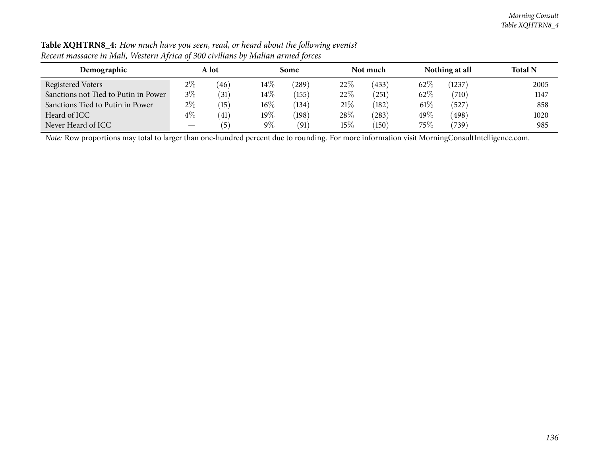| Demographic                                                                                                                                    |       | A lot |        | Some  |        | Not much   |        | Nothing at all | <b>Total N</b> |
|------------------------------------------------------------------------------------------------------------------------------------------------|-------|-------|--------|-------|--------|------------|--------|----------------|----------------|
| Registered Voters                                                                                                                              | $2\%$ | (46)  | $14\%$ | 289)  | $22\%$ | (433)      | 62\%   | (1237)         | 2005           |
| Sanctions not Tied to Putin in Power                                                                                                           | $3\%$ | (31)  | 14\%   | (155) | 22\%   | $^{(251)}$ | 62%    | (710)          | 1147           |
| Sanctions Tied to Putin in Power                                                                                                               | $2\%$ | (15)  | $16\%$ | (134) | 21%    | (182)      | $61\%$ | (527)          | 858            |
| Heard of ICC                                                                                                                                   | $4\%$ | (41)  | $19\%$ | (198) | 28\%   | (283)      | 49\%   | (498)          | 1020           |
| Never Heard of ICC                                                                                                                             |       | (5)   | $9\%$  | (91)  | 15%    | (150)      | $75\%$ | (739)          | 985            |
| Note: Row proportions may total to larger than one-hundred percent due to rounding. For more information visit MorningConsultIntelligence.com. |       |       |        |       |        |            |        |                |                |

Table XQHTRN8\_4: How much have you seen, read, or heard about the following events? Recent massacre in Mali, Western Africa of 300 civilians by Malian armed forces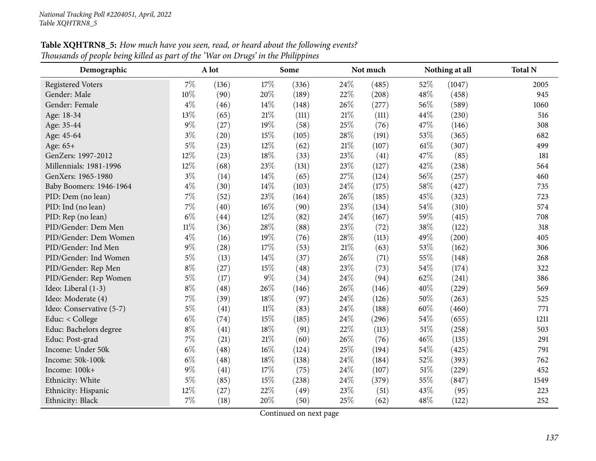| Demographic              |        | A lot |        | Some  |        | Not much |      | Nothing at all | <b>Total N</b> |
|--------------------------|--------|-------|--------|-------|--------|----------|------|----------------|----------------|
| <b>Registered Voters</b> | $7\%$  | (136) | 17%    | (336) | 24%    | (485)    | 52%  | (1047)         | 2005           |
| Gender: Male             | 10%    | (90)  | 20%    | (189) | 22%    | (208)    | 48%  | (458)          | 945            |
| Gender: Female           | $4\%$  | (46)  | 14\%   | (148) | 26%    | (277)    | 56%  | (589)          | 1060           |
| Age: 18-34               | 13%    | (65)  | $21\%$ | (111) | 21%    | (111)    | 44%  | (230)          | 516            |
| Age: 35-44               | $9\%$  | (27)  | 19%    | (58)  | 25%    | (76)     | 47%  | (146)          | 308            |
| Age: 45-64               | $3\%$  | (20)  | 15%    | (105) | 28%    | (191)    | 53%  | (365)          | 682            |
| Age: 65+                 | $5\%$  | (23)  | 12%    | (62)  | $21\%$ | (107)    | 61\% | (307)          | 499            |
| GenZers: 1997-2012       | 12%    | (23)  | 18%    | (33)  | 23%    | (41)     | 47%  | (85)           | 181            |
| Millennials: 1981-1996   | 12%    | (68)  | 23%    | (131) | 23%    | (127)    | 42%  | (238)          | 564            |
| GenXers: 1965-1980       | $3\%$  | (14)  | 14%    | (65)  | 27%    | (124)    | 56%  | (257)          | 460            |
| Baby Boomers: 1946-1964  | $4\%$  | (30)  | 14%    | (103) | 24%    | (175)    | 58%  | (427)          | 735            |
| PID: Dem (no lean)       | $7\%$  | (52)  | 23%    | (164) | 26%    | (185)    | 45%  | (323)          | 723            |
| PID: Ind (no lean)       | 7%     | (40)  | 16%    | (90)  | 23%    | (134)    | 54%  | (310)          | 574            |
| PID: Rep (no lean)       | $6\%$  | (44)  | 12%    | (82)  | 24%    | (167)    | 59%  | (415)          | 708            |
| PID/Gender: Dem Men      | $11\%$ | (36)  | 28%    | (88)  | 23%    | (72)     | 38%  | (122)          | 318            |
| PID/Gender: Dem Women    | $4\%$  | (16)  | 19%    | (76)  | 28\%   | (113)    | 49%  | (200)          | 405            |
| PID/Gender: Ind Men      | $9\%$  | (28)  | 17%    | (53)  | 21%    | (63)     | 53%  | (162)          | 306            |
| PID/Gender: Ind Women    | $5\%$  | (13)  | 14%    | (37)  | 26%    | (71)     | 55%  | (148)          | 268            |
| PID/Gender: Rep Men      | $8\%$  | (27)  | 15%    | (48)  | 23%    | (73)     | 54%  | (174)          | 322            |
| PID/Gender: Rep Women    | $5\%$  | (17)  | $9\%$  | (34)  | 24%    | (94)     | 62%  | (241)          | 386            |
| Ideo: Liberal (1-3)      | $8\%$  | (48)  | 26%    | (146) | 26%    | (146)    | 40%  | (229)          | 569            |
| Ideo: Moderate (4)       | $7\%$  | (39)  | 18%    | (97)  | 24%    | (126)    | 50%  | (263)          | 525            |
| Ideo: Conservative (5-7) | $5\%$  | (41)  | $11\%$ | (83)  | 24%    | (188)    | 60%  | (460)          | 771            |
| Educ: < College          | $6\%$  | (74)  | 15%    | (185) | 24%    | (296)    | 54%  | (655)          | 1211           |
| Educ: Bachelors degree   | $8\%$  | (41)  | 18%    | (91)  | 22%    | (113)    | 51%  | (258)          | 503            |
| Educ: Post-grad          | $7\%$  | (21)  | $21\%$ | (60)  | 26%    | (76)     | 46%  | (135)          | 291            |
| Income: Under 50k        | $6\%$  | (48)  | 16%    | (124) | 25%    | (194)    | 54%  | (425)          | 791            |
| Income: 50k-100k         | $6\%$  | (48)  | 18%    | (138) | 24%    | (184)    | 52%  | (393)          | 762            |
| Income: 100k+            | $9\%$  | (41)  | 17%    | (75)  | 24%    | (107)    | 51%  | (229)          | 452            |
| Ethnicity: White         | $5\%$  | (85)  | 15%    | (238) | 24%    | (379)    | 55%  | (847)          | 1549           |
| Ethnicity: Hispanic      | 12%    | (27)  | 22%    | (49)  | 23%    | (51)     | 43%  | (95)           | 223            |
| Ethnicity: Black         | 7%     | (18)  | 20%    | (50)  | 25%    | (62)     | 48%  | (122)          | 252            |

**Table XQHTRN8\_5:** How much have you seen, read, or heard about the following events? Thousands of people being killed as part of the 'War on Drugs' in the Philippines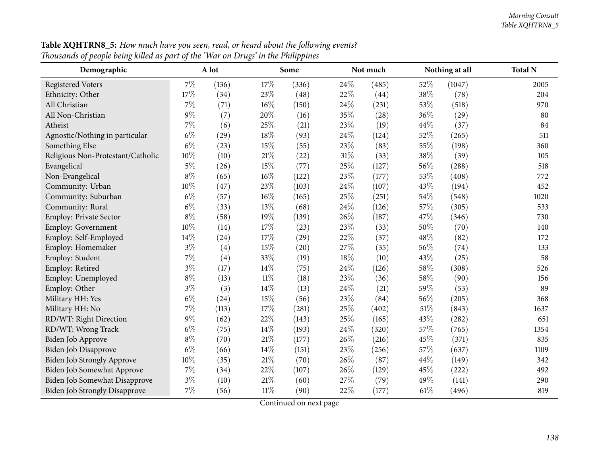| c) people centre announcement of the<br>Demographic |        | $\cdots$ $\cdots$ $\cdots$ $\cdots$<br>A lot |        | $\cdots$ and $\cdots$ $\cdots$<br>Some |      | Not much |        | Nothing at all | <b>Total N</b> |
|-----------------------------------------------------|--------|----------------------------------------------|--------|----------------------------------------|------|----------|--------|----------------|----------------|
| <b>Registered Voters</b>                            | $7\%$  | (136)                                        | 17%    | (336)                                  | 24\% | (485)    | 52\%   | (1047)         | 2005           |
| Ethnicity: Other                                    | 17%    | (34)                                         | 23%    | (48)                                   | 22%  | (44)     | 38%    | (78)           | 204            |
| All Christian                                       | $7\%$  | (71)                                         | $16\%$ | (150)                                  | 24%  | (231)    | 53%    | (518)          | 970            |
| All Non-Christian                                   | $9\%$  | (7)                                          | 20%    | (16)                                   | 35%  | (28)     | 36%    | (29)           | 80             |
| Atheist                                             | 7%     | (6)                                          | 25%    | (21)                                   | 23%  | (19)     | 44%    | (37)           | 84             |
| Agnostic/Nothing in particular                      | $6\%$  | (29)                                         | 18%    | (93)                                   | 24%  | (124)    | 52%    | (265)          | 511            |
| Something Else                                      | $6\%$  | (23)                                         | 15%    | (55)                                   | 23%  | (83)     | 55%    | (198)          | 360            |
| Religious Non-Protestant/Catholic                   | $10\%$ | (10)                                         | $21\%$ | (22)                                   | 31%  | (33)     | 38%    | (39)           | 105            |
| Evangelical                                         | $5\%$  | (26)                                         | 15%    | (77)                                   | 25%  | (127)    | 56%    | (288)          | 518            |
| Non-Evangelical                                     | $8\%$  | (65)                                         | 16%    | (122)                                  | 23%  | (177)    | 53%    | (408)          | 772            |
| Community: Urban                                    | 10%    | (47)                                         | 23%    | (103)                                  | 24%  | (107)    | 43%    | (194)          | 452            |
| Community: Suburban                                 | $6\%$  | (57)                                         | $16\%$ | (165)                                  | 25%  | (251)    | 54%    | (548)          | 1020           |
| Community: Rural                                    | $6\%$  | (33)                                         | 13%    | (68)                                   | 24%  | (126)    | 57%    | (305)          | 533            |
| Employ: Private Sector                              | $8\%$  | (58)                                         | 19%    | (139)                                  | 26%  | (187)    | 47%    | (346)          | 730            |
| Employ: Government                                  | $10\%$ | (14)                                         | 17%    | (23)                                   | 23%  | (33)     | 50%    | (70)           | 140            |
| Employ: Self-Employed                               | 14%    | (24)                                         | 17%    | (29)                                   | 22%  | (37)     | 48%    | (82)           | 172            |
| Employ: Homemaker                                   | $3\%$  | (4)                                          | 15%    | (20)                                   | 27%  | (35)     | 56%    | (74)           | 133            |
| Employ: Student                                     | $7\%$  | (4)                                          | 33%    | (19)                                   | 18%  | (10)     | 43%    | (25)           | 58             |
| Employ: Retired                                     | $3\%$  | (17)                                         | 14%    | (75)                                   | 24%  | (126)    | 58%    | (308)          | 526            |
| Employ: Unemployed                                  | $8\%$  | (13)                                         | $11\%$ | (18)                                   | 23%  | (36)     | 58%    | (90)           | 156            |
| Employ: Other                                       | $3\%$  | (3)                                          | 14%    | (13)                                   | 24\% | (21)     | 59%    | (53)           | 89             |
| Military HH: Yes                                    | $6\%$  | (24)                                         | 15%    | (56)                                   | 23%  | (84)     | 56%    | (205)          | 368            |
| Military HH: No                                     | $7\%$  | (113)                                        | 17%    | (281)                                  | 25%  | (402)    | 51%    | (843)          | 1637           |
| RD/WT: Right Direction                              | $9\%$  | (62)                                         | 22%    | (143)                                  | 25%  | (165)    | 43%    | (282)          | 651            |
| RD/WT: Wrong Track                                  | $6\%$  | (75)                                         | 14%    | (193)                                  | 24%  | (320)    | 57%    | (765)          | 1354           |
| Biden Job Approve                                   | $8\%$  | (70)                                         | 21%    | (177)                                  | 26%  | (216)    | 45%    | (371)          | 835            |
| Biden Job Disapprove                                | $6\%$  | (66)                                         | 14%    | (151)                                  | 23%  | (256)    | 57%    | (637)          | 1109           |
| <b>Biden Job Strongly Approve</b>                   | 10%    | (35)                                         | 21%    | (70)                                   | 26%  | (87)     | 44%    | (149)          | 342            |
| Biden Job Somewhat Approve                          | $7\%$  | (34)                                         | 22%    | (107)                                  | 26%  | (129)    | 45%    | (222)          | 492            |
| <b>Biden Job Somewhat Disapprove</b>                | $3\%$  | (10)                                         | $21\%$ | (60)                                   | 27%  | (79)     | 49%    | (141)          | 290            |
| <b>Biden Job Strongly Disapprove</b>                | 7%     | (56)                                         | $11\%$ | (90)                                   | 22%  | (177)    | $61\%$ | (496)          | 819            |

Table XQHTRN8\_5: How much have you seen, read, or heard about the following events? Thousands of people being killed as part of the 'War on Drugs' in the Philippines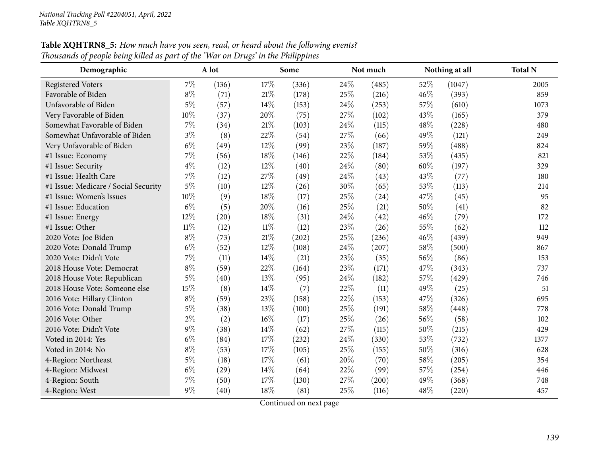| Demographic                          |        | A lot |        | Some  |     | Not much |     | Nothing at all | <b>Total N</b> |
|--------------------------------------|--------|-------|--------|-------|-----|----------|-----|----------------|----------------|
| <b>Registered Voters</b>             | 7%     | (136) | 17%    | (336) | 24% | (485)    | 52% | (1047)         | 2005           |
| Favorable of Biden                   | $8\%$  | (71)  | 21%    | (178) | 25% | (216)    | 46% | (393)          | 859            |
| Unfavorable of Biden                 | $5\%$  | (57)  | $14\%$ | (153) | 24% | (253)    | 57% | (610)          | 1073           |
| Very Favorable of Biden              | 10%    | (37)  | 20%    | (75)  | 27% | (102)    | 43% | (165)          | 379            |
| Somewhat Favorable of Biden          | 7%     | (34)  | 21\%   | (103) | 24% | (115)    | 48% | (228)          | 480            |
| Somewhat Unfavorable of Biden        | $3\%$  | (8)   | 22%    | (54)  | 27% | (66)     | 49% | (121)          | 249            |
| Very Unfavorable of Biden            | $6\%$  | (49)  | 12%    | (99)  | 23% | (187)    | 59% | (488)          | 824            |
| #1 Issue: Economy                    | 7%     | (56)  | 18%    | (146) | 22% | (184)    | 53% | (435)          | 821            |
| #1 Issue: Security                   | $4\%$  | (12)  | 12%    | (40)  | 24% | (80)     | 60% | (197)          | 329            |
| #1 Issue: Health Care                | 7%     | (12)  | 27%    | (49)  | 24% | (43)     | 43% | (77)           | 180            |
| #1 Issue: Medicare / Social Security | $5\%$  | (10)  | $12\%$ | (26)  | 30% | (65)     | 53% | (113)          | 214            |
| #1 Issue: Women's Issues             | 10%    | (9)   | 18%    | (17)  | 25% | (24)     | 47% | (45)           | 95             |
| #1 Issue: Education                  | $6\%$  | (5)   | 20%    | (16)  | 25% | (21)     | 50% | (41)           | 82             |
| #1 Issue: Energy                     | 12%    | (20)  | 18%    | (31)  | 24% | (42)     | 46% | (79)           | 172            |
| #1 Issue: Other                      | $11\%$ | (12)  | $11\%$ | (12)  | 23% | (26)     | 55% | (62)           | 112            |
| 2020 Vote: Joe Biden                 | $8\%$  | (73)  | 21%    | (202) | 25% | (236)    | 46% | (439)          | 949            |
| 2020 Vote: Donald Trump              | $6\%$  | (52)  | 12%    | (108) | 24% | (207)    | 58% | (500)          | 867            |
| 2020 Vote: Didn't Vote               | 7%     | (11)  | 14%    | (21)  | 23% | (35)     | 56% | (86)           | 153            |
| 2018 House Vote: Democrat            | $8\%$  | (59)  | 22%    | (164) | 23% | (171)    | 47% | (343)          | 737            |
| 2018 House Vote: Republican          | $5\%$  | (40)  | 13%    | (95)  | 24% | (182)    | 57% | (429)          | 746            |
| 2018 House Vote: Someone else        | 15%    | (8)   | 14\%   | (7)   | 22% | (11)     | 49% | (25)           | 51             |
| 2016 Vote: Hillary Clinton           | $8\%$  | (59)  | 23\%   | (158) | 22% | (153)    | 47% | (326)          | 695            |
| 2016 Vote: Donald Trump              | $5\%$  | (38)  | 13%    | (100) | 25% | (191)    | 58% | (448)          | 778            |
| 2016 Vote: Other                     | $2\%$  | (2)   | 16%    | (17)  | 25% | (26)     | 56% | (58)           | 102            |
| 2016 Vote: Didn't Vote               | $9\%$  | (38)  | $14\%$ | (62)  | 27% | (115)    | 50% | (215)          | 429            |
| Voted in 2014: Yes                   | $6\%$  | (84)  | 17%    | (232) | 24% | (330)    | 53% | (732)          | 1377           |
| Voted in 2014: No                    | $8\%$  | (53)  | 17%    | (105) | 25% | (155)    | 50% | (316)          | 628            |
| 4-Region: Northeast                  | $5\%$  | (18)  | 17%    | (61)  | 20% | (70)     | 58% | (205)          | 354            |
| 4-Region: Midwest                    | $6\%$  | (29)  | 14%    | (64)  | 22% | (99)     | 57% | (254)          | 446            |
| 4-Region: South                      | 7%     | (50)  | 17%    | (130) | 27% | (200)    | 49% | (368)          | 748            |
| 4-Region: West                       | $9\%$  | (40)  | 18\%   | (81)  | 25% | (116)    | 48% | (220)          | 457            |

**Table XQHTRN8\_5:** How much have you seen, read, or heard about the following events? Thousands of people being killed as part of the 'War on Drugs' in the Philippines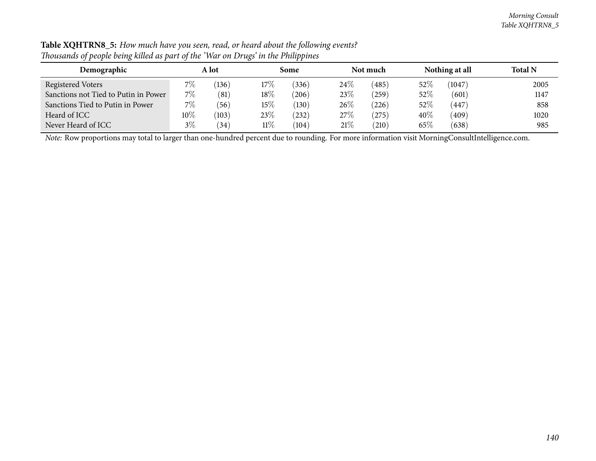| $\overline{ }$<br>. .                |        |       | . .    | . .   |        |            |        |                    |                |
|--------------------------------------|--------|-------|--------|-------|--------|------------|--------|--------------------|----------------|
| Demographic                          |        | A lot |        | Some  |        | Not much   |        | Nothing at all     | <b>Total N</b> |
| Registered Voters                    | $7\%$  | (136) | 17%    | (336) | 24%    | (485)      | $52\%$ | (1047)             | 2005           |
| Sanctions not Tied to Putin in Power | 7%     | (81)  | 18%    | (206) | 23%    | (259)      | $52\%$ | (601)              | 1147           |
| Sanctions Tied to Putin in Power     | $7\%$  | (56)  | 15%    | (130) | $26\%$ | (226)      | $52\%$ | $\left(447\right)$ | 858            |
| Heard of ICC                         | $10\%$ | (103) | 23%    | (232) | 27\%   | $^{(275)}$ | $40\%$ | (409)              | 1020           |
| Never Heard of ICC                   | $3\%$  | (34)  | $11\%$ | (104) | 21%    | (210)      | 65\%   | (638)              | 985            |

Table XQHTRN8\_5: How much have you seen, read, or heard about the following events? Thousands of people being killed as part of the 'War on Drugs' in the Philippines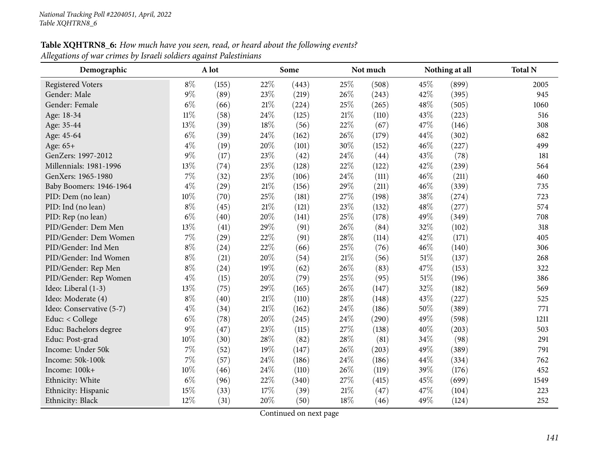# **Table XQHTRN8\_6:** How much have you seen, read, or heard about the following events? *Allegations of war crimes by Israeli soldiers against Palestinians*

| Demographic              |        | A lot |        | Some  |        | Not much |        | Nothing at all | <b>Total N</b> |
|--------------------------|--------|-------|--------|-------|--------|----------|--------|----------------|----------------|
| <b>Registered Voters</b> | $8\%$  | (155) | 22%    | (443) | 25\%   | (508)    | 45%    | (899)          | 2005           |
| Gender: Male             | $9\%$  | (89)  | 23%    | (219) | 26%    | (243)    | 42%    | (395)          | 945            |
| Gender: Female           | $6\%$  | (66)  | $21\%$ | (224) | 25%    | (265)    | 48%    | (505)          | 1060           |
| Age: 18-34               | $11\%$ | (58)  | 24\%   | (125) | $21\%$ | (110)    | 43%    | (223)          | 516            |
| Age: 35-44               | 13%    | (39)  | 18%    | (56)  | 22%    | (67)     | 47%    | (146)          | 308            |
| Age: 45-64               | $6\%$  | (39)  | 24\%   | (162) | 26%    | (179)    | 44%    | (302)          | 682            |
| Age: 65+                 | $4\%$  | (19)  | 20%    | (101) | 30%    | (152)    | 46%    | (227)          | 499            |
| GenZers: 1997-2012       | $9\%$  | (17)  | 23%    | (42)  | 24%    | (44)     | 43%    | (78)           | 181            |
| Millennials: 1981-1996   | $13\%$ | (74)  | 23%    | (128) | 22%    | (122)    | 42%    | (239)          | 564            |
| GenXers: 1965-1980       | $7\%$  | (32)  | 23%    | (106) | 24\%   | (111)    | 46%    | (211)          | 460            |
| Baby Boomers: 1946-1964  | $4\%$  | (29)  | 21\%   | (156) | 29%    | (211)    | 46%    | (339)          | 735            |
| PID: Dem (no lean)       | 10%    | (70)  | 25%    | (181) | 27%    | (198)    | 38%    | (274)          | 723            |
| PID: Ind (no lean)       | $8\%$  | (45)  | 21%    | (121) | 23%    | (132)    | 48%    | (277)          | 574            |
| PID: Rep (no lean)       | $6\%$  | (40)  | 20%    | (141) | 25%    | (178)    | 49%    | (349)          | 708            |
| PID/Gender: Dem Men      | 13%    | (41)  | 29%    | (91)  | 26%    | (84)     | 32%    | (102)          | 318            |
| PID/Gender: Dem Women    | $7\%$  | (29)  | 22%    | (91)  | 28%    | (114)    | 42%    | (171)          | 405            |
| PID/Gender: Ind Men      | $8\%$  | (24)  | 22%    | (66)  | 25%    | (76)     | 46%    | (140)          | 306            |
| PID/Gender: Ind Women    | $8\%$  | (21)  | 20%    | (54)  | $21\%$ | (56)     | $51\%$ | (137)          | 268            |
| PID/Gender: Rep Men      | $8\%$  | (24)  | 19%    | (62)  | 26%    | (83)     | 47%    | (153)          | 322            |
| PID/Gender: Rep Women    | $4\%$  | (15)  | 20%    | (79)  | 25%    | (95)     | $51\%$ | (196)          | 386            |
| Ideo: Liberal (1-3)      | 13%    | (75)  | 29%    | (165) | 26%    | (147)    | 32%    | (182)          | 569            |
| Ideo: Moderate (4)       | $8\%$  | (40)  | $21\%$ | (110) | 28\%   | (148)    | 43%    | (227)          | 525            |
| Ideo: Conservative (5-7) | $4\%$  | (34)  | 21%    | (162) | 24%    | (186)    | 50%    | (389)          | 771            |
| Educ: < College          | $6\%$  | (78)  | 20%    | (245) | 24%    | (290)    | 49%    | (598)          | 1211           |
| Educ: Bachelors degree   | $9\%$  | (47)  | 23%    | (115) | 27%    | (138)    | 40%    | (203)          | 503            |
| Educ: Post-grad          | $10\%$ | (30)  | 28%    | (82)  | 28\%   | (81)     | 34%    | (98)           | 291            |
| Income: Under 50k        | $7\%$  | (52)  | 19%    | (147) | 26%    | (203)    | 49%    | (389)          | 791            |
| Income: 50k-100k         | $7\%$  | (57)  | 24\%   | (186) | 24%    | (186)    | 44\%   | (334)          | 762            |
| Income: 100k+            | 10%    | (46)  | 24\%   | (110) | 26%    | (119)    | 39%    | (176)          | 452            |
| Ethnicity: White         | $6\%$  | (96)  | 22%    | (340) | 27%    | (415)    | 45%    | (699)          | 1549           |
| Ethnicity: Hispanic      | 15%    | (33)  | 17%    | (39)  | $21\%$ | (47)     | 47%    | (104)          | 223            |
| Ethnicity: Black         | 12%    | (31)  | 20%    | (50)  | $18\%$ | (46)     | 49%    | (124)          | 252            |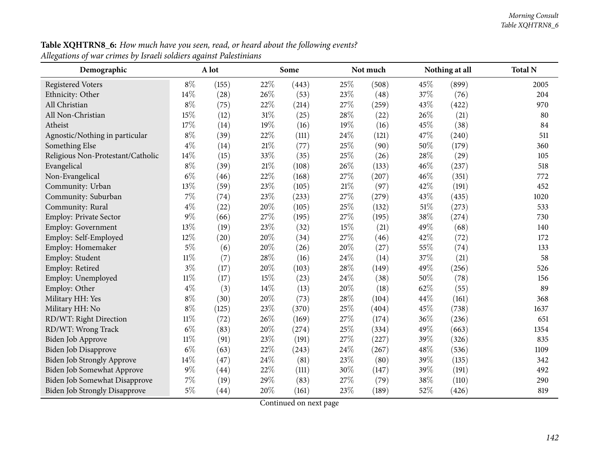#### **Table XQHTRN8\_6:** How much have you seen, read, or heard about the following events? *Allegations of war crimes by Israeli soldiers against Palestinians*

| Demographic                          | A lot  |       |        | Some  |      | Not much |        | Nothing at all | <b>Total N</b> |
|--------------------------------------|--------|-------|--------|-------|------|----------|--------|----------------|----------------|
| <b>Registered Voters</b>             | $8\%$  | (155) | 22%    | (443) | 25\% | (508)    | 45\%   | (899)          | 2005           |
| Ethnicity: Other                     | 14%    | (28)  | 26%    | (53)  | 23%  | (48)     | 37%    | (76)           | 204            |
| All Christian                        | $8\%$  | (75)  | 22%    | (214) | 27%  | (259)    | 43%    | (422)          | 970            |
| All Non-Christian                    | 15%    | (12)  | $31\%$ | (25)  | 28%  | (22)     | 26%    | (21)           | 80             |
| Atheist                              | 17%    | (14)  | 19%    | (16)  | 19%  | (16)     | 45%    | (38)           | 84             |
| Agnostic/Nothing in particular       | $8\%$  | (39)  | 22%    | (111) | 24%  | (121)    | 47%    | (240)          | 511            |
| Something Else                       | $4\%$  | (14)  | 21%    | (77)  | 25%  | (90)     | 50%    | (179)          | 360            |
| Religious Non-Protestant/Catholic    | 14%    | (15)  | 33%    | (35)  | 25%  | (26)     | 28%    | (29)           | 105            |
| Evangelical                          | $8\%$  | (39)  | 21%    | (108) | 26%  | (133)    | 46%    | (237)          | 518            |
| Non-Evangelical                      | $6\%$  | (46)  | 22%    | (168) | 27%  | (207)    | 46%    | (351)          | 772            |
| Community: Urban                     | 13%    | (59)  | 23%    | (105) | 21%  | (97)     | 42%    | (191)          | 452            |
| Community: Suburban                  | $7\%$  | (74)  | 23%    | (233) | 27%  | (279)    | 43%    | (435)          | 1020           |
| Community: Rural                     | $4\%$  | (22)  | 20%    | (105) | 25%  | (132)    | $51\%$ | (273)          | 533            |
| Employ: Private Sector               | $9\%$  | (66)  | 27%    | (195) | 27%  | (195)    | 38%    | (274)          | 730            |
| Employ: Government                   | 13%    | (19)  | 23%    | (32)  | 15%  | (21)     | 49%    | (68)           | 140            |
| Employ: Self-Employed                | 12%    | (20)  | 20%    | (34)  | 27%  | (46)     | 42\%   | (72)           | 172            |
| Employ: Homemaker                    | $5\%$  | (6)   | 20%    | (26)  | 20%  | (27)     | 55%    | (74)           | 133            |
| Employ: Student                      | $11\%$ | (7)   | 28%    | (16)  | 24%  | (14)     | 37%    | (21)           | 58             |
| Employ: Retired                      | $3\%$  | (17)  | 20%    | (103) | 28%  | (149)    | 49%    | (256)          | 526            |
| Employ: Unemployed                   | $11\%$ | (17)  | 15%    | (23)  | 24%  | (38)     | 50%    | (78)           | 156            |
| Employ: Other                        | $4\%$  | (3)   | 14%    | (13)  | 20%  | (18)     | 62%    | (55)           | 89             |
| Military HH: Yes                     | $8\%$  | (30)  | 20%    | (73)  | 28%  | (104)    | 44\%   | (161)          | 368            |
| Military HH: No                      | $8\%$  | (125) | 23%    | (370) | 25%  | (404)    | 45%    | (738)          | 1637           |
| RD/WT: Right Direction               | $11\%$ | (72)  | 26%    | (169) | 27%  | (174)    | 36%    | (236)          | 651            |
| RD/WT: Wrong Track                   | $6\%$  | (83)  | 20%    | (274) | 25%  | (334)    | 49%    | (663)          | 1354           |
| Biden Job Approve                    | $11\%$ | (91)  | 23%    | (191) | 27%  | (227)    | 39%    | (326)          | 835            |
| <b>Biden Job Disapprove</b>          | $6\%$  | (63)  | 22%    | (243) | 24%  | (267)    | 48%    | (536)          | 1109           |
| <b>Biden Job Strongly Approve</b>    | 14%    | (47)  | 24%    | (81)  | 23%  | (80)     | 39%    | (135)          | 342            |
| Biden Job Somewhat Approve           | $9\%$  | (44)  | 22%    | (111) | 30%  | (147)    | 39%    | (191)          | 492            |
| Biden Job Somewhat Disapprove        | 7%     | (19)  | 29%    | (83)  | 27%  | (79)     | 38%    | (110)          | 290            |
| <b>Biden Job Strongly Disapprove</b> | $5\%$  | (44)  | 20%    | (161) | 23%  | (189)    | 52%    | (426)          | 819            |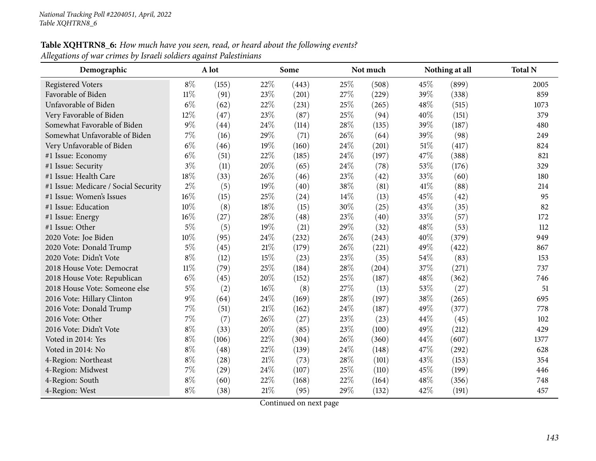# **Table XQHTRN8\_6:** How much have you seen, read, or heard about the following events?

| Allegations of war crimes by Israeli soldiers against Palestinians |        |       |        |       |        |          |      |                |                |
|--------------------------------------------------------------------|--------|-------|--------|-------|--------|----------|------|----------------|----------------|
| Demographic                                                        | A lot  |       | Some   |       |        | Not much |      | Nothing at all | <b>Total N</b> |
| <b>Registered Voters</b>                                           | $8\%$  | (155) | 22%    | (443) | 25%    | (508)    | 45%  | (899)          | 2005           |
| Favorable of Biden                                                 | $11\%$ | (91)  | 23\%   | (201) | 27%    | (229)    | 39%  | (338)          | 859            |
| Unfavorable of Biden                                               | $6\%$  | (62)  | 22\%   | (231) | $25\%$ | (265)    | 48%  | (515)          | 1073           |
| Very Favorable of Biden                                            | 12%    | (47)  | 23\%   | (87)  | 25%    | (94)     | 40%  | (151)          | 379            |
| Somewhat Favorable of Biden                                        | $9\%$  | (44)  | 24\%   | (114) | 28\%   | (135)    | 39%  | (187)          | 480            |
| Somewhat Unfavorable of Biden                                      | $7\%$  | (16)  | 29%    | (71)  | 26%    | (64)     | 39%  | (98)           | 249            |
| Very Unfavorable of Biden                                          | $6\%$  | (46)  | $19\%$ | (160) | 24%    | (201)    | 51%  | (417)          | 824            |
| #1 Issue: Economy                                                  | $6\%$  | (51)  | 22%    | (185) | 24%    | (197)    | 47%  | (388)          | 821            |
| #1 Issue: Security                                                 | $3\%$  | (11)  | 20%    | (65)  | 24\%   | (78)     | 53%  | (176)          | 329            |
| #1 Issue: Health Care                                              | $18\%$ | (33)  | 26\%   | (46)  | 23%    | (42)     | 33%  | (60)           | 180            |
| #1 Issue: Medicare / Social Security                               | $2\%$  | (5)   | 19%    | (40)  | 38\%   | (81)     | 41\% | (88)           | 214            |
| #1 Issue: Women's Issues                                           | $16\%$ | (15)  | 25%    | (24)  | 14\%   | (13)     | 45%  | (42)           | 95             |
| #1 Issue: Education                                                | $10\%$ | (8)   | 18%    | (15)  | 30%    | (25)     | 43%  | (35)           | 82             |
| #1 Issue: Energy                                                   | $16\%$ | (27)  | 28\%   | (48)  | $23\%$ | (40)     | 33\% | (57)           | 172            |
| #1 Issue: Other                                                    | $5\%$  | (5)   | 19%    | (21)  | 29%    | (32)     | 48%  | (53)           | 112            |
| 2020 Vote: Joe Biden                                               | $10\%$ | (95)  | 24\%   | (232) | 26%    | (243)    | 40%  | (379)          | 949            |
| 2020 Vote: Donald Trump                                            | $5\%$  | (45)  | 21\%   | (179) | 26%    | (221)    | 49%  | (422)          | 867            |
| 2020 Vote: Didn't Vote                                             | $8\%$  | (12)  | 15%    | (23)  | 23%    | (35)     | 54%  | (83)           | 153            |
| 2018 House Vote: Democrat                                          | $11\%$ | (79)  | 25%    | (184) | 28\%   | (204)    | 37%  | (271)          | 737            |
| 2018 House Vote: Republican                                        | $6\%$  | (45)  | 20%    | (152) | 25%    | (187)    | 48%  | (362)          | 746            |
| 2018 House Vote: Someone else                                      | $5\%$  | (2)   | $16\%$ | (8)   | 27%    | (13)     | 53%  | (27)           | 51             |
| 2016 Vote: Hillary Clinton                                         | $9\%$  | (64)  | 24\%   | (169) | 28%    | (197)    | 38%  | (265)          | 695            |
| 2016 Vote: Donald Trump                                            | $7\%$  | (51)  | $21\%$ | (162) | 24\%   | (187)    | 49%  | (377)          | 778            |
| 2016 Vote: Other                                                   | $7\%$  | (7)   | 26\%   | (27)  | 23\%   | (23)     | 44%  | (45)           | 102            |
| 2016 Vote: Didn't Vote                                             | $8\%$  | (33)  | 20%    | (85)  | $23\%$ | (100)    | 49%  | (212)          | 429            |
| Voted in 2014: Yes                                                 | $8\%$  | (106) | 22%    | (304) | 26%    | (360)    | 44%  | (607)          | 1377           |
| Voted in 2014: No                                                  | $8\%$  | (48)  | 22%    | (139) | 24%    | (148)    | 47%  | (292)          | 628            |
| 4-Region: Northeast                                                | $8\%$  | (28)  | $21\%$ | (73)  | 28%    | (101)    | 43%  | (153)          | 354            |
| 4-Region: Midwest                                                  | $7\%$  | (29)  | 24\%   | (107) | 25\%   | (110)    | 45%  | (199)          | 446            |
| 4-Region: South                                                    | $8\%$  | (60)  | 22%    | (168) | 22%    | (164)    | 48%  | (356)          | 748            |
| 4-Region: West                                                     | $8\%$  | (38)  | $21\%$ | (95)  | 29%    | (132)    | 42%  | (191)          | 457            |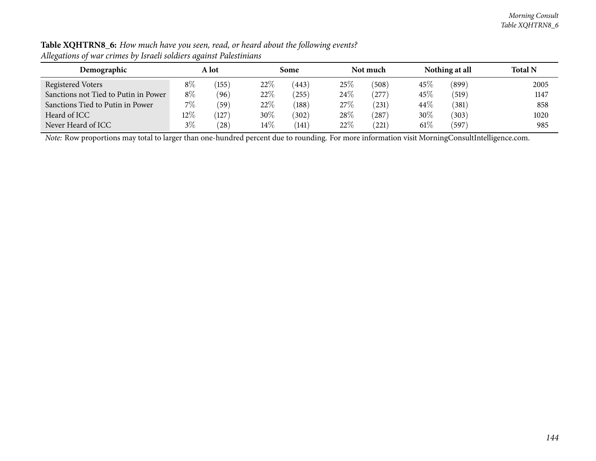| $\cdot$                              | ີ      |       |        |       |        |            |        |                |                |
|--------------------------------------|--------|-------|--------|-------|--------|------------|--------|----------------|----------------|
| Demographic                          | A lot  |       |        | Some  |        | Not much   |        | Nothing at all | <b>Total N</b> |
| Registered Voters                    | $8\%$  | (155) | 22%    | (443) | $25\%$ | (508)      | $45\%$ | (899)          | 2005           |
| Sanctions not Tied to Putin in Power | $8\%$  | (96)  | 22\%   | (255) | 24%    | (277)      | 45\%   | (519)          | 1147           |
| Sanctions Tied to Putin in Power     | $7\%$  | (59)  | 22%    | (188) | 27\%   | $^{'}231)$ | 44\%   | (381)          | 858            |
| Heard of ICC                         | $12\%$ | (127) | 30\%   | (302) | 28%    | '287       | 30%    | (303)          | 1020           |
| Never Heard of ICC                   | $3\%$  | (28)  | $14\%$ | (141) | 22%    | (221)      | $61\%$ | $^{\prime}597$ | 985            |

Table XQHTRN8\_6: How much have you seen, read, or heard about the following events? *Allegations of war crimes by Israeli soldiers against Palestinians*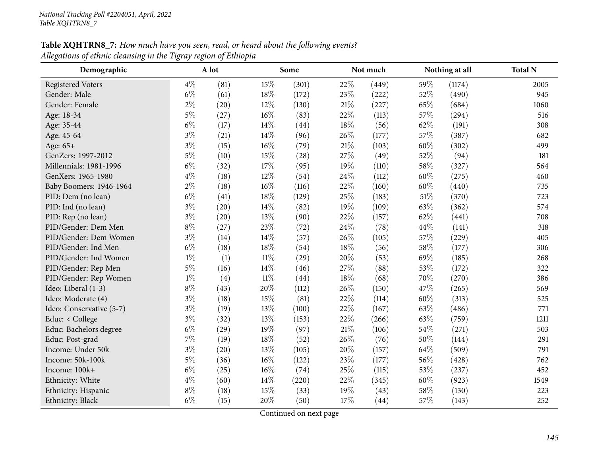## **Table XQHTRN8\_7:** How much have you seen, read, or heard about the following events? *Allegations of ethnic cleansing in the Tigray region of Ethiopia*

| Demographic              |       | A lot |        | Some  |        | Not much |        | Nothing at all | <b>Total N</b> |
|--------------------------|-------|-------|--------|-------|--------|----------|--------|----------------|----------------|
| <b>Registered Voters</b> | $4\%$ | (81)  | 15\%   | (301) | 22%    | (449)    | 59%    | (1174)         | 2005           |
| Gender: Male             | $6\%$ | (61)  | 18%    | (172) | 23%    | (222)    | 52%    | (490)          | 945            |
| Gender: Female           | $2\%$ | (20)  | 12%    | (130) | $21\%$ | (227)    | 65%    | (684)          | 1060           |
| Age: 18-34               | $5\%$ | (27)  | $16\%$ | (83)  | 22%    | (113)    | 57%    | (294)          | 516            |
| Age: 35-44               | $6\%$ | (17)  | 14\%   | (44)  | 18%    | (56)     | 62%    | (191)          | 308            |
| Age: 45-64               | $3\%$ | (21)  | 14%    | (96)  | 26%    | (177)    | 57%    | (387)          | 682            |
| Age: 65+                 | $3\%$ | (15)  | $16\%$ | (79)  | $21\%$ | (103)    | 60%    | (302)          | 499            |
| GenZers: 1997-2012       | $5\%$ | (10)  | 15%    | (28)  | 27%    | (49)     | 52%    | (94)           | 181            |
| Millennials: 1981-1996   | $6\%$ | (32)  | 17%    | (95)  | 19%    | (110)    | 58%    | (327)          | 564            |
| GenXers: 1965-1980       | $4\%$ | (18)  | 12%    | (54)  | $24\%$ | (112)    | $60\%$ | (275)          | 460            |
| Baby Boomers: 1946-1964  | $2\%$ | (18)  | $16\%$ | (116) | 22%    | (160)    | 60%    | (440)          | 735            |
| PID: Dem (no lean)       | $6\%$ | (41)  | 18%    | (129) | 25%    | (183)    | $51\%$ | (370)          | 723            |
| PID: Ind (no lean)       | $3\%$ | (20)  | $14\%$ | (82)  | 19%    | (109)    | 63%    | (362)          | 574            |
| PID: Rep (no lean)       | $3\%$ | (20)  | 13%    | (90)  | 22%    | (157)    | 62%    | (441)          | 708            |
| PID/Gender: Dem Men      | $8\%$ | (27)  | 23%    | (72)  | 24%    | (78)     | 44%    | (141)          | 318            |
| PID/Gender: Dem Women    | $3\%$ | (14)  | 14%    | (57)  | 26%    | (105)    | 57%    | (229)          | 405            |
| PID/Gender: Ind Men      | $6\%$ | (18)  | 18%    | (54)  | 18%    | (56)     | 58%    | (177)          | 306            |
| PID/Gender: Ind Women    | $1\%$ | (1)   | $11\%$ | (29)  | 20%    | (53)     | 69%    | (185)          | 268            |
| PID/Gender: Rep Men      | $5\%$ | (16)  | 14\%   | (46)  | 27%    | (88)     | 53%    | (172)          | 322            |
| PID/Gender: Rep Women    | $1\%$ | (4)   | $11\%$ | (44)  | 18%    | (68)     | 70%    | (270)          | 386            |
| Ideo: Liberal (1-3)      | $8\%$ | (43)  | 20%    | (112) | 26%    | (150)    | 47%    | (265)          | 569            |
| Ideo: Moderate (4)       | $3\%$ | (18)  | 15%    | (81)  | 22%    | (114)    | 60%    | (313)          | 525            |
| Ideo: Conservative (5-7) | $3\%$ | (19)  | 13%    | (100) | 22%    | (167)    | 63%    | (486)          | 771            |
| Educ: < College          | $3\%$ | (32)  | 13%    | (153) | 22%    | (266)    | 63%    | (759)          | 1211           |
| Educ: Bachelors degree   | $6\%$ | (29)  | 19%    | (97)  | $21\%$ | (106)    | 54%    | (271)          | 503            |
| Educ: Post-grad          | $7\%$ | (19)  | 18%    | (52)  | 26%    | (76)     | 50%    | (144)          | 291            |
| Income: Under 50k        | $3\%$ | (20)  | 13%    | (105) | 20%    | (157)    | 64%    | (509)          | 791            |
| Income: 50k-100k         | $5\%$ | (36)  | 16%    | (122) | 23%    | (177)    | 56%    | (428)          | 762            |
| Income: 100k+            | $6\%$ | (25)  | $16\%$ | (74)  | 25%    | (115)    | 53%    | (237)          | 452            |
| Ethnicity: White         | $4\%$ | (60)  | 14\%   | (220) | 22%    | (345)    | 60%    | (923)          | 1549           |
| Ethnicity: Hispanic      | $8\%$ | (18)  | 15%    | (33)  | 19%    | (43)     | 58%    | (130)          | 223            |
| Ethnicity: Black         | $6\%$ | (15)  | 20%    | (50)  | 17%    | (44)     | 57%    | (143)          | 252            |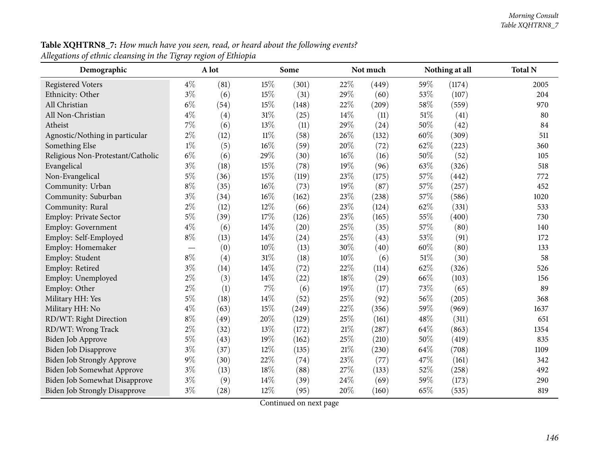### **Table XQHTRN8\_7:** How much have you seen, read, or heard about the following events? *Allegations of ethnic cleansing in the Tigray region of Ethiopia*

| o<br>○<br>Demographic                | o<br>◡ | A lot |        | Some  |        | Not much |     | Nothing at all | <b>Total N</b> |
|--------------------------------------|--------|-------|--------|-------|--------|----------|-----|----------------|----------------|
| <b>Registered Voters</b>             | $4\%$  | (81)  | 15%    | (301) | 22%    | (449)    | 59% | (1174)         | 2005           |
| Ethnicity: Other                     | $3\%$  | (6)   | 15%    | (31)  | 29%    | (60)     | 53% | (107)          | 204            |
| All Christian                        | $6\%$  | (54)  | 15%    | (148) | 22%    | (209)    | 58% | (559)          | 970            |
| All Non-Christian                    | $4\%$  | (4)   | 31%    | (25)  | $14\%$ | (11)     | 51% | (41)           | 80             |
| Atheist                              | $7\%$  | (6)   | 13%    | (11)  | 29%    | (24)     | 50% | (42)           | 84             |
| Agnostic/Nothing in particular       | $2\%$  | (12)  | $11\%$ | (58)  | 26%    | (132)    | 60% | (309)          | 511            |
| Something Else                       | $1\%$  | (5)   | $16\%$ | (59)  | 20%    | (72)     | 62% | (223)          | 360            |
| Religious Non-Protestant/Catholic    | $6\%$  | (6)   | 29%    | (30)  | $16\%$ | (16)     | 50% | (52)           | 105            |
| Evangelical                          | $3\%$  | (18)  | 15%    | (78)  | 19%    | (96)     | 63% | (326)          | 518            |
| Non-Evangelical                      | $5\%$  | (36)  | 15%    | (119) | 23%    | (175)    | 57% | (442)          | 772            |
| Community: Urban                     | $8\%$  | (35)  | 16%    | (73)  | 19%    | (87)     | 57% | (257)          | 452            |
| Community: Suburban                  | $3\%$  | (34)  | $16\%$ | (162) | 23%    | (238)    | 57% | (586)          | 1020           |
| Community: Rural                     | $2\%$  | (12)  | 12%    | (66)  | 23%    | (124)    | 62% | (331)          | 533            |
| Employ: Private Sector               | $5\%$  | (39)  | 17%    | (126) | 23%    | (165)    | 55% | (400)          | 730            |
| Employ: Government                   | $4\%$  | (6)   | 14%    | (20)  | 25%    | (35)     | 57% | (80)           | 140            |
| Employ: Self-Employed                | $8\%$  | (13)  | 14%    | (24)  | 25%    | (43)     | 53% | (91)           | 172            |
| Employ: Homemaker                    |        | (0)   | 10%    | (13)  | 30%    | (40)     | 60% | (80)           | 133            |
| Employ: Student                      | $8\%$  | (4)   | 31%    | (18)  | 10%    | (6)      | 51% | (30)           | 58             |
| Employ: Retired                      | $3\%$  | (14)  | 14%    | (72)  | 22%    | (114)    | 62% | (326)          | 526            |
| Employ: Unemployed                   | $2\%$  | (3)   | 14%    | (22)  | $18\%$ | (29)     | 66% | (103)          | 156            |
| Employ: Other                        | $2\%$  | (1)   | 7%     | (6)   | 19%    | (17)     | 73% | (65)           | 89             |
| Military HH: Yes                     | $5\%$  | (18)  | 14%    | (52)  | 25%    | (92)     | 56% | (205)          | 368            |
| Military HH: No                      | $4\%$  | (63)  | 15%    | (249) | 22%    | (356)    | 59% | (969)          | 1637           |
| RD/WT: Right Direction               | $8\%$  | (49)  | 20%    | (129) | 25%    | (161)    | 48% | (311)          | 651            |
| RD/WT: Wrong Track                   | $2\%$  | (32)  | 13%    | (172) | $21\%$ | (287)    | 64% | (863)          | 1354           |
| Biden Job Approve                    | $5\%$  | (43)  | 19%    | (162) | 25%    | (210)    | 50% | (419)          | 835            |
| Biden Job Disapprove                 | $3\%$  | (37)  | 12%    | (135) | 21%    | (230)    | 64% | (708)          | 1109           |
| Biden Job Strongly Approve           | $9\%$  | (30)  | 22%    | (74)  | 23%    | (77)     | 47% | (161)          | 342            |
| Biden Job Somewhat Approve           | $3\%$  | (13)  | 18%    | (88)  | 27%    | (133)    | 52% | (258)          | 492            |
| Biden Job Somewhat Disapprove        | $3\%$  | (9)   | 14%    | (39)  | 24%    | (69)     | 59% | (173)          | 290            |
| <b>Biden Job Strongly Disapprove</b> | $3\%$  | (28)  | 12%    | (95)  | 20%    | (160)    | 65% | (535)          | 819            |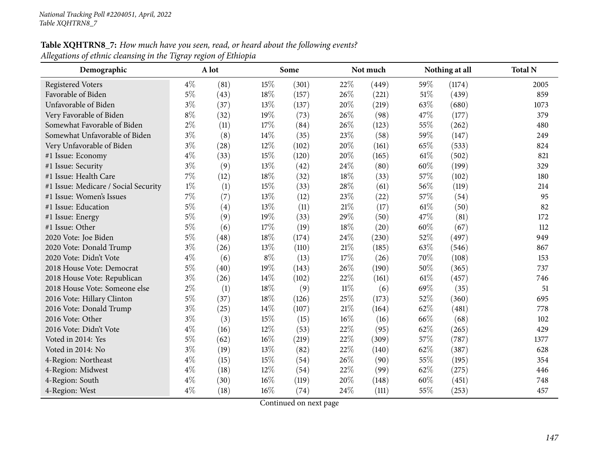## **Table XQHTRN8\_7:** How much have you seen, read, or heard about the following events? *Allegations of ethnic cleansing in the Tigray region of Ethiopia*

| Demographic                          |       | A lot |        | Some  |        | Not much |      | Nothing at all | <b>Total N</b> |
|--------------------------------------|-------|-------|--------|-------|--------|----------|------|----------------|----------------|
| <b>Registered Voters</b>             | $4\%$ | (81)  | 15%    | (301) | 22%    | (449)    | 59%  | (1174)         | 2005           |
| Favorable of Biden                   | $5\%$ | (43)  | 18%    | (157) | 26%    | (221)    | 51%  | (439)          | 859            |
| Unfavorable of Biden                 | $3\%$ | (37)  | 13%    | (137) | 20%    | (219)    | 63%  | (680)          | 1073           |
| Very Favorable of Biden              | $8\%$ | (32)  | 19%    | (73)  | 26%    | (98)     | 47%  | (177)          | 379            |
| Somewhat Favorable of Biden          | $2\%$ | (11)  | 17%    | (84)  | 26%    | (123)    | 55%  | (262)          | 480            |
| Somewhat Unfavorable of Biden        | $3\%$ | (8)   | 14%    | (35)  | 23%    | (58)     | 59%  | (147)          | 249            |
| Very Unfavorable of Biden            | $3\%$ | (28)  | 12%    | (102) | 20%    | (161)    | 65%  | (533)          | 824            |
| #1 Issue: Economy                    | $4\%$ | (33)  | 15%    | (120) | 20%    | (165)    | 61\% | (502)          | 821            |
| #1 Issue: Security                   | $3\%$ | (9)   | 13%    | (42)  | 24%    | (80)     | 60%  | (199)          | 329            |
| #1 Issue: Health Care                | 7%    | (12)  | 18%    | (32)  | 18%    | (33)     | 57%  | (102)          | 180            |
| #1 Issue: Medicare / Social Security | $1\%$ | (1)   | 15%    | (33)  | 28%    | (61)     | 56%  | (119)          | 214            |
| #1 Issue: Women's Issues             | 7%    | (7)   | 13%    | (12)  | 23%    | (22)     | 57%  | (54)           | 95             |
| #1 Issue: Education                  | $5\%$ | (4)   | 13%    | (11)  | $21\%$ | (17)     | 61\% | (50)           | 82             |
| #1 Issue: Energy                     | $5\%$ | (9)   | 19%    | (33)  | 29%    | (50)     | 47%  | (81)           | 172            |
| #1 Issue: Other                      | $5\%$ | (6)   | 17%    | (19)  | 18%    | (20)     | 60%  | (67)           | 112            |
| 2020 Vote: Joe Biden                 | $5\%$ | (48)  | 18%    | (174) | 24%    | (230)    | 52%  | (497)          | 949            |
| 2020 Vote: Donald Trump              | $3\%$ | (26)  | 13%    | (110) | 21%    | (185)    | 63%  | (546)          | 867            |
| 2020 Vote: Didn't Vote               | $4\%$ | (6)   | $8\%$  | (13)  | 17%    | (26)     | 70%  | (108)          | 153            |
| 2018 House Vote: Democrat            | $5\%$ | (40)  | 19%    | (143) | 26\%   | (190)    | 50%  | (365)          | 737            |
| 2018 House Vote: Republican          | $3\%$ | (26)  | 14\%   | (102) | 22%    | (161)    | 61\% | (457)          | 746            |
| 2018 House Vote: Someone else        | $2\%$ | (1)   | 18%    | (9)   | $11\%$ | (6)      | 69%  | (35)           | 51             |
| 2016 Vote: Hillary Clinton           | $5\%$ | (37)  | 18%    | (126) | 25%    | (173)    | 52%  | (360)          | 695            |
| 2016 Vote: Donald Trump              | $3\%$ | (25)  | 14%    | (107) | $21\%$ | (164)    | 62%  | (481)          | 778            |
| 2016 Vote: Other                     | $3\%$ | (3)   | 15%    | (15)  | 16%    | (16)     | 66%  | (68)           | 102            |
| 2016 Vote: Didn't Vote               | $4\%$ | (16)  | 12%    | (53)  | 22%    | (95)     | 62%  | (265)          | 429            |
| Voted in 2014: Yes                   | $5\%$ | (62)  | 16%    | (219) | 22%    | (309)    | 57%  | (787)          | 1377           |
| Voted in 2014: No                    | $3\%$ | (19)  | 13%    | (82)  | 22%    | (140)    | 62%  | (387)          | 628            |
| 4-Region: Northeast                  | $4\%$ | (15)  | 15%    | (54)  | 26%    | (90)     | 55%  | (195)          | 354            |
| 4-Region: Midwest                    | $4\%$ | (18)  | 12%    | (54)  | 22%    | (99)     | 62%  | (275)          | 446            |
| 4-Region: South                      | $4\%$ | (30)  | 16%    | (119) | 20%    | (148)    | 60%  | (451)          | 748            |
| 4-Region: West                       | $4\%$ | (18)  | $16\%$ | (74)  | 24%    | (111)    | 55%  | (253)          | 457            |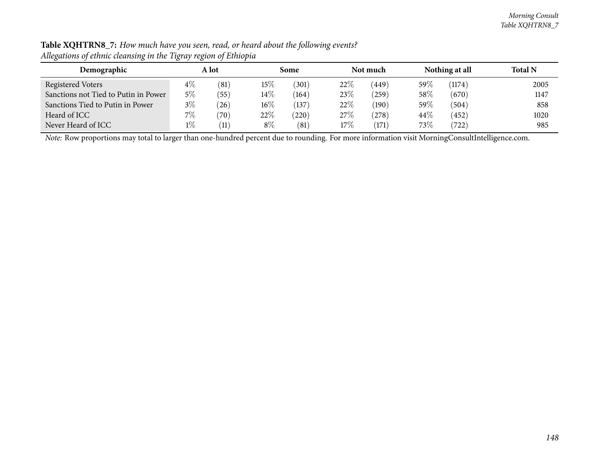| Demographic                          |       | A lot          |        | Some  |     | Not much |         | Nothing at all | <b>Total N</b> |
|--------------------------------------|-------|----------------|--------|-------|-----|----------|---------|----------------|----------------|
| Registered Voters                    | $4\%$ | (81)           | 15%    | (301) | 22% | (449)    | 59 $\%$ | (1174)         | 2005           |
| Sanctions not Tied to Putin in Power | $5\%$ | (55)           | $14\%$ | (164) | 23% | (259)    | $58\%$  | (670)          | 1147           |
| Sanctions Tied to Putin in Power     | $3\%$ | $^{'}26)$      | $16\%$ | (137) | 22% | (190)    | 59 $\%$ | (504)          | 858            |
| Heard of ICC                         | 7%    | $^{\prime}70)$ | 22%    | (220) | 27% | (278)    | 44\%    | (452)          | 1020           |
| Never Heard of ICC                   | $1\%$ | (11)           | $8\%$  | (81)  | 17% | (171)    | 73\%    | (722)          | 985            |

Table XQHTRN8\_7: How much have you seen, read, or heard about the following events? *Allegations of ethnic cleansing in the Tigray region of Ethiopia*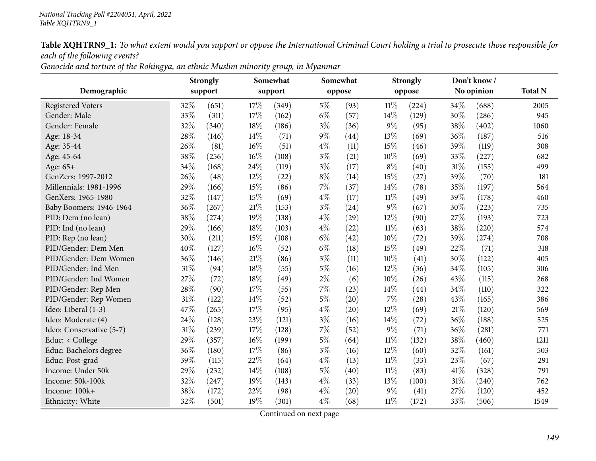Genocide and torture of the Rohingya, an ethnic Muslim minority group, in Myanmar

|                          | Strongly |         |      | Somewhat |       | Somewhat | <b>Strongly</b> |        | Don't know/ |            |                |  |
|--------------------------|----------|---------|------|----------|-------|----------|-----------------|--------|-------------|------------|----------------|--|
| Demographic              |          | support |      | support  |       | oppose   |                 | oppose |             | No opinion | <b>Total N</b> |  |
| <b>Registered Voters</b> | 32%      | (651)   | 17%  | (349)    | $5\%$ | (93)     | $11\%$          | (224)  | 34%         | (688)      | 2005           |  |
| Gender: Male             | 33%      | (311)   | 17%  | (162)    | $6\%$ | (57)     | 14%             | (129)  | 30%         | (286)      | 945            |  |
| Gender: Female           | 32%      | (340)   | 18%  | (186)    | $3\%$ | (36)     | $9\%$           | (95)   | 38%         | (402)      | 1060           |  |
| Age: 18-34               | 28\%     | (146)   | 14%  | (71)     | $9\%$ | (44)     | 13%             | (69)   | 36%         | (187)      | 516            |  |
| Age: 35-44               | 26%      | (81)    | 16%  | (51)     | $4\%$ | (11)     | 15%             | (46)   | 39%         | (119)      | 308            |  |
| Age: 45-64               | 38%      | (256)   | 16%  | (108)    | $3\%$ | (21)     | $10\%$          | (69)   | 33%         | (227)      | 682            |  |
| Age: 65+                 | 34%      | (168)   | 24%  | (119)    | $3\%$ | (17)     | $8\%$           | (40)   | 31%         | (155)      | 499            |  |
| GenZers: 1997-2012       | 26%      | (48)    | 12%  | (22)     | $8\%$ | (14)     | 15%             | (27)   | 39%         | (70)       | 181            |  |
| Millennials: 1981-1996   | 29%      | (166)   | 15%  | (86)     | 7%    | (37)     | 14%             | (78)   | 35%         | (197)      | 564            |  |
| GenXers: 1965-1980       | 32%      | (147)   | 15%  | (69)     | $4\%$ | (17)     | $11\%$          | (49)   | 39%         | (178)      | 460            |  |
| Baby Boomers: 1946-1964  | 36%      | (267)   | 21%  | (153)    | $3\%$ | (24)     | $9\%$           | (67)   | 30%         | (223)      | 735            |  |
| PID: Dem (no lean)       | 38%      | (274)   | 19%  | (138)    | $4\%$ | (29)     | 12%             | (90)   | 27%         | (193)      | 723            |  |
| PID: Ind (no lean)       | 29%      | (166)   | 18%  | (103)    | $4\%$ | (22)     | $11\%$          | (63)   | 38%         | (220)      | 574            |  |
| PID: Rep (no lean)       | 30%      | (211)   | 15%  | (108)    | $6\%$ | (42)     | 10%             | (72)   | 39%         | (274)      | 708            |  |
| PID/Gender: Dem Men      | 40%      | (127)   | 16%  | (52)     | $6\%$ | (18)     | $15\%$          | (49)   | 22%         | (71)       | 318            |  |
| PID/Gender: Dem Women    | 36%      | (146)   | 21\% | (86)     | $3\%$ | (11)     | 10%             | (41)   | 30%         | (122)      | 405            |  |
| PID/Gender: Ind Men      | $31\%$   | (94)    | 18%  | (55)     | $5\%$ | (16)     | 12%             | (36)   | 34%         | (105)      | 306            |  |
| PID/Gender: Ind Women    | 27%      | (72)    | 18%  | (49)     | $2\%$ | (6)      | 10%             | (26)   | 43%         | (115)      | 268            |  |
| PID/Gender: Rep Men      | 28%      | (90)    | 17%  | (55)     | 7%    | (23)     | 14%             | (44)   | 34%         | (110)      | 322            |  |
| PID/Gender: Rep Women    | $31\%$   | (122)   | 14%  | (52)     | $5\%$ | (20)     | 7%              | (28)   | 43%         | (165)      | 386            |  |
| Ideo: Liberal (1-3)      | 47%      | (265)   | 17%  | (95)     | $4\%$ | (20)     | 12%             | (69)   | 21%         | (120)      | 569            |  |
| Ideo: Moderate (4)       | 24%      | (128)   | 23%  | (121)    | $3\%$ | (16)     | 14%             | (72)   | 36%         | (188)      | 525            |  |
| Ideo: Conservative (5-7) | $31\%$   | (239)   | 17%  | (128)    | 7%    | (52)     | $9\%$           | (71)   | 36%         | (281)      | 771            |  |
| Educ: < College          | 29%      | (357)   | 16%  | (199)    | $5\%$ | (64)     | $11\%$          | (132)  | 38%         | (460)      | 1211           |  |
| Educ: Bachelors degree   | 36%      | (180)   | 17%  | (86)     | $3\%$ | (16)     | 12%             | (60)   | 32%         | (161)      | 503            |  |
| Educ: Post-grad          | 39%      | (115)   | 22%  | (64)     | $4\%$ | (13)     | $11\%$          | (33)   | 23%         | (67)       | 291            |  |
| Income: Under 50k        | 29%      | (232)   | 14\% | (108)    | 5%    | (40)     | $11\%$          | (83)   | 41\%        | (328)      | 791            |  |
| Income: 50k-100k         | 32%      | (247)   | 19%  | (143)    | $4\%$ | (33)     | 13%             | (100)  | 31%         | (240)      | 762            |  |
| Income: 100k+            | 38%      | (172)   | 22%  | (98)     | $4\%$ | (20)     | $9\%$           | (41)   | 27%         | (120)      | 452            |  |
| Ethnicity: White         | 32%      | (501)   | 19%  | (301)    | $4\%$ | (68)     | $11\%$          | (172)  | 33%         | (506)      | 1549           |  |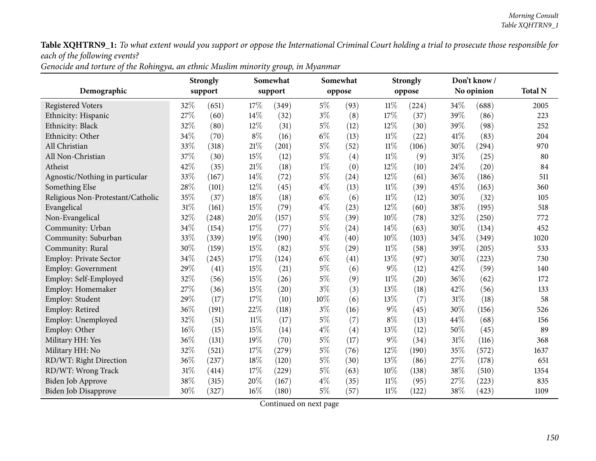| Genocide and torture of the Rohingya, an ethnic Muslim minority group, in Myanmar |  |
|-----------------------------------------------------------------------------------|--|
|-----------------------------------------------------------------------------------|--|

|                                   |        | <b>Strongly</b> |        | Somewhat |       | Somewhat           |        | <b>Strongly</b> |        | Don't know /<br>No opinion | <b>Total N</b> |
|-----------------------------------|--------|-----------------|--------|----------|-------|--------------------|--------|-----------------|--------|----------------------------|----------------|
| Demographic                       |        | support         |        | support  |       | oppose             |        | oppose          |        |                            |                |
| <b>Registered Voters</b>          | 32%    | (651)           | 17%    | (349)    | $5\%$ | (93)               | $11\%$ | (224)           | 34%    | (688)                      | 2005           |
| Ethnicity: Hispanic               | 27%    | (60)            | 14\%   | (32)     | $3\%$ | (8)                | 17%    | (37)            | 39%    | (86)                       | 223            |
| Ethnicity: Black                  | 32%    | (80)            | 12%    | (31)     | $5\%$ | (12)               | 12%    | (30)            | 39%    | (98)                       | 252            |
| Ethnicity: Other                  | 34%    | (70)            | $8\%$  | (16)     | $6\%$ | (13)               | $11\%$ | (22)            | 41\%   | (83)                       | 204            |
| All Christian                     | 33%    | (318)           | 21%    | (201)    | $5\%$ | (52)               | $11\%$ | (106)           | 30%    | (294)                      | 970            |
| All Non-Christian                 | 37%    | (30)            | 15%    | (12)     | $5\%$ | (4)                | $11\%$ | (9)             | 31%    | (25)                       | 80             |
| Atheist                           | 42%    | (35)            | 21%    | (18)     | $1\%$ | (0)                | 12%    | (10)            | 24\%   | (20)                       | 84             |
| Agnostic/Nothing in particular    | 33%    | (167)           | 14%    | (72)     | $5\%$ | (24)               | 12%    | (61)            | 36%    | (186)                      | 511            |
| Something Else                    | 28%    | (101)           | 12%    | (45)     | $4\%$ | (13)               | $11\%$ | (39)            | 45%    | (163)                      | 360            |
| Religious Non-Protestant/Catholic | 35%    | (37)            | 18%    | (18)     | $6\%$ | (6)                | $11\%$ | (12)            | 30%    | (32)                       | 105            |
| Evangelical                       | $31\%$ | (161)           | 15%    | (79)     | $4\%$ | (23)               | 12%    | (60)            | 38%    | (195)                      | 518            |
| Non-Evangelical                   | 32%    | (248)           | 20%    | (157)    | $5\%$ | (39)               | 10%    | (78)            | 32%    | (250)                      | 772            |
| Community: Urban                  | 34%    | (154)           | 17%    | (77)     | $5\%$ | (24)               | 14%    | (63)            | 30%    | (134)                      | 452            |
| Community: Suburban               | 33%    | (339)           | 19%    | (190)    | $4\%$ | (40)               | 10%    | (103)           | 34%    | (349)                      | 1020           |
| Community: Rural                  | 30%    | (159)           | 15%    | (82)     | $5\%$ | (29)               | $11\%$ | (58)            | 39%    | (205)                      | 533            |
| Employ: Private Sector            | 34%    | (245)           | 17%    | (124)    | $6\%$ | $\left( 41\right)$ | 13%    | (97)            | 30%    | (223)                      | 730            |
| <b>Employ: Government</b>         | 29%    | (41)            | 15%    | (21)     | $5\%$ | (6)                | $9\%$  | (12)            | 42%    | (59)                       | 140            |
| Employ: Self-Employed             | 32%    | (56)            | 15%    | (26)     | $5\%$ | (9)                | $11\%$ | (20)            | 36%    | (62)                       | 172            |
| Employ: Homemaker                 | 27%    | (36)            | 15%    | (20)     | $3\%$ | (3)                | 13%    | (18)            | 42%    | (56)                       | 133            |
| Employ: Student                   | 29%    | (17)            | 17%    | (10)     | 10%   | (6)                | 13%    | (7)             | 31%    | (18)                       | 58             |
| Employ: Retired                   | 36%    | (191)           | 22%    | (118)    | $3\%$ | (16)               | $9\%$  | (45)            | 30%    | (156)                      | 526            |
| Employ: Unemployed                | 32%    | (51)            | $11\%$ | (17)     | $5\%$ | (7)                | $8\%$  | (13)            | 44%    | (68)                       | 156            |
| Employ: Other                     | 16%    | (15)            | 15%    | (14)     | $4\%$ | (4)                | 13%    | (12)            | 50%    | (45)                       | 89             |
| Military HH: Yes                  | 36%    | (131)           | 19%    | (70)     | $5\%$ | (17)               | 9%     | (34)            | $31\%$ | (116)                      | 368            |
| Military HH: No                   | 32%    | (521)           | 17%    | (279)    | $5\%$ | (76)               | 12%    | (190)           | 35%    | (572)                      | 1637           |
| RD/WT: Right Direction            | 36%    | (237)           | 18%    | (120)    | $5\%$ | (30)               | 13%    | (86)            | 27%    | (178)                      | 651            |
| RD/WT: Wrong Track                | 31%    | (414)           | 17%    | (229)    | $5\%$ | (63)               | 10%    | (138)           | 38%    | (510)                      | 1354           |
| Biden Job Approve                 | 38%    | (315)           | 20%    | (167)    | $4\%$ | (35)               | 11%    | (95)            | 27%    | (223)                      | 835            |
| <b>Biden Job Disapprove</b>       | 30%    | (327)           | 16%    | (180)    | $5\%$ | (57)               | $11\%$ | (122)           | 38%    | (423)                      | 1109           |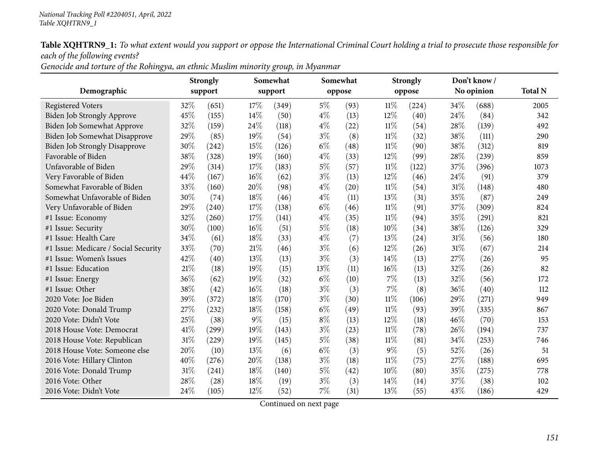Genocide and torture of the Rohingya, an ethnic Muslim minority group, in Myanmar

|                                      |        | <b>Strongly</b> |       | Somewhat |       | Somewhat |        | <b>Strongly</b> |      | Don't know/ |                |
|--------------------------------------|--------|-----------------|-------|----------|-------|----------|--------|-----------------|------|-------------|----------------|
| Demographic                          |        | support         |       | support  |       | oppose   |        | oppose          |      | No opinion  | <b>Total N</b> |
| <b>Registered Voters</b>             | 32%    | (651)           | 17\%  | (349)    | $5\%$ | (93)     | $11\%$ | (224)           | 34%  | (688)       | 2005           |
| Biden Job Strongly Approve           | 45%    | (155)           | 14\%  | (50)     | $4\%$ | (13)     | 12%    | (40)            | 24%  | (84)        | 342            |
| Biden Job Somewhat Approve           | 32%    | (159)           | 24%   | (118)    | $4\%$ | (22)     | $11\%$ | (54)            | 28%  | (139)       | 492            |
| Biden Job Somewhat Disapprove        | 29%    | (85)            | 19%   | (54)     | $3\%$ | (8)      | $11\%$ | (32)            | 38%  | (111)       | 290            |
| <b>Biden Job Strongly Disapprove</b> | 30%    | (242)           | 15%   | (126)    | $6\%$ | (48)     | 11%    | (90)            | 38%  | (312)       | 819            |
| Favorable of Biden                   | 38%    | (328)           | 19%   | (160)    | $4\%$ | (33)     | 12%    | (99)            | 28%  | (239)       | 859            |
| Unfavorable of Biden                 | 29%    | (314)           | 17%   | (183)    | $5\%$ | (57)     | $11\%$ | (122)           | 37%  | (396)       | 1073           |
| Very Favorable of Biden              | 44%    | (167)           | 16%   | (62)     | $3\%$ | (13)     | 12%    | (46)            | 24\% | (91)        | 379            |
| Somewhat Favorable of Biden          | 33%    | (160)           | 20%   | (98)     | $4\%$ | (20)     | $11\%$ | (54)            | 31%  | (148)       | 480            |
| Somewhat Unfavorable of Biden        | 30%    | (74)            | 18%   | (46)     | $4\%$ | (11)     | 13%    | (31)            | 35%  | (87)        | 249            |
| Very Unfavorable of Biden            | 29%    | (240)           | 17%   | (138)    | $6\%$ | (46)     | $11\%$ | (91)            | 37%  | (309)       | 824            |
| #1 Issue: Economy                    | 32%    | (260)           | 17\%  | (141)    | $4\%$ | (35)     | $11\%$ | (94)            | 35%  | (291)       | 821            |
| #1 Issue: Security                   | 30%    | (100)           | 16%   | (51)     | $5\%$ | (18)     | 10%    | (34)            | 38%  | (126)       | 329            |
| #1 Issue: Health Care                | 34%    | (61)            | 18%   | (33)     | $4\%$ | (7)      | 13%    | (24)            | 31%  | (56)        | 180            |
| #1 Issue: Medicare / Social Security | 33%    | (70)            | 21%   | (46)     | $3\%$ | (6)      | 12%    | (26)            | 31%  | (67)        | 214            |
| #1 Issue: Women's Issues             | 42%    | (40)            | 13%   | (13)     | $3\%$ | (3)      | 14\%   | (13)            | 27%  | (26)        | 95             |
| #1 Issue: Education                  | 21\%   | (18)            | 19%   | (15)     | 13%   | (11)     | 16%    | (13)            | 32%  | (26)        | 82             |
| #1 Issue: Energy                     | 36%    | (62)            | 19%   | (32)     | $6\%$ | (10)     | 7%     | (13)            | 32%  | (56)        | 172            |
| #1 Issue: Other                      | 38%    | (42)            | 16%   | (18)     | $3\%$ | (3)      | 7%     | (8)             | 36%  | (40)        | 112            |
| 2020 Vote: Joe Biden                 | 39%    | (372)           | 18%   | (170)    | $3\%$ | (30)     | $11\%$ | (106)           | 29%  | (271)       | 949            |
| 2020 Vote: Donald Trump              | 27%    | (232)           | 18%   | (158)    | $6\%$ | (49)     | $11\%$ | (93)            | 39%  | (335)       | 867            |
| 2020 Vote: Didn't Vote               | 25%    | (38)            | $9\%$ | (15)     | $8\%$ | (13)     | 12%    | (18)            | 46%  | (70)        | 153            |
| 2018 House Vote: Democrat            | 41\%   | (299)           | 19%   | (143)    | $3\%$ | (23)     | $11\%$ | (78)            | 26%  | (194)       | 737            |
| 2018 House Vote: Republican          | $31\%$ | (229)           | 19%   | (145)    | $5\%$ | (38)     | $11\%$ | (81)            | 34%  | (253)       | 746            |
| 2018 House Vote: Someone else        | 20%    | (10)            | 13%   | (6)      | $6\%$ | (3)      | $9\%$  | (5)             | 52%  | (26)        | 51             |
| 2016 Vote: Hillary Clinton           | 40%    | (276)           | 20%   | (138)    | $3\%$ | (18)     | $11\%$ | (75)            | 27%  | (188)       | 695            |
| 2016 Vote: Donald Trump              | 31%    | (241)           | 18%   | (140)    | $5\%$ | (42)     | 10%    | (80)            | 35%  | (275)       | 778            |
| 2016 Vote: Other                     | 28%    | (28)            | 18%   | (19)     | $3\%$ | (3)      | 14\%   | (14)            | 37%  | (38)        | 102            |
| 2016 Vote: Didn't Vote               | 24%    | (105)           | 12%   | (52)     | 7%    | (31)     | 13%    | (55)            | 43%  | (186)       | 429            |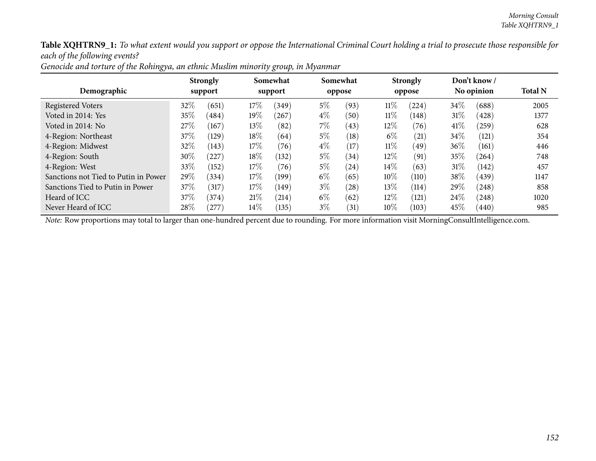| Demographic                          |        | <b>Strongly</b><br>support |        | Somewhat<br>support |       | Somewhat<br>oppose |        | <b>Strongly</b><br>oppose |        | Don't know /<br>No opinion | <b>Total N</b> |
|--------------------------------------|--------|----------------------------|--------|---------------------|-------|--------------------|--------|---------------------------|--------|----------------------------|----------------|
| <b>Registered Voters</b>             | 32\%   | (651)                      | 17%    | (349)               | $5\%$ | (93)               | $11\%$ | (224)                     | $34\%$ | (688)                      | 2005           |
| Voted in 2014: Yes                   | $35\%$ | (484)                      | 19%    | $^{\prime}267$      | $4\%$ | (50)               | 11%    | (148)                     | 31%    | (428)                      | 1377           |
| Voted in 2014: No                    | $27\%$ | (167)                      | $13\%$ | (82)                | $7\%$ | (43)               | $12\%$ | (76)                      | 41%    | (259)                      | 628            |
| 4-Region: Northeast                  | 37\%   | (129)                      | 18%    | (64)                | $5\%$ | (18)               | $6\%$  | (21)                      | 34%    | (121)                      | 354            |
| 4-Region: Midwest                    | 32\%   | (143)                      | $17\%$ | (76)                | $4\%$ | (17)               | $11\%$ | (49)                      | $36\%$ | (161)                      | 446            |
| 4-Region: South                      | $30\%$ | $^{'}227$                  | 18\%   | (132)               | $5\%$ | (34)               | $12\%$ | (91)                      | 35%    | (264)                      | 748            |
| 4-Region: West                       | 33\%   | (152)                      | 17%    | (76)                | $5\%$ | (24)               | 14%    | (63)                      | 31%    | (142)                      | 457            |
| Sanctions not Tied to Putin in Power | 29%    | (334)                      | 17%    | (199)               | $6\%$ | (65)               | $10\%$ | (110)                     | 38\%   | (439)                      | 1147           |
| Sanctions Tied to Putin in Power     | 37\%   | (317)                      | $17\%$ | (149)               | $3\%$ | (28)               | 13%    | (114)                     | 29\%   | (248)                      | 858            |
| Heard of ICC                         | $37\%$ | (374)                      | 21%    | (214)               | $6\%$ | (62)               | $12\%$ | (121)                     | 24%    | (248)                      | 1020           |
| Never Heard of ICC                   | $28\%$ | $^{'}277)$                 | $14\%$ | (135)               | $3\%$ | (31)               | $10\%$ | (103)                     | 45\%   | (440)                      | 985            |

Genocide and torture of the Rohingya, an ethnic Muslim minority group, in Myanmar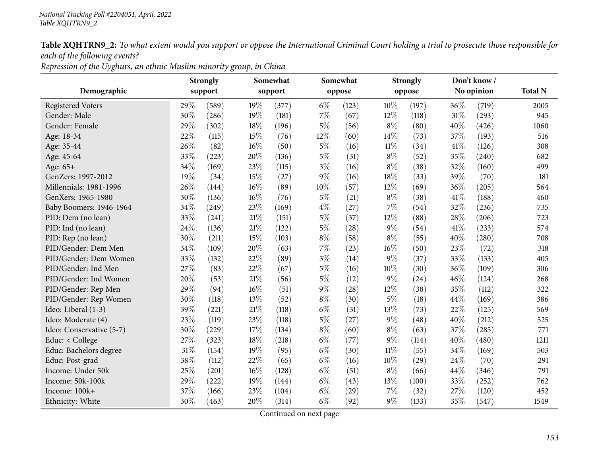*Repression of the Uyghurs, an ethnic Muslim minority group, in China*

| Demographic              |      | <b>Strongly</b><br>support |        | Somewhat<br>support |       | Somewhat<br>oppose |        | <b>Strongly</b><br>oppose |      | Don't know/<br>No opinion | <b>Total N</b> |
|--------------------------|------|----------------------------|--------|---------------------|-------|--------------------|--------|---------------------------|------|---------------------------|----------------|
| <b>Registered Voters</b> | 29%  | (589)                      | 19%    | (377)               | $6\%$ | (123)              | 10%    | (197)                     | 36%  | (719)                     | 2005           |
| Gender: Male             | 30%  | (286)                      | $19\%$ | (181)               | 7%    | (67)               | 12%    | (118)                     | 31%  | (293)                     | 945            |
| Gender: Female           | 29%  | (302)                      | 18%    | (196)               | $5\%$ | (56)               | $8\%$  | (80)                      | 40%  | (426)                     | 1060           |
| Age: 18-34               | 22%  | (115)                      | 15%    | (76)                | 12\%  | (60)               | 14%    | (73)                      | 37%  | (193)                     | 516            |
| Age: 35-44               | 26%  | (82)                       | 16%    | (50)                | $5\%$ | (16)               | $11\%$ | (34)                      | 41\% | (126)                     | 308            |
| Age: 45-64               | 33%  | (223)                      | 20%    | (136)               | $5\%$ | (31)               | $8\%$  | (52)                      | 35%  | (240)                     | 682            |
| Age: 65+                 | 34%  | (169)                      | 23%    | (115)               | $3\%$ | (16)               | $8\%$  | (38)                      | 32%  | (160)                     | 499            |
| GenZers: 1997-2012       | 19%  | (34)                       | 15%    | (27)                | $9\%$ | (16)               | 18%    | (33)                      | 39%  | (70)                      | 181            |
| Millennials: 1981-1996   | 26%  | (144)                      | 16%    | (89)                | 10%   | (57)               | 12%    | (69)                      | 36%  | (205)                     | 564            |
| GenXers: 1965-1980       | 30%  | (136)                      | 16%    | (76)                | $5\%$ | (21)               | $8\%$  | (38)                      | 41\% | (188)                     | 460            |
| Baby Boomers: 1946-1964  | 34%  | (249)                      | 23%    | (169)               | $4\%$ | (27)               | $7\%$  | (54)                      | 32%  | (236)                     | 735            |
| PID: Dem (no lean)       | 33%  | (241)                      | 21%    | (151)               | $5\%$ | (37)               | 12%    | (88)                      | 28%  | (206)                     | 723            |
| PID: Ind (no lean)       | 24%  | (136)                      | 21%    | (122)               | $5\%$ | (28)               | $9\%$  | (54)                      | 41\% | (233)                     | 574            |
| PID: Rep (no lean)       | 30%  | (211)                      | 15%    | (103)               | $8\%$ | (58)               | $8\%$  | (55)                      | 40%  | (280)                     | 708            |
| PID/Gender: Dem Men      | 34%  | (109)                      | 20%    | (63)                | 7%    | (23)               | 16%    | (50)                      | 23%  | (72)                      | 318            |
| PID/Gender: Dem Women    | 33%  | (132)                      | 22%    | (89)                | $3\%$ | (14)               | $9\%$  | (37)                      | 33%  | (133)                     | 405            |
| PID/Gender: Ind Men      | 27%  | (83)                       | 22%    | (67)                | $5\%$ | (16)               | 10%    | (30)                      | 36%  | (109)                     | 306            |
| PID/Gender: Ind Women    | 20%  | (53)                       | 21%    | (56)                | $5\%$ | (12)               | $9\%$  | (24)                      | 46%  | (124)                     | 268            |
| PID/Gender: Rep Men      | 29%  | (94)                       | 16%    | (51)                | $9\%$ | (28)               | 12%    | (38)                      | 35%  | (112)                     | 322            |
| PID/Gender: Rep Women    | 30%  | (118)                      | 13%    | (52)                | $8\%$ | (30)               | $5\%$  | (18)                      | 44%  | (169)                     | 386            |
| Ideo: Liberal (1-3)      | 39%  | (221)                      | 21%    | (118)               | $6\%$ | (31)               | 13%    | (73)                      | 22%  | (125)                     | 569            |
| Ideo: Moderate (4)       | 23%  | (119)                      | 23%    | (118)               | $5\%$ | (27)               | $9\%$  | (48)                      | 40%  | (212)                     | 525            |
| Ideo: Conservative (5-7) | 30%  | (229)                      | 17\%   | (134)               | $8\%$ | (60)               | $8\%$  | (63)                      | 37%  | (285)                     | 771            |
| Educ: < College          | 27%  | (323)                      | 18%    | (218)               | $6\%$ | (77)               | $9\%$  | (114)                     | 40%  | (480)                     | 1211           |
| Educ: Bachelors degree   | 31\% | (154)                      | 19%    | (95)                | $6\%$ | (30)               | $11\%$ | (55)                      | 34%  | (169)                     | 503            |
| Educ: Post-grad          | 38%  | (112)                      | 22%    | (65)                | $6\%$ | (16)               | 10%    | (29)                      | 24%  | (70)                      | 291            |
| Income: Under 50k        | 25%  | (201)                      | 16%    | (128)               | $6\%$ | (51)               | $8\%$  | (66)                      | 44%  | (346)                     | 791            |
| Income: 50k-100k         | 29%  | (222)                      | 19%    | (144)               | $6\%$ | (43)               | 13%    | (100)                     | 33%  | (252)                     | 762            |
| Income: 100k+            | 37%  | (166)                      | 23%    | (104)               | $6\%$ | $\left( 29\right)$ | 7%     | (32)                      | 27%  | (120)                     | 452            |
| Ethnicity: White         | 30%  | (463)                      | 20%    | (314)               | $6\%$ | (92)               | $9\%$  | (133)                     | 35%  | (547)                     | 1549           |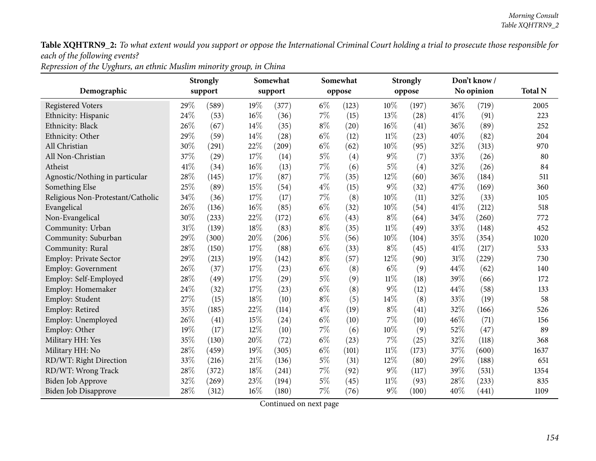|                                   |     | <b>Strongly</b>     |     | Somewhat           |       | Somewhat |        | <b>Strongly</b> |        | Don't know/ |                |
|-----------------------------------|-----|---------------------|-----|--------------------|-------|----------|--------|-----------------|--------|-------------|----------------|
| Demographic                       |     | support             |     | support            |       | oppose   |        | oppose          |        | No opinion  | <b>Total N</b> |
| <b>Registered Voters</b>          | 29% | (589)               | 19% | (377)              | $6\%$ | (123)    | 10%    | (197)           | 36\%   | (719)       | 2005           |
| Ethnicity: Hispanic               | 24% | (53)                | 16% | (36)               | 7%    | (15)     | 13%    | (28)            | 41\%   | (91)        | 223            |
| Ethnicity: Black                  | 26% | (67)                | 14% | (35)               | $8\%$ | (20)     | 16%    | (41)            | 36%    | (89)        | 252            |
| Ethnicity: Other                  | 29% | (59)                | 14% | (28)               | $6\%$ | (12)     | $11\%$ | (23)            | 40%    | (82)        | 204            |
| All Christian                     | 30% | (291)               | 22% | (209)              | $6\%$ | (62)     | 10%    | (95)            | 32%    | (313)       | 970            |
| All Non-Christian                 | 37% | (29)                | 17% | (14)               | $5\%$ | (4)      | $9\%$  | (7)             | 33%    | (26)        | 80             |
| Atheist                           | 41% | (34)                | 16% | (13)               | 7%    | (6)      | $5\%$  | (4)             | 32%    | (26)        | 84             |
| Agnostic/Nothing in particular    | 28% | (145)               | 17% | (87)               | 7%    | (35)     | 12%    | (60)            | 36%    | (184)       | 511            |
| Something Else                    | 25% | (89)                | 15% | (54)               | $4\%$ | (15)     | $9\%$  | (32)            | 47\%   | (169)       | 360            |
| Religious Non-Protestant/Catholic | 34% | (36)                | 17% | (17)               | $7\%$ | (8)      | 10%    | (11)            | 32%    | (33)        | 105            |
| Evangelical                       | 26% | (136)               | 16% | (85)               | $6\%$ | (32)     | 10%    | (54)            | 41%    | (212)       | 518            |
| Non-Evangelical                   | 30% | (233)               | 22% | (172)              | $6\%$ | (43)     | $8\%$  | (64)            | 34\%   | (260)       | 772            |
| Community: Urban                  | 31% | (139)               | 18% | (83)               | $8\%$ | (35)     | $11\%$ | (49)            | 33%    | (148)       | 452            |
| Community: Suburban               | 29% | (300)               | 20% | (206)              | $5\%$ | (56)     | 10%    | (104)           | 35%    | (354)       | 1020           |
| Community: Rural                  | 28% | (150)               | 17% | (88)               | $6\%$ | (33)     | $8\%$  | (45)            | 41\%   | (217)       | 533            |
| Employ: Private Sector            | 29% | (213)               | 19% | (142)              | $8\%$ | (57)     | 12%    | (90)            | $31\%$ | (229)       | 730            |
| Employ: Government                | 26% | (37)                | 17% | (23)               | $6\%$ | (8)      | $6\%$  | (9)             | 44%    | (62)        | 140            |
| Employ: Self-Employed             | 28% | (49)                | 17% | $\left( 29\right)$ | $5\%$ | (9)      | $11\%$ | (18)            | 39%    | (66)        | 172            |
| Employ: Homemaker                 | 24% | (32)                | 17% | (23)               | $6\%$ | (8)      | 9%     | (12)            | 44%    | (58)        | 133            |
| Employ: Student                   | 27% | (15)                | 18% | (10)               | $8\%$ | (5)      | 14%    | (8)             | 33%    | (19)        | 58             |
| Employ: Retired                   | 35% | (185)               | 22% | (114)              | $4\%$ | (19)     | $8\%$  | (41)            | 32%    | (166)       | 526            |
| Employ: Unemployed                | 26% | (41)                | 15% | (24)               | $6\%$ | (10)     | 7%     | (10)            | 46%    | (71)        | 156            |
| Employ: Other                     | 19% | (17)                | 12% | (10)               | 7%    | (6)      | 10%    | (9)             | 52%    | (47)        | 89             |
| Military HH: Yes                  | 35% | (130)               | 20% | (72)               | $6\%$ | (23)     | 7%     | (25)            | 32%    | (118)       | 368            |
| Military HH: No                   | 28% | (459)               | 19% | (305)              | $6\%$ | (101)    | $11\%$ | (173)           | 37%    | (600)       | 1637           |
| RD/WT: Right Direction            | 33% | (216)               | 21% | (136)              | $5\%$ | (31)     | 12%    | (80)            | 29%    | (188)       | 651            |
| RD/WT: Wrong Track                | 28% | (372)               | 18% | (241)              | 7%    | (92)     | 9%     | (117)           | 39%    | (531)       | 1354           |
| Biden Job Approve                 | 32% | $\left( 269\right)$ | 23% | (194)              | 5%    | (45)     | $11\%$ | (93)            | 28%    | (233)       | 835            |
| Biden Job Disapprove              | 28% | (312)               | 16% | (180)              | $7\%$ | (76)     | 9%     | (100)           | 40%    | (441)       | 1109           |

*Repression of the Uyghurs, an ethnic Muslim minority group, in China*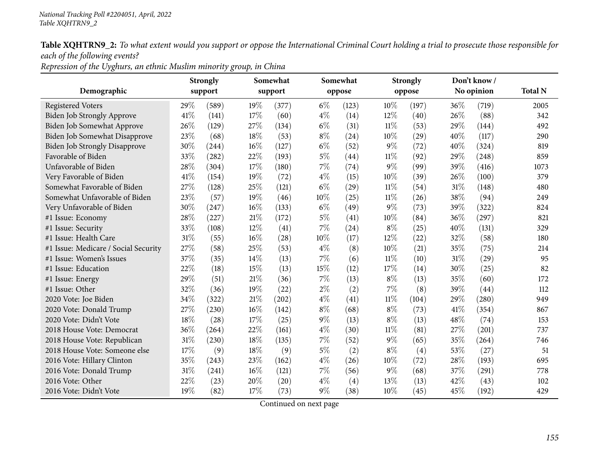*Repression of the Uyghurs, an ethnic Muslim minority group, in China*

| Demographic                          |        | <b>Strongly</b><br>support |      | Somewhat<br>support |       | Somewhat<br>oppose |        | <b>Strongly</b><br>oppose |        | Don't know /<br>No opinion | <b>Total N</b> |
|--------------------------------------|--------|----------------------------|------|---------------------|-------|--------------------|--------|---------------------------|--------|----------------------------|----------------|
| <b>Registered Voters</b>             | 29%    | (589)                      | 19%  | (377)               | $6\%$ | (123)              | 10%    | (197)                     | 36%    | (719)                      | 2005           |
| Biden Job Strongly Approve           | 41\%   | (141)                      | 17\% | (60)                | $4\%$ | (14)               | 12%    | (40)                      | 26%    | (88)                       | 342            |
| Biden Job Somewhat Approve           | 26%    | (129)                      | 27%  | (134)               | $6\%$ | (31)               | $11\%$ | (53)                      | 29%    | (144)                      | 492            |
| Biden Job Somewhat Disapprove        | 23%    | (68)                       | 18%  | (53)                | $8\%$ | (24)               | 10%    | (29)                      | 40%    | (117)                      | 290            |
| <b>Biden Job Strongly Disapprove</b> | 30%    | (244)                      | 16%  | (127)               | $6\%$ | (52)               | $9\%$  | (72)                      | 40%    | (324)                      | 819            |
| Favorable of Biden                   | 33%    | (282)                      | 22%  | (193)               | $5\%$ | (44)               | $11\%$ | (92)                      | 29%    | (248)                      | 859            |
| Unfavorable of Biden                 | 28%    | (304)                      | 17%  | (180)               | $7\%$ | (74)               | $9\%$  | (99)                      | 39%    | (416)                      | 1073           |
| Very Favorable of Biden              | 41\%   | (154)                      | 19%  | (72)                | $4\%$ | (15)               | 10%    | (39)                      | 26%    | (100)                      | 379            |
| Somewhat Favorable of Biden          | 27%    | (128)                      | 25%  | (121)               | $6\%$ | (29)               | $11\%$ | (54)                      | $31\%$ | (148)                      | 480            |
| Somewhat Unfavorable of Biden        | 23%    | (57)                       | 19%  | (46)                | 10\%  | (25)               | $11\%$ | (26)                      | 38%    | (94)                       | 249            |
| Very Unfavorable of Biden            | 30%    | (247)                      | 16%  | (133)               | $6\%$ | (49)               | $9\%$  | (73)                      | 39%    | (322)                      | 824            |
| #1 Issue: Economy                    | 28%    | (227)                      | 21%  | (172)               | $5\%$ | (41)               | 10%    | (84)                      | 36%    | (297)                      | 821            |
| #1 Issue: Security                   | 33%    | (108)                      | 12%  | (41)                | $7\%$ | (24)               | $8\%$  | (25)                      | 40%    | (131)                      | 329            |
| #1 Issue: Health Care                | 31%    | (55)                       | 16%  | (28)                | 10%   | (17)               | 12%    | (22)                      | 32%    | (58)                       | 180            |
| #1 Issue: Medicare / Social Security | 27%    | (58)                       | 25%  | (53)                | $4\%$ | (8)                | 10%    | (21)                      | 35%    | (75)                       | 214            |
| #1 Issue: Women's Issues             | 37%    | (35)                       | 14%  | (13)                | 7%    | (6)                | $11\%$ | (10)                      | $31\%$ | $\left( 29\right)$         | 95             |
| #1 Issue: Education                  | 22%    | (18)                       | 15%  | (13)                | 15%   | (12)               | 17%    | (14)                      | 30%    | (25)                       | 82             |
| #1 Issue: Energy                     | 29%    | (51)                       | 21\% | (36)                | $7\%$ | (13)               | $8\%$  | (13)                      | 35%    | (60)                       | 172            |
| #1 Issue: Other                      | 32%    | (36)                       | 19%  | (22)                | $2\%$ | (2)                | 7%     | (8)                       | 39%    | (44)                       | 112            |
| 2020 Vote: Joe Biden                 | 34%    | (322)                      | 21%  | (202)               | $4\%$ | (41)               | $11\%$ | (104)                     | 29%    | (280)                      | 949            |
| 2020 Vote: Donald Trump              | 27%    | (230)                      | 16%  | (142)               | $8\%$ | (68)               | $8\%$  | (73)                      | $41\%$ | (354)                      | 867            |
| 2020 Vote: Didn't Vote               | 18%    | (28)                       | 17%  | (25)                | $9\%$ | (13)               | $8\%$  | (13)                      | 48%    | (74)                       | 153            |
| 2018 House Vote: Democrat            | 36%    | (264)                      | 22%  | (161)               | $4\%$ | (30)               | $11\%$ | (81)                      | 27%    | (201)                      | 737            |
| 2018 House Vote: Republican          | $31\%$ | (230)                      | 18%  | (135)               | $7\%$ | (52)               | $9\%$  | (65)                      | 35%    | (264)                      | 746            |
| 2018 House Vote: Someone else        | 17%    | (9)                        | 18%  | (9)                 | $5\%$ | (2)                | $8\%$  | (4)                       | 53%    | (27)                       | 51             |
| 2016 Vote: Hillary Clinton           | 35%    | (243)                      | 23%  | (162)               | $4\%$ | (26)               | $10\%$ | (72)                      | 28%    | (193)                      | 695            |
| 2016 Vote: Donald Trump              | $31\%$ | (241)                      | 16%  | (121)               | $7\%$ | (56)               | $9\%$  | (68)                      | 37%    | (291)                      | 778            |
| 2016 Vote: Other                     | 22%    | (23)                       | 20%  | (20)                | $4\%$ | (4)                | 13%    | (13)                      | 42%    | (43)                       | 102            |
| 2016 Vote: Didn't Vote               | 19%    | (82)                       | 17%  | (73)                | $9\%$ | (38)               | 10%    | (45)                      | 45%    | (192)                      | 429            |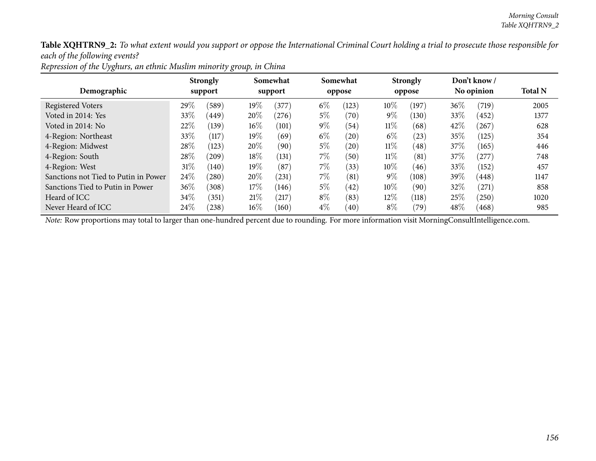| Demographic                          |        | <b>Strongly</b><br>support |        | Somewhat<br>support |       | Somewhat<br>oppose |        | <b>Strongly</b><br>oppose |        | Don't know /<br>No opinion |      |
|--------------------------------------|--------|----------------------------|--------|---------------------|-------|--------------------|--------|---------------------------|--------|----------------------------|------|
| <b>Registered Voters</b>             | $29\%$ | (589)                      | 19%    | (377)               | $6\%$ | (123)              | $10\%$ | (197)                     | $36\%$ | (719)                      | 2005 |
| Voted in 2014: Yes                   | 33\%   | (449)                      | 20%    | (276)               | $5\%$ | (70)               | $9\%$  | (130)                     | 33%    | (452)                      | 1377 |
| Voted in 2014: No                    | $22\%$ | (139)                      | $16\%$ | (101)               | $9\%$ | (54)               | $11\%$ | (68)                      | 42\%   | (267)                      | 628  |
| 4-Region: Northeast                  | 33\%   | (117)                      | 19%    | (69)                | $6\%$ | $\left( 20\right)$ | $6\%$  | (23)                      | 35%    | (125)                      | 354  |
| 4-Region: Midwest                    | 28%    | (123)                      | 20%    | (90)                | $5\%$ | (20)               | $11\%$ | (48)                      | 37%    | (165)                      | 446  |
| 4-Region: South                      | $28\%$ | (209)                      | $18\%$ | $\left(131\right)$  | $7\%$ | (50)               | $11\%$ | (81)                      | 37\%   | $^{'}277$                  | 748  |
| 4-Region: West                       | $31\%$ | (140)                      | 19%    | (87)                | $7\%$ | (33)               | $10\%$ | (46)                      | 33\%   | (152)                      | 457  |
| Sanctions not Tied to Putin in Power | $24\%$ | (280)                      | $20\%$ | (231)               | $7\%$ | (81)               | $9\%$  | (108)                     | 39\%   | (448)                      | 1147 |
| Sanctions Tied to Putin in Power     | $36\%$ | (308)                      | $17\%$ | (146)               | $5\%$ | (42)               | $10\%$ | (90)                      | 32\%   | (271)                      | 858  |
| Heard of ICC                         | $34\%$ | (351)                      | 21%    | $^{'}217$           | $8\%$ | (83)               | $12\%$ | (118)                     | 25\%   | (250)                      | 1020 |
| Never Heard of ICC                   | $24\%$ | $^{(238)}$                 | $16\%$ | (160)               | $4\%$ | $\left( 40\right)$ | $8\%$  | 79`                       | $48\%$ | (468)                      | 985  |

*Repression of the Uyghurs, an ethnic Muslim minority group, in China*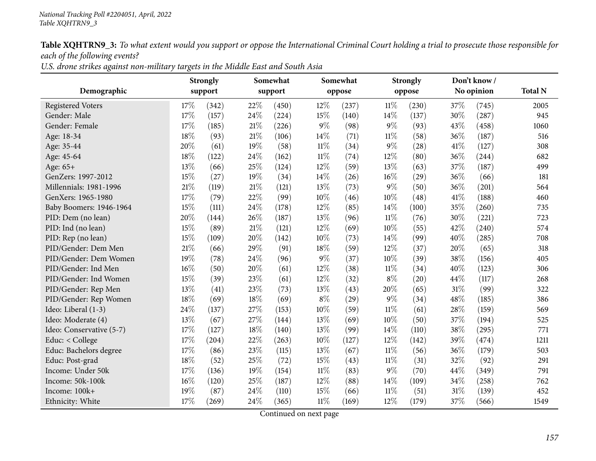U.S. drone strikes against non-military targets in the Middle East and South Asia

|                          | <b>Strongly</b> |       |        | Somewhat |        | Somewhat |        | <b>Strongly</b> |      | Don't know/ |                |  |
|--------------------------|-----------------|-------|--------|----------|--------|----------|--------|-----------------|------|-------------|----------------|--|
| Demographic              | support         |       |        | support  |        | oppose   |        | oppose          |      | No opinion  | <b>Total N</b> |  |
| <b>Registered Voters</b> | 17\%            | (342) | 22%    | (450)    | 12%    | (237)    | $11\%$ | (230)           | 37%  | (745)       | 2005           |  |
| Gender: Male             | 17%             | (157) | 24%    | (224)    | 15%    | (140)    | 14%    | (137)           | 30%  | (287)       | 945            |  |
| Gender: Female           | 17%             | (185) | 21%    | (226)    | $9\%$  | (98)     | $9\%$  | (93)            | 43%  | (458)       | 1060           |  |
| Age: 18-34               | $18\%$          | (93)  | $21\%$ | (106)    | 14%    | (71)     | $11\%$ | (58)            | 36%  | (187)       | 516            |  |
| Age: 35-44               | 20%             | (61)  | 19%    | (58)     | 11%    | (34)     | $9\%$  | (28)            | 41\% | (127)       | 308            |  |
| Age: 45-64               | 18%             | (122) | 24%    | (162)    | $11\%$ | (74)     | 12%    | (80)            | 36%  | (244)       | 682            |  |
| Age: 65+                 | 13%             | (66)  | 25%    | (124)    | 12%    | (59)     | 13%    | (63)            | 37%  | (187)       | 499            |  |
| GenZers: 1997-2012       | 15%             | (27)  | 19%    | (34)     | 14%    | (26)     | $16\%$ | (29)            | 36%  | (66)        | 181            |  |
| Millennials: 1981-1996   | $21\%$          | (119) | $21\%$ | (121)    | 13%    | (73)     | $9\%$  | (50)            | 36%  | (201)       | 564            |  |
| GenXers: 1965-1980       | 17%             | (79)  | 22%    | (99)     | 10%    | (46)     | 10%    | (48)            | 41\% | (188)       | 460            |  |
| Baby Boomers: 1946-1964  | 15%             | (111) | 24%    | (178)    | 12%    | (85)     | 14%    | (100)           | 35%  | (260)       | 735            |  |
| PID: Dem (no lean)       | 20%             | (144) | 26%    | (187)    | 13%    | (96)     | $11\%$ | (76)            | 30%  | (221)       | 723            |  |
| PID: Ind (no lean)       | 15%             | (89)  | $21\%$ | (121)    | 12%    | (69)     | 10%    | (55)            | 42%  | (240)       | 574            |  |
| PID: Rep (no lean)       | 15%             | (109) | 20%    | (142)    | 10%    | (73)     | 14%    | (99)            | 40%  | (285)       | 708            |  |
| PID/Gender: Dem Men      | 21\%            | (66)  | 29%    | (91)     | 18%    | (59)     | $12\%$ | (37)            | 20%  | (65)        | 318            |  |
| PID/Gender: Dem Women    | 19%             | (78)  | 24%    | (96)     | $9\%$  | (37)     | $10\%$ | (39)            | 38%  | (156)       | 405            |  |
| PID/Gender: Ind Men      | $16\%$          | (50)  | 20%    | (61)     | 12%    | (38)     | $11\%$ | (34)            | 40%  | (123)       | 306            |  |
| PID/Gender: Ind Women    | 15%             | (39)  | 23%    | (61)     | 12%    | (32)     | $8\%$  | (20)            | 44%  | (117)       | 268            |  |
| PID/Gender: Rep Men      | 13%             | (41)  | 23%    | (73)     | 13%    | (43)     | 20%    | (65)            | 31%  | (99)        | 322            |  |
| PID/Gender: Rep Women    | 18%             | (69)  | 18%    | (69)     | $8\%$  | (29)     | $9\%$  | (34)            | 48\% | (185)       | 386            |  |
| Ideo: Liberal (1-3)      | 24\%            | (137) | 27%    | (153)    | 10%    | (59)     | $11\%$ | (61)            | 28%  | (159)       | 569            |  |
| Ideo: Moderate (4)       | 13%             | (67)  | 27%    | (144)    | 13%    | (69)     | 10%    | (50)            | 37%  | (194)       | 525            |  |
| Ideo: Conservative (5-7) | 17%             | (127) | 18%    | (140)    | 13%    | (99)     | 14%    | (110)           | 38%  | (295)       | 771            |  |
| Educ: < College          | 17%             | (204) | 22%    | (263)    | 10%    | (127)    | 12%    | (142)           | 39%  | (474)       | 1211           |  |
| Educ: Bachelors degree   | 17%             | (86)  | 23%    | (115)    | 13%    | (67)     | $11\%$ | (56)            | 36%  | (179)       | 503            |  |
| Educ: Post-grad          | 18%             | (52)  | 25%    | (72)     | 15%    | (43)     | $11\%$ | (31)            | 32%  | (92)        | 291            |  |
| Income: Under 50k        | 17%             | (136) | 19%    | (154)    | 11%    | (83)     | $9\%$  | (70)            | 44%  | (349)       | 791            |  |
| Income: 50k-100k         | 16%             | (120) | 25%    | (187)    | 12%    | (88)     | 14%    | (109)           | 34%  | (258)       | 762            |  |
| Income: 100k+            | 19%             | (87)  | 24%    | (110)    | 15%    | (66)     | $11\%$ | (51)            | 31%  | (139)       | 452            |  |
| Ethnicity: White         | 17%             | (269) | 24%    | (365)    | $11\%$ | (169)    | 12%    | (179)           | 37%  | (566)       | 1549           |  |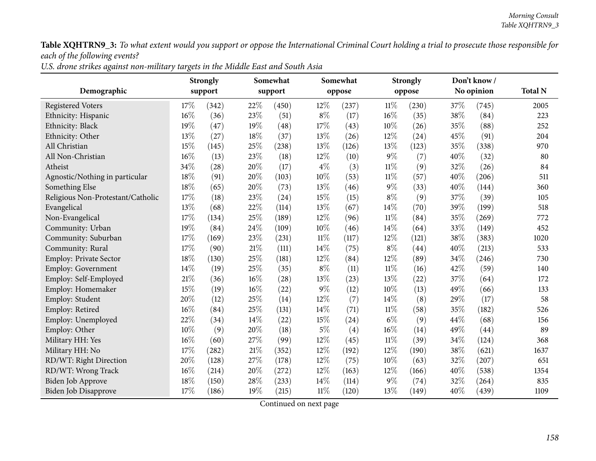| U.S. drone strikes against non-military targets in the Middle East and South Asia |
|-----------------------------------------------------------------------------------|
|-----------------------------------------------------------------------------------|

|                                   |        | <b>Strongly</b> | Somewhat |         |        | Somewhat |        | <b>Strongly</b> |      | Don't know / |                |  |
|-----------------------------------|--------|-----------------|----------|---------|--------|----------|--------|-----------------|------|--------------|----------------|--|
| Demographic                       |        | support         |          | support |        | oppose   |        | oppose          |      | No opinion   | <b>Total N</b> |  |
| <b>Registered Voters</b>          | 17%    | (342)           | 22%      | (450)   | 12%    | (237)    | $11\%$ | (230)           | 37%  | (745)        | 2005           |  |
| Ethnicity: Hispanic               | 16%    | (36)            | 23%      | (51)    | $8\%$  | (17)     | $16\%$ | (35)            | 38%  | (84)         | 223            |  |
| Ethnicity: Black                  | 19%    | (47)            | 19%      | (48)    | 17%    | (43)     | 10%    | (26)            | 35%  | (88)         | 252            |  |
| Ethnicity: Other                  | 13%    | (27)            | 18%      | (37)    | 13%    | (26)     | 12%    | (24)            | 45%  | (91)         | 204            |  |
| All Christian                     | 15%    | (145)           | 25%      | (238)   | 13\%   | (126)    | 13%    | (123)           | 35%  | (338)        | 970            |  |
| All Non-Christian                 | $16\%$ | (13)            | 23%      | (18)    | 12%    | (10)     | $9\%$  | (7)             | 40%  | (32)         | 80             |  |
| Atheist                           | 34%    | (28)            | 20%      | (17)    | $4\%$  | (3)      | $11\%$ | (9)             | 32%  | (26)         | 84             |  |
| Agnostic/Nothing in particular    | 18%    | (91)            | 20%      | (103)   | 10%    | (53)     | 11%    | (57)            | 40%  | (206)        | 511            |  |
| Something Else                    | $18\%$ | (65)            | 20%      | (73)    | 13%    | (46)     | $9\%$  | (33)            | 40%  | (144)        | 360            |  |
| Religious Non-Protestant/Catholic | 17%    | (18)            | 23%      | (24)    | 15%    | (15)     | $8\%$  | (9)             | 37%  | (39)         | 105            |  |
| Evangelical                       | 13%    | (68)            | 22%      | (114)   | 13%    | (67)     | 14%    | (70)            | 39%  | (199)        | 518            |  |
| Non-Evangelical                   | 17%    | (134)           | 25%      | (189)   | 12%    | (96)     | $11\%$ | (84)            | 35%  | (269)        | 772            |  |
| Community: Urban                  | 19%    | (84)            | 24%      | (109)   | 10%    | (46)     | $14\%$ | (64)            | 33%  | (149)        | 452            |  |
| Community: Suburban               | 17%    | (169)           | 23%      | (231)   | $11\%$ | (117)    | 12%    | (121)           | 38%  | (383)        | 1020           |  |
| Community: Rural                  | 17%    | (90)            | 21%      | (111)   | 14%    | (75)     | $8\%$  | (44)            | 40%  | (213)        | 533            |  |
| <b>Employ: Private Sector</b>     | 18%    | (130)           | 25%      | (181)   | 12\%   | (84)     | 12%    | (89)            | 34\% | (246)        | 730            |  |
| <b>Employ: Government</b>         | 14%    | (19)            | 25%      | (35)    | $8\%$  | (11)     | $11\%$ | (16)            | 42%  | (59)         | 140            |  |
| Employ: Self-Employed             | 21\%   | (36)            | 16%      | (28)    | 13%    | (23)     | 13%    | (22)            | 37%  | (64)         | 172            |  |
| Employ: Homemaker                 | 15%    | (19)            | 16%      | (22)    | $9\%$  | (12)     | 10%    | (13)            | 49%  | (66)         | 133            |  |
| Employ: Student                   | 20%    | (12)            | 25%      | (14)    | 12%    | (7)      | 14%    | (8)             | 29%  | (17)         | 58             |  |
| Employ: Retired                   | 16%    | (84)            | 25%      | (131)   | 14%    | (71)     | $11\%$ | (58)            | 35%  | (182)        | 526            |  |
| Employ: Unemployed                | 22%    | (34)            | 14%      | (22)    | 15\%   | (24)     | $6\%$  | (9)             | 44%  | (68)         | 156            |  |
| Employ: Other                     | 10%    | (9)             | 20%      | (18)    | $5\%$  | (4)      | 16%    | (14)            | 49%  | (44)         | 89             |  |
| Military HH: Yes                  | $16\%$ | (60)            | 27%      | (99)    | 12\%   | (45)     | $11\%$ | (39)            | 34%  | (124)        | 368            |  |
| Military HH: No                   | 17%    | (282)           | 21%      | (352)   | 12%    | (192)    | 12%    | (190)           | 38%  | (621)        | 1637           |  |
| RD/WT: Right Direction            | 20%    | (128)           | 27%      | (178)   | 12%    | (75)     | 10%    | (63)            | 32%  | (207)        | 651            |  |
| RD/WT: Wrong Track                | $16\%$ | (214)           | 20%      | (272)   | 12%    | (163)    | 12%    | (166)           | 40%  | (538)        | 1354           |  |
| Biden Job Approve                 | 18%    | (150)           | 28%      | (233)   | 14\%   | (114)    | $9\%$  | (74)            | 32%  | (264)        | 835            |  |
| <b>Biden Job Disapprove</b>       | 17%    | (186)           | 19%      | (215)   | $11\%$ | (120)    | 13%    | (149)           | 40%  | (439)        | 1109           |  |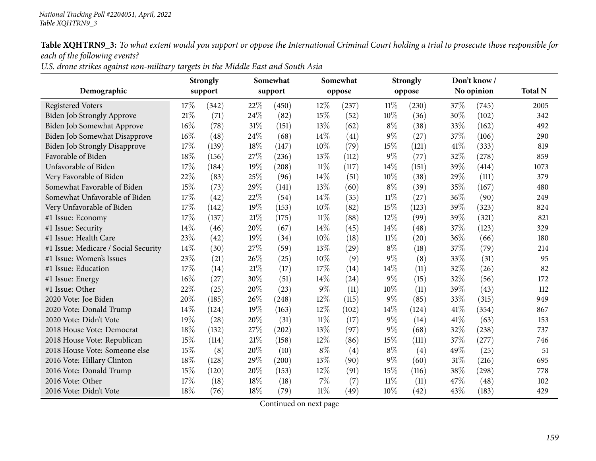U.S. drone strikes against non-military targets in the Middle East and South Asia

|                                      |      | <b>Strongly</b> | Somewhat |         |        | Somewhat |        | <b>Strongly</b> |      | Don't know/ |                |  |
|--------------------------------------|------|-----------------|----------|---------|--------|----------|--------|-----------------|------|-------------|----------------|--|
| Demographic                          |      | support         |          | support |        | oppose   |        | oppose          |      | No opinion  | <b>Total N</b> |  |
| <b>Registered Voters</b>             | 17%  | (342)           | 22%      | (450)   | 12%    | (237)    | $11\%$ | (230)           | 37%  | (745)       | 2005           |  |
| Biden Job Strongly Approve           | 21\% | (71)            | 24%      | (82)    | 15%    | (52)     | 10%    | (36)            | 30%  | (102)       | 342            |  |
| Biden Job Somewhat Approve           | 16%  | (78)            | $31\%$   | (151)   | 13%    | (62)     | $8\%$  | (38)            | 33%  | (162)       | 492            |  |
| Biden Job Somewhat Disapprove        | 16%  | (48)            | 24%      | (68)    | 14%    | (41)     | $9\%$  | (27)            | 37%  | (106)       | 290            |  |
| <b>Biden Job Strongly Disapprove</b> | 17%  | (139)           | 18%      | (147)   | 10%    | (79)     | 15%    | (121)           | 41\% | (333)       | 819            |  |
| Favorable of Biden                   | 18%  | (156)           | 27%      | (236)   | 13%    | (112)    | $9\%$  | (77)            | 32%  | (278)       | 859            |  |
| Unfavorable of Biden                 | 17%  | (184)           | 19%      | (208)   | $11\%$ | (117)    | 14%    | (151)           | 39%  | (414)       | 1073           |  |
| Very Favorable of Biden              | 22%  | (83)            | 25%      | (96)    | 14\%   | (51)     | 10%    | (38)            | 29%  | (111)       | 379            |  |
| Somewhat Favorable of Biden          | 15%  | (73)            | 29%      | (141)   | 13%    | (60)     | $8\%$  | (39)            | 35%  | (167)       | 480            |  |
| Somewhat Unfavorable of Biden        | 17%  | (42)            | 22%      | (54)    | 14%    | (35)     | $11\%$ | (27)            | 36%  | (90)        | 249            |  |
| Very Unfavorable of Biden            | 17%  | (142)           | 19%      | (153)   | 10%    | (82)     | 15%    | (123)           | 39%  | (323)       | 824            |  |
| #1 Issue: Economy                    | 17%  | (137)           | 21%      | (175)   | $11\%$ | (88)     | 12%    | (99)            | 39%  | (321)       | 821            |  |
| #1 Issue: Security                   | 14%  | (46)            | 20%      | (67)    | 14%    | (45)     | 14%    | (48)            | 37%  | (123)       | 329            |  |
| #1 Issue: Health Care                | 23%  | (42)            | 19%      | (34)    | 10%    | (18)     | $11\%$ | (20)            | 36%  | (66)        | 180            |  |
| #1 Issue: Medicare / Social Security | 14%  | (30)            | 27\%     | (59)    | 13%    | (29)     | $8\%$  | (18)            | 37%  | (79)        | 214            |  |
| #1 Issue: Women's Issues             | 23%  | (21)            | 26%      | (25)    | 10%    | (9)      | $9\%$  | (8)             | 33%  | (31)        | 95             |  |
| #1 Issue: Education                  | 17%  | (14)            | 21%      | (17)    | 17%    | (14)     | 14%    | (11)            | 32%  | (26)        | 82             |  |
| #1 Issue: Energy                     | 16%  | (27)            | 30%      | (51)    | 14%    | (24)     | $9\%$  | (15)            | 32%  | (56)        | 172            |  |
| #1 Issue: Other                      | 22%  | (25)            | 20%      | (23)    | $9\%$  | (11)     | 10%    | (11)            | 39%  | (43)        | 112            |  |
| 2020 Vote: Joe Biden                 | 20%  | (185)           | 26%      | (248)   | 12%    | (115)    | $9\%$  | (85)            | 33%  | (315)       | 949            |  |
| 2020 Vote: Donald Trump              | 14%  | (124)           | 19%      | (163)   | 12%    | (102)    | 14%    | (124)           | 41\% | (354)       | 867            |  |
| 2020 Vote: Didn't Vote               | 19%  | (28)            | 20%      | (31)    | $11\%$ | (17)     | $9\%$  | (14)            | 41\% | (63)        | 153            |  |
| 2018 House Vote: Democrat            | 18%  | (132)           | 27%      | (202)   | 13%    | (97)     | $9\%$  | (68)            | 32%  | (238)       | 737            |  |
| 2018 House Vote: Republican          | 15%  | (114)           | 21%      | (158)   | 12%    | (86)     | 15%    | (111)           | 37\% | (277)       | 746            |  |
| 2018 House Vote: Someone else        | 15%  | (8)             | 20%      | (10)    | $8\%$  | (4)      | $8\%$  | (4)             | 49%  | (25)        | 51             |  |
| 2016 Vote: Hillary Clinton           | 18%  | (128)           | 29%      | (200)   | 13%    | (90)     | $9\%$  | (60)            | 31%  | (216)       | 695            |  |
| 2016 Vote: Donald Trump              | 15%  | (120)           | 20%      | (153)   | 12\%   | (91)     | 15%    | (116)           | 38%  | (298)       | 778            |  |
| 2016 Vote: Other                     | 17%  | (18)            | 18%      | (18)    | 7%     | (7)      | $11\%$ | (11)            | 47%  | (48)        | 102            |  |
| 2016 Vote: Didn't Vote               | 18%  | (76)            | 18%      | (79)    | $11\%$ | (49)     | 10%    | (42)            | 43%  | (183)       | 429            |  |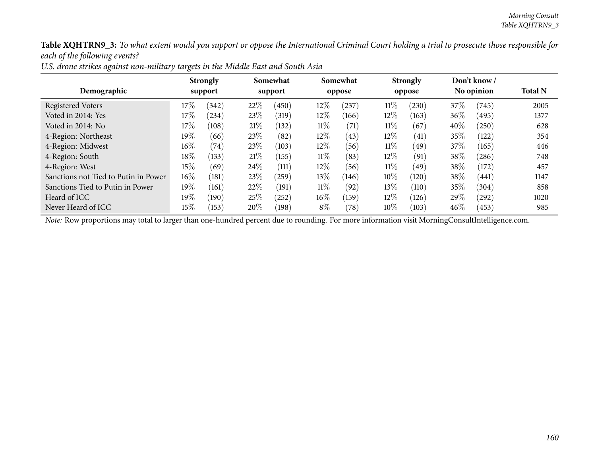| Demographic                          | <b>Strongly</b><br>support |       |      | Somewhat<br>support |        | Somewhat<br>oppose |        | <b>Strongly</b><br>oppose | Don't know /<br>No opinion | <b>Total N</b> |      |
|--------------------------------------|----------------------------|-------|------|---------------------|--------|--------------------|--------|---------------------------|----------------------------|----------------|------|
| <b>Registered Voters</b>             | 17%                        | (342) | 22\% | (450)               | $12\%$ | $^{'}237$          | $11\%$ | (230)                     | 37\%                       | (745)          | 2005 |
| Voted in 2014: Yes                   | $17\%$                     | (234) | 23\% | (319)               | $12\%$ | (166)              | $12\%$ | (163)                     | $36\%$                     | (495)          | 1377 |
| Voted in 2014: No                    | 17%                        | (108) | 21%  | (132)               | $11\%$ | (71)               | $11\%$ | (67)                      | 40%                        | (250)          | 628  |
| 4-Region: Northeast                  | $19\%$                     | (66)  | 23\% | (82)                | $12\%$ | (43)               | $12\%$ | (41)                      | 35%                        | (122)          | 354  |
| 4-Region: Midwest                    | $16\%$                     | (74)  | 23%  | (103)               | $12\%$ | (56)               | $11\%$ | (49)                      | 37\%                       | (165)          | 446  |
| 4-Region: South                      | 18\%                       | (133) | 21%  | (155)               | $11\%$ | (83)               | $12\%$ | (91)                      | 38\%                       | (286)          | 748  |
| 4-Region: West                       | 15%                        | (69)  | 24\% | (111)               | $12\%$ | (56)               | $11\%$ | (49)                      | 38%                        | (172)          | 457  |
| Sanctions not Tied to Putin in Power | $16\%$                     | (181) | 23\% | (259)               | $13\%$ | (146)              | $10\%$ | (120)                     | 38\%                       | (441)          | 1147 |
| Sanctions Tied to Putin in Power     | 19%                        | (161) | 22%  | $^{\prime}191)$     | $11\%$ | (92)               | $13\%$ | (110)                     | 35%                        | (304)          | 858  |
| Heard of ICC                         | 19%                        | (190) | 25\% | $^{'}252)$          | $16\%$ | (159)              | $12\%$ | (126)                     | 29%                        | (292)          | 1020 |
| Never Heard of ICC                   | 15%                        | (153) | 20%  | (198)               | $8\%$  | (78)               | $10\%$ | (103)                     | $46\%$                     | (453)          | 985  |

U.S. drone strikes against non-military targets in the Middle East and South Asia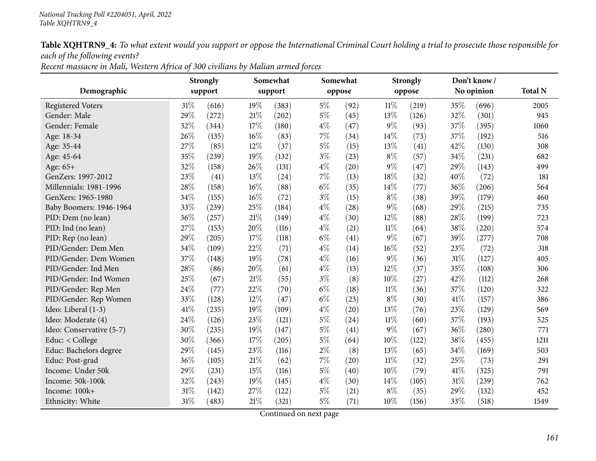Recent massacre in Mali, Western Africa of 300 civilians by Malian armed forces

|                          | Strongly |       |        | Somewhat |       | Somewhat |        | <b>Strongly</b> |            | Don't know/    |      |
|--------------------------|----------|-------|--------|----------|-------|----------|--------|-----------------|------------|----------------|------|
| Demographic              | support  |       |        | support  |       | oppose   |        | oppose          | No opinion | <b>Total N</b> |      |
| <b>Registered Voters</b> | $31\%$   | (616) | 19%    | (383)    | $5\%$ | (92)     | $11\%$ | (219)           | 35%        | (696)          | 2005 |
| Gender: Male             | 29%      | (272) | $21\%$ | (202)    | $5\%$ | (45)     | 13%    | (126)           | 32%        | (301)          | 945  |
| Gender: Female           | 32%      | (344) | 17\%   | (180)    | $4\%$ | (47)     | $9\%$  | (93)            | 37%        | (395)          | 1060 |
| Age: 18-34               | 26\%     | (135) | 16%    | (83)     | 7%    | (34)     | 14%    | (73)            | 37%        | (192)          | 516  |
| Age: 35-44               | 27%      | (85)  | $12\%$ | (37)     | $5\%$ | (15)     | 13%    | (41)            | 42%        | (130)          | 308  |
| Age: 45-64               | 35%      | (239) | 19%    | (132)    | $3\%$ | (23)     | $8\%$  | (57)            | 34%        | (231)          | 682  |
| Age: 65+                 | 32%      | (158) | 26%    | (131)    | $4\%$ | (20)     | $9\%$  | (47)            | 29%        | (143)          | 499  |
| GenZers: 1997-2012       | 23%      | (41)  | 13%    | (24)     | 7%    | (13)     | 18%    | (32)            | 40%        | (72)           | 181  |
| Millennials: 1981-1996   | 28%      | (158) | 16%    | (88)     | $6\%$ | (35)     | 14%    | (77)            | 36\%       | (206)          | 564  |
| GenXers: 1965-1980       | 34\%     | (155) | 16%    | (72)     | $3\%$ | (15)     | $8\%$  | (38)            | 39%        | (179)          | 460  |
| Baby Boomers: 1946-1964  | 33%      | (239) | 25%    | (184)    | $4\%$ | (28)     | $9\%$  | (68)            | 29%        | (215)          | 735  |
| PID: Dem (no lean)       | 36%      | (257) | $21\%$ | (149)    | $4\%$ | (30)     | 12%    | (88)            | 28%        | (199)          | 723  |
| PID: Ind (no lean)       | 27%      | (153) | 20%    | (116)    | $4\%$ | (21)     | $11\%$ | (64)            | 38%        | (220)          | 574  |
| PID: Rep (no lean)       | 29%      | (205) | 17%    | (118)    | $6\%$ | (41)     | $9\%$  | (67)            | 39%        | (277)          | 708  |
| PID/Gender: Dem Men      | 34%      | (109) | 22%    | (71)     | $4\%$ | (14)     | 16%    | (52)            | 23%        | (72)           | 318  |
| PID/Gender: Dem Women    | 37%      | (148) | 19%    | (78)     | $4\%$ | (16)     | $9\%$  | (36)            | 31%        | (127)          | 405  |
| PID/Gender: Ind Men      | 28\%     | (86)  | 20%    | (61)     | $4\%$ | (13)     | 12%    | (37)            | 35%        | (108)          | 306  |
| PID/Gender: Ind Women    | 25%      | (67)  | 21%    | (55)     | $3\%$ | (8)      | 10%    | (27)            | 42%        | (112)          | 268  |
| PID/Gender: Rep Men      | 24%      | (77)  | 22%    | (70)     | $6\%$ | (18)     | $11\%$ | (36)            | 37%        | (120)          | 322  |
| PID/Gender: Rep Women    | 33%      | (128) | 12%    | (47)     | $6\%$ | (23)     | $8\%$  | (30)            | 41\%       | (157)          | 386  |
| Ideo: Liberal (1-3)      | $41\%$   | (235) | 19%    | (109)    | $4\%$ | (20)     | 13%    | (76)            | 23%        | (129)          | 569  |
| Ideo: Moderate (4)       | 24\%     | (126) | 23%    | (121)    | $5\%$ | (24)     | $11\%$ | (60)            | 37%        | (193)          | 525  |
| Ideo: Conservative (5-7) | 30%      | (235) | 19%    | (147)    | $5\%$ | (41)     | $9\%$  | (67)            | 36%        | (280)          | 771  |
| Educ: < College          | 30%      | (366) | 17%    | (205)    | $5\%$ | (64)     | 10%    | (122)           | 38%        | (455)          | 1211 |
| Educ: Bachelors degree   | 29%      | (145) | 23%    | (116)    | $2\%$ | (8)      | 13%    | (65)            | 34%        | (169)          | 503  |
| Educ: Post-grad          | 36%      | (105) | $21\%$ | (62)     | 7%    | (20)     | $11\%$ | (32)            | 25%        | (73)           | 291  |
| Income: Under 50k        | 29%      | (231) | 15%    | (116)    | $5\%$ | (40)     | 10%    | (79)            | 41\%       | (325)          | 791  |
| Income: 50k-100k         | 32%      | (243) | 19%    | (145)    | $4\%$ | (30)     | 14%    | (105)           | 31%        | (239)          | 762  |
| Income: 100k+            | $31\%$   | (142) | 27%    | (122)    | $5\%$ | (21)     | $8\%$  | (35)            | 29%        | (132)          | 452  |
| Ethnicity: White         | $31\%$   | (483) | 21%    | (321)    | $5\%$ | (71)     | 10%    | (156)           | 33%        | (518)          | 1549 |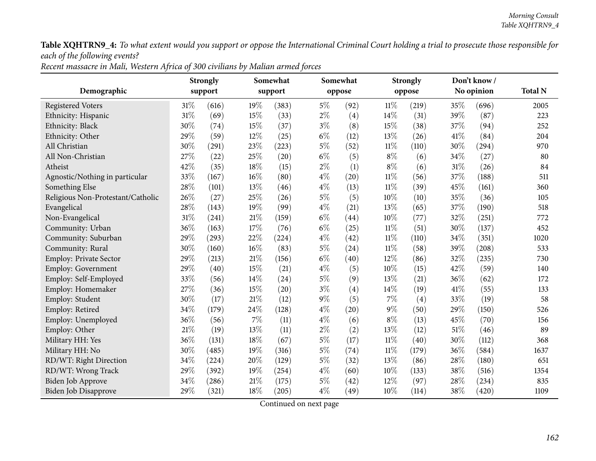| Recent massacre in Mali, Western Africa of 300 civilians by Malian armed forces |  |
|---------------------------------------------------------------------------------|--|
|---------------------------------------------------------------------------------|--|

|                                   | <b>Strongly</b> |         |     | Somewhat |       | Somewhat          |        | Strongly | Don't know / | <b>Total N</b> |      |
|-----------------------------------|-----------------|---------|-----|----------|-------|-------------------|--------|----------|--------------|----------------|------|
| Demographic                       |                 | support |     | support  |       | oppose            |        | oppose   |              | No opinion     |      |
| <b>Registered Voters</b>          | 31\%            | (616)   | 19% | (383)    | $5\%$ | (92)              | $11\%$ | (219)    | 35%          | (696)          | 2005 |
| Ethnicity: Hispanic               | $31\%$          | (69)    | 15% | (33)     | $2\%$ | $\left( 4\right)$ | $14\%$ | (31)     | 39%          | (87)           | 223  |
| Ethnicity: Black                  | 30%             | (74)    | 15% | (37)     | $3\%$ | (8)               | 15%    | (38)     | 37%          | (94)           | 252  |
| Ethnicity: Other                  | 29%             | (59)    | 12% | (25)     | $6\%$ | (12)              | 13%    | (26)     | 41\%         | (84)           | 204  |
| All Christian                     | 30%             | (291)   | 23% | (223)    | $5\%$ | (52)              | $11\%$ | (110)    | 30%          | (294)          | 970  |
| All Non-Christian                 | 27%             | (22)    | 25% | (20)     | $6\%$ | (5)               | $8\%$  | (6)      | 34%          | (27)           | 80   |
| Atheist                           | 42%             | (35)    | 18% | (15)     | $2\%$ | (1)               | $8\%$  | (6)      | $31\%$       | (26)           | 84   |
| Agnostic/Nothing in particular    | 33%             | (167)   | 16% | (80)     | $4\%$ | (20)              | $11\%$ | (56)     | 37%          | (188)          | 511  |
| Something Else                    | 28\%            | (101)   | 13% | (46)     | $4\%$ | (13)              | $11\%$ | (39)     | 45%          | (161)          | 360  |
| Religious Non-Protestant/Catholic | 26%             | (27)    | 25% | (26)     | $5\%$ | (5)               | $10\%$ | (10)     | 35%          | (36)           | 105  |
| Evangelical                       | 28%             | (143)   | 19% | (99)     | $4\%$ | (21)              | 13%    | (65)     | 37%          | (190)          | 518  |
| Non-Evangelical                   | $31\%$          | (241)   | 21% | (159)    | $6\%$ | (44)              | 10%    | (77)     | 32%          | (251)          | 772  |
| Community: Urban                  | 36%             | (163)   | 17% | (76)     | $6\%$ | (25)              | $11\%$ | (51)     | 30%          | (137)          | 452  |
| Community: Suburban               | 29%             | (293)   | 22% | (224)    | $4\%$ | (42)              | $11\%$ | (110)    | 34%          | (351)          | 1020 |
| Community: Rural                  | 30%             | (160)   | 16% | (83)     | $5\%$ | (24)              | 11%    | (58)     | 39%          | (208)          | 533  |
| <b>Employ: Private Sector</b>     | 29%             | (213)   | 21% | (156)    | $6\%$ | (40)              | 12%    | (86)     | 32%          | (235)          | 730  |
| <b>Employ: Government</b>         | 29%             | (40)    | 15% | (21)     | $4\%$ | (5)               | $10\%$ | (15)     | 42%          | (59)           | 140  |
| Employ: Self-Employed             | 33%             | (56)    | 14% | (24)     | $5\%$ | (9)               | 13%    | (21)     | 36%          | (62)           | 172  |
| Employ: Homemaker                 | 27%             | (36)    | 15% | (20)     | $3\%$ | (4)               | 14%    | (19)     | 41\%         | (55)           | 133  |
| Employ: Student                   | 30%             | (17)    | 21% | (12)     | $9\%$ | (5)               | $7\%$  | (4)      | 33%          | (19)           | 58   |
| Employ: Retired                   | 34%             | (179)   | 24% | (128)    | $4\%$ | (20)              | $9\%$  | (50)     | 29%          | (150)          | 526  |
| Employ: Unemployed                | 36%             | (56)    | 7%  | (11)     | $4\%$ | (6)               | $8\%$  | (13)     | 45%          | (70)           | 156  |
| Employ: Other                     | $21\%$          | (19)    | 13% | (11)     | $2\%$ | (2)               | 13%    | (12)     | $51\%$       | (46)           | 89   |
| Military HH: Yes                  | 36%             | (131)   | 18% | (67)     | $5\%$ | (17)              | $11\%$ | (40)     | 30%          | (112)          | 368  |
| Military HH: No                   | 30%             | (485)   | 19% | (316)    | $5\%$ | (74)              | 11%    | (179)    | 36%          | (584)          | 1637 |
| RD/WT: Right Direction            | 34%             | (224)   | 20% | (129)    | $5\%$ | (32)              | 13%    | (86)     | 28%          | (180)          | 651  |
| RD/WT: Wrong Track                | 29%             | (392)   | 19% | (254)    | $4\%$ | (60)              | $10\%$ | (133)    | 38%          | (516)          | 1354 |
| Biden Job Approve                 | 34%             | (286)   | 21% | (175)    | $5\%$ | (42)              | 12%    | (97)     | 28%          | (234)          | 835  |
| <b>Biden Job Disapprove</b>       | 29%             | (321)   | 18% | (205)    | $4\%$ | (49)              | 10%    | (114)    | 38%          | (420)          | 1109 |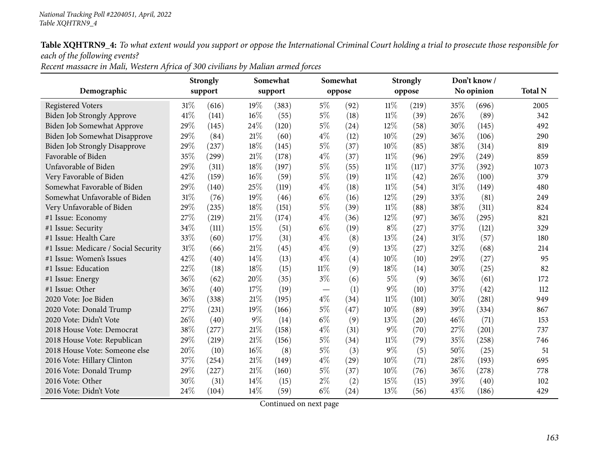Recent massacre in Mali, Western Africa of 300 civilians by Malian armed forces

| Demographic                          | <b>Strongly</b><br>support |       | Somewhat<br>support |       |        | Somewhat<br>oppose |        | <b>Strongly</b><br>oppose | Don't know /<br>No opinion | <b>Total N</b> |      |
|--------------------------------------|----------------------------|-------|---------------------|-------|--------|--------------------|--------|---------------------------|----------------------------|----------------|------|
|                                      | 31%                        |       | 19%                 |       | $5\%$  | (92)               | $11\%$ | (219)                     | 35%                        | (696)          | 2005 |
| <b>Registered Voters</b>             | 41\%                       | (616) | $16\%$              | (383) | $5\%$  |                    | $11\%$ |                           | 26%                        |                | 342  |
| Biden Job Strongly Approve           |                            | (141) |                     | (55)  |        | (18)               |        | (39)                      |                            | (89)           |      |
| Biden Job Somewhat Approve           | 29%                        | (145) | 24%                 | (120) | $5\%$  | (24)               | 12%    | (58)                      | 30%                        | (145)          | 492  |
| Biden Job Somewhat Disapprove        | 29%                        | (84)  | $21\%$              | (60)  | $4\%$  | (12)               | 10%    | (29)                      | 36%                        | (106)          | 290  |
| <b>Biden Job Strongly Disapprove</b> | 29%                        | (237) | 18%                 | (145) | $5\%$  | (37)               | 10%    | (85)                      | 38%                        | (314)          | 819  |
| Favorable of Biden                   | 35%                        | (299) | 21%                 | (178) | $4\%$  | (37)               | $11\%$ | (96)                      | 29%                        | (249)          | 859  |
| Unfavorable of Biden                 | 29%                        | (311) | 18%                 | (197) | $5\%$  | (55)               | $11\%$ | (117)                     | 37%                        | (392)          | 1073 |
| Very Favorable of Biden              | 42%                        | (159) | 16%                 | (59)  | $5\%$  | (19)               | $11\%$ | (42)                      | 26%                        | (100)          | 379  |
| Somewhat Favorable of Biden          | 29%                        | (140) | 25%                 | (119) | $4\%$  | (18)               | $11\%$ | (54)                      | 31%                        | (149)          | 480  |
| Somewhat Unfavorable of Biden        | 31%                        | (76)  | 19%                 | (46)  | $6\%$  | (16)               | 12%    | (29)                      | 33%                        | (81)           | 249  |
| Very Unfavorable of Biden            | 29%                        | (235) | 18%                 | (151) | $5\%$  | (39)               | $11\%$ | (88)                      | 38%                        | (311)          | 824  |
| #1 Issue: Economy                    | 27%                        | (219) | 21%                 | (174) | $4\%$  | (36)               | 12%    | (97)                      | 36%                        | (295)          | 821  |
| #1 Issue: Security                   | 34%                        | (111) | 15%                 | (51)  | $6\%$  | (19)               | $8\%$  | (27)                      | 37%                        | (121)          | 329  |
| #1 Issue: Health Care                | 33%                        | (60)  | 17%                 | (31)  | $4\%$  | (8)                | 13%    | (24)                      | 31%                        | (57)           | 180  |
| #1 Issue: Medicare / Social Security | 31%                        | (66)  | 21%                 | (45)  | $4\%$  | (9)                | 13%    | (27)                      | 32%                        | (68)           | 214  |
| #1 Issue: Women's Issues             | 42%                        | (40)  | 14%                 | (13)  | $4\%$  | $\left( 4\right)$  | 10%    | (10)                      | 29%                        | (27)           | 95   |
| #1 Issue: Education                  | 22%                        | (18)  | 18%                 | (15)  | $11\%$ | (9)                | 18%    | (14)                      | 30%                        | (25)           | 82   |
| #1 Issue: Energy                     | 36%                        | (62)  | 20%                 | (35)  | $3\%$  | (6)                | $5\%$  | (9)                       | 36%                        | (61)           | 172  |
| #1 Issue: Other                      | 36%                        | (40)  | 17\%                | (19)  |        | (1)                | $9\%$  | (10)                      | 37%                        | (42)           | 112  |
| 2020 Vote: Joe Biden                 | 36%                        | (338) | 21%                 | (195) | $4\%$  | (34)               | $11\%$ | (101)                     | 30%                        | (281)          | 949  |
| 2020 Vote: Donald Trump              | 27%                        | (231) | 19%                 | (166) | $5\%$  | (47)               | 10%    | (89)                      | 39%                        | (334)          | 867  |
| 2020 Vote: Didn't Vote               | 26%                        | (40)  | 9%                  | (14)  | $6\%$  | (9)                | 13%    | (20)                      | 46%                        | (71)           | 153  |
| 2018 House Vote: Democrat            | 38%                        | (277) | 21%                 | (158) | $4\%$  | (31)               | $9\%$  | (70)                      | 27%                        | (201)          | 737  |
| 2018 House Vote: Republican          | 29%                        | (219) | $21\%$              | (156) | $5\%$  | (34)               | $11\%$ | (79)                      | 35%                        | (258)          | 746  |
| 2018 House Vote: Someone else        | 20%                        | (10)  | 16%                 | (8)   | $5\%$  | (3)                | $9\%$  | (5)                       | 50%                        | (25)           | 51   |
| 2016 Vote: Hillary Clinton           | 37%                        | (254) | 21%                 | (149) | $4\%$  | (29)               | $10\%$ | (71)                      | 28%                        | (193)          | 695  |
| 2016 Vote: Donald Trump              | 29%                        | (227) | $21\%$              | (160) | $5\%$  | (37)               | 10%    | (76)                      | 36%                        | (278)          | 778  |
| 2016 Vote: Other                     | 30%                        | (31)  | 14%                 | (15)  | $2\%$  | (2)                | 15%    | (15)                      | 39%                        | (40)           | 102  |
| 2016 Vote: Didn't Vote               | 24%                        | (104) | 14%                 | (59)  | $6\%$  | (24)               | 13%    | (56)                      | 43%                        | (186)          | 429  |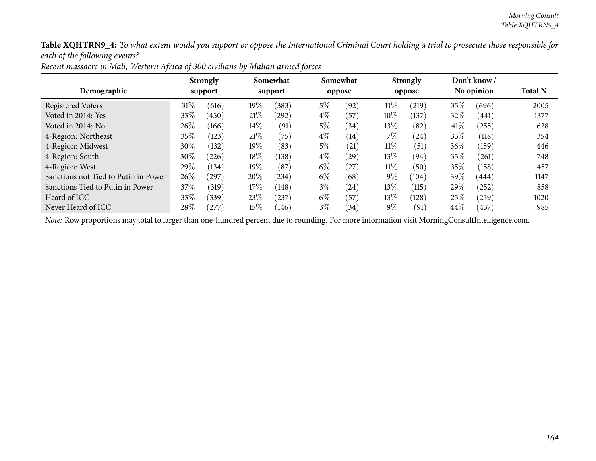| Demographic                          |        | <b>Strongly</b><br>support |        | Somewhat<br>support |       | Somewhat<br>oppose |        | <b>Strongly</b><br>oppose |        | Don't know /<br>No opinion |      |
|--------------------------------------|--------|----------------------------|--------|---------------------|-------|--------------------|--------|---------------------------|--------|----------------------------|------|
| <b>Registered Voters</b>             | 31%    | (616)                      | 19%    | (383)               | $5\%$ | (92)               | $11\%$ | (219)                     | 35\%   | (696)                      | 2005 |
| Voted in 2014: Yes                   | $33\%$ | (450)                      | 21%    | (292)               | $4\%$ | (57`               | $10\%$ | (137)                     | 32\%   | (441)                      | 1377 |
| Voted in 2014: No                    | $26\%$ | (166)                      | $14\%$ | (91)                | $5\%$ | (34)               | $13\%$ | (82)                      | 41%    | (255)                      | 628  |
| 4-Region: Northeast                  | $35\%$ | (123)                      | 21%    | (75)                | $4\%$ | (14)               | $7\%$  | (24)                      | 33\%   | (118)                      | 354  |
| 4-Region: Midwest                    | 30\%   | (132)                      | $19\%$ | (83)                | $5\%$ | (21)               | $11\%$ | (51)                      | $36\%$ | (159)                      | 446  |
| 4-Region: South                      | $30\%$ | (226)                      | $18\%$ | (138)               | $4\%$ | $^{'}29$           | $13\%$ | (94)                      | $35\%$ | (261)                      | 748  |
| 4-Region: West                       | 29\%   | (134)                      | 19%    | (87                 | $6\%$ | (27)               | $11\%$ | (50)                      | 35%    | (158)                      | 457  |
| Sanctions not Tied to Putin in Power | $26\%$ | (297)                      | 20%    | (234)               | $6\%$ | (68)               | $9\%$  | (104)                     | 39\%   | 444)                       | 1147 |
| Sanctions Tied to Putin in Power     | 37\%   | (319)                      | $17\%$ | (148)               | $3\%$ | (24)               | $13\%$ | (115)                     | $29\%$ | (252)                      | 858  |
| Heard of ICC                         | $33\%$ | (339)                      | 23\%   | (237)               | $6\%$ | (57)               | 13\%   | (128)                     | 25%    | (259)                      | 1020 |
| Never Heard of ICC                   | $28\%$ | $^{'}277)$                 | $15\%$ | (146)               | $3\%$ | (34)               | $9\%$  | (91)                      | $44\%$ | (437)                      | 985  |

Recent massacre in Mali, Western Africa of 300 civilians by Malian armed forces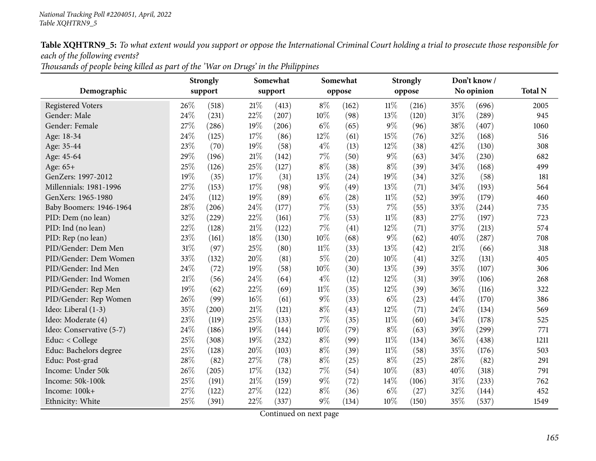Thousands of people being killed as part of the 'War on Drugs' in the Philippines

|                          | Strongly |       |        | Somewhat |        | Somewhat |        | <b>Strongly</b> |            | Don't know /   |      |
|--------------------------|----------|-------|--------|----------|--------|----------|--------|-----------------|------------|----------------|------|
| Demographic              | support  |       |        | support  |        | oppose   |        | oppose          | No opinion | <b>Total N</b> |      |
| <b>Registered Voters</b> | 26%      | (518) | 21%    | (413)    | $8\%$  | (162)    | $11\%$ | (216)           | 35%        | (696)          | 2005 |
| Gender: Male             | 24%      | (231) | 22%    | (207)    | 10\%   | (98)     | 13%    | (120)           | 31%        | (289)          | 945  |
| Gender: Female           | 27%      | (286) | 19%    | (206)    | $6\%$  | (65)     | $9\%$  | (96)            | 38%        | (407)          | 1060 |
| Age: 18-34               | 24%      | (125) | 17%    | (86)     | 12\%   | (61)     | 15%    | (76)            | 32%        | (168)          | 516  |
| Age: 35-44               | 23%      | (70)  | 19%    | (58)     | $4\%$  | (13)     | 12%    | (38)            | 42%        | (130)          | 308  |
| Age: 45-64               | 29%      | (196) | 21%    | (142)    | $7\%$  | (50)     | $9\%$  | (63)            | 34%        | (230)          | 682  |
| Age: 65+                 | 25%      | (126) | 25%    | (127)    | $8\%$  | (38)     | $8\%$  | (39)            | 34%        | (168)          | 499  |
| GenZers: 1997-2012       | 19%      | (35)  | 17%    | (31)     | 13%    | (24)     | 19%    | (34)            | 32%        | (58)           | 181  |
| Millennials: 1981-1996   | 27%      | (153) | 17%    | (98)     | $9\%$  | (49)     | 13%    | (71)            | 34%        | (193)          | 564  |
| GenXers: 1965-1980       | 24%      | (112) | 19%    | (89)     | $6\%$  | (28)     | $11\%$ | (52)            | 39%        | (179)          | 460  |
| Baby Boomers: 1946-1964  | 28%      | (206) | 24%    | (177)    | $7\%$  | (53)     | $7\%$  | (55)            | 33%        | (244)          | 735  |
| PID: Dem (no lean)       | 32%      | (229) | 22%    | (161)    | $7\%$  | (53)     | $11\%$ | (83)            | 27%        | (197)          | 723  |
| PID: Ind (no lean)       | 22%      | (128) | $21\%$ | (122)    | $7\%$  | (41)     | 12%    | (71)            | 37\%       | (213)          | 574  |
| PID: Rep (no lean)       | 23%      | (161) | 18%    | (130)    | 10%    | (68)     | $9\%$  | (62)            | 40%        | (287)          | 708  |
| PID/Gender: Dem Men      | 31%      | (97)  | 25%    | (80)     | $11\%$ | (33)     | 13%    | (42)            | 21%        | (66)           | 318  |
| PID/Gender: Dem Women    | 33%      | (132) | 20%    | (81)     | $5\%$  | (20)     | 10%    | (41)            | 32%        | (131)          | 405  |
| PID/Gender: Ind Men      | 24%      | (72)  | 19%    | (58)     | 10\%   | (30)     | 13%    | (39)            | 35%        | (107)          | 306  |
| PID/Gender: Ind Women    | 21%      | (56)  | 24%    | (64)     | $4\%$  | (12)     | 12%    | (31)            | 39%        | (106)          | 268  |
| PID/Gender: Rep Men      | 19%      | (62)  | 22%    | (69)     | $11\%$ | (35)     | 12%    | (39)            | 36%        | (116)          | 322  |
| PID/Gender: Rep Women    | 26%      | (99)  | 16%    | (61)     | $9\%$  | (33)     | $6\%$  | (23)            | 44%        | (170)          | 386  |
| Ideo: Liberal (1-3)      | 35%      | (200) | 21\%   | (121)    | $8\%$  | (43)     | 12%    | (71)            | 24%        | (134)          | 569  |
| Ideo: Moderate (4)       | 23%      | (119) | 25%    | (133)    | $7\%$  | (35)     | $11\%$ | (60)            | 34%        | (178)          | 525  |
| Ideo: Conservative (5-7) | 24%      | (186) | 19%    | (144)    | 10%    | (79)     | $8\%$  | (63)            | 39%        | (299)          | 771  |
| Educ: < College          | 25%      | (308) | 19%    | (232)    | $8\%$  | (99)     | $11\%$ | (134)           | 36%        | (438)          | 1211 |
| Educ: Bachelors degree   | 25%      | (128) | 20%    | (103)    | $8\%$  | (39)     | $11\%$ | (58)            | 35%        | (176)          | 503  |
| Educ: Post-grad          | 28%      | (82)  | 27%    | (78)     | $8\%$  | (25)     | $8\%$  | (25)            | 28%        | (82)           | 291  |
| Income: Under 50k        | 26%      | (205) | 17%    | (132)    | $7\%$  | (54)     | 10%    | (83)            | 40%        | (318)          | 791  |
| Income: 50k-100k         | 25%      | (191) | $21\%$ | (159)    | $9\%$  | (72)     | 14%    | (106)           | 31%        | (233)          | 762  |
| Income: 100k+            | 27%      | (122) | 27%    | (122)    | $8\%$  | (36)     | $6\%$  | (27)            | 32%        | (144)          | 452  |
| Ethnicity: White         | 25%      | (391) | 22%    | (337)    | $9\%$  | (134)    | 10%    | (150)           | 35%        | (537)          | 1549 |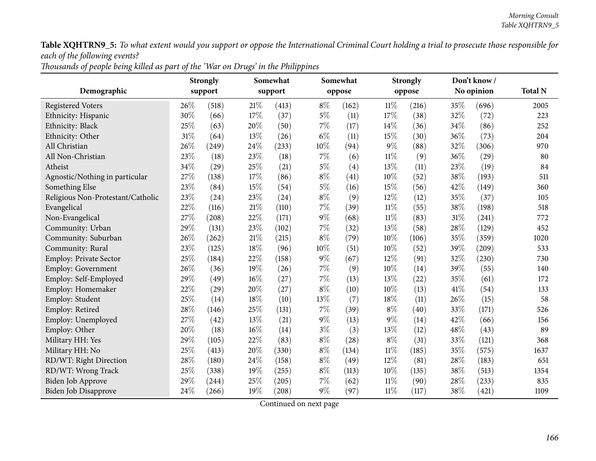|                                   | <b>Strongly</b> |         |        | Somewhat |        | Somewhat          |        | <b>Strongly</b> |      | Don't know / |                |  |
|-----------------------------------|-----------------|---------|--------|----------|--------|-------------------|--------|-----------------|------|--------------|----------------|--|
| Demographic                       |                 | support |        | support  |        | oppose            |        | oppose          |      | No opinion   | <b>Total N</b> |  |
| <b>Registered Voters</b>          | 26\%            | (518)   | 21%    | (413)    | $8\%$  | (162)             | 11%    | (216)           | 35%  | (696)        | 2005           |  |
| Ethnicity: Hispanic               | 30%             | (66)    | 17%    | (37)     | $5\%$  | (11)              | 17%    | (38)            | 32%  | (72)         | 223            |  |
| Ethnicity: Black                  | 25%             | (63)    | 20%    | (50)     | $7\%$  | (17)              | 14%    | (36)            | 34%  | (86)         | 252            |  |
| Ethnicity: Other                  | 31%             | (64)    | 13%    | (26)     | $6\%$  | (11)              | 15%    | (30)            | 36%  | (73)         | 204            |  |
| All Christian                     | 26%             | (249)   | 24\%   | (233)    | $10\%$ | (94)              | $9\%$  | (88)            | 32%  | (306)        | 970            |  |
| All Non-Christian                 | 23%             | (18)    | 23%    | (18)     | $7\%$  | (6)               | $11\%$ | (9)             | 36%  | (29)         | 80             |  |
| Atheist                           | 34%             | (29)    | 25%    | (21)     | $5\%$  | $\left( 4\right)$ | 13%    | (11)            | 23%  | (19)         | 84             |  |
| Agnostic/Nothing in particular    | 27%             | (138)   | 17%    | (86)     | $8\%$  | (41)              | 10%    | (52)            | 38%  | (193)        | 511            |  |
| Something Else                    | 23%             | (84)    | 15%    | (54)     | $5\%$  | (16)              | 15%    | (56)            | 42%  | (149)        | 360            |  |
| Religious Non-Protestant/Catholic | 23%             | (24)    | 23%    | (24)     | $8\%$  | (9)               | 12%    | (12)            | 35%  | (37)         | 105            |  |
| Evangelical                       | 22%             | (116)   | 21%    | (110)    | $7\%$  | (39)              | $11\%$ | (55)            | 38%  | (198)        | 518            |  |
| Non-Evangelical                   | 27%             | (208)   | 22%    | (171)    | $9\%$  | (68)              | $11\%$ | (83)            | 31%  | (241)        | 772            |  |
| Community: Urban                  | 29%             | (131)   | 23%    | (102)    | 7%     | (32)              | 13%    | (58)            | 28%  | (129)        | 452            |  |
| Community: Suburban               | 26%             | (262)   | $21\%$ | (215)    | $8\%$  | (79)              | 10%    | (106)           | 35%  | (359)        | 1020           |  |
| Community: Rural                  | 23%             | (125)   | 18%    | (96)     | $10\%$ | (51)              | 10%    | (52)            | 39%  | (209)        | 533            |  |
| <b>Employ: Private Sector</b>     | 25%             | (184)   | 22%    | (158)    | $9\%$  | (67)              | 12%    | (91)            | 32%  | (230)        | 730            |  |
| <b>Employ: Government</b>         | 26%             | (36)    | 19%    | (26)     | 7%     | (9)               | 10%    | (14)            | 39%  | (55)         | 140            |  |
| Employ: Self-Employed             | 29%             | (49)    | 16%    | (27)     | $7\%$  | (13)              | 13%    | (22)            | 35%  | (61)         | 172            |  |
| Employ: Homemaker                 | 22%             | (29)    | 20%    | (27)     | $8\%$  | (10)              | 10%    | (13)            | 41\% | (54)         | 133            |  |
| Employ: Student                   | 25%             | (14)    | 18%    | (10)     | 13%    | (7)               | 18%    | (11)            | 26%  | (15)         | 58             |  |
| Employ: Retired                   | 28%             | (146)   | 25%    | (131)    | 7%     | (39)              | $8\%$  | (40)            | 33%  | (171)        | 526            |  |
| Employ: Unemployed                | 27%             | (42)    | 13%    | (21)     | $9\%$  | (13)              | $9\%$  | (14)            | 42%  | (66)         | 156            |  |
| Employ: Other                     | 20%             | (18)    | 16%    | (14)     | $3\%$  | (3)               | 13%    | (12)            | 48%  | (43)         | 89             |  |
| Military HH: Yes                  | 29%             | (105)   | 22%    | (83)     | $8\%$  | (28)              | $8\%$  | (31)            | 33%  | (121)        | 368            |  |
| Military HH: No                   | 25%             | (413)   | 20%    | (330)    | $8\%$  | (134)             | $11\%$ | (185)           | 35%  | (575)        | 1637           |  |
| RD/WT: Right Direction            | 28%             | (180)   | 24%    | (158)    | $8\%$  | (49)              | 12%    | (81)            | 28%  | (183)        | 651            |  |
| RD/WT: Wrong Track                | 25%             | (338)   | 19%    | (255)    | $8\%$  | (113)             | 10%    | (135)           | 38%  | (513)        | 1354           |  |
| Biden Job Approve                 | 29%             | (244)   | 25%    | (205)    | 7%     | (62)              | 11%    | (90)            | 28%  | (233)        | 835            |  |
| <b>Biden Job Disapprove</b>       | 24%             | (266)   | 19%    | (208)    | $9\%$  | (97)              | $11\%$ | (117)           | 38%  | (421)        | 1109           |  |

Thousands of people being killed as part of the 'War on Drugs' in the Philippines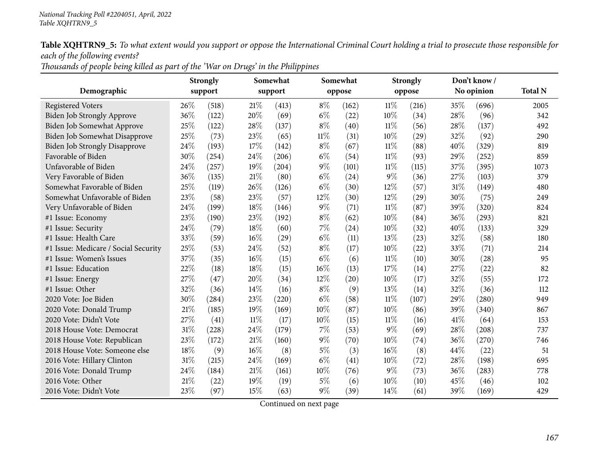| Thousands of people being killed as part of the 'War on Drugs' in the Philippines |  |
|-----------------------------------------------------------------------------------|--|
|-----------------------------------------------------------------------------------|--|

| Demographic                          | <b>Strongly</b><br>support |       |      | Somewhat<br>support |        | Somewhat<br>oppose |        | <b>Strongly</b><br>oppose |      | Don't know /<br>No opinion |                        |
|--------------------------------------|----------------------------|-------|------|---------------------|--------|--------------------|--------|---------------------------|------|----------------------------|------------------------|
|                                      | 26%                        |       | 21\% |                     | $8\%$  |                    | $11\%$ | (216)                     | 35%  | (696)                      | <b>Total N</b><br>2005 |
| <b>Registered Voters</b>             | 36%                        | (518) | 20%  | (413)               | $6\%$  | (162)              | 10%    |                           | 28%  |                            | 342                    |
| Biden Job Strongly Approve           |                            | (122) |      | (69)                |        | (22)               |        | (34)                      |      | (96)                       |                        |
| Biden Job Somewhat Approve           | 25%                        | (122) | 28%  | (137)               | $8\%$  | (40)               | $11\%$ | (56)                      | 28%  | (137)                      | 492                    |
| <b>Biden Job Somewhat Disapprove</b> | 25%                        | (73)  | 23%  | (65)                | $11\%$ | (31)               | 10%    | (29)                      | 32%  | (92)                       | 290                    |
| <b>Biden Job Strongly Disapprove</b> | 24%                        | (193) | 17%  | (142)               | $8\%$  | (67)               | $11\%$ | (88)                      | 40%  | (329)                      | 819                    |
| Favorable of Biden                   | 30%                        | (254) | 24%  | (206)               | $6\%$  | (54)               | $11\%$ | (93)                      | 29%  | (252)                      | 859                    |
| Unfavorable of Biden                 | 24%                        | (257) | 19%  | (204)               | $9\%$  | (101)              | $11\%$ | (115)                     | 37%  | (395)                      | 1073                   |
| Very Favorable of Biden              | 36%                        | (135) | 21%  | (80)                | $6\%$  | (24)               | $9\%$  | (36)                      | 27%  | (103)                      | 379                    |
| Somewhat Favorable of Biden          | 25%                        | (119) | 26%  | (126)               | $6\%$  | (30)               | 12%    | (57)                      | 31%  | (149)                      | 480                    |
| Somewhat Unfavorable of Biden        | 23%                        | (58)  | 23%  | (57)                | 12\%   | (30)               | 12%    | (29)                      | 30%  | (75)                       | 249                    |
| Very Unfavorable of Biden            | 24%                        | (199) | 18%  | (146)               | $9\%$  | (71)               | $11\%$ | (87)                      | 39%  | (320)                      | 824                    |
| #1 Issue: Economy                    | 23%                        | (190) | 23%  | (192)               | $8\%$  | (62)               | 10%    | (84)                      | 36%  | (293)                      | 821                    |
| #1 Issue: Security                   | 24%                        | (79)  | 18%  | (60)                | $7\%$  | (24)               | 10%    | (32)                      | 40%  | (133)                      | 329                    |
| #1 Issue: Health Care                | 33%                        | (59)  | 16%  | (29)                | $6\%$  | (11)               | 13%    | (23)                      | 32%  | (58)                       | 180                    |
| #1 Issue: Medicare / Social Security | 25%                        | (53)  | 24%  | (52)                | $8\%$  | (17)               | 10%    | (22)                      | 33%  | (71)                       | 214                    |
| #1 Issue: Women's Issues             | 37%                        | (35)  | 16%  | (15)                | $6\%$  | (6)                | $11\%$ | (10)                      | 30%  | (28)                       | 95                     |
| #1 Issue: Education                  | 22%                        | (18)  | 18%  | (15)                | $16\%$ | (13)               | 17%    | (14)                      | 27%  | (22)                       | 82                     |
| #1 Issue: Energy                     | 27%                        | (47)  | 20%  | (34)                | 12\%   | (20)               | 10%    | (17)                      | 32%  | (55)                       | 172                    |
| #1 Issue: Other                      | 32%                        | (36)  | 14%  | (16)                | $8\%$  | (9)                | 13%    | (14)                      | 32%  | (36)                       | 112                    |
| 2020 Vote: Joe Biden                 | 30%                        | (284) | 23%  | (220)               | $6\%$  | (58)               | $11\%$ | (107)                     | 29%  | (280)                      | 949                    |
| 2020 Vote: Donald Trump              | 21%                        | (185) | 19%  | (169)               | 10%    | (87)               | 10%    | (86)                      | 39%  | (340)                      | 867                    |
| 2020 Vote: Didn't Vote               | 27%                        | (41)  | 11%  | (17)                | 10\%   | (15)               | $11\%$ | (16)                      | 41\% | (64)                       | 153                    |
| 2018 House Vote: Democrat            | 31%                        | (228) | 24%  | (179)               | $7\%$  | (53)               | $9\%$  | (69)                      | 28%  | (208)                      | 737                    |
| 2018 House Vote: Republican          | 23%                        | (172) | 21%  | (160)               | $9\%$  | (70)               | 10%    | (74)                      | 36%  | (270)                      | 746                    |
| 2018 House Vote: Someone else        | 18%                        | (9)   | 16%  | (8)                 | $5\%$  | (3)                | 16%    | (8)                       | 44%  | (22)                       | 51                     |
| 2016 Vote: Hillary Clinton           | $31\%$                     | (215) | 24%  | (169)               | $6\%$  | (41)               | 10%    | (72)                      | 28%  | (198)                      | 695                    |
| 2016 Vote: Donald Trump              | 24%                        | (184) | 21\% | (161)               | 10%    | (76)               | $9\%$  | (73)                      | 36%  | (283)                      | 778                    |
| 2016 Vote: Other                     | 21%                        | (22)  | 19%  | (19)                | $5\%$  | (6)                | 10%    | (10)                      | 45%  | (46)                       | 102                    |
| 2016 Vote: Didn't Vote               | 23%                        | (97)  | 15%  | (63)                | $9\%$  | (39)               | 14%    | (61)                      | 39%  | (169)                      | 429                    |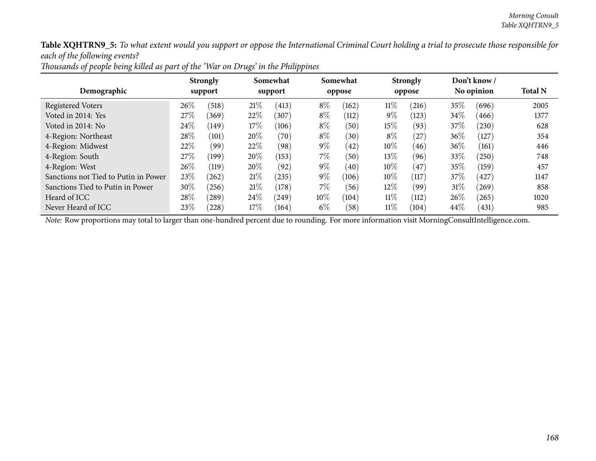| Demographic                          | <b>Strongly</b><br>support |       | Somewhat<br>support |       |       | Somewhat<br>oppose |        | <b>Strongly</b><br>oppose |        | Don't know /<br>No opinion |      |
|--------------------------------------|----------------------------|-------|---------------------|-------|-------|--------------------|--------|---------------------------|--------|----------------------------|------|
| <b>Registered Voters</b>             | $26\%$                     | (518) | 21%                 | (413) | $8\%$ | (162)              | $11\%$ | (216)                     | 35%    | (696)                      | 2005 |
| Voted in 2014: Yes                   | 27%                        | (369) | 22%                 | (307) | $8\%$ | (112)              | $9\%$  | (123)                     | $34\%$ | (466)                      | 1377 |
| Voted in 2014: No                    | 24\%                       | (149) | 17%                 | (106) | $8\%$ | (50)               | $15\%$ | (93)                      | 37%    | (230)                      | 628  |
| 4-Region: Northeast                  | 28\%                       | (101) | 20%                 | (70)  | $8\%$ | (30)               | $8\%$  | (27)                      | 36%    | (127)                      | 354  |
| 4-Region: Midwest                    | 22\%                       | (99)  | 22%                 | (98)  | $9\%$ | (42)               | $10\%$ | (46)                      | $36\%$ | (161)                      | 446  |
| 4-Region: South                      | 27%                        | (199) | 20%                 | (153) | $7\%$ | (50)               | $13\%$ | (96)                      | $33\%$ | (250)                      | 748  |
| 4-Region: West                       | $26\%$                     | (119) | 20%                 | (92)  | $9\%$ | (40)               | $10\%$ | (47)                      | 35%    | (159)                      | 457  |
| Sanctions not Tied to Putin in Power | 23\%                       | (262) | 21%                 | (235) | $9\%$ | (106)              | $10\%$ | (117)                     | 37%    | 427                        | 1147 |
| Sanctions Tied to Putin in Power     | $30\%$                     | (256) | 21%                 | (178) | $7\%$ | (56)               | 12%    | (99)                      | 31%    | (269)                      | 858  |
| Heard of ICC                         | 28\%                       | (289) | 24\%                | (249) | 10%   | (104)              | $11\%$ | (112)                     | $26\%$ | (265)                      | 1020 |
| Never Heard of ICC                   | $23\%$                     | (228) | $17\%$              | (164) | $6\%$ | (58)               | 11%    | (104)                     | $44\%$ | (431)                      | 985  |

Thousands of people being killed as part of the 'War on Drugs' in the Philippines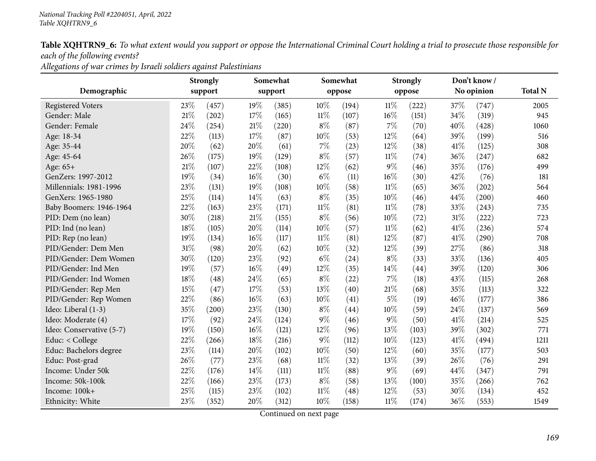*Allegations of war crimes by Israeli soldiers against Palestinians*

|                          | <b>Strongly</b> |       |      | Somewhat |        | Somewhat           |        | <b>Strongly</b> |            | Don't know/    |      |  |
|--------------------------|-----------------|-------|------|----------|--------|--------------------|--------|-----------------|------------|----------------|------|--|
| Demographic              | support         |       |      | support  |        | oppose             |        | oppose          | No opinion | <b>Total N</b> |      |  |
| <b>Registered Voters</b> | 23\%            | (457) | 19%  | (385)    | 10%    | (194)              | $11\%$ | (222)           | 37%        | (747)          | 2005 |  |
| Gender: Male             | 21%             | (202) | 17%  | (165)    | $11\%$ | (107)              | 16%    | (151)           | 34%        | (319)          | 945  |  |
| Gender: Female           | 24\%            | (254) | 21%  | (220)    | $8\%$  | (87)               | 7%     | (70)            | 40%        | (428)          | 1060 |  |
| Age: 18-34               | 22%             | (113) | 17%  | (87)     | 10%    | (53)               | 12%    | (64)            | 39%        | (199)          | 516  |  |
| Age: 35-44               | 20%             | (62)  | 20%  | (61)     | 7%     | (23)               | $12\%$ | (38)            | 41\%       | (125)          | 308  |  |
| Age: 45-64               | 26%             | (175) | 19%  | (129)    | $8\%$  | (57)               | $11\%$ | (74)            | 36%        | (247)          | 682  |  |
| Age: 65+                 | $21\%$          | (107) | 22%  | (108)    | 12%    | (62)               | $9\%$  | (46)            | 35%        | (176)          | 499  |  |
| GenZers: 1997-2012       | 19%             | (34)  | 16%  | (30)     | $6\%$  | (11)               | 16%    | (30)            | 42%        | (76)           | 181  |  |
| Millennials: 1981-1996   | 23\%            | (131) | 19%  | (108)    | 10%    | (58)               | $11\%$ | (65)            | 36%        | (202)          | 564  |  |
| GenXers: 1965-1980       | 25%             | (114) | 14%  | (63)     | $8\%$  | (35)               | 10%    | (46)            | 44%        | (200)          | 460  |  |
| Baby Boomers: 1946-1964  | 22%             | (163) | 23%  | (171)    | $11\%$ | (81)               | $11\%$ | (78)            | 33%        | (243)          | 735  |  |
| PID: Dem (no lean)       | 30%             | (218) | 21%  | (155)    | $8\%$  | (56)               | 10%    | (72)            | 31%        | (222)          | 723  |  |
| PID: Ind (no lean)       | 18%             | (105) | 20%  | (114)    | 10%    | (57)               | $11\%$ | (62)            | 41\%       | (236)          | 574  |  |
| PID: Rep (no lean)       | 19%             | (134) | 16%  | (117)    | $11\%$ | (81)               | 12%    | (87)            | 41\%       | (290)          | 708  |  |
| PID/Gender: Dem Men      | $31\%$          | (98)  | 20%  | (62)     | 10%    | (32)               | 12%    | (39)            | 27%        | (86)           | 318  |  |
| PID/Gender: Dem Women    | 30%             | (120) | 23%  | (92)     | $6\%$  | (24)               | $8\%$  | (33)            | 33%        | (136)          | 405  |  |
| PID/Gender: Ind Men      | $19\%$          | (57)  | 16%  | (49)     | 12%    | (35)               | 14\%   | (44)            | 39%        | (120)          | 306  |  |
| PID/Gender: Ind Women    | 18%             | (48)  | 24%  | (65)     | $8\%$  | (22)               | $7\%$  | (18)            | 43%        | (115)          | 268  |  |
| PID/Gender: Rep Men      | 15%             | (47)  | 17%  | (53)     | 13%    | (40)               | $21\%$ | (68)            | 35%        | (113)          | 322  |  |
| PID/Gender: Rep Women    | 22%             | (86)  | 16%  | (63)     | 10%    | (41)               | $5\%$  | (19)            | 46%        | (177)          | 386  |  |
| Ideo: Liberal (1-3)      | 35%             | (200) | 23%  | (130)    | $8\%$  | (44)               | 10%    | (59)            | 24%        | (137)          | 569  |  |
| Ideo: Moderate (4)       | 17%             | (92)  | 24\% | (124)    | $9\%$  | (46)               | $9\%$  | (50)            | 41\%       | (214)          | 525  |  |
| Ideo: Conservative (5-7) | 19%             | (150) | 16%  | (121)    | 12%    | (96)               | 13%    | (103)           | 39%        | (302)          | 771  |  |
| Educ: < College          | 22%             | (266) | 18%  | (216)    | $9\%$  | (112)              | 10%    | (123)           | 41\%       | (494)          | 1211 |  |
| Educ: Bachelors degree   | 23%             | (114) | 20%  | (102)    | 10%    | (50)               | 12%    | (60)            | 35%        | (177)          | 503  |  |
| Educ: Post-grad          | 26\%            | (77)  | 23%  | (68)     | $11\%$ | (32)               | 13%    | (39)            | 26%        | (76)           | 291  |  |
| Income: Under 50k        | 22%             | (176) | 14%  | (111)    | 11%    | (88)               | $9\%$  | (69)            | 44%        | (347)          | 791  |  |
| Income: 50k-100k         | 22%             | (166) | 23%  | (173)    | $8\%$  | (58)               | 13%    | (100)           | 35%        | (266)          | 762  |  |
| Income: 100k+            | 25%             | (115) | 23%  | (102)    | $11\%$ | $\left( 48\right)$ | 12%    | (53)            | 30%        | (134)          | 452  |  |
| Ethnicity: White         | 23%             | (352) | 20%  | (312)    | 10%    | (158)              | $11\%$ | (174)           | 36%        | (553)          | 1549 |  |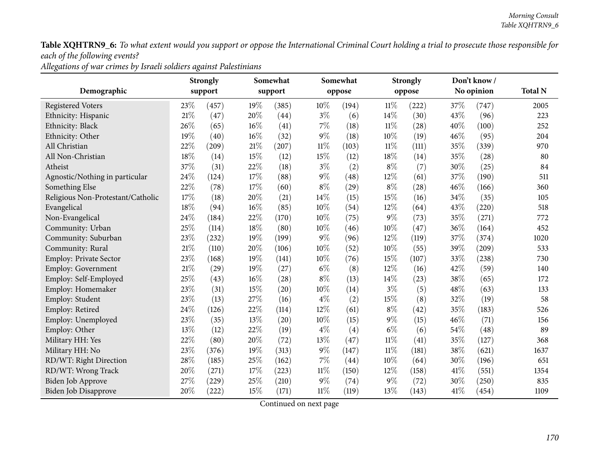*Allegations of war crimes by Israeli soldiers against Palestinians*

|                                   |        | <b>Strongly</b> | Somewhat |         |        | Somewhat |        | <b>Strongly</b> | Don't know/ |            |                |
|-----------------------------------|--------|-----------------|----------|---------|--------|----------|--------|-----------------|-------------|------------|----------------|
| Demographic                       |        | support         |          | support |        | oppose   |        | oppose          |             | No opinion | <b>Total N</b> |
| <b>Registered Voters</b>          | 23\%   | (457)           | 19%      | (385)   | 10%    | (194)    | $11\%$ | (222)           | 37%         | (747)      | 2005           |
| Ethnicity: Hispanic               | $21\%$ | (47)            | 20%      | (44)    | $3\%$  | (6)      | 14\%   | (30)            | 43%         | (96)       | 223            |
| Ethnicity: Black                  | 26%    | (65)            | 16%      | (41)    | 7%     | (18)     | $11\%$ | (28)            | 40%         | (100)      | 252            |
| Ethnicity: Other                  | 19%    | (40)            | 16%      | (32)    | $9\%$  | (18)     | 10%    | (19)            | 46%         | (95)       | 204            |
| All Christian                     | 22%    | (209)           | 21%      | (207)   | $11\%$ | (103)    | $11\%$ | (111)           | 35%         | (339)      | 970            |
| All Non-Christian                 | 18%    | (14)            | 15%      | (12)    | 15%    | (12)     | 18%    | (14)            | 35%         | (28)       | 80             |
| Atheist                           | 37%    | (31)            | 22%      | (18)    | $3\%$  | (2)      | $8\%$  | (7)             | 30%         | (25)       | 84             |
| Agnostic/Nothing in particular    | 24\%   | (124)           | 17%      | (88)    | $9\%$  | (48)     | 12%    | (61)            | 37%         | (190)      | 511            |
| Something Else                    | 22%    | (78)            | 17%      | (60)    | $8\%$  | (29)     | $8\%$  | (28)            | 46%         | (166)      | 360            |
| Religious Non-Protestant/Catholic | $17\%$ | (18)            | 20%      | (21)    | 14%    | (15)     | 15%    | (16)            | 34%         | (35)       | 105            |
| Evangelical                       | $18\%$ | (94)            | 16%      | (85)    | 10%    | (54)     | 12%    | (64)            | 43%         | (220)      | 518            |
| Non-Evangelical                   | 24\%   | (184)           | 22%      | (170)   | 10%    | (75)     | $9\%$  | (73)            | 35%         | (271)      | 772            |
| Community: Urban                  | 25%    | (114)           | 18%      | (80)    | 10%    | (46)     | 10%    | (47)            | 36%         | (164)      | 452            |
| Community: Suburban               | 23%    | (232)           | 19%      | (199)   | $9\%$  | (96)     | 12%    | (119)           | 37%         | (374)      | 1020           |
| Community: Rural                  | $21\%$ | (110)           | 20%      | (106)   | 10%    | (52)     | 10%    | (55)            | 39%         | (209)      | 533            |
| Employ: Private Sector            | 23%    | (168)           | 19%      | (141)   | 10%    | (76)     | 15%    | (107)           | 33%         | (238)      | 730            |
| <b>Employ: Government</b>         | 21\%   | (29)            | 19%      | (27)    | $6\%$  | (8)      | 12%    | (16)            | 42%         | (59)       | 140            |
| Employ: Self-Employed             | 25%    | (43)            | 16%      | (28)    | $8\%$  | (13)     | 14%    | (23)            | 38%         | (65)       | 172            |
| Employ: Homemaker                 | 23%    | (31)            | 15%      | (20)    | 10%    | (14)     | $3\%$  | (5)             | 48%         | (63)       | 133            |
| Employ: Student                   | 23%    | (13)            | 27%      | (16)    | $4\%$  | (2)      | 15%    | (8)             | 32%         | (19)       | 58             |
| Employ: Retired                   | 24\%   | (126)           | 22%      | (114)   | 12%    | (61)     | $8\%$  | (42)            | 35%         | (183)      | 526            |
| Employ: Unemployed                | 23\%   | (35)            | 13%      | (20)    | 10%    | (15)     | $9\%$  | (15)            | 46%         | (71)       | 156            |
| Employ: Other                     | 13%    | (12)            | 22%      | (19)    | $4\%$  | (4)      | $6\%$  | (6)             | 54%         | (48)       | 89             |
| Military HH: Yes                  | 22%    | (80)            | 20%      | (72)    | 13%    | (47)     | $11\%$ | (41)            | 35%         | (127)      | 368            |
| Military HH: No                   | 23%    | (376)           | 19%      | (313)   | $9\%$  | (147)    | $11\%$ | (181)           | 38%         | (621)      | 1637           |
| RD/WT: Right Direction            | 28%    | (185)           | 25%      | (162)   | 7%     | (44)     | 10%    | (64)            | 30%         | (196)      | 651            |
| RD/WT: Wrong Track                | 20%    | (271)           | 17%      | (223)   | $11\%$ | (150)    | 12%    | (158)           | 41\%        | (551)      | 1354           |
| <b>Biden Job Approve</b>          | 27%    | (229)           | 25%      | (210)   | $9\%$  | (74)     | $9\%$  | (72)            | 30%         | (250)      | 835            |
| <b>Biden Job Disapprove</b>       | 20%    | (222)           | 15%      | (171)   | $11\%$ | (119)    | 13%    | (143)           | 41\%        | (454)      | 1109           |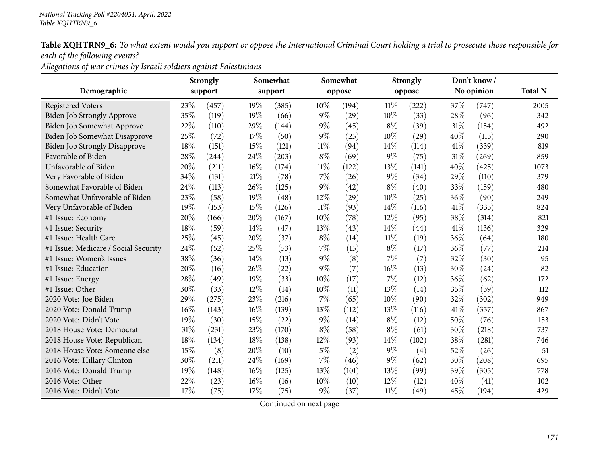*Allegations of war crimes by Israeli soldiers against Palestinians*

| Demographic                          | <b>Strongly</b><br>support |       |      | Somewhat<br>support |        | Somewhat<br>oppose |        | <b>Strongly</b><br>oppose |      | Don't know/<br>No opinion |      |
|--------------------------------------|----------------------------|-------|------|---------------------|--------|--------------------|--------|---------------------------|------|---------------------------|------|
| <b>Registered Voters</b>             | 23\%                       | (457) | 19%  | (385)               | 10%    | (194)              | 11%    | (222)                     | 37%  | (747)                     | 2005 |
| Biden Job Strongly Approve           | 35%                        | (119) | 19%  | (66)                | $9\%$  | (29)               | 10%    | (33)                      | 28%  | (96)                      | 342  |
| Biden Job Somewhat Approve           | 22%                        | (110) | 29%  | (144)               | $9\%$  | (45)               | $8\%$  | (39)                      | 31%  | (154)                     | 492  |
| Biden Job Somewhat Disapprove        | 25%                        | (72)  | 17%  | (50)                | $9\%$  | (25)               | 10%    | (29)                      | 40%  | (115)                     | 290  |
| <b>Biden Job Strongly Disapprove</b> | 18%                        | (151) | 15%  | (121)               | $11\%$ | (94)               | 14%    | (114)                     | 41\% | (339)                     | 819  |
| Favorable of Biden                   | 28%                        | (244) | 24%  | (203)               | $8\%$  | (69)               | $9\%$  | (75)                      | 31%  | (269)                     | 859  |
| Unfavorable of Biden                 | 20%                        | (211) | 16%  | (174)               | $11\%$ | (122)              | 13%    | (141)                     | 40%  | (425)                     | 1073 |
| Very Favorable of Biden              | 34%                        | (131) | 21%  | (78)                | 7%     | (26)               | $9\%$  | (34)                      | 29%  | (110)                     | 379  |
| Somewhat Favorable of Biden          | 24\%                       | (113) | 26%  | (125)               | $9\%$  | $\left( 42\right)$ | $8\%$  | (40)                      | 33%  | (159)                     | 480  |
| Somewhat Unfavorable of Biden        | 23%                        | (58)  | 19%  | (48)                | 12%    | $\left( 29\right)$ | 10%    | (25)                      | 36%  | (90)                      | 249  |
| Very Unfavorable of Biden            | 19%                        | (153) | 15%  | (126)               | $11\%$ | (93)               | 14%    | (116)                     | 41\% | (335)                     | 824  |
| #1 Issue: Economy                    | 20%                        | (166) | 20%  | (167)               | 10%    | (78)               | 12%    | (95)                      | 38%  | (314)                     | 821  |
| #1 Issue: Security                   | 18%                        | (59)  | 14\% | (47)                | 13%    | (43)               | 14\%   | (44)                      | 41\% | (136)                     | 329  |
| #1 Issue: Health Care                | 25%                        | (45)  | 20%  | (37)                | $8\%$  | (14)               | $11\%$ | (19)                      | 36%  | (64)                      | 180  |
| #1 Issue: Medicare / Social Security | 24%                        | (52)  | 25%  | (53)                | 7%     | (15)               | $8\%$  | (17)                      | 36%  | (77)                      | 214  |
| #1 Issue: Women's Issues             | 38%                        | (36)  | 14%  | (13)                | $9\%$  | (8)                | 7%     | (7)                       | 32%  | (30)                      | 95   |
| #1 Issue: Education                  | 20%                        | (16)  | 26%  | (22)                | $9\%$  | (7)                | 16%    | (13)                      | 30%  | (24)                      | 82   |
| #1 Issue: Energy                     | 28%                        | (49)  | 19%  | (33)                | 10%    | (17)               | 7%     | (12)                      | 36%  | (62)                      | 172  |
| #1 Issue: Other                      | 30%                        | (33)  | 12%  | (14)                | $10\%$ | (11)               | 13%    | (14)                      | 35%  | (39)                      | 112  |
| 2020 Vote: Joe Biden                 | 29%                        | (275) | 23%  | (216)               | 7%     | (65)               | 10%    | (90)                      | 32%  | (302)                     | 949  |
| 2020 Vote: Donald Trump              | 16%                        | (143) | 16%  | (139)               | 13%    | (112)              | 13%    | (116)                     | 41\% | (357)                     | 867  |
| 2020 Vote: Didn't Vote               | 19%                        | (30)  | 15%  | (22)                | $9\%$  | (14)               | $8\%$  | (12)                      | 50%  | (76)                      | 153  |
| 2018 House Vote: Democrat            | 31%                        | (231) | 23%  | (170)               | $8\%$  | (58)               | $8\%$  | (61)                      | 30%  | (218)                     | 737  |
| 2018 House Vote: Republican          | 18%                        | (134) | 18%  | (138)               | 12%    | (93)               | 14%    | (102)                     | 38%  | (281)                     | 746  |
| 2018 House Vote: Someone else        | 15%                        | (8)   | 20%  | (10)                | $5\%$  | (2)                | $9\%$  | (4)                       | 52%  | (26)                      | 51   |
| 2016 Vote: Hillary Clinton           | 30%                        | (211) | 24%  | (169)               | 7%     | (46)               | $9\%$  | (62)                      | 30%  | (208)                     | 695  |
| 2016 Vote: Donald Trump              | 19%                        | (148) | 16%  | (125)               | 13%    | (101)              | 13%    | (99)                      | 39%  | (305)                     | 778  |
| 2016 Vote: Other                     | 22%                        | (23)  | 16%  | (16)                | 10%    | (10)               | 12%    | (12)                      | 40%  | (41)                      | 102  |
| 2016 Vote: Didn't Vote               | 17%                        | (75)  | 17%  | (75)                | $9\%$  | (37)               | $11\%$ | (49)                      | 45%  | (194)                     | 429  |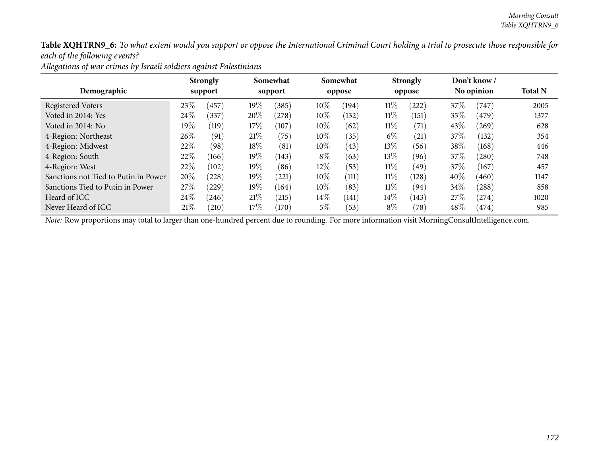|--|

| Demographic                          | <b>Strongly</b><br>support |            | Somewhat<br>support |                       |        | Somewhat<br>oppose |        | <b>Strongly</b><br>oppose | Don't know /<br>No opinion | <b>Total N</b> |      |
|--------------------------------------|----------------------------|------------|---------------------|-----------------------|--------|--------------------|--------|---------------------------|----------------------------|----------------|------|
| <b>Registered Voters</b>             | 23\%                       | (457)      | $19\%$              | (385)                 | $10\%$ | (194)              | $11\%$ | 222                       | 37\%                       | (747)          | 2005 |
| Voted in 2014: Yes                   | 24%                        | (337)      | 20%                 | (278)                 | $10\%$ | (132)              | $11\%$ | (151)                     | $35\%$                     | (479)          | 1377 |
| Voted in 2014: No                    | $19\%$                     | (119)      | $17\%$              | (107)                 | $10\%$ | (62)               | $11\%$ | (71)                      | 43\%                       | (269)          | 628  |
| 4-Region: Northeast                  | $26\%$                     | (91)       | 21%                 | (75)                  | $10\%$ | (35)               | $6\%$  | (21)                      | 37%                        | (132)          | 354  |
| 4-Region: Midwest                    | 22%                        | (98)       | 18\%                | (81)                  | $10\%$ | (43)               | $13\%$ | (56)                      | 38%                        | (168)          | 446  |
| 4-Region: South                      | 22%                        | (166)      | $19\%$              | (143)                 | $8\%$  | (63)               | $13\%$ | (96)                      | 37\%                       | (280)          | 748  |
| 4-Region: West                       | 22\%                       | (102)      | $19\%$              | (86)                  | 12%    | (53)               | $11\%$ | (49)                      | 37\%                       | (167)          | 457  |
| Sanctions not Tied to Putin in Power | 20%                        | (228)      | $19\%$              | $\langle 221 \rangle$ | $10\%$ | (111)              | $11\%$ | (128)                     | 40%                        | (460)          | 1147 |
| Sanctions Tied to Putin in Power     | $27\%$                     | $^{'}229)$ | $19\%$              | (164)                 | $10\%$ | (83)               | $11\%$ | (94)                      | 34%                        | (288)          | 858  |
| Heard of ICC                         | $24\%$                     | (246)      | 21%                 | (215)                 | $14\%$ | (141)              | $14\%$ | (143)                     | 27\%                       | (274)          | 1020 |
| Never Heard of ICC                   | 21%                        | (210)      | $17\%$              | (170)                 | 5%     | (53)               | $8\%$  | (78)                      | 48\%                       | (474)          | 985  |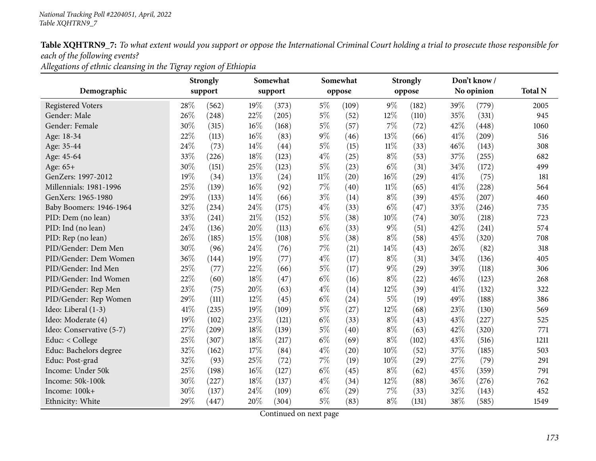*Allegations of ethnic cleansing in the Tigray region of Ethiopia*

| Demographic              |      | <b>Strongly</b><br>support |        | Somewhat<br>support |        | Somewhat<br>oppose |        | <b>Strongly</b><br>oppose | Don't know/<br>No opinion | <b>Total N</b> |      |
|--------------------------|------|----------------------------|--------|---------------------|--------|--------------------|--------|---------------------------|---------------------------|----------------|------|
| <b>Registered Voters</b> | 28\% | (562)                      | 19%    | (373)               | $5\%$  | (109)              | $9\%$  | (182)                     | 39%                       | (779)          | 2005 |
| Gender: Male             | 26%  | (248)                      | 22%    | (205)               | $5\%$  | (52)               | 12%    | (110)                     | 35%                       | (331)          | 945  |
| Gender: Female           | 30%  | (315)                      | 16%    | (168)               | $5\%$  | (57)               | 7%     | (72)                      | 42%                       | (448)          | 1060 |
| Age: 18-34               | 22%  | (113)                      | 16%    | (83)                | $9\%$  | (46)               | 13%    | (66)                      | 41%                       | (209)          | 516  |
| Age: 35-44               | 24%  | (73)                       | 14%    | (44)                | $5\%$  | (15)               | $11\%$ | (33)                      | 46%                       | (143)          | 308  |
| Age: 45-64               | 33%  | (226)                      | 18%    | (123)               | $4\%$  | (25)               | $8\%$  | (53)                      | 37%                       | (255)          | 682  |
| Age: 65+                 | 30%  | (151)                      | 25%    | (123)               | $5\%$  | (23)               | $6\%$  | (31)                      | 34%                       | (172)          | 499  |
| GenZers: 1997-2012       | 19%  | (34)                       | 13%    | (24)                | $11\%$ | (20)               | 16%    | (29)                      | 41\%                      | (75)           | 181  |
| Millennials: 1981-1996   | 25%  | (139)                      | 16%    | (92)                | 7%     | (40)               | $11\%$ | (65)                      | 41\%                      | (228)          | 564  |
| GenXers: 1965-1980       | 29%  | (133)                      | 14%    | (66)                | $3\%$  | (14)               | $8\%$  | (39)                      | 45%                       | (207)          | 460  |
| Baby Boomers: 1946-1964  | 32%  | (234)                      | 24%    | (175)               | $4\%$  | (33)               | $6\%$  | (47)                      | 33%                       | (246)          | 735  |
| PID: Dem (no lean)       | 33%  | (241)                      | $21\%$ | (152)               | $5\%$  | (38)               | 10%    | (74)                      | 30%                       | (218)          | 723  |
| PID: Ind (no lean)       | 24%  | (136)                      | 20%    | (113)               | $6\%$  | (33)               | $9\%$  | (51)                      | 42%                       | (241)          | 574  |
| PID: Rep (no lean)       | 26%  | (185)                      | 15%    | (108)               | $5\%$  | (38)               | $8\%$  | (58)                      | 45%                       | (320)          | 708  |
| PID/Gender: Dem Men      | 30%  | (96)                       | 24%    | (76)                | 7%     | (21)               | 14%    | (43)                      | 26%                       | (82)           | 318  |
| PID/Gender: Dem Women    | 36%  | (144)                      | 19%    | (77)                | $4\%$  | (17)               | $8\%$  | (31)                      | 34%                       | (136)          | 405  |
| PID/Gender: Ind Men      | 25%  | (77)                       | 22%    | (66)                | $5\%$  | (17)               | $9\%$  | (29)                      | 39%                       | (118)          | 306  |
| PID/Gender: Ind Women    | 22%  | (60)                       | 18%    | (47)                | $6\%$  | (16)               | $8\%$  | (22)                      | 46%                       | (123)          | 268  |
| PID/Gender: Rep Men      | 23%  | (75)                       | 20%    | (63)                | $4\%$  | (14)               | 12%    | (39)                      | 41\%                      | (132)          | 322  |
| PID/Gender: Rep Women    | 29%  | (111)                      | 12%    | (45)                | $6\%$  | (24)               | $5\%$  | (19)                      | 49%                       | (188)          | 386  |
| Ideo: Liberal (1-3)      | 41\% | (235)                      | 19%    | (109)               | $5\%$  | (27)               | 12%    | (68)                      | 23%                       | (130)          | 569  |
| Ideo: Moderate (4)       | 19%  | (102)                      | 23%    | (121)               | $6\%$  | (33)               | $8\%$  | (43)                      | 43%                       | (227)          | 525  |
| Ideo: Conservative (5-7) | 27%  | (209)                      | 18%    | (139)               | $5\%$  | (40)               | $8\%$  | (63)                      | 42%                       | (320)          | 771  |
| Educ: < College          | 25%  | (307)                      | 18%    | (217)               | $6\%$  | (69)               | $8\%$  | (102)                     | 43%                       | (516)          | 1211 |
| Educ: Bachelors degree   | 32%  | (162)                      | 17%    | (84)                | $4\%$  | (20)               | 10%    | (52)                      | 37%                       | (185)          | 503  |
| Educ: Post-grad          | 32%  | (93)                       | 25%    | (72)                | 7%     | (19)               | 10%    | (29)                      | 27%                       | (79)           | 291  |
| Income: Under 50k        | 25%  | (198)                      | 16%    | (127)               | $6\%$  | (45)               | $8\%$  | (62)                      | 45%                       | (359)          | 791  |
| Income: 50k-100k         | 30%  | (227)                      | 18%    | (137)               | $4\%$  | (34)               | 12%    | (88)                      | 36%                       | (276)          | 762  |
| Income: 100k+            | 30%  | (137)                      | 24%    | (109)               | $6\%$  | (29)               | 7%     | (33)                      | 32%                       | (143)          | 452  |
| Ethnicity: White         | 29%  | (447)                      | 20%    | (304)               | $5\%$  | (83)               | $8\%$  | (131)                     | 38%                       | (585)          | 1549 |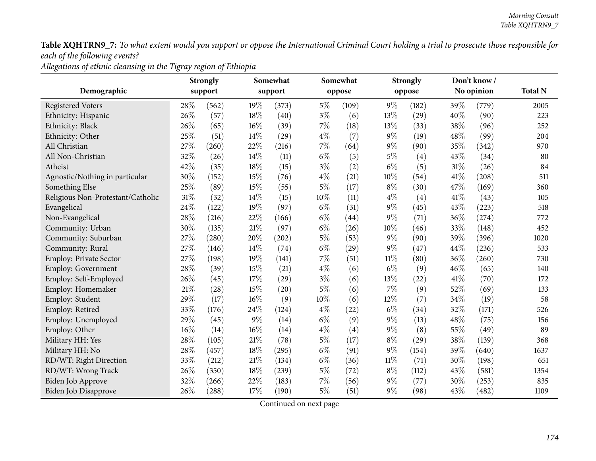*Allegations of ethnic cleansing in the Tigray region of Ethiopia*

|                                   | <b>Strongly</b> |         |       | Somewhat |       | Somewhat           |        | <b>Strongly</b> | Don't know/ | <b>Total N</b> |      |  |
|-----------------------------------|-----------------|---------|-------|----------|-------|--------------------|--------|-----------------|-------------|----------------|------|--|
| Demographic                       |                 | support |       | support  |       | oppose             |        | oppose          |             | No opinion     |      |  |
| <b>Registered Voters</b>          | 28\%            | (562)   | 19%   | (373)    | $5\%$ | (109)              | $9\%$  | (182)           | 39%         | (779)          | 2005 |  |
| Ethnicity: Hispanic               | 26\%            | (57)    | 18%   | (40)     | $3\%$ | (6)                | 13%    | (29)            | 40%         | (90)           | 223  |  |
| Ethnicity: Black                  | 26%             | (65)    | 16%   | (39)     | $7\%$ | (18)               | 13%    | (33)            | 38%         | (96)           | 252  |  |
| Ethnicity: Other                  | 25%             | (51)    | 14%   | (29)     | $4\%$ | (7)                | $9\%$  | (19)            | 48%         | (99)           | 204  |  |
| All Christian                     | 27%             | (260)   | 22%   | (216)    | 7%    | (64)               | $9\%$  | (90)            | 35%         | (342)          | 970  |  |
| All Non-Christian                 | 32%             | (26)    | 14%   | (11)     | $6\%$ | (5)                | $5\%$  | (4)             | 43%         | (34)           | 80   |  |
| Atheist                           | 42%             | (35)    | 18%   | (15)     | $3\%$ | (2)                | $6\%$  | (5)             | $31\%$      | (26)           | 84   |  |
| Agnostic/Nothing in particular    | 30%             | (152)   | 15%   | (76)     | $4\%$ | (21)               | 10%    | (54)            | 41\%        | (208)          | 511  |  |
| Something Else                    | 25%             | (89)    | 15%   | (55)     | $5\%$ | (17)               | $8\%$  | (30)            | 47%         | (169)          | 360  |  |
| Religious Non-Protestant/Catholic | $31\%$          | (32)    | 14%   | (15)     | 10%   | (11)               | $4\%$  | (4)             | 41\%        | (43)           | 105  |  |
| Evangelical                       | 24\%            | (122)   | 19%   | (97)     | $6\%$ | (31)               | $9\%$  | (45)            | 43%         | (223)          | 518  |  |
| Non-Evangelical                   | 28%             | (216)   | 22%   | (166)    | $6\%$ | (44)               | $9\%$  | (71)            | 36%         | (274)          | 772  |  |
| Community: Urban                  | 30%             | (135)   | 21%   | (97)     | $6\%$ | (26)               | 10%    | (46)            | 33%         | (148)          | 452  |  |
| Community: Suburban               | 27\%            | (280)   | 20%   | (202)    | $5\%$ | (53)               | $9\%$  | (90)            | 39%         | (396)          | 1020 |  |
| Community: Rural                  | 27%             | (146)   | 14%   | (74)     | $6\%$ | $\left( 29\right)$ | $9\%$  | (47)            | 44%         | (236)          | 533  |  |
| <b>Employ: Private Sector</b>     | 27%             | (198)   | 19%   | (141)    | 7%    | (51)               | $11\%$ | (80)            | 36%         | (260)          | 730  |  |
| <b>Employ: Government</b>         | 28%             | (39)    | 15%   | (21)     | $4\%$ | (6)                | $6\%$  | (9)             | 46%         | (65)           | 140  |  |
| Employ: Self-Employed             | 26%             | (45)    | 17%   | (29)     | $3\%$ | (6)                | 13%    | (22)            | 41\%        | (70)           | 172  |  |
| Employ: Homemaker                 | $21\%$          | (28)    | 15%   | (20)     | $5\%$ | (6)                | 7%     | (9)             | 52%         | (69)           | 133  |  |
| Employ: Student                   | 29%             | (17)    | 16%   | (9)      | 10%   | (6)                | 12%    | (7)             | 34%         | (19)           | 58   |  |
| Employ: Retired                   | 33%             | (176)   | 24\%  | (124)    | $4\%$ | (22)               | $6\%$  | (34)            | 32%         | (171)          | 526  |  |
| Employ: Unemployed                | 29%             | (45)    | $9\%$ | (14)     | $6\%$ | (9)                | $9\%$  | (13)            | 48%         | (75)           | 156  |  |
| Employ: Other                     | 16%             | (14)    | 16%   | (14)     | $4\%$ | (4)                | $9\%$  | (8)             | 55%         | (49)           | 89   |  |
| Military HH: Yes                  | 28\%            | (105)   | 21\%  | (78)     | $5\%$ | (17)               | $8\%$  | (29)            | 38%         | (139)          | 368  |  |
| Military HH: No                   | 28\%            | (457)   | 18%   | (295)    | $6\%$ | (91)               | $9\%$  | (154)           | 39%         | (640)          | 1637 |  |
| RD/WT: Right Direction            | 33%             | (212)   | 21%   | (134)    | $6\%$ | (36)               | $11\%$ | (71)            | 30%         | (198)          | 651  |  |
| RD/WT: Wrong Track                | 26\%            | (350)   | 18%   | (239)    | $5\%$ | (72)               | $8\%$  | (112)           | 43%         | (581)          | 1354 |  |
| <b>Biden Job Approve</b>          | 32%             | (266)   | 22%   | (183)    | $7\%$ | (56)               | $9\%$  | (77)            | 30%         | (253)          | 835  |  |
| Biden Job Disapprove              | 26\%            | (288)   | 17%   | (190)    | $5\%$ | (51)               | $9\%$  | (98)            | 43%         | (482)          | 1109 |  |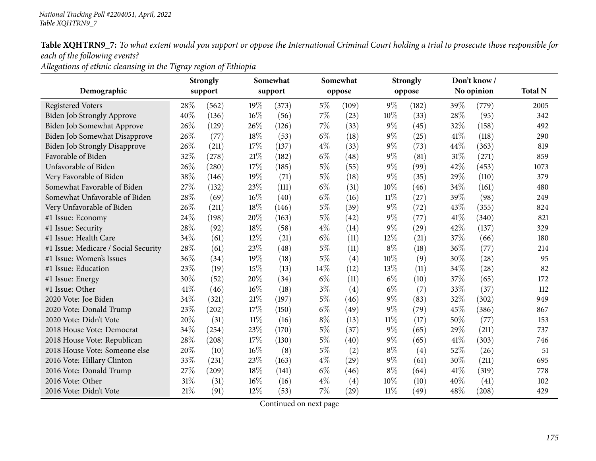*Allegations of ethnic cleansing in the Tigray region of Ethiopia*

| Demographic                          | <b>Strongly</b><br>support |       |        | Somewhat<br>support |        | Somewhat<br>oppose |        | <b>Strongly</b><br>oppose |      | Don't know /<br>No opinion | <b>Total N</b> |
|--------------------------------------|----------------------------|-------|--------|---------------------|--------|--------------------|--------|---------------------------|------|----------------------------|----------------|
| <b>Registered Voters</b>             | 28%                        | (562) | 19%    | (373)               | $5\%$  | (109)              | $9\%$  | (182)                     | 39%  | (779)                      | 2005           |
| Biden Job Strongly Approve           | 40%                        | (136) | 16%    | (56)                | $7\%$  | (23)               | 10%    | (33)                      | 28%  | (95)                       | 342            |
| Biden Job Somewhat Approve           | 26%                        | (129) | 26%    | (126)               | $7\%$  | (33)               | $9\%$  | (45)                      | 32%  | (158)                      | 492            |
| Biden Job Somewhat Disapprove        | 26%                        | (77)  | 18%    | (53)                | $6\%$  | (18)               | $9\%$  | (25)                      | 41\% | (118)                      | 290            |
| <b>Biden Job Strongly Disapprove</b> | 26%                        | (211) | 17%    | (137)               | $4\%$  | (33)               | $9\%$  | (73)                      | 44%  | (363)                      | 819            |
| Favorable of Biden                   | 32%                        | (278) | 21%    | (182)               | $6\%$  | (48)               | $9\%$  | (81)                      | 31%  | (271)                      | 859            |
| Unfavorable of Biden                 | 26%                        | (280) | 17%    | (185)               | $5\%$  | (55)               | $9\%$  | (99)                      | 42%  | (453)                      | 1073           |
| Very Favorable of Biden              | 38%                        | (146) | 19%    | (71)                | $5\%$  | (18)               | $9\%$  | (35)                      | 29%  | (110)                      | 379            |
| Somewhat Favorable of Biden          | 27%                        | (132) | 23%    | (111)               | $6\%$  | (31)               | 10%    | (46)                      | 34%  | (161)                      | 480            |
| Somewhat Unfavorable of Biden        | 28%                        | (69)  | 16%    | (40)                | $6\%$  | (16)               | $11\%$ | (27)                      | 39%  | (98)                       | 249            |
| Very Unfavorable of Biden            | 26%                        | (211) | 18%    | (146)               | $5\%$  | (39)               | $9\%$  | (72)                      | 43%  | (355)                      | 824            |
| #1 Issue: Economy                    | 24%                        | (198) | 20%    | (163)               | $5\%$  | (42)               | $9\%$  | (77)                      | 41\% | (340)                      | 821            |
| #1 Issue: Security                   | 28%                        | (92)  | 18%    | (58)                | $4\%$  | (14)               | $9\%$  | $\left( 29\right)$        | 42%  | (137)                      | 329            |
| #1 Issue: Health Care                | 34%                        | (61)  | 12%    | (21)                | $6\%$  | (11)               | 12%    | (21)                      | 37%  | (66)                       | 180            |
| #1 Issue: Medicare / Social Security | 28%                        | (61)  | 23%    | (48)                | $5\%$  | (11)               | $8\%$  | (18)                      | 36%  | (77)                       | 214            |
| #1 Issue: Women's Issues             | 36%                        | (34)  | 19%    | (18)                | $5\%$  | $\left( 4\right)$  | 10%    | (9)                       | 30%  | (28)                       | 95             |
| #1 Issue: Education                  | 23%                        | (19)  | 15%    | (13)                | $14\%$ | (12)               | 13%    | (11)                      | 34%  | (28)                       | 82             |
| #1 Issue: Energy                     | 30%                        | (52)  | 20%    | (34)                | $6\%$  | (11)               | $6\%$  | (10)                      | 37%  | (65)                       | 172            |
| #1 Issue: Other                      | 41\%                       | (46)  | 16%    | (18)                | $3\%$  | $\left( 4\right)$  | $6\%$  | (7)                       | 33%  | (37)                       | 112            |
| 2020 Vote: Joe Biden                 | 34%                        | (321) | 21%    | (197)               | $5\%$  | (46)               | $9\%$  | (83)                      | 32%  | (302)                      | 949            |
| 2020 Vote: Donald Trump              | 23%                        | (202) | 17%    | (150)               | $6\%$  | (49)               | $9\%$  | (79)                      | 45%  | (386)                      | 867            |
| 2020 Vote: Didn't Vote               | 20%                        | (31)  | $11\%$ | (16)                | $8\%$  | (13)               | $11\%$ | (17)                      | 50%  | (77)                       | 153            |
| 2018 House Vote: Democrat            | 34%                        | (254) | 23%    | (170)               | $5\%$  | (37)               | $9\%$  | (65)                      | 29%  | (211)                      | 737            |
| 2018 House Vote: Republican          | 28%                        | (208) | 17%    | (130)               | $5\%$  | (40)               | $9\%$  | (65)                      | 41\% | (303)                      | 746            |
| 2018 House Vote: Someone else        | 20%                        | (10)  | 16%    | (8)                 | $5\%$  | (2)                | $8\%$  | (4)                       | 52%  | (26)                       | 51             |
|                                      | 33%                        |       | 23%    |                     | $4\%$  |                    | $9\%$  |                           | 30%  |                            |                |
| 2016 Vote: Hillary Clinton           |                            | (231) |        | (163)               |        | (29)               | $8\%$  | (61)                      |      | (211)                      | 695            |
| 2016 Vote: Donald Trump              | 27%                        | (209) | 18%    | (141)               | $6\%$  | (46)               |        | (64)                      | 41%  | (319)                      | 778            |
| 2016 Vote: Other                     | 31%                        | (31)  | 16%    | (16)                | $4\%$  | (4)                | 10%    | (10)                      | 40%  | (41)                       | 102            |
| 2016 Vote: Didn't Vote               | 21%                        | (91)  | 12%    | (53)                | 7%     | (29)               | $11\%$ | (49)                      | 48%  | (208)                      | 429            |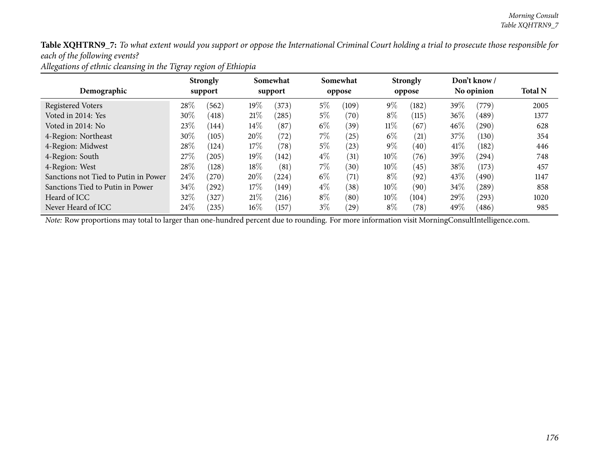|  | Allegations of ethnic cleansing in the Tigray region of Ethiopia |
|--|------------------------------------------------------------------|
|--|------------------------------------------------------------------|

|                                      |        | <b>Strongly</b> |        | Somewhat |       | Somewhat           |        | <b>Strongly</b> |        | Don't know / |                |
|--------------------------------------|--------|-----------------|--------|----------|-------|--------------------|--------|-----------------|--------|--------------|----------------|
| Demographic                          |        | support         |        | support  |       | oppose             |        | oppose          |        | No opinion   | <b>Total N</b> |
| <b>Registered Voters</b>             | 28\%   | (562)           | $19\%$ | (373)    | 5%    | (109)              | $9\%$  | (182)           | 39\%   | (779)        | 2005           |
| Voted in 2014: Yes                   | $30\%$ | (418)           | 21%    | (285)    | $5\%$ | (70)               | $8\%$  | (115)           | $36\%$ | (489)        | 1377           |
| Voted in 2014: No                    | 23\%   | (144)           | 14%    | (87      | $6\%$ | (39)               | $11\%$ | (67)            | $46\%$ | (290)        | 628            |
| 4-Region: Northeast                  | 30%    | (105)           | 20%    | (72)     | $7\%$ | (25)               | $6\%$  | (21)            | 37%    | (130)        | 354            |
| 4-Region: Midwest                    | 28\%   | (124)           | 17\%   | (78)     | $5\%$ | (23)               | $9\%$  | (40)            | 41\%   | (182)        | 446            |
| 4-Region: South                      | 27%    | (205)           | $19\%$ | (142)    | $4\%$ | (31)               | $10\%$ | (76)            | 39%    | $^{(294)}$   | 748            |
| 4-Region: West                       | 28\%   | (128)           | 18%    | (81)     | $7\%$ | (30)               | 10\%   | (45)            | 38\%   | (173)        | 457            |
| Sanctions not Tied to Putin in Power | 24\%   | (270)           | 20%    | (224)    | $6\%$ | (71)               | $8\%$  | (92)            | 43\%   | (490)        | 1147           |
| Sanctions Tied to Putin in Power     | $34\%$ | (292)           | $17\%$ | (149)    | $4\%$ | (38)               | $10\%$ | (90)            | 34%    | (289)        | 858            |
| Heard of ICC                         | 32%    | (327)           | 21%    | (216)    | $8\%$ | (80)               | $10\%$ | (104)           | 29%    | (293)        | 1020           |
| Never Heard of ICC                   | $24\%$ | (235)           | $16\%$ | 157      | $3\%$ | $\left( 29\right)$ | $8\%$  | (78)            | 49\%   | (486)        | 985            |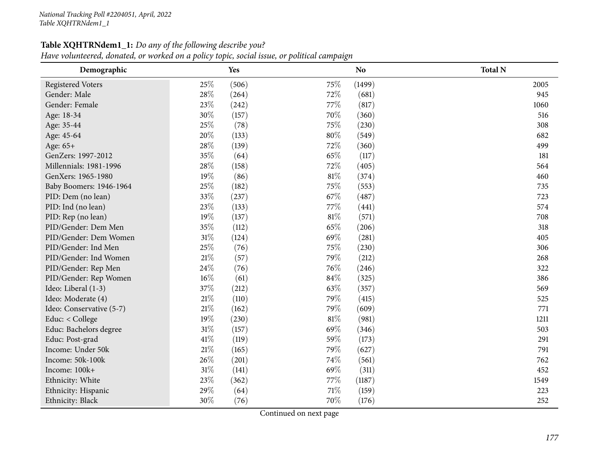# **Table XQHTRNdem1\_1:** *Do any of the following describe you?*

Have volunteered, donated, or worked on a policy topic, social issue, or political campaign

| Demographic              |     | Yes   |        | <b>No</b> | <b>Total N</b> |
|--------------------------|-----|-------|--------|-----------|----------------|
| <b>Registered Voters</b> | 25% | (506) | 75\%   | (1499)    | 2005           |
| Gender: Male             | 28% | (264) | 72\%   | (681)     | 945            |
| Gender: Female           | 23% | (242) | 77\%   | (817)     | 1060           |
| Age: 18-34               | 30% | (157) | 70%    | (360)     | 516            |
| Age: 35-44               | 25% | (78)  | 75%    | (230)     | 308            |
| Age: 45-64               | 20% | (133) | 80%    | (549)     | 682            |
| Age: 65+                 | 28% | (139) | 72%    | (360)     | 499            |
| GenZers: 1997-2012       | 35% | (64)  | 65%    | (117)     | 181            |
| Millennials: 1981-1996   | 28% | (158) | 72%    | (405)     | 564            |
| GenXers: 1965-1980       | 19% | (86)  | $81\%$ | (374)     | 460            |
| Baby Boomers: 1946-1964  | 25% | (182) | 75%    | (553)     | 735            |
| PID: Dem (no lean)       | 33% | (237) | 67%    | (487)     | 723            |
| PID: Ind (no lean)       | 23% | (133) | 77%    | (441)     | 574            |
| PID: Rep (no lean)       | 19% | (137) | $81\%$ | (571)     | 708            |
| PID/Gender: Dem Men      | 35% | (112) | 65%    | (206)     | 318            |
| PID/Gender: Dem Women    | 31% | (124) | 69%    | (281)     | 405            |
| PID/Gender: Ind Men      | 25% | (76)  | 75%    | (230)     | 306            |
| PID/Gender: Ind Women    | 21% | (57)  | 79%    | (212)     | 268            |
| PID/Gender: Rep Men      | 24% | (76)  | 76%    | (246)     | 322            |
| PID/Gender: Rep Women    | 16% | (61)  | 84%    | (325)     | 386            |
| Ideo: Liberal (1-3)      | 37% | (212) | 63%    | (357)     | 569            |
| Ideo: Moderate (4)       | 21% | (110) | 79%    | (415)     | 525            |
| Ideo: Conservative (5-7) | 21% | (162) | 79%    | (609)     | 771            |
| Educ: < College          | 19% | (230) | 81%    | (981)     | 1211           |
| Educ: Bachelors degree   | 31% | (157) | 69%    | (346)     | 503            |
| Educ: Post-grad          | 41% | (119) | 59%    | (173)     | 291            |
| Income: Under 50k        | 21% | (165) | 79%    | (627)     | 791            |
| Income: 50k-100k         | 26% | (201) | 74%    | (561)     | 762            |
| Income: 100k+            | 31% | (141) | 69%    | (311)     | 452            |
| Ethnicity: White         | 23% | (362) | 77%    | (1187)    | 1549           |
| Ethnicity: Hispanic      | 29% | (64)  | 71%    | (159)     | 223            |
| Ethnicity: Black         | 30% | (76)  | 70%    | (176)     | 252            |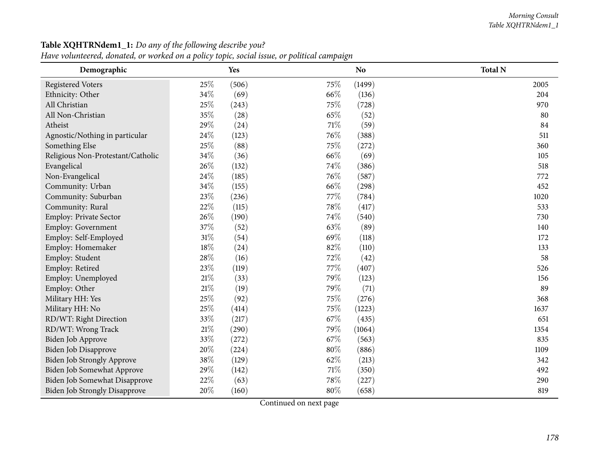#### *Morning Consult Table XQHTRNdem1\_1*

| Demographic                          |     | Yes   |        | N <sub>o</sub> | <b>Total N</b> |
|--------------------------------------|-----|-------|--------|----------------|----------------|
| <b>Registered Voters</b>             | 25% | (506) | 75\%   | (1499)         | 2005           |
| Ethnicity: Other                     | 34% | (69)  | 66%    | (136)          | 204            |
| All Christian                        | 25% | (243) | 75%    | (728)          | 970            |
| All Non-Christian                    | 35% | (28)  | 65%    | (52)           | 80             |
| Atheist                              | 29% | (24)  | $71\%$ | (59)           | 84             |
| Agnostic/Nothing in particular       | 24% | (123) | 76%    | (388)          | 511            |
| Something Else                       | 25% | (88)  | 75%    | (272)          | 360            |
| Religious Non-Protestant/Catholic    | 34% | (36)  | 66%    | (69)           | 105            |
| Evangelical                          | 26% | (132) | 74%    | (386)          | 518            |
| Non-Evangelical                      | 24% | (185) | 76%    | (587)          | 772            |
| Community: Urban                     | 34% | (155) | 66%    | (298)          | 452            |
| Community: Suburban                  | 23% | (236) | 77%    | (784)          | 1020           |
| Community: Rural                     | 22% | (115) | 78\%   | (417)          | 533            |
| Employ: Private Sector               | 26% | (190) | 74%    | (540)          | 730            |
| Employ: Government                   | 37% | (52)  | 63%    | (89)           | 140            |
| Employ: Self-Employed                | 31% | (54)  | 69%    | (118)          | 172            |
| Employ: Homemaker                    | 18% | (24)  | 82%    | (110)          | 133            |
| Employ: Student                      | 28% | (16)  | 72%    | (42)           | 58             |
| Employ: Retired                      | 23% | (119) | 77%    | (407)          | 526            |
| Employ: Unemployed                   | 21% | (33)  | 79%    | (123)          | 156            |
| Employ: Other                        | 21% | (19)  | 79%    | (71)           | 89             |
| Military HH: Yes                     | 25% | (92)  | 75%    | (276)          | 368            |
| Military HH: No                      | 25% | (414) | 75%    | (1223)         | 1637           |
| RD/WT: Right Direction               | 33% | (217) | 67%    | (435)          | 651            |
| RD/WT: Wrong Track                   | 21% | (290) | 79%    | (1064)         | 1354           |
| Biden Job Approve                    | 33% | (272) | 67%    | (563)          | 835            |
| Biden Job Disapprove                 | 20% | (224) | $80\%$ | (886)          | 1109           |
| Biden Job Strongly Approve           | 38% | (129) | 62%    | (213)          | 342            |
| Biden Job Somewhat Approve           | 29% | (142) | $71\%$ | (350)          | 492            |
| Biden Job Somewhat Disapprove        | 22% | (63)  | 78\%   | (227)          | 290            |
| <b>Biden Job Strongly Disapprove</b> | 20% | (160) | $80\%$ | (658)          | 819            |

### **Table XQHTRNdem1\_1:** *Do any of the following describe you?*

Have volunteered, donated, or worked on a policy topic, social issue, or political campaign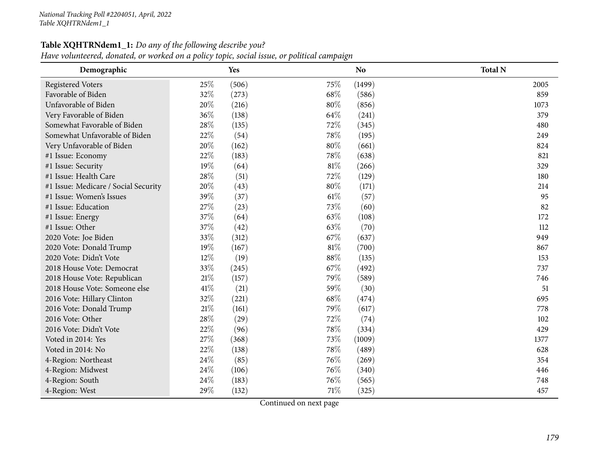# **Table XQHTRNdem1\_1:** *Do any of the following describe you?*

Have volunteered, donated, or worked on a policy topic, social issue, or political campaign

| Demographic                          |      | Yes   |        | <b>No</b> | <b>Total N</b> |
|--------------------------------------|------|-------|--------|-----------|----------------|
| <b>Registered Voters</b>             | 25%  | (506) | 75%    | (1499)    | 2005           |
| Favorable of Biden                   | 32%  | (273) | 68\%   | (586)     | 859            |
| Unfavorable of Biden                 | 20%  | (216) | 80%    | (856)     | 1073           |
| Very Favorable of Biden              | 36%  | (138) | 64%    | (241)     | 379            |
| Somewhat Favorable of Biden          | 28%  | (135) | 72%    | (345)     | 480            |
| Somewhat Unfavorable of Biden        | 22%  | (54)  | 78%    | (195)     | 249            |
| Very Unfavorable of Biden            | 20%  | (162) | 80%    | (661)     | 824            |
| #1 Issue: Economy                    | 22%  | (183) | 78%    | (638)     | 821            |
| #1 Issue: Security                   | 19%  | (64)  | 81%    | (266)     | 329            |
| #1 Issue: Health Care                | 28%  | (51)  | 72%    | (129)     | 180            |
| #1 Issue: Medicare / Social Security | 20%  | (43)  | 80%    | (171)     | 214            |
| #1 Issue: Women's Issues             | 39%  | (37)  | $61\%$ | (57)      | 95             |
| #1 Issue: Education                  | 27%  | (23)  | 73%    | (60)      | 82             |
| #1 Issue: Energy                     | 37%  | (64)  | 63%    | (108)     | 172            |
| #1 Issue: Other                      | 37%  | (42)  | 63%    | (70)      | 112            |
| 2020 Vote: Joe Biden                 | 33%  | (312) | 67%    | (637)     | 949            |
| 2020 Vote: Donald Trump              | 19%  | (167) | 81%    | (700)     | 867            |
| 2020 Vote: Didn't Vote               | 12%  | (19)  | 88%    | (135)     | 153            |
| 2018 House Vote: Democrat            | 33%  | (245) | 67\%   | (492)     | 737            |
| 2018 House Vote: Republican          | 21%  | (157) | 79%    | (589)     | 746            |
| 2018 House Vote: Someone else        | 41\% | (21)  | 59%    | (30)      | 51             |
| 2016 Vote: Hillary Clinton           | 32%  | (221) | 68\%   | (474)     | 695            |
| 2016 Vote: Donald Trump              | 21%  | (161) | 79%    | (617)     | 778            |
| 2016 Vote: Other                     | 28%  | (29)  | 72%    | (74)      | 102            |
| 2016 Vote: Didn't Vote               | 22%  | (96)  | 78%    | (334)     | 429            |
| Voted in 2014: Yes                   | 27%  | (368) | 73%    | (1009)    | 1377           |
| Voted in 2014: No                    | 22%  | (138) | 78%    | (489)     | 628            |
| 4-Region: Northeast                  | 24%  | (85)  | 76%    | (269)     | 354            |
| 4-Region: Midwest                    | 24%  | (106) | 76%    | (340)     | 446            |
| 4-Region: South                      | 24%  | (183) | 76%    | (565)     | 748            |
| 4-Region: West                       | 29%  | (132) | 71%    | (325)     | 457            |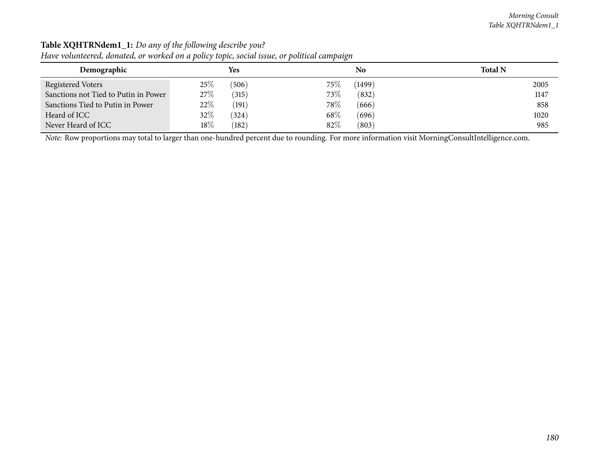|                                      |                 | $\bullet$     |                |
|--------------------------------------|-----------------|---------------|----------------|
| Demographic                          | Yes             | No            | <b>Total N</b> |
| <b>Registered Voters</b>             | $25\%$<br>(506) | (1499)<br>75% | 2005           |
| Sanctions not Tied to Putin in Power | 27\%<br>(315)   | 73\%<br>(832) | 1147           |
| Sanctions Tied to Putin in Power     | 22%<br>(191)    | 78\%<br>(666) | 858            |
| Heard of ICC                         | 32%<br>(324)    | 68\%<br>(696) | 1020           |
| Never Heard of ICC                   | $18\%$<br>(182) | 82%<br>(803)  | 985            |

### **Table XQHTRNdem1\_1:** *Do any of the following describe you?*

Have volunteered, donated, or worked on a policy topic, social issue, or political campaign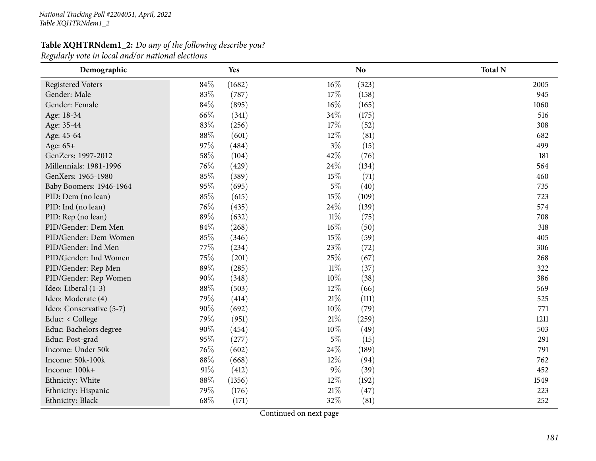### **Table XQHTRNdem1\_2:** *Do any of the following describe you?*

*Regularly vote in local and/or national elections*

| Demographic              |     | Yes    |        | N <sub>o</sub> | <b>Total N</b> |
|--------------------------|-----|--------|--------|----------------|----------------|
| <b>Registered Voters</b> | 84% | (1682) | $16\%$ | (323)          | 2005           |
| Gender: Male             | 83% | (787)  | 17%    | (158)          | 945            |
| Gender: Female           | 84% | (895)  | $16\%$ | (165)          | 1060           |
| Age: 18-34               | 66% | (341)  | 34%    | (175)          | 516            |
| Age: 35-44               | 83% | (256)  | 17%    | (52)           | 308            |
| Age: 45-64               | 88% | (601)  | 12%    | (81)           | 682            |
| Age: 65+                 | 97% | (484)  | $3\%$  | (15)           | 499            |
| GenZers: 1997-2012       | 58% | (104)  | 42%    | (76)           | 181            |
| Millennials: 1981-1996   | 76% | (429)  | 24\%   | (134)          | 564            |
| GenXers: 1965-1980       | 85% | (389)  | 15%    | (71)           | 460            |
| Baby Boomers: 1946-1964  | 95% | (695)  | $5\%$  | (40)           | 735            |
| PID: Dem (no lean)       | 85% | (615)  | 15%    | (109)          | 723            |
| PID: Ind (no lean)       | 76% | (435)  | 24\%   | (139)          | 574            |
| PID: Rep (no lean)       | 89% | (632)  | $11\%$ | (75)           | 708            |
| PID/Gender: Dem Men      | 84% | (268)  | $16\%$ | (50)           | 318            |
| PID/Gender: Dem Women    | 85% | (346)  | 15%    | (59)           | 405            |
| PID/Gender: Ind Men      | 77% | (234)  | 23%    | (72)           | 306            |
| PID/Gender: Ind Women    | 75% | (201)  | 25%    | (67)           | 268            |
| PID/Gender: Rep Men      | 89% | (285)  | $11\%$ | (37)           | 322            |
| PID/Gender: Rep Women    | 90% | (348)  | $10\%$ | (38)           | 386            |
| Ideo: Liberal (1-3)      | 88% | (503)  | 12%    | (66)           | 569            |
| Ideo: Moderate (4)       | 79% | (414)  | $21\%$ | (111)          | 525            |
| Ideo: Conservative (5-7) | 90% | (692)  | $10\%$ | (79)           | 771            |
| Educ: < College          | 79% | (951)  | $21\%$ | (259)          | 1211           |
| Educ: Bachelors degree   | 90% | (454)  | 10%    | (49)           | 503            |
| Educ: Post-grad          | 95% | (277)  | $5\%$  | (15)           | 291            |
| Income: Under 50k        | 76% | (602)  | 24\%   | (189)          | 791            |
| Income: 50k-100k         | 88% | (668)  | $12\%$ | (94)           | 762            |
| Income: 100k+            | 91% | (412)  | $9\%$  | (39)           | 452            |
| Ethnicity: White         | 88% | (1356) | 12%    | (192)          | 1549           |
| Ethnicity: Hispanic      | 79% | (176)  | 21%    | (47)           | 223            |
| Ethnicity: Black         | 68% | (171)  | 32%    | (81)           | 252            |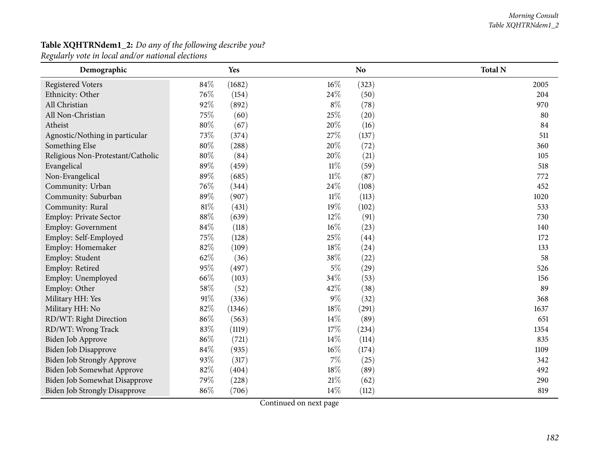#### *Morning Consult Table XQHTRNdem1\_2*

### **Table XQHTRNdem1\_2:** *Do any of the following describe you?*

*Regularly vote in local and/or national elections*

| Demographic                          |     | Yes    |        | <b>No</b> | <b>Total N</b> |
|--------------------------------------|-----|--------|--------|-----------|----------------|
| <b>Registered Voters</b>             | 84% | (1682) | $16\%$ | (323)     | 2005           |
| Ethnicity: Other                     | 76% | (154)  | 24\%   | (50)      | 204            |
| All Christian                        | 92% | (892)  | $8\%$  | (78)      | 970            |
| All Non-Christian                    | 75% | (60)   | 25%    | (20)      | 80             |
| Atheist                              | 80% | (67)   | 20%    | (16)      | 84             |
| Agnostic/Nothing in particular       | 73% | (374)  | 27%    | (137)     | 511            |
| Something Else                       | 80% | (288)  | 20%    | (72)      | 360            |
| Religious Non-Protestant/Catholic    | 80% | (84)   | 20%    | (21)      | 105            |
| Evangelical                          | 89% | (459)  | $11\%$ | (59)      | 518            |
| Non-Evangelical                      | 89% | (685)  | $11\%$ | (87)      | 772            |
| Community: Urban                     | 76% | (344)  | 24\%   | (108)     | 452            |
| Community: Suburban                  | 89% | (907)  | $11\%$ | (113)     | 1020           |
| Community: Rural                     | 81% | (431)  | 19%    | (102)     | 533            |
| Employ: Private Sector               | 88% | (639)  | 12%    | (91)      | 730            |
| <b>Employ: Government</b>            | 84% | (118)  | $16\%$ | (23)      | 140            |
| Employ: Self-Employed                | 75% | (128)  | 25%    | (44)      | 172            |
| Employ: Homemaker                    | 82% | (109)  | 18%    | (24)      | 133            |
| Employ: Student                      | 62% | (36)   | 38%    | (22)      | 58             |
| Employ: Retired                      | 95% | (497)  | $5\%$  | (29)      | 526            |
| Employ: Unemployed                   | 66% | (103)  | 34%    | (53)      | 156            |
| Employ: Other                        | 58% | (52)   | 42%    | (38)      | 89             |
| Military HH: Yes                     | 91% | (336)  | $9\%$  | (32)      | 368            |
| Military HH: No                      | 82% | (1346) | $18\%$ | (291)     | 1637           |
| RD/WT: Right Direction               | 86% | (563)  | 14\%   | (89)      | 651            |
| RD/WT: Wrong Track                   | 83% | (1119) | 17%    | (234)     | 1354           |
| Biden Job Approve                    | 86% | (721)  | 14%    | (114)     | 835            |
| Biden Job Disapprove                 | 84% | (935)  | $16\%$ | (174)     | 1109           |
| <b>Biden Job Strongly Approve</b>    | 93% | (317)  | $7\%$  | (25)      | 342            |
| Biden Job Somewhat Approve           | 82% | (404)  | 18%    | (89)      | 492            |
| Biden Job Somewhat Disapprove        | 79% | (228)  | 21\%   | (62)      | 290            |
| <b>Biden Job Strongly Disapprove</b> | 86% | (706)  | 14%    | (112)     | 819            |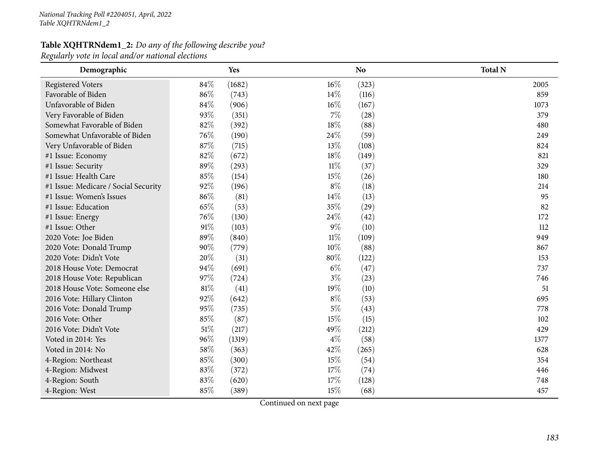## **Table XQHTRNdem1\_2:** *Do any of the following describe you?*

*Regularly vote in local and/or national elections*

| Demographic                          |        | Yes    |        | N <sub>o</sub> | <b>Total N</b> |
|--------------------------------------|--------|--------|--------|----------------|----------------|
| <b>Registered Voters</b>             | 84%    | (1682) | $16\%$ | (323)          | 2005           |
| Favorable of Biden                   | 86%    | (743)  | 14%    | (116)          | 859            |
| Unfavorable of Biden                 | 84%    | (906)  | $16\%$ | (167)          | 1073           |
| Very Favorable of Biden              | 93%    | (351)  | $7\%$  | (28)           | 379            |
| Somewhat Favorable of Biden          | 82%    | (392)  | 18%    | (88)           | 480            |
| Somewhat Unfavorable of Biden        | 76%    | (190)  | 24\%   | (59)           | 249            |
| Very Unfavorable of Biden            | 87%    | (715)  | 13%    | (108)          | 824            |
| #1 Issue: Economy                    | 82%    | (672)  | 18%    | (149)          | 821            |
| #1 Issue: Security                   | 89%    | (293)  | $11\%$ | (37)           | 329            |
| #1 Issue: Health Care                | 85%    | (154)  | 15%    | (26)           | 180            |
| #1 Issue: Medicare / Social Security | 92%    | (196)  | $8\%$  | (18)           | 214            |
| #1 Issue: Women's Issues             | 86%    | (81)   | 14\%   | (13)           | 95             |
| #1 Issue: Education                  | 65%    | (53)   | 35%    | (29)           | 82             |
| #1 Issue: Energy                     | 76%    | (130)  | 24\%   | (42)           | 172            |
| #1 Issue: Other                      | 91%    | (103)  | $9\%$  | (10)           | 112            |
| 2020 Vote: Joe Biden                 | 89%    | (840)  | $11\%$ | (109)          | 949            |
| 2020 Vote: Donald Trump              | 90%    | (779)  | $10\%$ | (88)           | 867            |
| 2020 Vote: Didn't Vote               | 20%    | (31)   | $80\%$ | (122)          | 153            |
| 2018 House Vote: Democrat            | 94%    | (691)  | $6\%$  | (47)           | 737            |
| 2018 House Vote: Republican          | 97%    | (724)  | $3\%$  | (23)           | 746            |
| 2018 House Vote: Someone else        | 81%    | (41)   | 19%    | (10)           | 51             |
| 2016 Vote: Hillary Clinton           | 92%    | (642)  | $8\%$  | (53)           | 695            |
| 2016 Vote: Donald Trump              | 95%    | (735)  | $5\%$  | (43)           | 778            |
| 2016 Vote: Other                     | 85%    | (87)   | 15%    | (15)           | 102            |
| 2016 Vote: Didn't Vote               | $51\%$ | (217)  | 49%    | (212)          | 429            |
| Voted in 2014: Yes                   | 96%    | (1319) | $4\%$  | (58)           | 1377           |
| Voted in 2014: No                    | 58%    | (363)  | 42%    | (265)          | 628            |
| 4-Region: Northeast                  | 85%    | (300)  | 15%    | (54)           | 354            |
| 4-Region: Midwest                    | 83%    | (372)  | 17%    | (74)           | 446            |
| 4-Region: South                      | 83%    | (620)  | 17%    | (128)          | 748            |
| 4-Region: West                       | 85%    | (389)  | 15%    | (68)           | 457            |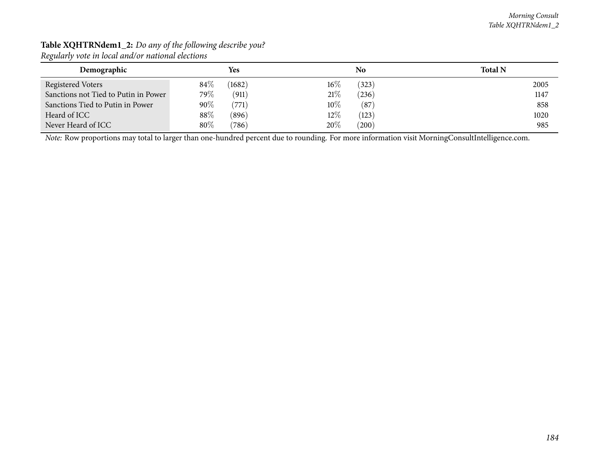| $\sim$ $\sim$<br>Demographic         |        | Yes    |        | No    | <b>Total N</b> |
|--------------------------------------|--------|--------|--------|-------|----------------|
| <b>Registered Voters</b>             | $84\%$ | (1682) | $16\%$ | (323) | 2005           |
| Sanctions not Tied to Putin in Power | 79%    | (911)  | 21%    | (236) | 1147           |
| Sanctions Tied to Putin in Power     | 90%    | (771)  | $10\%$ | (87)  | 858            |
| Heard of ICC                         | 88\%   | (896)  | 12%    | (123) | 1020           |
| Never Heard of ICC                   | 80%    | (786)  | 20%    | (200) | 985            |

#### **Table XQHTRNdem1\_2:** *Do any of the following describe you? Regularly vote in local and/or national elections*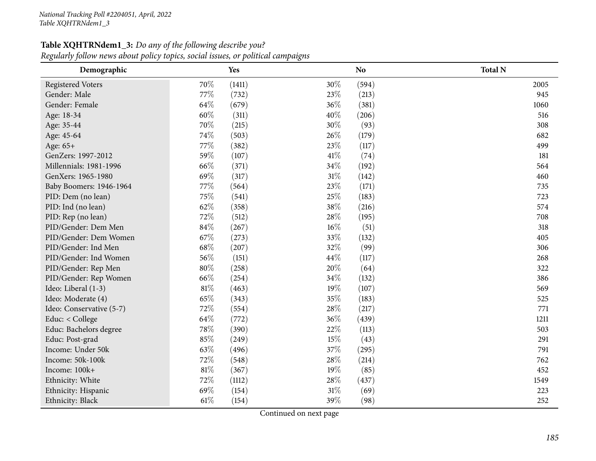## **Table XQHTRNdem1\_3:** *Do any of the following describe you?*

Regularly follow news about policy topics, social issues, or political campaigns

| Demographic              |        | Yes    |        | N <sub>o</sub> | <b>Total N</b> |
|--------------------------|--------|--------|--------|----------------|----------------|
| <b>Registered Voters</b> | 70%    | (1411) | 30%    | (594)          | 2005           |
| Gender: Male             | 77%    | (732)  | 23%    | (213)          | 945            |
| Gender: Female           | 64%    | (679)  | 36%    | (381)          | 1060           |
| Age: 18-34               | 60%    | (311)  | 40%    | (206)          | 516            |
| Age: 35-44               | 70%    | (215)  | 30%    | (93)           | 308            |
| Age: 45-64               | 74%    | (503)  | 26%    | (179)          | 682            |
| Age: 65+                 | 77%    | (382)  | 23%    | (117)          | 499            |
| GenZers: 1997-2012       | 59%    | (107)  | 41\%   | (74)           | 181            |
| Millennials: 1981-1996   | 66%    | (371)  | 34%    | (192)          | 564            |
| GenXers: 1965-1980       | 69%    | (317)  | 31%    | (142)          | 460            |
| Baby Boomers: 1946-1964  | 77%    | (564)  | 23%    | (171)          | 735            |
| PID: Dem (no lean)       | 75%    | (541)  | 25%    | (183)          | 723            |
| PID: Ind (no lean)       | 62%    | (358)  | 38%    | (216)          | 574            |
| PID: Rep (no lean)       | 72%    | (512)  | 28%    | (195)          | 708            |
| PID/Gender: Dem Men      | 84%    | (267)  | $16\%$ | (51)           | 318            |
| PID/Gender: Dem Women    | 67%    | (273)  | 33%    | (132)          | 405            |
| PID/Gender: Ind Men      | 68%    | (207)  | 32%    | (99)           | 306            |
| PID/Gender: Ind Women    | 56%    | (151)  | 44%    | (117)          | 268            |
| PID/Gender: Rep Men      | 80%    | (258)  | 20%    | (64)           | 322            |
| PID/Gender: Rep Women    | 66%    | (254)  | 34%    | (132)          | 386            |
| Ideo: Liberal (1-3)      | 81%    | (463)  | 19%    | (107)          | 569            |
| Ideo: Moderate (4)       | 65%    | (343)  | 35%    | (183)          | 525            |
| Ideo: Conservative (5-7) | 72%    | (554)  | 28%    | (217)          | 771            |
| Educ: < College          | 64%    | (772)  | 36%    | (439)          | 1211           |
| Educ: Bachelors degree   | 78%    | (390)  | 22%    | (113)          | 503            |
| Educ: Post-grad          | 85%    | (249)  | 15%    | (43)           | 291            |
| Income: Under 50k        | 63%    | (496)  | 37%    | (295)          | 791            |
| Income: 50k-100k         | 72%    | (548)  | 28%    | (214)          | 762            |
| Income: 100k+            | $81\%$ | (367)  | 19%    | (85)           | 452            |
| Ethnicity: White         | 72%    | (1112) | 28%    | (437)          | 1549           |
| Ethnicity: Hispanic      | 69%    | (154)  | 31%    | (69)           | 223            |
| Ethnicity: Black         | $61\%$ | (154)  | 39%    | (98)           | 252            |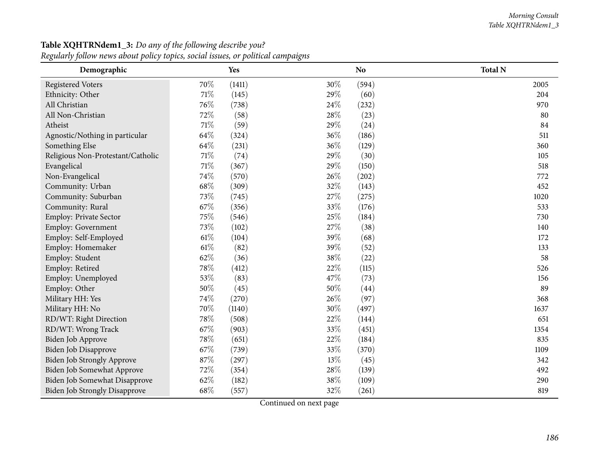#### *Morning Consult Table XQHTRNdem1\_3*

| Demographic                          |      | Yes    |        | N <sub>o</sub> | <b>Total N</b> |
|--------------------------------------|------|--------|--------|----------------|----------------|
| <b>Registered Voters</b>             | 70%  | (1411) | 30%    | (594)          | 2005           |
| Ethnicity: Other                     | 71%  | (145)  | 29%    | (60)           | 204            |
| All Christian                        | 76%  | (738)  | 24%    | (232)          | 970            |
| All Non-Christian                    | 72%  | (58)   | 28\%   | (23)           | 80             |
| Atheist                              | 71%  | (59)   | 29%    | (24)           | 84             |
| Agnostic/Nothing in particular       | 64%  | (324)  | 36%    | (186)          | 511            |
| Something Else                       | 64%  | (231)  | 36%    | (129)          | 360            |
| Religious Non-Protestant/Catholic    | 71%  | (74)   | 29%    | (30)           | 105            |
| Evangelical                          | 71%  | (367)  | 29%    | (150)          | 518            |
| Non-Evangelical                      | 74%  | (570)  | 26%    | (202)          | 772            |
| Community: Urban                     | 68%  | (309)  | 32%    | (143)          | 452            |
| Community: Suburban                  | 73%  | (745)  | 27\%   | (275)          | 1020           |
| Community: Rural                     | 67%  | (356)  | 33%    | (176)          | 533            |
| Employ: Private Sector               | 75%  | (546)  | 25%    | (184)          | 730            |
| Employ: Government                   | 73%  | (102)  | 27%    | (38)           | 140            |
| Employ: Self-Employed                | 61\% | (104)  | 39%    | (68)           | 172            |
| Employ: Homemaker                    | 61\% | (82)   | 39%    | (52)           | 133            |
| Employ: Student                      | 62%  | (36)   | 38%    | (22)           | 58             |
| Employ: Retired                      | 78%  | (412)  | 22%    | (115)          | 526            |
| Employ: Unemployed                   | 53%  | (83)   | 47\%   | (73)           | 156            |
| Employ: Other                        | 50%  | (45)   | 50%    | (44)           | 89             |
| Military HH: Yes                     | 74%  | (270)  | 26%    | (97)           | 368            |
| Military HH: No                      | 70%  | (1140) | 30%    | (497)          | 1637           |
| RD/WT: Right Direction               | 78%  | (508)  | 22%    | (144)          | 651            |
| RD/WT: Wrong Track                   | 67%  | (903)  | 33%    | (451)          | 1354           |
| Biden Job Approve                    | 78%  | (651)  | 22%    | (184)          | 835            |
| Biden Job Disapprove                 | 67%  | (739)  | 33%    | (370)          | 1109           |
| <b>Biden Job Strongly Approve</b>    | 87%  | (297)  | 13%    | (45)           | 342            |
| Biden Job Somewhat Approve           | 72%  | (354)  | $28\%$ | (139)          | 492            |
| Biden Job Somewhat Disapprove        | 62%  | (182)  | 38\%   | (109)          | 290            |
| <b>Biden Job Strongly Disapprove</b> | 68%  | (557)  | 32%    | (261)          | 819            |

#### **Table XQHTRNdem1\_3:** *Do any of the following describe you?*

Regularly follow news about policy topics, social issues, or political campaigns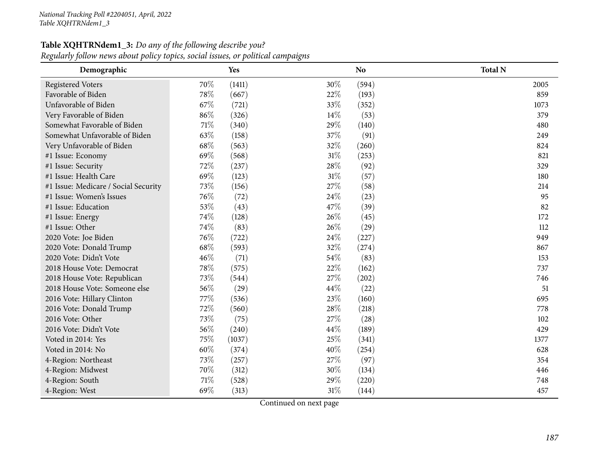## **Table XQHTRNdem1\_3:** *Do any of the following describe you?*

Regularly follow news about policy topics, social issues, or political campaigns

| Demographic                          |     | Yes    |     | N <sub>o</sub> | <b>Total N</b> |
|--------------------------------------|-----|--------|-----|----------------|----------------|
| <b>Registered Voters</b>             | 70% | (1411) | 30% | (594)          | 2005           |
| Favorable of Biden                   | 78% | (667)  | 22% | (193)          | 859            |
| Unfavorable of Biden                 | 67% | (721)  | 33% | (352)          | 1073           |
| Very Favorable of Biden              | 86% | (326)  | 14% | (53)           | 379            |
| Somewhat Favorable of Biden          | 71% | (340)  | 29% | (140)          | 480            |
| Somewhat Unfavorable of Biden        | 63% | (158)  | 37% | (91)           | 249            |
| Very Unfavorable of Biden            | 68% | (563)  | 32% | (260)          | 824            |
| #1 Issue: Economy                    | 69% | (568)  | 31% | (253)          | 821            |
| #1 Issue: Security                   | 72% | (237)  | 28% | (92)           | 329            |
| #1 Issue: Health Care                | 69% | (123)  | 31% | (57)           | 180            |
| #1 Issue: Medicare / Social Security | 73% | (156)  | 27% | (58)           | 214            |
| #1 Issue: Women's Issues             | 76% | (72)   | 24% | (23)           | 95             |
| #1 Issue: Education                  | 53% | (43)   | 47% | (39)           | 82             |
| #1 Issue: Energy                     | 74% | (128)  | 26% | (45)           | 172            |
| #1 Issue: Other                      | 74% | (83)   | 26% | (29)           | 112            |
| 2020 Vote: Joe Biden                 | 76% | (722)  | 24% | (227)          | 949            |
| 2020 Vote: Donald Trump              | 68% | (593)  | 32% | (274)          | 867            |
| 2020 Vote: Didn't Vote               | 46% | (71)   | 54% | (83)           | 153            |
| 2018 House Vote: Democrat            | 78% | (575)  | 22% | (162)          | 737            |
| 2018 House Vote: Republican          | 73% | (544)  | 27% | (202)          | 746            |
| 2018 House Vote: Someone else        | 56% | (29)   | 44% | (22)           | 51             |
| 2016 Vote: Hillary Clinton           | 77% | (536)  | 23% | (160)          | 695            |
| 2016 Vote: Donald Trump              | 72% | (560)  | 28% | (218)          | 778            |
| 2016 Vote: Other                     | 73% | (75)   | 27% | (28)           | 102            |
| 2016 Vote: Didn't Vote               | 56% | (240)  | 44% | (189)          | 429            |
| Voted in 2014: Yes                   | 75% | (1037) | 25% | (341)          | 1377           |
| Voted in 2014: No                    | 60% | (374)  | 40% | (254)          | 628            |
| 4-Region: Northeast                  | 73% | (257)  | 27% | (97)           | 354            |
| 4-Region: Midwest                    | 70% | (312)  | 30% | (134)          | 446            |
| 4-Region: South                      | 71% | (528)  | 29% | (220)          | 748            |
| 4-Region: West                       | 69% | (313)  | 31% | (144)          | 457            |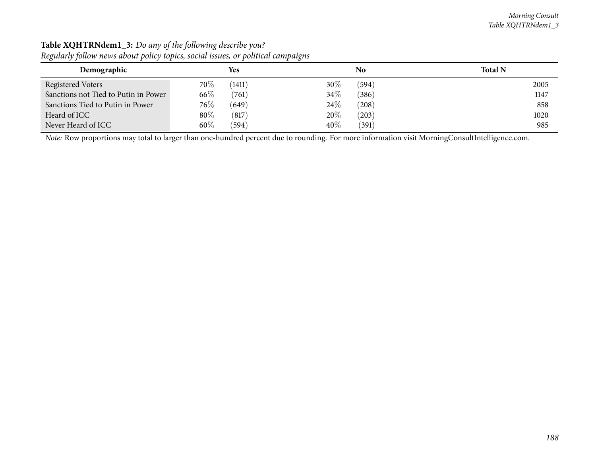| $\sim$ $\sim$<br>Demographic         | Yes              | No              | <b>Total N</b> |
|--------------------------------------|------------------|-----------------|----------------|
| Registered Voters                    | (1411)<br>$70\%$ | $30\%$<br>(594) | 2005           |
| Sanctions not Tied to Putin in Power | 66%<br>(761)     | 34\%<br>(386)   | 1147           |
| Sanctions Tied to Putin in Power     | $76\%$<br>(649)  | 24\%<br>(208)   | 858            |
| Heard of ICC                         | $80\%$<br>(817)  | 20%<br>(203)    | 1020           |
| Never Heard of ICC                   | 60%<br>(594)     | 40%<br>(391)    | 985            |

#### **Table XQHTRNdem1\_3:** *Do any of the following describe you?* Regularly follow news about policy topics, social issues, or political campaigns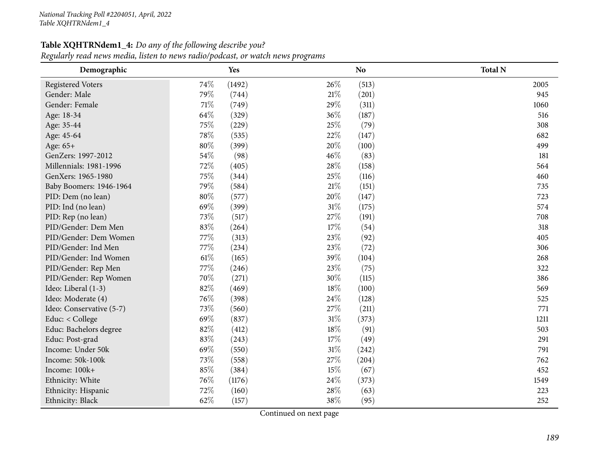### **Table XQHTRNdem1\_4:** *Do any of the following describe you?*

| Regularly read news media, listen to news radio/podcast, or watch news programs |
|---------------------------------------------------------------------------------|
|---------------------------------------------------------------------------------|

| Demographic              |        | Yes    |        | N <sub>o</sub> | <b>Total N</b> |
|--------------------------|--------|--------|--------|----------------|----------------|
| <b>Registered Voters</b> | 74%    | (1492) | 26%    | (513)          | 2005           |
| Gender: Male             | 79%    | (744)  | $21\%$ | (201)          | 945            |
| Gender: Female           | 71%    | (749)  | 29%    | (311)          | 1060           |
| Age: 18-34               | 64%    | (329)  | 36%    | (187)          | 516            |
| Age: 35-44               | 75%    | (229)  | 25%    | (79)           | 308            |
| Age: 45-64               | 78%    | (535)  | 22%    | (147)          | 682            |
| Age: 65+                 | 80%    | (399)  | 20%    | (100)          | 499            |
| GenZers: 1997-2012       | 54%    | (98)   | 46%    | (83)           | 181            |
| Millennials: 1981-1996   | 72%    | (405)  | 28%    | (158)          | 564            |
| GenXers: 1965-1980       | 75%    | (344)  | 25%    | (116)          | 460            |
| Baby Boomers: 1946-1964  | 79%    | (584)  | $21\%$ | (151)          | 735            |
| PID: Dem (no lean)       | 80%    | (577)  | 20%    | (147)          | 723            |
| PID: Ind (no lean)       | 69%    | (399)  | $31\%$ | (175)          | 574            |
| PID: Rep (no lean)       | 73%    | (517)  | 27%    | (191)          | 708            |
| PID/Gender: Dem Men      | 83%    | (264)  | 17%    | (54)           | 318            |
| PID/Gender: Dem Women    | 77%    | (313)  | 23%    | (92)           | 405            |
| PID/Gender: Ind Men      | 77%    | (234)  | 23%    | (72)           | 306            |
| PID/Gender: Ind Women    | $61\%$ | (165)  | 39%    | (104)          | 268            |
| PID/Gender: Rep Men      | 77%    | (246)  | 23%    | (75)           | 322            |
| PID/Gender: Rep Women    | 70%    | (271)  | 30%    | (115)          | 386            |
| Ideo: Liberal (1-3)      | 82%    | (469)  | 18%    | (100)          | 569            |
| Ideo: Moderate (4)       | 76%    | (398)  | 24%    | (128)          | 525            |
| Ideo: Conservative (5-7) | 73%    | (560)  | 27%    | (211)          | 771            |
| Educ: < College          | 69%    | (837)  | 31%    | (373)          | 1211           |
| Educ: Bachelors degree   | 82%    | (412)  | 18%    | (91)           | 503            |
| Educ: Post-grad          | 83%    | (243)  | 17%    | (49)           | 291            |
| Income: Under 50k        | 69%    | (550)  | 31%    | (242)          | 791            |
| Income: 50k-100k         | 73%    | (558)  | 27%    | (204)          | 762            |
| Income: 100k+            | 85%    | (384)  | 15%    | (67)           | 452            |
| Ethnicity: White         | 76%    | (1176) | 24\%   | (373)          | 1549           |
| Ethnicity: Hispanic      | 72%    | (160)  | 28%    | (63)           | 223            |
| Ethnicity: Black         | 62%    | (157)  | 38%    | (95)           | 252            |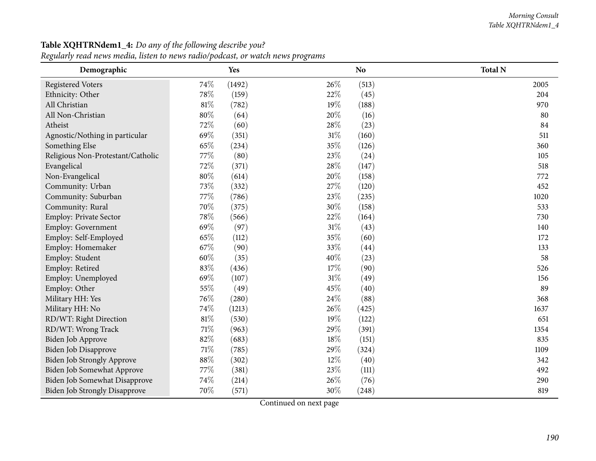#### *Morning Consult Table XQHTRNdem1\_4*

| Demographic                          |        | Yes    |        | N <sub>o</sub> | <b>Total N</b> |
|--------------------------------------|--------|--------|--------|----------------|----------------|
| <b>Registered Voters</b>             | 74%    | (1492) | 26%    | (513)          | 2005           |
| Ethnicity: Other                     | 78%    | (159)  | 22%    | (45)           | 204            |
| All Christian                        | 81%    | (782)  | 19%    | (188)          | 970            |
| All Non-Christian                    | $80\%$ | (64)   | 20%    | (16)           | 80             |
| Atheist                              | 72%    | (60)   | 28\%   | (23)           | 84             |
| Agnostic/Nothing in particular       | 69%    | (351)  | $31\%$ | (160)          | 511            |
| Something Else                       | 65%    | (234)  | 35%    | (126)          | 360            |
| Religious Non-Protestant/Catholic    | 77%    | (80)   | 23%    | (24)           | 105            |
| Evangelical                          | 72%    | (371)  | 28\%   | (147)          | 518            |
| Non-Evangelical                      | 80%    | (614)  | 20%    | (158)          | 772            |
| Community: Urban                     | 73%    | (332)  | 27%    | (120)          | 452            |
| Community: Suburban                  | 77%    | (786)  | 23%    | (235)          | 1020           |
| Community: Rural                     | 70%    | (375)  | 30%    | (158)          | 533            |
| <b>Employ: Private Sector</b>        | 78%    | (566)  | 22%    | (164)          | 730            |
| <b>Employ: Government</b>            | 69%    | (97)   | $31\%$ | (43)           | 140            |
| Employ: Self-Employed                | 65%    | (112)  | 35%    | (60)           | 172            |
| Employ: Homemaker                    | 67%    | (90)   | 33%    | (44)           | 133            |
| Employ: Student                      | 60%    | (35)   | 40%    | (23)           | 58             |
| Employ: Retired                      | 83%    | (436)  | 17%    | (90)           | 526            |
| Employ: Unemployed                   | 69%    | (107)  | $31\%$ | (49)           | 156            |
| Employ: Other                        | 55%    | (49)   | 45%    | (40)           | 89             |
| Military HH: Yes                     | 76%    | (280)  | 24\%   | (88)           | 368            |
| Military HH: No                      | 74%    | (1213) | 26%    | (425)          | 1637           |
| RD/WT: Right Direction               | 81%    | (530)  | 19%    | (122)          | 651            |
| RD/WT: Wrong Track                   | 71%    | (963)  | 29%    | (391)          | 1354           |
| Biden Job Approve                    | 82%    | (683)  | $18\%$ | (151)          | 835            |
| Biden Job Disapprove                 | 71%    | (785)  | 29%    | (324)          | 1109           |
| <b>Biden Job Strongly Approve</b>    | 88%    | (302)  | 12%    | (40)           | 342            |
| <b>Biden Job Somewhat Approve</b>    | 77%    | (381)  | $23\%$ | (111)          | 492            |
| Biden Job Somewhat Disapprove        | 74%    | (214)  | 26%    | (76)           | 290            |
| <b>Biden Job Strongly Disapprove</b> | 70%    | (571)  | 30%    | (248)          | 819            |

#### **Table XQHTRNdem1\_4:** *Do any of the following describe you?*

Regularly read news media, listen to news radio/podcast, or watch news programs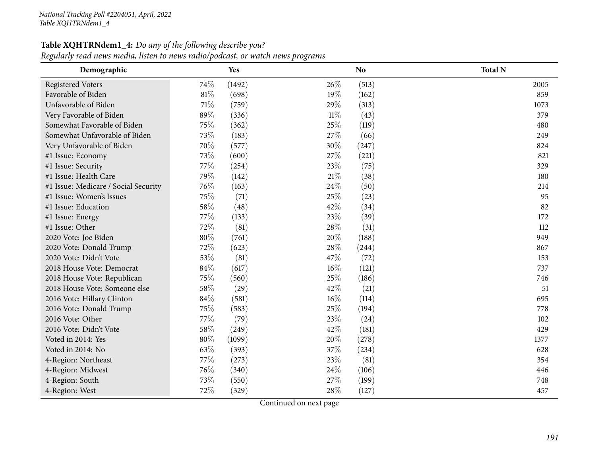## **Table XQHTRNdem1\_4:** *Do any of the following describe you?*

Regularly read news media, listen to news radio/podcast, or watch news programs

| Demographic                          |     | Yes    |        | <b>No</b> | <b>Total N</b> |
|--------------------------------------|-----|--------|--------|-----------|----------------|
| <b>Registered Voters</b>             | 74% | (1492) | 26%    | (513)     | 2005           |
| Favorable of Biden                   | 81% | (698)  | 19%    | (162)     | 859            |
| Unfavorable of Biden                 | 71% | (759)  | 29%    | (313)     | 1073           |
| Very Favorable of Biden              | 89% | (336)  | $11\%$ | (43)      | 379            |
| Somewhat Favorable of Biden          | 75% | (362)  | 25%    | (119)     | 480            |
| Somewhat Unfavorable of Biden        | 73% | (183)  | 27%    | (66)      | 249            |
| Very Unfavorable of Biden            | 70% | (577)  | 30%    | (247)     | 824            |
| #1 Issue: Economy                    | 73% | (600)  | 27%    | (221)     | 821            |
| #1 Issue: Security                   | 77% | (254)  | 23\%   | (75)      | 329            |
| #1 Issue: Health Care                | 79% | (142)  | 21%    | (38)      | 180            |
| #1 Issue: Medicare / Social Security | 76% | (163)  | 24%    | (50)      | 214            |
| #1 Issue: Women's Issues             | 75% | (71)   | 25%    | (23)      | 95             |
| #1 Issue: Education                  | 58% | (48)   | 42%    | (34)      | 82             |
| #1 Issue: Energy                     | 77% | (133)  | 23%    | (39)      | 172            |
| #1 Issue: Other                      | 72% | (81)   | 28%    | (31)      | 112            |
| 2020 Vote: Joe Biden                 | 80% | (761)  | 20%    | (188)     | 949            |
| 2020 Vote: Donald Trump              | 72% | (623)  | 28\%   | (244)     | 867            |
| 2020 Vote: Didn't Vote               | 53% | (81)   | 47%    | (72)      | 153            |
| 2018 House Vote: Democrat            | 84% | (617)  | 16%    | (121)     | 737            |
| 2018 House Vote: Republican          | 75% | (560)  | 25%    | (186)     | 746            |
| 2018 House Vote: Someone else        | 58% | (29)   | 42%    | (21)      | 51             |
| 2016 Vote: Hillary Clinton           | 84% | (581)  | $16\%$ | (114)     | 695            |
| 2016 Vote: Donald Trump              | 75% | (583)  | 25%    | (194)     | 778            |
| 2016 Vote: Other                     | 77% | (79)   | 23%    | (24)      | 102            |
| 2016 Vote: Didn't Vote               | 58% | (249)  | 42\%   | (181)     | 429            |
| Voted in 2014: Yes                   | 80% | (1099) | 20%    | (278)     | 1377           |
| Voted in 2014: No                    | 63% | (393)  | 37%    | (234)     | 628            |
| 4-Region: Northeast                  | 77% | (273)  | 23%    | (81)      | 354            |
| 4-Region: Midwest                    | 76% | (340)  | 24\%   | (106)     | 446            |
| 4-Region: South                      | 73% | (550)  | 27%    | (199)     | 748            |
| 4-Region: West                       | 72% | (329)  | 28%    | (127)     | 457            |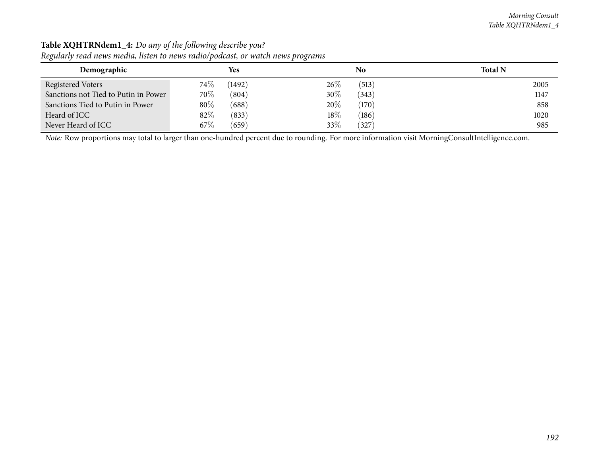| $\bullet$<br>Demographic             | Yes              | $\bullet$<br>No | <b>Total N</b> |
|--------------------------------------|------------------|-----------------|----------------|
| Registered Voters                    | (1492)<br>$74\%$ | 26%<br>(513)    | 2005           |
| Sanctions not Tied to Putin in Power | 70\%<br>(804)    | 30%<br>(343)    | 1147           |
| Sanctions Tied to Putin in Power     | $80\%$<br>(688)  | 20%<br>(170)    | 858            |
| Heard of ICC                         | 82%<br>(833)     | 18%<br>(186)    | 1020           |
| Never Heard of ICC                   | 67%<br>(659)     | 33%<br>(327)    | 985            |

## **Table XQHTRNdem1\_4:** *Do any of the following describe you?*

Regularly read news media, listen to news radio/podcast, or watch news programs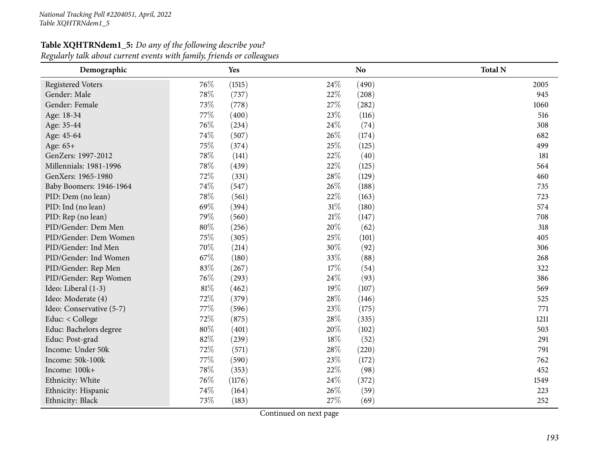## **Table XQHTRNdem1\_5:** *Do any of the following describe you?*

*Regularly talk about current events with family, friends or colleagues*

| Demographic              |        | Yes    |        | N <sub>o</sub> | <b>Total N</b> |
|--------------------------|--------|--------|--------|----------------|----------------|
| <b>Registered Voters</b> | 76%    | (1515) | 24%    | (490)          | 2005           |
| Gender: Male             | 78%    | (737)  | 22%    | (208)          | 945            |
| Gender: Female           | 73%    | (778)  | 27%    | (282)          | 1060           |
| Age: 18-34               | 77%    | (400)  | 23%    | (116)          | 516            |
| Age: 35-44               | 76%    | (234)  | 24%    | (74)           | 308            |
| Age: 45-64               | 74%    | (507)  | 26%    | (174)          | 682            |
| Age: 65+                 | 75%    | (374)  | 25%    | (125)          | 499            |
| GenZers: 1997-2012       | 78%    | (141)  | 22%    | (40)           | 181            |
| Millennials: 1981-1996   | 78%    | (439)  | 22%    | (125)          | 564            |
| GenXers: 1965-1980       | 72%    | (331)  | 28%    | (129)          | 460            |
| Baby Boomers: 1946-1964  | 74%    | (547)  | 26%    | (188)          | 735            |
| PID: Dem (no lean)       | 78%    | (561)  | 22%    | (163)          | 723            |
| PID: Ind (no lean)       | 69%    | (394)  | $31\%$ | (180)          | 574            |
| PID: Rep (no lean)       | 79%    | (560)  | $21\%$ | (147)          | 708            |
| PID/Gender: Dem Men      | $80\%$ | (256)  | 20%    | (62)           | 318            |
| PID/Gender: Dem Women    | 75%    | (305)  | 25%    | (101)          | 405            |
| PID/Gender: Ind Men      | 70%    | (214)  | 30%    | (92)           | 306            |
| PID/Gender: Ind Women    | 67%    | (180)  | 33%    | (88)           | 268            |
| PID/Gender: Rep Men      | 83%    | (267)  | 17%    | (54)           | 322            |
| PID/Gender: Rep Women    | 76%    | (293)  | 24%    | (93)           | 386            |
| Ideo: Liberal (1-3)      | 81%    | (462)  | 19%    | (107)          | 569            |
| Ideo: Moderate (4)       | 72%    | (379)  | 28\%   | (146)          | 525            |
| Ideo: Conservative (5-7) | 77%    | (596)  | 23%    | (175)          | 771            |
| Educ: < College          | 72%    | (875)  | 28%    | (335)          | 1211           |
| Educ: Bachelors degree   | 80%    | (401)  | 20%    | (102)          | 503            |
| Educ: Post-grad          | 82%    | (239)  | 18%    | (52)           | 291            |
| Income: Under 50k        | 72%    | (571)  | $28\%$ | (220)          | 791            |
| Income: 50k-100k         | 77%    | (590)  | 23%    | (172)          | 762            |
| Income: 100k+            | 78%    | (353)  | 22%    | (98)           | 452            |
| Ethnicity: White         | 76%    | (1176) | 24%    | (372)          | 1549           |
| Ethnicity: Hispanic      | 74%    | (164)  | 26%    | (59)           | 223            |
| Ethnicity: Black         | 73%    | (183)  | 27%    | (69)           | 252            |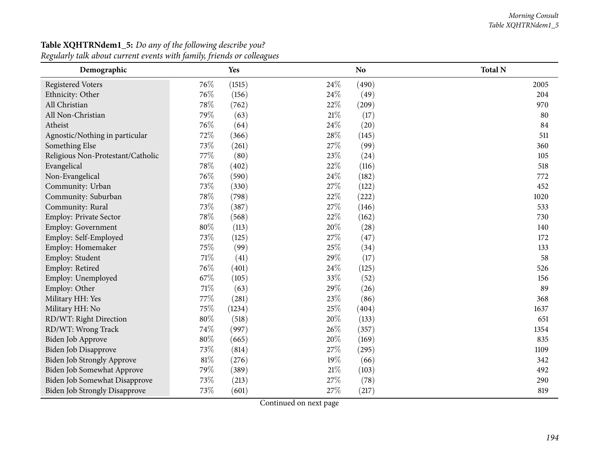#### *Morning Consult Table XQHTRNdem1\_5*

| Demographic                          |      | Yes    |        | N <sub>o</sub> | <b>Total N</b> |
|--------------------------------------|------|--------|--------|----------------|----------------|
| <b>Registered Voters</b>             | 76\% | (1515) | 24\%   | (490)          | 2005           |
| Ethnicity: Other                     | 76\% | (156)  | 24%    | (49)           | 204            |
| All Christian                        | 78%  | (762)  | 22%    | (209)          | 970            |
| All Non-Christian                    | 79%  | (63)   | $21\%$ | (17)           | 80             |
| Atheist                              | 76%  | (64)   | 24%    | (20)           | 84             |
| Agnostic/Nothing in particular       | 72%  | (366)  | 28%    | (145)          | 511            |
| Something Else                       | 73%  | (261)  | 27%    | (99)           | 360            |
| Religious Non-Protestant/Catholic    | 77%  | (80)   | 23%    | (24)           | 105            |
| Evangelical                          | 78%  | (402)  | 22%    | (116)          | 518            |
| Non-Evangelical                      | 76%  | (590)  | 24%    | (182)          | 772            |
| Community: Urban                     | 73%  | (330)  | 27%    | (122)          | 452            |
| Community: Suburban                  | 78%  | (798)  | 22%    | (222)          | 1020           |
| Community: Rural                     | 73%  | (387)  | 27%    | (146)          | 533            |
| Employ: Private Sector               | 78%  | (568)  | 22%    | (162)          | 730            |
| Employ: Government                   | 80%  | (113)  | 20%    | (28)           | 140            |
| Employ: Self-Employed                | 73%  | (125)  | 27%    | (47)           | 172            |
| Employ: Homemaker                    | 75%  | (99)   | 25%    | (34)           | 133            |
| Employ: Student                      | 71%  | (41)   | 29%    | (17)           | 58             |
| Employ: Retired                      | 76%  | (401)  | 24\%   | (125)          | 526            |
| Employ: Unemployed                   | 67%  | (105)  | 33%    | (52)           | 156            |
| Employ: Other                        | 71%  | (63)   | 29%    | (26)           | 89             |
| Military HH: Yes                     | 77%  | (281)  | 23%    | (86)           | 368            |
| Military HH: No                      | 75%  | (1234) | 25%    | (404)          | 1637           |
| RD/WT: Right Direction               | 80%  | (518)  | 20%    | (133)          | 651            |
| RD/WT: Wrong Track                   | 74%  | (997)  | 26%    | (357)          | 1354           |
| Biden Job Approve                    | 80%  | (665)  | 20%    | (169)          | 835            |
| Biden Job Disapprove                 | 73%  | (814)  | 27%    | (295)          | 1109           |
| Biden Job Strongly Approve           | 81%  | (276)  | 19%    | (66)           | 342            |
| Biden Job Somewhat Approve           | 79%  | (389)  | $21\%$ | (103)          | 492            |
| Biden Job Somewhat Disapprove        | 73%  | (213)  | 27%    | (78)           | 290            |
| <b>Biden Job Strongly Disapprove</b> | 73%  | (601)  | 27%    | (217)          | 819            |

### **Table XQHTRNdem1\_5:** *Do any of the following describe you? Regularly talk about current events with family, friends or colleagues*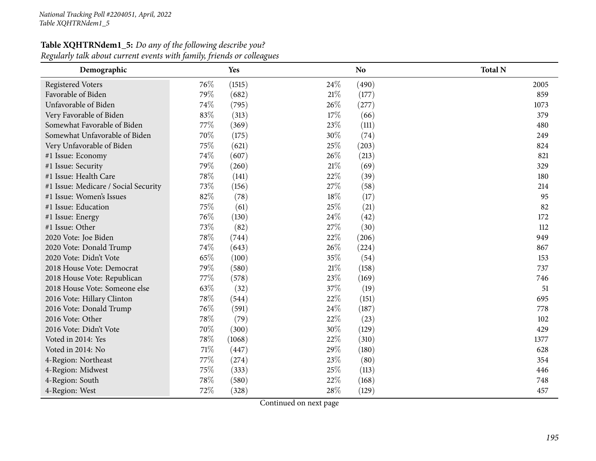## **Table XQHTRNdem1\_5:** *Do any of the following describe you?*

*Regularly talk about current events with family, friends or colleagues*

| Demographic                          |     | Yes    |        | N <sub>o</sub> | <b>Total N</b> |
|--------------------------------------|-----|--------|--------|----------------|----------------|
| <b>Registered Voters</b>             | 76% | (1515) | 24\%   | (490)          | 2005           |
| Favorable of Biden                   | 79% | (682)  | $21\%$ | (177)          | 859            |
| Unfavorable of Biden                 | 74% | (795)  | 26%    | (277)          | 1073           |
| Very Favorable of Biden              | 83% | (313)  | 17%    | (66)           | 379            |
| Somewhat Favorable of Biden          | 77% | (369)  | 23%    | (111)          | 480            |
| Somewhat Unfavorable of Biden        | 70% | (175)  | 30%    | (74)           | 249            |
| Very Unfavorable of Biden            | 75% | (621)  | 25%    | (203)          | 824            |
| #1 Issue: Economy                    | 74% | (607)  | 26%    | (213)          | 821            |
| #1 Issue: Security                   | 79% | (260)  | 21%    | (69)           | 329            |
| #1 Issue: Health Care                | 78% | (141)  | 22%    | (39)           | 180            |
| #1 Issue: Medicare / Social Security | 73% | (156)  | 27%    | (58)           | 214            |
| #1 Issue: Women's Issues             | 82% | (78)   | 18%    | (17)           | 95             |
| #1 Issue: Education                  | 75% | (61)   | 25%    | (21)           | 82             |
| #1 Issue: Energy                     | 76% | (130)  | 24%    | (42)           | 172            |
| #1 Issue: Other                      | 73% | (82)   | 27%    | (30)           | 112            |
| 2020 Vote: Joe Biden                 | 78% | (744)  | 22%    | (206)          | 949            |
| 2020 Vote: Donald Trump              | 74% | (643)  | 26%    | (224)          | 867            |
| 2020 Vote: Didn't Vote               | 65% | (100)  | 35%    | (54)           | 153            |
| 2018 House Vote: Democrat            | 79% | (580)  | $21\%$ | (158)          | 737            |
| 2018 House Vote: Republican          | 77% | (578)  | 23%    | (169)          | 746            |
| 2018 House Vote: Someone else        | 63% | (32)   | 37%    | (19)           | 51             |
| 2016 Vote: Hillary Clinton           | 78% | (544)  | 22%    | (151)          | 695            |
| 2016 Vote: Donald Trump              | 76% | (591)  | 24\%   | (187)          | 778            |
| 2016 Vote: Other                     | 78% | (79)   | 22%    | (23)           | 102            |
| 2016 Vote: Didn't Vote               | 70% | (300)  | 30%    | (129)          | 429            |
| Voted in 2014: Yes                   | 78% | (1068) | 22%    | (310)          | 1377           |
| Voted in 2014: No                    | 71% | (447)  | 29%    | (180)          | 628            |
| 4-Region: Northeast                  | 77% | (274)  | 23%    | (80)           | 354            |
| 4-Region: Midwest                    | 75% | (333)  | 25%    | (113)          | 446            |
| 4-Region: South                      | 78% | (580)  | 22%    | (168)          | 748            |
| 4-Region: West                       | 72% | (328)  | 28%    | (129)          | 457            |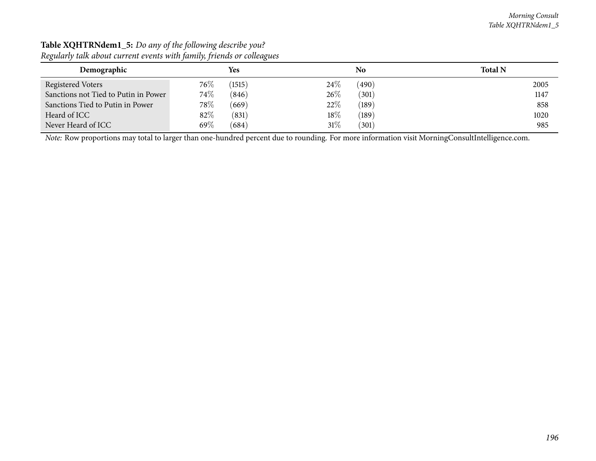| Demographic                          | Yes              | No            | <b>Total N</b> |
|--------------------------------------|------------------|---------------|----------------|
| Registered Voters                    | (1515)<br>$76\%$ | 24%<br>(490)  | 2005           |
| Sanctions not Tied to Putin in Power | $74\%$<br>(846)  | 26\%<br>(301) | 1147           |
| Sanctions Tied to Putin in Power     | 78\%<br>(669)    | 22%<br>(189)  | 858            |
| Heard of ICC                         | 82%<br>(831)     | 18%<br>(189)  | 1020           |
| Never Heard of ICC                   | 69%<br>(684)     | 31%<br>(301)  | 985            |

#### **Table XQHTRNdem1\_5:** *Do any of the following describe you? Regularly talk about current events with family, friends or colleagues*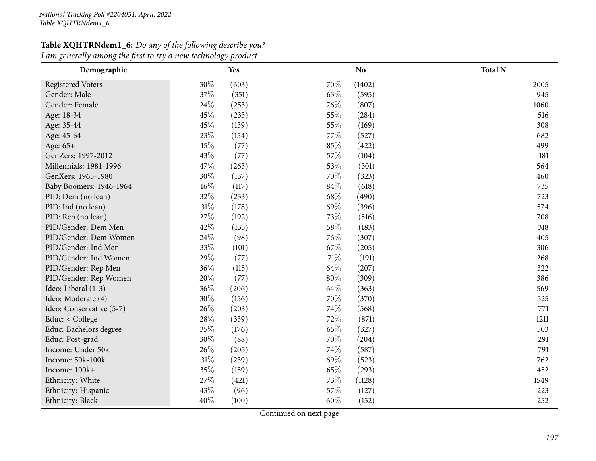### **Table XQHTRNdem1\_6:** *Do any of the following describe you?*

I am generally among the first to try a new technology product

| Demographic              |     | <b>Yes</b> |        | <b>No</b> | <b>Total N</b> |
|--------------------------|-----|------------|--------|-----------|----------------|
| <b>Registered Voters</b> | 30% | (603)      | 70%    | (1402)    | 2005           |
| Gender: Male             | 37% | (351)      | 63%    | (595)     | 945            |
| Gender: Female           | 24% | (253)      | 76%    | (807)     | 1060           |
| Age: 18-34               | 45% | (233)      | 55%    | (284)     | 516            |
| Age: 35-44               | 45% | (139)      | 55%    | (169)     | 308            |
| Age: 45-64               | 23% | (154)      | 77%    | (527)     | 682            |
| Age: 65+                 | 15% | (77)       | 85%    | (422)     | 499            |
| GenZers: 1997-2012       | 43% | (77)       | 57%    | (104)     | 181            |
| Millennials: 1981-1996   | 47% | (263)      | 53%    | (301)     | 564            |
| GenXers: 1965-1980       | 30% | (137)      | 70%    | (323)     | 460            |
| Baby Boomers: 1946-1964  | 16% | (117)      | 84%    | (618)     | 735            |
| PID: Dem (no lean)       | 32% | (233)      | 68%    | (490)     | 723            |
| PID: Ind (no lean)       | 31% | (178)      | 69%    | (396)     | 574            |
| PID: Rep (no lean)       | 27% | (192)      | 73%    | (516)     | 708            |
| PID/Gender: Dem Men      | 42% | (135)      | 58%    | (183)     | 318            |
| PID/Gender: Dem Women    | 24% | (98)       | 76%    | (307)     | 405            |
| PID/Gender: Ind Men      | 33% | (101)      | 67%    | (205)     | 306            |
| PID/Gender: Ind Women    | 29% | (77)       | 71%    | (191)     | 268            |
| PID/Gender: Rep Men      | 36% | (115)      | 64\%   | (207)     | 322            |
| PID/Gender: Rep Women    | 20% | (77)       | $80\%$ | (309)     | 386            |
| Ideo: Liberal (1-3)      | 36% | (206)      | 64%    | (363)     | 569            |
| Ideo: Moderate (4)       | 30% | (156)      | 70%    | (370)     | 525            |
| Ideo: Conservative (5-7) | 26% | (203)      | 74%    | (568)     | 771            |
| Educ: < College          | 28% | (339)      | 72%    | (871)     | 1211           |
| Educ: Bachelors degree   | 35% | (176)      | 65%    | (327)     | 503            |
| Educ: Post-grad          | 30% | (88)       | 70%    | (204)     | 291            |
| Income: Under 50k        | 26% | (205)      | 74%    | (587)     | 791            |
| Income: 50k-100k         | 31% | (239)      | 69%    | (523)     | 762            |
| Income: 100k+            | 35% | (159)      | 65%    | (293)     | 452            |
| Ethnicity: White         | 27% | (421)      | 73%    | (1128)    | 1549           |
| Ethnicity: Hispanic      | 43% | (96)       | 57%    | (127)     | 223            |
| Ethnicity: Black         | 40% | (100)      | 60%    | (152)     | 252            |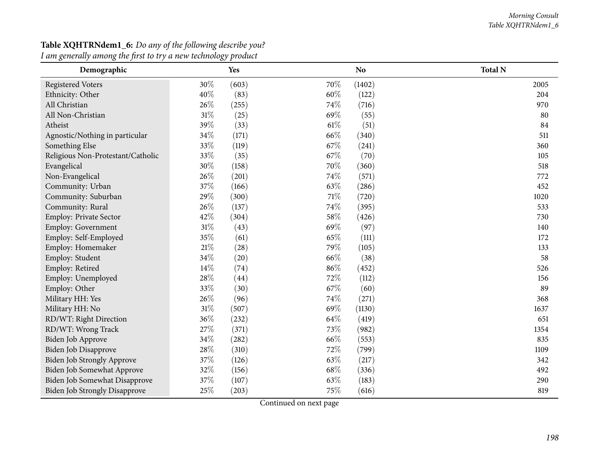#### *Morning Consult Table XQHTRNdem1\_6*

| Demographic                          |        | Yes   |      | N <sub>o</sub> | <b>Total N</b> |
|--------------------------------------|--------|-------|------|----------------|----------------|
| <b>Registered Voters</b>             | 30%    | (603) | 70\% | (1402)         | 2005           |
| Ethnicity: Other                     | 40%    | (83)  | 60%  | (122)          | 204            |
| All Christian                        | 26%    | (255) | 74\% | (716)          | 970            |
| All Non-Christian                    | 31%    | (25)  | 69%  | (55)           | 80             |
| Atheist                              | 39%    | (33)  | 61%  | (51)           | 84             |
| Agnostic/Nothing in particular       | 34%    | (171) | 66%  | (340)          | 511            |
| Something Else                       | 33%    | (119) | 67%  | (241)          | 360            |
| Religious Non-Protestant/Catholic    | 33%    | (35)  | 67\% | (70)           | 105            |
| Evangelical                          | 30%    | (158) | 70%  | (360)          | 518            |
| Non-Evangelical                      | 26%    | (201) | 74%  | (571)          | 772            |
| Community: Urban                     | 37%    | (166) | 63%  | (286)          | 452            |
| Community: Suburban                  | 29%    | (300) | 71\% | (720)          | 1020           |
| Community: Rural                     | 26%    | (137) | 74%  | (395)          | 533            |
| <b>Employ: Private Sector</b>        | 42%    | (304) | 58%  | (426)          | 730            |
| <b>Employ: Government</b>            | $31\%$ | (43)  | 69%  | (97)           | 140            |
| Employ: Self-Employed                | 35%    | (61)  | 65%  | (111)          | 172            |
| Employ: Homemaker                    | 21%    | (28)  | 79%  | (105)          | 133            |
| Employ: Student                      | 34%    | (20)  | 66%  | (38)           | 58             |
| Employ: Retired                      | 14%    | (74)  | 86%  | (452)          | 526            |
| Employ: Unemployed                   | 28%    | (44)  | 72%  | (112)          | 156            |
| Employ: Other                        | 33%    | (30)  | 67%  | (60)           | 89             |
| Military HH: Yes                     | 26%    | (96)  | 74%  | (271)          | 368            |
| Military HH: No                      | 31%    | (507) | 69%  | (1130)         | 1637           |
| RD/WT: Right Direction               | 36%    | (232) | 64%  | (419)          | 651            |
| RD/WT: Wrong Track                   | 27%    | (371) | 73%  | (982)          | 1354           |
| Biden Job Approve                    | 34%    | (282) | 66\% | (553)          | 835            |
| Biden Job Disapprove                 | 28%    | (310) | 72%  | (799)          | 1109           |
| Biden Job Strongly Approve           | 37%    | (126) | 63%  | (217)          | 342            |
| Biden Job Somewhat Approve           | 32%    | (156) | 68%  | (336)          | 492            |
| <b>Biden Job Somewhat Disapprove</b> | 37%    | (107) | 63%  | (183)          | 290            |
| <b>Biden Job Strongly Disapprove</b> | 25%    | (203) | 75%  | (616)          | 819            |

### **Table XQHTRNdem1\_6:** *Do any of the following describe you?* I am generally among the first to try a new technology product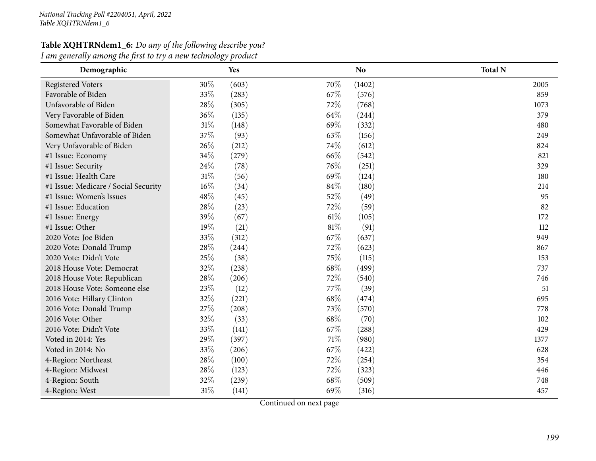## **Table XQHTRNdem1\_6:** *Do any of the following describe you?*

I am generally among the first to try a new technology product

| Demographic                          |     | Yes   |        | N <sub>o</sub> | <b>Total N</b> |
|--------------------------------------|-----|-------|--------|----------------|----------------|
| <b>Registered Voters</b>             | 30% | (603) | 70\%   | (1402)         | 2005           |
| Favorable of Biden                   | 33% | (283) | 67\%   | (576)          | 859            |
| Unfavorable of Biden                 | 28% | (305) | 72%    | (768)          | 1073           |
| Very Favorable of Biden              | 36% | (135) | 64\%   | (244)          | 379            |
| Somewhat Favorable of Biden          | 31% | (148) | 69%    | (332)          | 480            |
| Somewhat Unfavorable of Biden        | 37% | (93)  | 63%    | (156)          | 249            |
| Very Unfavorable of Biden            | 26% | (212) | 74%    | (612)          | 824            |
| #1 Issue: Economy                    | 34% | (279) | 66\%   | (542)          | 821            |
| #1 Issue: Security                   | 24% | (78)  | 76%    | (251)          | 329            |
| #1 Issue: Health Care                | 31% | (56)  | 69%    | (124)          | 180            |
| #1 Issue: Medicare / Social Security | 16% | (34)  | 84%    | (180)          | 214            |
| #1 Issue: Women's Issues             | 48% | (45)  | 52%    | (49)           | 95             |
| #1 Issue: Education                  | 28% | (23)  | 72%    | (59)           | 82             |
| #1 Issue: Energy                     | 39% | (67)  | $61\%$ | (105)          | 172            |
| #1 Issue: Other                      | 19% | (21)  | 81%    | (91)           | 112            |
| 2020 Vote: Joe Biden                 | 33% | (312) | 67\%   | (637)          | 949            |
| 2020 Vote: Donald Trump              | 28% | (244) | 72%    | (623)          | 867            |
| 2020 Vote: Didn't Vote               | 25% | (38)  | 75%    | (115)          | 153            |
| 2018 House Vote: Democrat            | 32% | (238) | 68%    | (499)          | 737            |
| 2018 House Vote: Republican          | 28% | (206) | 72%    | (540)          | 746            |
| 2018 House Vote: Someone else        | 23% | (12)  | 77%    | (39)           | 51             |
| 2016 Vote: Hillary Clinton           | 32% | (221) | 68%    | (474)          | 695            |
| 2016 Vote: Donald Trump              | 27% | (208) | 73%    | (570)          | 778            |
| 2016 Vote: Other                     | 32% | (33)  | 68%    | (70)           | 102            |
| 2016 Vote: Didn't Vote               | 33% | (141) | 67\%   | (288)          | 429            |
| Voted in 2014: Yes                   | 29% | (397) | 71%    | (980)          | 1377           |
| Voted in 2014: No                    | 33% | (206) | 67\%   | (422)          | 628            |
| 4-Region: Northeast                  | 28% | (100) | 72%    | (254)          | 354            |
| 4-Region: Midwest                    | 28% | (123) | 72%    | (323)          | 446            |
| 4-Region: South                      | 32% | (239) | 68%    | (509)          | 748            |
| 4-Region: West                       | 31% | (141) | 69%    | (316)          | 457            |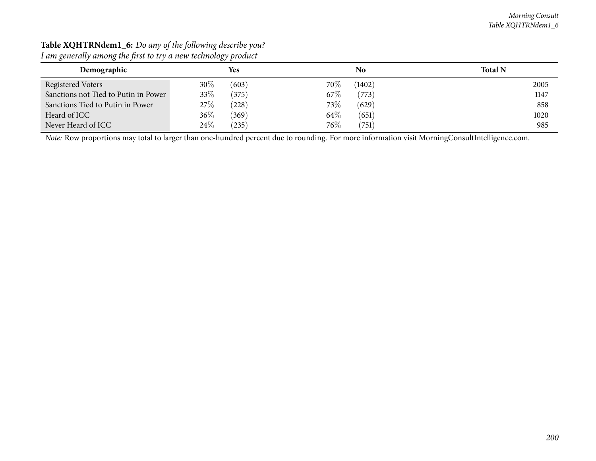| $\cdot$                              | <u>v/i</u>      |                        |                |
|--------------------------------------|-----------------|------------------------|----------------|
| Demographic                          | Yes             | No                     | <b>Total N</b> |
| <b>Registered Voters</b>             | $30\%$<br>(603) | 70\%<br>(1402)         | 2005           |
| Sanctions not Tied to Putin in Power | 33\%<br>(375)   | 67\%<br>(773)          | 1147           |
| Sanctions Tied to Putin in Power     | $27\%$<br>(228) | 73\%<br>(629)          | 858            |
| Heard of ICC                         | 36%<br>(369)    | 64\%<br>(651)          | 1020           |
| Never Heard of ICC                   | $24\%$<br>(235) | 76%<br>$^{\prime}751)$ | 985            |

#### **Table XQHTRNdem1\_6:** *Do any of the following describe you?* I am generally among the first to try a new technology product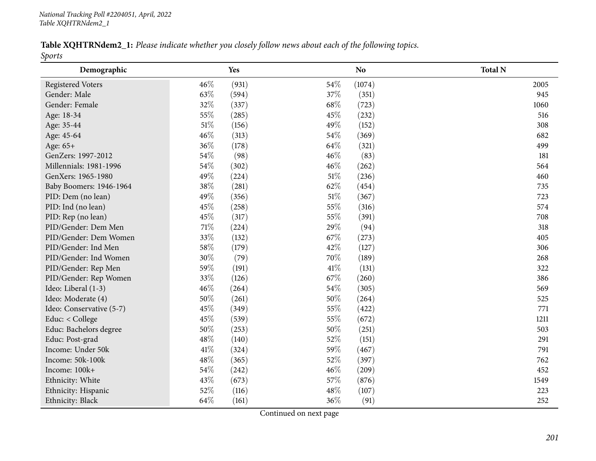| Table XQHTRNdem2_1: Please indicate whether you closely follow news about each of the following topics. |  |
|---------------------------------------------------------------------------------------------------------|--|
| Sports                                                                                                  |  |

| Demographic              |     | <b>Yes</b> |        | N <sub>o</sub> | <b>Total N</b> |
|--------------------------|-----|------------|--------|----------------|----------------|
| <b>Registered Voters</b> | 46% | (931)      | 54%    | (1074)         | 2005           |
| Gender: Male             | 63% | (594)      | 37%    | (351)          | 945            |
| Gender: Female           | 32% | (337)      | 68%    | (723)          | 1060           |
| Age: 18-34               | 55% | (285)      | 45%    | (232)          | 516            |
| Age: 35-44               | 51% | (156)      | 49%    | (152)          | 308            |
| Age: 45-64               | 46% | (313)      | 54%    | (369)          | 682            |
| Age: 65+                 | 36% | (178)      | 64%    | (321)          | 499            |
| GenZers: 1997-2012       | 54% | (98)       | 46%    | (83)           | 181            |
| Millennials: 1981-1996   | 54% | (302)      | 46%    | (262)          | 564            |
| GenXers: 1965-1980       | 49% | (224)      | $51\%$ | (236)          | 460            |
| Baby Boomers: 1946-1964  | 38% | (281)      | 62%    | (454)          | 735            |
| PID: Dem (no lean)       | 49% | (356)      | 51%    | (367)          | 723            |
| PID: Ind (no lean)       | 45% | (258)      | 55%    | (316)          | 574            |
| PID: Rep (no lean)       | 45% | (317)      | 55%    | (391)          | 708            |
| PID/Gender: Dem Men      | 71% | (224)      | 29%    | (94)           | 318            |
| PID/Gender: Dem Women    | 33% | (132)      | 67%    | (273)          | 405            |
| PID/Gender: Ind Men      | 58% | (179)      | 42%    | (127)          | 306            |
| PID/Gender: Ind Women    | 30% | (79)       | 70%    | (189)          | 268            |
| PID/Gender: Rep Men      | 59% | (191)      | 41\%   | (131)          | 322            |
| PID/Gender: Rep Women    | 33% | (126)      | 67\%   | (260)          | 386            |
| Ideo: Liberal (1-3)      | 46% | (264)      | 54%    | (305)          | 569            |
| Ideo: Moderate (4)       | 50% | (261)      | 50%    | (264)          | 525            |
| Ideo: Conservative (5-7) | 45% | (349)      | 55%    | (422)          | 771            |
| Educ: < College          | 45% | (539)      | 55%    | (672)          | 1211           |
| Educ: Bachelors degree   | 50% | (253)      | 50%    | (251)          | 503            |
| Educ: Post-grad          | 48% | (140)      | 52%    | (151)          | 291            |
| Income: Under 50k        | 41% | (324)      | 59%    | (467)          | 791            |
| Income: 50k-100k         | 48% | (365)      | 52%    | (397)          | 762            |
| Income: 100k+            | 54% | (242)      | 46%    | (209)          | 452            |
| Ethnicity: White         | 43% | (673)      | 57%    | (876)          | 1549           |
| Ethnicity: Hispanic      | 52% | (116)      | 48%    | (107)          | 223            |
| Ethnicity: Black         | 64% | (161)      | 36%    | (91)           | 252            |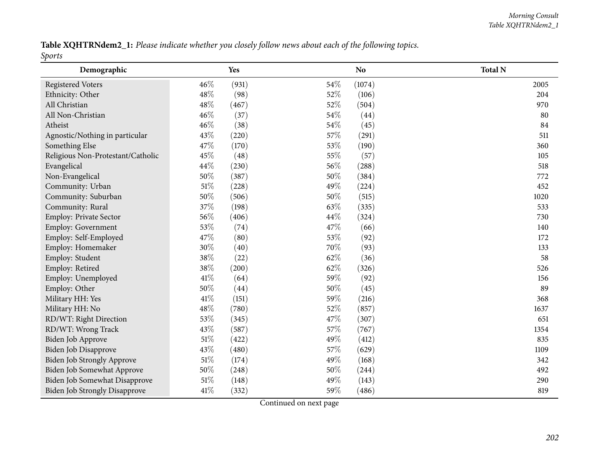Table XQHTRNdem2\_1: Please indicate whether you closely follow news about each of the following topics. *Sports*

| Demographic                          |      | Yes   |      | <b>No</b> | <b>Total N</b> |
|--------------------------------------|------|-------|------|-----------|----------------|
| <b>Registered Voters</b>             | 46%  | (931) | 54\% | (1074)    | 2005           |
| Ethnicity: Other                     | 48%  | (98)  | 52%  | (106)     | 204            |
| All Christian                        | 48%  | (467) | 52%  | (504)     | 970            |
| All Non-Christian                    | 46%  | (37)  | 54\% | (44)      | 80             |
| Atheist                              | 46%  | (38)  | 54\% | (45)      | 84             |
| Agnostic/Nothing in particular       | 43%  | (220) | 57%  | (291)     | 511            |
| Something Else                       | 47%  | (170) | 53%  | (190)     | 360            |
| Religious Non-Protestant/Catholic    | 45%  | (48)  | 55%  | (57)      | 105            |
| Evangelical                          | 44%  | (230) | 56%  | (288)     | 518            |
| Non-Evangelical                      | 50%  | (387) | 50%  | (384)     | 772            |
| Community: Urban                     | 51%  | (228) | 49%  | (224)     | 452            |
| Community: Suburban                  | 50%  | (506) | 50%  | (515)     | 1020           |
| Community: Rural                     | 37%  | (198) | 63%  | (335)     | 533            |
| Employ: Private Sector               | 56%  | (406) | 44%  | (324)     | 730            |
| Employ: Government                   | 53%  | (74)  | 47%  | (66)      | 140            |
| Employ: Self-Employed                | 47%  | (80)  | 53%  | (92)      | 172            |
| Employ: Homemaker                    | 30%  | (40)  | 70%  | (93)      | 133            |
| Employ: Student                      | 38%  | (22)  | 62%  | (36)      | 58             |
| Employ: Retired                      | 38%  | (200) | 62%  | (326)     | 526            |
| Employ: Unemployed                   | 41\% | (64)  | 59%  | (92)      | 156            |
| Employ: Other                        | 50%  | (44)  | 50%  | (45)      | 89             |
| Military HH: Yes                     | 41\% | (151) | 59%  | (216)     | 368            |
| Military HH: No                      | 48%  | (780) | 52%  | (857)     | 1637           |
| RD/WT: Right Direction               | 53%  | (345) | 47%  | (307)     | 651            |
| RD/WT: Wrong Track                   | 43%  | (587) | 57%  | (767)     | 1354           |
| Biden Job Approve                    | 51%  | (422) | 49%  | (412)     | 835            |
| Biden Job Disapprove                 | 43%  | (480) | 57%  | (629)     | 1109           |
| <b>Biden Job Strongly Approve</b>    | 51%  | (174) | 49%  | (168)     | 342            |
| Biden Job Somewhat Approve           | 50%  | (248) | 50%  | (244)     | 492            |
| Biden Job Somewhat Disapprove        | 51%  | (148) | 49%  | (143)     | 290            |
| <b>Biden Job Strongly Disapprove</b> | 41%  | (332) | 59%  | (486)     | 819            |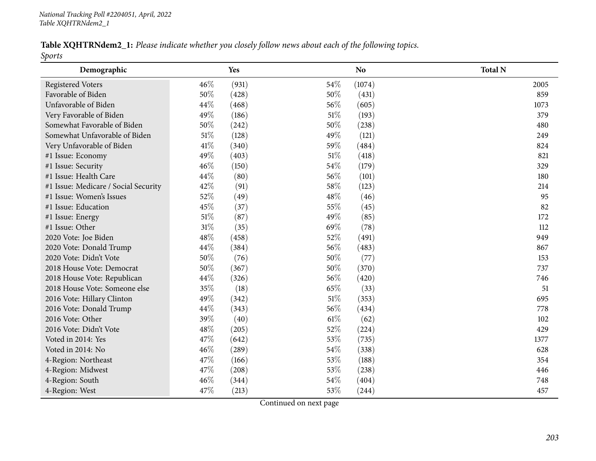| Table XQHTRNdem2_1: Please indicate whether you closely follow news about each of the following topics. |  |
|---------------------------------------------------------------------------------------------------------|--|
| Sports                                                                                                  |  |

| Demographic                          |        | Yes   |        | <b>No</b> | <b>Total N</b> |
|--------------------------------------|--------|-------|--------|-----------|----------------|
| <b>Registered Voters</b>             | $46\%$ | (931) | $54\%$ | (1074)    | 2005           |
| Favorable of Biden                   | 50%    | (428) | 50%    | (431)     | 859            |
| Unfavorable of Biden                 | 44%    | (468) | 56%    | (605)     | 1073           |
| Very Favorable of Biden              | 49%    | (186) | $51\%$ | (193)     | 379            |
| Somewhat Favorable of Biden          | 50%    | (242) | 50%    | (238)     | 480            |
| Somewhat Unfavorable of Biden        | 51%    | (128) | 49%    | (121)     | 249            |
| Very Unfavorable of Biden            | 41%    | (340) | 59%    | (484)     | 824            |
| #1 Issue: Economy                    | 49%    | (403) | 51%    | (418)     | 821            |
| #1 Issue: Security                   | 46%    | (150) | 54\%   | (179)     | 329            |
| #1 Issue: Health Care                | 44%    | (80)  | 56%    | (101)     | 180            |
| #1 Issue: Medicare / Social Security | 42%    | (91)  | 58%    | (123)     | 214            |
| #1 Issue: Women's Issues             | 52%    | (49)  | 48%    | (46)      | 95             |
| #1 Issue: Education                  | 45%    | (37)  | 55%    | (45)      | 82             |
| #1 Issue: Energy                     | 51%    | (87)  | 49%    | (85)      | 172            |
| #1 Issue: Other                      | 31%    | (35)  | 69%    | (78)      | 112            |
| 2020 Vote: Joe Biden                 | 48%    | (458) | 52%    | (491)     | 949            |
| 2020 Vote: Donald Trump              | 44%    | (384) | 56%    | (483)     | 867            |
| 2020 Vote: Didn't Vote               | 50%    | (76)  | 50%    | (77)      | 153            |
| 2018 House Vote: Democrat            | 50%    | (367) | 50%    | (370)     | 737            |
| 2018 House Vote: Republican          | 44%    | (326) | 56%    | (420)     | 746            |
| 2018 House Vote: Someone else        | 35%    | (18)  | 65%    | (33)      | 51             |
| 2016 Vote: Hillary Clinton           | 49%    | (342) | 51%    | (353)     | 695            |
| 2016 Vote: Donald Trump              | 44%    | (343) | 56%    | (434)     | 778            |
| 2016 Vote: Other                     | 39%    | (40)  | $61\%$ | (62)      | 102            |
| 2016 Vote: Didn't Vote               | 48%    | (205) | 52%    | (224)     | 429            |
| Voted in 2014: Yes                   | 47%    | (642) | 53%    | (735)     | 1377           |
| Voted in 2014: No                    | 46%    | (289) | 54%    | (338)     | 628            |
| 4-Region: Northeast                  | 47%    | (166) | 53%    | (188)     | 354            |
| 4-Region: Midwest                    | 47%    | (208) | 53%    | (238)     | 446            |
| 4-Region: South                      | 46%    | (344) | 54%    | (404)     | 748            |
| 4-Region: West                       | 47%    | (213) | 53%    | (244)     | 457            |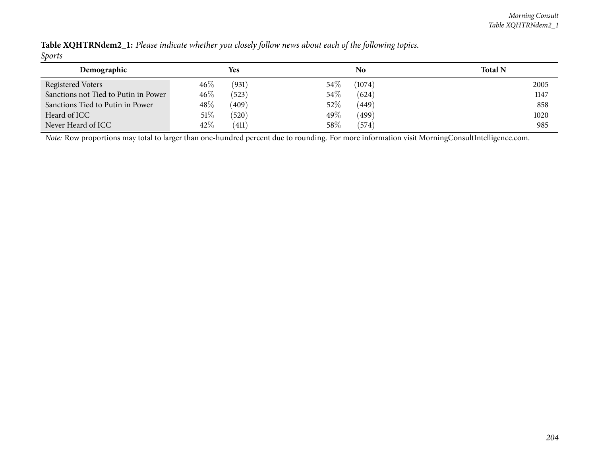| $\mathbf{r}$                         |        | Yes   |        | No     | <b>Total N</b> |
|--------------------------------------|--------|-------|--------|--------|----------------|
| Demographic                          |        |       |        |        |                |
| <b>Registered Voters</b>             | $46\%$ | (931) | $54\%$ | (1074) | 2005           |
| Sanctions not Tied to Putin in Power | 46\%   | (523) | 54%    | (624)  | 1147           |
| Sanctions Tied to Putin in Power     | $48\%$ | (409) | 52%    | (449)  | 858            |
| Heard of ICC                         | $51\%$ | (520) | 49%    | (499)  | 1020           |
| Never Heard of ICC                   | 42\%   | (411) | 58\%   | (574)  | 985            |

Table XQHTRNdem2\_1: Please indicate whether you closely follow news about each of the following topics. *Sports*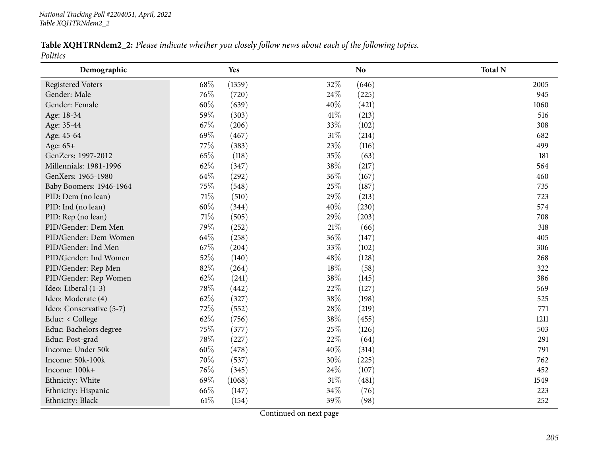| Table XQHTRNdem2_2: Please indicate whether you closely follow news about each of the following topics. |  |  |  |  |  |  |
|---------------------------------------------------------------------------------------------------------|--|--|--|--|--|--|
| Politics                                                                                                |  |  |  |  |  |  |

| Demographic              |      | Yes    |        | N <sub>o</sub> | <b>Total N</b> |
|--------------------------|------|--------|--------|----------------|----------------|
| <b>Registered Voters</b> | 68%  | (1359) | 32%    | (646)          | 2005           |
| Gender: Male             | 76%  | (720)  | 24\%   | (225)          | 945            |
| Gender: Female           | 60%  | (639)  | 40%    | (421)          | 1060           |
| Age: 18-34               | 59%  | (303)  | 41\%   | (213)          | 516            |
| Age: 35-44               | 67%  | (206)  | 33%    | (102)          | 308            |
| Age: 45-64               | 69%  | (467)  | $31\%$ | (214)          | 682            |
| Age: 65+                 | 77%  | (383)  | 23%    | (116)          | 499            |
| GenZers: 1997-2012       | 65%  | (118)  | 35%    | (63)           | 181            |
| Millennials: 1981-1996   | 62%  | (347)  | 38\%   | (217)          | 564            |
| GenXers: 1965-1980       | 64%  | (292)  | 36%    | (167)          | 460            |
| Baby Boomers: 1946-1964  | 75%  | (548)  | 25%    | (187)          | 735            |
| PID: Dem (no lean)       | 71%  | (510)  | 29%    | (213)          | 723            |
| PID: Ind (no lean)       | 60%  | (344)  | 40%    | (230)          | 574            |
| PID: Rep (no lean)       | 71%  | (505)  | 29%    | (203)          | 708            |
| PID/Gender: Dem Men      | 79%  | (252)  | $21\%$ | (66)           | 318            |
| PID/Gender: Dem Women    | 64%  | (258)  | 36%    | (147)          | 405            |
| PID/Gender: Ind Men      | 67%  | (204)  | 33%    | (102)          | 306            |
| PID/Gender: Ind Women    | 52%  | (140)  | 48\%   | (128)          | 268            |
| PID/Gender: Rep Men      | 82%  | (264)  | 18%    | (58)           | 322            |
| PID/Gender: Rep Women    | 62%  | (241)  | 38%    | (145)          | 386            |
| Ideo: Liberal (1-3)      | 78%  | (442)  | 22%    | (127)          | 569            |
| Ideo: Moderate (4)       | 62%  | (327)  | 38%    | (198)          | 525            |
| Ideo: Conservative (5-7) | 72%  | (552)  | 28\%   | (219)          | 771            |
| Educ: < College          | 62%  | (756)  | 38%    | (455)          | 1211           |
| Educ: Bachelors degree   | 75%  | (377)  | 25%    | (126)          | 503            |
| Educ: Post-grad          | 78%  | (227)  | 22%    | (64)           | 291            |
| Income: Under 50k        | 60%  | (478)  | 40%    | (314)          | 791            |
| Income: 50k-100k         | 70%  | (537)  | 30%    | (225)          | 762            |
| Income: 100k+            | 76%  | (345)  | 24%    | (107)          | 452            |
| Ethnicity: White         | 69%  | (1068) | 31%    | (481)          | 1549           |
| Ethnicity: Hispanic      | 66%  | (147)  | 34%    | (76)           | 223            |
| Ethnicity: Black         | 61\% | (154)  | 39%    | (98)           | 252            |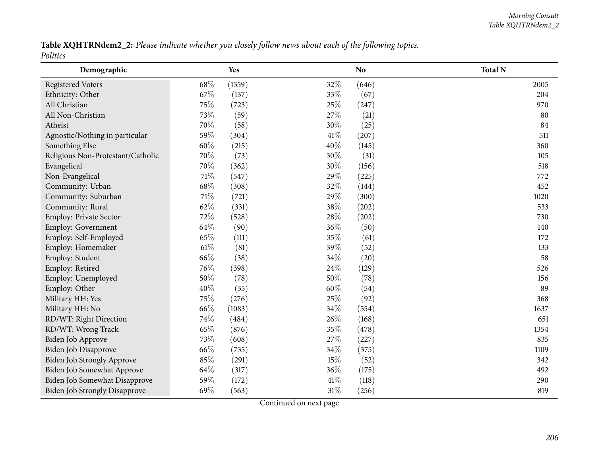Table XQHTRNdem2\_2: Please indicate whether you closely follow news about each of the following topics. *Politics*

| Demographic                          |      | Yes    |        | N <sub>o</sub> | <b>Total N</b> |
|--------------------------------------|------|--------|--------|----------------|----------------|
| <b>Registered Voters</b>             | 68%  | (1359) | 32%    | (646)          | 2005           |
| Ethnicity: Other                     | 67%  | (137)  | 33%    | (67)           | 204            |
| All Christian                        | 75%  | (723)  | 25%    | (247)          | 970            |
| All Non-Christian                    | 73%  | (59)   | 27\%   | (21)           | 80             |
| Atheist                              | 70%  | (58)   | 30%    | (25)           | 84             |
| Agnostic/Nothing in particular       | 59%  | (304)  | $41\%$ | (207)          | 511            |
| Something Else                       | 60%  | (215)  | 40%    | (145)          | 360            |
| Religious Non-Protestant/Catholic    | 70%  | (73)   | 30%    | (31)           | 105            |
| Evangelical                          | 70%  | (362)  | 30%    | (156)          | 518            |
| Non-Evangelical                      | 71%  | (547)  | 29%    | (225)          | 772            |
| Community: Urban                     | 68%  | (308)  | 32%    | (144)          | 452            |
| Community: Suburban                  | 71%  | (721)  | 29%    | (300)          | 1020           |
| Community: Rural                     | 62%  | (331)  | 38\%   | (202)          | 533            |
| Employ: Private Sector               | 72%  | (528)  | 28%    | (202)          | 730            |
| Employ: Government                   | 64%  | (90)   | 36%    | (50)           | 140            |
| Employ: Self-Employed                | 65%  | (111)  | 35%    | (61)           | 172            |
| Employ: Homemaker                    | 61\% | (81)   | 39%    | (52)           | 133            |
| Employ: Student                      | 66%  | (38)   | 34%    | (20)           | 58             |
| Employ: Retired                      | 76%  | (398)  | 24\%   | (129)          | 526            |
| Employ: Unemployed                   | 50%  | (78)   | 50%    | (78)           | 156            |
| Employ: Other                        | 40%  | (35)   | $60\%$ | (54)           | 89             |
| Military HH: Yes                     | 75%  | (276)  | 25%    | (92)           | 368            |
| Military HH: No                      | 66%  | (1083) | $34\%$ | (554)          | 1637           |
| RD/WT: Right Direction               | 74%  | (484)  | 26%    | (168)          | 651            |
| RD/WT: Wrong Track                   | 65%  | (876)  | 35%    | (478)          | 1354           |
| Biden Job Approve                    | 73%  | (608)  | 27%    | (227)          | 835            |
| Biden Job Disapprove                 | 66%  | (735)  | 34\%   | (375)          | 1109           |
| <b>Biden Job Strongly Approve</b>    | 85%  | (291)  | 15%    | (52)           | 342            |
| Biden Job Somewhat Approve           | 64%  | (317)  | 36%    | (175)          | 492            |
| Biden Job Somewhat Disapprove        | 59%  | (172)  | 41\%   | (118)          | 290            |
| <b>Biden Job Strongly Disapprove</b> | 69%  | (563)  | $31\%$ | (256)          | 819            |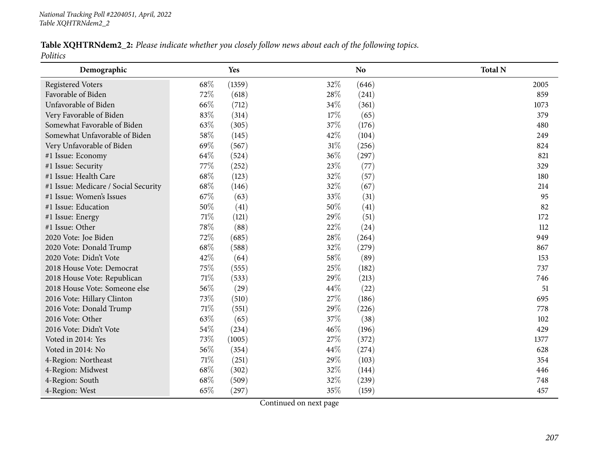| Table XQHTRNdem2_2: Please indicate whether you closely follow news about each of the following topics. |  |  |  |
|---------------------------------------------------------------------------------------------------------|--|--|--|
| Politics                                                                                                |  |  |  |

| Demographic                          |      | Yes    |        | <b>No</b> | <b>Total N</b> |
|--------------------------------------|------|--------|--------|-----------|----------------|
| <b>Registered Voters</b>             | 68%  | (1359) | 32\%   | (646)     | 2005           |
| Favorable of Biden                   | 72%  | (618)  | 28%    | (241)     | 859            |
| Unfavorable of Biden                 | 66%  | (712)  | 34%    | (361)     | 1073           |
| Very Favorable of Biden              | 83%  | (314)  | 17%    | (65)      | 379            |
| Somewhat Favorable of Biden          | 63%  | (305)  | 37%    | (176)     | 480            |
| Somewhat Unfavorable of Biden        | 58%  | (145)  | 42%    | (104)     | 249            |
| Very Unfavorable of Biden            | 69%  | (567)  | $31\%$ | (256)     | 824            |
| #1 Issue: Economy                    | 64%  | (524)  | 36%    | (297)     | 821            |
| #1 Issue: Security                   | 77%  | (252)  | 23%    | (77)      | 329            |
| #1 Issue: Health Care                | 68%  | (123)  | 32%    | (57)      | 180            |
| #1 Issue: Medicare / Social Security | 68%  | (146)  | 32%    | (67)      | 214            |
| #1 Issue: Women's Issues             | 67%  | (63)   | 33%    | (31)      | 95             |
| #1 Issue: Education                  | 50%  | (41)   | 50%    | (41)      | 82             |
| #1 Issue: Energy                     | 71%  | (121)  | 29%    | (51)      | 172            |
| #1 Issue: Other                      | 78%  | (88)   | 22%    | (24)      | 112            |
| 2020 Vote: Joe Biden                 | 72%  | (685)  | 28%    | (264)     | 949            |
| 2020 Vote: Donald Trump              | 68%  | (588)  | 32%    | (279)     | 867            |
| 2020 Vote: Didn't Vote               | 42%  | (64)   | 58%    | (89)      | 153            |
| 2018 House Vote: Democrat            | 75%  | (555)  | 25%    | (182)     | 737            |
| 2018 House Vote: Republican          | 71%  | (533)  | 29%    | (213)     | 746            |
| 2018 House Vote: Someone else        | 56%  | (29)   | 44%    | (22)      | 51             |
| 2016 Vote: Hillary Clinton           | 73%  | (510)  | 27%    | (186)     | 695            |
| 2016 Vote: Donald Trump              | 71%  | (551)  | 29%    | (226)     | 778            |
| 2016 Vote: Other                     | 63%  | (65)   | 37%    | (38)      | 102            |
| 2016 Vote: Didn't Vote               | 54%  | (234)  | 46%    | (196)     | 429            |
| Voted in 2014: Yes                   | 73%  | (1005) | 27%    | (372)     | 1377           |
| Voted in 2014: No                    | 56%  | (354)  | 44%    | (274)     | 628            |
| 4-Region: Northeast                  | 71\% | (251)  | 29%    | (103)     | 354            |
| 4-Region: Midwest                    | 68%  | (302)  | 32%    | (144)     | 446            |
| 4-Region: South                      | 68%  | (509)  | 32%    | (239)     | 748            |
| 4-Region: West                       | 65%  | (297)  | 35%    | (159)     | 457            |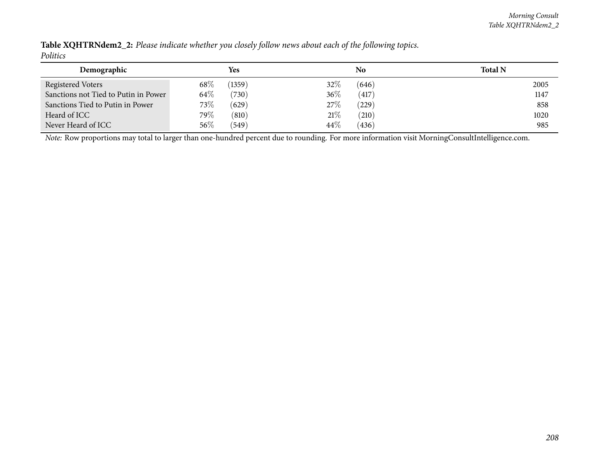| Demographic                          |         | Yes    |      | No    | <b>Total N</b> |
|--------------------------------------|---------|--------|------|-------|----------------|
| <b>Registered Voters</b>             | $68\%$  | (1359) | 32%  | (646) | 2005           |
| Sanctions not Tied to Putin in Power | $64\%$  | (730)  | 36%  | (417) | 1147           |
| Sanctions Tied to Putin in Power     | $73\%$  | (629)  | 27\% | (229) | 858            |
| Heard of ICC                         | 79 $\%$ | (810)  | 21%  | (210) | 1020           |
| Never Heard of ICC                   | 56\%    | (549)  | 44\% | (436) | 985            |

Table XQHTRNdem2\_2: Please indicate whether you closely follow news about each of the following topics. *Politics*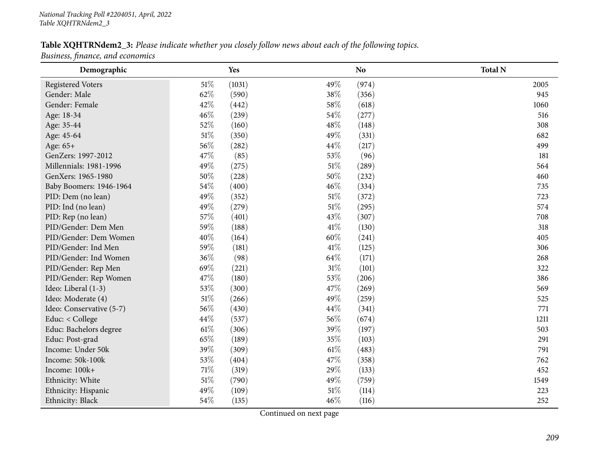# Table XQHTRNdem2\_3: Please indicate whether you closely follow news about each of the following topics.

*Business, finance, and economics*

| Demographic              |        | Yes    |        | N <sub>o</sub> | <b>Total N</b> |
|--------------------------|--------|--------|--------|----------------|----------------|
| <b>Registered Voters</b> | 51%    | (1031) | 49%    | (974)          | 2005           |
| Gender: Male             | 62%    | (590)  | 38%    | (356)          | 945            |
| Gender: Female           | 42%    | (442)  | 58%    | (618)          | 1060           |
| Age: 18-34               | 46%    | (239)  | 54%    | (277)          | 516            |
| Age: 35-44               | 52%    | (160)  | 48\%   | (148)          | 308            |
| Age: 45-64               | $51\%$ | (350)  | 49%    | (331)          | 682            |
| Age: 65+                 | 56%    | (282)  | 44\%   | (217)          | 499            |
| GenZers: 1997-2012       | 47%    | (85)   | 53%    | (96)           | 181            |
| Millennials: 1981-1996   | 49%    | (275)  | $51\%$ | (289)          | 564            |
| GenXers: 1965-1980       | 50%    | (228)  | 50%    | (232)          | 460            |
| Baby Boomers: 1946-1964  | 54%    | (400)  | 46%    | (334)          | 735            |
| PID: Dem (no lean)       | 49%    | (352)  | $51\%$ | (372)          | 723            |
| PID: Ind (no lean)       | 49%    | (279)  | 51%    | (295)          | 574            |
| PID: Rep (no lean)       | 57%    | (401)  | 43%    | (307)          | 708            |
| PID/Gender: Dem Men      | 59%    | (188)  | 41\%   | (130)          | 318            |
| PID/Gender: Dem Women    | 40%    | (164)  | $60\%$ | (241)          | 405            |
| PID/Gender: Ind Men      | 59%    | (181)  | 41\%   | (125)          | 306            |
| PID/Gender: Ind Women    | 36%    | (98)   | 64\%   | (171)          | 268            |
| PID/Gender: Rep Men      | 69%    | (221)  | $31\%$ | (101)          | 322            |
| PID/Gender: Rep Women    | 47%    | (180)  | 53%    | (206)          | 386            |
| Ideo: Liberal (1-3)      | 53%    | (300)  | 47%    | (269)          | 569            |
| Ideo: Moderate (4)       | $51\%$ | (266)  | 49%    | (259)          | 525            |
| Ideo: Conservative (5-7) | 56%    | (430)  | 44\%   | (341)          | 771            |
| Educ: < College          | 44%    | (537)  | 56%    | (674)          | 1211           |
| Educ: Bachelors degree   | 61\%   | (306)  | 39%    | (197)          | 503            |
| Educ: Post-grad          | 65%    | (189)  | 35%    | (103)          | 291            |
| Income: Under 50k        | 39%    | (309)  | $61\%$ | (483)          | 791            |
| Income: 50k-100k         | 53%    | (404)  | 47%    | (358)          | 762            |
| Income: 100k+            | 71%    | (319)  | 29%    | (133)          | 452            |
| Ethnicity: White         | 51%    | (790)  | 49%    | (759)          | 1549           |
| Ethnicity: Hispanic      | 49%    | (109)  | 51%    | (114)          | 223            |
| Ethnicity: Black         | 54%    | (135)  | 46%    | (116)          | 252            |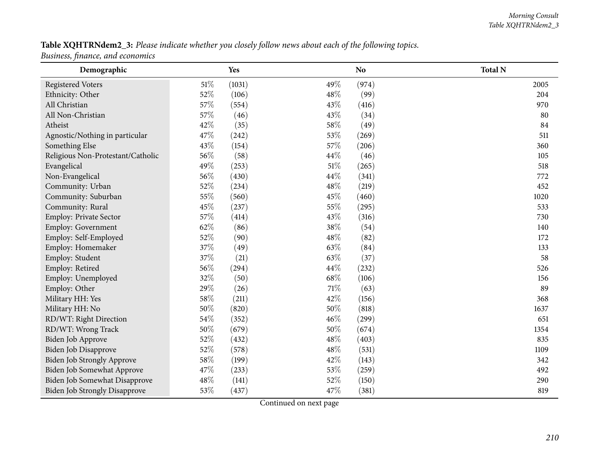### Table XQHTRNdem2\_3: Please indicate whether you closely follow news about each of the following topics. *Business, finance, and economics*

| Demographic                          |        | Yes    |        | N <sub>o</sub> | <b>Total N</b> |
|--------------------------------------|--------|--------|--------|----------------|----------------|
| <b>Registered Voters</b>             | $51\%$ | (1031) | 49%    | (974)          | 2005           |
| Ethnicity: Other                     | 52%    | (106)  | 48\%   | (99)           | 204            |
| All Christian                        | 57%    | (554)  | 43%    | (416)          | 970            |
| All Non-Christian                    | 57%    | (46)   | 43%    | (34)           | 80             |
| Atheist                              | 42%    | (35)   | 58\%   | (49)           | 84             |
| Agnostic/Nothing in particular       | 47%    | (242)  | 53%    | (269)          | 511            |
| Something Else                       | 43%    | (154)  | 57%    | (206)          | 360            |
| Religious Non-Protestant/Catholic    | 56%    | (58)   | 44%    | (46)           | 105            |
| Evangelical                          | 49%    | (253)  | 51%    | (265)          | 518            |
| Non-Evangelical                      | 56%    | (430)  | 44\%   | (341)          | 772            |
| Community: Urban                     | 52%    | (234)  | 48\%   | (219)          | 452            |
| Community: Suburban                  | 55%    | (560)  | 45%    | (460)          | 1020           |
| Community: Rural                     | 45%    | (237)  | 55%    | (295)          | 533            |
| <b>Employ: Private Sector</b>        | 57%    | (414)  | 43%    | (316)          | 730            |
| Employ: Government                   | 62%    | (86)   | 38\%   | (54)           | 140            |
| Employ: Self-Employed                | 52%    | (90)   | 48%    | (82)           | 172            |
| Employ: Homemaker                    | 37%    | (49)   | 63%    | (84)           | 133            |
| Employ: Student                      | 37%    | (21)   | 63%    | (37)           | 58             |
| Employ: Retired                      | 56%    | (294)  | 44%    | (232)          | 526            |
| Employ: Unemployed                   | 32%    | (50)   | 68%    | (106)          | 156            |
| Employ: Other                        | 29%    | (26)   | $71\%$ | (63)           | 89             |
| Military HH: Yes                     | 58%    | (211)  | 42%    | (156)          | 368            |
| Military HH: No                      | 50%    | (820)  | 50%    | (818)          | 1637           |
| RD/WT: Right Direction               | 54%    | (352)  | 46%    | (299)          | 651            |
| RD/WT: Wrong Track                   | 50%    | (679)  | 50%    | (674)          | 1354           |
| Biden Job Approve                    | 52%    | (432)  | 48%    | (403)          | 835            |
| Biden Job Disapprove                 | 52%    | (578)  | 48%    | (531)          | 1109           |
| Biden Job Strongly Approve           | 58%    | (199)  | 42%    | (143)          | 342            |
| Biden Job Somewhat Approve           | 47%    | (233)  | 53%    | (259)          | 492            |
| <b>Biden Job Somewhat Disapprove</b> | 48%    | (141)  | 52%    | (150)          | 290            |
| <b>Biden Job Strongly Disapprove</b> | 53%    | (437)  | 47%    | (381)          | 819            |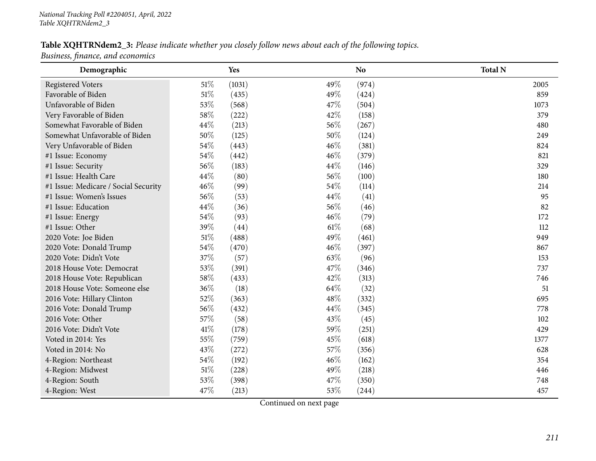## Table XQHTRNdem2\_3: Please indicate whether you closely follow news about each of the following topics.

*Business, finance, and economics*

| Demographic                          |        | Yes    |        | N <sub>o</sub> | <b>Total N</b> |
|--------------------------------------|--------|--------|--------|----------------|----------------|
| <b>Registered Voters</b>             | 51%    | (1031) | 49%    | (974)          | 2005           |
| Favorable of Biden                   | $51\%$ | (435)  | 49%    | (424)          | 859            |
| Unfavorable of Biden                 | 53%    | (568)  | 47%    | (504)          | 1073           |
| Very Favorable of Biden              | 58%    | (222)  | 42\%   | (158)          | 379            |
| Somewhat Favorable of Biden          | 44%    | (213)  | 56%    | (267)          | 480            |
| Somewhat Unfavorable of Biden        | 50%    | (125)  | 50%    | (124)          | 249            |
| Very Unfavorable of Biden            | 54%    | (443)  | 46%    | (381)          | 824            |
| #1 Issue: Economy                    | 54%    | (442)  | 46%    | (379)          | 821            |
| #1 Issue: Security                   | 56%    | (183)  | 44%    | (146)          | 329            |
| #1 Issue: Health Care                | 44%    | (80)   | 56%    | (100)          | 180            |
| #1 Issue: Medicare / Social Security | 46%    | (99)   | 54%    | (114)          | 214            |
| #1 Issue: Women's Issues             | 56%    | (53)   | 44%    | (41)           | 95             |
| #1 Issue: Education                  | 44%    | (36)   | 56%    | (46)           | 82             |
| #1 Issue: Energy                     | 54%    | (93)   | 46%    | (79)           | 172            |
| #1 Issue: Other                      | 39%    | (44)   | $61\%$ | (68)           | 112            |
| 2020 Vote: Joe Biden                 | 51%    | (488)  | 49%    | (461)          | 949            |
| 2020 Vote: Donald Trump              | 54%    | (470)  | 46%    | (397)          | 867            |
| 2020 Vote: Didn't Vote               | 37%    | (57)   | 63%    | (96)           | 153            |
| 2018 House Vote: Democrat            | 53%    | (391)  | 47%    | (346)          | 737            |
| 2018 House Vote: Republican          | 58%    | (433)  | 42%    | (313)          | 746            |
| 2018 House Vote: Someone else        | 36%    | (18)   | 64%    | (32)           | 51             |
| 2016 Vote: Hillary Clinton           | 52%    | (363)  | 48%    | (332)          | 695            |
| 2016 Vote: Donald Trump              | 56%    | (432)  | 44%    | (345)          | 778            |
| 2016 Vote: Other                     | 57%    | (58)   | 43%    | (45)           | 102            |
| 2016 Vote: Didn't Vote               | 41\%   | (178)  | 59%    | (251)          | 429            |
| Voted in 2014: Yes                   | 55%    | (759)  | 45%    | (618)          | 1377           |
| Voted in 2014: No                    | 43%    | (272)  | 57%    | (356)          | 628            |
| 4-Region: Northeast                  | 54%    | (192)  | 46%    | (162)          | 354            |
| 4-Region: Midwest                    | $51\%$ | (228)  | 49%    | (218)          | 446            |
| 4-Region: South                      | 53%    | (398)  | 47%    | (350)          | 748            |
| 4-Region: West                       | 47%    | (213)  | 53%    | (244)          | 457            |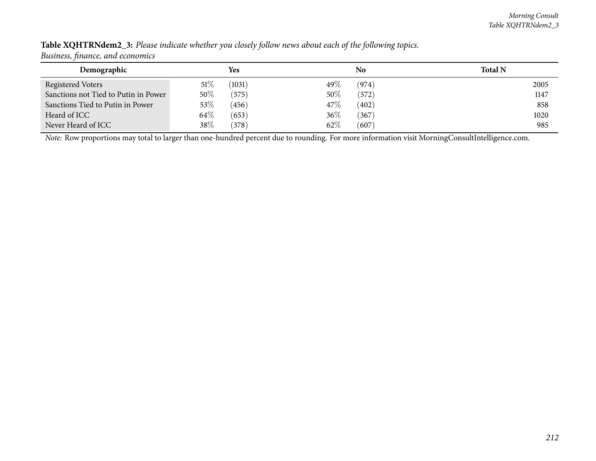| Demographic                          |        | Yes    |         | No    | <b>Total N</b> |  |
|--------------------------------------|--------|--------|---------|-------|----------------|--|
| Registered Voters                    | $51\%$ | (1031) | 49 $\%$ | (974) | 2005           |  |
| Sanctions not Tied to Putin in Power | 50%    | (575)  | 50%     | (572) | 1147           |  |
| Sanctions Tied to Putin in Power     | 53\%   | (456)  | 47\%    | (402) | 858            |  |
| Heard of ICC                         | $64\%$ | (653)  | 36%     | (367) | 1020           |  |
| Never Heard of ICC                   | 38\%   | (378)  | 62%     | (607) | 985            |  |

Table XQHTRNdem2\_3: Please indicate whether you closely follow news about each of the following topics. *Business, finance, and economics*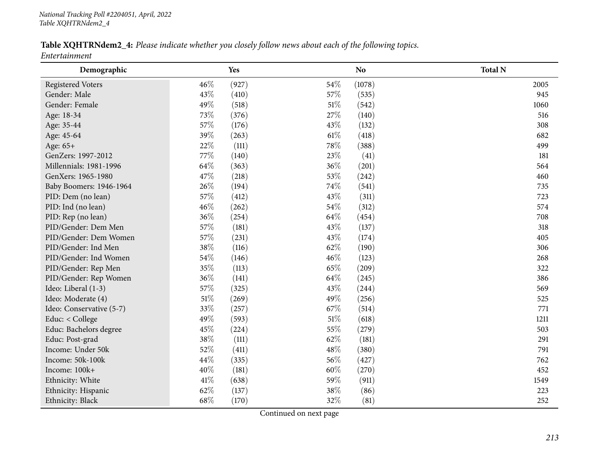Table XQHTRNdem2\_4: Please indicate whether you closely follow news about each of the following topics. *Entertainment*

| Demographic              |        | Yes   |        | N <sub>o</sub> | <b>Total N</b> |
|--------------------------|--------|-------|--------|----------------|----------------|
| <b>Registered Voters</b> | 46%    | (927) | 54%    | (1078)         | 2005           |
| Gender: Male             | 43%    | (410) | 57%    | (535)          | 945            |
| Gender: Female           | 49%    | (518) | 51%    | (542)          | 1060           |
| Age: 18-34               | 73%    | (376) | 27%    | (140)          | 516            |
| Age: 35-44               | 57%    | (176) | 43%    | (132)          | 308            |
| Age: 45-64               | 39%    | (263) | $61\%$ | (418)          | 682            |
| Age: 65+                 | 22%    | (111) | 78%    | (388)          | 499            |
| GenZers: 1997-2012       | 77%    | (140) | 23%    | (41)           | 181            |
| Millennials: 1981-1996   | 64%    | (363) | 36%    | (201)          | 564            |
| GenXers: 1965-1980       | 47%    | (218) | 53%    | (242)          | 460            |
| Baby Boomers: 1946-1964  | 26%    | (194) | 74%    | (541)          | 735            |
| PID: Dem (no lean)       | 57%    | (412) | 43%    | (311)          | 723            |
| PID: Ind (no lean)       | 46%    | (262) | 54%    | (312)          | 574            |
| PID: Rep (no lean)       | 36%    | (254) | 64%    | (454)          | 708            |
| PID/Gender: Dem Men      | 57%    | (181) | 43%    | (137)          | 318            |
| PID/Gender: Dem Women    | 57%    | (231) | 43%    | (174)          | 405            |
| PID/Gender: Ind Men      | 38%    | (116) | 62%    | (190)          | 306            |
| PID/Gender: Ind Women    | 54%    | (146) | 46%    | (123)          | 268            |
| PID/Gender: Rep Men      | 35%    | (113) | 65%    | (209)          | 322            |
| PID/Gender: Rep Women    | 36%    | (141) | 64%    | (245)          | 386            |
| Ideo: Liberal (1-3)      | 57%    | (325) | 43%    | (244)          | 569            |
| Ideo: Moderate (4)       | $51\%$ | (269) | 49%    | (256)          | 525            |
| Ideo: Conservative (5-7) | 33%    | (257) | 67%    | (514)          | 771            |
| Educ: < College          | 49%    | (593) | 51%    | (618)          | 1211           |
| Educ: Bachelors degree   | 45%    | (224) | 55%    | (279)          | 503            |
| Educ: Post-grad          | 38%    | (111) | 62%    | (181)          | 291            |
| Income: Under 50k        | 52%    | (411) | 48%    | (380)          | 791            |
| Income: 50k-100k         | 44%    | (335) | 56%    | (427)          | 762            |
| Income: 100k+            | 40%    | (181) | 60%    | (270)          | 452            |
| Ethnicity: White         | 41\%   | (638) | 59%    | (911)          | 1549           |
| Ethnicity: Hispanic      | 62%    | (137) | 38%    | (86)           | 223            |
| Ethnicity: Black         | 68%    | (170) | 32%    | (81)           | 252            |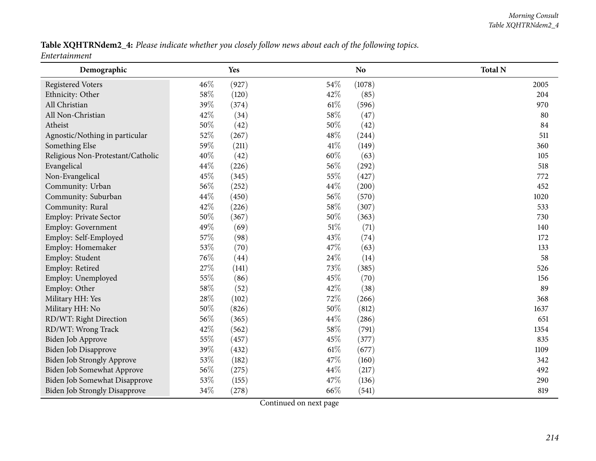Table XQHTRNdem2\_4: Please indicate whether you closely follow news about each of the following topics. *Entertainment*

| Demographic                          |     | Yes   |        | N <sub>o</sub> | <b>Total N</b> |
|--------------------------------------|-----|-------|--------|----------------|----------------|
| <b>Registered Voters</b>             | 46% | (927) | 54\%   | (1078)         | 2005           |
| Ethnicity: Other                     | 58% | (120) | 42%    | (85)           | 204            |
| All Christian                        | 39% | (374) | $61\%$ | (596)          | 970            |
| All Non-Christian                    | 42% | (34)  | 58%    | (47)           | 80             |
| Atheist                              | 50% | (42)  | 50%    | (42)           | 84             |
| Agnostic/Nothing in particular       | 52% | (267) | 48%    | (244)          | 511            |
| Something Else                       | 59% | (211) | $41\%$ | (149)          | 360            |
| Religious Non-Protestant/Catholic    | 40% | (42)  | 60%    | (63)           | 105            |
| Evangelical                          | 44% | (226) | 56%    | (292)          | 518            |
| Non-Evangelical                      | 45% | (345) | 55%    | (427)          | 772            |
| Community: Urban                     | 56% | (252) | 44%    | (200)          | 452            |
| Community: Suburban                  | 44% | (450) | 56%    | (570)          | 1020           |
| Community: Rural                     | 42% | (226) | 58\%   | (307)          | 533            |
| Employ: Private Sector               | 50% | (367) | 50%    | (363)          | 730            |
| Employ: Government                   | 49% | (69)  | $51\%$ | (71)           | 140            |
| Employ: Self-Employed                | 57% | (98)  | 43%    | (74)           | 172            |
| Employ: Homemaker                    | 53% | (70)  | 47\%   | (63)           | 133            |
| Employ: Student                      | 76% | (44)  | 24\%   | (14)           | 58             |
| Employ: Retired                      | 27% | (141) | 73%    | (385)          | 526            |
| Employ: Unemployed                   | 55% | (86)  | 45%    | (70)           | 156            |
| Employ: Other                        | 58% | (52)  | 42%    | (38)           | 89             |
| Military HH: Yes                     | 28% | (102) | 72%    | (266)          | 368            |
| Military HH: No                      | 50% | (826) | 50%    | (812)          | 1637           |
| RD/WT: Right Direction               | 56% | (365) | 44\%   | (286)          | 651            |
| RD/WT: Wrong Track                   | 42% | (562) | 58\%   | (791)          | 1354           |
| Biden Job Approve                    | 55% | (457) | 45%    | (377)          | 835            |
| Biden Job Disapprove                 | 39% | (432) | $61\%$ | (677)          | 1109           |
| <b>Biden Job Strongly Approve</b>    | 53% | (182) | 47%    | (160)          | 342            |
| Biden Job Somewhat Approve           | 56% | (275) | 44\%   | (217)          | 492            |
| Biden Job Somewhat Disapprove        | 53% | (155) | 47\%   | (136)          | 290            |
| <b>Biden Job Strongly Disapprove</b> | 34% | (278) | 66%    | (541)          | 819            |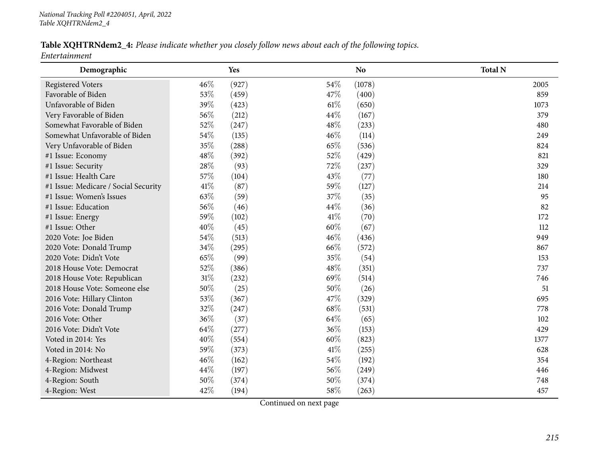#### Table XQHTRNdem2\_4: Please indicate whether you closely follow news about each of the following topics. *Entertainment*

| Demographic                          |      | Yes   |        | <b>No</b> | <b>Total N</b> |
|--------------------------------------|------|-------|--------|-----------|----------------|
| <b>Registered Voters</b>             | 46\% | (927) | 54\%   | (1078)    | 2005           |
| Favorable of Biden                   | 53%  | (459) | 47\%   | (400)     | 859            |
| Unfavorable of Biden                 | 39%  | (423) | $61\%$ | (650)     | 1073           |
| Very Favorable of Biden              | 56%  | (212) | 44\%   | (167)     | 379            |
| Somewhat Favorable of Biden          | 52%  | (247) | 48%    | (233)     | 480            |
| Somewhat Unfavorable of Biden        | 54%  | (135) | 46\%   | (114)     | 249            |
| Very Unfavorable of Biden            | 35%  | (288) | 65%    | (536)     | 824            |
| #1 Issue: Economy                    | 48%  | (392) | 52%    | (429)     | 821            |
| #1 Issue: Security                   | 28%  | (93)  | 72%    | (237)     | 329            |
| #1 Issue: Health Care                | 57%  | (104) | 43%    | (77)      | 180            |
| #1 Issue: Medicare / Social Security | 41\% | (87)  | 59%    | (127)     | 214            |
| #1 Issue: Women's Issues             | 63%  | (59)  | 37%    | (35)      | 95             |
| #1 Issue: Education                  | 56%  | (46)  | 44\%   | (36)      | 82             |
| #1 Issue: Energy                     | 59%  | (102) | 41\%   | (70)      | 172            |
| #1 Issue: Other                      | 40%  | (45)  | 60%    | (67)      | 112            |
| 2020 Vote: Joe Biden                 | 54%  | (513) | 46%    | (436)     | 949            |
| 2020 Vote: Donald Trump              | 34%  | (295) | 66%    | (572)     | 867            |
| 2020 Vote: Didn't Vote               | 65%  | (99)  | 35%    | (54)      | 153            |
| 2018 House Vote: Democrat            | 52%  | (386) | 48%    | (351)     | 737            |
| 2018 House Vote: Republican          | 31%  | (232) | 69%    | (514)     | 746            |
| 2018 House Vote: Someone else        | 50%  | (25)  | 50%    | (26)      | 51             |
| 2016 Vote: Hillary Clinton           | 53%  | (367) | 47\%   | (329)     | 695            |
| 2016 Vote: Donald Trump              | 32%  | (247) | 68%    | (531)     | 778            |
| 2016 Vote: Other                     | 36%  | (37)  | 64\%   | (65)      | 102            |
| 2016 Vote: Didn't Vote               | 64%  | (277) | 36%    | (153)     | 429            |
| Voted in 2014: Yes                   | 40%  | (554) | 60%    | (823)     | 1377           |
| Voted in 2014: No                    | 59%  | (373) | 41\%   | (255)     | 628            |
| 4-Region: Northeast                  | 46%  | (162) | 54%    | (192)     | 354            |
| 4-Region: Midwest                    | 44%  | (197) | 56\%   | (249)     | 446            |
| 4-Region: South                      | 50%  | (374) | 50%    | (374)     | 748            |
| 4-Region: West                       | 42%  | (194) | 58%    | (263)     | 457            |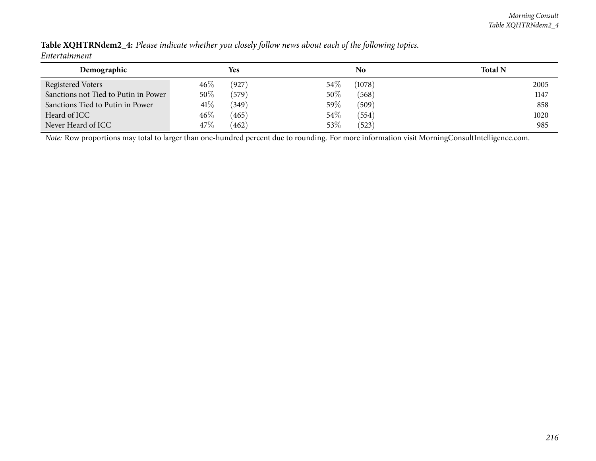| Demographic                          | Yes             | No              | <b>Total N</b> |
|--------------------------------------|-----------------|-----------------|----------------|
| Registered Voters                    | (927)<br>46%    | 54%<br>(1078)   | 2005           |
| Sanctions not Tied to Putin in Power | 50%<br>(579)    | 50%<br>(568)    | 1147           |
| Sanctions Tied to Putin in Power     | $41\%$<br>(349) | $59\%$<br>(509) | 858            |
| Heard of ICC                         | $46\%$<br>(465) | 54\%<br>(554)   | 1020           |
| Never Heard of ICC                   | 47\%<br>(462)   | 53%<br>(523)    | 985            |

Table XQHTRNdem2\_4: Please indicate whether you closely follow news about each of the following topics. *Entertainment*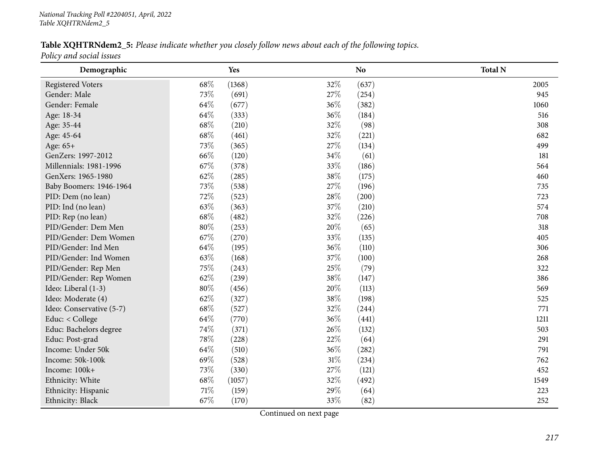Table XQHTRNdem2\_5: Please indicate whether you closely follow news about each of the following topics.

*Policy and social issues*

| Demographic              |     | Yes    |      | N <sub>o</sub> | <b>Total N</b> |
|--------------------------|-----|--------|------|----------------|----------------|
| <b>Registered Voters</b> | 68% | (1368) | 32%  | (637)          | 2005           |
| Gender: Male             | 73% | (691)  | 27\% | (254)          | 945            |
| Gender: Female           | 64% | (677)  | 36%  | (382)          | 1060           |
| Age: 18-34               | 64% | (333)  | 36%  | (184)          | 516            |
| Age: 35-44               | 68% | (210)  | 32%  | (98)           | 308            |
| Age: 45-64               | 68% | (461)  | 32%  | (221)          | 682            |
| Age: 65+                 | 73% | (365)  | 27\% | (134)          | 499            |
| GenZers: 1997-2012       | 66% | (120)  | 34\% | (61)           | 181            |
| Millennials: 1981-1996   | 67% | (378)  | 33\% | (186)          | 564            |
| GenXers: 1965-1980       | 62% | (285)  | 38%  | (175)          | 460            |
| Baby Boomers: 1946-1964  | 73% | (538)  | 27\% | (196)          | 735            |
| PID: Dem (no lean)       | 72% | (523)  | 28\% | (200)          | 723            |
| PID: Ind (no lean)       | 63% | (363)  | 37%  | (210)          | 574            |
| PID: Rep (no lean)       | 68% | (482)  | 32%  | (226)          | 708            |
| PID/Gender: Dem Men      | 80% | (253)  | 20%  | (65)           | 318            |
| PID/Gender: Dem Women    | 67% | (270)  | 33%  | (135)          | 405            |
| PID/Gender: Ind Men      | 64% | (195)  | 36%  | (110)          | 306            |
| PID/Gender: Ind Women    | 63% | (168)  | 37%  | (100)          | 268            |
| PID/Gender: Rep Men      | 75% | (243)  | 25%  | (79)           | 322            |
| PID/Gender: Rep Women    | 62% | (239)  | 38%  | (147)          | 386            |
| Ideo: Liberal (1-3)      | 80% | (456)  | 20%  | (113)          | 569            |
| Ideo: Moderate (4)       | 62% | (327)  | 38%  | (198)          | 525            |
| Ideo: Conservative (5-7) | 68% | (527)  | 32%  | (244)          | 771            |
| Educ: < College          | 64% | (770)  | 36%  | (441)          | 1211           |
| Educ: Bachelors degree   | 74% | (371)  | 26%  | (132)          | 503            |
| Educ: Post-grad          | 78% | (228)  | 22%  | (64)           | 291            |
| Income: Under 50k        | 64% | (510)  | 36%  | (282)          | 791            |
| Income: 50k-100k         | 69% | (528)  | 31%  | (234)          | 762            |
| Income: 100k+            | 73% | (330)  | 27%  | (121)          | 452            |
| Ethnicity: White         | 68% | (1057) | 32%  | (492)          | 1549           |
| Ethnicity: Hispanic      | 71% | (159)  | 29%  | (64)           | 223            |
| Ethnicity: Black         | 67% | (170)  | 33%  | (82)           | 252            |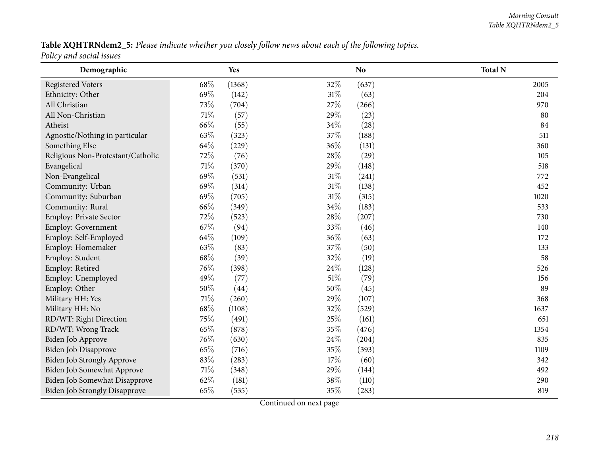Table XQHTRNdem2\_5: Please indicate whether you closely follow news about each of the following topics.

*Policy and social issues*

| Demographic                          |        | Yes    |        | N <sub>o</sub> | <b>Total N</b> |
|--------------------------------------|--------|--------|--------|----------------|----------------|
| <b>Registered Voters</b>             | 68\%   | (1368) | 32%    | (637)          | 2005           |
| Ethnicity: Other                     | 69%    | (142)  | $31\%$ | (63)           | 204            |
| All Christian                        | 73%    | (704)  | 27%    | (266)          | 970            |
| All Non-Christian                    | $71\%$ | (57)   | 29%    | (23)           | 80             |
| Atheist                              | 66%    | (55)   | 34\%   | (28)           | 84             |
| Agnostic/Nothing in particular       | 63%    | (323)  | 37%    | (188)          | 511            |
| Something Else                       | 64%    | (229)  | 36%    | (131)          | 360            |
| Religious Non-Protestant/Catholic    | 72%    | (76)   | 28\%   | (29)           | 105            |
| Evangelical                          | $71\%$ | (370)  | 29%    | (148)          | 518            |
| Non-Evangelical                      | 69%    | (531)  | $31\%$ | (241)          | 772            |
| Community: Urban                     | 69%    | (314)  | $31\%$ | (138)          | 452            |
| Community: Suburban                  | 69%    | (705)  | $31\%$ | (315)          | 1020           |
| Community: Rural                     | 66%    | (349)  | 34\%   | (183)          | 533            |
| Employ: Private Sector               | 72%    | (523)  | 28\%   | (207)          | 730            |
| Employ: Government                   | 67%    | (94)   | 33%    | (46)           | 140            |
| Employ: Self-Employed                | 64%    | (109)  | 36%    | (63)           | 172            |
| Employ: Homemaker                    | 63%    | (83)   | 37%    | (50)           | 133            |
| Employ: Student                      | 68%    | (39)   | 32%    | (19)           | 58             |
| Employ: Retired                      | 76%    | (398)  | 24\%   | (128)          | 526            |
| Employ: Unemployed                   | 49%    | (77)   | $51\%$ | (79)           | 156            |
| Employ: Other                        | 50%    | (44)   | 50%    | (45)           | 89             |
| Military HH: Yes                     | $71\%$ | (260)  | 29%    | (107)          | 368            |
| Military HH: No                      | 68%    | (1108) | 32%    | (529)          | 1637           |
| RD/WT: Right Direction               | 75%    | (491)  | 25%    | (161)          | 651            |
| RD/WT: Wrong Track                   | 65%    | (878)  | 35%    | (476)          | 1354           |
| Biden Job Approve                    | 76%    | (630)  | 24\%   | (204)          | 835            |
| Biden Job Disapprove                 | 65%    | (716)  | 35%    | (393)          | 1109           |
| <b>Biden Job Strongly Approve</b>    | 83%    | (283)  | 17%    | (60)           | 342            |
| <b>Biden Job Somewhat Approve</b>    | 71\%   | (348)  | 29%    | (144)          | 492            |
| Biden Job Somewhat Disapprove        | 62%    | (181)  | 38%    | (110)          | 290            |
| <b>Biden Job Strongly Disapprove</b> | 65%    | (535)  | 35%    | (283)          | 819            |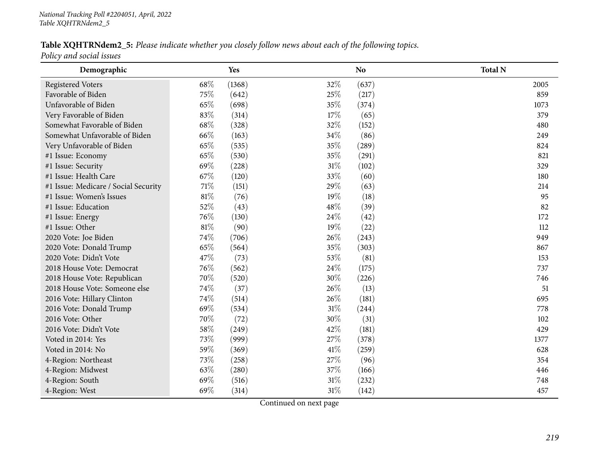## Table XQHTRNdem2\_5: Please indicate whether you closely follow news about each of the following topics.

*Policy and social issues*

| Demographic                          |     | Yes    |        | N <sub>o</sub> | <b>Total N</b> |
|--------------------------------------|-----|--------|--------|----------------|----------------|
| <b>Registered Voters</b>             | 68% | (1368) | 32%    | (637)          | 2005           |
| Favorable of Biden                   | 75% | (642)  | 25%    | (217)          | 859            |
| Unfavorable of Biden                 | 65% | (698)  | 35%    | (374)          | 1073           |
| Very Favorable of Biden              | 83% | (314)  | 17%    | (65)           | 379            |
| Somewhat Favorable of Biden          | 68% | (328)  | 32%    | (152)          | 480            |
| Somewhat Unfavorable of Biden        | 66% | (163)  | 34%    | (86)           | 249            |
| Very Unfavorable of Biden            | 65% | (535)  | 35%    | (289)          | 824            |
| #1 Issue: Economy                    | 65% | (530)  | 35%    | (291)          | 821            |
| #1 Issue: Security                   | 69% | (228)  | $31\%$ | (102)          | 329            |
| #1 Issue: Health Care                | 67% | (120)  | 33%    | (60)           | 180            |
| #1 Issue: Medicare / Social Security | 71% | (151)  | 29%    | (63)           | 214            |
| #1 Issue: Women's Issues             | 81% | (76)   | 19%    | (18)           | 95             |
| #1 Issue: Education                  | 52% | (43)   | 48%    | (39)           | 82             |
| #1 Issue: Energy                     | 76% | (130)  | 24\%   | (42)           | 172            |
| #1 Issue: Other                      | 81% | (90)   | 19%    | (22)           | 112            |
| 2020 Vote: Joe Biden                 | 74% | (706)  | 26%    | (243)          | 949            |
| 2020 Vote: Donald Trump              | 65% | (564)  | 35%    | (303)          | 867            |
| 2020 Vote: Didn't Vote               | 47% | (73)   | 53%    | (81)           | 153            |
| 2018 House Vote: Democrat            | 76% | (562)  | 24\%   | (175)          | 737            |
| 2018 House Vote: Republican          | 70% | (520)  | $30\%$ | (226)          | 746            |
| 2018 House Vote: Someone else        | 74% | (37)   | 26%    | (13)           | 51             |
| 2016 Vote: Hillary Clinton           | 74% | (514)  | 26%    | (181)          | 695            |
| 2016 Vote: Donald Trump              | 69% | (534)  | $31\%$ | (244)          | 778            |
| 2016 Vote: Other                     | 70% | (72)   | 30%    | (31)           | 102            |
| 2016 Vote: Didn't Vote               | 58% | (249)  | 42%    | (181)          | 429            |
| Voted in 2014: Yes                   | 73% | (999)  | 27%    | (378)          | 1377           |
| Voted in 2014: No                    | 59% | (369)  | 41\%   | (259)          | 628            |
| 4-Region: Northeast                  | 73% | (258)  | 27%    | (96)           | 354            |
| 4-Region: Midwest                    | 63% | (280)  | 37%    | (166)          | 446            |
| 4-Region: South                      | 69% | (516)  | $31\%$ | (232)          | 748            |
| 4-Region: West                       | 69% | (314)  | $31\%$ | (142)          | 457            |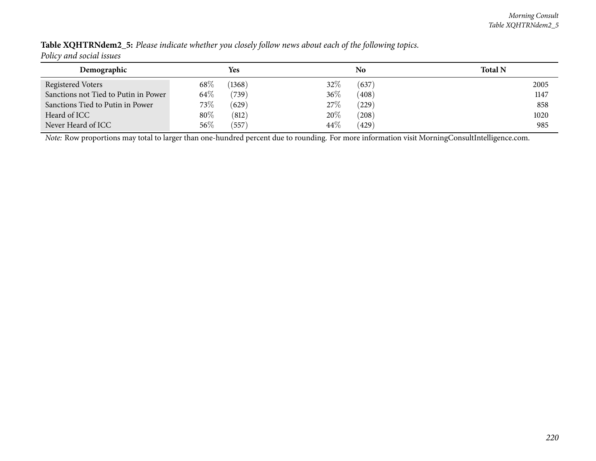| Demographic                          |        | Yes    |        | N <sub>0</sub> | <b>Total N</b> |
|--------------------------------------|--------|--------|--------|----------------|----------------|
| Registered Voters                    | $68\%$ | (1368) | 32%    | (637)          | 2005           |
| Sanctions not Tied to Putin in Power | $64\%$ | (739)  | 36%    | (408)          | 1147           |
| Sanctions Tied to Putin in Power     | 73\%   | (629)  | 27%    | (229)          | 858            |
| Heard of ICC                         | 80%    | (812)  | 20%    | (208)          | 1020           |
| Never Heard of ICC                   | $56\%$ | (557)  | $44\%$ | (429)          | 985            |

Table XQHTRNdem2\_5: Please indicate whether you closely follow news about each of the following topics. *Policy and social issues*

*Note:* Row proportions may total to larger than one-hundred percen<sup>t</sup> due to rounding. For more information visit [MorningConsultIntelligence.com](https://morningconsultintelligence.com).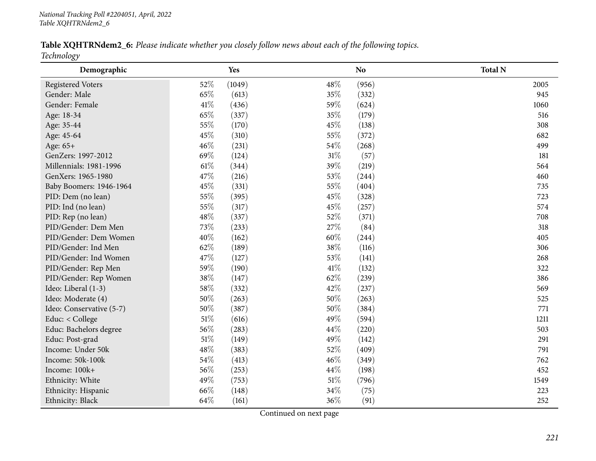| Table XQHTRNdem2_6: Please indicate whether you closely follow news about each of the following topics. |  |
|---------------------------------------------------------------------------------------------------------|--|
| Technology                                                                                              |  |

| ້<br>Demographic         |      | Yes    |        | N <sub>o</sub> | <b>Total N</b> |
|--------------------------|------|--------|--------|----------------|----------------|
| <b>Registered Voters</b> | 52%  | (1049) | 48%    | (956)          | 2005           |
| Gender: Male             | 65%  | (613)  | 35%    | (332)          | 945            |
| Gender: Female           | 41\% | (436)  | 59%    | (624)          | 1060           |
| Age: 18-34               | 65%  | (337)  | 35%    | (179)          | 516            |
| Age: 35-44               | 55%  | (170)  | 45%    | (138)          | 308            |
| Age: 45-64               | 45%  | (310)  | 55%    | (372)          | 682            |
| Age: 65+                 | 46%  | (231)  | 54\%   | (268)          | 499            |
| GenZers: 1997-2012       | 69%  | (124)  | 31\%   | (57)           | 181            |
| Millennials: 1981-1996   | 61\% | (344)  | 39%    | (219)          | 564            |
| GenXers: 1965-1980       | 47%  | (216)  | 53%    | (244)          | 460            |
| Baby Boomers: 1946-1964  | 45%  | (331)  | 55%    | (404)          | 735            |
| PID: Dem (no lean)       | 55%  | (395)  | 45%    | (328)          | 723            |
| PID: Ind (no lean)       | 55%  | (317)  | 45%    | (257)          | 574            |
| PID: Rep (no lean)       | 48%  | (337)  | 52%    | (371)          | 708            |
| PID/Gender: Dem Men      | 73%  | (233)  | 27%    | (84)           | 318            |
| PID/Gender: Dem Women    | 40%  | (162)  | 60%    | (244)          | 405            |
| PID/Gender: Ind Men      | 62%  | (189)  | 38%    | (116)          | 306            |
| PID/Gender: Ind Women    | 47%  | (127)  | 53%    | (141)          | 268            |
| PID/Gender: Rep Men      | 59%  | (190)  | $41\%$ | (132)          | 322            |
| PID/Gender: Rep Women    | 38%  | (147)  | 62%    | (239)          | 386            |
| Ideo: Liberal (1-3)      | 58%  | (332)  | 42%    | (237)          | 569            |
| Ideo: Moderate (4)       | 50%  | (263)  | 50%    | (263)          | 525            |
| Ideo: Conservative (5-7) | 50%  | (387)  | 50%    | (384)          | 771            |
| Educ: < College          | 51%  | (616)  | 49%    | (594)          | 1211           |
| Educ: Bachelors degree   | 56%  | (283)  | 44%    | (220)          | 503            |
| Educ: Post-grad          | 51%  | (149)  | 49%    | (142)          | 291            |
| Income: Under 50k        | 48%  | (383)  | 52%    | (409)          | 791            |
| Income: 50k-100k         | 54%  | (413)  | 46%    | (349)          | 762            |
| Income: 100k+            | 56%  | (253)  | 44%    | (198)          | 452            |
| Ethnicity: White         | 49%  | (753)  | $51\%$ | (796)          | 1549           |
| Ethnicity: Hispanic      | 66%  | (148)  | 34\%   | (75)           | 223            |
| Ethnicity: Black         | 64%  | (161)  | 36%    | (91)           | 252            |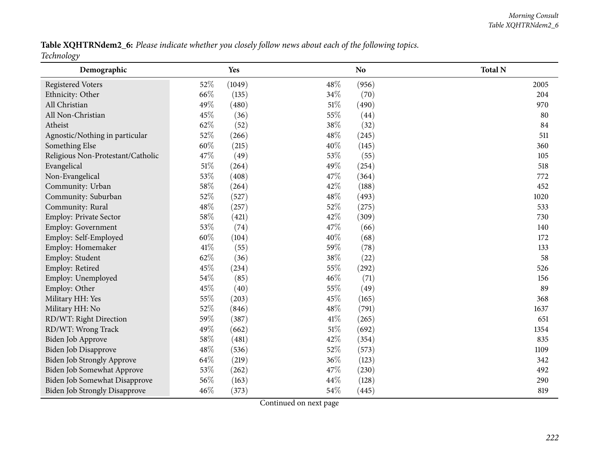Table XQHTRNdem2\_6: Please indicate whether you closely follow news about each of the following topics. *Technology*

| ້<br>Demographic                     |      | Yes    |        | <b>No</b> | <b>Total N</b> |
|--------------------------------------|------|--------|--------|-----------|----------------|
| <b>Registered Voters</b>             | 52%  | (1049) | 48%    | (956)     | 2005           |
| Ethnicity: Other                     | 66%  | (135)  | 34%    | (70)      | 204            |
| All Christian                        | 49%  | (480)  | $51\%$ | (490)     | 970            |
| All Non-Christian                    | 45%  | (36)   | 55%    | (44)      | 80             |
| Atheist                              | 62%  | (52)   | 38%    | (32)      | 84             |
| Agnostic/Nothing in particular       | 52%  | (266)  | 48%    | (245)     | 511            |
| Something Else                       | 60%  | (215)  | 40%    | (145)     | 360            |
| Religious Non-Protestant/Catholic    | 47%  | (49)   | 53%    | (55)      | 105            |
| Evangelical                          | 51%  | (264)  | 49%    | (254)     | 518            |
| Non-Evangelical                      | 53%  | (408)  | 47%    | (364)     | 772            |
| Community: Urban                     | 58%  | (264)  | 42%    | (188)     | 452            |
| Community: Suburban                  | 52%  | (527)  | 48%    | (493)     | 1020           |
| Community: Rural                     | 48%  | (257)  | 52%    | (275)     | 533            |
| Employ: Private Sector               | 58%  | (421)  | 42%    | (309)     | 730            |
| <b>Employ: Government</b>            | 53%  | (74)   | 47%    | (66)      | 140            |
| Employ: Self-Employed                | 60%  | (104)  | 40%    | (68)      | 172            |
| Employ: Homemaker                    | 41\% | (55)   | 59%    | (78)      | 133            |
| Employ: Student                      | 62%  | (36)   | 38%    | (22)      | 58             |
| Employ: Retired                      | 45%  | (234)  | 55%    | (292)     | 526            |
| Employ: Unemployed                   | 54%  | (85)   | 46%    | (71)      | 156            |
| Employ: Other                        | 45%  | (40)   | 55%    | (49)      | 89             |
| Military HH: Yes                     | 55%  | (203)  | 45%    | (165)     | 368            |
| Military HH: No                      | 52%  | (846)  | 48%    | (791)     | 1637           |
| RD/WT: Right Direction               | 59%  | (387)  | 41\%   | (265)     | 651            |
| RD/WT: Wrong Track                   | 49%  | (662)  | $51\%$ | (692)     | 1354           |
| Biden Job Approve                    | 58%  | (481)  | 42%    | (354)     | 835            |
| Biden Job Disapprove                 | 48%  | (536)  | 52%    | (573)     | 1109           |
| <b>Biden Job Strongly Approve</b>    | 64%  | (219)  | 36%    | (123)     | 342            |
| Biden Job Somewhat Approve           | 53%  | (262)  | 47%    | (230)     | 492            |
| Biden Job Somewhat Disapprove        | 56%  | (163)  | 44%    | (128)     | 290            |
| <b>Biden Job Strongly Disapprove</b> | 46%  | (373)  | 54%    | (445)     | 819            |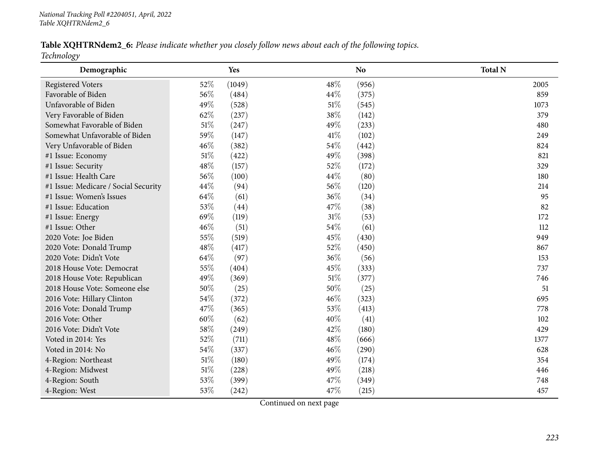| Table XQHTRNdem2_6: Please indicate whether you closely follow news about each of the following topics. |  |
|---------------------------------------------------------------------------------------------------------|--|
| Technology                                                                                              |  |

| $\bm{\mathcal{S}}$<br>Demographic    |        | <b>Yes</b> |        | <b>No</b> | <b>Total N</b> |
|--------------------------------------|--------|------------|--------|-----------|----------------|
| <b>Registered Voters</b>             | 52%    | (1049)     | 48\%   | (956)     | 2005           |
| Favorable of Biden                   | 56%    | (484)      | 44%    | (375)     | 859            |
| Unfavorable of Biden                 | 49%    | (528)      | 51%    | (545)     | 1073           |
| Very Favorable of Biden              | 62%    | (237)      | 38\%   | (142)     | 379            |
| Somewhat Favorable of Biden          | 51%    | (247)      | 49%    | (233)     | 480            |
| Somewhat Unfavorable of Biden        | 59%    | (147)      | $41\%$ | (102)     | 249            |
| Very Unfavorable of Biden            | 46%    | (382)      | 54%    | (442)     | 824            |
| #1 Issue: Economy                    | 51\%   | (422)      | 49%    | (398)     | 821            |
| #1 Issue: Security                   | 48%    | (157)      | 52%    | (172)     | 329            |
| #1 Issue: Health Care                | 56%    | (100)      | 44%    | (80)      | 180            |
| #1 Issue: Medicare / Social Security | 44%    | (94)       | 56%    | (120)     | 214            |
| #1 Issue: Women's Issues             | 64%    | (61)       | 36%    | (34)      | 95             |
| #1 Issue: Education                  | 53%    | (44)       | 47%    | (38)      | 82             |
| #1 Issue: Energy                     | 69%    | (119)      | 31%    | (53)      | 172            |
| #1 Issue: Other                      | 46%    | (51)       | 54%    | (61)      | 112            |
| 2020 Vote: Joe Biden                 | 55%    | (519)      | 45%    | (430)     | 949            |
| 2020 Vote: Donald Trump              | 48%    | (417)      | 52%    | (450)     | 867            |
| 2020 Vote: Didn't Vote               | 64%    | (97)       | 36%    | (56)      | 153            |
| 2018 House Vote: Democrat            | 55%    | (404)      | 45%    | (333)     | 737            |
| 2018 House Vote: Republican          | 49%    | (369)      | $51\%$ | (377)     | 746            |
| 2018 House Vote: Someone else        | 50%    | (25)       | 50%    | (25)      | 51             |
| 2016 Vote: Hillary Clinton           | 54%    | (372)      | 46%    | (323)     | 695            |
| 2016 Vote: Donald Trump              | 47%    | (365)      | 53%    | (413)     | 778            |
| 2016 Vote: Other                     | 60%    | (62)       | 40%    | (41)      | 102            |
| 2016 Vote: Didn't Vote               | 58%    | (249)      | 42%    | (180)     | 429            |
| Voted in 2014: Yes                   | 52%    | (711)      | 48%    | (666)     | 1377           |
| Voted in 2014: No                    | 54%    | (337)      | 46%    | (290)     | 628            |
| 4-Region: Northeast                  | 51\%   | (180)      | 49%    | (174)     | 354            |
| 4-Region: Midwest                    | $51\%$ | (228)      | 49%    | (218)     | 446            |
| 4-Region: South                      | 53%    | (399)      | 47%    | (349)     | 748            |
| 4-Region: West                       | 53%    | (242)      | 47%    | (215)     | 457            |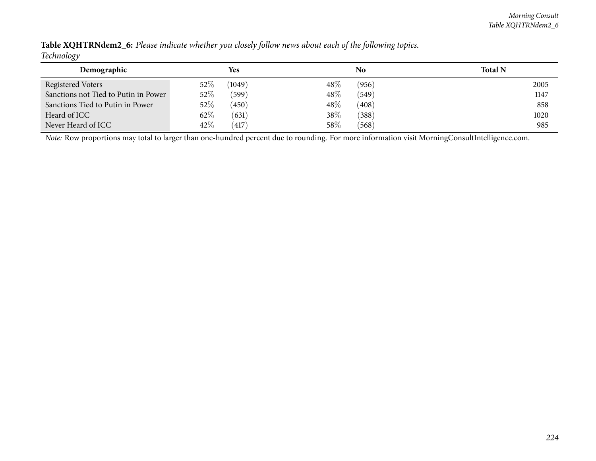| $\sim$ $\sim$ $\sim$ $\sim$ $\sim$   |                  |        |       |                |
|--------------------------------------|------------------|--------|-------|----------------|
| Demographic                          | Yes              |        | No    | <b>Total N</b> |
| Registered Voters                    | $52\%$<br>(1049) | $48\%$ | (956) | 2005           |
| Sanctions not Tied to Putin in Power | $52\%$<br>(599)  | 48\%   | (549) | 1147           |
| Sanctions Tied to Putin in Power     | $52\%$<br>(450)  | 48%    | (408) | 858            |
| Heard of ICC                         | 62\%<br>(631)    | 38%    | (388) | 1020           |
| Never Heard of ICC                   | 42%<br>(417)     | 58%    | (568) | 985            |

Table XQHTRNdem2\_6: Please indicate whether you closely follow news about each of the following topics. *Technology*

*Note:* Row proportions may total to larger than one-hundred percen<sup>t</sup> due to rounding. For more information visit [MorningConsultIntelligence.com](https://morningconsultintelligence.com).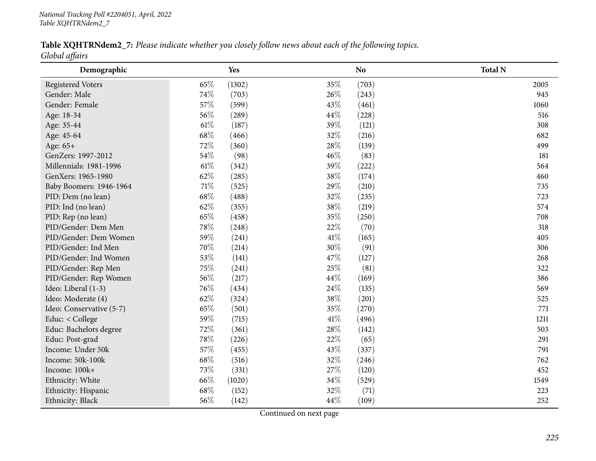Table XQHTRNdem2\_7: Please indicate whether you closely follow news about each of the following topics. *Global affairs*

| Demographic              |      | Yes    |        | N <sub>o</sub> | <b>Total N</b> |
|--------------------------|------|--------|--------|----------------|----------------|
| <b>Registered Voters</b> | 65%  | (1302) | 35%    | (703)          | 2005           |
| Gender: Male             | 74%  | (703)  | 26%    | (243)          | 945            |
| Gender: Female           | 57%  | (599)  | 43%    | (461)          | 1060           |
| Age: 18-34               | 56%  | (289)  | 44%    | (228)          | 516            |
| Age: 35-44               | 61%  | (187)  | 39%    | (121)          | 308            |
| Age: 45-64               | 68%  | (466)  | 32%    | (216)          | 682            |
| Age: 65+                 | 72%  | (360)  | 28%    | (139)          | 499            |
| GenZers: 1997-2012       | 54%  | (98)   | 46%    | (83)           | 181            |
| Millennials: 1981-1996   | 61\% | (342)  | 39%    | (222)          | 564            |
| GenXers: 1965-1980       | 62%  | (285)  | 38%    | (174)          | 460            |
| Baby Boomers: 1946-1964  | 71%  | (525)  | 29%    | (210)          | 735            |
| PID: Dem (no lean)       | 68%  | (488)  | 32%    | (235)          | 723            |
| PID: Ind (no lean)       | 62%  | (355)  | 38%    | (219)          | 574            |
| PID: Rep (no lean)       | 65%  | (458)  | 35%    | (250)          | 708            |
| PID/Gender: Dem Men      | 78%  | (248)  | 22%    | (70)           | 318            |
| PID/Gender: Dem Women    | 59%  | (241)  | $41\%$ | (165)          | 405            |
| PID/Gender: Ind Men      | 70%  | (214)  | 30%    | (91)           | 306            |
| PID/Gender: Ind Women    | 53%  | (141)  | 47%    | (127)          | 268            |
| PID/Gender: Rep Men      | 75%  | (241)  | 25%    | (81)           | 322            |
| PID/Gender: Rep Women    | 56%  | (217)  | 44%    | (169)          | 386            |
| Ideo: Liberal (1-3)      | 76%  | (434)  | 24\%   | (135)          | 569            |
| Ideo: Moderate (4)       | 62%  | (324)  | 38%    | (201)          | 525            |
| Ideo: Conservative (5-7) | 65%  | (501)  | 35%    | (270)          | 771            |
| Educ: < College          | 59%  | (715)  | 41\%   | (496)          | 1211           |
| Educ: Bachelors degree   | 72%  | (361)  | 28%    | (142)          | 503            |
| Educ: Post-grad          | 78%  | (226)  | 22%    | (65)           | 291            |
| Income: Under 50k        | 57%  | (455)  | 43%    | (337)          | 791            |
| Income: 50k-100k         | 68%  | (516)  | 32%    | (246)          | 762            |
| Income: 100k+            | 73%  | (331)  | 27\%   | (120)          | 452            |
| Ethnicity: White         | 66%  | (1020) | 34%    | (529)          | 1549           |
| Ethnicity: Hispanic      | 68%  | (152)  | 32%    | (71)           | 223            |
| Ethnicity: Black         | 56%  | (142)  | 44%    | (109)          | 252            |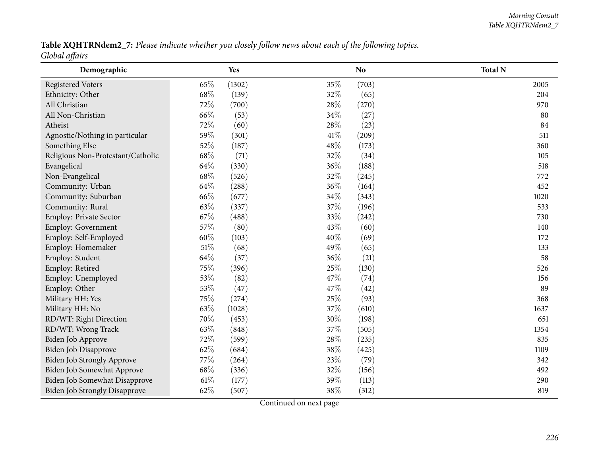Table XQHTRNdem2\_7: Please indicate whether you closely follow news about each of the following topics. *Global affairs*

| Demographic                          |     | Yes    |        | <b>No</b> | <b>Total N</b> |
|--------------------------------------|-----|--------|--------|-----------|----------------|
| <b>Registered Voters</b>             | 65% | (1302) | 35%    | (703)     | 2005           |
| Ethnicity: Other                     | 68% | (139)  | 32%    | (65)      | 204            |
| All Christian                        | 72% | (700)  | 28\%   | (270)     | 970            |
| All Non-Christian                    | 66% | (53)   | 34\%   | (27)      | 80             |
| Atheist                              | 72% | (60)   | 28\%   | (23)      | 84             |
| Agnostic/Nothing in particular       | 59% | (301)  | $41\%$ | (209)     | 511            |
| Something Else                       | 52% | (187)  | 48%    | (173)     | 360            |
| Religious Non-Protestant/Catholic    | 68% | (71)   | 32%    | (34)      | 105            |
| Evangelical                          | 64% | (330)  | 36%    | (188)     | 518            |
| Non-Evangelical                      | 68% | (526)  | $32\%$ | (245)     | 772            |
| Community: Urban                     | 64% | (288)  | 36%    | (164)     | 452            |
| Community: Suburban                  | 66% | (677)  | $34\%$ | (343)     | 1020           |
| Community: Rural                     | 63% | (337)  | 37%    | (196)     | 533            |
| Employ: Private Sector               | 67% | (488)  | 33%    | (242)     | 730            |
| Employ: Government                   | 57% | (80)   | 43%    | (60)      | 140            |
| Employ: Self-Employed                | 60% | (103)  | 40%    | (69)      | 172            |
| Employ: Homemaker                    | 51% | (68)   | 49%    | (65)      | 133            |
| Employ: Student                      | 64% | (37)   | 36%    | (21)      | 58             |
| Employ: Retired                      | 75% | (396)  | 25%    | (130)     | 526            |
| Employ: Unemployed                   | 53% | (82)   | 47%    | (74)      | 156            |
| Employ: Other                        | 53% | (47)   | 47%    | (42)      | 89             |
| Military HH: Yes                     | 75% | (274)  | 25%    | (93)      | 368            |
| Military HH: No                      | 63% | (1028) | 37%    | (610)     | 1637           |
| RD/WT: Right Direction               | 70% | (453)  | 30%    | (198)     | 651            |
| RD/WT: Wrong Track                   | 63% | (848)  | 37%    | (505)     | 1354           |
| Biden Job Approve                    | 72% | (599)  | 28%    | (235)     | 835            |
| Biden Job Disapprove                 | 62% | (684)  | 38%    | (425)     | 1109           |
| <b>Biden Job Strongly Approve</b>    | 77% | (264)  | 23%    | (79)      | 342            |
| Biden Job Somewhat Approve           | 68% | (336)  | 32%    | (156)     | 492            |
| Biden Job Somewhat Disapprove        | 61% | (177)  | 39%    | (113)     | 290            |
| <b>Biden Job Strongly Disapprove</b> | 62% | (507)  | 38%    | (312)     | 819            |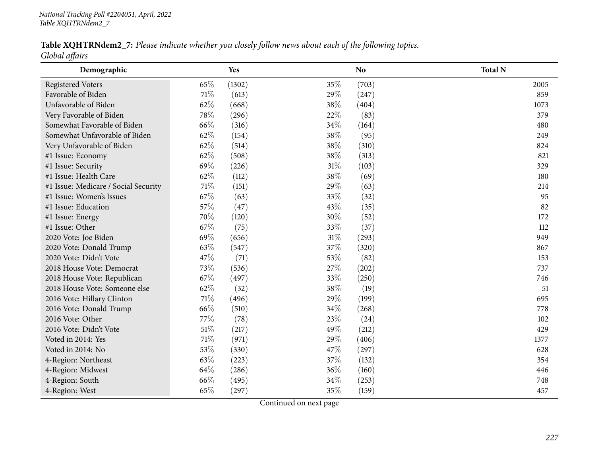Table XQHTRNdem2\_7: Please indicate whether you closely follow news about each of the following topics. *Global affairs*

| Demographic                          |      | Yes    |        | N <sub>o</sub> | <b>Total N</b> |
|--------------------------------------|------|--------|--------|----------------|----------------|
| <b>Registered Voters</b>             | 65%  | (1302) | 35%    | (703)          | 2005           |
| Favorable of Biden                   | 71\% | (613)  | 29%    | (247)          | 859            |
| Unfavorable of Biden                 | 62%  | (668)  | 38%    | (404)          | 1073           |
| Very Favorable of Biden              | 78%  | (296)  | 22%    | (83)           | 379            |
| Somewhat Favorable of Biden          | 66%  | (316)  | 34%    | (164)          | 480            |
| Somewhat Unfavorable of Biden        | 62%  | (154)  | 38%    | (95)           | 249            |
| Very Unfavorable of Biden            | 62%  | (514)  | 38%    | (310)          | 824            |
| #1 Issue: Economy                    | 62%  | (508)  | 38%    | (313)          | 821            |
| #1 Issue: Security                   | 69%  | (226)  | $31\%$ | (103)          | 329            |
| #1 Issue: Health Care                | 62%  | (112)  | 38%    | (69)           | 180            |
| #1 Issue: Medicare / Social Security | 71%  | (151)  | 29%    | (63)           | 214            |
| #1 Issue: Women's Issues             | 67%  | (63)   | 33%    | (32)           | 95             |
| #1 Issue: Education                  | 57%  | (47)   | 43%    | (35)           | 82             |
| #1 Issue: Energy                     | 70%  | (120)  | 30%    | (52)           | 172            |
| #1 Issue: Other                      | 67%  | (75)   | 33%    | (37)           | 112            |
| 2020 Vote: Joe Biden                 | 69%  | (656)  | $31\%$ | (293)          | 949            |
| 2020 Vote: Donald Trump              | 63%  | (547)  | 37%    | (320)          | 867            |
| 2020 Vote: Didn't Vote               | 47%  | (71)   | 53%    | (82)           | 153            |
| 2018 House Vote: Democrat            | 73%  | (536)  | 27%    | (202)          | 737            |
| 2018 House Vote: Republican          | 67%  | (497)  | 33%    | (250)          | 746            |
| 2018 House Vote: Someone else        | 62%  | (32)   | 38%    | (19)           | 51             |
| 2016 Vote: Hillary Clinton           | 71%  | (496)  | 29%    | (199)          | 695            |
| 2016 Vote: Donald Trump              | 66%  | (510)  | 34%    | (268)          | 778            |
| 2016 Vote: Other                     | 77%  | (78)   | 23%    | (24)           | 102            |
| 2016 Vote: Didn't Vote               | 51%  | (217)  | 49%    | (212)          | 429            |
| Voted in 2014: Yes                   | 71%  | (971)  | 29%    | (406)          | 1377           |
| Voted in 2014: No                    | 53%  | (330)  | 47%    | (297)          | 628            |
| 4-Region: Northeast                  | 63%  | (223)  | 37%    | (132)          | 354            |
| 4-Region: Midwest                    | 64%  | (286)  | 36%    | (160)          | 446            |
| 4-Region: South                      | 66%  | (495)  | 34%    | (253)          | 748            |
| 4-Region: West                       | 65%  | (297)  | 35%    | (159)          | 457            |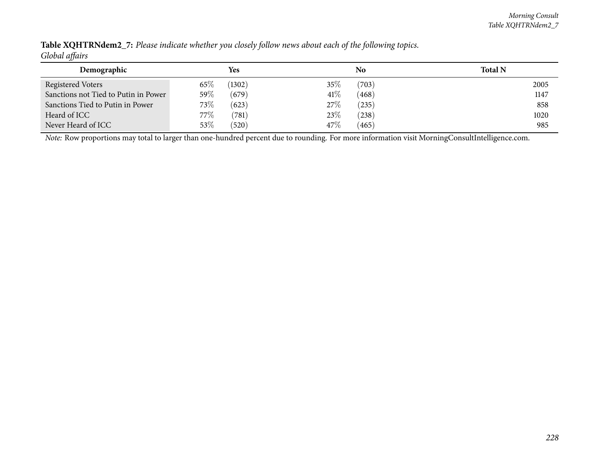| v                                    |         |        |      |       |                |
|--------------------------------------|---------|--------|------|-------|----------------|
| Demographic                          |         | Yes    |      | No    | <b>Total N</b> |
| <b>Registered Voters</b>             | $65\%$  | (1302) | 35%  | (703) | 2005           |
| Sanctions not Tied to Putin in Power | 59%     | (679)  | 41\% | (468) | 1147           |
| Sanctions Tied to Putin in Power     | 73\%    | (623)  | 27%  | (235) | 858            |
| Heard of ICC                         | 77 $\%$ | (781)  | 23%  | (238) | 1020           |
| Never Heard of ICC                   | 53%     | (520)  | 47\% | (465) | 985            |

Table XQHTRNdem2\_7: Please indicate whether you closely follow news about each of the following topics. *Global affairs*

*Note:* Row proportions may total to larger than one-hundred percen<sup>t</sup> due to rounding. For more information visit [MorningConsultIntelligence.com](https://morningconsultintelligence.com).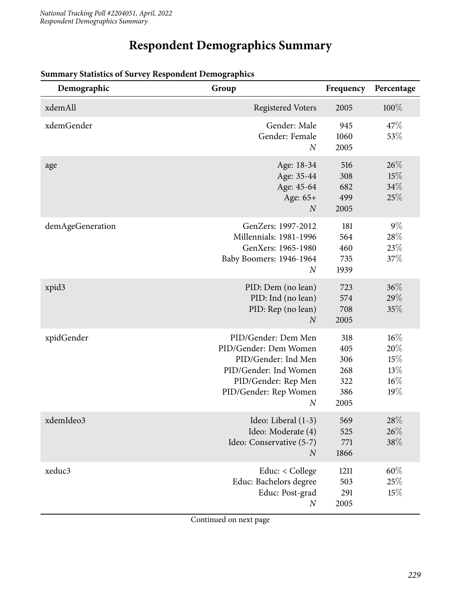# **Respondent Demographics Summary**

| Demographic      | Group                                                                                                                                                            | Frequency                                      | Percentage                                |
|------------------|------------------------------------------------------------------------------------------------------------------------------------------------------------------|------------------------------------------------|-------------------------------------------|
| xdemAll          | <b>Registered Voters</b>                                                                                                                                         | 2005                                           | 100%                                      |
| xdemGender       | Gender: Male<br>Gender: Female<br>$\overline{N}$                                                                                                                 | 945<br>1060<br>2005                            | 47%<br>53%                                |
| age              | Age: 18-34<br>Age: 35-44<br>Age: 45-64<br>Age: 65+<br>$\boldsymbol{N}$                                                                                           | 516<br>308<br>682<br>499<br>2005               | 26%<br>15%<br>34%<br>25%                  |
| demAgeGeneration | GenZers: 1997-2012<br>Millennials: 1981-1996<br>GenXers: 1965-1980<br>Baby Boomers: 1946-1964<br>$\overline{N}$                                                  | 181<br>564<br>460<br>735<br>1939               | $9\%$<br>28%<br>23%<br>37%                |
| xpid3            | PID: Dem (no lean)<br>PID: Ind (no lean)<br>PID: Rep (no lean)<br>$\overline{N}$                                                                                 | 723<br>574<br>708<br>2005                      | $36\%$<br>29%<br>35%                      |
| xpidGender       | PID/Gender: Dem Men<br>PID/Gender: Dem Women<br>PID/Gender: Ind Men<br>PID/Gender: Ind Women<br>PID/Gender: Rep Men<br>PID/Gender: Rep Women<br>$\boldsymbol{N}$ | 318<br>405<br>306<br>268<br>322<br>386<br>2005 | $16\%$<br>20%<br>15%<br>13%<br>16%<br>19% |
| xdemIdeo3        | Ideo: Liberal (1-3)<br>Ideo: Moderate (4)<br>Ideo: Conservative (5-7)<br>$\boldsymbol{N}$                                                                        | 569<br>525<br>771<br>1866                      | $28\%$<br>26%<br>38\%                     |
| xeduc3           | Educ: < College<br>Educ: Bachelors degree<br>Educ: Post-grad<br>$\boldsymbol{N}$                                                                                 | 1211<br>503<br>291<br>2005                     | $60\%$<br>25%<br>15%                      |

#### **Summary Statistics of Survey Respondent Demographics**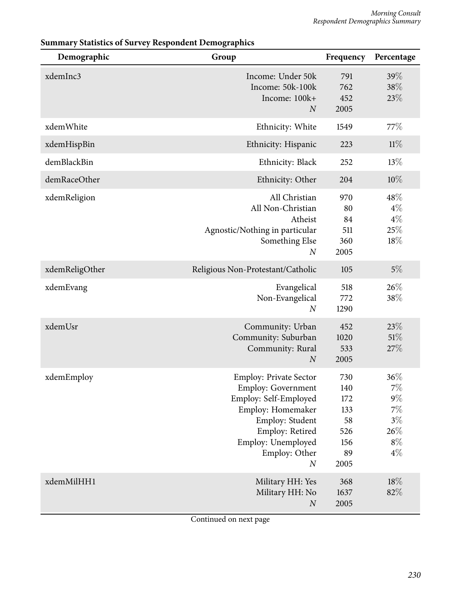| Demographic    | Group                                                                                                                                                                                                     | Frequency                                                  | Percentage                                                       |
|----------------|-----------------------------------------------------------------------------------------------------------------------------------------------------------------------------------------------------------|------------------------------------------------------------|------------------------------------------------------------------|
| xdemInc3       | Income: Under 50k<br>Income: 50k-100k<br>Income: 100k+<br>$\boldsymbol{N}$                                                                                                                                | 791<br>762<br>452<br>2005                                  | 39%<br>38%<br>23%                                                |
| xdemWhite      | Ethnicity: White                                                                                                                                                                                          | 1549                                                       | 77\%                                                             |
| xdemHispBin    | Ethnicity: Hispanic                                                                                                                                                                                       | 223                                                        | $11\%$                                                           |
| demBlackBin    | Ethnicity: Black                                                                                                                                                                                          | 252                                                        | 13%                                                              |
| demRaceOther   | Ethnicity: Other                                                                                                                                                                                          | 204                                                        | 10%                                                              |
| xdemReligion   | All Christian<br>All Non-Christian<br>Atheist<br>Agnostic/Nothing in particular<br>Something Else<br>$\boldsymbol{N}$                                                                                     | 970<br>80<br>84<br>511<br>360<br>2005                      | 48%<br>$4\%$<br>$4\%$<br>$25\%$<br>18%                           |
| xdemReligOther | Religious Non-Protestant/Catholic                                                                                                                                                                         | 105                                                        | $5\%$                                                            |
| xdemEvang      | Evangelical<br>Non-Evangelical<br>$\boldsymbol{N}$                                                                                                                                                        | 518<br>772<br>1290                                         | 26\%<br>38%                                                      |
| xdemUsr        | Community: Urban<br>Community: Suburban<br>Community: Rural<br>$\boldsymbol{N}$                                                                                                                           | 452<br>1020<br>533<br>2005                                 | 23%<br>51%<br>27%                                                |
| xdemEmploy     | <b>Employ: Private Sector</b><br><b>Employ: Government</b><br>Employ: Self-Employed<br>Employ: Homemaker<br>Employ: Student<br>Employ: Retired<br>Employ: Unemployed<br>Employ: Other<br>$\boldsymbol{N}$ | 730<br>140<br>172<br>133<br>58<br>526<br>156<br>89<br>2005 | 36%<br>$7\%$<br>$9\%$<br>$7\%$<br>$3\%$<br>26%<br>$8\%$<br>$4\%$ |
| xdemMilHH1     | Military HH: Yes<br>Military HH: No<br>$\boldsymbol{N}$                                                                                                                                                   | 368<br>1637<br>2005                                        | 18%<br>82%                                                       |

# **Summary Statistics of Survey Respondent Demographics**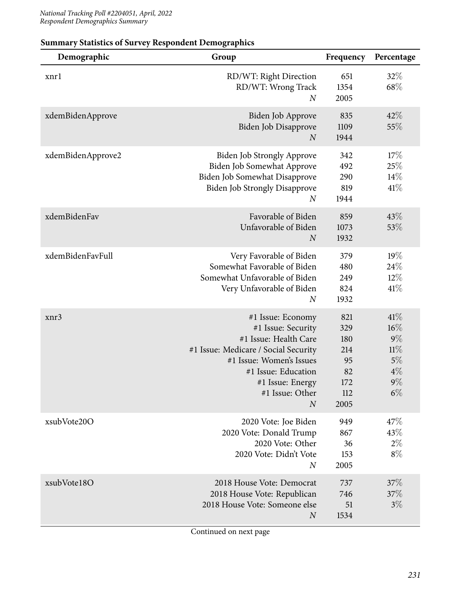| Demographic       | Group                                                                                                                                                                                                                  | Frequency                                                  | Percentage                                                  |
|-------------------|------------------------------------------------------------------------------------------------------------------------------------------------------------------------------------------------------------------------|------------------------------------------------------------|-------------------------------------------------------------|
| xnrl              | RD/WT: Right Direction<br>RD/WT: Wrong Track<br>$\boldsymbol{N}$                                                                                                                                                       | 651<br>1354<br>2005                                        | 32\%<br>68\%                                                |
| xdemBidenApprove  | Biden Job Approve<br>Biden Job Disapprove<br>$\boldsymbol{N}$                                                                                                                                                          | 835<br>1109<br>1944                                        | 42%<br>55%                                                  |
| xdemBidenApprove2 | <b>Biden Job Strongly Approve</b><br>Biden Job Somewhat Approve<br>Biden Job Somewhat Disapprove<br><b>Biden Job Strongly Disapprove</b><br>$\boldsymbol{N}$                                                           | 342<br>492<br>290<br>819<br>1944                           | 17%<br>25%<br>$14\%$<br>41%                                 |
| xdemBidenFav      | Favorable of Biden<br>Unfavorable of Biden<br>$\boldsymbol{N}$                                                                                                                                                         | 859<br>1073<br>1932                                        | 43\%<br>53%                                                 |
| xdemBidenFavFull  | Very Favorable of Biden<br>Somewhat Favorable of Biden<br>Somewhat Unfavorable of Biden<br>Very Unfavorable of Biden<br>$\boldsymbol{N}$                                                                               | 379<br>480<br>249<br>824<br>1932                           | 19%<br>24\%<br>$12\%$<br>41%                                |
| xnr3              | #1 Issue: Economy<br>#1 Issue: Security<br>#1 Issue: Health Care<br>#1 Issue: Medicare / Social Security<br>#1 Issue: Women's Issues<br>#1 Issue: Education<br>#1 Issue: Energy<br>#1 Issue: Other<br>$\boldsymbol{N}$ | 821<br>329<br>180<br>214<br>95<br>82<br>172<br>112<br>2005 | 41%<br>16%<br>$9\%$<br>11%<br>5%<br>$4\%$<br>$9\%$<br>$6\%$ |
| xsubVote20O       | 2020 Vote: Joe Biden<br>2020 Vote: Donald Trump<br>2020 Vote: Other<br>2020 Vote: Didn't Vote<br>$\boldsymbol{N}$                                                                                                      | 949<br>867<br>36<br>153<br>2005                            | 47\%<br>43%<br>$2\%$<br>$8\%$                               |
| xsubVote18O       | 2018 House Vote: Democrat<br>2018 House Vote: Republican<br>2018 House Vote: Someone else<br>$\boldsymbol{N}$                                                                                                          | 737<br>746<br>51<br>1534                                   | 37\%<br>37%<br>$3\%$                                        |

# **Summary Statistics of Survey Respondent Demographics**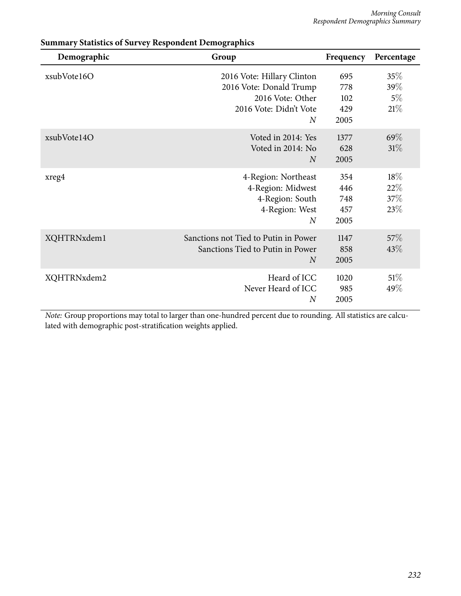| Demographic | Group                                                                                                    | Frequency                        | Percentage                    |
|-------------|----------------------------------------------------------------------------------------------------------|----------------------------------|-------------------------------|
| xsubVote16O | 2016 Vote: Hillary Clinton<br>2016 Vote: Donald Trump<br>2016 Vote: Other<br>2016 Vote: Didn't Vote<br>N | 695<br>778<br>102<br>429<br>2005 | $35\%$<br>39%<br>$5\%$<br>21% |
| xsubVote14O | Voted in 2014: Yes<br>Voted in 2014: No<br>$\overline{N}$                                                | 1377<br>628<br>2005              | 69%<br>31%                    |
| xreg4       | 4-Region: Northeast<br>4-Region: Midwest<br>4-Region: South<br>4-Region: West<br>$\overline{N}$          | 354<br>446<br>748<br>457<br>2005 | $18\%$<br>22%<br>37\%<br>23\% |
| XQHTRNxdem1 | Sanctions not Tied to Putin in Power<br>Sanctions Tied to Putin in Power<br>$\overline{N}$               | 1147<br>858<br>2005              | 57\%<br>43\%                  |
| XQHTRNxdem2 | Heard of ICC<br>Never Heard of ICC<br>$\overline{N}$                                                     | 1020<br>985<br>2005              | $51\%$<br>49%                 |

# **Summary Statistics of Survey Respondent Demographics**

*Note:* Group proportions may total to larger than one-hundred percent due to rounding. All statistics are calculated with demographic post-stratification weights applied.